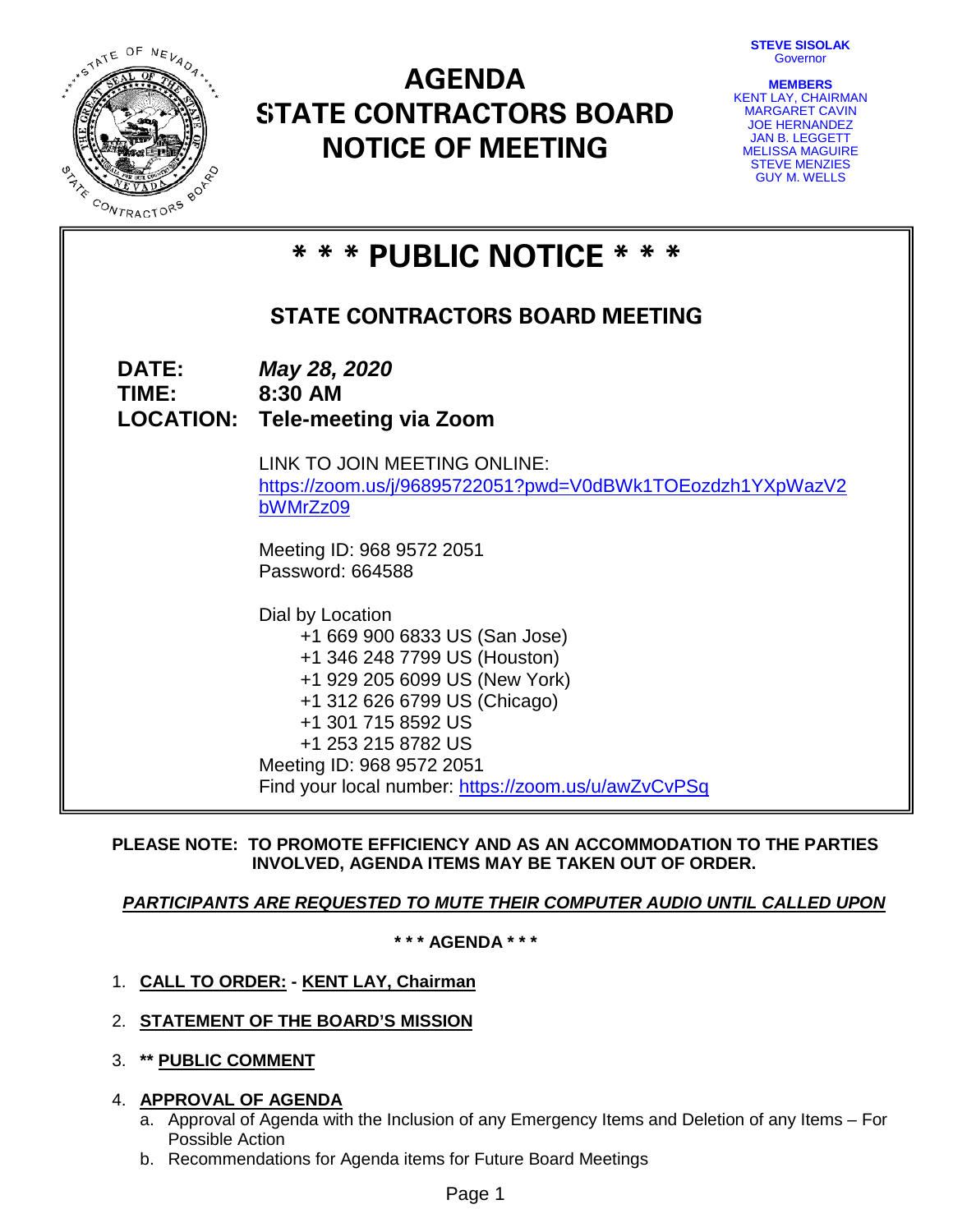**STEVE SISOLAK** Governor



# **AGENDA STATE CONTRACTORS BOARD NOTICE OF MEETING**

| <b>MEMBERS</b>         |  |
|------------------------|--|
| KENT LAY, CHAIRMAN     |  |
| <b>MARGARET CAVIN</b>  |  |
| <b>JOE HERNANDEZ</b>   |  |
| <b>JAN B. LEGGETT</b>  |  |
| <b>MELISSA MAGUIRE</b> |  |
| <b>STEVE MENZIES</b>   |  |
| <b>GUY M. WELLS</b>    |  |

| * * * PUBLIC NOTICE * * *              |                                                                                                                                                                                                                                                                                    |  |  |  |  |
|----------------------------------------|------------------------------------------------------------------------------------------------------------------------------------------------------------------------------------------------------------------------------------------------------------------------------------|--|--|--|--|
| <b>STATE CONTRACTORS BOARD MEETING</b> |                                                                                                                                                                                                                                                                                    |  |  |  |  |
| <b>DATE:</b><br>TIME: TIME             | May 28, 2020<br>8:30 AM<br><b>LOCATION: Tele-meeting via Zoom</b>                                                                                                                                                                                                                  |  |  |  |  |
|                                        | LINK TO JOIN MEETING ONLINE:<br>https://zoom.us/j/96895722051?pwd=V0dBWk1TOEozdzh1YXpWazV2<br>bWMrZz09                                                                                                                                                                             |  |  |  |  |
|                                        | Meeting ID: 968 9572 2051<br>Password: 664588                                                                                                                                                                                                                                      |  |  |  |  |
|                                        | Dial by Location<br>+1 669 900 6833 US (San Jose)<br>+1 346 248 7799 US (Houston)<br>+1 929 205 6099 US (New York)<br>+1 312 626 6799 US (Chicago)<br>+1 301 715 8592 US<br>+1 253 215 8782 US<br>Meeting ID: 968 9572 2051<br>Find your local number: https://zoom.us/u/awZvCvPSq |  |  |  |  |

## **PLEASE NOTE: TO PROMOTE EFFICIENCY AND AS AN ACCOMMODATION TO THE PARTIES INVOLVED, AGENDA ITEMS MAY BE TAKEN OUT OF ORDER.**

## *PARTICIPANTS ARE REQUESTED TO MUTE THEIR COMPUTER AUDIO UNTIL CALLED UPON*

**\* \* \* AGENDA \* \* \***

- 1. **CALL TO ORDER: - KENT LAY, Chairman**
- 2. **STATEMENT OF THE BOARD'S MISSION**
- 3. **\*\* PUBLIC COMMENT**
- 4. **APPROVAL OF AGENDA**
	- a. Approval of Agenda with the Inclusion of any Emergency Items and Deletion of any Items For Possible Action
	- b. Recommendations for Agenda items for Future Board Meetings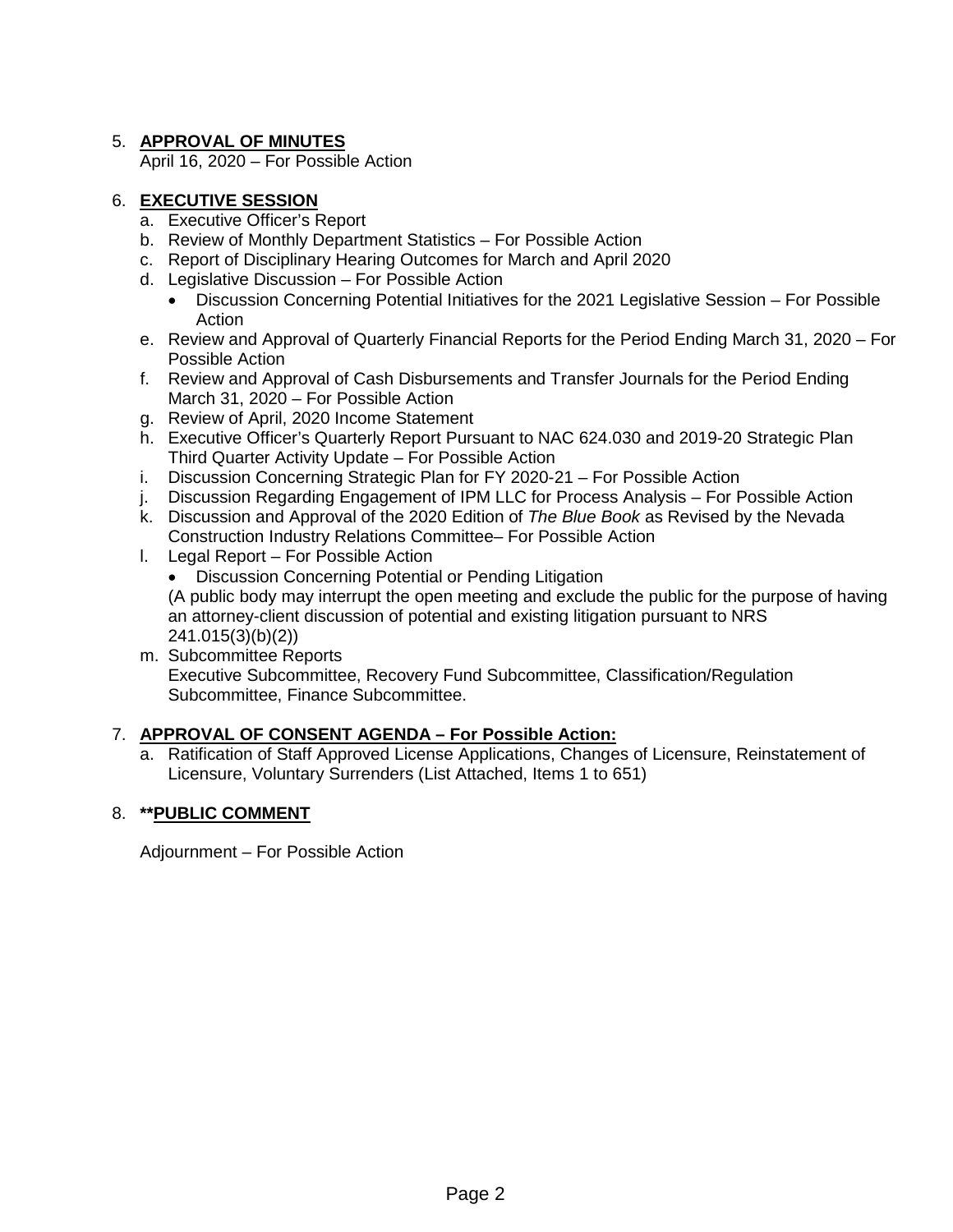## 5. **APPROVAL OF MINUTES**

April 16, 2020 – For Possible Action

## 6. **EXECUTIVE SESSION**

- a. Executive Officer's Report
- b. Review of Monthly Department Statistics For Possible Action
- c. Report of Disciplinary Hearing Outcomes for March and April 2020
- d. Legislative Discussion For Possible Action
	- Discussion Concerning Potential Initiatives for the 2021 Legislative Session For Possible Action
- e. Review and Approval of Quarterly Financial Reports for the Period Ending March 31, 2020 For Possible Action
- f. Review and Approval of Cash Disbursements and Transfer Journals for the Period Ending March 31, 2020 – For Possible Action
- g. Review of April, 2020 Income Statement
- h. Executive Officer's Quarterly Report Pursuant to NAC 624.030 and 2019-20 Strategic Plan Third Quarter Activity Update – For Possible Action
- i. Discussion Concerning Strategic Plan for FY 2020-21 For Possible Action
- j. Discussion Regarding Engagement of IPM LLC for Process Analysis For Possible Action
- k. Discussion and Approval of the 2020 Edition of *The Blue Book* as Revised by the Nevada Construction Industry Relations Committee– For Possible Action
- l. Legal Report For Possible Action
	- Discussion Concerning Potential or Pending Litigation (A public body may interrupt the open meeting and exclude the public for the purpose of having an attorney-client discussion of potential and existing litigation pursuant to NRS 241.015(3)(b)(2))
- m. Subcommittee Reports Executive Subcommittee, Recovery Fund Subcommittee, Classification/Regulation Subcommittee, Finance Subcommittee.

## 7. **APPROVAL OF CONSENT AGENDA – For Possible Action:**

a. Ratification of Staff Approved License Applications, Changes of Licensure, Reinstatement of Licensure, Voluntary Surrenders (List Attached, Items 1 to 651)

## 8. **\*\*PUBLIC COMMENT**

Adjournment – For Possible Action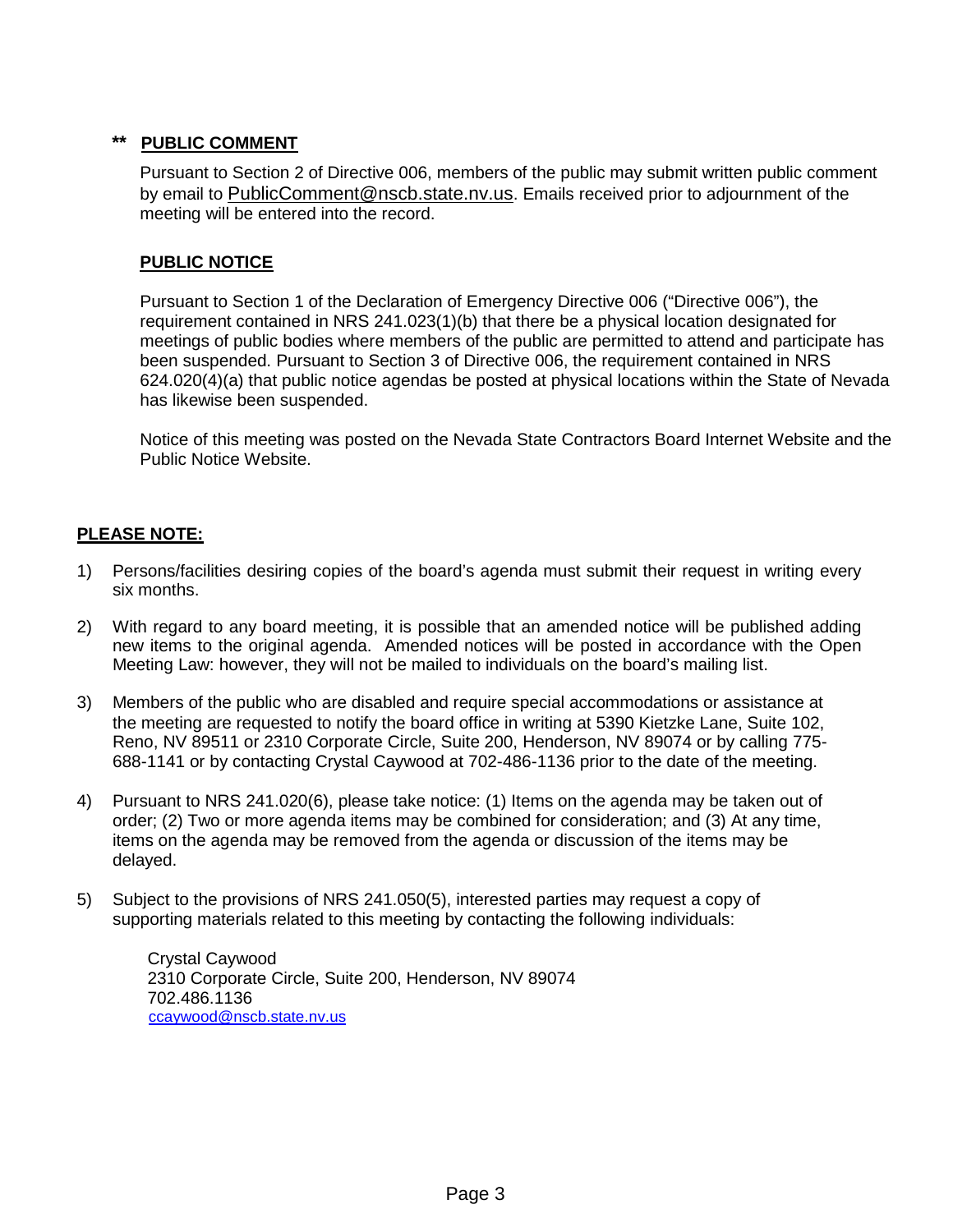## **\*\* PUBLIC COMMENT**

Pursuant to Section 2 of Directive 006, members of the public may submit written public comment by email to [PublicComment@nscb.state.nv.us.](mailto:PublicComment@nscb.state.nv.us) Emails received prior to adjournment of the meeting will be entered into the record.

## **PUBLIC NOTICE**

Pursuant to Section 1 of the Declaration of Emergency Directive 006 ("Directive 006"), the requirement contained in NRS 241.023(1)(b) that there be a physical location designated for meetings of public bodies where members of the public are permitted to attend and participate has been suspended. Pursuant to Section 3 of Directive 006, the requirement contained in NRS 624.020(4)(a) that public notice agendas be posted at physical locations within the State of Nevada has likewise been suspended.

Notice of this meeting was posted on the Nevada State Contractors Board Internet Website and the Public Notice Website.

## **PLEASE NOTE:**

- 1) Persons/facilities desiring copies of the board's agenda must submit their request in writing every six months.
- 2) With regard to any board meeting, it is possible that an amended notice will be published adding new items to the original agenda. Amended notices will be posted in accordance with the Open Meeting Law: however, they will not be mailed to individuals on the board's mailing list.
- 3) Members of the public who are disabled and require special accommodations or assistance at the meeting are requested to notify the board office in writing at 5390 Kietzke Lane, Suite 102, Reno, NV 89511 or 2310 Corporate Circle, Suite 200, Henderson, NV 89074 or by calling 775- 688-1141 or by contacting Crystal Caywood at 702-486-1136 prior to the date of the meeting.
- 4) Pursuant to NRS 241.020(6), please take notice: (1) Items on the agenda may be taken out of order; (2) Two or more agenda items may be combined for consideration; and (3) At any time, items on the agenda may be removed from the agenda or discussion of the items may be delayed.
- 5) Subject to the provisions of NRS 241.050(5), interested parties may request a copy of supporting materials related to this meeting by contacting the following individuals:

Crystal Caywood 2310 Corporate Circle, Suite 200, Henderson, NV 89074 702.486.1136 [ccaywood@nscb.state.nv.us](mailto:ccaywood@nscb.state.nv.us)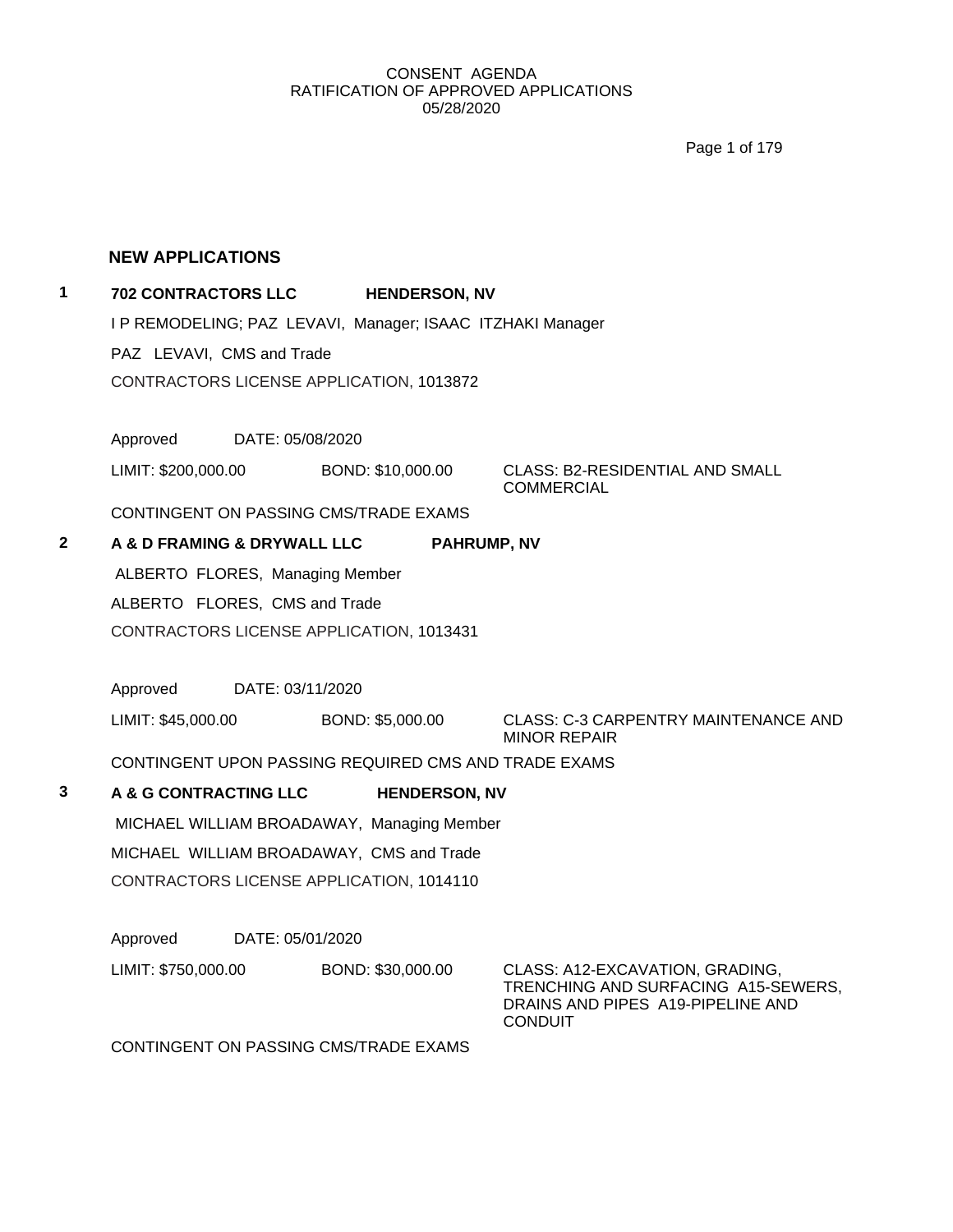Page 1 of 179

#### **NEW APPLICATIONS**

## **1 702 CONTRACTORS LLC HENDERSON, NV**

I P REMODELING; PAZ LEVAVI, Manager; ISAAC ITZHAKI Manager

PAZ LEVAVI, CMS and Trade

CONTRACTORS LICENSE APPLICATION, 1013872

Approved DATE: 05/08/2020

LIMIT: \$200,000.00 BOND: \$10,000.00 CLASS: B2-RESIDENTIAL AND SMALL

COMMERCIAL

CONTINGENT ON PASSING CMS/TRADE EXAMS

**2 A & D FRAMING & DRYWALL LLC PAHRUMP, NV**

ALBERTO FLORES, Managing Member ALBERTO FLORES, CMS and Trade CONTRACTORS LICENSE APPLICATION, 1013431

Approved DATE: 03/11/2020

LIMIT: \$45,000.00 BOND: \$5,000.00 CLASS: C-3 CARPENTRY MAINTENANCE AND MINOR REPAIR

CONTINGENT UPON PASSING REQUIRED CMS AND TRADE EXAMS

**3 A & G CONTRACTING LLC HENDERSON, NV** MICHAEL WILLIAM BROADAWAY, Managing Member MICHAEL WILLIAM BROADAWAY, CMS and Trade CONTRACTORS LICENSE APPLICATION, 1014110

Approved DATE: 05/01/2020

LIMIT: \$750,000.00 BOND: \$30,000.00 CLASS: A12-EXCAVATION, GRADING, TRENCHING AND SURFACING A15-SEWERS, DRAINS AND PIPES A19-PIPELINE AND **CONDUIT** 

CONTINGENT ON PASSING CMS/TRADE EXAMS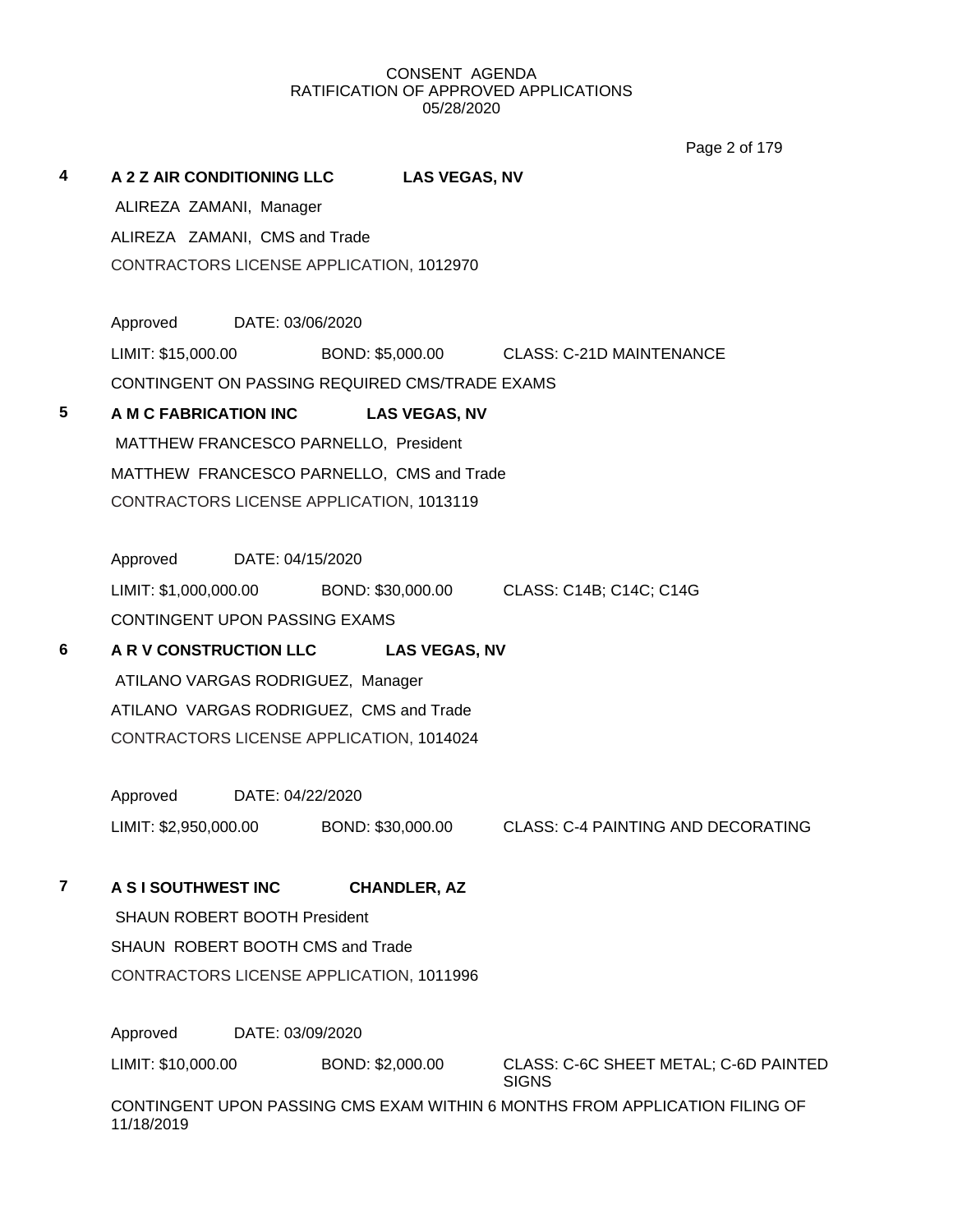Page 2 of 179

| 4 | A 2 Z AIR CONDITIONING LLC<br>ALIREZA ZAMANI, Manager<br>ALIREZA ZAMANI, CMS and Trade<br>CONTRACTORS LICENSE APPLICATION, 1012970 | <b>LAS VEGAS, NV</b> |                                                                             |
|---|------------------------------------------------------------------------------------------------------------------------------------|----------------------|-----------------------------------------------------------------------------|
|   | Approved<br>DATE: 03/06/2020                                                                                                       |                      |                                                                             |
|   |                                                                                                                                    |                      | LIMIT: \$15,000.00 BOND: \$5,000.00 CLASS: C-21D MAINTENANCE                |
|   | CONTINGENT ON PASSING REQUIRED CMS/TRADE EXAMS                                                                                     |                      |                                                                             |
| 5 | A M C FABRICATION INC LAS VEGAS, NV                                                                                                |                      |                                                                             |
|   | MATTHEW FRANCESCO PARNELLO, President                                                                                              |                      |                                                                             |
|   | MATTHEW FRANCESCO PARNELLO, CMS and Trade                                                                                          |                      |                                                                             |
|   | CONTRACTORS LICENSE APPLICATION, 1013119                                                                                           |                      |                                                                             |
|   | Approved<br>DATE: 04/15/2020                                                                                                       |                      |                                                                             |
|   |                                                                                                                                    |                      | LIMIT: \$1,000,000.00 BOND: \$30,000.00 CLASS: C14B; C14C; C14G             |
|   | CONTINGENT UPON PASSING EXAMS                                                                                                      |                      |                                                                             |
| 6 | A R V CONSTRUCTION LLC LAS VEGAS, NV                                                                                               |                      |                                                                             |
|   | ATILANO VARGAS RODRIGUEZ, Manager                                                                                                  |                      |                                                                             |
|   | ATILANO VARGAS RODRIGUEZ, CMS and Trade                                                                                            |                      |                                                                             |
|   | CONTRACTORS LICENSE APPLICATION, 1014024                                                                                           |                      |                                                                             |
|   |                                                                                                                                    |                      |                                                                             |
|   | Approved<br>DATE: 04/22/2020                                                                                                       |                      |                                                                             |
|   | LIMIT: \$2,950,000.00 BOND: \$30,000.00                                                                                            |                      | <b>CLASS: C-4 PAINTING AND DECORATING</b>                                   |
| 7 | A SI SOUTHWEST INC                                                                                                                 | <b>CHANDLER, AZ</b>  |                                                                             |
|   | <b>SHAUN ROBERT BOOTH President</b>                                                                                                |                      |                                                                             |
|   | SHAUN ROBERT BOOTH CMS and Trade                                                                                                   |                      |                                                                             |
|   | CONTRACTORS LICENSE APPLICATION, 1011996                                                                                           |                      |                                                                             |
|   | Approved<br>DATE: 03/09/2020                                                                                                       |                      |                                                                             |
|   | LIMIT: \$10,000.00                                                                                                                 | BOND: \$2,000.00     | CLASS: C-6C SHEET METAL; C-6D PAINTED<br><b>SIGNS</b>                       |
|   | 11/18/2019                                                                                                                         |                      | CONTINGENT UPON PASSING CMS EXAM WITHIN 6 MONTHS FROM APPLICATION FILING OF |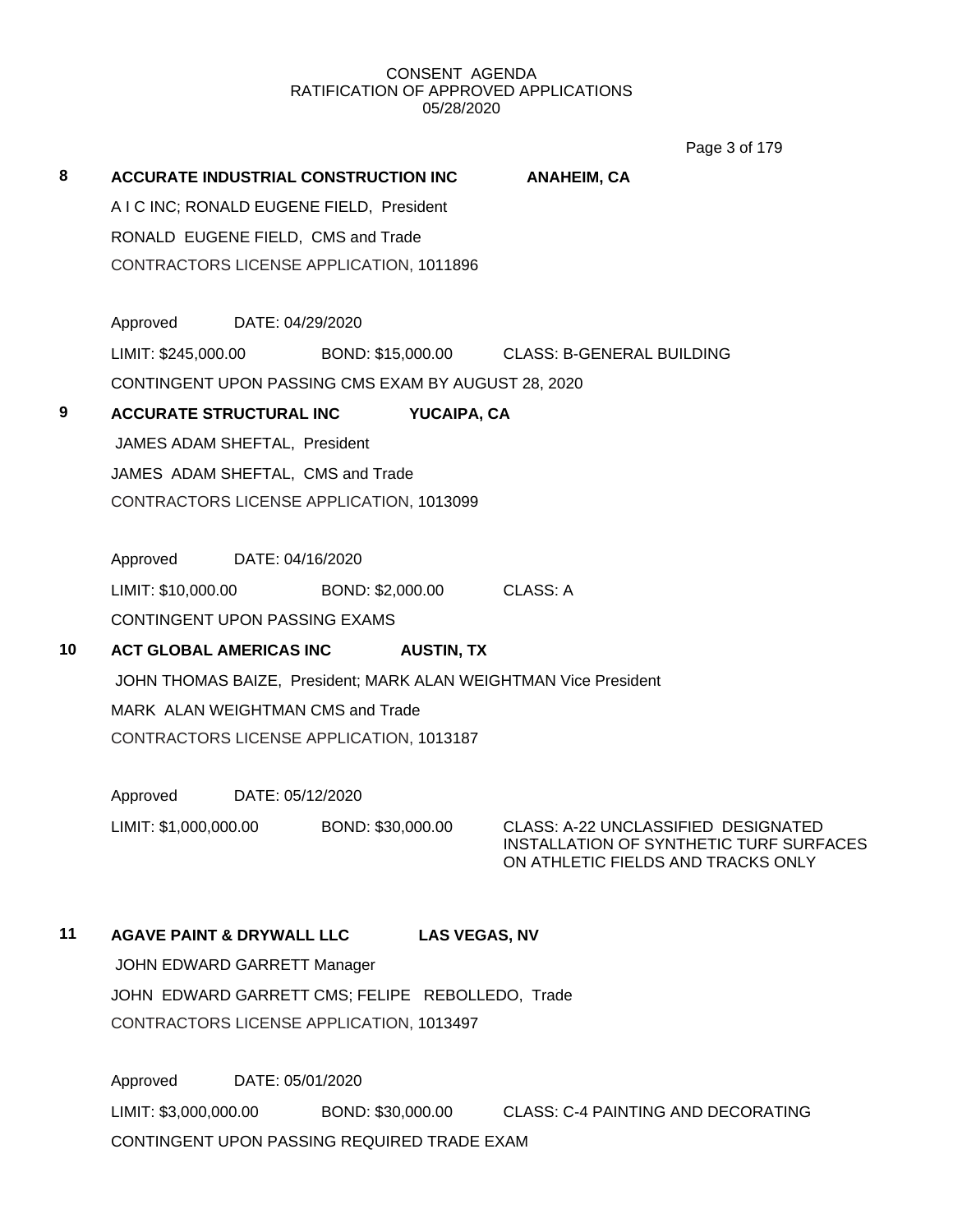Page 3 of 179

| 8  | <b>ACCURATE INDUSTRIAL CONSTRUCTION INC</b>                      | <b>ANAHEIM, CA</b>                                                            |
|----|------------------------------------------------------------------|-------------------------------------------------------------------------------|
|    | A I C INC; RONALD EUGENE FIELD, President                        |                                                                               |
|    | RONALD EUGENE FIELD, CMS and Trade                               |                                                                               |
|    | CONTRACTORS LICENSE APPLICATION, 1011896                         |                                                                               |
|    | Approved DATE: 04/29/2020                                        |                                                                               |
|    | LIMIT: \$245,000.00                                              | BOND: \$15,000.00 CLASS: B-GENERAL BUILDING                                   |
|    | CONTINGENT UPON PASSING CMS EXAM BY AUGUST 28, 2020              |                                                                               |
| 9  | <b>ACCURATE STRUCTURAL INC</b><br>YUCAIPA, CA                    |                                                                               |
|    | JAMES ADAM SHEFTAL, President                                    |                                                                               |
|    | JAMES ADAM SHEFTAL, CMS and Trade                                |                                                                               |
|    | CONTRACTORS LICENSE APPLICATION, 1013099                         |                                                                               |
|    |                                                                  |                                                                               |
|    | Approved DATE: 04/16/2020                                        |                                                                               |
|    | LIMIT: \$10,000.00 BOND: \$2,000.00                              | CLASS: A                                                                      |
|    | CONTINGENT UPON PASSING EXAMS                                    |                                                                               |
| 10 | <b>ACT GLOBAL AMERICAS INC</b><br><b>AUSTIN, TX</b>              |                                                                               |
|    | JOHN THOMAS BAIZE, President; MARK ALAN WEIGHTMAN Vice President |                                                                               |
|    | MARK ALAN WEIGHTMAN CMS and Trade                                |                                                                               |
|    | CONTRACTORS LICENSE APPLICATION, 1013187                         |                                                                               |
|    | Approved<br>DATE: 05/12/2020                                     |                                                                               |
|    |                                                                  | CLASS: A-22 UNCLASSIFIED DESIGNATED                                           |
|    | LIMIT: \$1,000,000.00<br>BOND: \$30,000.00                       | INSTALLATION OF SYNTHETIC TURF SURFACES<br>ON ATHLETIC FIELDS AND TRACKS ONLY |
|    |                                                                  |                                                                               |
| 11 | <b>AGAVE PAINT &amp; DRYWALL LLC</b><br><b>LAS VEGAS, NV</b>     |                                                                               |
|    | JOHN EDWARD GARRETT Manager                                      |                                                                               |
|    | JOHN EDWARD GARRETT CMS; FELIPE REBOLLEDO, Trade                 |                                                                               |

CONTRACTORS LICENSE APPLICATION, 1013497

Approved DATE: 05/01/2020 LIMIT: \$3,000,000.00 BOND: \$30,000.00 CLASS: C-4 PAINTING AND DECORATING CONTINGENT UPON PASSING REQUIRED TRADE EXAM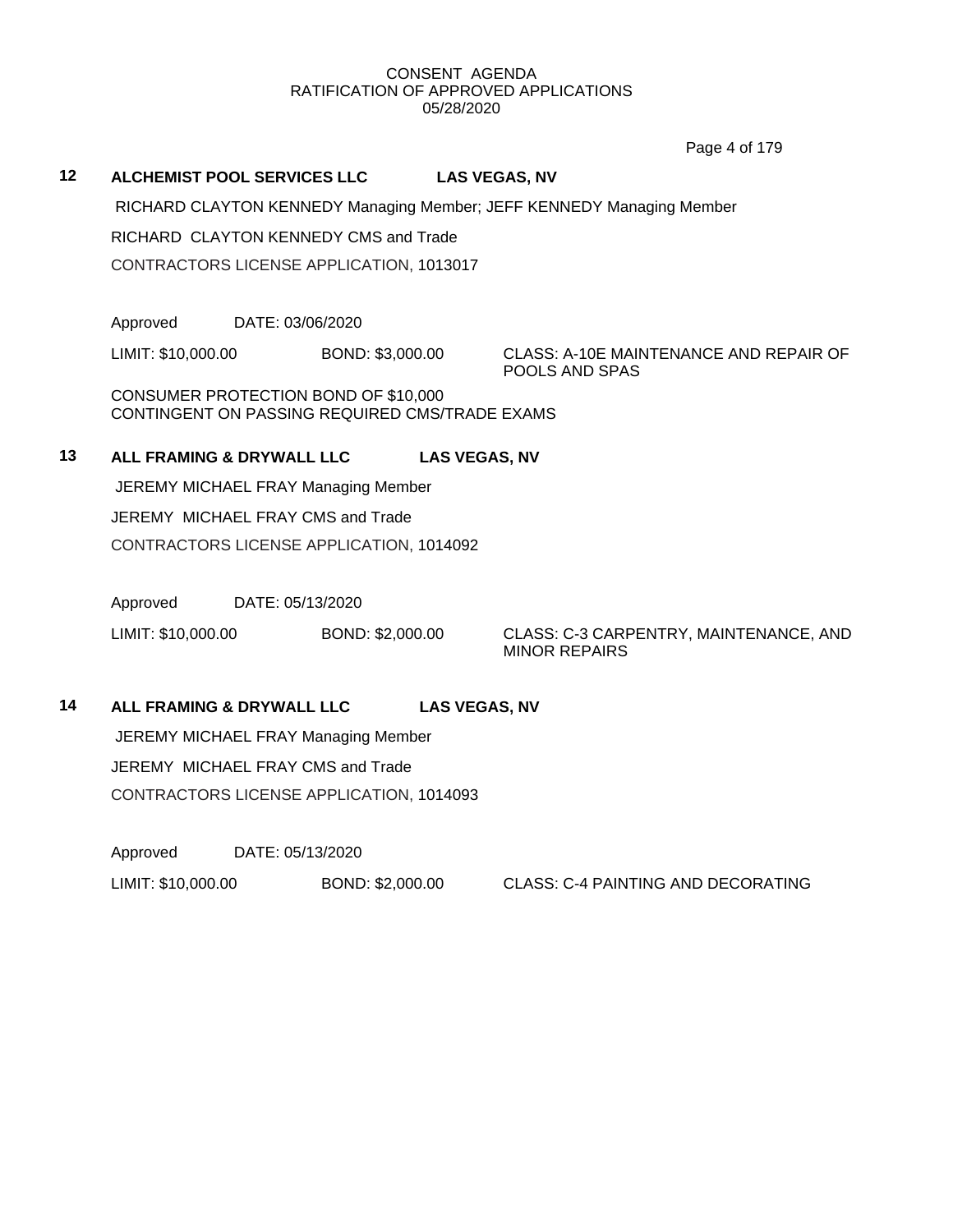Page 4 of 179

## **12 ALCHEMIST POOL SERVICES LLC LAS VEGAS, NV**

RICHARD CLAYTON KENNEDY Managing Member; JEFF KENNEDY Managing Member

RICHARD CLAYTON KENNEDY CMS and Trade

CONTRACTORS LICENSE APPLICATION, 1013017

Approved DATE: 03/06/2020

LIMIT: \$10,000.00 BOND: \$3,000.00 CLASS: A-10E MAINTENANCE AND REPAIR OF

POOLS AND SPAS

CONSUMER PROTECTION BOND OF \$10,000 CONTINGENT ON PASSING REQUIRED CMS/TRADE EXAMS

## **13 ALL FRAMING & DRYWALL LLC LAS VEGAS, NV**

JEREMY MICHAEL FRAY Managing Member JEREMY MICHAEL FRAY CMS and Trade CONTRACTORS LICENSE APPLICATION, 1014092

Approved DATE: 05/13/2020

LIMIT: \$10,000.00 BOND: \$2,000.00 CLASS: C-3 CARPENTRY, MAINTENANCE, AND MINOR REPAIRS

**14 ALL FRAMING & DRYWALL LLC LAS VEGAS, NV**

JEREMY MICHAEL FRAY Managing Member JEREMY MICHAEL FRAY CMS and Trade CONTRACTORS LICENSE APPLICATION, 1014093

Approved DATE: 05/13/2020

LIMIT: \$10,000.00 BOND: \$2,000.00 CLASS: C-4 PAINTING AND DECORATING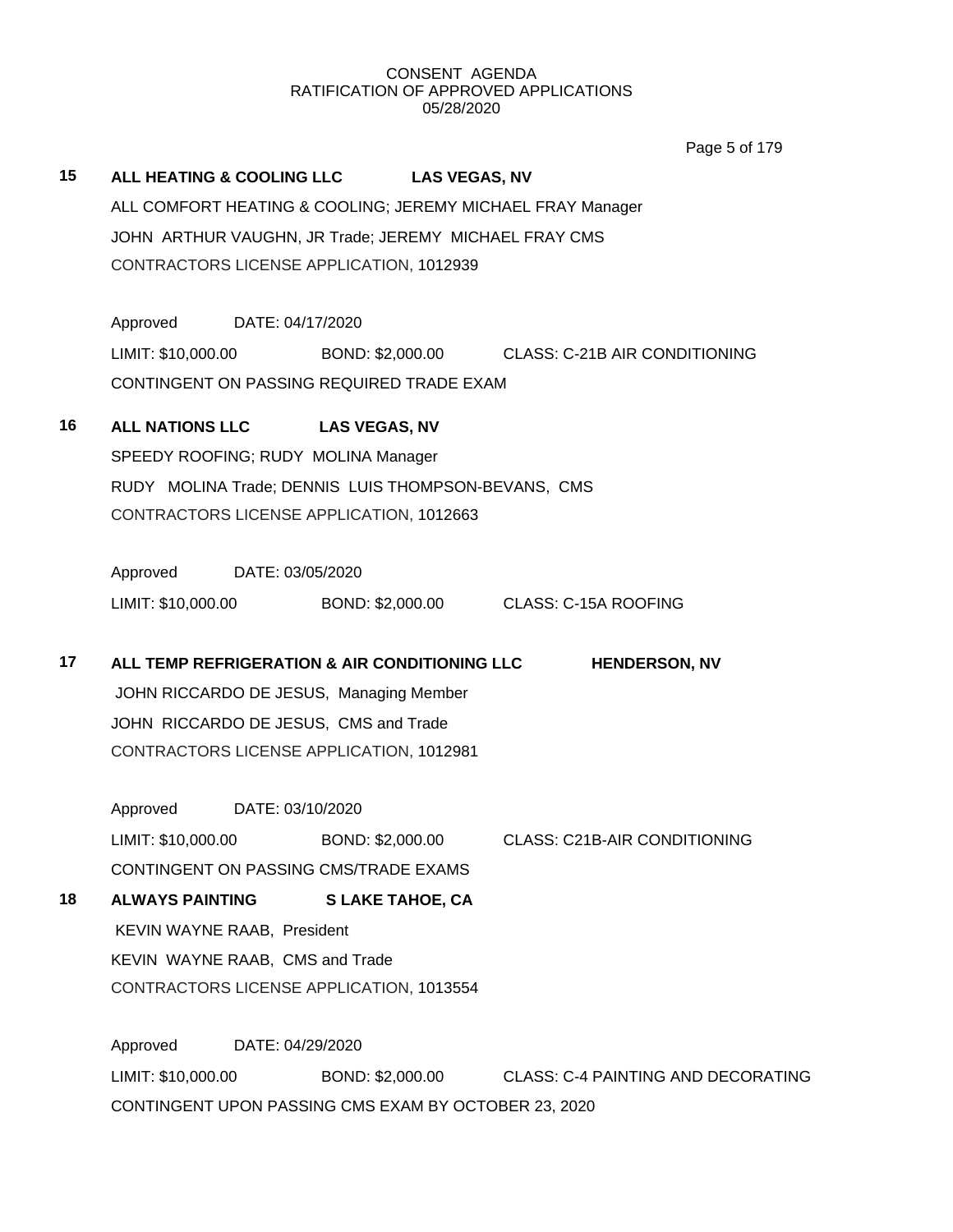Page 5 of 179

**15 ALL HEATING & COOLING LLC LAS VEGAS, NV** ALL COMFORT HEATING & COOLING; JEREMY MICHAEL FRAY Manager JOHN ARTHUR VAUGHN, JR Trade; JEREMY MICHAEL FRAY CMS CONTRACTORS LICENSE APPLICATION, 1012939 Approved DATE: 04/17/2020 LIMIT: \$10,000.00 BOND: \$2,000.00 CLASS: C-21B AIR CONDITIONING CONTINGENT ON PASSING REQUIRED TRADE EXAM

## **16 ALL NATIONS LLC LAS VEGAS, NV** SPEEDY ROOFING; RUDY MOLINA Manager RUDY MOLINA Trade; DENNIS LUIS THOMPSON-BEVANS, CMS CONTRACTORS LICENSE APPLICATION, 1012663

Approved DATE: 03/05/2020 LIMIT: \$10,000.00 BOND: \$2,000.00 CLASS: C-15A ROOFING

**17 ALL TEMP REFRIGERATION & AIR CONDITIONING LLC HENDERSON, NV** JOHN RICCARDO DE JESUS, Managing Member JOHN RICCARDO DE JESUS, CMS and Trade CONTRACTORS LICENSE APPLICATION, 1012981

Approved DATE: 03/10/2020 LIMIT: \$10,000.00 BOND: \$2,000.00 CLASS: C21B-AIR CONDITIONING CONTINGENT ON PASSING CMS/TRADE EXAMS

**18 ALWAYS PAINTING S LAKE TAHOE, CA** KEVIN WAYNE RAAB, President KEVIN WAYNE RAAB, CMS and Trade CONTRACTORS LICENSE APPLICATION, 1013554

Approved DATE: 04/29/2020 LIMIT: \$10,000.00 BOND: \$2,000.00 CLASS: C-4 PAINTING AND DECORATING CONTINGENT UPON PASSING CMS EXAM BY OCTOBER 23, 2020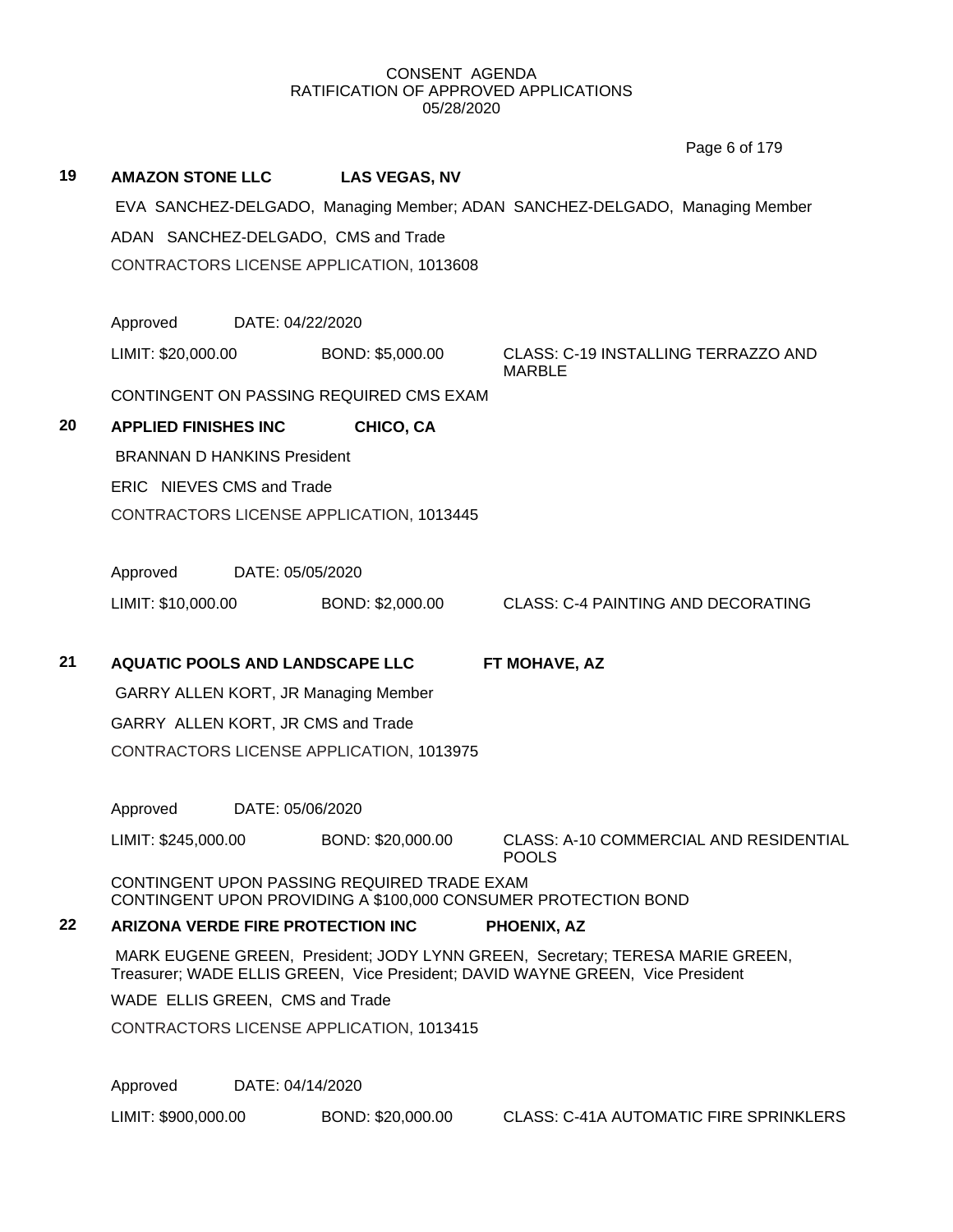|    |                                        |                  |                                             |                                                                                                                                                                 | Page 6 of 179                                 |  |  |
|----|----------------------------------------|------------------|---------------------------------------------|-----------------------------------------------------------------------------------------------------------------------------------------------------------------|-----------------------------------------------|--|--|
| 19 | <b>AMAZON STONE LLC</b>                |                  | <b>LAS VEGAS, NV</b>                        |                                                                                                                                                                 |                                               |  |  |
|    |                                        |                  |                                             | EVA SANCHEZ-DELGADO, Managing Member; ADAN SANCHEZ-DELGADO, Managing Member                                                                                     |                                               |  |  |
|    |                                        |                  | ADAN SANCHEZ-DELGADO, CMS and Trade         |                                                                                                                                                                 |                                               |  |  |
|    |                                        |                  | CONTRACTORS LICENSE APPLICATION, 1013608    |                                                                                                                                                                 |                                               |  |  |
|    |                                        |                  |                                             |                                                                                                                                                                 |                                               |  |  |
|    | Approved                               | DATE: 04/22/2020 |                                             |                                                                                                                                                                 |                                               |  |  |
|    | LIMIT: \$20,000.00                     |                  | BOND: \$5,000.00                            | CLASS: C-19 INSTALLING TERRAZZO AND<br><b>MARBLE</b>                                                                                                            |                                               |  |  |
|    |                                        |                  | CONTINGENT ON PASSING REQUIRED CMS EXAM     |                                                                                                                                                                 |                                               |  |  |
| 20 | <b>APPLIED FINISHES INC</b>            |                  | CHICO, CA                                   |                                                                                                                                                                 |                                               |  |  |
|    | <b>BRANNAN D HANKINS President</b>     |                  |                                             |                                                                                                                                                                 |                                               |  |  |
|    | ERIC NIEVES CMS and Trade              |                  |                                             |                                                                                                                                                                 |                                               |  |  |
|    |                                        |                  | CONTRACTORS LICENSE APPLICATION, 1013445    |                                                                                                                                                                 |                                               |  |  |
|    |                                        |                  |                                             |                                                                                                                                                                 |                                               |  |  |
|    | Approved                               | DATE: 05/05/2020 |                                             |                                                                                                                                                                 |                                               |  |  |
|    | LIMIT: \$10,000.00                     |                  | BOND: \$2,000.00                            | <b>CLASS: C-4 PAINTING AND DECORATING</b>                                                                                                                       |                                               |  |  |
|    |                                        |                  |                                             |                                                                                                                                                                 |                                               |  |  |
| 21 | <b>AQUATIC POOLS AND LANDSCAPE LLC</b> |                  |                                             | FT MOHAVE, AZ                                                                                                                                                   |                                               |  |  |
|    |                                        |                  | <b>GARRY ALLEN KORT, JR Managing Member</b> |                                                                                                                                                                 |                                               |  |  |
|    | GARRY ALLEN KORT, JR CMS and Trade     |                  |                                             |                                                                                                                                                                 |                                               |  |  |
|    |                                        |                  | CONTRACTORS LICENSE APPLICATION, 1013975    |                                                                                                                                                                 |                                               |  |  |
|    | Approved                               | DATE: 05/06/2020 |                                             |                                                                                                                                                                 |                                               |  |  |
|    | LIMIT: \$245,000.00                    |                  | BOND: \$20,000.00                           | <b>POOLS</b>                                                                                                                                                    | CLASS: A-10 COMMERCIAL AND RESIDENTIAL        |  |  |
|    |                                        |                  | CONTINGENT UPON PASSING REQUIRED TRADE EXAM | CONTINGENT UPON PROVIDING A \$100,000 CONSUMER PROTECTION BOND                                                                                                  |                                               |  |  |
| 22 |                                        |                  | <b>ARIZONA VERDE FIRE PROTECTION INC</b>    | PHOENIX, AZ                                                                                                                                                     |                                               |  |  |
|    |                                        |                  |                                             | MARK EUGENE GREEN, President; JODY LYNN GREEN, Secretary; TERESA MARIE GREEN,<br>Treasurer; WADE ELLIS GREEN, Vice President; DAVID WAYNE GREEN, Vice President |                                               |  |  |
|    | WADE ELLIS GREEN, CMS and Trade        |                  |                                             |                                                                                                                                                                 |                                               |  |  |
|    |                                        |                  | CONTRACTORS LICENSE APPLICATION, 1013415    |                                                                                                                                                                 |                                               |  |  |
|    | Approved                               | DATE: 04/14/2020 |                                             |                                                                                                                                                                 |                                               |  |  |
|    | LIMIT: \$900,000.00                    |                  | BOND: \$20,000.00                           |                                                                                                                                                                 | <b>CLASS: C-41A AUTOMATIC FIRE SPRINKLERS</b> |  |  |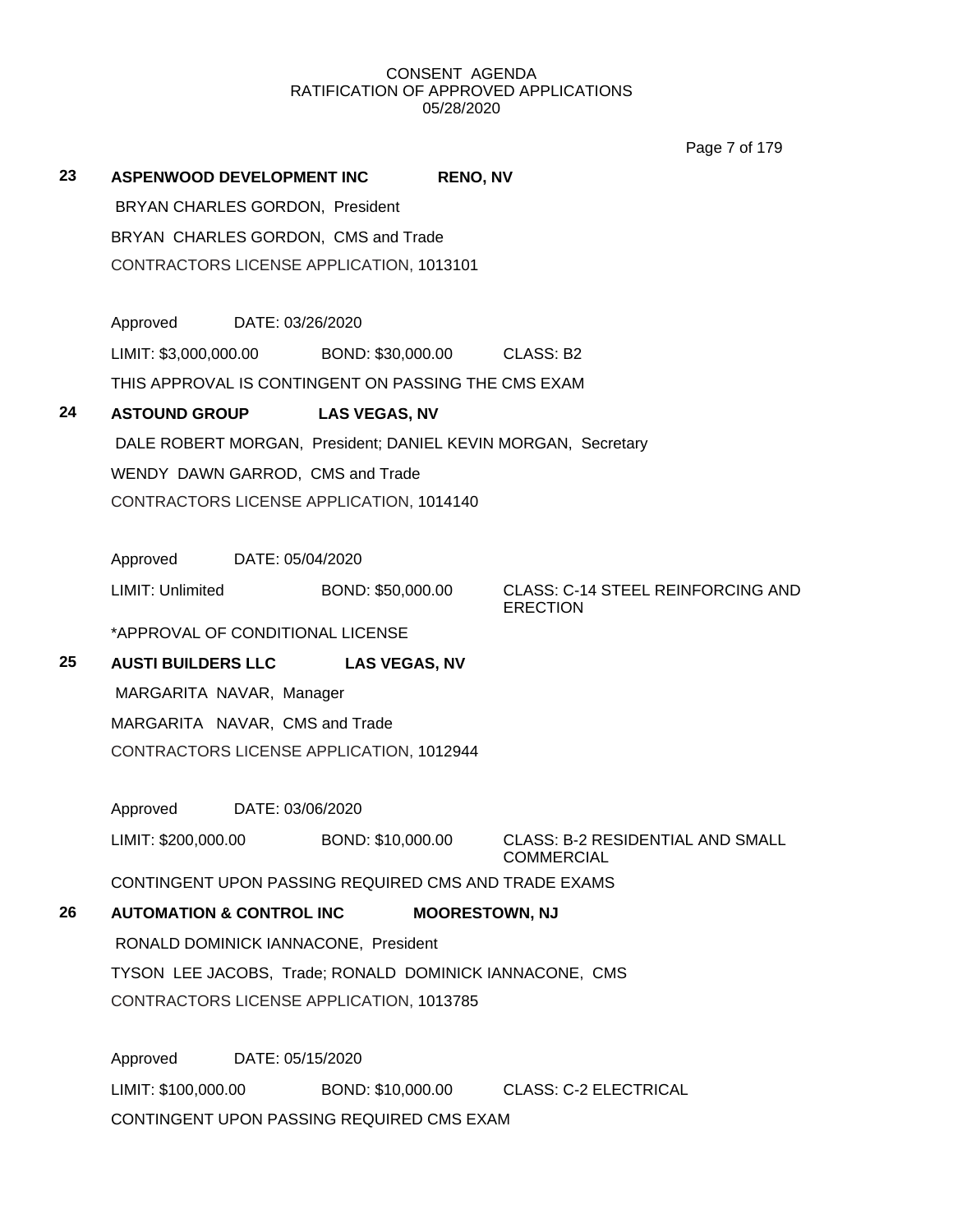Page 7 of 179

| 23 |                                                                                              |                  | <b>ASPENWOOD DEVELOPMENT INC</b>                    | <b>RENO, NV</b>       |                                                               |
|----|----------------------------------------------------------------------------------------------|------------------|-----------------------------------------------------|-----------------------|---------------------------------------------------------------|
|    | BRYAN CHARLES GORDON, President                                                              |                  |                                                     |                       |                                                               |
|    | BRYAN CHARLES GORDON, CMS and Trade                                                          |                  |                                                     |                       |                                                               |
|    | CONTRACTORS LICENSE APPLICATION, 1013101                                                     |                  |                                                     |                       |                                                               |
|    |                                                                                              |                  |                                                     |                       |                                                               |
|    | Approved                                                                                     | DATE: 03/26/2020 |                                                     |                       |                                                               |
|    |                                                                                              |                  | LIMIT: \$3,000,000.00 BOND: \$30,000.00 CLASS: B2   |                       |                                                               |
|    |                                                                                              |                  | THIS APPROVAL IS CONTINGENT ON PASSING THE CMS EXAM |                       |                                                               |
| 24 | <b>ASTOUND GROUP</b>                                                                         |                  | <b>LAS VEGAS, NV</b>                                |                       |                                                               |
|    |                                                                                              |                  |                                                     |                       | DALE ROBERT MORGAN, President; DANIEL KEVIN MORGAN, Secretary |
|    |                                                                                              |                  | WENDY DAWN GARROD, CMS and Trade                    |                       |                                                               |
|    |                                                                                              |                  | CONTRACTORS LICENSE APPLICATION, 1014140            |                       |                                                               |
|    |                                                                                              |                  |                                                     |                       |                                                               |
|    | Approved DATE: 05/04/2020                                                                    |                  |                                                     |                       |                                                               |
|    | LIMIT: Unlimited                                                                             |                  | BOND: \$50,000.00                                   |                       | <b>CLASS: C-14 STEEL REINFORCING AND</b><br><b>ERECTION</b>   |
|    | *APPROVAL OF CONDITIONAL LICENSE                                                             |                  |                                                     |                       |                                                               |
| 25 | <b>AUSTI BUILDERS LLC</b>                                                                    |                  | <b>LAS VEGAS, NV</b>                                |                       |                                                               |
|    | MARGARITA NAVAR, Manager                                                                     |                  |                                                     |                       |                                                               |
|    | MARGARITA NAVAR, CMS and Trade                                                               |                  |                                                     |                       |                                                               |
|    |                                                                                              |                  | CONTRACTORS LICENSE APPLICATION, 1012944            |                       |                                                               |
|    |                                                                                              |                  |                                                     |                       |                                                               |
|    | Approved DATE: 03/06/2020                                                                    |                  |                                                     |                       |                                                               |
|    | LIMIT: \$200,000.00                                                                          |                  | BOND: \$10,000.00                                   |                       | <b>CLASS: B-2 RESIDENTIAL AND SMALL</b><br>COMMERCIAL         |
|    |                                                                                              |                  |                                                     |                       | CONTINGENT UPON PASSING REQUIRED CMS AND TRADE EXAMS          |
| 26 | <b>AUTOMATION &amp; CONTROL INC</b>                                                          |                  |                                                     | <b>MOORESTOWN, NJ</b> |                                                               |
|    |                                                                                              |                  | RONALD DOMINICK IANNACONE, President                |                       |                                                               |
|    |                                                                                              |                  |                                                     |                       | TYSON LEE JACOBS, Trade; RONALD DOMINICK IANNACONE, CMS       |
|    |                                                                                              |                  | CONTRACTORS LICENSE APPLICATION, 1013785            |                       |                                                               |
|    |                                                                                              |                  |                                                     |                       |                                                               |
|    | Approved                                                                                     | DATE: 05/15/2020 |                                                     |                       |                                                               |
|    | $\overline{1}$ in $\overline{11}$ , the $\overline{1}$ and $\overline{1}$ and $\overline{1}$ |                  |                                                     |                       | DOND, \$40,000,00 OLACC, C 2 FLECTRICAL                       |

LIMIT: \$100,000.00 BOND: \$10,000.00 CLASS: C-2 ELECTRICAL CONTINGENT UPON PASSING REQUIRED CMS EXAM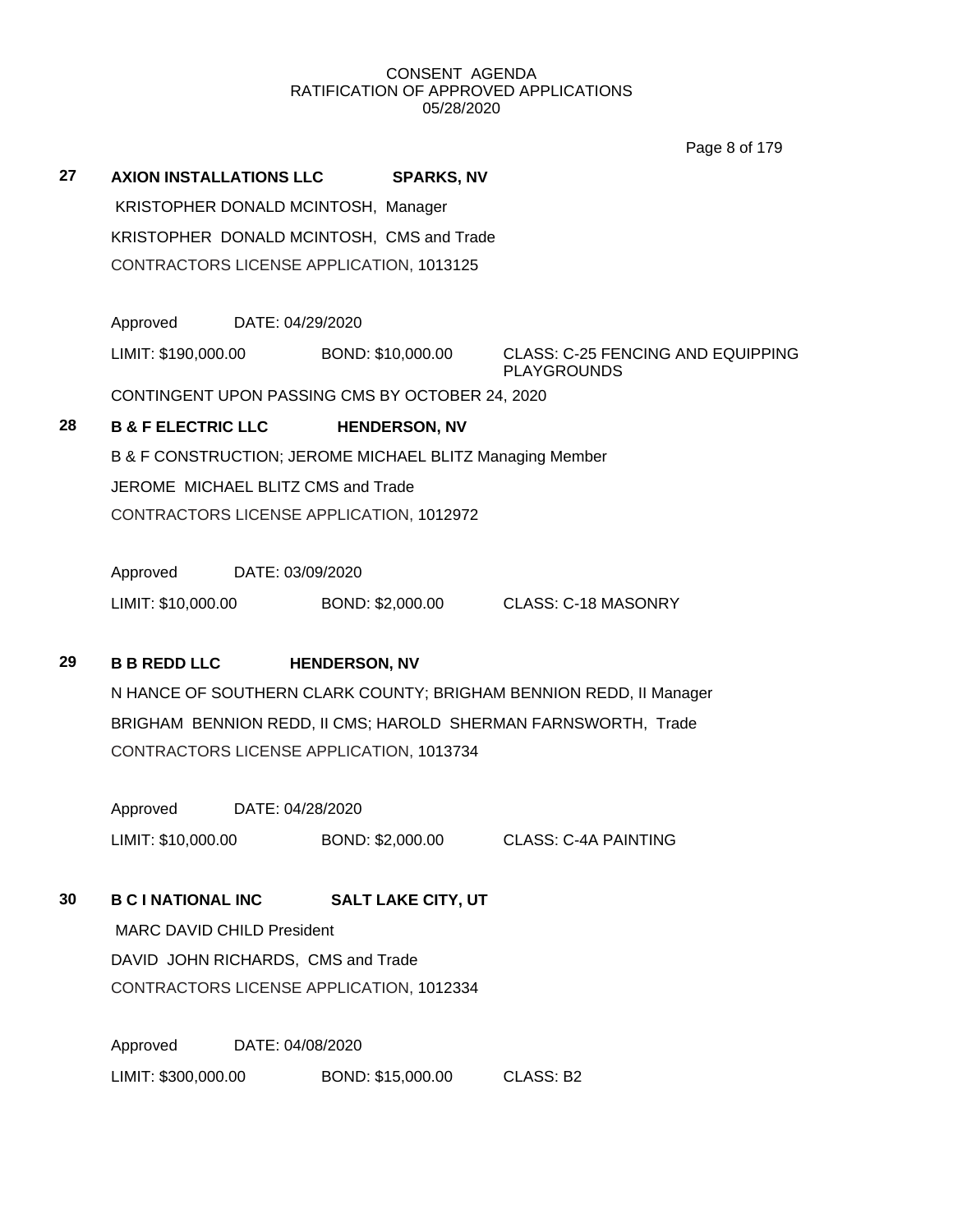Page 8 of 179

**27 AXION INSTALLATIONS LLC SPARKS, NV** KRISTOPHER DONALD MCINTOSH, Manager KRISTOPHER DONALD MCINTOSH, CMS and Trade CONTRACTORS LICENSE APPLICATION, 1013125

Approved DATE: 04/29/2020

LIMIT: \$190,000.00 BOND: \$10,000.00 CLASS: C-25 FENCING AND EQUIPPING

PLAYGROUNDS

CONTINGENT UPON PASSING CMS BY OCTOBER 24, 2020

## **28 B & F ELECTRIC LLC HENDERSON, NV**

B & F CONSTRUCTION; JEROME MICHAEL BLITZ Managing Member JEROME MICHAEL BLITZ CMS and Trade CONTRACTORS LICENSE APPLICATION, 1012972

Approved DATE: 03/09/2020

LIMIT: \$10,000.00 BOND: \$2,000.00 CLASS: C-18 MASONRY

## **29 B B REDD LLC HENDERSON, NV**

N HANCE OF SOUTHERN CLARK COUNTY; BRIGHAM BENNION REDD, II Manager BRIGHAM BENNION REDD, II CMS; HAROLD SHERMAN FARNSWORTH, Trade CONTRACTORS LICENSE APPLICATION, 1013734

Approved DATE: 04/28/2020 LIMIT: \$10,000.00 BOND: \$2,000.00 CLASS: C-4A PAINTING

**30 B C I NATIONAL INC SALT LAKE CITY, UT**

MARC DAVID CHILD President DAVID JOHN RICHARDS, CMS and Trade CONTRACTORS LICENSE APPLICATION, 1012334

Approved DATE: 04/08/2020 LIMIT: \$300,000.00 BOND: \$15,000.00 CLASS: B2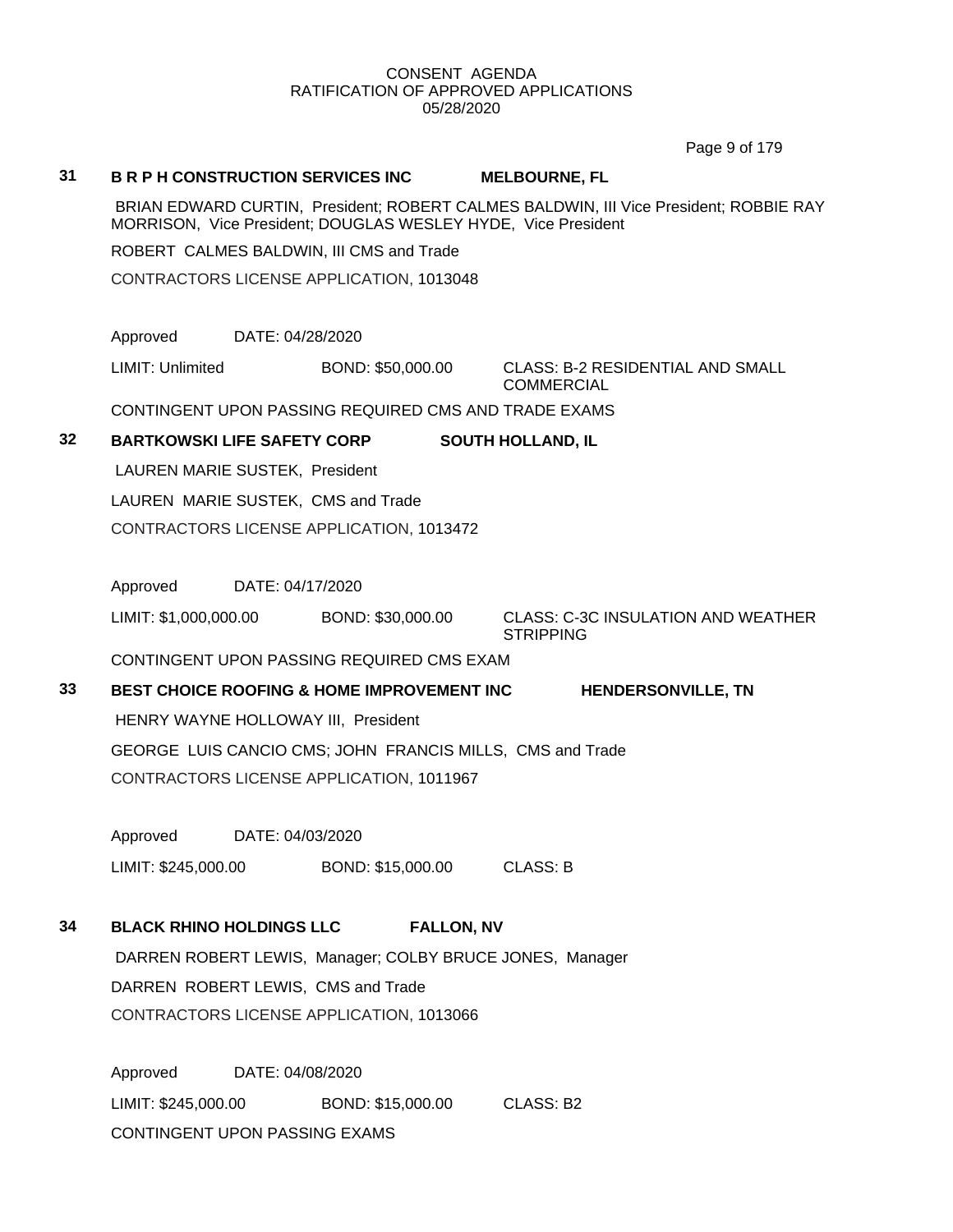Page 9 of 179

#### **31 B R P H CONSTRUCTION SERVICES INC MELBOURNE, FL**

BRIAN EDWARD CURTIN, President; ROBERT CALMES BALDWIN, III Vice President; ROBBIE RAY MORRISON, Vice President; DOUGLAS WESLEY HYDE, Vice President

ROBERT CALMES BALDWIN, III CMS and Trade

CONTRACTORS LICENSE APPLICATION, 1013048

Approved DATE: 04/28/2020

LIMIT: Unlimited BOND: \$50,000.00 CLASS: B-2 RESIDENTIAL AND SMALL **COMMERCIAL** 

CONTINGENT UPON PASSING REQUIRED CMS AND TRADE EXAMS

#### **32 BARTKOWSKI LIFE SAFETY CORP SOUTH HOLLAND, IL**

LAUREN MARIE SUSTEK, President LAUREN MARIE SUSTEK, CMS and Trade CONTRACTORS LICENSE APPLICATION, 1013472

Approved DATE: 04/17/2020

LIMIT: \$1,000,000.00 BOND: \$30,000.00 CLASS: C-3C INSULATION AND WEATHER **STRIPPING** 

CONTINGENT UPON PASSING REQUIRED CMS EXAM

**33 BEST CHOICE ROOFING & HOME IMPROVEMENT INC HENDERSONVILLE, TN** HENRY WAYNE HOLLOWAY III, President GEORGE LUIS CANCIO CMS; JOHN FRANCIS MILLS, CMS and Trade CONTRACTORS LICENSE APPLICATION, 1011967

Approved DATE: 04/03/2020 LIMIT: \$245,000.00 BOND: \$15,000.00 CLASS: B

## **34 BLACK RHINO HOLDINGS LLC FALLON, NV**

DARREN ROBERT LEWIS, Manager; COLBY BRUCE JONES, Manager DARREN ROBERT LEWIS, CMS and Trade CONTRACTORS LICENSE APPLICATION, 1013066

Approved DATE: 04/08/2020 LIMIT: \$245,000.00 BOND: \$15,000.00 CLASS: B2 CONTINGENT UPON PASSING EXAMS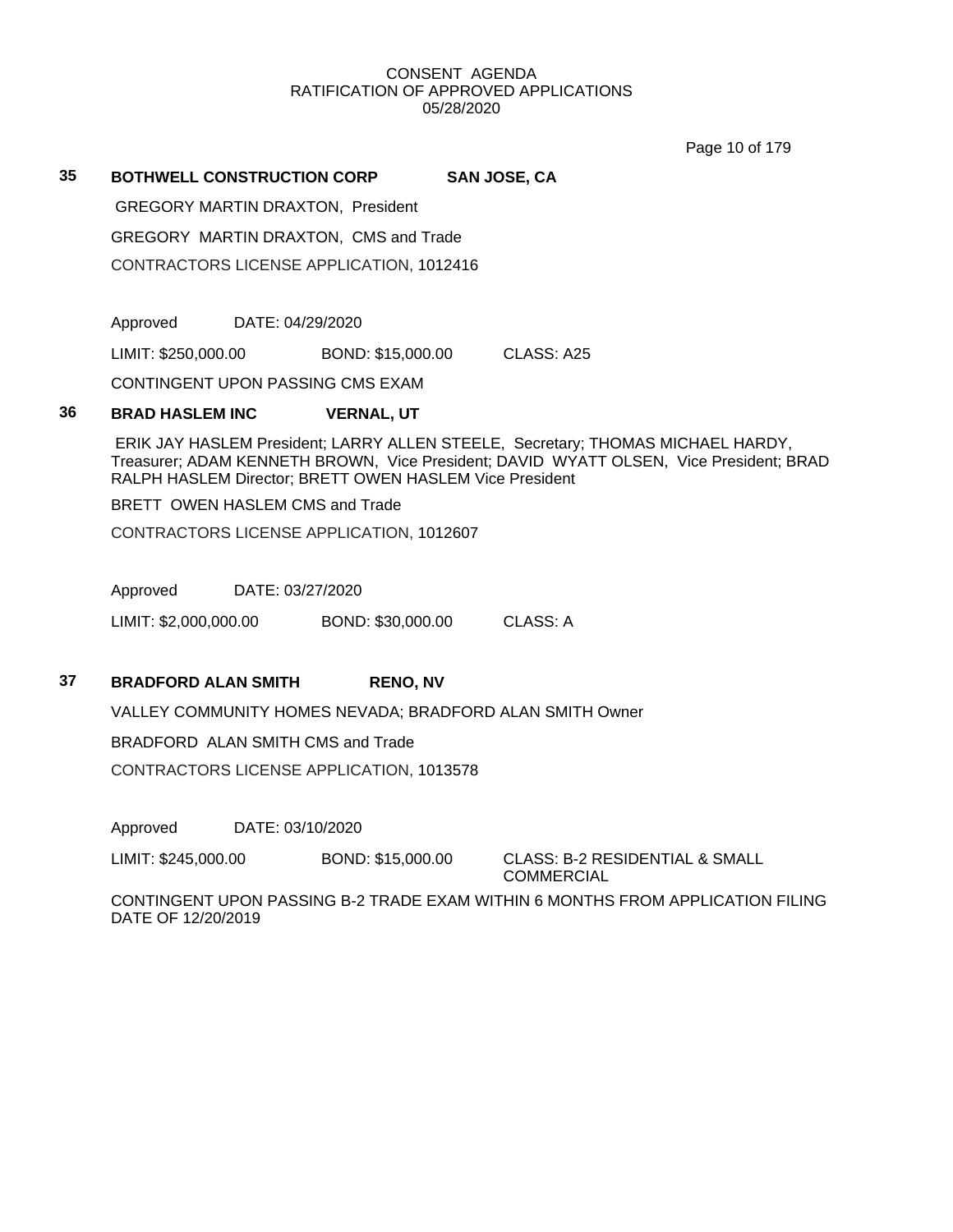Page 10 of 179

# **35 BOTHWELL CONSTRUCTION CORP SAN JOSE, CA**

GREGORY MARTIN DRAXTON, President

GREGORY MARTIN DRAXTON, CMS and Trade

CONTRACTORS LICENSE APPLICATION, 1012416

Approved DATE: 04/29/2020

LIMIT: \$250,000.00 BOND: \$15,000.00 CLASS: A25

CONTINGENT UPON PASSING CMS EXAM

## **36 BRAD HASLEM INC VERNAL, UT**

ERIK JAY HASLEM President; LARRY ALLEN STEELE, Secretary; THOMAS MICHAEL HARDY, Treasurer; ADAM KENNETH BROWN, Vice President; DAVID WYATT OLSEN, Vice President; BRAD RALPH HASLEM Director; BRETT OWEN HASLEM Vice President

BRETT OWEN HASLEM CMS and Trade

CONTRACTORS LICENSE APPLICATION, 1012607

Approved DATE: 03/27/2020

LIMIT: \$2,000,000.00 BOND: \$30,000.00 CLASS: A

## **37 BRADFORD ALAN SMITH RENO, NV**

VALLEY COMMUNITY HOMES NEVADA; BRADFORD ALAN SMITH Owner

#### BRADFORD ALAN SMITH CMS and Trade

CONTRACTORS LICENSE APPLICATION, 1013578

Approved DATE: 03/10/2020

LIMIT: \$245,000.00 BOND: \$15,000.00 CLASS: B-2 RESIDENTIAL & SMALL

COMMERCIAL

CONTINGENT UPON PASSING B-2 TRADE EXAM WITHIN 6 MONTHS FROM APPLICATION FILING DATE OF 12/20/2019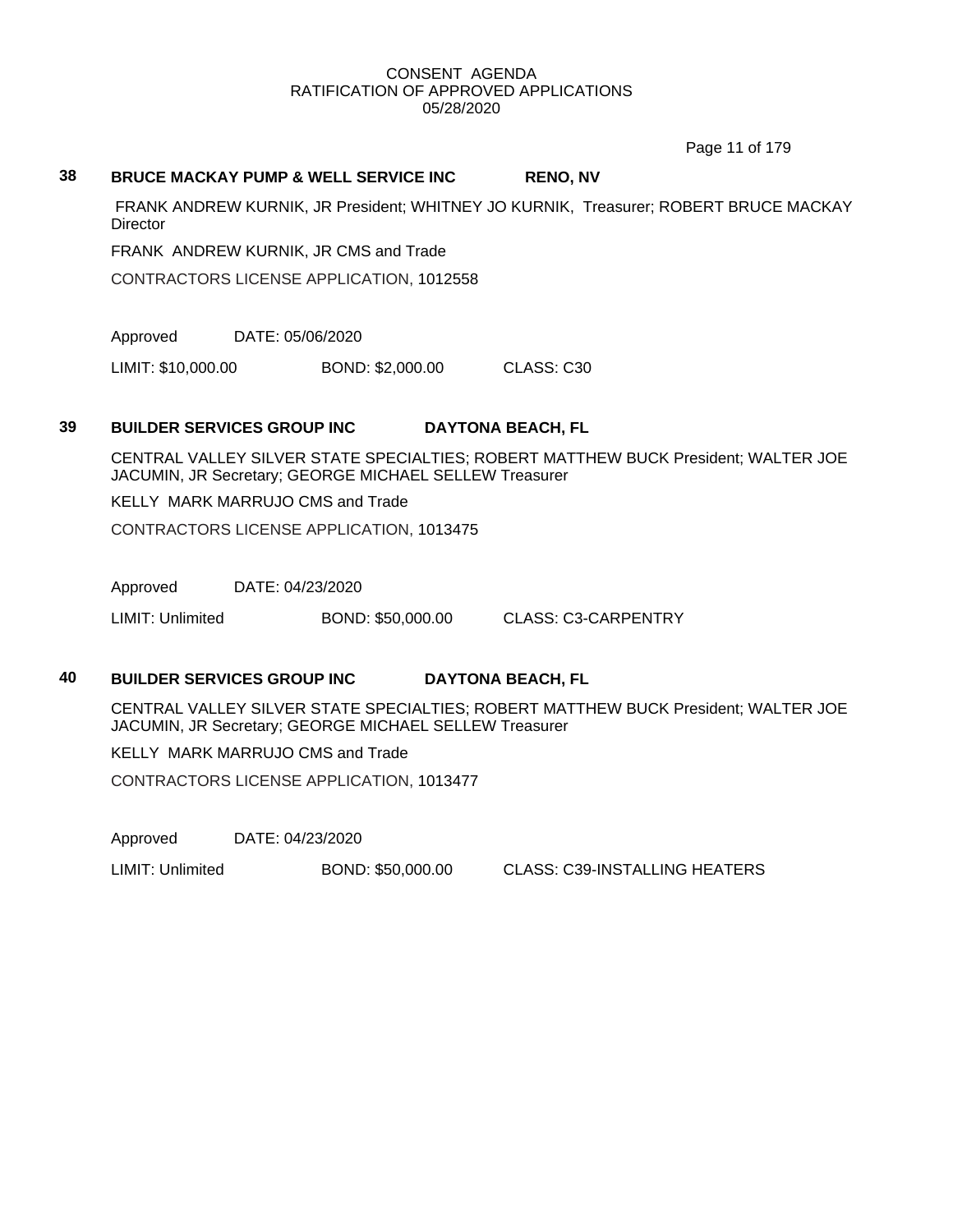Page 11 of 179

#### **38 BRUCE MACKAY PUMP & WELL SERVICE INC RENO, NV**

FRANK ANDREW KURNIK, JR President; WHITNEY JO KURNIK, Treasurer; ROBERT BRUCE MACKAY **Director** 

FRANK ANDREW KURNIK, JR CMS and Trade

CONTRACTORS LICENSE APPLICATION, 1012558

Approved DATE: 05/06/2020

LIMIT: \$10,000.00 BOND: \$2,000.00 CLASS: C30

## **39 BUILDER SERVICES GROUP INC DAYTONA BEACH, FL**

CENTRAL VALLEY SILVER STATE SPECIALTIES; ROBERT MATTHEW BUCK President; WALTER JOE JACUMIN, JR Secretary; GEORGE MICHAEL SELLEW Treasurer

KELLY MARK MARRUJO CMS and Trade

CONTRACTORS LICENSE APPLICATION, 1013475

Approved DATE: 04/23/2020

LIMIT: Unlimited BOND: \$50,000.00 CLASS: C3-CARPENTRY

## **40 BUILDER SERVICES GROUP INC DAYTONA BEACH, FL**

CENTRAL VALLEY SILVER STATE SPECIALTIES; ROBERT MATTHEW BUCK President; WALTER JOE JACUMIN, JR Secretary; GEORGE MICHAEL SELLEW Treasurer

KELLY MARK MARRUJO CMS and Trade

CONTRACTORS LICENSE APPLICATION, 1013477

Approved DATE: 04/23/2020

LIMIT: Unlimited BOND: \$50,000.00 CLASS: C39-INSTALLING HEATERS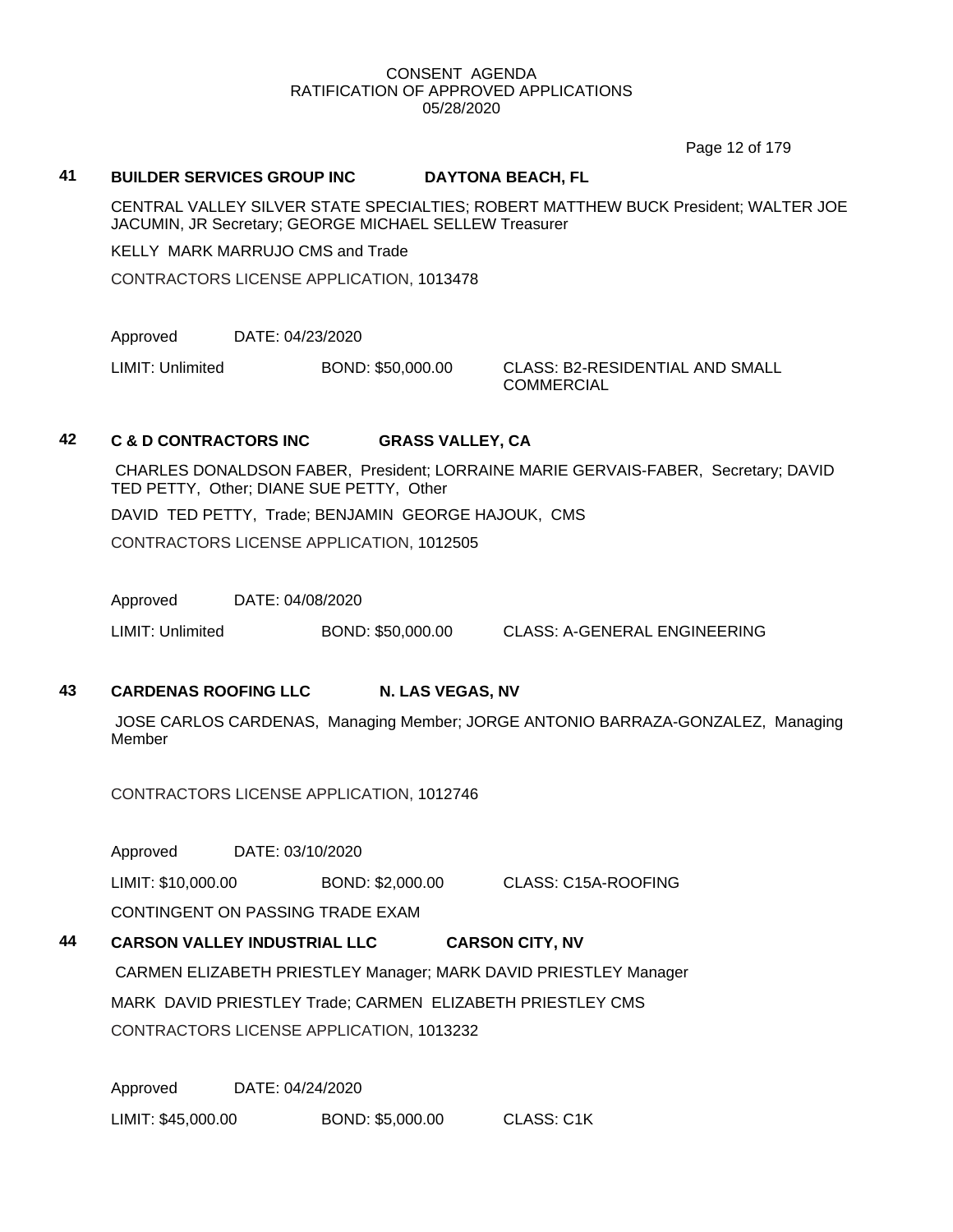Page 12 of 179

#### **41 BUILDER SERVICES GROUP INC DAYTONA BEACH, FL**

CENTRAL VALLEY SILVER STATE SPECIALTIES; ROBERT MATTHEW BUCK President; WALTER JOE JACUMIN, JR Secretary; GEORGE MICHAEL SELLEW Treasurer

KELLY MARK MARRUJO CMS and Trade

CONTRACTORS LICENSE APPLICATION, 1013478

Approved DATE: 04/23/2020

LIMIT: Unlimited BOND: \$50,000.00 CLASS: B2-RESIDENTIAL AND SMALL

**COMMERCIAL** 

## **42 C & D CONTRACTORS INC GRASS VALLEY, CA**

CHARLES DONALDSON FABER, President; LORRAINE MARIE GERVAIS-FABER, Secretary; DAVID TED PETTY, Other; DIANE SUE PETTY, Other

DAVID TED PETTY, Trade; BENJAMIN GEORGE HAJOUK, CMS

CONTRACTORS LICENSE APPLICATION, 1012505

Approved DATE: 04/08/2020

LIMIT: Unlimited BOND: \$50,000.00 CLASS: A-GENERAL ENGINEERING

## **43 CARDENAS ROOFING LLC N. LAS VEGAS, NV**

JOSE CARLOS CARDENAS, Managing Member; JORGE ANTONIO BARRAZA-GONZALEZ, Managing Member

CONTRACTORS LICENSE APPLICATION, 1012746

Approved DATE: 03/10/2020

LIMIT: \$10,000.00 BOND: \$2,000.00 CLASS: C15A-ROOFING

CONTINGENT ON PASSING TRADE EXAM

## **44 CARSON VALLEY INDUSTRIAL LLC CARSON CITY, NV** CARMEN ELIZABETH PRIESTLEY Manager; MARK DAVID PRIESTLEY Manager

MARK DAVID PRIESTLEY Trade; CARMEN ELIZABETH PRIESTLEY CMS

CONTRACTORS LICENSE APPLICATION, 1013232

Approved DATE: 04/24/2020 LIMIT: \$45,000.00 BOND: \$5,000.00 CLASS: C1K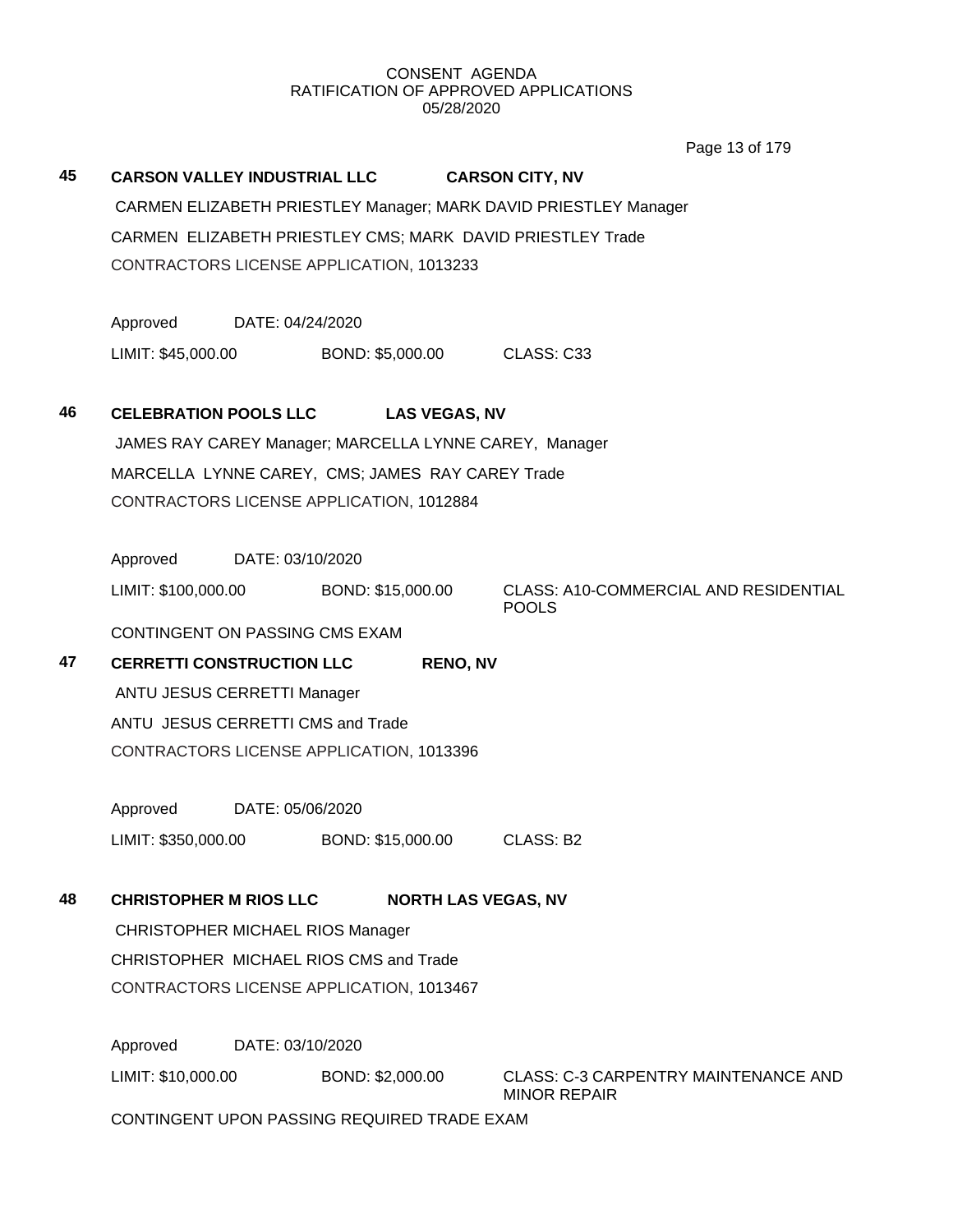Page 13 of 179

| 45 |                                                            |                                         | <b>CARSON VALLEY INDUSTRIAL LLC</b>                    | <b>CARSON CITY, NV</b>                                             |  |  |  |  |
|----|------------------------------------------------------------|-----------------------------------------|--------------------------------------------------------|--------------------------------------------------------------------|--|--|--|--|
|    |                                                            |                                         |                                                        | CARMEN ELIZABETH PRIESTLEY Manager; MARK DAVID PRIESTLEY Manager   |  |  |  |  |
|    | CARMEN ELIZABETH PRIESTLEY CMS; MARK DAVID PRIESTLEY Trade |                                         |                                                        |                                                                    |  |  |  |  |
|    | CONTRACTORS LICENSE APPLICATION, 1013233                   |                                         |                                                        |                                                                    |  |  |  |  |
|    | Approved<br>DATE: 04/24/2020                               |                                         |                                                        |                                                                    |  |  |  |  |
|    |                                                            |                                         | LIMIT: \$45,000.00 BOND: \$5,000.00                    | CLASS: C33                                                         |  |  |  |  |
| 46 |                                                            |                                         | CELEBRATION POOLS LLC LAS VEGAS, NV                    |                                                                    |  |  |  |  |
|    |                                                            |                                         | JAMES RAY CAREY Manager; MARCELLA LYNNE CAREY, Manager |                                                                    |  |  |  |  |
|    |                                                            |                                         | MARCELLA LYNNE CAREY, CMS; JAMES RAY CAREY Trade       |                                                                    |  |  |  |  |
|    |                                                            |                                         | CONTRACTORS LICENSE APPLICATION, 1012884               |                                                                    |  |  |  |  |
|    | Approved                                                   | DATE: 03/10/2020                        |                                                        |                                                                    |  |  |  |  |
|    |                                                            |                                         | LIMIT: \$100,000.00 BOND: \$15,000.00                  | <b>CLASS: A10-COMMERCIAL AND RESIDENTIAL</b><br><b>POOLS</b>       |  |  |  |  |
|    | CONTINGENT ON PASSING CMS EXAM                             |                                         |                                                        |                                                                    |  |  |  |  |
| 47 | <b>CERRETTI CONSTRUCTION LLC</b>                           |                                         | <b>RENO, NV</b>                                        |                                                                    |  |  |  |  |
|    | ANTU JESUS CERRETTI Manager                                |                                         |                                                        |                                                                    |  |  |  |  |
|    | ANTU JESUS CERRETTI CMS and Trade                          |                                         |                                                        |                                                                    |  |  |  |  |
|    |                                                            |                                         | CONTRACTORS LICENSE APPLICATION, 1013396               |                                                                    |  |  |  |  |
|    | Approved                                                   | DATE: 05/06/2020                        |                                                        |                                                                    |  |  |  |  |
|    | LIMIT: \$350,000.00                                        |                                         | BOND: \$15,000.00                                      | CLASS: B2                                                          |  |  |  |  |
| 48 | <b>CHRISTOPHER M RIOS LLC</b>                              |                                         |                                                        | <b>NORTH LAS VEGAS, NV</b>                                         |  |  |  |  |
|    |                                                            | <b>CHRISTOPHER MICHAEL RIOS Manager</b> |                                                        |                                                                    |  |  |  |  |
|    |                                                            | CHRISTOPHER MICHAEL RIOS CMS and Trade  |                                                        |                                                                    |  |  |  |  |
|    |                                                            |                                         | CONTRACTORS LICENSE APPLICATION, 1013467               |                                                                    |  |  |  |  |
|    | Approved                                                   | DATE: 03/10/2020                        |                                                        |                                                                    |  |  |  |  |
|    | LIMIT: \$10,000.00                                         |                                         | BOND: \$2,000.00                                       | <b>CLASS: C-3 CARPENTRY MAINTENANCE AND</b><br><b>MINOR REPAIR</b> |  |  |  |  |
|    | CONTINGENT UPON PASSING REQUIRED TRADE EXAM                |                                         |                                                        |                                                                    |  |  |  |  |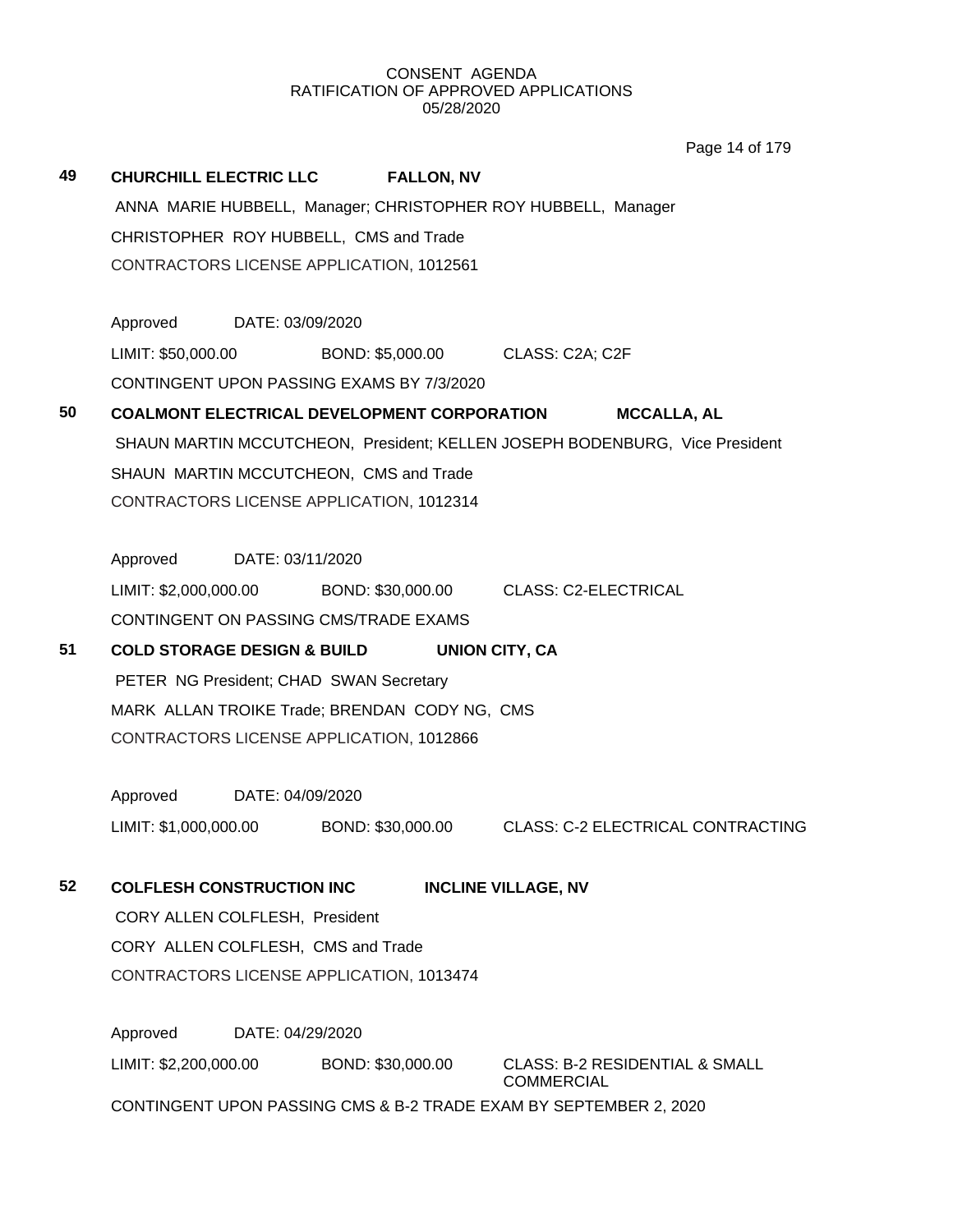Page 14 of 179

| 49 |                                        |                  | CHURCHILL ELECTRIC LLC FALLON, NV             |                                                                             |
|----|----------------------------------------|------------------|-----------------------------------------------|-----------------------------------------------------------------------------|
|    |                                        |                  |                                               | ANNA MARIE HUBBELL, Manager; CHRISTOPHER ROY HUBBELL, Manager               |
|    |                                        |                  | CHRISTOPHER ROY HUBBELL, CMS and Trade        |                                                                             |
|    |                                        |                  | CONTRACTORS LICENSE APPLICATION, 1012561      |                                                                             |
|    |                                        |                  |                                               |                                                                             |
|    | Approved                               | DATE: 03/09/2020 |                                               |                                                                             |
|    | LIMIT: \$50,000.00                     |                  | BOND: \$5,000.00 CLASS: C2A; C2F              |                                                                             |
|    |                                        |                  | CONTINGENT UPON PASSING EXAMS BY 7/3/2020     |                                                                             |
| 50 |                                        |                  | COALMONT ELECTRICAL DEVELOPMENT CORPORATION   | <b>MCCALLA, AL</b>                                                          |
|    |                                        |                  |                                               | SHAUN MARTIN MCCUTCHEON, President; KELLEN JOSEPH BODENBURG, Vice President |
|    |                                        |                  | SHAUN MARTIN MCCUTCHEON, CMS and Trade        |                                                                             |
|    |                                        |                  | CONTRACTORS LICENSE APPLICATION, 1012314      |                                                                             |
|    |                                        |                  |                                               |                                                                             |
|    | Approved                               | DATE: 03/11/2020 |                                               |                                                                             |
|    |                                        |                  |                                               | LIMIT: \$2,000,000.00 BOND: \$30,000.00 CLASS: C2-ELECTRICAL                |
|    |                                        |                  | CONTINGENT ON PASSING CMS/TRADE EXAMS         |                                                                             |
| 51 | <b>COLD STORAGE DESIGN &amp; BUILD</b> |                  |                                               | <b>UNION CITY, CA</b>                                                       |
|    |                                        |                  | PETER NG President; CHAD SWAN Secretary       |                                                                             |
|    |                                        |                  | MARK ALLAN TROIKE Trade; BRENDAN CODY NG, CMS |                                                                             |
|    |                                        |                  | CONTRACTORS LICENSE APPLICATION, 1012866      |                                                                             |
|    | Approved DATE: 04/09/2020              |                  |                                               |                                                                             |
|    | LIMIT: \$1,000,000.00                  |                  | BOND: \$30,000.00                             | CLASS: C-2 ELECTRICAL CONTRACTING                                           |
|    |                                        |                  |                                               |                                                                             |
| 52 | <b>COLFLESH CONSTRUCTION INC</b>       |                  |                                               | <b>INCLINE VILLAGE, NV</b>                                                  |
|    | CORY ALLEN COLFLESH, President         |                  |                                               |                                                                             |
|    | CORY ALLEN COLFLESH, CMS and Trade     |                  |                                               |                                                                             |
|    |                                        |                  | CONTRACTORS LICENSE APPLICATION, 1013474      |                                                                             |
|    |                                        |                  |                                               |                                                                             |
|    | Approved                               | DATE: 04/29/2020 |                                               |                                                                             |
|    | LIMIT: \$2,200,000.00                  |                  | BOND: \$30,000.00                             | <b>CLASS: B-2 RESIDENTIAL &amp; SMALL</b><br><b>COMMERCIAL</b>              |

CONTINGENT UPON PASSING CMS & B-2 TRADE EXAM BY SEPTEMBER 2, 2020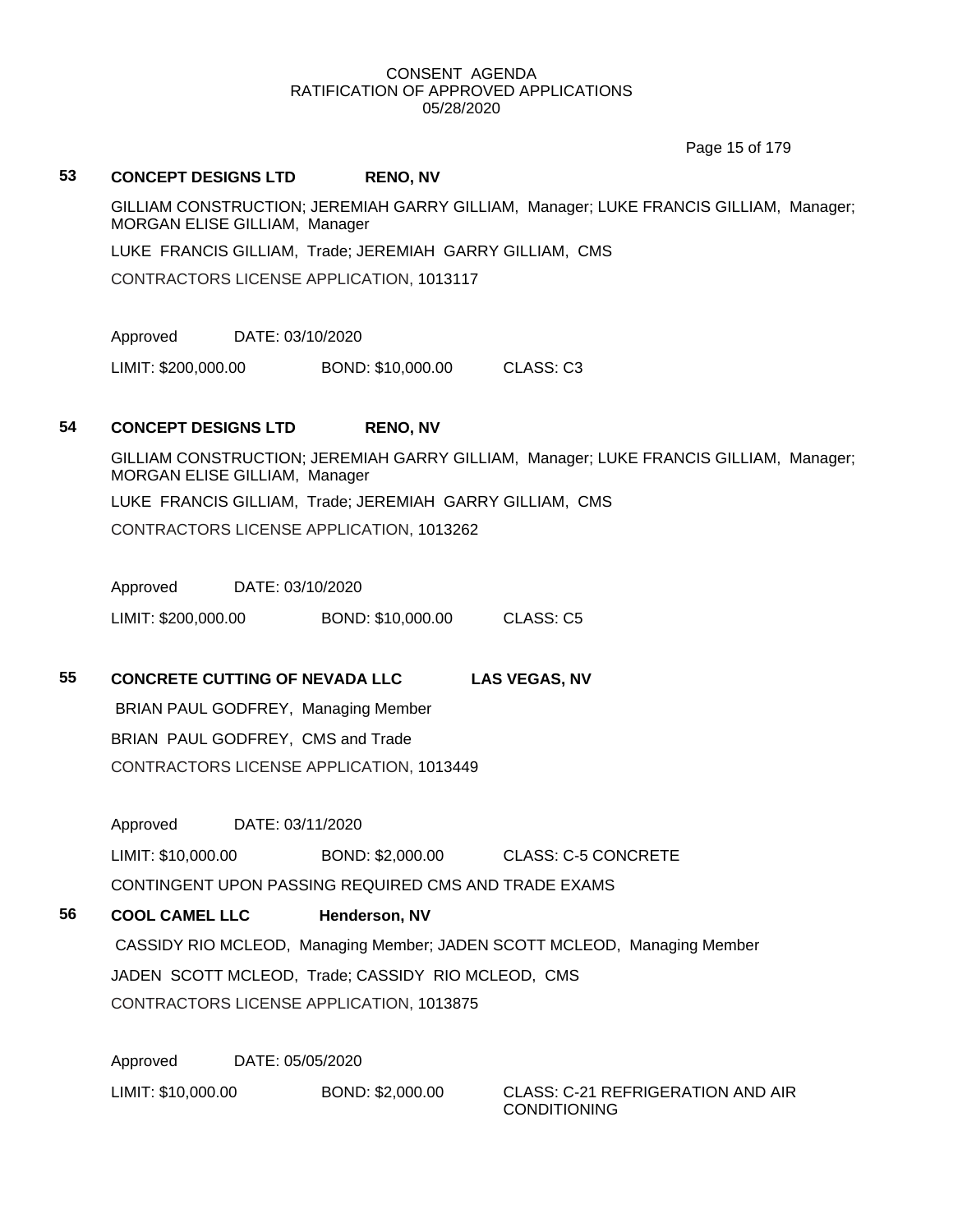Page 15 of 179

#### **53 CONCEPT DESIGNS LTD RENO, NV**

GILLIAM CONSTRUCTION; JEREMIAH GARRY GILLIAM, Manager; LUKE FRANCIS GILLIAM, Manager; MORGAN ELISE GILLIAM, Manager

LUKE FRANCIS GILLIAM, Trade; JEREMIAH GARRY GILLIAM, CMS

CONTRACTORS LICENSE APPLICATION, 1013117

Approved DATE: 03/10/2020

LIMIT: \$200,000.00 BOND: \$10,000.00 CLASS: C3

#### **54 CONCEPT DESIGNS LTD RENO, NV**

GILLIAM CONSTRUCTION; JEREMIAH GARRY GILLIAM, Manager; LUKE FRANCIS GILLIAM, Manager; MORGAN ELISE GILLIAM, Manager LUKE FRANCIS GILLIAM, Trade; JEREMIAH GARRY GILLIAM, CMS CONTRACTORS LICENSE APPLICATION, 1013262

Approved DATE: 03/10/2020

LIMIT: \$200,000.00 BOND: \$10,000.00 CLASS: C5

**55 CONCRETE CUTTING OF NEVADA LLC LAS VEGAS, NV**

BRIAN PAUL GODFREY, Managing Member BRIAN PAUL GODFREY, CMS and Trade CONTRACTORS LICENSE APPLICATION, 1013449

Approved DATE: 03/11/2020

LIMIT: \$10,000.00 BOND: \$2,000.00 CLASS: C-5 CONCRETE CONTINGENT UPON PASSING REQUIRED CMS AND TRADE EXAMS

**56 COOL CAMEL LLC Henderson, NV** CASSIDY RIO MCLEOD, Managing Member; JADEN SCOTT MCLEOD, Managing Member JADEN SCOTT MCLEOD, Trade; CASSIDY RIO MCLEOD, CMS CONTRACTORS LICENSE APPLICATION, 1013875

Approved DATE: 05/05/2020

LIMIT: \$10,000.00 BOND: \$2,000.00 CLASS: C-21 REFRIGERATION AND AIR

CONDITIONING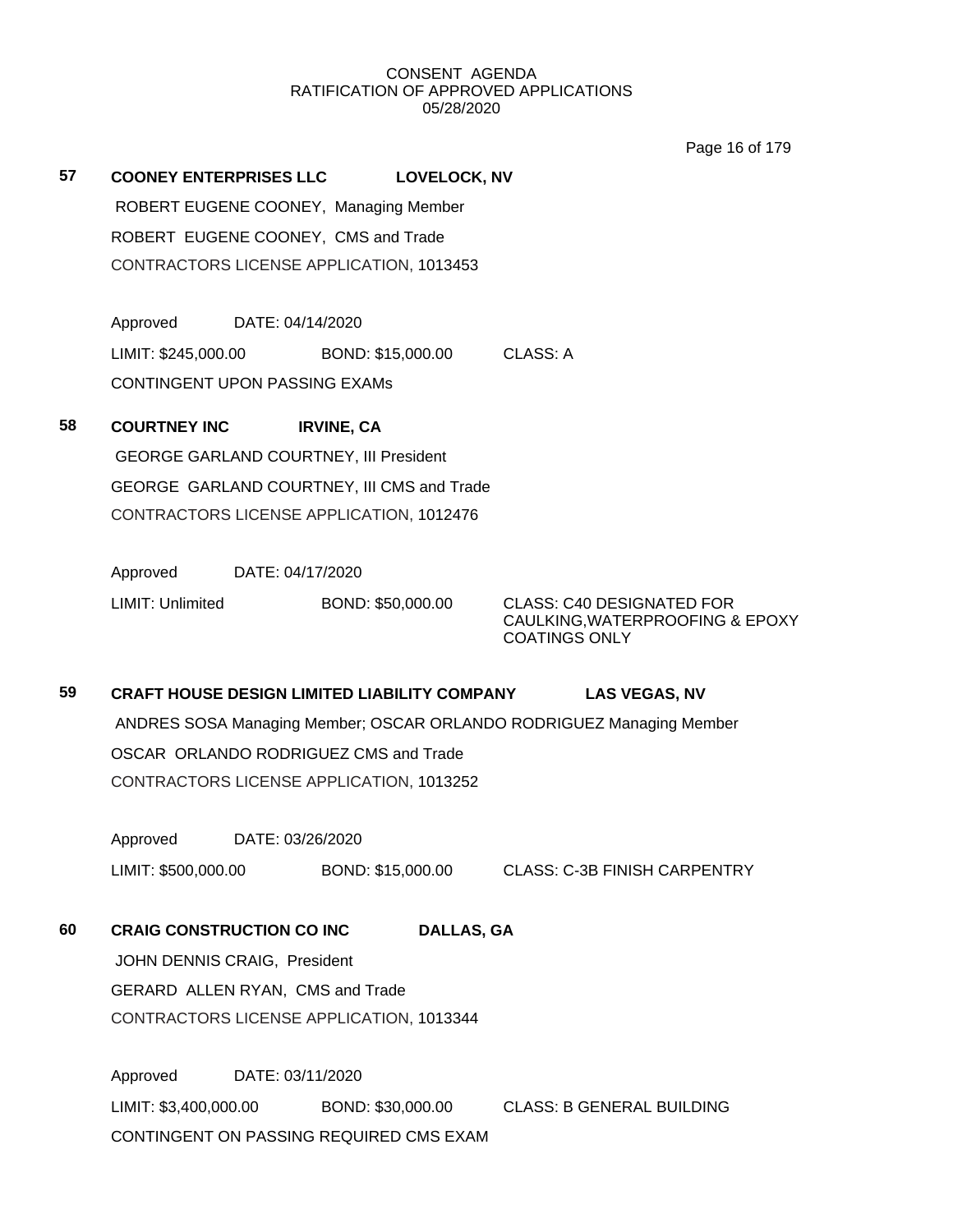Page 16 of 179

**57 COONEY ENTERPRISES LLC LOVELOCK, NV** ROBERT EUGENE COONEY, Managing Member ROBERT EUGENE COONEY, CMS and Trade CONTRACTORS LICENSE APPLICATION, 1013453

> Approved DATE: 04/14/2020 LIMIT: \$245,000.00 BOND: \$15,000.00 CLASS: A CONTINGENT UPON PASSING EXAMs

**58 COURTNEY INC IRVINE, CA** GEORGE GARLAND COURTNEY, III President GEORGE GARLAND COURTNEY, III CMS and Trade CONTRACTORS LICENSE APPLICATION, 1012476

Approved DATE: 04/17/2020

LIMIT: Unlimited BOND: \$50,000.00 CLASS: C40 DESIGNATED FOR CAULKING,WATERPROOFING & EPOXY COATINGS ONLY

# **59 CRAFT HOUSE DESIGN LIMITED LIABILITY COMPANY LAS VEGAS, NV** ANDRES SOSA Managing Member; OSCAR ORLANDO RODRIGUEZ Managing Member OSCAR ORLANDO RODRIGUEZ CMS and Trade CONTRACTORS LICENSE APPLICATION, 1013252

Approved DATE: 03/26/2020 LIMIT: \$500,000.00 BOND: \$15,000.00 CLASS: C-3B FINISH CARPENTRY

## **60 CRAIG CONSTRUCTION CO INC DALLAS, GA**

JOHN DENNIS CRAIG, President GERARD ALLEN RYAN, CMS and Trade CONTRACTORS LICENSE APPLICATION, 1013344

Approved DATE: 03/11/2020 LIMIT: \$3,400,000.00 BOND: \$30,000.00 CLASS: B GENERAL BUILDING CONTINGENT ON PASSING REQUIRED CMS EXAM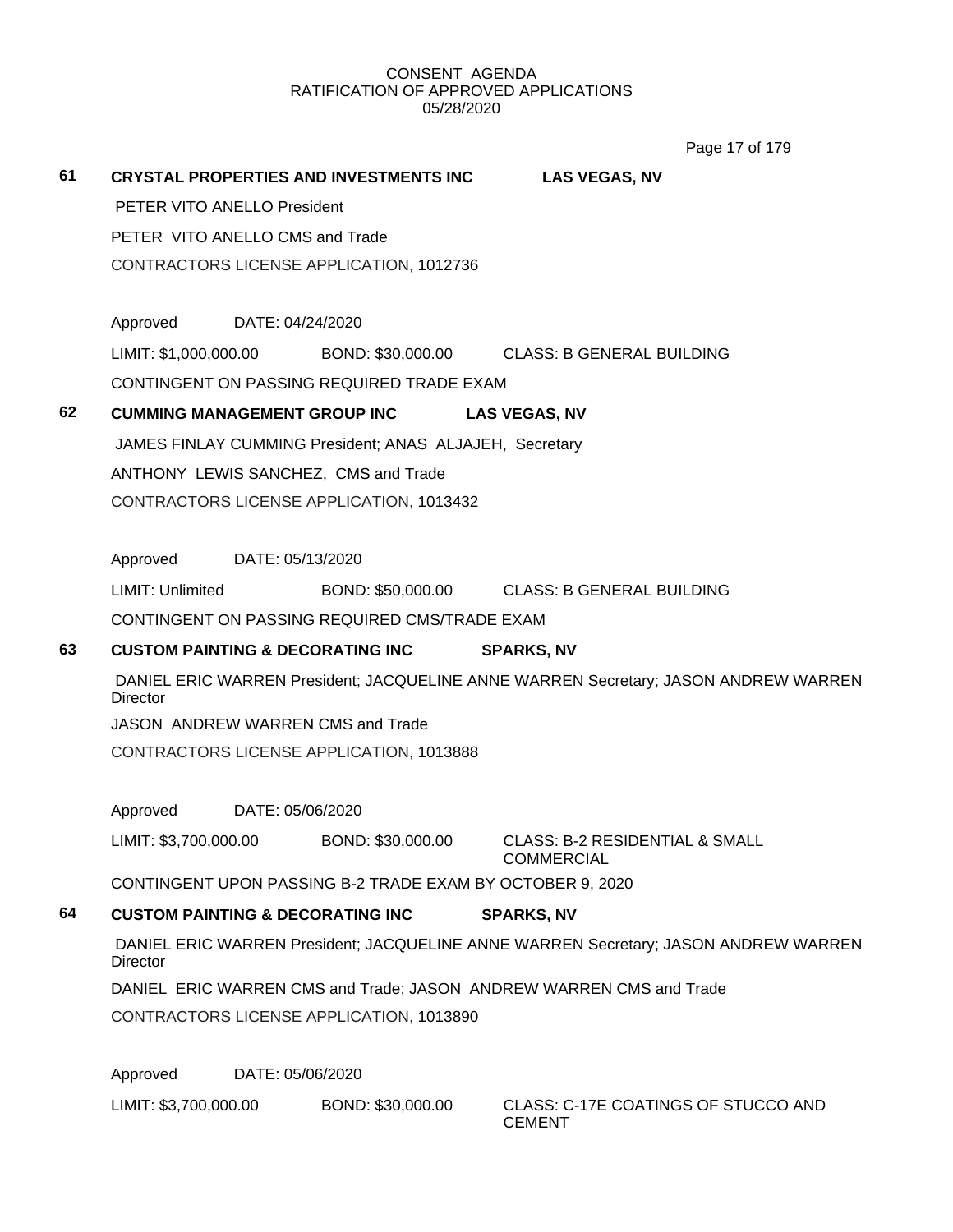Page 17 of 179

# **61 CRYSTAL PROPERTIES AND INVESTMENTS INC LAS VEGAS, NV** PETER VITO ANELLO President PETER VITO ANELLO CMS and Trade CONTRACTORS LICENSE APPLICATION, 1012736 Approved DATE: 04/24/2020 LIMIT: \$1,000,000.00 BOND: \$30,000.00 CLASS: B GENERAL BUILDING CONTINGENT ON PASSING REQUIRED TRADE EXAM **62 CUMMING MANAGEMENT GROUP INC LAS VEGAS, NV** JAMES FINLAY CUMMING President; ANAS ALJAJEH, Secretary ANTHONY LEWIS SANCHEZ, CMS and Trade CONTRACTORS LICENSE APPLICATION, 1013432 Approved DATE: 05/13/2020 LIMIT: Unlimited BOND: \$50,000.00 CLASS: B GENERAL BUILDING CONTINGENT ON PASSING REQUIRED CMS/TRADE EXAM **63 CUSTOM PAINTING & DECORATING INC SPARKS, NV** DANIEL ERIC WARREN President; JACQUELINE ANNE WARREN Secretary; JASON ANDREW WARREN **Director** JASON ANDREW WARREN CMS and Trade CONTRACTORS LICENSE APPLICATION, 1013888 Approved DATE: 05/06/2020 LIMIT: \$3,700,000.00 BOND: \$30,000.00 CLASS: B-2 RESIDENTIAL & SMALL COMMERCIAL CONTINGENT UPON PASSING B-2 TRADE EXAM BY OCTOBER 9, 2020 **64 CUSTOM PAINTING & DECORATING INC SPARKS, NV** DANIEL ERIC WARREN President; JACQUELINE ANNE WARREN Secretary; JASON ANDREW WARREN **Director** DANIEL ERIC WARREN CMS and Trade; JASON ANDREW WARREN CMS and Trade CONTRACTORS LICENSE APPLICATION, 1013890 Approved DATE: 05/06/2020

LIMIT: \$3,700,000.00 BOND: \$30,000.00 CLASS: C-17E COATINGS OF STUCCO AND

**CEMENT**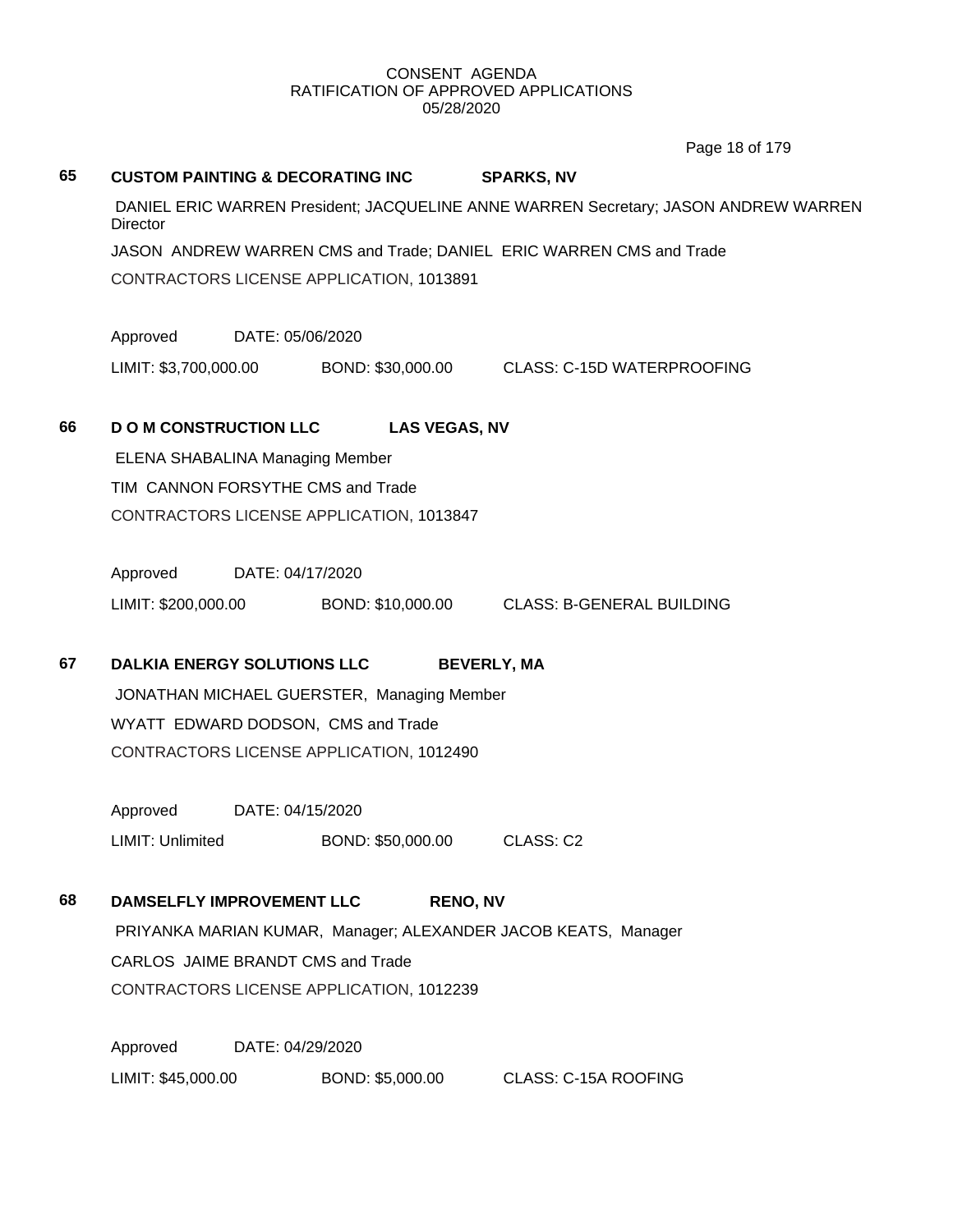Page 18 of 179

| 65 | <b>CUSTOM PAINTING &amp; DECORATING INC</b>                                                            |                  |                      | <b>SPARKS, NV</b>                                                   |  |
|----|--------------------------------------------------------------------------------------------------------|------------------|----------------------|---------------------------------------------------------------------|--|
|    | DANIEL ERIC WARREN President; JACQUELINE ANNE WARREN Secretary; JASON ANDREW WARREN<br><b>Director</b> |                  |                      |                                                                     |  |
|    |                                                                                                        |                  |                      | JASON ANDREW WARREN CMS and Trade; DANIEL ERIC WARREN CMS and Trade |  |
|    | CONTRACTORS LICENSE APPLICATION, 1013891                                                               |                  |                      |                                                                     |  |
|    | Approved                                                                                               | DATE: 05/06/2020 |                      |                                                                     |  |
|    |                                                                                                        |                  |                      | LIMIT: \$3,700,000.00 BOND: \$30,000.00 CLASS: C-15D WATERPROOFING  |  |
| 66 | <b>DOM CONSTRUCTION LLC</b>                                                                            |                  | <b>LAS VEGAS, NV</b> |                                                                     |  |
|    | <b>ELENA SHABALINA Managing Member</b>                                                                 |                  |                      |                                                                     |  |
|    | TIM CANNON FORSYTHE CMS and Trade                                                                      |                  |                      |                                                                     |  |
|    | CONTRACTORS LICENSE APPLICATION, 1013847                                                               |                  |                      |                                                                     |  |
|    | Approved DATE: 04/17/2020                                                                              |                  |                      |                                                                     |  |
|    |                                                                                                        |                  |                      | LIMIT: \$200,000.00 BOND: \$10,000.00 CLASS: B-GENERAL BUILDING     |  |
| 67 | <b>DALKIA ENERGY SOLUTIONS LLC</b>                                                                     |                  |                      | <b>BEVERLY, MA</b>                                                  |  |
|    | JONATHAN MICHAEL GUERSTER, Managing Member                                                             |                  |                      |                                                                     |  |
|    | WYATT EDWARD DODSON, CMS and Trade                                                                     |                  |                      |                                                                     |  |
|    | CONTRACTORS LICENSE APPLICATION, 1012490                                                               |                  |                      |                                                                     |  |
|    | Approved                                                                                               | DATE: 04/15/2020 |                      |                                                                     |  |
|    | LIMIT: Unlimited                                                                                       |                  | BOND: \$50,000.00    | CLASS: C2                                                           |  |
| 68 | <b>DAMSELFLY IMPROVEMENT LLC</b>                                                                       |                  | <b>RENO, NV</b>      |                                                                     |  |
|    |                                                                                                        |                  |                      | PRIYANKA MARIAN KUMAR, Manager; ALEXANDER JACOB KEATS, Manager      |  |
|    | CARLOS JAIME BRANDT CMS and Trade                                                                      |                  |                      |                                                                     |  |
|    | CONTRACTORS LICENSE APPLICATION, 1012239                                                               |                  |                      |                                                                     |  |
|    | Approved                                                                                               | DATE: 04/29/2020 |                      |                                                                     |  |
|    | LIMIT: \$45,000.00                                                                                     |                  | BOND: \$5,000.00     | <b>CLASS: C-15A ROOFING</b>                                         |  |
|    |                                                                                                        |                  |                      |                                                                     |  |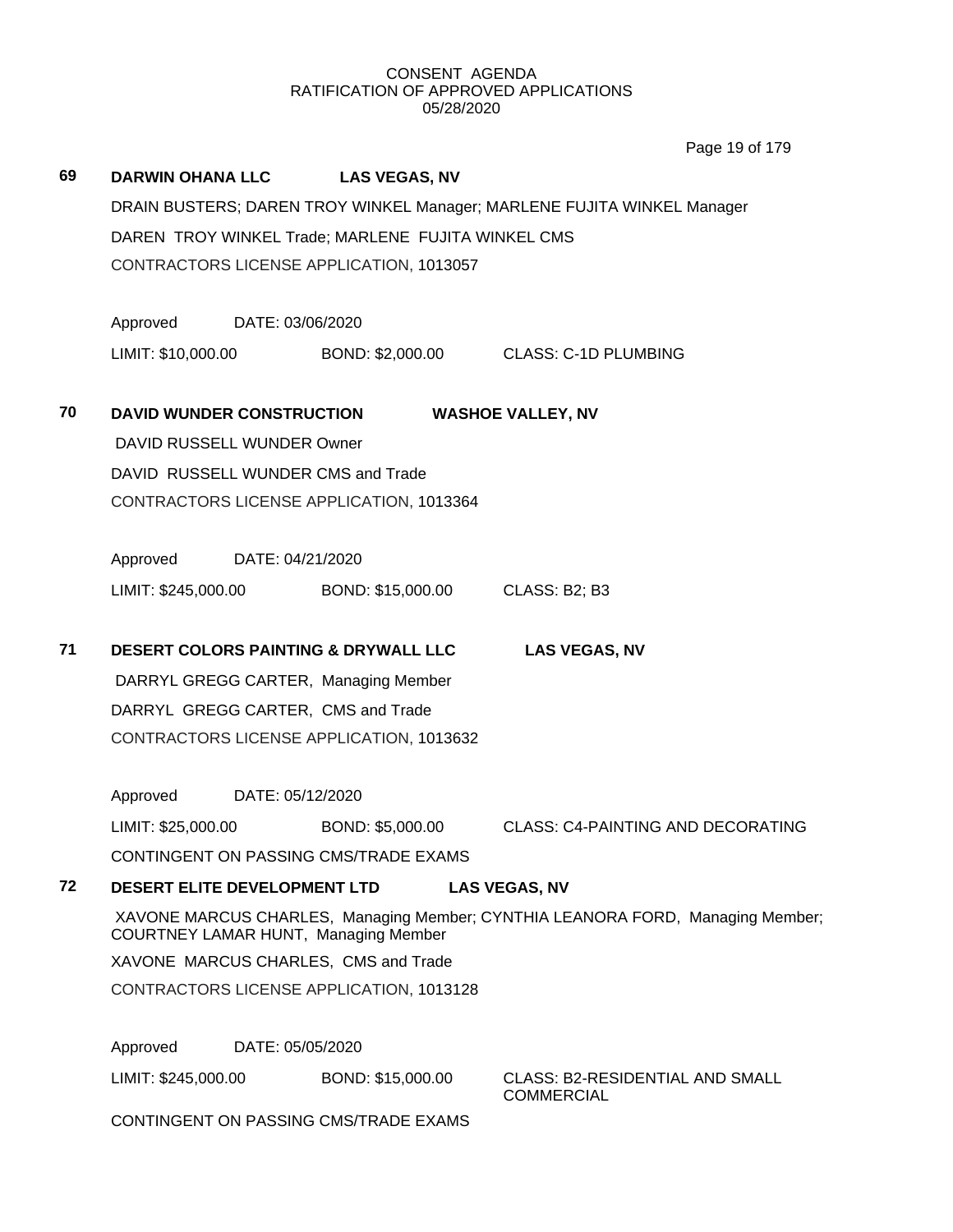Page 19 of 179

| 69 | <b>DARWIN OHANA LLC</b>                                                 |                  | <b>LAS VEGAS, NV</b>                            |                                                                                |  |
|----|-------------------------------------------------------------------------|------------------|-------------------------------------------------|--------------------------------------------------------------------------------|--|
|    | DRAIN BUSTERS; DAREN TROY WINKEL Manager; MARLENE FUJITA WINKEL Manager |                  |                                                 |                                                                                |  |
|    | DAREN TROY WINKEL Trade; MARLENE FUJITA WINKEL CMS                      |                  |                                                 |                                                                                |  |
|    | CONTRACTORS LICENSE APPLICATION, 1013057                                |                  |                                                 |                                                                                |  |
|    |                                                                         |                  |                                                 |                                                                                |  |
|    | Approved                                                                | DATE: 03/06/2020 |                                                 |                                                                                |  |
|    | LIMIT: \$10,000.00                                                      |                  |                                                 | BOND: \$2,000.00 CLASS: C-1D PLUMBING                                          |  |
|    |                                                                         |                  |                                                 |                                                                                |  |
| 70 | <b>DAVID WUNDER CONSTRUCTION</b>                                        |                  |                                                 | <b>WASHOE VALLEY, NV</b>                                                       |  |
|    | DAVID RUSSELL WUNDER Owner                                              |                  |                                                 |                                                                                |  |
|    |                                                                         |                  | DAVID RUSSELL WUNDER CMS and Trade              |                                                                                |  |
|    |                                                                         |                  | CONTRACTORS LICENSE APPLICATION, 1013364        |                                                                                |  |
|    |                                                                         |                  |                                                 |                                                                                |  |
|    | Approved                                                                | DATE: 04/21/2020 |                                                 |                                                                                |  |
|    | LIMIT: \$245,000.00                                                     |                  | BOND: \$15,000.00                               | CLASS: B2; B3                                                                  |  |
|    |                                                                         |                  |                                                 |                                                                                |  |
| 71 |                                                                         |                  | <b>DESERT COLORS PAINTING &amp; DRYWALL LLC</b> | <b>LAS VEGAS, NV</b>                                                           |  |
|    |                                                                         |                  | DARRYL GREGG CARTER, Managing Member            |                                                                                |  |
|    |                                                                         |                  | DARRYL GREGG CARTER, CMS and Trade              |                                                                                |  |
|    |                                                                         |                  | CONTRACTORS LICENSE APPLICATION, 1013632        |                                                                                |  |
|    |                                                                         |                  |                                                 |                                                                                |  |
|    | Approved                                                                | DATE: 05/12/2020 |                                                 |                                                                                |  |
|    | LIMIT: \$25,000.00                                                      |                  | BOND: \$5,000.00                                | <b>CLASS: C4-PAINTING AND DECORATING</b>                                       |  |
|    |                                                                         |                  | CONTINGENT ON PASSING CMS/TRADE EXAMS           |                                                                                |  |
| 72 | DESERT ELITE DEVELOPMENT LTD                                            |                  |                                                 | <b>LAS VEGAS, NV</b>                                                           |  |
|    |                                                                         |                  |                                                 | XAVONE MARCUS CHARLES, Managing Member; CYNTHIA LEANORA FORD, Managing Member; |  |
|    |                                                                         |                  | COURTNEY LAMAR HUNT, Managing Member            |                                                                                |  |
|    |                                                                         |                  | XAVONE MARCUS CHARLES, CMS and Trade            |                                                                                |  |
|    |                                                                         |                  | CONTRACTORS LICENSE APPLICATION, 1013128        |                                                                                |  |
|    | Approved                                                                | DATE: 05/05/2020 |                                                 |                                                                                |  |
|    |                                                                         |                  |                                                 |                                                                                |  |
|    | LIMIT: \$245,000.00                                                     |                  | BOND: \$15,000.00                               | <b>CLASS: B2-RESIDENTIAL AND SMALL</b><br><b>COMMERCIAL</b>                    |  |
|    |                                                                         |                  | CONTINGENT ON PASSING CMS/TRADE EXAMS           |                                                                                |  |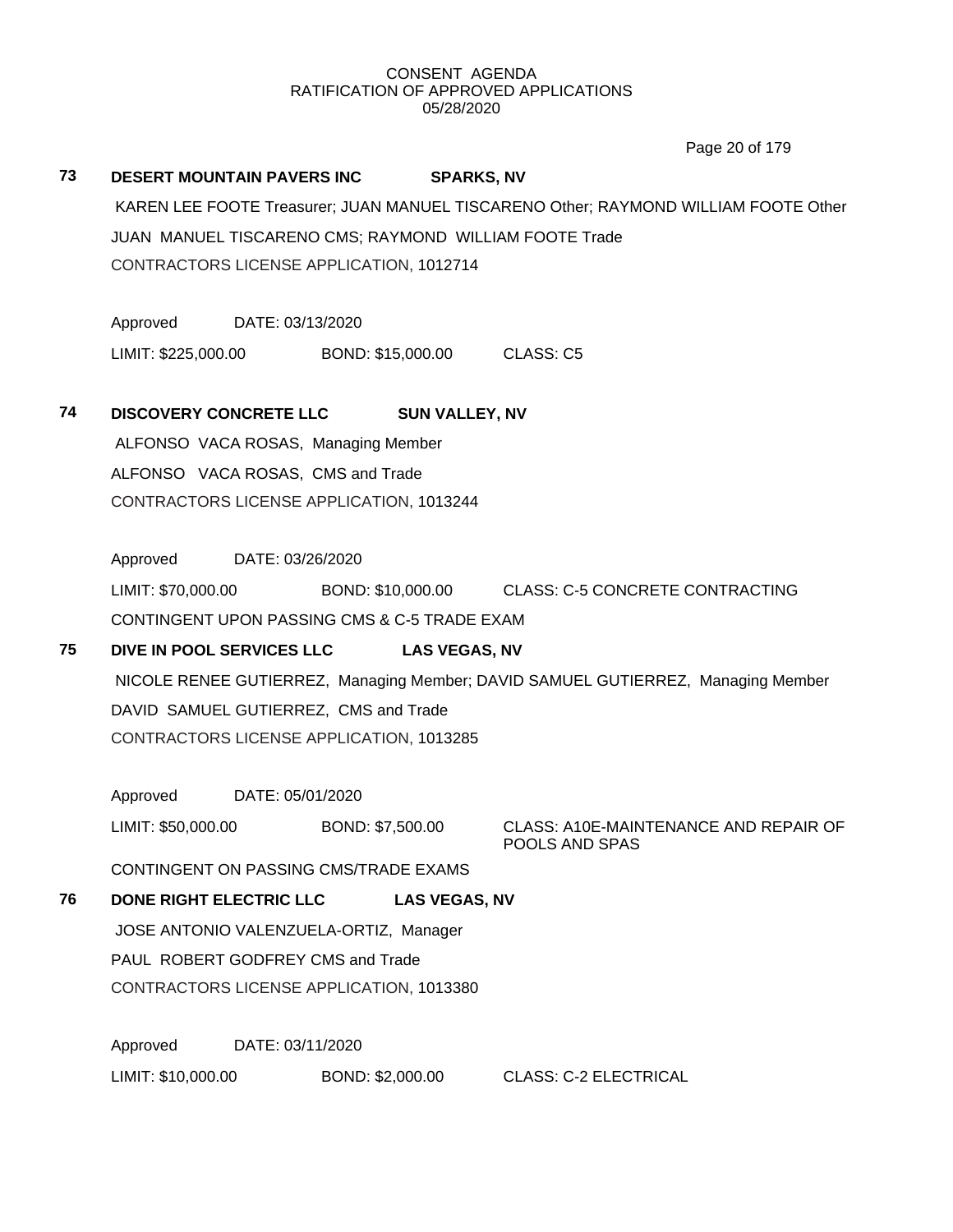Page 20 of 179

## **73 DESERT MOUNTAIN PAVERS INC SPARKS, NV**

KAREN LEE FOOTE Treasurer; JUAN MANUEL TISCARENO Other; RAYMOND WILLIAM FOOTE Other JUAN MANUEL TISCARENO CMS; RAYMOND WILLIAM FOOTE Trade CONTRACTORS LICENSE APPLICATION, 1012714

Approved DATE: 03/13/2020

LIMIT: \$225,000.00 BOND: \$15,000.00 CLASS: C5

## **74 DISCOVERY CONCRETE LLC SUN VALLEY, NV**

ALFONSO VACA ROSAS, Managing Member ALFONSO VACA ROSAS, CMS and Trade CONTRACTORS LICENSE APPLICATION, 1013244

Approved DATE: 03/26/2020 LIMIT: \$70,000.00 BOND: \$10,000.00 CLASS: C-5 CONCRETE CONTRACTING CONTINGENT UPON PASSING CMS & C-5 TRADE EXAM

## **75 DIVE IN POOL SERVICES LLC LAS VEGAS, NV** NICOLE RENEE GUTIERREZ, Managing Member; DAVID SAMUEL GUTIERREZ, Managing Member DAVID SAMUEL GUTIERREZ, CMS and Trade CONTRACTORS LICENSE APPLICATION, 1013285

Approved DATE: 05/01/2020

LIMIT: \$50,000.00 BOND: \$7,500.00 CLASS: A10E-MAINTENANCE AND REPAIR OF

POOLS AND SPAS

CONTINGENT ON PASSING CMS/TRADE EXAMS

## **76 DONE RIGHT ELECTRIC LLC LAS VEGAS, NV**

JOSE ANTONIO VALENZUELA-ORTIZ, Manager

PAUL ROBERT GODFREY CMS and Trade

CONTRACTORS LICENSE APPLICATION, 1013380

Approved DATE: 03/11/2020 LIMIT: \$10,000.00 BOND: \$2,000.00 CLASS: C-2 ELECTRICAL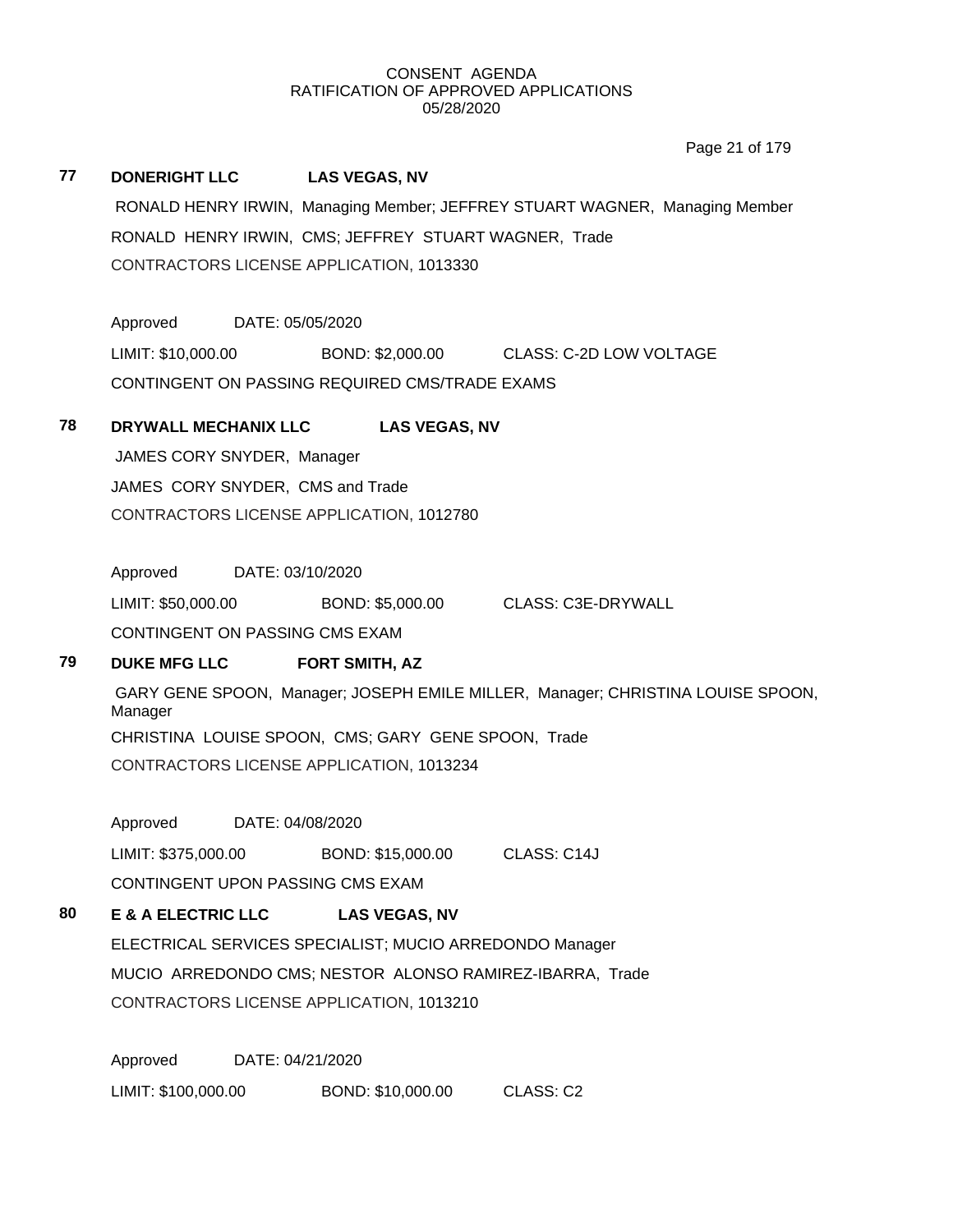Page 21 of 179

## **77 DONERIGHT LLC LAS VEGAS, NV** RONALD HENRY IRWIN, Managing Member; JEFFREY STUART WAGNER, Managing Member RONALD HENRY IRWIN, CMS; JEFFREY STUART WAGNER, Trade CONTRACTORS LICENSE APPLICATION, 1013330

Approved DATE: 05/05/2020 LIMIT: \$10,000.00 BOND: \$2,000.00 CLASS: C-2D LOW VOLTAGE CONTINGENT ON PASSING REQUIRED CMS/TRADE EXAMS

## **78 DRYWALL MECHANIX LLC LAS VEGAS, NV**

JAMES CORY SNYDER, Manager JAMES CORY SNYDER, CMS and Trade CONTRACTORS LICENSE APPLICATION, 1012780

Approved DATE: 03/10/2020

LIMIT: \$50,000.00 BOND: \$5,000.00 CLASS: C3E-DRYWALL CONTINGENT ON PASSING CMS EXAM

## **79 DUKE MFG LLC FORT SMITH, AZ**

GARY GENE SPOON, Manager; JOSEPH EMILE MILLER, Manager; CHRISTINA LOUISE SPOON, Manager CHRISTINA LOUISE SPOON, CMS; GARY GENE SPOON, Trade CONTRACTORS LICENSE APPLICATION, 1013234

Approved DATE: 04/08/2020

LIMIT: \$375,000.00 BOND: \$15,000.00 CLASS: C14J

CONTINGENT UPON PASSING CMS EXAM

## **80 E & A ELECTRIC LLC LAS VEGAS, NV**

ELECTRICAL SERVICES SPECIALIST; MUCIO ARREDONDO Manager MUCIO ARREDONDO CMS; NESTOR ALONSO RAMIREZ-IBARRA, Trade CONTRACTORS LICENSE APPLICATION, 1013210

Approved DATE: 04/21/2020 LIMIT: \$100,000.00 BOND: \$10,000.00 CLASS: C2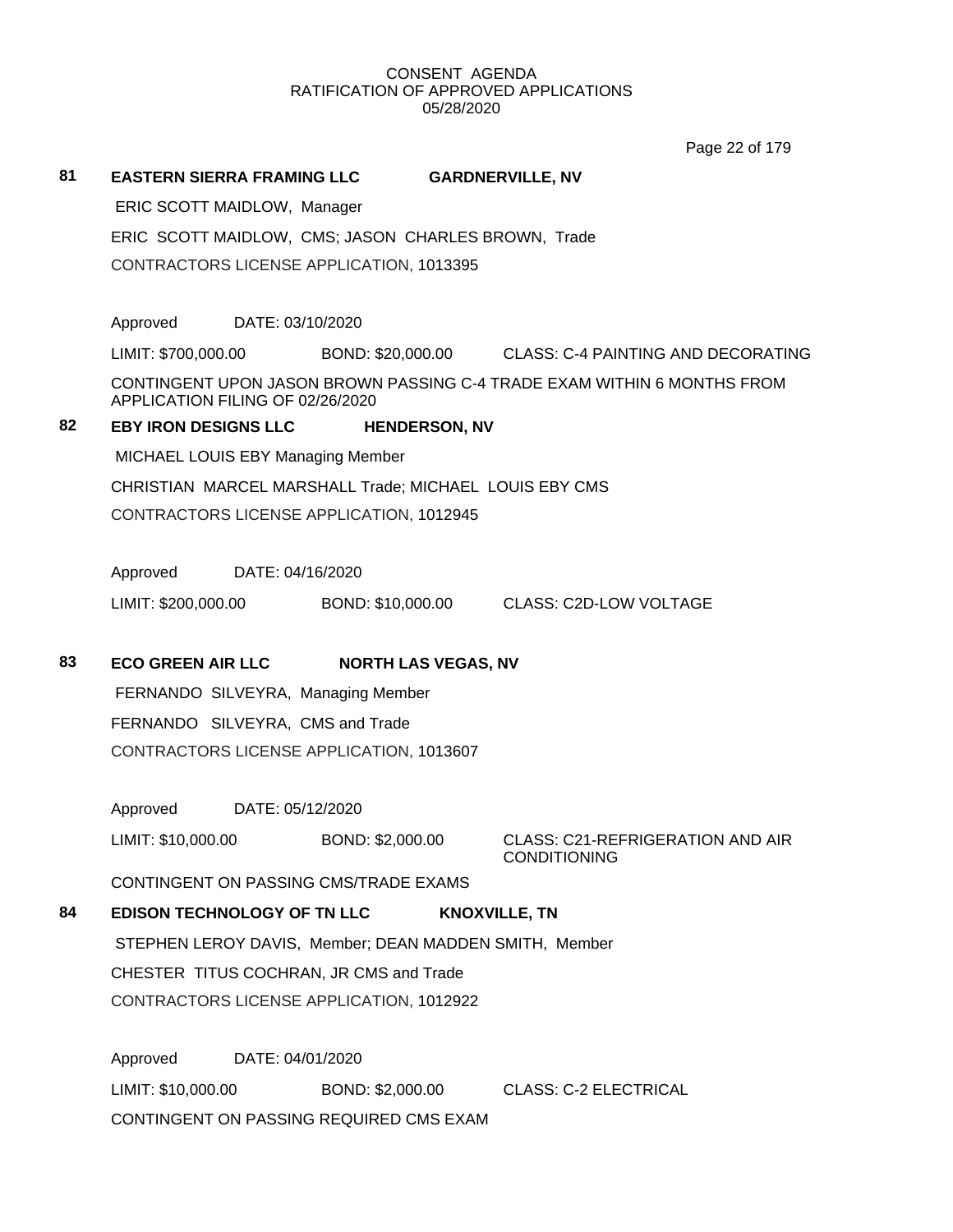**81 EASTERN SIERRA FRAMING LLC GARDNERVILLE, NV** ERIC SCOTT MAIDLOW, Manager ERIC SCOTT MAIDLOW, CMS; JASON CHARLES BROWN, Trade CONTRACTORS LICENSE APPLICATION, 1013395 Approved DATE: 03/10/2020 LIMIT: \$700,000.00 BOND: \$20,000.00 CLASS: C-4 PAINTING AND DECORATING CONTINGENT UPON JASON BROWN PASSING C-4 TRADE EXAM WITHIN 6 MONTHS FROM APPLICATION FILING OF 02/26/2020 **82 EBY IRON DESIGNS LLC HENDERSON, NV** MICHAEL LOUIS EBY Managing Member CHRISTIAN MARCEL MARSHALL Trade; MICHAEL LOUIS EBY CMS CONTRACTORS LICENSE APPLICATION, 1012945 Approved DATE: 04/16/2020 LIMIT: \$200,000.00 BOND: \$10,000.00 CLASS: C2D-LOW VOLTAGE **83 ECO GREEN AIR LLC NORTH LAS VEGAS, NV** FERNANDO SILVEYRA, Managing Member FERNANDO SILVEYRA, CMS and Trade CONTRACTORS LICENSE APPLICATION, 1013607 Approved DATE: 05/12/2020 LIMIT: \$10,000.00 BOND: \$2,000.00 CLASS: C21-REFRIGERATION AND AIR CONDITIONING CONTINGENT ON PASSING CMS/TRADE EXAMS **84 EDISON TECHNOLOGY OF TN LLC KNOXVILLE, TN** STEPHEN LEROY DAVIS, Member; DEAN MADDEN SMITH, Member CHESTER TITUS COCHRAN, JR CMS and Trade CONTRACTORS LICENSE APPLICATION, 1012922 Approved DATE: 04/01/2020 Page 22 of 179

LIMIT: \$10,000.00 BOND: \$2,000.00 CLASS: C-2 ELECTRICAL CONTINGENT ON PASSING REQUIRED CMS EXAM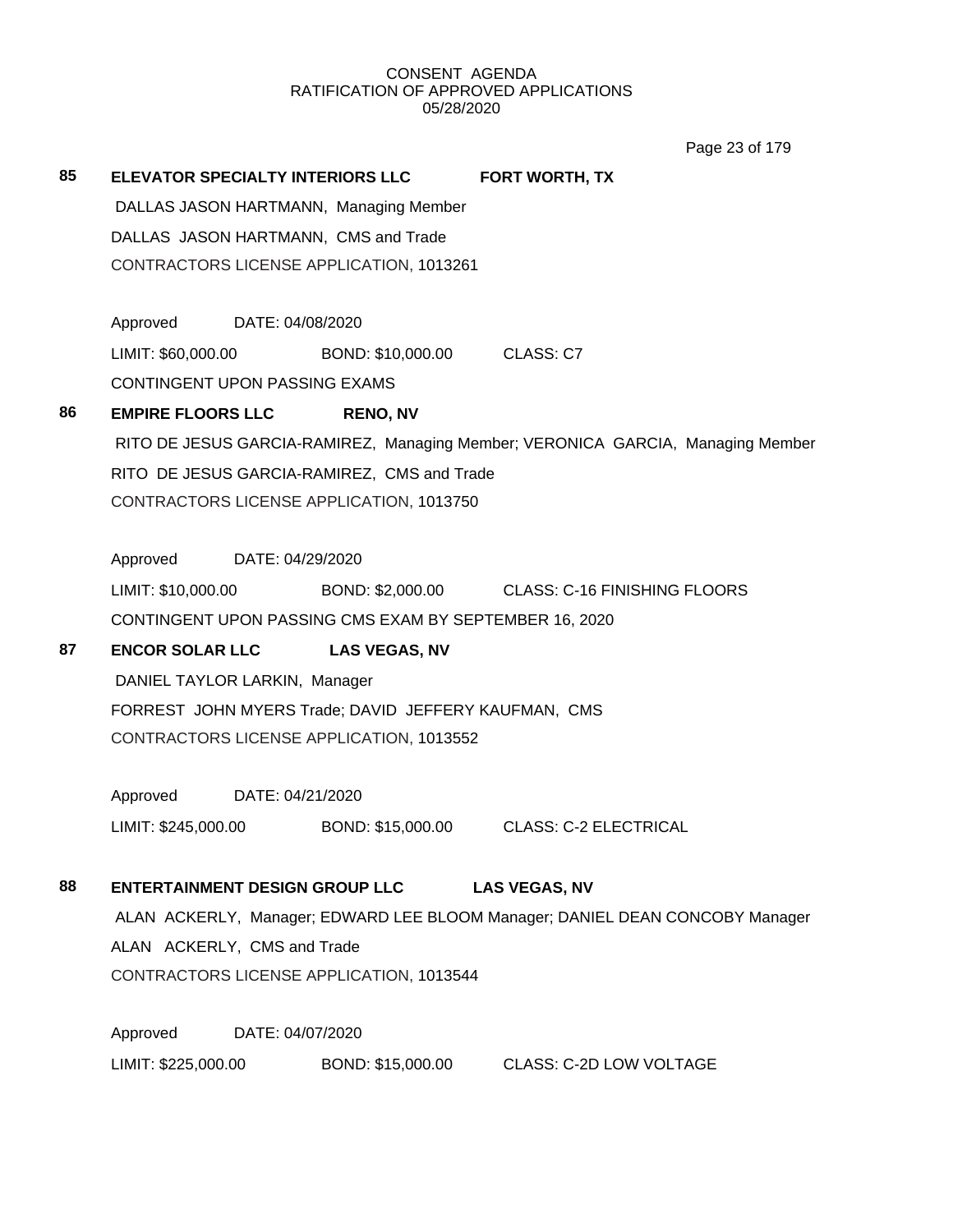Page 23 of 179

| 85 | ELEVATOR SPECIALTY INTERIORS LLC                                                 |                      | <b>FORT WORTH, TX</b>                                                           |  |  |  |
|----|----------------------------------------------------------------------------------|----------------------|---------------------------------------------------------------------------------|--|--|--|
|    | DALLAS JASON HARTMANN, Managing Member                                           |                      |                                                                                 |  |  |  |
|    | DALLAS JASON HARTMANN, CMS and Trade<br>CONTRACTORS LICENSE APPLICATION, 1013261 |                      |                                                                                 |  |  |  |
|    |                                                                                  |                      |                                                                                 |  |  |  |
|    |                                                                                  |                      |                                                                                 |  |  |  |
|    | Approved DATE: 04/08/2020                                                        |                      |                                                                                 |  |  |  |
|    | LIMIT: \$60,000.00 BOND: \$10,000.00                                             |                      | CLASS: C7                                                                       |  |  |  |
|    | CONTINGENT UPON PASSING EXAMS                                                    |                      |                                                                                 |  |  |  |
| 86 | <b>EMPIRE FLOORS LLC</b>                                                         | <b>RENO, NV</b>      |                                                                                 |  |  |  |
|    |                                                                                  |                      | RITO DE JESUS GARCIA-RAMIREZ, Managing Member; VERONICA GARCIA, Managing Member |  |  |  |
|    | RITO DE JESUS GARCIA-RAMIREZ, CMS and Trade                                      |                      |                                                                                 |  |  |  |
|    | CONTRACTORS LICENSE APPLICATION, 1013750                                         |                      |                                                                                 |  |  |  |
|    | Approved<br>DATE: 04/29/2020                                                     |                      |                                                                                 |  |  |  |
|    | LIMIT: \$10,000.00                                                               |                      | BOND: \$2,000.00 CLASS: C-16 FINISHING FLOORS                                   |  |  |  |
|    | CONTINGENT UPON PASSING CMS EXAM BY SEPTEMBER 16, 2020                           |                      |                                                                                 |  |  |  |
|    |                                                                                  |                      |                                                                                 |  |  |  |
| 87 | <b>ENCOR SOLAR LLC</b>                                                           | <b>LAS VEGAS, NV</b> |                                                                                 |  |  |  |
|    | DANIEL TAYLOR LARKIN, Manager                                                    |                      |                                                                                 |  |  |  |
|    | FORREST JOHN MYERS Trade; DAVID JEFFERY KAUFMAN, CMS                             |                      |                                                                                 |  |  |  |
|    | CONTRACTORS LICENSE APPLICATION, 1013552                                         |                      |                                                                                 |  |  |  |
|    | Approved DATE: 04/21/2020                                                        |                      |                                                                                 |  |  |  |
|    | LIMIT: \$245,000.00                                                              |                      | BOND: \$15,000.00 CLASS: C-2 ELECTRICAL                                         |  |  |  |
|    |                                                                                  |                      |                                                                                 |  |  |  |
| 88 | <b>ENTERTAINMENT DESIGN GROUP LLC</b>                                            |                      | <b>LAS VEGAS, NV</b>                                                            |  |  |  |
|    |                                                                                  |                      | ALAN ACKERLY, Manager; EDWARD LEE BLOOM Manager; DANIEL DEAN CONCOBY Manager    |  |  |  |
|    | ALAN ACKERLY, CMS and Trade                                                      |                      |                                                                                 |  |  |  |
|    | CONTRACTORS LICENSE APPLICATION, 1013544                                         |                      |                                                                                 |  |  |  |
|    | Approved<br>DATE: 04/07/2020                                                     |                      |                                                                                 |  |  |  |
|    | LIMIT: \$225,000.00                                                              | BOND: \$15,000.00    | <b>CLASS: C-2D LOW VOLTAGE</b>                                                  |  |  |  |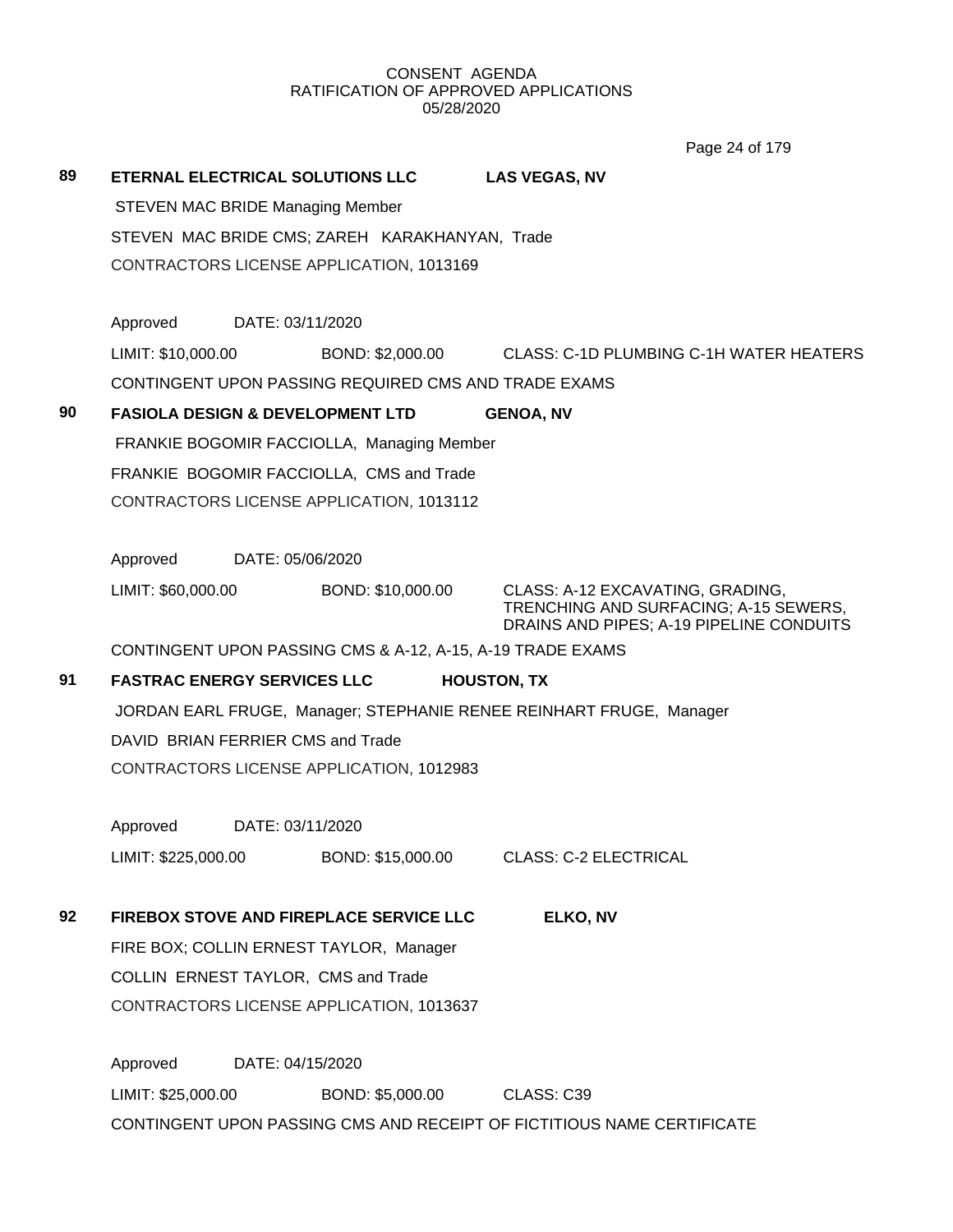Page 24 of 179

| 89 |                                                                     |                                     | ETERNAL ELECTRICAL SOLUTIONS LLC                           | <b>LAS VEGAS, NV</b>                                                                                                  |  |  |  |  |
|----|---------------------------------------------------------------------|-------------------------------------|------------------------------------------------------------|-----------------------------------------------------------------------------------------------------------------------|--|--|--|--|
|    | <b>STEVEN MAC BRIDE Managing Member</b>                             |                                     |                                                            |                                                                                                                       |  |  |  |  |
|    | STEVEN MAC BRIDE CMS; ZAREH KARAKHANYAN, Trade                      |                                     |                                                            |                                                                                                                       |  |  |  |  |
|    |                                                                     |                                     | CONTRACTORS LICENSE APPLICATION, 1013169                   |                                                                                                                       |  |  |  |  |
|    | Approved                                                            | DATE: 03/11/2020                    |                                                            |                                                                                                                       |  |  |  |  |
|    | LIMIT: \$10,000.00                                                  |                                     |                                                            | BOND: \$2,000.00 CLASS: C-1D PLUMBING C-1H WATER HEATERS                                                              |  |  |  |  |
|    |                                                                     |                                     | CONTINGENT UPON PASSING REQUIRED CMS AND TRADE EXAMS       |                                                                                                                       |  |  |  |  |
| 90 |                                                                     |                                     | <b>FASIOLA DESIGN &amp; DEVELOPMENT LTD</b>                | <b>GENOA, NV</b>                                                                                                      |  |  |  |  |
|    |                                                                     |                                     | FRANKIE BOGOMIR FACCIOLLA, Managing Member                 |                                                                                                                       |  |  |  |  |
|    |                                                                     |                                     | FRANKIE BOGOMIR FACCIOLLA, CMS and Trade                   |                                                                                                                       |  |  |  |  |
|    |                                                                     |                                     | CONTRACTORS LICENSE APPLICATION, 1013112                   |                                                                                                                       |  |  |  |  |
|    | Approved                                                            | DATE: 05/06/2020                    |                                                            |                                                                                                                       |  |  |  |  |
|    | LIMIT: \$60,000.00                                                  |                                     | BOND: \$10,000.00                                          | CLASS: A-12 EXCAVATING, GRADING,<br>TRENCHING AND SURFACING; A-15 SEWERS,<br>DRAINS AND PIPES; A-19 PIPELINE CONDUITS |  |  |  |  |
|    |                                                                     |                                     | CONTINGENT UPON PASSING CMS & A-12, A-15, A-19 TRADE EXAMS |                                                                                                                       |  |  |  |  |
| 91 | <b>FASTRAC ENERGY SERVICES LLC</b>                                  |                                     |                                                            | <b>HOUSTON, TX</b>                                                                                                    |  |  |  |  |
|    | JORDAN EARL FRUGE, Manager; STEPHANIE RENEE REINHART FRUGE, Manager |                                     |                                                            |                                                                                                                       |  |  |  |  |
|    |                                                                     |                                     | DAVID BRIAN FERRIER CMS and Trade                          |                                                                                                                       |  |  |  |  |
|    |                                                                     |                                     | CONTRACTORS LICENSE APPLICATION, 1012983                   |                                                                                                                       |  |  |  |  |
|    | Approved                                                            | DATE: 03/11/2020                    |                                                            |                                                                                                                       |  |  |  |  |
|    | LIMIT: \$225,000.00                                                 |                                     | BOND: \$15,000.00                                          | <b>CLASS: C-2 ELECTRICAL</b>                                                                                          |  |  |  |  |
| 92 |                                                                     |                                     | FIREBOX STOVE AND FIREPLACE SERVICE LLC                    | ELKO, NV                                                                                                              |  |  |  |  |
|    |                                                                     |                                     | FIRE BOX; COLLIN ERNEST TAYLOR, Manager                    |                                                                                                                       |  |  |  |  |
|    |                                                                     | COLLIN ERNEST TAYLOR, CMS and Trade |                                                            |                                                                                                                       |  |  |  |  |
|    |                                                                     |                                     | CONTRACTORS LICENSE APPLICATION, 1013637                   |                                                                                                                       |  |  |  |  |
|    | Approved                                                            | DATE: 04/15/2020                    |                                                            |                                                                                                                       |  |  |  |  |
|    | LIMIT: \$25,000.00                                                  |                                     | BOND: \$5,000.00                                           | CLASS: C39                                                                                                            |  |  |  |  |
|    |                                                                     |                                     |                                                            | CONTINGENT UPON PASSING CMS AND RECEIPT OF FICTITIOUS NAME CERTIFICATE                                                |  |  |  |  |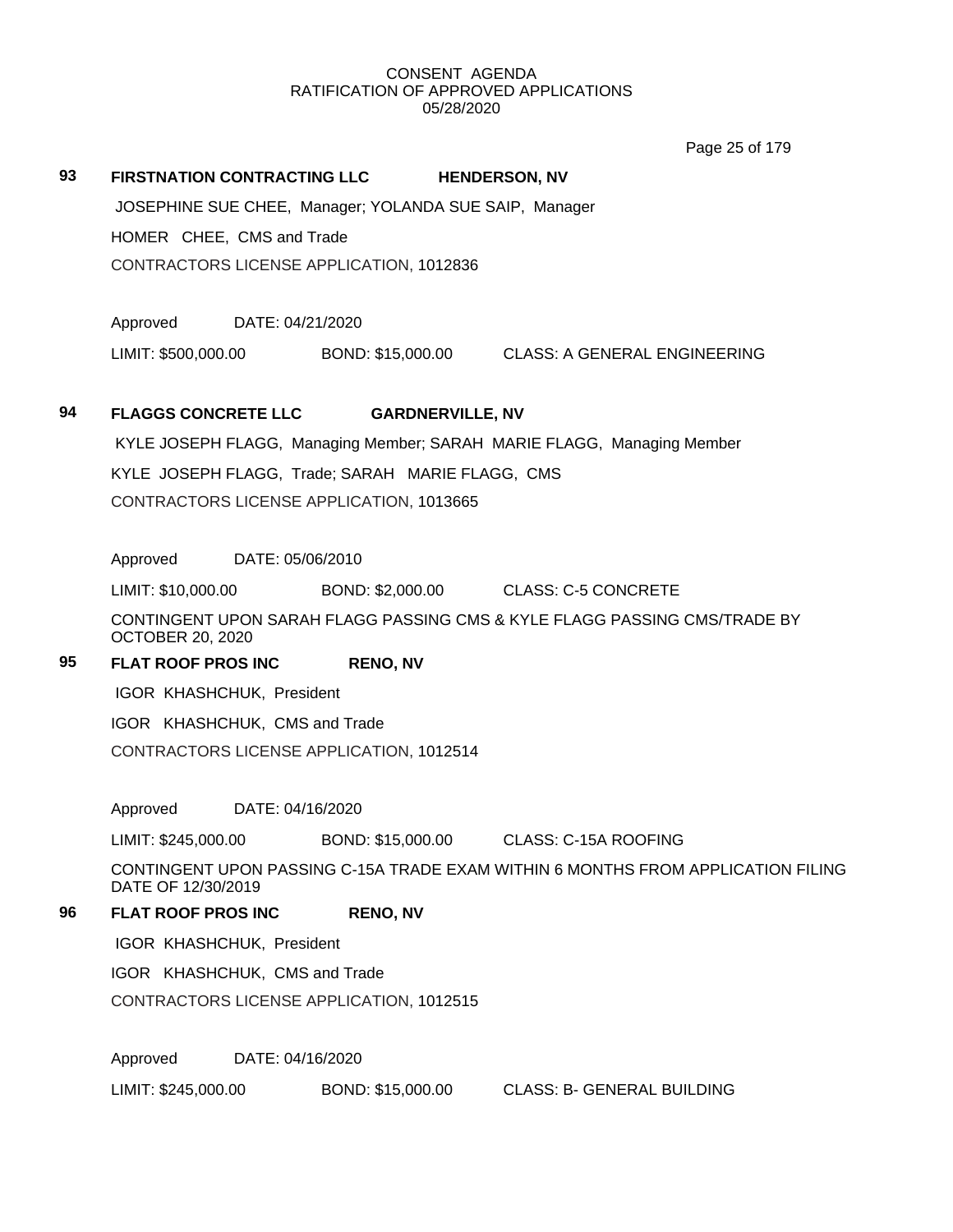Page 25 of 179

#### **93 FIRSTNATION CONTRACTING LLC HENDERSON, NV**

JOSEPHINE SUE CHEE, Manager; YOLANDA SUE SAIP, Manager HOMER CHEE, CMS and Trade CONTRACTORS LICENSE APPLICATION, 1012836

Approved DATE: 04/21/2020

LIMIT: \$500,000.00 BOND: \$15,000.00 CLASS: A GENERAL ENGINEERING

#### **94 FLAGGS CONCRETE LLC GARDNERVILLE, NV**

KYLE JOSEPH FLAGG, Managing Member; SARAH MARIE FLAGG, Managing Member KYLE JOSEPH FLAGG, Trade; SARAH MARIE FLAGG, CMS CONTRACTORS LICENSE APPLICATION, 1013665

Approved DATE: 05/06/2010

LIMIT: \$10,000.00 BOND: \$2,000.00 CLASS: C-5 CONCRETE

CONTINGENT UPON SARAH FLAGG PASSING CMS & KYLE FLAGG PASSING CMS/TRADE BY OCTOBER 20, 2020

## **95 FLAT ROOF PROS INC RENO, NV**

IGOR KHASHCHUK, President

IGOR KHASHCHUK, CMS and Trade

CONTRACTORS LICENSE APPLICATION, 1012514

Approved DATE: 04/16/2020

LIMIT: \$245,000.00 BOND: \$15,000.00 CLASS: C-15A ROOFING

CONTINGENT UPON PASSING C-15A TRADE EXAM WITHIN 6 MONTHS FROM APPLICATION FILING DATE OF 12/30/2019

## **96 FLAT ROOF PROS INC RENO, NV**

IGOR KHASHCHUK, President

IGOR KHASHCHUK, CMS and Trade

CONTRACTORS LICENSE APPLICATION, 1012515

Approved DATE: 04/16/2020

LIMIT: \$245,000.00 BOND: \$15,000.00 CLASS: B- GENERAL BUILDING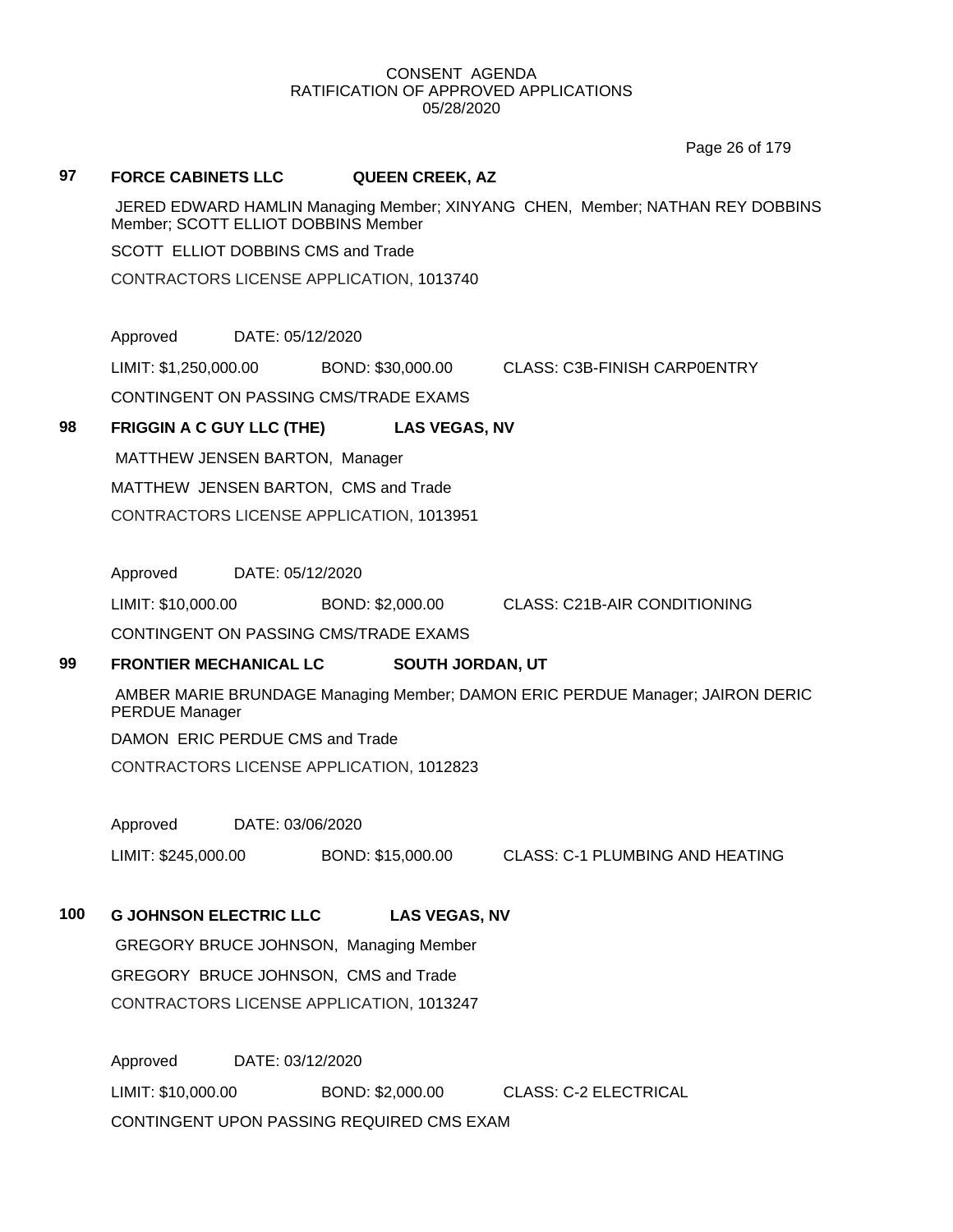Page 26 of 179

#### **97 FORCE CABINETS LLC QUEEN CREEK, AZ**

JERED EDWARD HAMLIN Managing Member; XINYANG CHEN, Member; NATHAN REY DOBBINS Member; SCOTT ELLIOT DOBBINS Member

SCOTT ELLIOT DOBBINS CMS and Trade

CONTRACTORS LICENSE APPLICATION, 1013740

Approved DATE: 05/12/2020

LIMIT: \$1,250,000.00 BOND: \$30,000.00 CLASS: C3B-FINISH CARP0ENTRY

CONTINGENT ON PASSING CMS/TRADE EXAMS

## **98 FRIGGIN A C GUY LLC (THE) LAS VEGAS, NV**

MATTHEW JENSEN BARTON, Manager MATTHEW JENSEN BARTON, CMS and Trade

CONTRACTORS LICENSE APPLICATION, 1013951

Approved DATE: 05/12/2020

LIMIT: \$10,000.00 BOND: \$2,000.00 CLASS: C21B-AIR CONDITIONING

CONTINGENT ON PASSING CMS/TRADE EXAMS

## **99 FRONTIER MECHANICAL LC SOUTH JORDAN, UT**

AMBER MARIE BRUNDAGE Managing Member; DAMON ERIC PERDUE Manager; JAIRON DERIC PERDUE Manager

DAMON ERIC PERDUE CMS and Trade

CONTRACTORS LICENSE APPLICATION, 1012823

Approved DATE: 03/06/2020

LIMIT: \$245,000.00 BOND: \$15,000.00 CLASS: C-1 PLUMBING AND HEATING

## **100 G JOHNSON ELECTRIC LLC LAS VEGAS, NV**

GREGORY BRUCE JOHNSON, Managing Member GREGORY BRUCE JOHNSON, CMS and Trade CONTRACTORS LICENSE APPLICATION, 1013247

Approved DATE: 03/12/2020 LIMIT: \$10,000.00 BOND: \$2,000.00 CLASS: C-2 ELECTRICAL CONTINGENT UPON PASSING REQUIRED CMS EXAM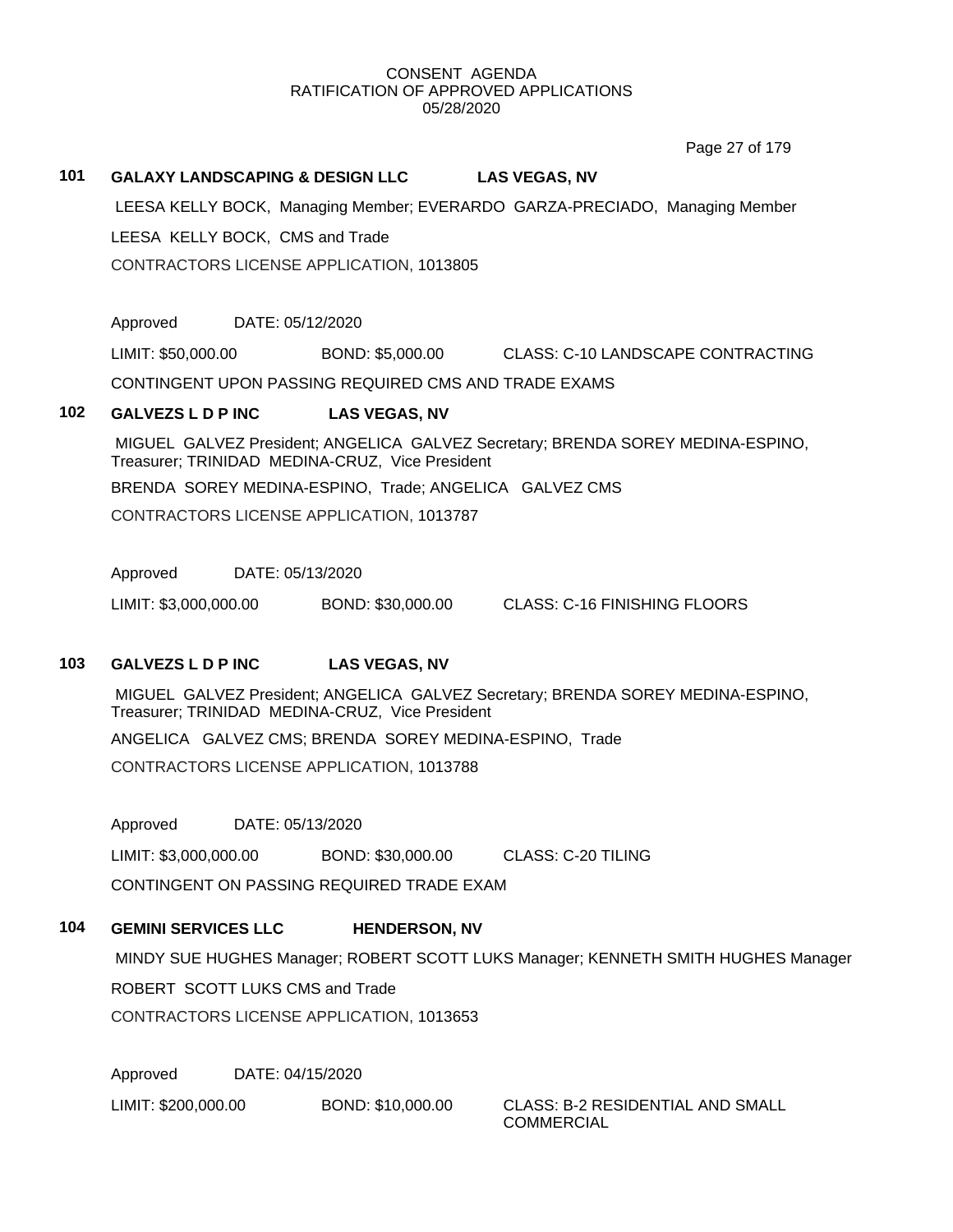Page 27 of 179

# **101 GALAXY LANDSCAPING & DESIGN LLC LAS VEGAS, NV** LEESA KELLY BOCK, Managing Member; EVERARDO GARZA-PRECIADO, Managing Member LEESA KELLY BOCK, CMS and Trade CONTRACTORS LICENSE APPLICATION, 1013805 Approved DATE: 05/12/2020 LIMIT: \$50,000.00 BOND: \$5,000.00 CLASS: C-10 LANDSCAPE CONTRACTING CONTINGENT UPON PASSING REQUIRED CMS AND TRADE EXAMS

## **102 GALVEZS L D P INC LAS VEGAS, NV**

MIGUEL GALVEZ President; ANGELICA GALVEZ Secretary; BRENDA SOREY MEDINA-ESPINO, Treasurer; TRINIDAD MEDINA-CRUZ, Vice President

BRENDA SOREY MEDINA-ESPINO, Trade; ANGELICA GALVEZ CMS

CONTRACTORS LICENSE APPLICATION, 1013787

Approved DATE: 05/13/2020

LIMIT: \$3,000,000.00 BOND: \$30,000.00 CLASS: C-16 FINISHING FLOORS

## **103 GALVEZS L D P INC LAS VEGAS, NV**

MIGUEL GALVEZ President; ANGELICA GALVEZ Secretary; BRENDA SOREY MEDINA-ESPINO, Treasurer; TRINIDAD MEDINA-CRUZ, Vice President ANGELICA GALVEZ CMS; BRENDA SOREY MEDINA-ESPINO, Trade CONTRACTORS LICENSE APPLICATION, 1013788

Approved DATE: 05/13/2020

LIMIT: \$3,000,000.00 BOND: \$30,000.00 CLASS: C-20 TILING CONTINGENT ON PASSING REQUIRED TRADE EXAM

## **104 GEMINI SERVICES LLC HENDERSON, NV**

MINDY SUE HUGHES Manager; ROBERT SCOTT LUKS Manager; KENNETH SMITH HUGHES Manager ROBERT SCOTT LUKS CMS and Trade CONTRACTORS LICENSE APPLICATION, 1013653

Approved DATE: 04/15/2020

LIMIT: \$200,000.00 BOND: \$10,000.00 CLASS: B-2 RESIDENTIAL AND SMALL

COMMERCIAL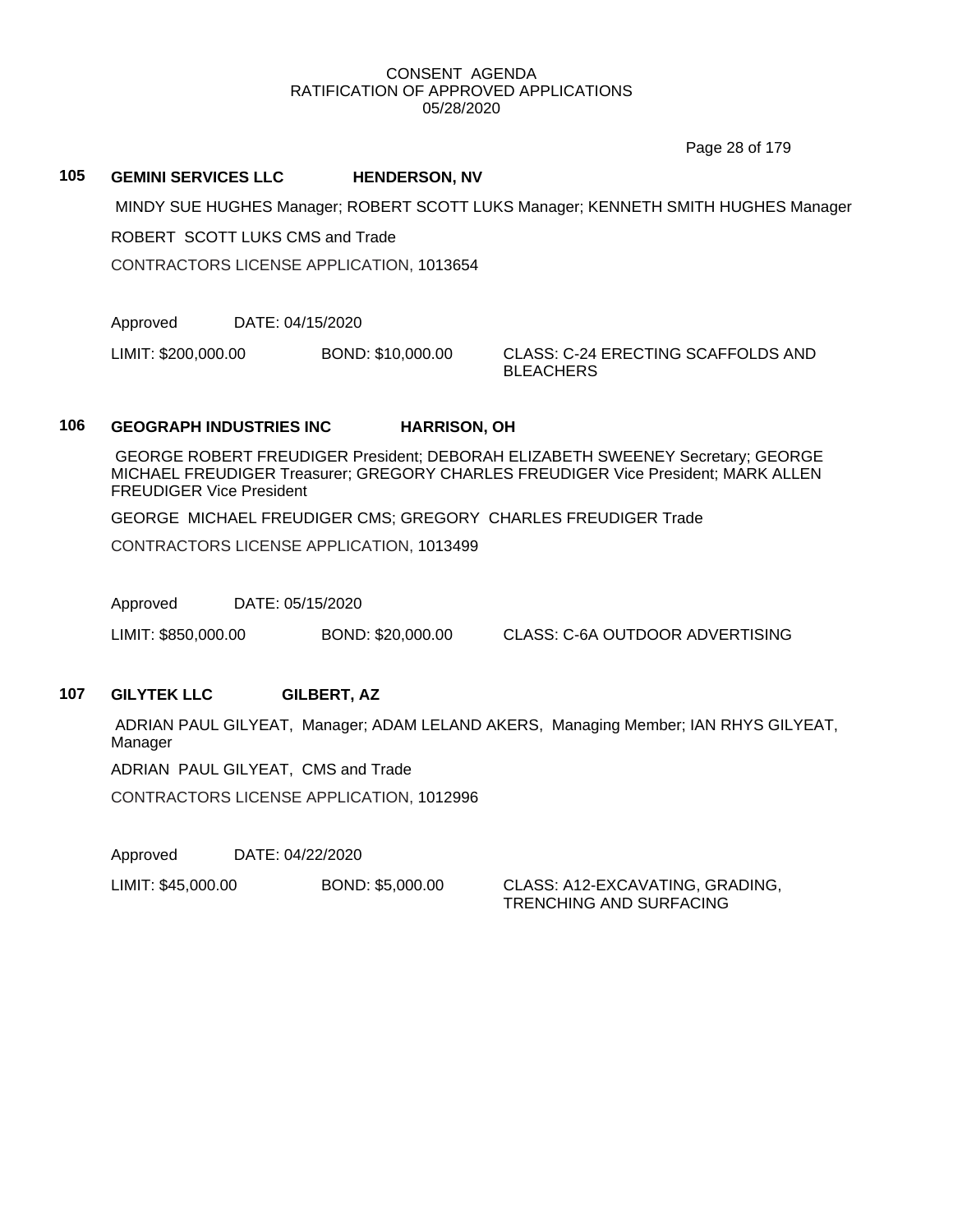Page 28 of 179

#### **105 GEMINI SERVICES LLC HENDERSON, NV**

MINDY SUE HUGHES Manager; ROBERT SCOTT LUKS Manager; KENNETH SMITH HUGHES Manager

ROBERT SCOTT LUKS CMS and Trade

CONTRACTORS LICENSE APPLICATION, 1013654

Approved DATE: 04/15/2020

LIMIT: \$200,000.00 BOND: \$10,000.00 CLASS: C-24 ERECTING SCAFFOLDS AND

**BLEACHERS** 

## **106 GEOGRAPH INDUSTRIES INC HARRISON, OH**

GEORGE ROBERT FREUDIGER President; DEBORAH ELIZABETH SWEENEY Secretary; GEORGE MICHAEL FREUDIGER Treasurer; GREGORY CHARLES FREUDIGER Vice President; MARK ALLEN FREUDIGER Vice President

GEORGE MICHAEL FREUDIGER CMS; GREGORY CHARLES FREUDIGER Trade

CONTRACTORS LICENSE APPLICATION, 1013499

Approved DATE: 05/15/2020

LIMIT: \$850,000.00 BOND: \$20,000.00 CLASS: C-6A OUTDOOR ADVERTISING

## **107 GILYTEK LLC GILBERT, AZ**

ADRIAN PAUL GILYEAT, Manager; ADAM LELAND AKERS, Managing Member; IAN RHYS GILYEAT, Manager

ADRIAN PAUL GILYEAT, CMS and Trade

CONTRACTORS LICENSE APPLICATION, 1012996

Approved DATE: 04/22/2020

LIMIT: \$45,000.00 BOND: \$5,000.00 CLASS: A12-EXCAVATING, GRADING,

TRENCHING AND SURFACING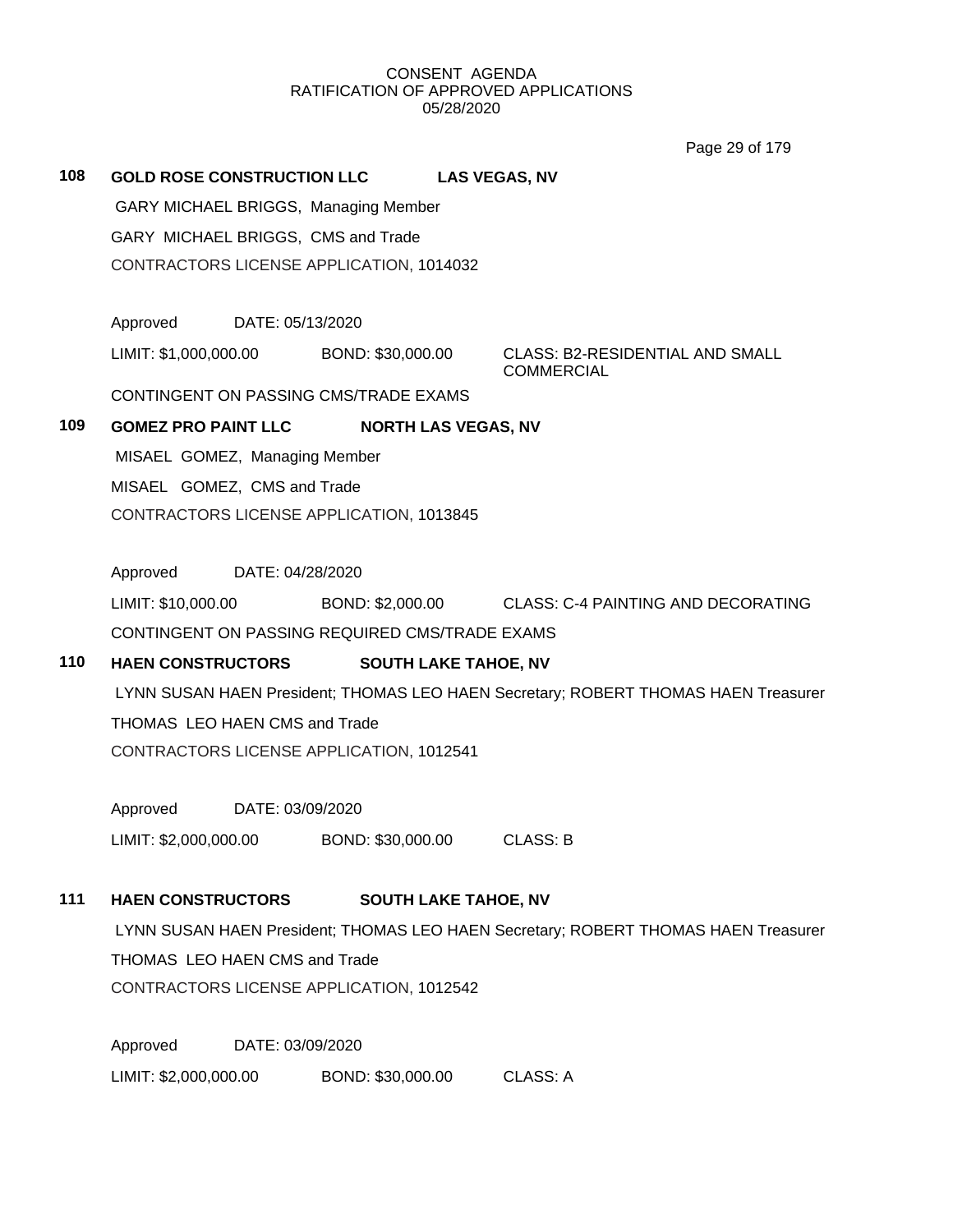Page 29 of 179

# **108 GOLD ROSE CONSTRUCTION LLC LAS VEGAS, NV** GARY MICHAEL BRIGGS, Managing Member GARY MICHAEL BRIGGS, CMS and Trade CONTRACTORS LICENSE APPLICATION, 1014032 Approved DATE: 05/13/2020 LIMIT: \$1,000,000.00 BOND: \$30,000.00 CLASS: B2-RESIDENTIAL AND SMALL

**COMMERCIAL** 

CONTINGENT ON PASSING CMS/TRADE EXAMS

## **109 GOMEZ PRO PAINT LLC NORTH LAS VEGAS, NV**

MISAEL GOMEZ, Managing Member MISAEL GOMEZ, CMS and Trade CONTRACTORS LICENSE APPLICATION, 1013845

Approved DATE: 04/28/2020

LIMIT: \$10,000.00 BOND: \$2,000.00 CLASS: C-4 PAINTING AND DECORATING CONTINGENT ON PASSING REQUIRED CMS/TRADE EXAMS

## **110 HAEN CONSTRUCTORS SOUTH LAKE TAHOE, NV**

LYNN SUSAN HAEN President; THOMAS LEO HAEN Secretary; ROBERT THOMAS HAEN Treasurer THOMAS LEO HAEN CMS and Trade CONTRACTORS LICENSE APPLICATION, 1012541

Approved DATE: 03/09/2020 LIMIT: \$2,000,000.00 BOND: \$30,000.00 CLASS: B

## **111 HAEN CONSTRUCTORS SOUTH LAKE TAHOE, NV**

LYNN SUSAN HAEN President; THOMAS LEO HAEN Secretary; ROBERT THOMAS HAEN Treasurer THOMAS LEO HAEN CMS and Trade CONTRACTORS LICENSE APPLICATION, 1012542

Approved DATE: 03/09/2020 LIMIT: \$2,000,000.00 BOND: \$30,000.00 CLASS: A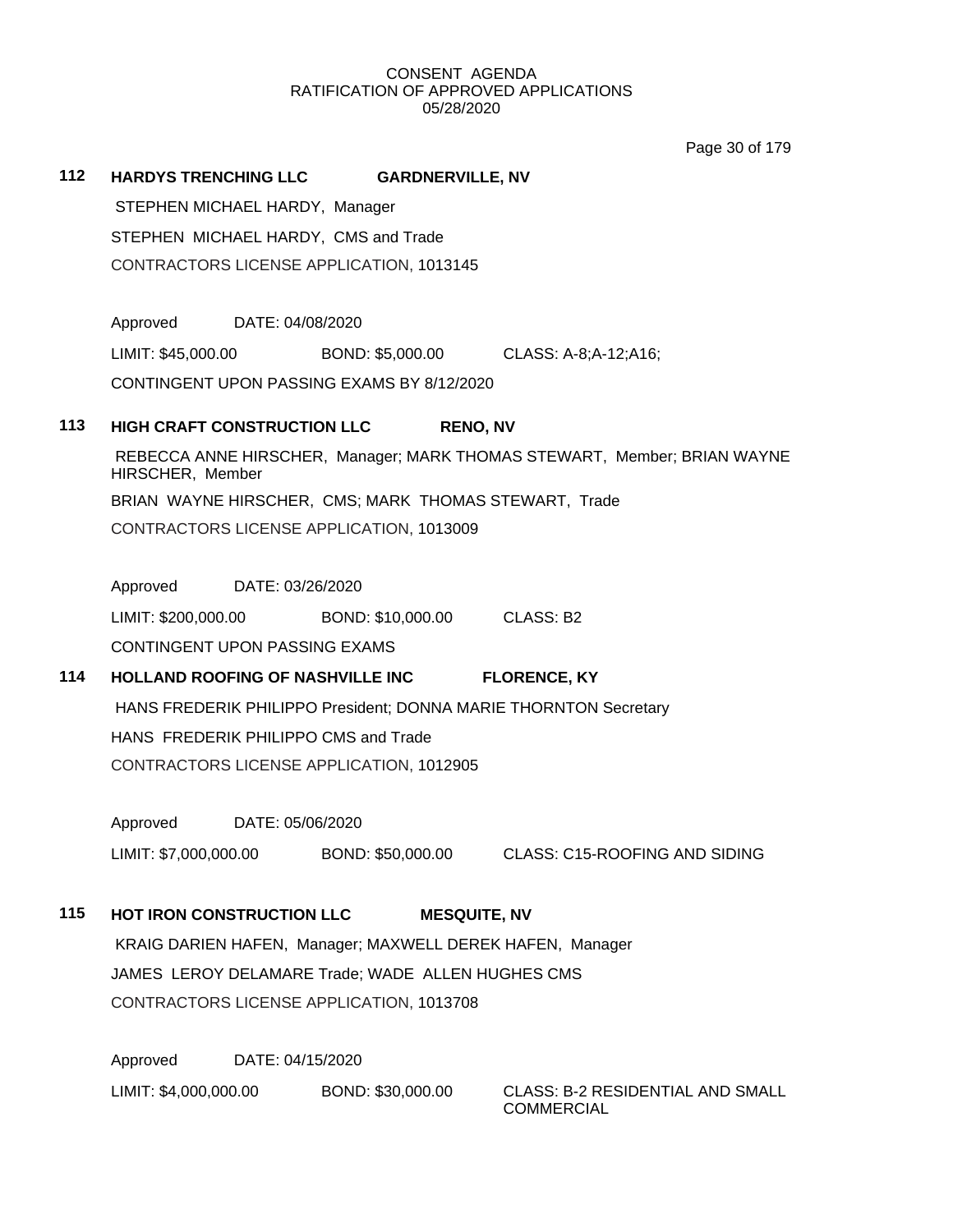Page 30 of 179

| 112 |                                                                                                                                                                                                                                                            |  | HARDYS TRENCHING LLC GARDNERVILLE, NV                    |                                                                       |
|-----|------------------------------------------------------------------------------------------------------------------------------------------------------------------------------------------------------------------------------------------------------------|--|----------------------------------------------------------|-----------------------------------------------------------------------|
|     | STEPHEN MICHAEL HARDY, Manager<br>STEPHEN MICHAEL HARDY, CMS and Trade<br>CONTRACTORS LICENSE APPLICATION, 1013145                                                                                                                                         |  |                                                          |                                                                       |
|     |                                                                                                                                                                                                                                                            |  |                                                          |                                                                       |
|     |                                                                                                                                                                                                                                                            |  |                                                          |                                                                       |
|     |                                                                                                                                                                                                                                                            |  |                                                          |                                                                       |
|     | Approved DATE: 04/08/2020                                                                                                                                                                                                                                  |  |                                                          |                                                                       |
|     |                                                                                                                                                                                                                                                            |  | LIMIT: \$45,000.00 BOND: \$5,000.00 CLASS: A-8;A-12;A16; |                                                                       |
|     | CONTINGENT UPON PASSING EXAMS BY 8/12/2020                                                                                                                                                                                                                 |  |                                                          |                                                                       |
| 113 | <b>HIGH CRAFT CONSTRUCTION LLC</b><br><b>RENO, NV</b><br>REBECCA ANNE HIRSCHER, Manager; MARK THOMAS STEWART, Member; BRIAN WAYNE<br>HIRSCHER, Member<br>BRIAN WAYNE HIRSCHER, CMS; MARK THOMAS STEWART, Trade<br>CONTRACTORS LICENSE APPLICATION, 1013009 |  |                                                          |                                                                       |
|     |                                                                                                                                                                                                                                                            |  |                                                          |                                                                       |
|     |                                                                                                                                                                                                                                                            |  |                                                          |                                                                       |
|     |                                                                                                                                                                                                                                                            |  |                                                          |                                                                       |
|     |                                                                                                                                                                                                                                                            |  |                                                          |                                                                       |
|     | Approved DATE: 03/26/2020                                                                                                                                                                                                                                  |  |                                                          |                                                                       |
|     |                                                                                                                                                                                                                                                            |  | LIMIT: \$200,000.00 BOND: \$10,000.00 CLASS: B2          |                                                                       |
|     | CONTINGENT UPON PASSING EXAMS                                                                                                                                                                                                                              |  |                                                          |                                                                       |
| 114 | HOLLAND ROOFING OF NASHVILLE INC<br><b>FLORENCE, KY</b><br>HANS FREDERIK PHILIPPO President; DONNA MARIE THORNTON Secretary<br>HANS FREDERIK PHILIPPO CMS and Trade<br>CONTRACTORS LICENSE APPLICATION, 1012905<br>DATE: 05/06/2020<br>Approved            |  |                                                          |                                                                       |
|     |                                                                                                                                                                                                                                                            |  |                                                          |                                                                       |
|     |                                                                                                                                                                                                                                                            |  |                                                          |                                                                       |
|     |                                                                                                                                                                                                                                                            |  |                                                          |                                                                       |
|     |                                                                                                                                                                                                                                                            |  |                                                          |                                                                       |
|     |                                                                                                                                                                                                                                                            |  |                                                          | LIMIT: \$7,000,000.00 BOND: \$50,000.00 CLASS: C15-ROOFING AND SIDING |
|     |                                                                                                                                                                                                                                                            |  |                                                          |                                                                       |
| 115 | HOT IRON CONSTRUCTION LLC<br><b>MESQUITE, NV</b>                                                                                                                                                                                                           |  |                                                          |                                                                       |
|     | KRAIG DARIEN HAFEN, Manager; MAXWELL DEREK HAFEN, Manager                                                                                                                                                                                                  |  |                                                          |                                                                       |
|     | JAMES LEROY DELAMARE Trade; WADE ALLEN HUGHES CMS                                                                                                                                                                                                          |  |                                                          |                                                                       |
|     | CONTRACTORS LICENSE APPLICATION, 1013708                                                                                                                                                                                                                   |  |                                                          |                                                                       |
|     | Approved<br>DATE: 04/15/2020                                                                                                                                                                                                                               |  |                                                          |                                                                       |
|     |                                                                                                                                                                                                                                                            |  | BOND: \$30,000.00                                        | CLASS: B-2 RESIDENTIAL AND SMALL                                      |
|     | LIMIT: \$4,000,000.00                                                                                                                                                                                                                                      |  |                                                          |                                                                       |

COMMERCIAL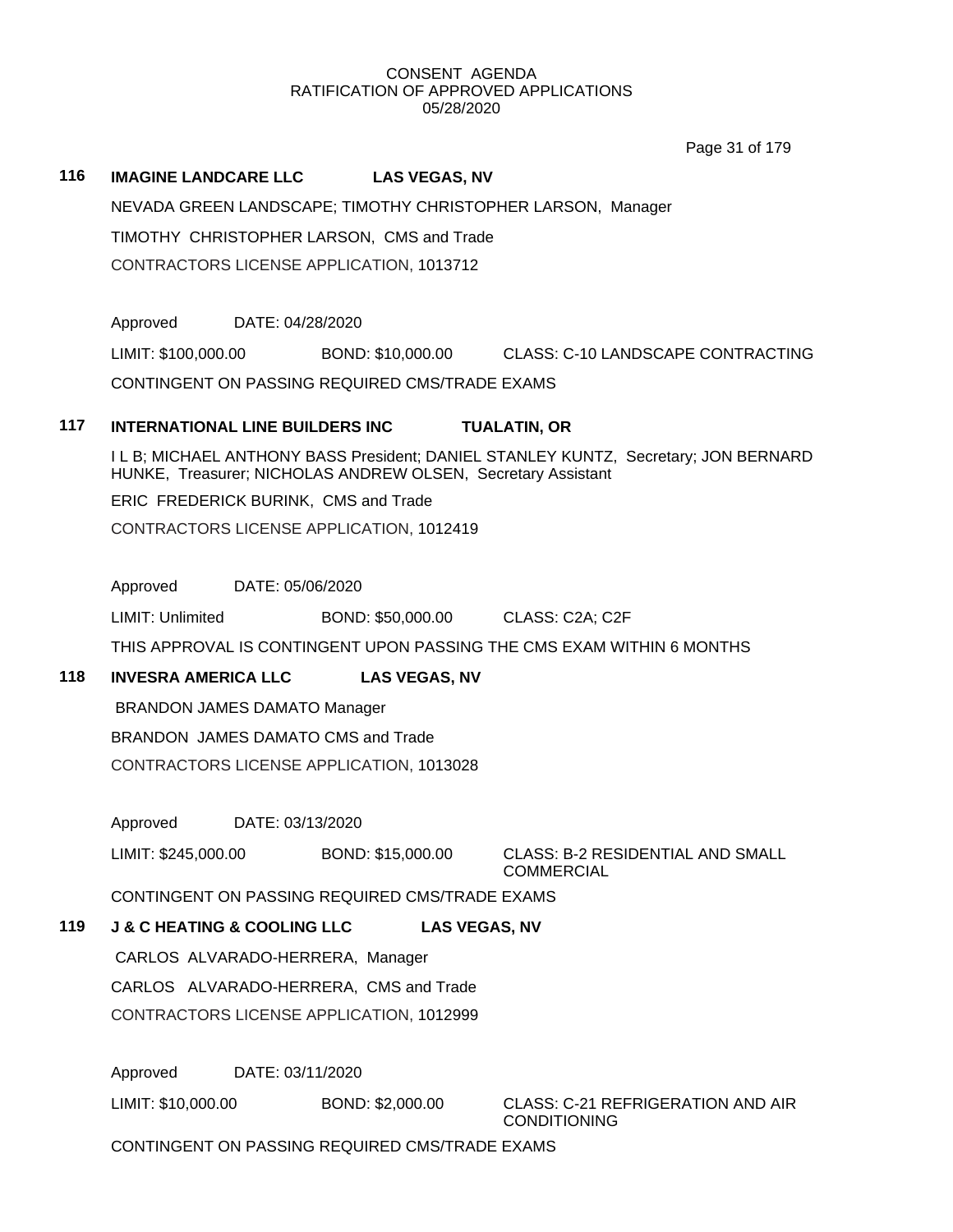Page 31 of 179

#### **116 IMAGINE LANDCARE LLC LAS VEGAS, NV**

NEVADA GREEN LANDSCAPE; TIMOTHY CHRISTOPHER LARSON, Manager

TIMOTHY CHRISTOPHER LARSON, CMS and Trade

CONTRACTORS LICENSE APPLICATION, 1013712

Approved DATE: 04/28/2020

LIMIT: \$100,000.00 BOND: \$10,000.00 CLASS: C-10 LANDSCAPE CONTRACTING

CONTINGENT ON PASSING REQUIRED CMS/TRADE EXAMS

## **117 INTERNATIONAL LINE BUILDERS INC TUALATIN, OR**

I L B; MICHAEL ANTHONY BASS President; DANIEL STANLEY KUNTZ, Secretary; JON BERNARD HUNKE, Treasurer; NICHOLAS ANDREW OLSEN, Secretary Assistant

ERIC FREDERICK BURINK, CMS and Trade

CONTRACTORS LICENSE APPLICATION, 1012419

Approved DATE: 05/06/2020

LIMIT: Unlimited BOND: \$50,000.00 CLASS: C2A; C2F

THIS APPROVAL IS CONTINGENT UPON PASSING THE CMS EXAM WITHIN 6 MONTHS

## **118 INVESRA AMERICA LLC LAS VEGAS, NV**

BRANDON JAMES DAMATO Manager

BRANDON JAMES DAMATO CMS and Trade

CONTRACTORS LICENSE APPLICATION, 1013028

Approved DATE: 03/13/2020

LIMIT: \$245,000.00 BOND: \$15,000.00 CLASS: B-2 RESIDENTIAL AND SMALL

COMMERCIAL

CONTINGENT ON PASSING REQUIRED CMS/TRADE EXAMS

## **119 J & C HEATING & COOLING LLC LAS VEGAS, NV**

CARLOS ALVARADO-HERRERA, Manager CARLOS ALVARADO-HERRERA, CMS and Trade CONTRACTORS LICENSE APPLICATION, 1012999

Approved DATE: 03/11/2020

LIMIT: \$10,000.00 BOND: \$2,000.00 CLASS: C-21 REFRIGERATION AND AIR

**CONDITIONING** 

CONTINGENT ON PASSING REQUIRED CMS/TRADE EXAMS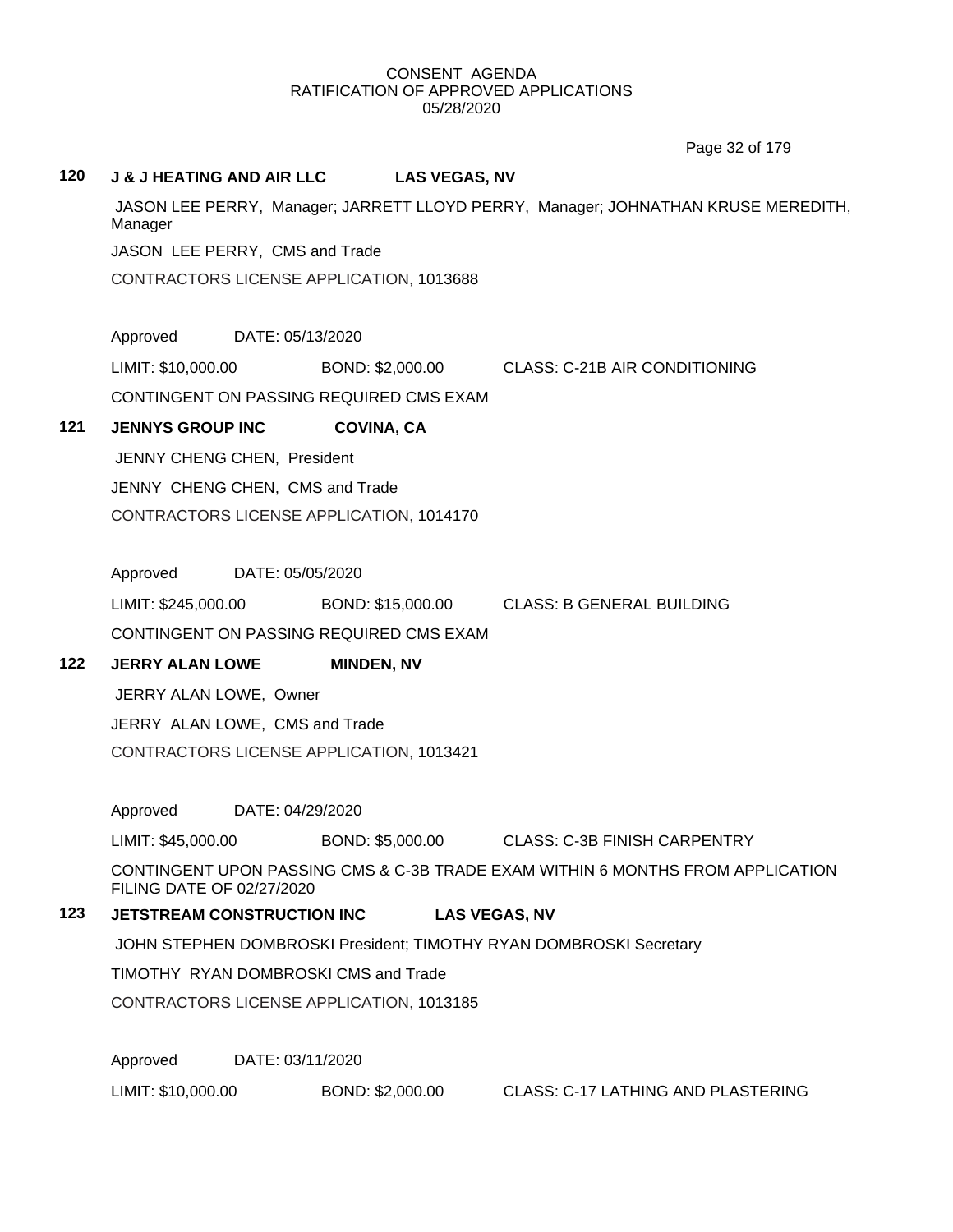Page 32 of 179

#### **120 J & J HEATING AND AIR LLC LAS VEGAS, NV**

JASON LEE PERRY, Manager; JARRETT LLOYD PERRY, Manager; JOHNATHAN KRUSE MEREDITH, Manager JASON LEE PERRY, CMS and Trade

CONTRACTORS LICENSE APPLICATION, 1013688

Approved DATE: 05/13/2020

LIMIT: \$10,000.00 BOND: \$2,000.00 CLASS: C-21B AIR CONDITIONING

CONTINGENT ON PASSING REQUIRED CMS EXAM

#### **121 JENNYS GROUP INC COVINA, CA**

JENNY CHENG CHEN, President JENNY CHENG CHEN, CMS and Trade CONTRACTORS LICENSE APPLICATION, 1014170

Approved DATE: 05/05/2020

LIMIT: \$245,000.00 BOND: \$15,000.00 CLASS: B GENERAL BUILDING CONTINGENT ON PASSING REQUIRED CMS EXAM

## **122 JERRY ALAN LOWE MINDEN, NV**

JERRY ALAN LOWE, Owner

JERRY ALAN LOWE, CMS and Trade

CONTRACTORS LICENSE APPLICATION, 1013421

Approved DATE: 04/29/2020

LIMIT: \$45,000.00 BOND: \$5,000.00 CLASS: C-3B FINISH CARPENTRY

CONTINGENT UPON PASSING CMS & C-3B TRADE EXAM WITHIN 6 MONTHS FROM APPLICATION FILING DATE OF 02/27/2020

## **123 JETSTREAM CONSTRUCTION INC LAS VEGAS, NV**

JOHN STEPHEN DOMBROSKI President; TIMOTHY RYAN DOMBROSKI Secretary

TIMOTHY RYAN DOMBROSKI CMS and Trade

CONTRACTORS LICENSE APPLICATION, 1013185

Approved DATE: 03/11/2020

LIMIT: \$10,000.00 BOND: \$2,000.00 CLASS: C-17 LATHING AND PLASTERING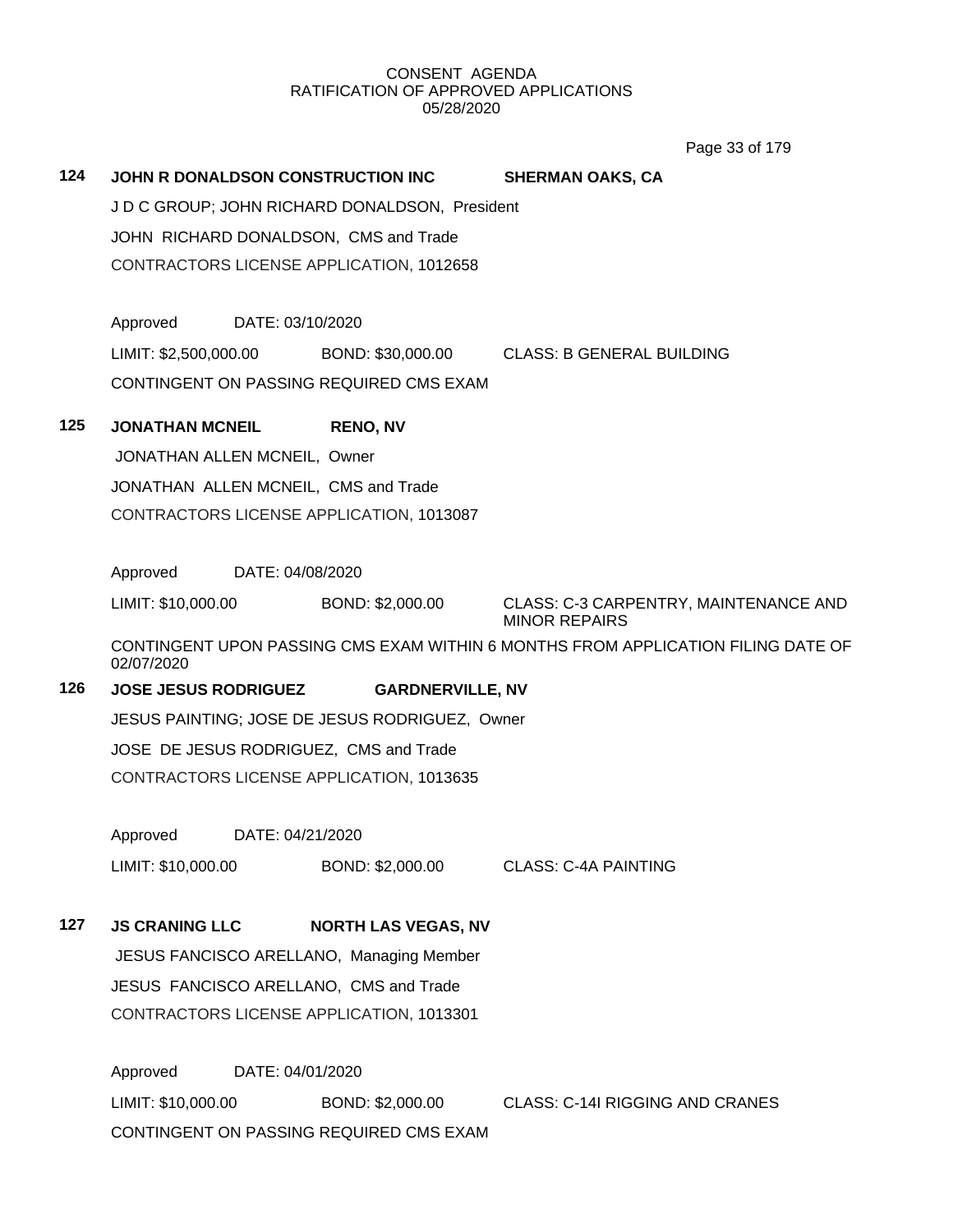Page 33 of 179

## **124 JOHN R DONALDSON CONSTRUCTION INC SHERMAN OAKS, CA**

J D C GROUP; JOHN RICHARD DONALDSON, President JOHN RICHARD DONALDSON, CMS and Trade CONTRACTORS LICENSE APPLICATION, 1012658

Approved DATE: 03/10/2020 LIMIT: \$2,500,000.00 BOND: \$30,000.00 CLASS: B GENERAL BUILDING CONTINGENT ON PASSING REQUIRED CMS EXAM

## **125 JONATHAN MCNEIL RENO, NV**

JONATHAN ALLEN MCNEIL, Owner JONATHAN ALLEN MCNEIL, CMS and Trade CONTRACTORS LICENSE APPLICATION, 1013087

Approved DATE: 04/08/2020

LIMIT: \$10,000.00 BOND: \$2,000.00 CLASS: C-3 CARPENTRY, MAINTENANCE AND MINOR REPAIRS

CONTINGENT UPON PASSING CMS EXAM WITHIN 6 MONTHS FROM APPLICATION FILING DATE OF 02/07/2020

## **126 JOSE JESUS RODRIGUEZ GARDNERVILLE, NV**

JESUS PAINTING; JOSE DE JESUS RODRIGUEZ, Owner JOSE DE JESUS RODRIGUEZ, CMS and Trade CONTRACTORS LICENSE APPLICATION, 1013635

Approved DATE: 04/21/2020

LIMIT: \$10,000.00 BOND: \$2,000.00 CLASS: C-4A PAINTING

## **127 JS CRANING LLC NORTH LAS VEGAS, NV**

JESUS FANCISCO ARELLANO, Managing Member JESUS FANCISCO ARELLANO, CMS and Trade CONTRACTORS LICENSE APPLICATION, 1013301

Approved DATE: 04/01/2020 LIMIT: \$10,000.00 BOND: \$2,000.00 CLASS: C-14I RIGGING AND CRANES CONTINGENT ON PASSING REQUIRED CMS EXAM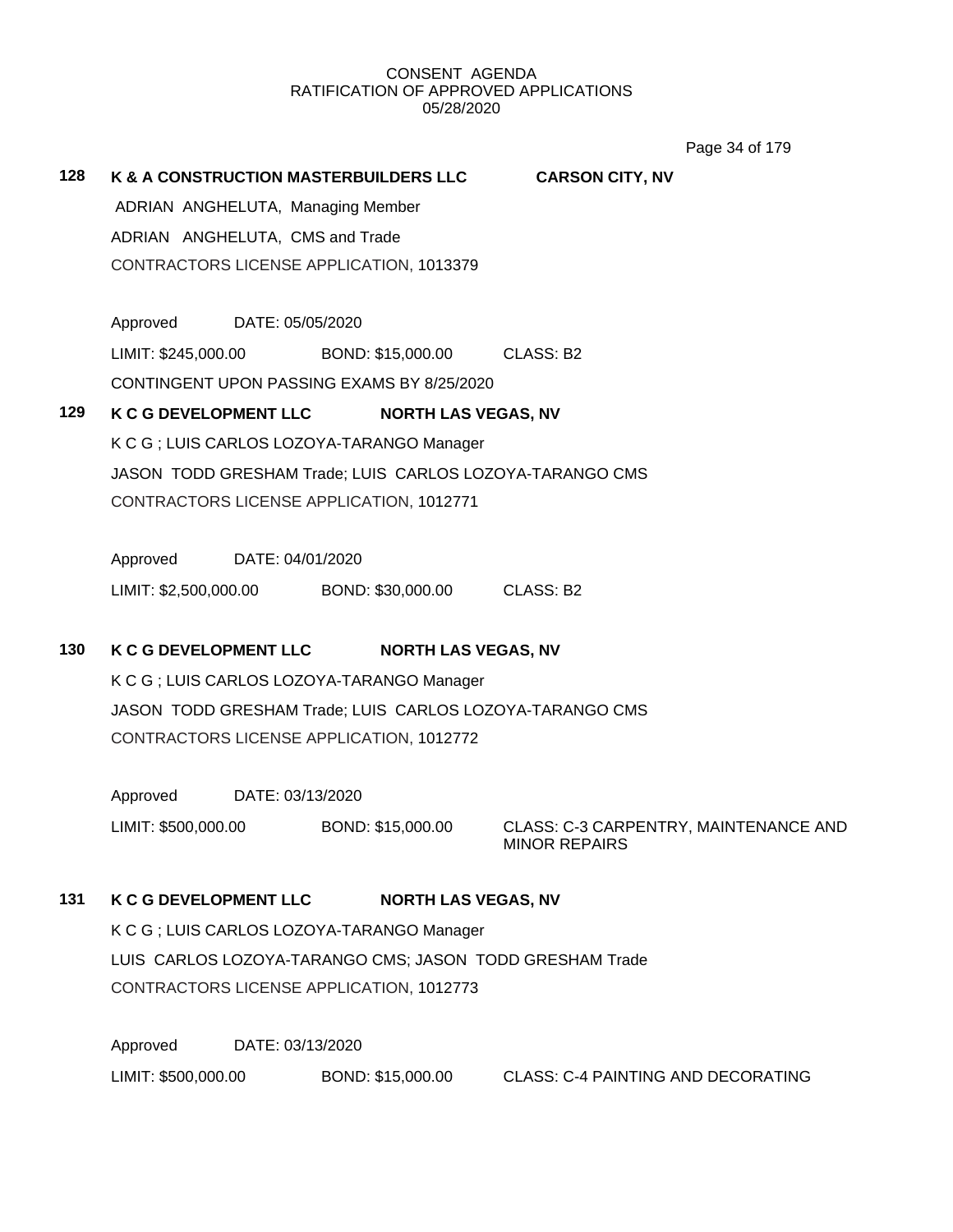Page 34 of 179

# **128 K & A CONSTRUCTION MASTERBUILDERS LLC CARSON CITY, NV** ADRIAN ANGHELUTA, Managing Member ADRIAN ANGHELUTA, CMS and Trade CONTRACTORS LICENSE APPLICATION, 1013379 Approved DATE: 05/05/2020

LIMIT: \$245,000.00 BOND: \$15,000.00 CLASS: B2

CONTINGENT UPON PASSING EXAMS BY 8/25/2020

# **129 K C G DEVELOPMENT LLC NORTH LAS VEGAS, NV**

K C G ; LUIS CARLOS LOZOYA-TARANGO Manager JASON TODD GRESHAM Trade; LUIS CARLOS LOZOYA-TARANGO CMS CONTRACTORS LICENSE APPLICATION, 1012771

Approved DATE: 04/01/2020

LIMIT: \$2,500,000.00 BOND: \$30,000.00 CLASS: B2

# **130 K C G DEVELOPMENT LLC NORTH LAS VEGAS, NV**

K C G ; LUIS CARLOS LOZOYA-TARANGO Manager JASON TODD GRESHAM Trade; LUIS CARLOS LOZOYA-TARANGO CMS CONTRACTORS LICENSE APPLICATION, 1012772

Approved DATE: 03/13/2020

LIMIT: \$500,000.00 BOND: \$15,000.00 CLASS: C-3 CARPENTRY, MAINTENANCE AND MINOR REPAIRS

# **131 K C G DEVELOPMENT LLC NORTH LAS VEGAS, NV**

K C G ; LUIS CARLOS LOZOYA-TARANGO Manager LUIS CARLOS LOZOYA-TARANGO CMS; JASON TODD GRESHAM Trade CONTRACTORS LICENSE APPLICATION, 1012773

Approved DATE: 03/13/2020 LIMIT: \$500,000.00 BOND: \$15,000.00 CLASS: C-4 PAINTING AND DECORATING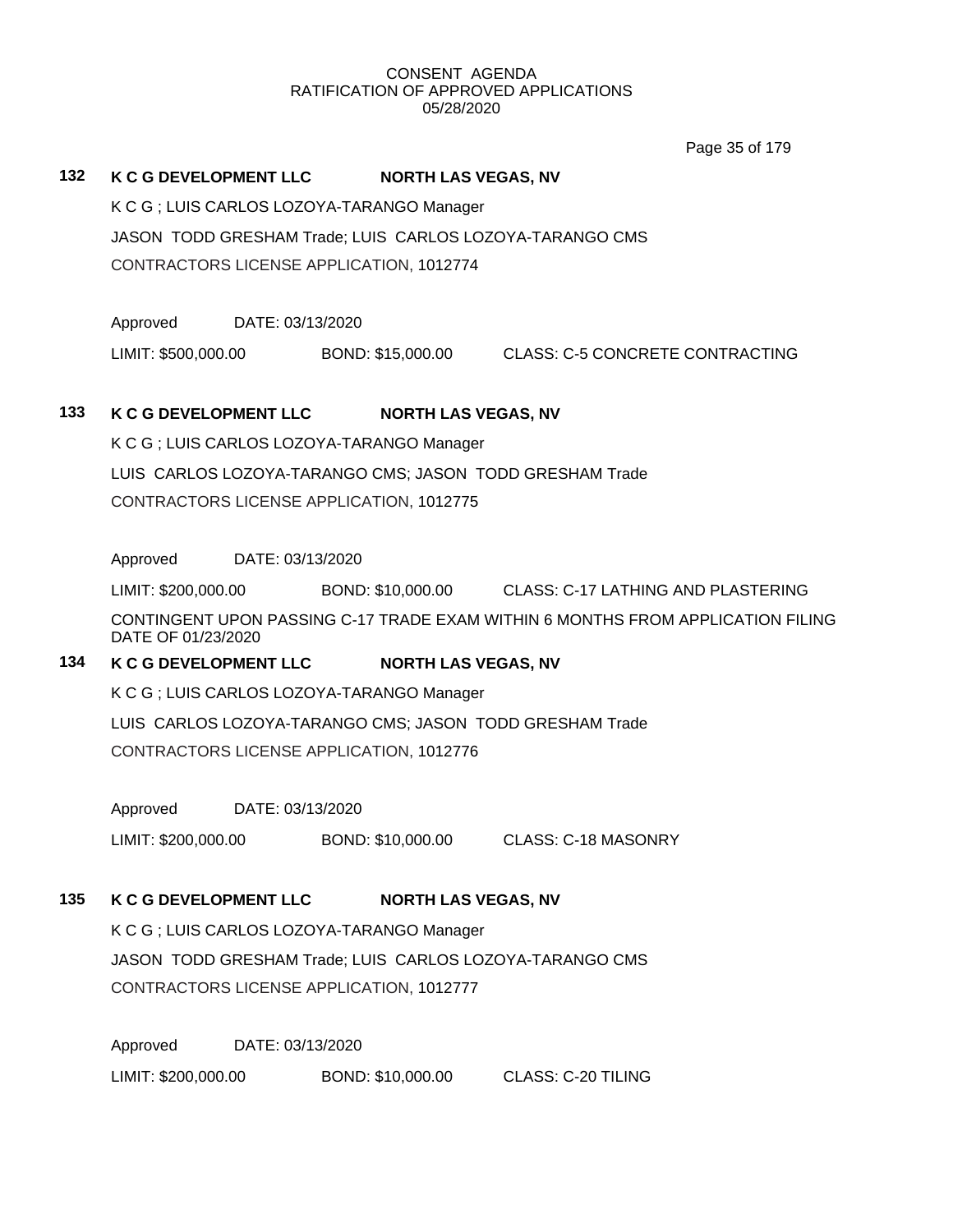Page 35 of 179

#### **132 K C G DEVELOPMENT LLC NORTH LAS VEGAS, NV**

K C G ; LUIS CARLOS LOZOYA-TARANGO Manager JASON TODD GRESHAM Trade; LUIS CARLOS LOZOYA-TARANGO CMS

CONTRACTORS LICENSE APPLICATION, 1012774

Approved DATE: 03/13/2020

LIMIT: \$500,000.00 BOND: \$15,000.00 CLASS: C-5 CONCRETE CONTRACTING

# **133 K C G DEVELOPMENT LLC NORTH LAS VEGAS, NV**

K C G ; LUIS CARLOS LOZOYA-TARANGO Manager LUIS CARLOS LOZOYA-TARANGO CMS; JASON TODD GRESHAM Trade CONTRACTORS LICENSE APPLICATION, 1012775

Approved DATE: 03/13/2020

LIMIT: \$200,000.00 BOND: \$10,000.00 CLASS: C-17 LATHING AND PLASTERING

CONTINGENT UPON PASSING C-17 TRADE EXAM WITHIN 6 MONTHS FROM APPLICATION FILING DATE OF 01/23/2020

# **134 K C G DEVELOPMENT LLC NORTH LAS VEGAS, NV**

K C G ; LUIS CARLOS LOZOYA-TARANGO Manager

LUIS CARLOS LOZOYA-TARANGO CMS; JASON TODD GRESHAM Trade CONTRACTORS LICENSE APPLICATION, 1012776

Approved DATE: 03/13/2020

LIMIT: \$200,000.00 BOND: \$10,000.00 CLASS: C-18 MASONRY

# **135 K C G DEVELOPMENT LLC NORTH LAS VEGAS, NV**

K C G ; LUIS CARLOS LOZOYA-TARANGO Manager JASON TODD GRESHAM Trade; LUIS CARLOS LOZOYA-TARANGO CMS CONTRACTORS LICENSE APPLICATION, 1012777

Approved DATE: 03/13/2020 LIMIT: \$200,000.00 BOND: \$10,000.00 CLASS: C-20 TILING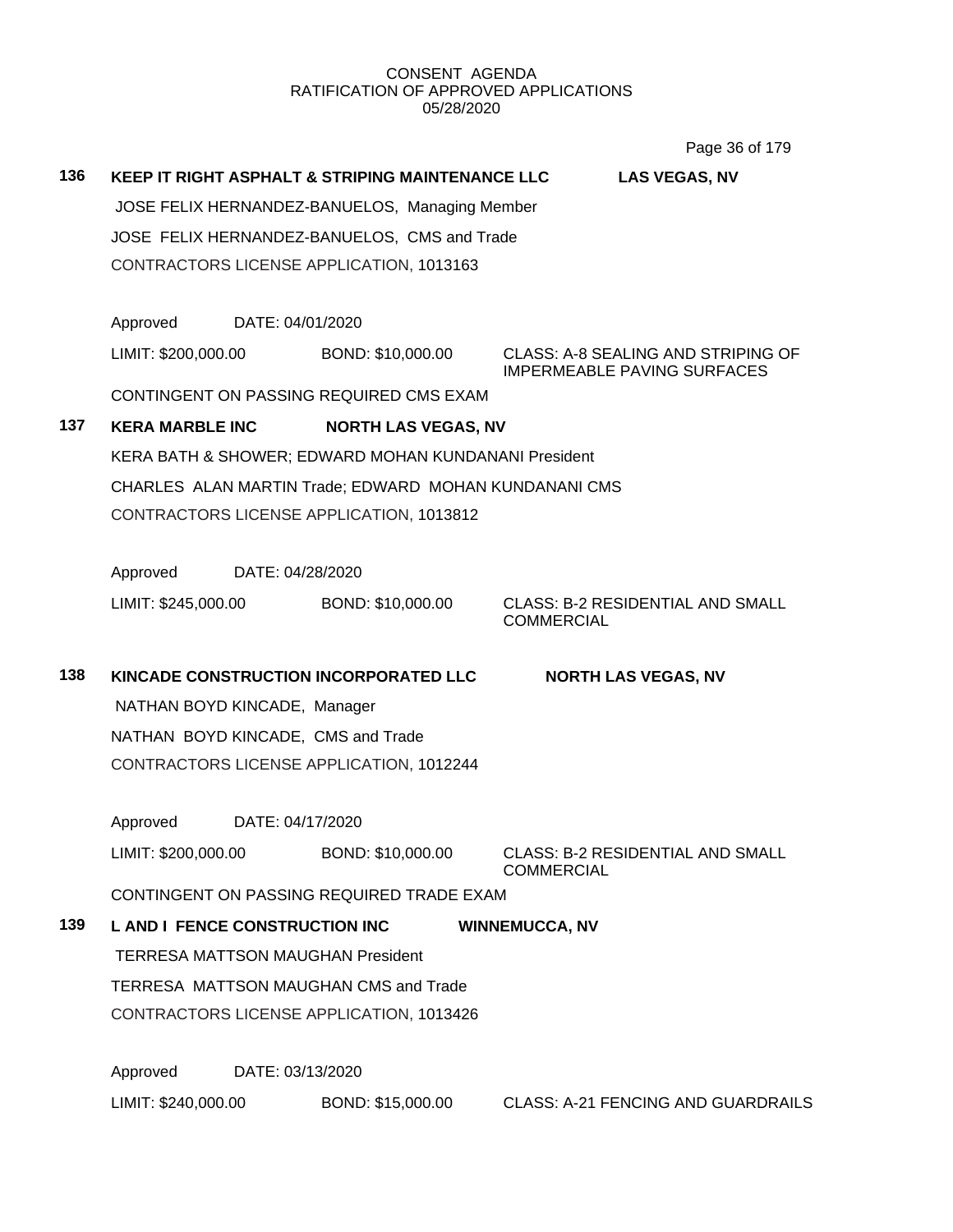Page 36 of 179

|     |                                                |                  |                                                       | $1$ agu vu vi 11 v                                           |  |  |  |
|-----|------------------------------------------------|------------------|-------------------------------------------------------|--------------------------------------------------------------|--|--|--|
| 136 |                                                |                  | KEEP IT RIGHT ASPHALT & STRIPING MAINTENANCE LLC      | <b>LAS VEGAS, NV</b>                                         |  |  |  |
|     | JOSE FELIX HERNANDEZ-BANUELOS, Managing Member |                  |                                                       |                                                              |  |  |  |
|     | JOSE FELIX HERNANDEZ-BANUELOS, CMS and Trade   |                  |                                                       |                                                              |  |  |  |
|     |                                                |                  | CONTRACTORS LICENSE APPLICATION, 1013163              |                                                              |  |  |  |
|     |                                                |                  |                                                       |                                                              |  |  |  |
|     | Approved                                       | DATE: 04/01/2020 |                                                       |                                                              |  |  |  |
|     | LIMIT: \$200,000.00                            |                  | BOND: \$10,000.00                                     | CLASS: A-8 SEALING AND STRIPING OF                           |  |  |  |
|     |                                                |                  | CONTINGENT ON PASSING REQUIRED CMS EXAM               | <b>IMPERMEABLE PAVING SURFACES</b>                           |  |  |  |
| 137 | <b>KERA MARBLE INC</b>                         |                  | <b>NORTH LAS VEGAS, NV</b>                            |                                                              |  |  |  |
|     |                                                |                  | KERA BATH & SHOWER; EDWARD MOHAN KUNDANANI President  |                                                              |  |  |  |
|     |                                                |                  |                                                       |                                                              |  |  |  |
|     |                                                |                  | CHARLES ALAN MARTIN Trade; EDWARD MOHAN KUNDANANI CMS |                                                              |  |  |  |
|     |                                                |                  | CONTRACTORS LICENSE APPLICATION, 1013812              |                                                              |  |  |  |
|     |                                                |                  |                                                       |                                                              |  |  |  |
|     | Approved                                       | DATE: 04/28/2020 |                                                       |                                                              |  |  |  |
|     | LIMIT: \$245,000.00                            |                  | BOND: \$10,000.00                                     | <b>CLASS: B-2 RESIDENTIAL AND SMALL</b><br><b>COMMERCIAL</b> |  |  |  |
|     |                                                |                  |                                                       |                                                              |  |  |  |
| 138 |                                                |                  | KINCADE CONSTRUCTION INCORPORATED LLC                 | <b>NORTH LAS VEGAS, NV</b>                                   |  |  |  |
|     | NATHAN BOYD KINCADE, Manager                   |                  |                                                       |                                                              |  |  |  |
|     |                                                |                  | NATHAN BOYD KINCADE, CMS and Trade                    |                                                              |  |  |  |
|     |                                                |                  | CONTRACTORS LICENSE APPLICATION, 1012244              |                                                              |  |  |  |
|     |                                                |                  |                                                       |                                                              |  |  |  |
|     | Approved                                       | DATE: 04/17/2020 |                                                       |                                                              |  |  |  |
|     | LIMIT: \$200,000.00                            |                  | BOND: \$10,000.00                                     | CLASS: B-2 RESIDENTIAL AND SMALL                             |  |  |  |
|     |                                                |                  | CONTINGENT ON PASSING REQUIRED TRADE EXAM             | <b>COMMERCIAL</b>                                            |  |  |  |
| 139 | <b>L AND I FENCE CONSTRUCTION INC</b>          |                  |                                                       | <b>WINNEMUCCA, NV</b>                                        |  |  |  |
|     |                                                |                  | <b>TERRESA MATTSON MAUGHAN President</b>              |                                                              |  |  |  |
|     |                                                |                  | TERRESA MATTSON MAUGHAN CMS and Trade                 |                                                              |  |  |  |
|     |                                                |                  | CONTRACTORS LICENSE APPLICATION, 1013426              |                                                              |  |  |  |
|     |                                                |                  |                                                       |                                                              |  |  |  |
|     | Approved                                       | DATE: 03/13/2020 |                                                       |                                                              |  |  |  |
|     |                                                |                  |                                                       |                                                              |  |  |  |

LIMIT: \$240,000.00 BOND: \$15,000.00 CLASS: A-21 FENCING AND GUARDRAILS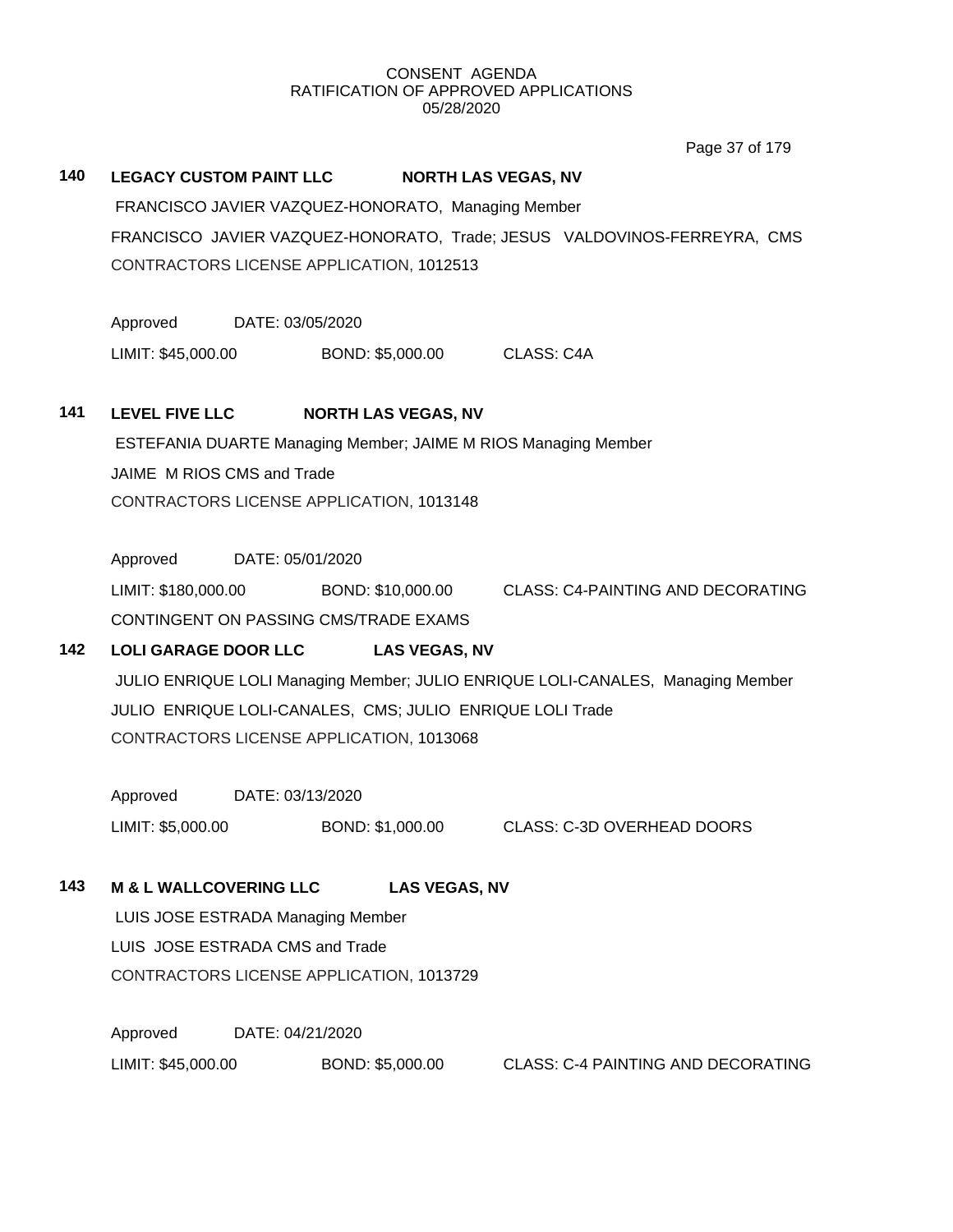Page 37 of 179

# **140 LEGACY CUSTOM PAINT LLC NORTH LAS VEGAS, NV** FRANCISCO JAVIER VAZQUEZ-HONORATO, Managing Member FRANCISCO JAVIER VAZQUEZ-HONORATO, Trade; JESUS VALDOVINOS-FERREYRA, CMS CONTRACTORS LICENSE APPLICATION, 1012513 Approved DATE: 03/05/2020 LIMIT: \$45,000.00 BOND: \$5,000.00 CLASS: C4A **141 LEVEL FIVE LLC NORTH LAS VEGAS, NV** ESTEFANIA DUARTE Managing Member; JAIME M RIOS Managing Member JAIME M RIOS CMS and Trade CONTRACTORS LICENSE APPLICATION, 1013148 Approved DATE: 05/01/2020 LIMIT: \$180,000.00 BOND: \$10,000.00 CLASS: C4-PAINTING AND DECORATING CONTINGENT ON PASSING CMS/TRADE EXAMS **142 LOLI GARAGE DOOR LLC LAS VEGAS, NV** JULIO ENRIQUE LOLI Managing Member; JULIO ENRIQUE LOLI-CANALES, Managing Member JULIO ENRIQUE LOLI-CANALES, CMS; JULIO ENRIQUE LOLI Trade CONTRACTORS LICENSE APPLICATION, 1013068 Approved DATE: 03/13/2020 LIMIT: \$5,000.00 BOND: \$1,000.00 CLASS: C-3D OVERHEAD DOORS **143 M & L WALLCOVERING LLC LAS VEGAS, NV** LUIS JOSE ESTRADA Managing Member LUIS JOSE ESTRADA CMS and Trade CONTRACTORS LICENSE APPLICATION, 1013729 Approved DATE: 04/21/2020 LIMIT: \$45,000.00 BOND: \$5,000.00 CLASS: C-4 PAINTING AND DECORATING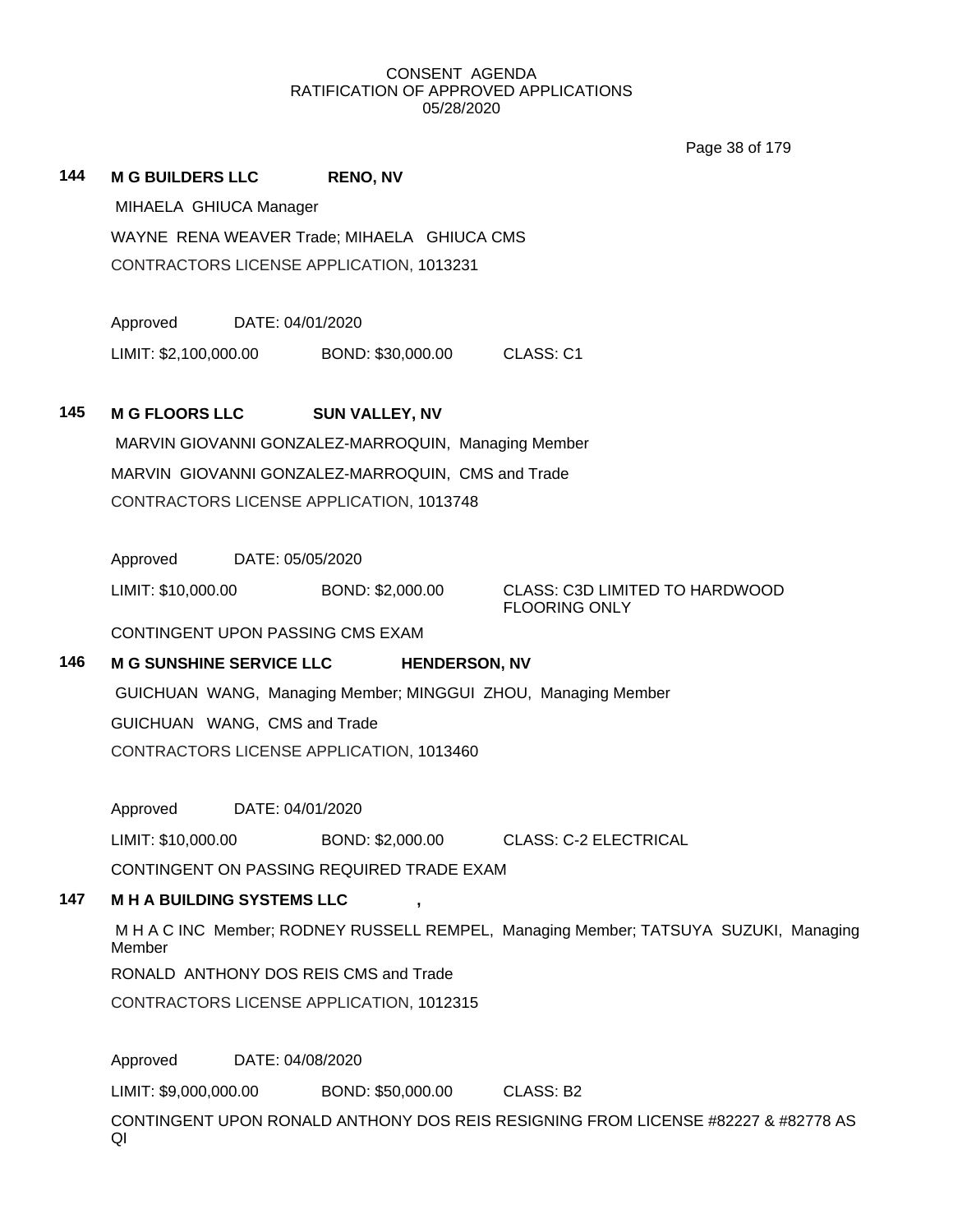Page 38 of 179

|     |                                                     |                  |                                             | Page 38 of 179                                                                       |  |  |  |
|-----|-----------------------------------------------------|------------------|---------------------------------------------|--------------------------------------------------------------------------------------|--|--|--|
| 144 | <b>M G BUILDERS LLC</b>                             |                  | <b>RENO, NV</b>                             |                                                                                      |  |  |  |
|     | MIHAELA GHIUCA Manager                              |                  |                                             |                                                                                      |  |  |  |
|     |                                                     |                  | WAYNE RENA WEAVER Trade; MIHAELA GHIUCA CMS |                                                                                      |  |  |  |
|     |                                                     |                  | CONTRACTORS LICENSE APPLICATION, 1013231    |                                                                                      |  |  |  |
|     | Approved                                            | DATE: 04/01/2020 |                                             |                                                                                      |  |  |  |
|     | LIMIT: \$2,100,000.00                               |                  | BOND: \$30,000.00                           | CLASS: C1                                                                            |  |  |  |
| 145 | <b>M G FLOORS LLC</b>                               |                  | <b>SUN VALLEY, NV</b>                       |                                                                                      |  |  |  |
|     | MARVIN GIOVANNI GONZALEZ-MARROQUIN, Managing Member |                  |                                             |                                                                                      |  |  |  |
|     | MARVIN GIOVANNI GONZALEZ-MARROQUIN, CMS and Trade   |                  |                                             |                                                                                      |  |  |  |
|     |                                                     |                  | CONTRACTORS LICENSE APPLICATION, 1013748    |                                                                                      |  |  |  |
|     | Approved                                            | DATE: 05/05/2020 |                                             |                                                                                      |  |  |  |
|     | LIMIT: \$10,000.00                                  |                  | BOND: \$2,000.00                            | <b>CLASS: C3D LIMITED TO HARDWOOD</b><br><b>FLOORING ONLY</b>                        |  |  |  |
|     | CONTINGENT UPON PASSING CMS EXAM                    |                  |                                             |                                                                                      |  |  |  |
| 146 | <b>M G SUNSHINE SERVICE LLC</b>                     |                  | <b>HENDERSON, NV</b>                        |                                                                                      |  |  |  |
|     |                                                     |                  |                                             | GUICHUAN WANG, Managing Member; MINGGUI ZHOU, Managing Member                        |  |  |  |
|     | GUICHUAN WANG, CMS and Trade                        |                  |                                             |                                                                                      |  |  |  |
|     |                                                     |                  | CONTRACTORS LICENSE APPLICATION, 1013460    |                                                                                      |  |  |  |
|     | Approved                                            | DATE: 04/01/2020 |                                             |                                                                                      |  |  |  |
|     | LIMIT: \$10,000.00                                  |                  |                                             | BOND: \$2,000.00 CLASS: C-2 ELECTRICAL                                               |  |  |  |
|     |                                                     |                  | CONTINGENT ON PASSING REQUIRED TRADE EXAM   |                                                                                      |  |  |  |
| 147 | <b>M H A BUILDING SYSTEMS LLC</b>                   |                  |                                             |                                                                                      |  |  |  |
|     | Member                                              |                  |                                             | M H A C INC Member; RODNEY RUSSELL REMPEL, Managing Member; TATSUYA SUZUKI, Managing |  |  |  |

RONALD ANTHONY DOS REIS CMS and Trade

CONTRACTORS LICENSE APPLICATION, 1012315

Approved DATE: 04/08/2020

LIMIT: \$9,000,000.00 BOND: \$50,000.00 CLASS: B2

CONTINGENT UPON RONALD ANTHONY DOS REIS RESIGNING FROM LICENSE #82227 & #82778 AS QI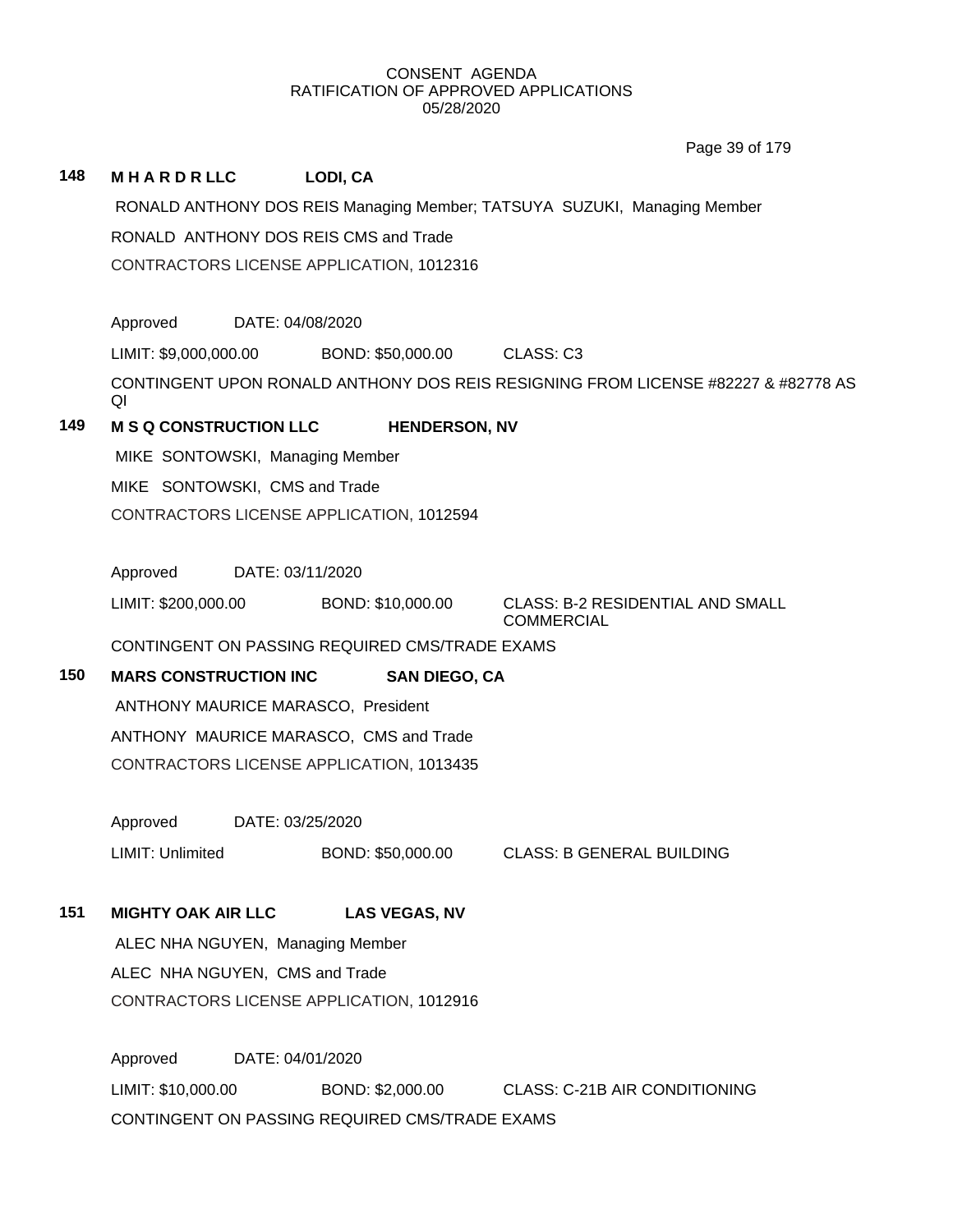|     |                                                |                  |                   |                      | Page 39 of 179                                                                    |
|-----|------------------------------------------------|------------------|-------------------|----------------------|-----------------------------------------------------------------------------------|
| 148 | <b>MHARDRLLC</b>                               |                  | LODI, CA          |                      |                                                                                   |
|     |                                                |                  |                   |                      | RONALD ANTHONY DOS REIS Managing Member; TATSUYA SUZUKI, Managing Member          |
|     | RONALD ANTHONY DOS REIS CMS and Trade          |                  |                   |                      |                                                                                   |
|     | CONTRACTORS LICENSE APPLICATION, 1012316       |                  |                   |                      |                                                                                   |
|     | Approved                                       | DATE: 04/08/2020 |                   |                      |                                                                                   |
|     | LIMIT: \$9,000,000.00                          |                  | BOND: \$50,000.00 |                      | CLASS: C3                                                                         |
|     | QI                                             |                  |                   |                      | CONTINGENT UPON RONALD ANTHONY DOS REIS RESIGNING FROM LICENSE #82227 & #82778 AS |
| 149 | <b>M S Q CONSTRUCTION LLC</b>                  |                  |                   | <b>HENDERSON, NV</b> |                                                                                   |
|     | MIKE SONTOWSKI, Managing Member                |                  |                   |                      |                                                                                   |
|     | MIKE SONTOWSKI, CMS and Trade                  |                  |                   |                      |                                                                                   |
|     | CONTRACTORS LICENSE APPLICATION, 1012594       |                  |                   |                      |                                                                                   |
|     |                                                |                  |                   |                      |                                                                                   |
|     | Approved                                       | DATE: 03/11/2020 |                   |                      |                                                                                   |
|     | LIMIT: \$200,000.00                            |                  | BOND: \$10,000.00 |                      | <b>CLASS: B-2 RESIDENTIAL AND SMALL</b><br><b>COMMERCIAL</b>                      |
|     | CONTINGENT ON PASSING REQUIRED CMS/TRADE EXAMS |                  |                   |                      |                                                                                   |
| 150 | <b>MARS CONSTRUCTION INC</b>                   |                  |                   | <b>SAN DIEGO, CA</b> |                                                                                   |
|     | ANTHONY MAURICE MARASCO, President             |                  |                   |                      |                                                                                   |
|     | ANTHONY MAURICE MARASCO, CMS and Trade         |                  |                   |                      |                                                                                   |
|     | CONTRACTORS LICENSE APPLICATION, 1013435       |                  |                   |                      |                                                                                   |
|     |                                                | DATE: 03/25/2020 |                   |                      |                                                                                   |
|     | Approved                                       |                  |                   |                      |                                                                                   |
|     | LIMIT: Unlimited                               |                  | BOND: \$50,000.00 |                      | <b>CLASS: B GENERAL BUILDING</b>                                                  |
| 151 | <b>MIGHTY OAK AIR LLC</b>                      |                  |                   | <b>LAS VEGAS, NV</b> |                                                                                   |
|     | ALEC NHA NGUYEN, Managing Member               |                  |                   |                      |                                                                                   |
|     | ALEC NHA NGUYEN, CMS and Trade                 |                  |                   |                      |                                                                                   |
|     | CONTRACTORS LICENSE APPLICATION, 1012916       |                  |                   |                      |                                                                                   |
|     |                                                |                  |                   |                      |                                                                                   |
|     | Approved                                       | DATE: 04/01/2020 |                   |                      |                                                                                   |

LIMIT: \$10,000.00 BOND: \$2,000.00 CLASS: C-21B AIR CONDITIONING CONTINGENT ON PASSING REQUIRED CMS/TRADE EXAMS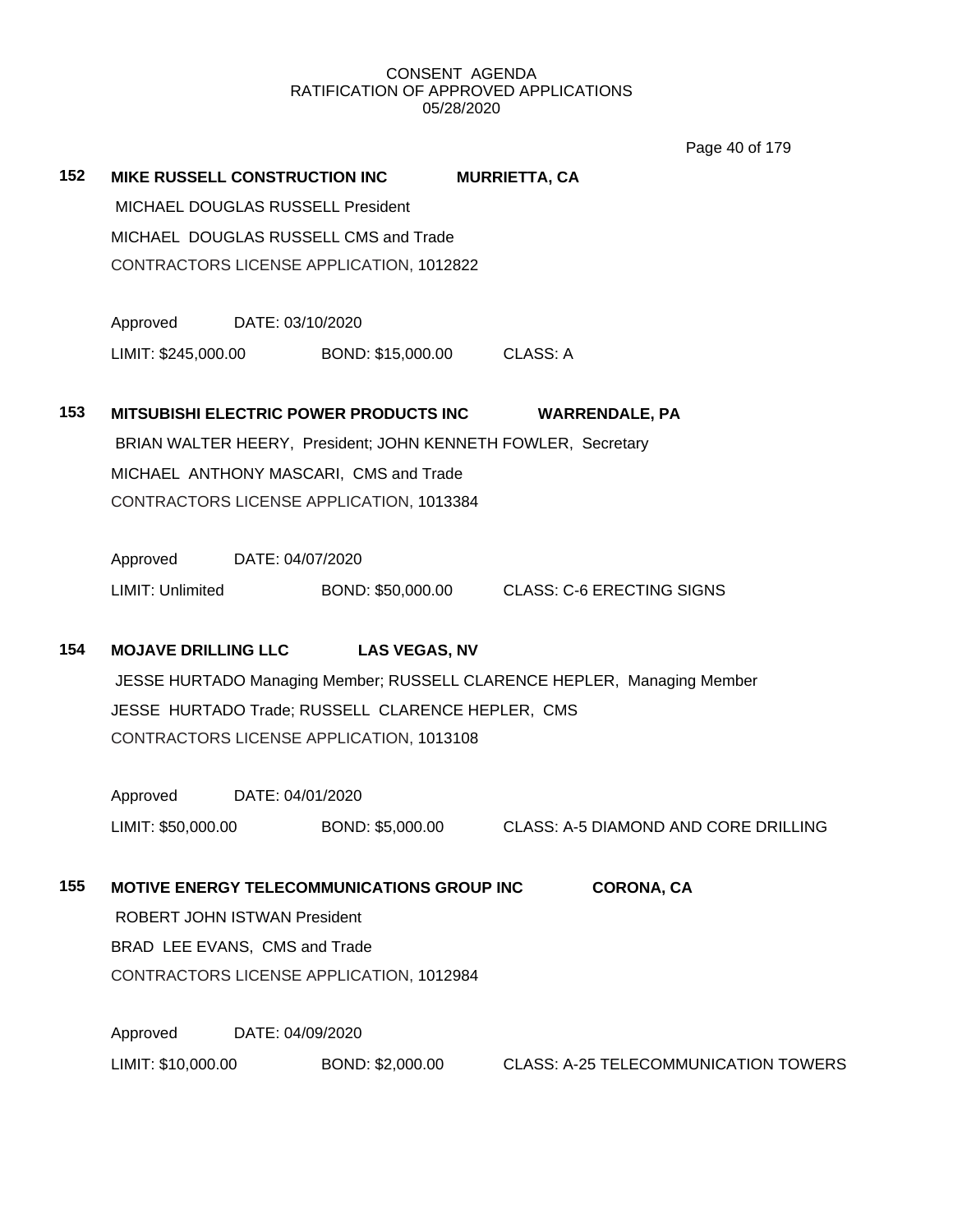Page 40 of 179

|     |                                      |                                                               | <b>Fay<del>c</del></b> 40 01 17 5                                       |  |
|-----|--------------------------------------|---------------------------------------------------------------|-------------------------------------------------------------------------|--|
| 152 | <b>MIKE RUSSELL CONSTRUCTION INC</b> |                                                               | <b>MURRIETTA, CA</b>                                                    |  |
|     | MICHAEL DOUGLAS RUSSELL President    |                                                               |                                                                         |  |
|     |                                      | MICHAEL DOUGLAS RUSSELL CMS and Trade                         |                                                                         |  |
|     |                                      | CONTRACTORS LICENSE APPLICATION, 1012822                      |                                                                         |  |
|     | Approved                             | DATE: 03/10/2020                                              |                                                                         |  |
|     |                                      | LIMIT: \$245,000.00 BOND: \$15,000.00                         | <b>CLASS: A</b>                                                         |  |
| 153 |                                      | <b>MITSUBISHI ELECTRIC POWER PRODUCTS INC.</b>                | <b>WARRENDALE, PA</b>                                                   |  |
|     |                                      | BRIAN WALTER HEERY, President; JOHN KENNETH FOWLER, Secretary |                                                                         |  |
|     |                                      | MICHAEL ANTHONY MASCARI, CMS and Trade                        |                                                                         |  |
|     |                                      | CONTRACTORS LICENSE APPLICATION, 1013384                      |                                                                         |  |
|     | Approved                             | DATE: 04/07/2020                                              |                                                                         |  |
|     | <b>LIMIT: Unlimited</b>              |                                                               | BOND: \$50,000.00 CLASS: C-6 ERECTING SIGNS                             |  |
| 154 | <b>MOJAVE DRILLING LLC</b>           | <b>LAS VEGAS, NV</b>                                          |                                                                         |  |
|     |                                      |                                                               | JESSE HURTADO Managing Member; RUSSELL CLARENCE HEPLER, Managing Member |  |
|     |                                      | JESSE HURTADO Trade; RUSSELL CLARENCE HEPLER, CMS             |                                                                         |  |
|     |                                      | CONTRACTORS LICENSE APPLICATION, 1013108                      |                                                                         |  |
|     | Approved                             | DATE: 04/01/2020                                              |                                                                         |  |
|     | LIMIT: \$50,000.00                   | BOND: \$5,000.00                                              | <b>CLASS: A-5 DIAMOND AND CORE DRILLING</b>                             |  |
| 155 |                                      | <b>MOTIVE ENERGY TELECOMMUNICATIONS GROUP INC.</b>            | <b>CORONA, CA</b>                                                       |  |
|     | <b>ROBERT JOHN ISTWAN President</b>  |                                                               |                                                                         |  |
|     | BRAD LEE EVANS, CMS and Trade        |                                                               |                                                                         |  |
|     |                                      | CONTRACTORS LICENSE APPLICATION, 1012984                      |                                                                         |  |
|     | Approved                             | DATE: 04/09/2020                                              |                                                                         |  |
|     | LIMIT: \$10,000.00                   | BOND: \$2,000.00                                              | <b>CLASS: A-25 TELECOMMUNICATION TOWERS</b>                             |  |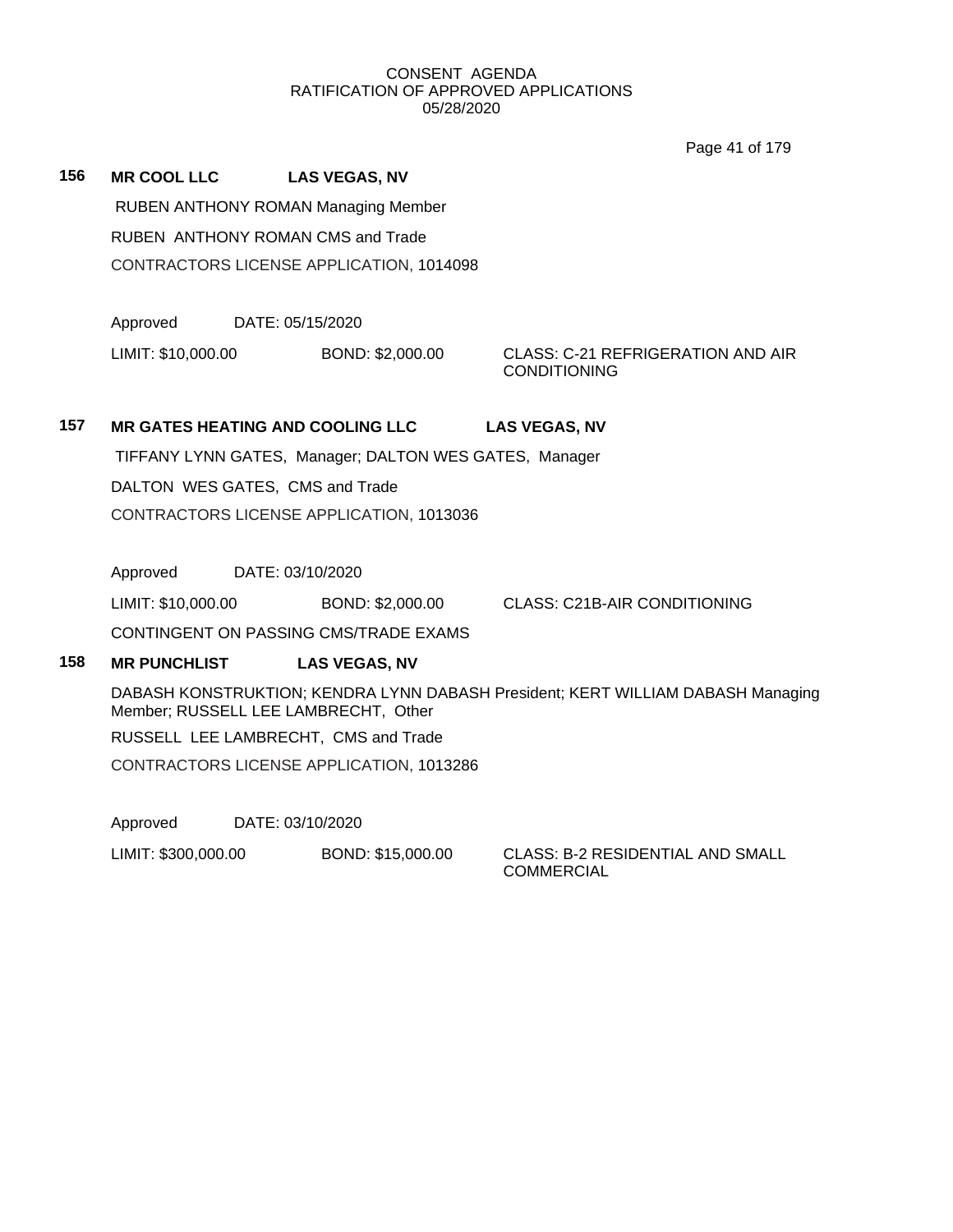Page 41 of 179

| 156 | <b>MR COOL LLC</b> | <b>LAS VEGAS, NV</b>                            |
|-----|--------------------|-------------------------------------------------|
|     |                    | RUBEN ANTHONY ROMAN Managing Member             |
|     |                    | RUBEN ANTHONY ROMAN CMS and Trade               |
|     |                    | <b>CONTRACTORS LICENSE APPLICATION, 1014098</b> |

Approved DATE: 05/15/2020

LIMIT: \$10,000.00 BOND: \$2,000.00 CLASS: C-21 REFRIGERATION AND AIR

CONDITIONING

# **157 MR GATES HEATING AND COOLING LLC LAS VEGAS, NV**

TIFFANY LYNN GATES, Manager; DALTON WES GATES, Manager

DALTON WES GATES, CMS and Trade

CONTRACTORS LICENSE APPLICATION, 1013036

Approved DATE: 03/10/2020

LIMIT: \$10,000.00 BOND: \$2,000.00 CLASS: C21B-AIR CONDITIONING

CONTINGENT ON PASSING CMS/TRADE EXAMS

# **158 MR PUNCHLIST LAS VEGAS, NV**

DABASH KONSTRUKTION; KENDRA LYNN DABASH President; KERT WILLIAM DABASH Managing Member; RUSSELL LEE LAMBRECHT, Other

RUSSELL LEE LAMBRECHT, CMS and Trade

CONTRACTORS LICENSE APPLICATION, 1013286

Approved DATE: 03/10/2020

LIMIT: \$300,000.00 BOND: \$15,000.00 CLASS: B-2 RESIDENTIAL AND SMALL

COMMERCIAL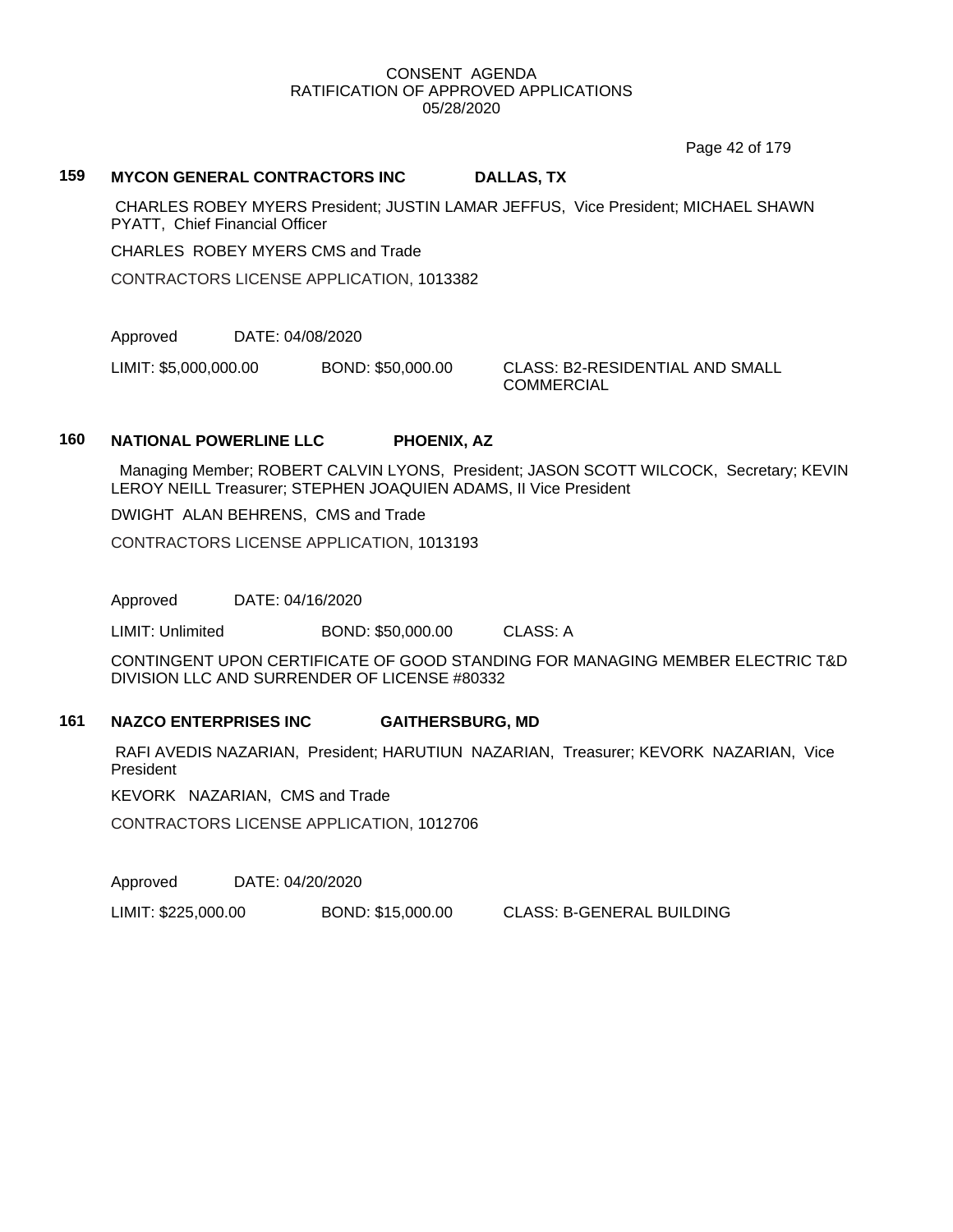Page 42 of 179

#### **159 MYCON GENERAL CONTRACTORS INC DALLAS, TX**

CHARLES ROBEY MYERS President; JUSTIN LAMAR JEFFUS, Vice President; MICHAEL SHAWN PYATT, Chief Financial Officer

CHARLES ROBEY MYERS CMS and Trade

CONTRACTORS LICENSE APPLICATION, 1013382

Approved DATE: 04/08/2020

LIMIT: \$5,000,000.00 BOND: \$50,000.00 CLASS: B2-RESIDENTIAL AND SMALL

COMMERCIAL

#### **160 NATIONAL POWERLINE LLC PHOENIX, AZ**

 Managing Member; ROBERT CALVIN LYONS, President; JASON SCOTT WILCOCK, Secretary; KEVIN LEROY NEILL Treasurer; STEPHEN JOAQUIEN ADAMS, II Vice President

DWIGHT ALAN BEHRENS, CMS and Trade

CONTRACTORS LICENSE APPLICATION, 1013193

Approved DATE: 04/16/2020

LIMIT: Unlimited BOND: \$50,000.00 CLASS: A

CONTINGENT UPON CERTIFICATE OF GOOD STANDING FOR MANAGING MEMBER ELECTRIC T&D DIVISION LLC AND SURRENDER OF LICENSE #80332

#### **161 NAZCO ENTERPRISES INC GAITHERSBURG, MD**

RAFI AVEDIS NAZARIAN, President; HARUTIUN NAZARIAN, Treasurer; KEVORK NAZARIAN, Vice **President** 

KEVORK NAZARIAN, CMS and Trade

CONTRACTORS LICENSE APPLICATION, 1012706

Approved DATE: 04/20/2020

LIMIT: \$225,000.00 BOND: \$15,000.00 CLASS: B-GENERAL BUILDING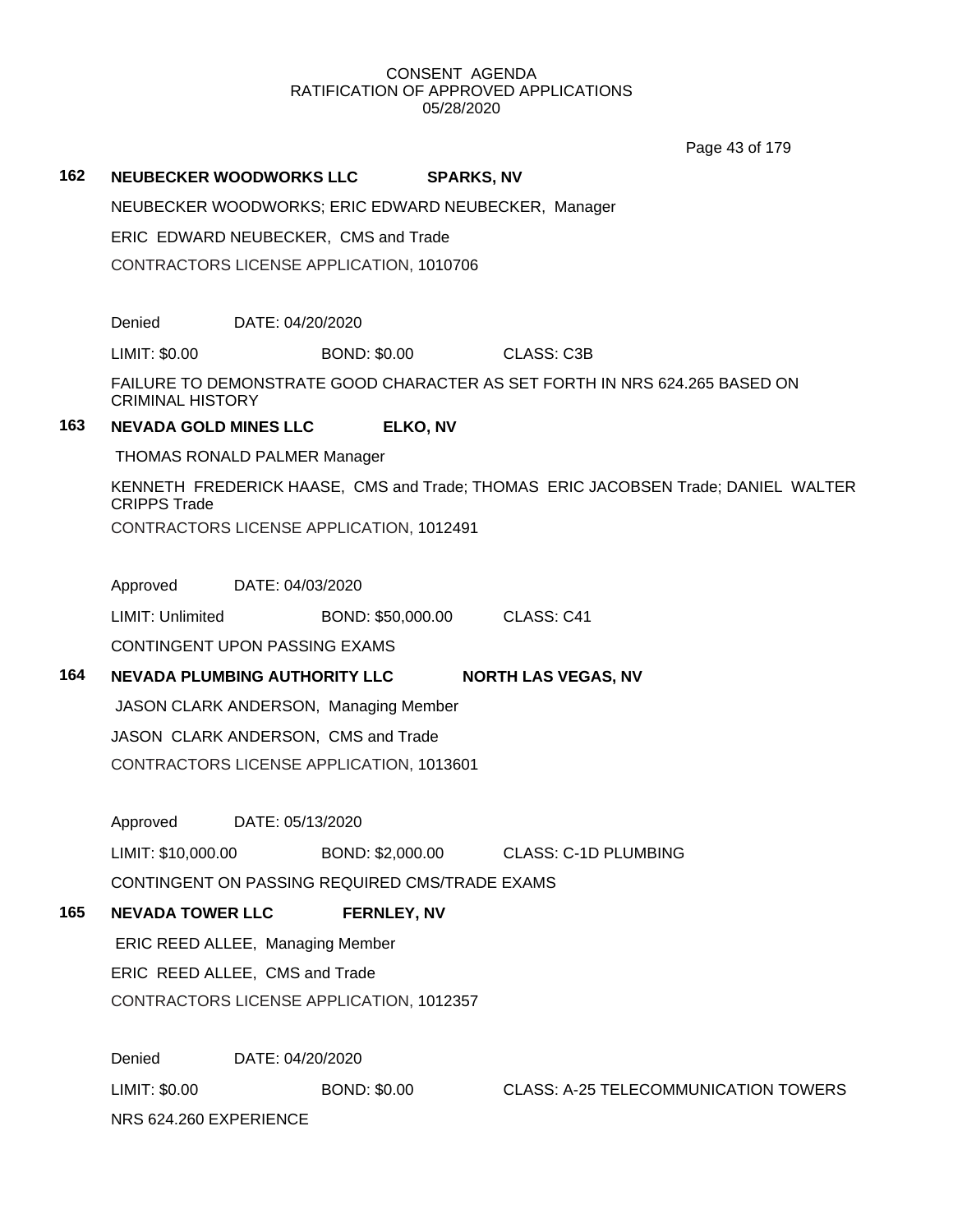Page 43 of 179

# **162 NEUBECKER WOODWORKS LLC SPARKS, NV** NEUBECKER WOODWORKS; ERIC EDWARD NEUBECKER, Manager ERIC EDWARD NEUBECKER, CMS and Trade CONTRACTORS LICENSE APPLICATION, 1010706 Denied DATE: 04/20/2020 LIMIT: \$0.00 BOND: \$0.00 CLASS: C3B FAILURE TO DEMONSTRATE GOOD CHARACTER AS SET FORTH IN NRS 624.265 BASED ON CRIMINAL HISTORY **163 NEVADA GOLD MINES LLC ELKO, NV** THOMAS RONALD PALMER Manager KENNETH FREDERICK HAASE, CMS and Trade; THOMAS ERIC JACOBSEN Trade; DANIEL WALTER CRIPPS Trade CONTRACTORS LICENSE APPLICATION, 1012491 Approved DATE: 04/03/2020 LIMIT: Unlimited BOND: \$50,000.00 CLASS: C41 CONTINGENT UPON PASSING EXAMS **164 NEVADA PLUMBING AUTHORITY LLC NORTH LAS VEGAS, NV** JASON CLARK ANDERSON, Managing Member JASON CLARK ANDERSON, CMS and Trade CONTRACTORS LICENSE APPLICATION, 1013601 Approved DATE: 05/13/2020 LIMIT: \$10,000.00 BOND: \$2,000.00 CLASS: C-1D PLUMBING CONTINGENT ON PASSING REQUIRED CMS/TRADE EXAMS **165 NEVADA TOWER LLC FERNLEY, NV** ERIC REED ALLEE, Managing Member ERIC REED ALLEE, CMS and Trade CONTRACTORS LICENSE APPLICATION, 1012357 Denied DATE: 04/20/2020 LIMIT: \$0.00 BOND: \$0.00 CLASS: A-25 TELECOMMUNICATION TOWERS NRS 624.260 EXPERIENCE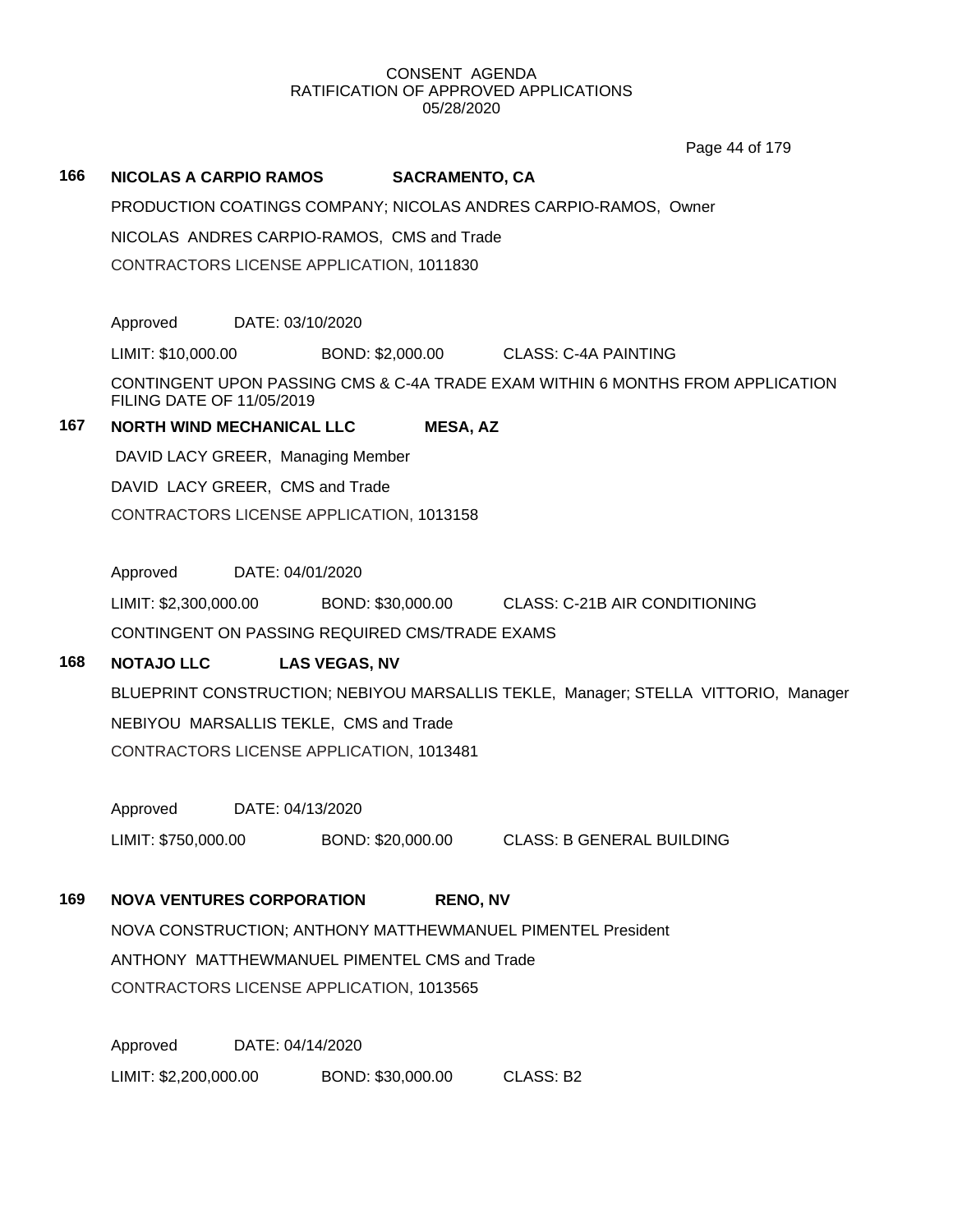Page 44 of 179

## **166 NICOLAS A CARPIO RAMOS SACRAMENTO, CA**

PRODUCTION COATINGS COMPANY; NICOLAS ANDRES CARPIO-RAMOS, Owner

NICOLAS ANDRES CARPIO-RAMOS, CMS and Trade

CONTRACTORS LICENSE APPLICATION, 1011830

Approved DATE: 03/10/2020

LIMIT: \$10,000.00 BOND: \$2,000.00 CLASS: C-4A PAINTING

CONTINGENT UPON PASSING CMS & C-4A TRADE EXAM WITHIN 6 MONTHS FROM APPLICATION FILING DATE OF 11/05/2019

# **167 NORTH WIND MECHANICAL LLC MESA, AZ**

DAVID LACY GREER, Managing Member

DAVID LACY GREER, CMS and Trade

CONTRACTORS LICENSE APPLICATION, 1013158

Approved DATE: 04/01/2020

LIMIT: \$2,300,000.00 BOND: \$30,000.00 CLASS: C-21B AIR CONDITIONING CONTINGENT ON PASSING REQUIRED CMS/TRADE EXAMS

# **168 NOTAJO LLC LAS VEGAS, NV**

BLUEPRINT CONSTRUCTION; NEBIYOU MARSALLIS TEKLE, Manager; STELLA VITTORIO, Manager NEBIYOU MARSALLIS TEKLE, CMS and Trade CONTRACTORS LICENSE APPLICATION, 1013481

Approved DATE: 04/13/2020

LIMIT: \$750,000.00 BOND: \$20,000.00 CLASS: B GENERAL BUILDING

# **169 NOVA VENTURES CORPORATION RENO, NV**

NOVA CONSTRUCTION; ANTHONY MATTHEWMANUEL PIMENTEL President ANTHONY MATTHEWMANUEL PIMENTEL CMS and Trade CONTRACTORS LICENSE APPLICATION, 1013565

Approved DATE: 04/14/2020 LIMIT: \$2,200,000.00 BOND: \$30,000.00 CLASS: B2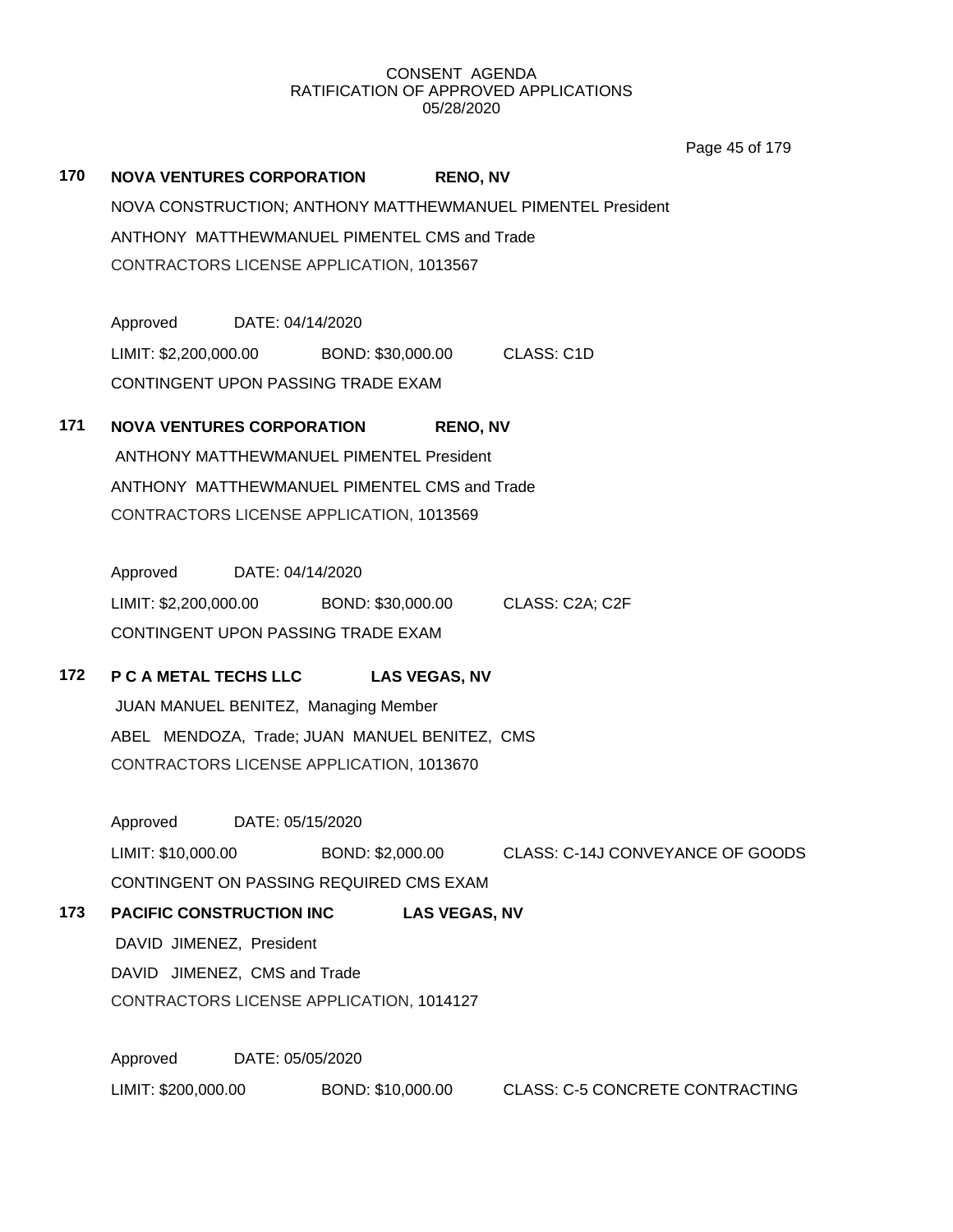Page 45 of 179

**170 NOVA VENTURES CORPORATION RENO, NV** NOVA CONSTRUCTION; ANTHONY MATTHEWMANUEL PIMENTEL President ANTHONY MATTHEWMANUEL PIMENTEL CMS and Trade CONTRACTORS LICENSE APPLICATION, 1013567

Approved DATE: 04/14/2020 LIMIT: \$2,200,000.00 BOND: \$30,000.00 CLASS: C1D CONTINGENT UPON PASSING TRADE EXAM

# **171 NOVA VENTURES CORPORATION RENO, NV** ANTHONY MATTHEWMANUEL PIMENTEL President

ANTHONY MATTHEWMANUEL PIMENTEL CMS and Trade CONTRACTORS LICENSE APPLICATION, 1013569

Approved DATE: 04/14/2020 LIMIT: \$2,200,000.00 BOND: \$30,000.00 CLASS: C2A; C2F CONTINGENT UPON PASSING TRADE EXAM

# **172 P C A METAL TECHS LLC LAS VEGAS, NV**

JUAN MANUEL BENITEZ, Managing Member ABEL MENDOZA, Trade; JUAN MANUEL BENITEZ, CMS CONTRACTORS LICENSE APPLICATION, 1013670

Approved DATE: 05/15/2020 LIMIT: \$10,000.00 BOND: \$2,000.00 CLASS: C-14J CONVEYANCE OF GOODS CONTINGENT ON PASSING REQUIRED CMS EXAM

**173 PACIFIC CONSTRUCTION INC LAS VEGAS, NV** DAVID JIMENEZ, President DAVID JIMENEZ, CMS and Trade CONTRACTORS LICENSE APPLICATION, 1014127

Approved DATE: 05/05/2020 LIMIT: \$200,000.00 BOND: \$10,000.00 CLASS: C-5 CONCRETE CONTRACTING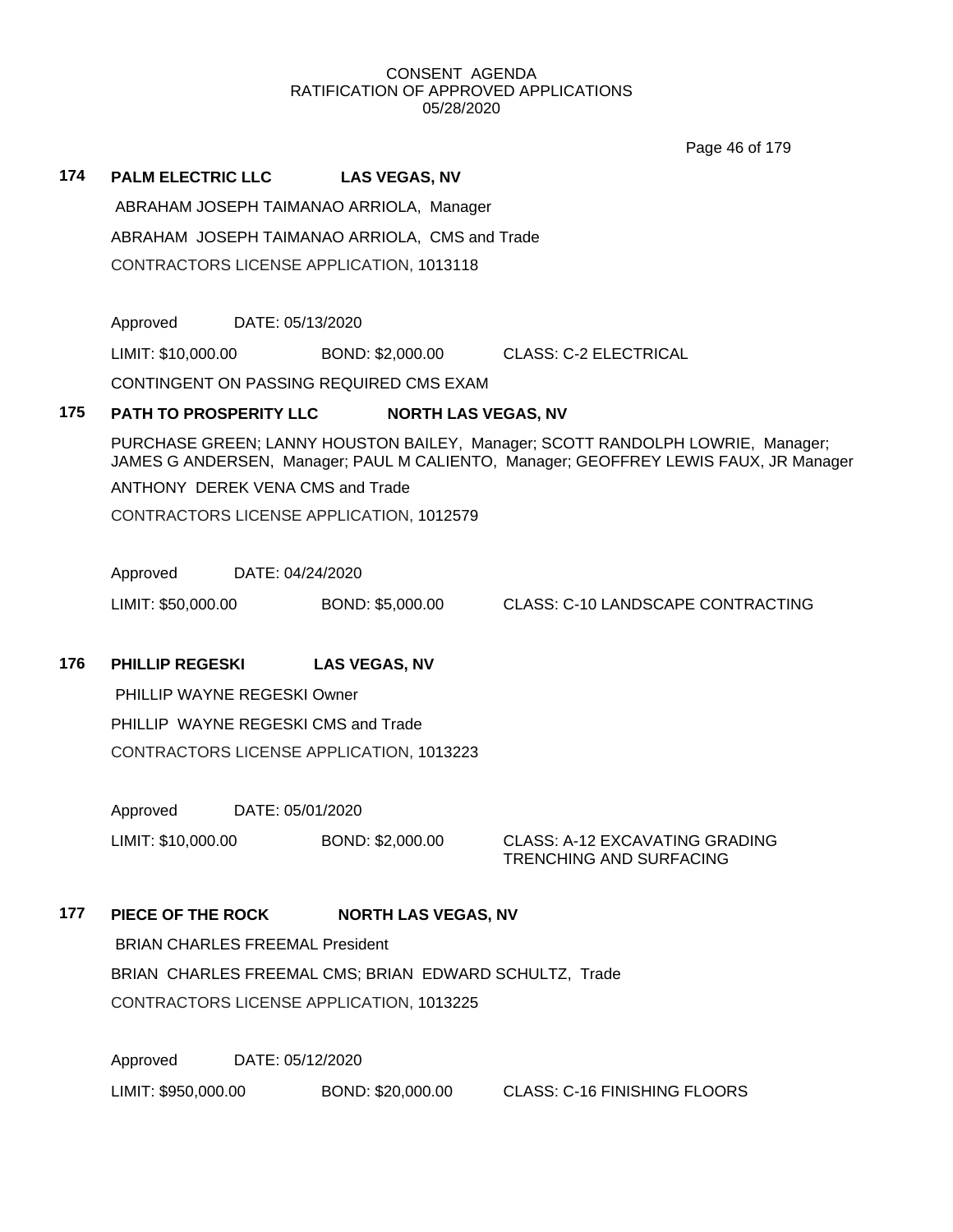Page 46 of 179

| 174 | <b>PALM ELECTRIC LLC</b>                        | <b>LAS VEGAS, NV</b>                           |
|-----|-------------------------------------------------|------------------------------------------------|
|     | ABRAHAM JOSEPH TAIMANAO ARRIOLA, Manager        |                                                |
|     |                                                 | ABRAHAM JOSEPH TAIMANAO ARRIOLA, CMS and Trade |
|     | <b>CONTRACTORS LICENSE APPLICATION, 1013118</b> |                                                |

Approved DATE: 05/13/2020

LIMIT: \$10,000.00 BOND: \$2,000.00 CLASS: C-2 ELECTRICAL

CONTINGENT ON PASSING REQUIRED CMS EXAM

# **175 PATH TO PROSPERITY LLC NORTH LAS VEGAS, NV**

PURCHASE GREEN; LANNY HOUSTON BAILEY, Manager; SCOTT RANDOLPH LOWRIE, Manager; JAMES G ANDERSEN, Manager; PAUL M CALIENTO, Manager; GEOFFREY LEWIS FAUX, JR Manager

ANTHONY DEREK VENA CMS and Trade

CONTRACTORS LICENSE APPLICATION, 1012579

Approved DATE: 04/24/2020

LIMIT: \$50,000.00 BOND: \$5,000.00 CLASS: C-10 LANDSCAPE CONTRACTING

# **176 PHILLIP REGESKI LAS VEGAS, NV**

PHILLIP WAYNE REGESKI Owner PHILLIP WAYNE REGESKI CMS and Trade CONTRACTORS LICENSE APPLICATION, 1013223

Approved DATE: 05/01/2020

LIMIT: \$10,000.00 BOND: \$2,000.00 CLASS: A-12 EXCAVATING GRADING

TRENCHING AND SURFACING

177 **PIECE OF THE ROCK NORTH LAS VEGAS, NV** 

BRIAN CHARLES FREEMAL President

BRIAN CHARLES FREEMAL CMS; BRIAN EDWARD SCHULTZ, Trade CONTRACTORS LICENSE APPLICATION, 1013225

Approved DATE: 05/12/2020

LIMIT: \$950,000.00 BOND: \$20,000.00 CLASS: C-16 FINISHING FLOORS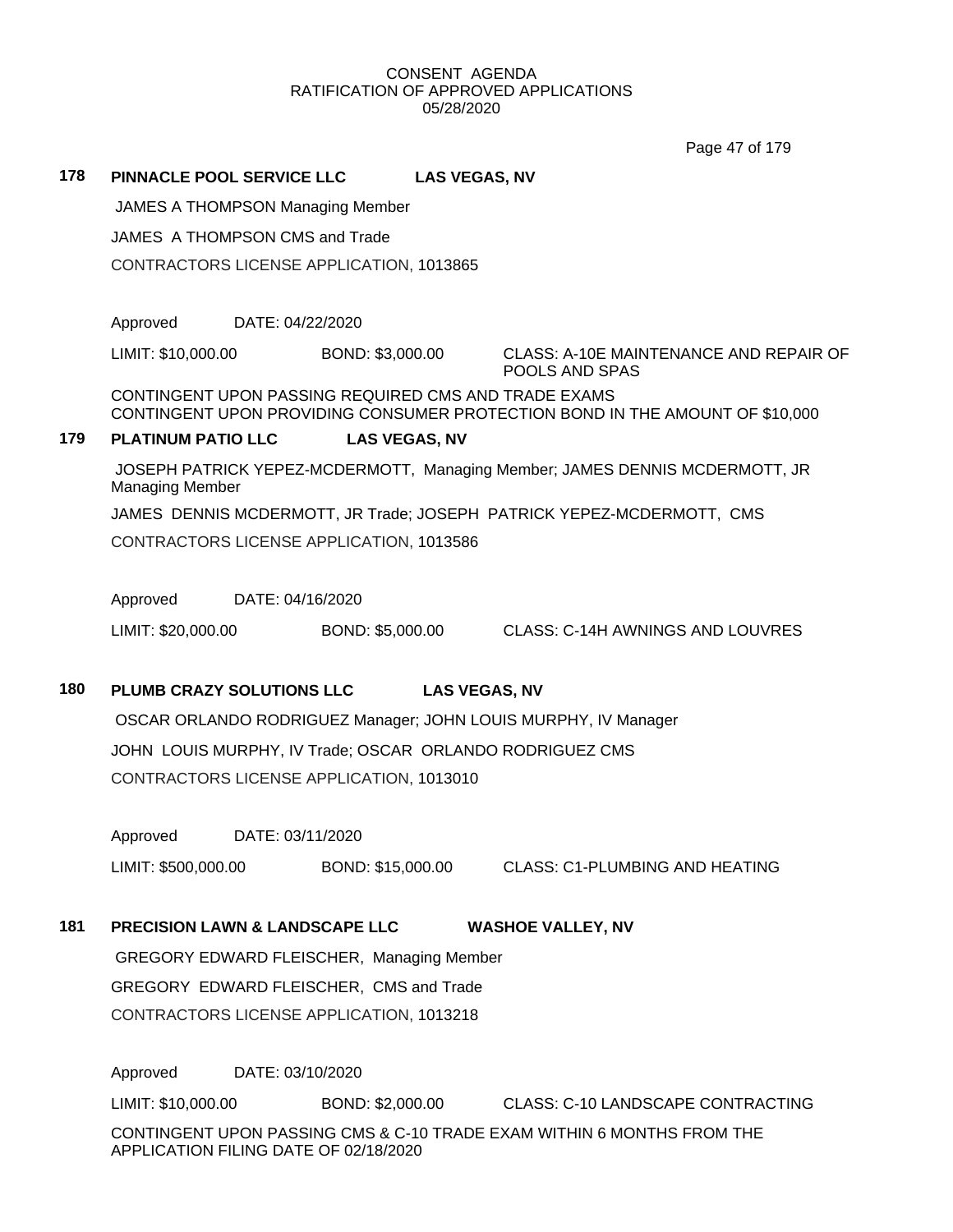Page 47 of 179

**178 PINNACLE POOL SERVICE LLC LAS VEGAS, NV** JAMES A THOMPSON Managing Member JAMES A THOMPSON CMS and Trade CONTRACTORS LICENSE APPLICATION, 1013865 Approved DATE: 04/22/2020 LIMIT: \$10,000.00 BOND: \$3,000.00 CLASS: A-10E MAINTENANCE AND REPAIR OF POOLS AND SPAS CONTINGENT UPON PASSING REQUIRED CMS AND TRADE EXAMS CONTINGENT UPON PROVIDING CONSUMER PROTECTION BOND IN THE AMOUNT OF \$10,000 **179 PLATINUM PATIO LLC LAS VEGAS, NV** JOSEPH PATRICK YEPEZ-MCDERMOTT, Managing Member; JAMES DENNIS MCDERMOTT, JR Managing Member JAMES DENNIS MCDERMOTT, JR Trade; JOSEPH PATRICK YEPEZ-MCDERMOTT, CMS CONTRACTORS LICENSE APPLICATION, 1013586 Approved DATE: 04/16/2020 LIMIT: \$20,000.00 BOND: \$5,000.00 CLASS: C-14H AWNINGS AND LOUVRES **180 PLUMB CRAZY SOLUTIONS LLC LAS VEGAS, NV**

OSCAR ORLANDO RODRIGUEZ Manager; JOHN LOUIS MURPHY, IV Manager JOHN LOUIS MURPHY, IV Trade; OSCAR ORLANDO RODRIGUEZ CMS CONTRACTORS LICENSE APPLICATION, 1013010

Approved DATE: 03/11/2020

LIMIT: \$500,000.00 BOND: \$15,000.00 CLASS: C1-PLUMBING AND HEATING

# **181 PRECISION LAWN & LANDSCAPE LLC WASHOE VALLEY, NV**

GREGORY EDWARD FLEISCHER, Managing Member GREGORY EDWARD FLEISCHER, CMS and Trade CONTRACTORS LICENSE APPLICATION, 1013218

Approved DATE: 03/10/2020 LIMIT: \$10,000.00 BOND: \$2,000.00 CLASS: C-10 LANDSCAPE CONTRACTING CONTINGENT UPON PASSING CMS & C-10 TRADE EXAM WITHIN 6 MONTHS FROM THE APPLICATION FILING DATE OF 02/18/2020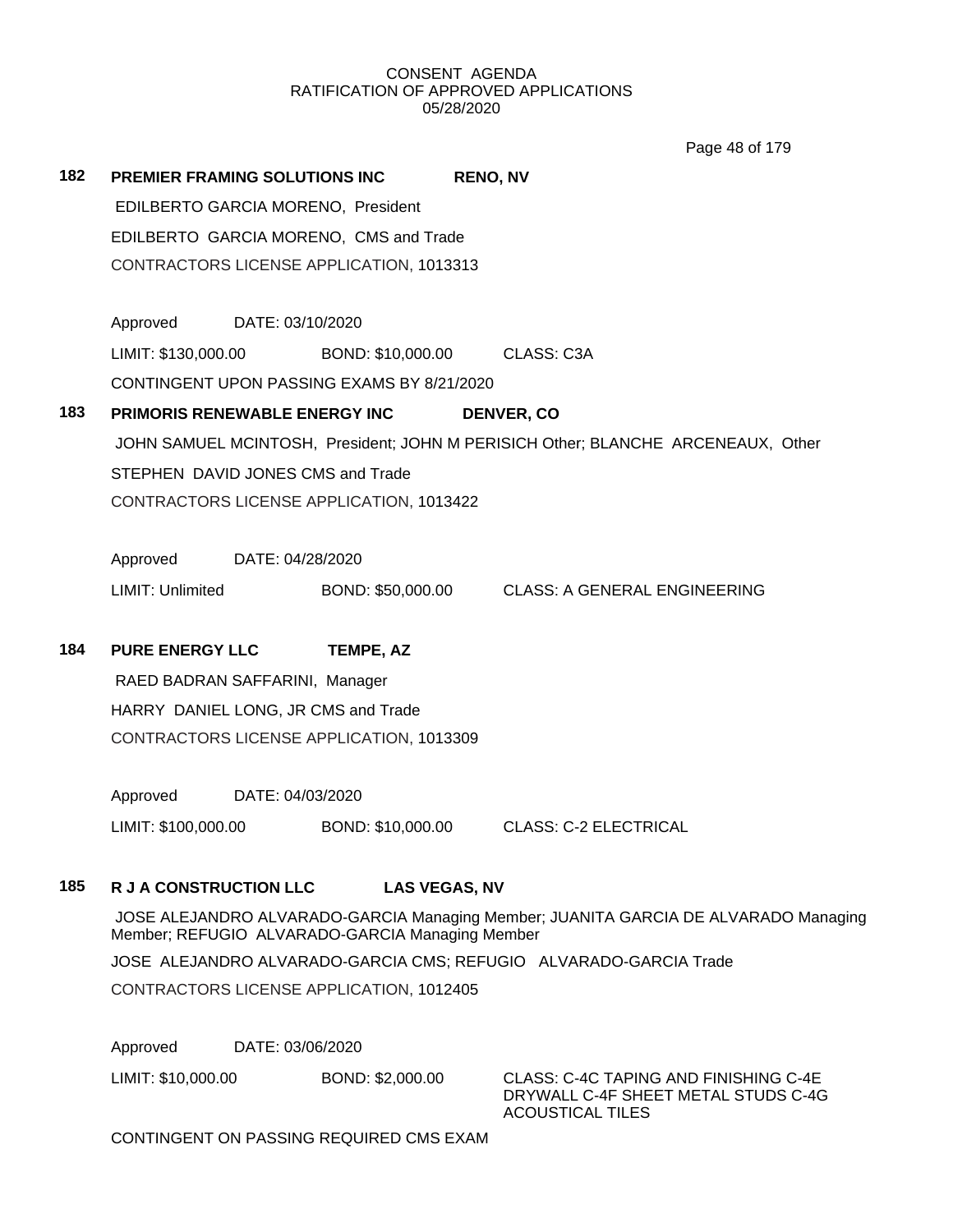Page 48 of 179

| 182 | <b>PREMIER FRAMING SOLUTIONS INC.</b>                                            |                                |                                            | <b>RENO, NV</b>                                |  |  |
|-----|----------------------------------------------------------------------------------|--------------------------------|--------------------------------------------|------------------------------------------------|--|--|
|     |                                                                                  |                                | EDILBERTO GARCIA MORENO, President         |                                                |  |  |
|     |                                                                                  |                                | EDILBERTO GARCIA MORENO, CMS and Trade     |                                                |  |  |
|     |                                                                                  |                                | CONTRACTORS LICENSE APPLICATION, 1013313   |                                                |  |  |
|     | Approved                                                                         | DATE: 03/10/2020               |                                            |                                                |  |  |
|     | LIMIT: \$130,000.00                                                              |                                |                                            | BOND: \$10,000.00 CLASS: C3A                   |  |  |
|     |                                                                                  |                                | CONTINGENT UPON PASSING EXAMS BY 8/21/2020 |                                                |  |  |
| 183 |                                                                                  |                                | <b>PRIMORIS RENEWABLE ENERGY INC</b>       | <b>DENVER, CO</b>                              |  |  |
|     | JOHN SAMUEL MCINTOSH, President; JOHN M PERISICH Other; BLANCHE ARCENEAUX, Other |                                |                                            |                                                |  |  |
|     | STEPHEN DAVID JONES CMS and Trade                                                |                                |                                            |                                                |  |  |
|     |                                                                                  |                                | CONTRACTORS LICENSE APPLICATION, 1013422   |                                                |  |  |
|     | Approved DATE: 04/28/2020                                                        |                                |                                            |                                                |  |  |
|     | LIMIT: Unlimited                                                                 |                                |                                            | BOND: \$50,000.00 CLASS: A GENERAL ENGINEERING |  |  |
| 184 | <b>PURE ENERGY LLC</b>                                                           |                                | <b>TEMPE, AZ</b>                           |                                                |  |  |
|     |                                                                                  | RAED BADRAN SAFFARINI, Manager |                                            |                                                |  |  |
|     |                                                                                  |                                | HARRY DANIEL LONG, JR CMS and Trade        |                                                |  |  |
|     |                                                                                  |                                | CONTRACTORS LICENSE APPLICATION, 1013309   |                                                |  |  |
|     |                                                                                  |                                |                                            |                                                |  |  |

Approved DATE: 04/03/2020 LIMIT: \$100,000.00 BOND: \$10,000.00 CLASS: C-2 ELECTRICAL

# **185 R J A CONSTRUCTION LLC LAS VEGAS, NV**

JOSE ALEJANDRO ALVARADO-GARCIA Managing Member; JUANITA GARCIA DE ALVARADO Managing Member; REFUGIO ALVARADO-GARCIA Managing Member JOSE ALEJANDRO ALVARADO-GARCIA CMS; REFUGIO ALVARADO-GARCIA Trade CONTRACTORS LICENSE APPLICATION, 1012405

Approved DATE: 03/06/2020

LIMIT: \$10,000.00 BOND: \$2,000.00 CLASS: C-4C TAPING AND FINISHING C-4E

DRYWALL C-4F SHEET METAL STUDS C-4G ACOUSTICAL TILES

CONTINGENT ON PASSING REQUIRED CMS EXAM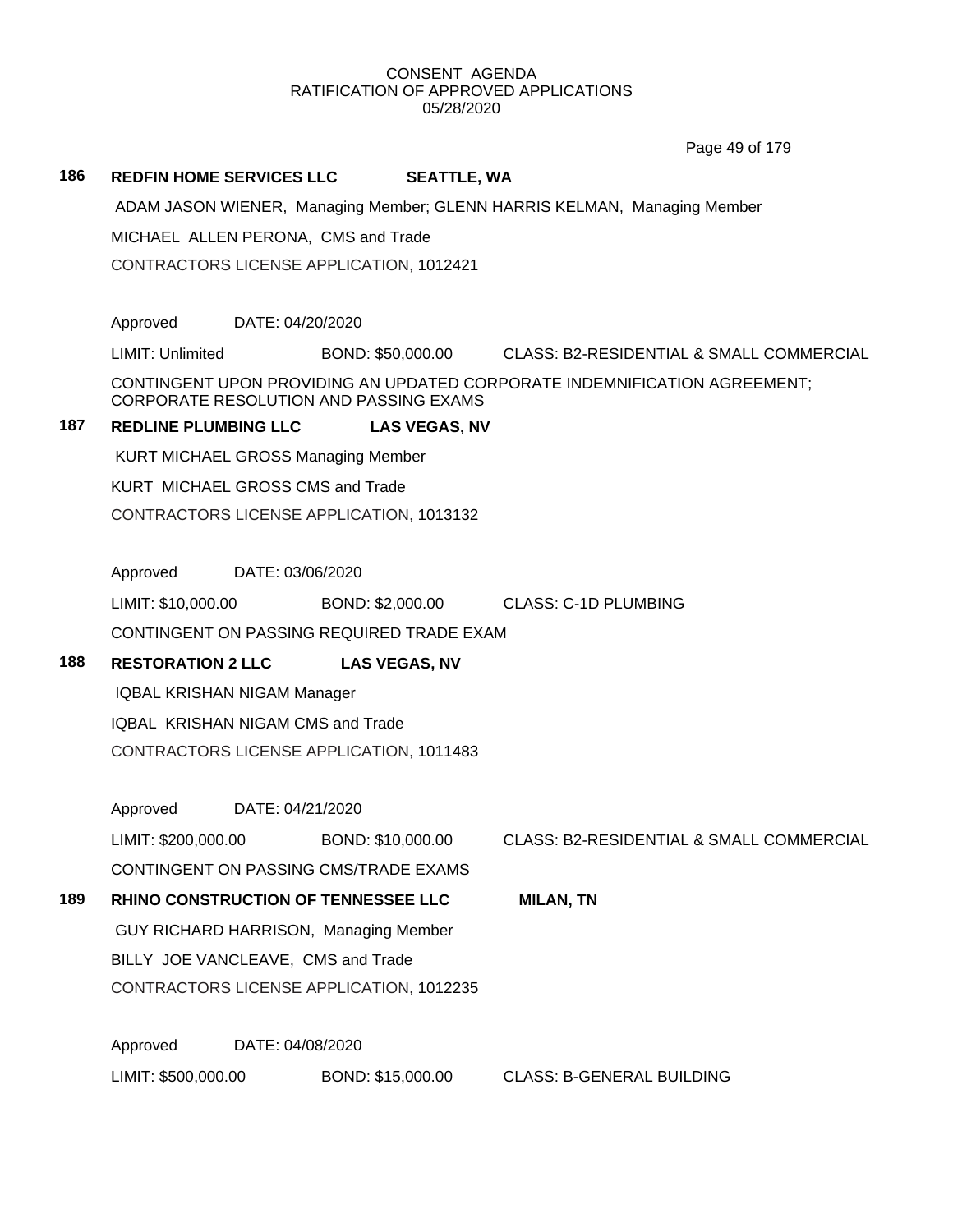Page 49 of 179

#### **186 REDFIN HOME SERVICES LLC SEATTLE, WA**

ADAM JASON WIENER, Managing Member; GLENN HARRIS KELMAN, Managing Member

MICHAEL ALLEN PERONA, CMS and Trade

CONTRACTORS LICENSE APPLICATION, 1012421

Approved DATE: 04/20/2020

LIMIT: Unlimited BOND: \$50,000.00 CLASS: B2-RESIDENTIAL & SMALL COMMERCIAL

CONTINGENT UPON PROVIDING AN UPDATED CORPORATE INDEMNIFICATION AGREEMENT; CORPORATE RESOLUTION AND PASSING EXAMS

# **187 REDLINE PLUMBING LLC LAS VEGAS, NV**

KURT MICHAEL GROSS Managing Member

KURT MICHAEL GROSS CMS and Trade

CONTRACTORS LICENSE APPLICATION, 1013132

Approved DATE: 03/06/2020

LIMIT: \$10,000.00 BOND: \$2,000.00 CLASS: C-1D PLUMBING

CONTINGENT ON PASSING REQUIRED TRADE EXAM

# **188 RESTORATION 2 LLC LAS VEGAS, NV**

IQBAL KRISHAN NIGAM Manager

IQBAL KRISHAN NIGAM CMS and Trade

CONTRACTORS LICENSE APPLICATION, 1011483

Approved DATE: 04/21/2020

LIMIT: \$200,000.00 BOND: \$10,000.00 CLASS: B2-RESIDENTIAL & SMALL COMMERCIAL

CONTINGENT ON PASSING CMS/TRADE EXAMS

**189 RHINO CONSTRUCTION OF TENNESSEE LLC MILAN, TN** GUY RICHARD HARRISON, Managing Member

BILLY JOE VANCLEAVE, CMS and Trade

CONTRACTORS LICENSE APPLICATION, 1012235

Approved DATE: 04/08/2020 LIMIT: \$500,000.00 BOND: \$15,000.00 CLASS: B-GENERAL BUILDING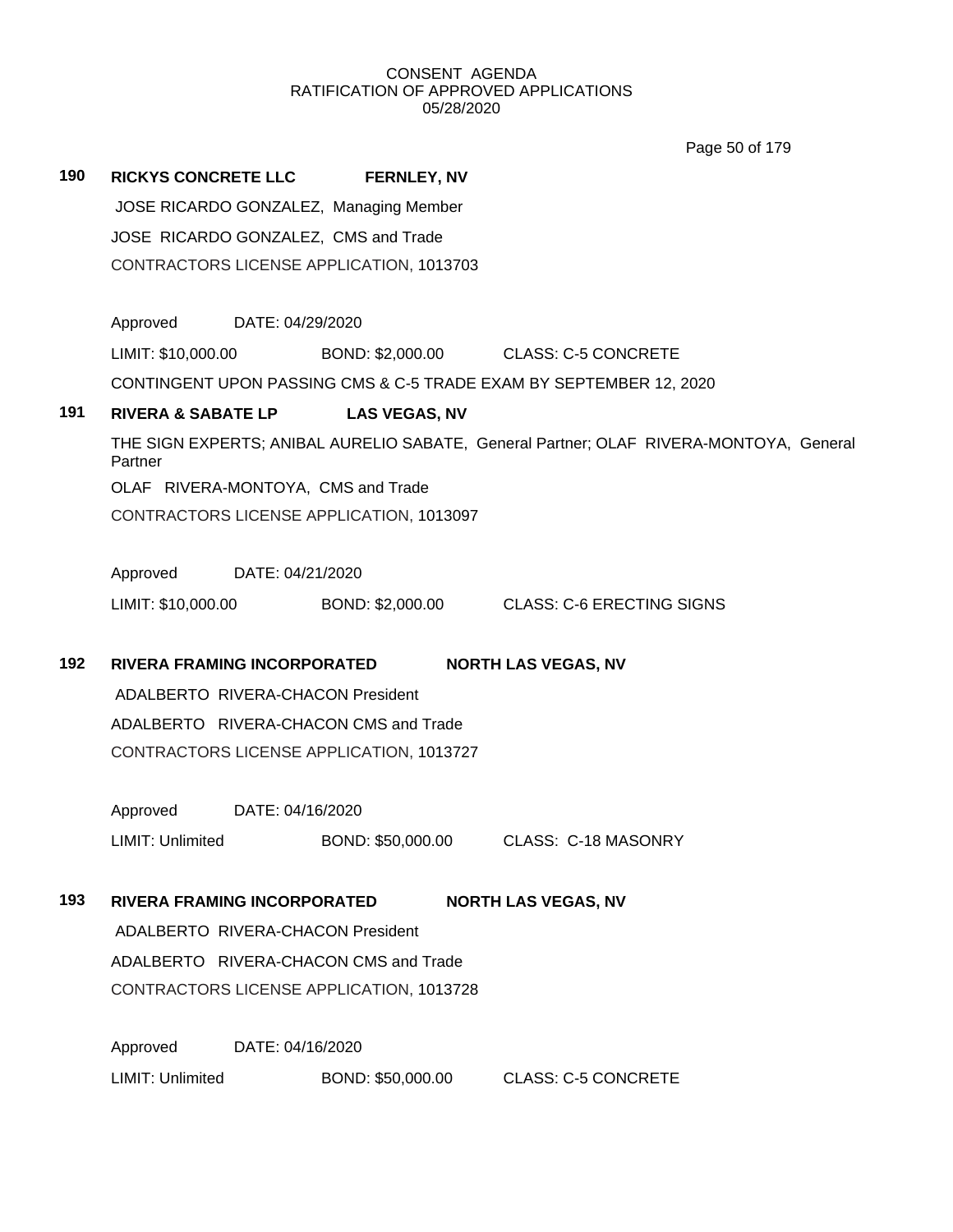Page 50 of 179

| 190 | <b>RICKYS CONCRETE LLC</b>                                         | <b>FERNLEY, NV</b>   |                                                                                        |
|-----|--------------------------------------------------------------------|----------------------|----------------------------------------------------------------------------------------|
|     | JOSE RICARDO GONZALEZ, Managing Member                             |                      |                                                                                        |
|     | JOSE RICARDO GONZALEZ, CMS and Trade                               |                      |                                                                                        |
|     | CONTRACTORS LICENSE APPLICATION, 1013703                           |                      |                                                                                        |
|     |                                                                    |                      |                                                                                        |
|     | Approved<br>DATE: 04/29/2020                                       |                      |                                                                                        |
|     | LIMIT: \$10,000.00                                                 |                      | BOND: \$2,000.00 CLASS: C-5 CONCRETE                                                   |
|     | CONTINGENT UPON PASSING CMS & C-5 TRADE EXAM BY SEPTEMBER 12, 2020 |                      |                                                                                        |
| 191 | <b>RIVERA &amp; SABATE LP</b>                                      | <b>LAS VEGAS, NV</b> |                                                                                        |
|     | Partner                                                            |                      | THE SIGN EXPERTS; ANIBAL AURELIO SABATE, General Partner; OLAF RIVERA-MONTOYA, General |
|     | OLAF RIVERA-MONTOYA, CMS and Trade                                 |                      |                                                                                        |
|     | CONTRACTORS LICENSE APPLICATION, 1013097                           |                      |                                                                                        |
|     |                                                                    |                      |                                                                                        |
|     | Approved<br>DATE: 04/21/2020                                       |                      |                                                                                        |
|     | LIMIT: \$10,000.00                                                 |                      | BOND: \$2,000.00 CLASS: C-6 ERECTING SIGNS                                             |
| 192 | RIVERA FRAMING INCORPORATED                                        |                      | <b>NORTH LAS VEGAS, NV</b>                                                             |
|     | ADALBERTO RIVERA-CHACON President                                  |                      |                                                                                        |
|     | ADALBERTO RIVERA-CHACON CMS and Trade                              |                      |                                                                                        |
|     | CONTRACTORS LICENSE APPLICATION, 1013727                           |                      |                                                                                        |
|     |                                                                    |                      |                                                                                        |
|     | Approved<br>DATE: 04/16/2020                                       |                      |                                                                                        |
|     | LIMIT: Unlimited                                                   | BOND: \$50,000.00    | <b>CLASS: C-18 MASONRY</b>                                                             |
|     |                                                                    |                      |                                                                                        |
| 193 | <b>RIVERA FRAMING INCORPORATED</b>                                 |                      | <b>NORTH LAS VEGAS, NV</b>                                                             |
|     | ADALBERTO RIVERA-CHACON President                                  |                      |                                                                                        |
|     | ADALBERTO RIVERA-CHACON CMS and Trade                              |                      |                                                                                        |
|     | CONTRACTORS LICENSE APPLICATION, 1013728                           |                      |                                                                                        |
|     |                                                                    |                      |                                                                                        |
|     | Approved<br>DATE: 04/16/2020                                       |                      |                                                                                        |
|     | LIMIT: Unlimited                                                   | BOND: \$50,000.00    | <b>CLASS: C-5 CONCRETE</b>                                                             |
|     |                                                                    |                      |                                                                                        |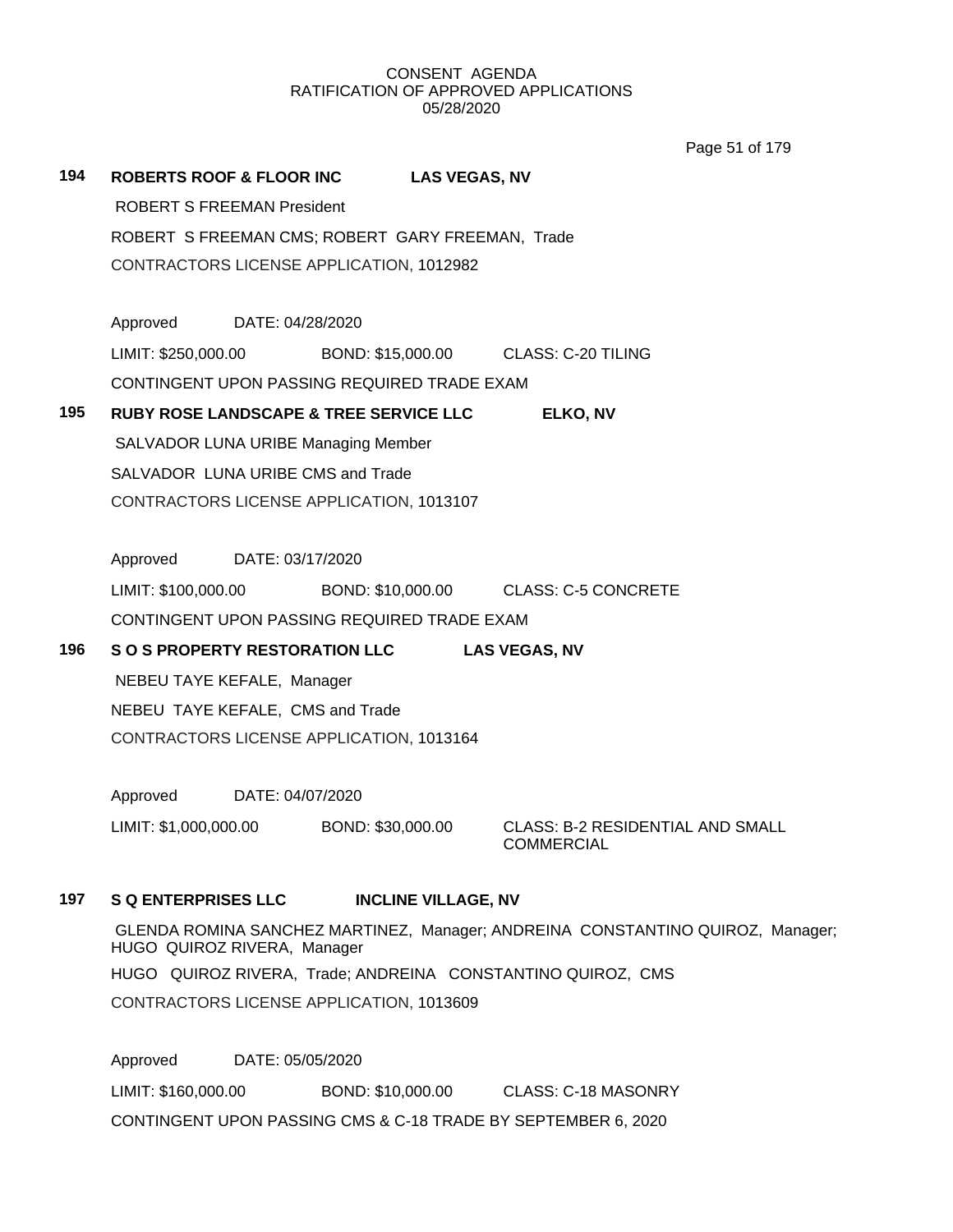Page 51 of 179

| 194 | <b>ROBERTS ROOF &amp; FLOOR INC</b> |                                                   | <b>LAS VEGAS, NV</b>                                                           |
|-----|-------------------------------------|---------------------------------------------------|--------------------------------------------------------------------------------|
|     | <b>ROBERT S FREEMAN President</b>   |                                                   |                                                                                |
|     |                                     | ROBERT S FREEMAN CMS; ROBERT GARY FREEMAN, Trade  |                                                                                |
|     |                                     | CONTRACTORS LICENSE APPLICATION, 1012982          |                                                                                |
|     |                                     |                                                   |                                                                                |
|     | Approved DATE: 04/28/2020           |                                                   |                                                                                |
|     | LIMIT: \$250,000.00                 |                                                   | BOND: \$15,000.00 CLASS: C-20 TILING                                           |
|     |                                     | CONTINGENT UPON PASSING REQUIRED TRADE EXAM       |                                                                                |
| 195 |                                     | <b>RUBY ROSE LANDSCAPE &amp; TREE SERVICE LLC</b> | ELKO, NV                                                                       |
|     |                                     | <b>SALVADOR LUNA URIBE Managing Member</b>        |                                                                                |
|     | SALVADOR LUNA URIBE CMS and Trade   |                                                   |                                                                                |
|     |                                     | CONTRACTORS LICENSE APPLICATION, 1013107          |                                                                                |
|     |                                     |                                                   |                                                                                |
|     | Approved DATE: 03/17/2020           |                                                   |                                                                                |
|     | LIMIT: \$100,000.00                 |                                                   | BOND: \$10,000.00 CLASS: C-5 CONCRETE                                          |
|     |                                     | CONTINGENT UPON PASSING REQUIRED TRADE EXAM       |                                                                                |
| 196 |                                     | S O S PROPERTY RESTORATION LLC                    | <b>LAS VEGAS, NV</b>                                                           |
|     | NEBEU TAYE KEFALE, Manager          |                                                   |                                                                                |
|     | NEBEU TAYE KEFALE, CMS and Trade    |                                                   |                                                                                |
|     |                                     | CONTRACTORS LICENSE APPLICATION, 1013164          |                                                                                |
|     |                                     |                                                   |                                                                                |
|     | Approved DATE: 04/07/2020           |                                                   |                                                                                |
|     | LIMIT: \$1,000,000.00               | BOND: \$30,000.00                                 | <b>CLASS: B-2 RESIDENTIAL AND SMALL</b><br><b>COMMERCIAL</b>                   |
| 197 | <b>S Q ENTERPRISES LLC</b>          | <b>INCLINE VILLAGE, NV</b>                        |                                                                                |
|     | HUGO QUIROZ RIVERA, Manager         |                                                   | GLENDA ROMINA SANCHEZ MARTINEZ, Manager; ANDREINA CONSTANTINO QUIROZ, Manager; |
|     |                                     |                                                   | HUGO QUIROZ RIVERA, Trade; ANDREINA CONSTANTINO QUIROZ, CMS                    |

CONTRACTORS LICENSE APPLICATION, 1013609

Approved DATE: 05/05/2020 LIMIT: \$160,000.00 BOND: \$10,000.00 CLASS: C-18 MASONRY CONTINGENT UPON PASSING CMS & C-18 TRADE BY SEPTEMBER 6, 2020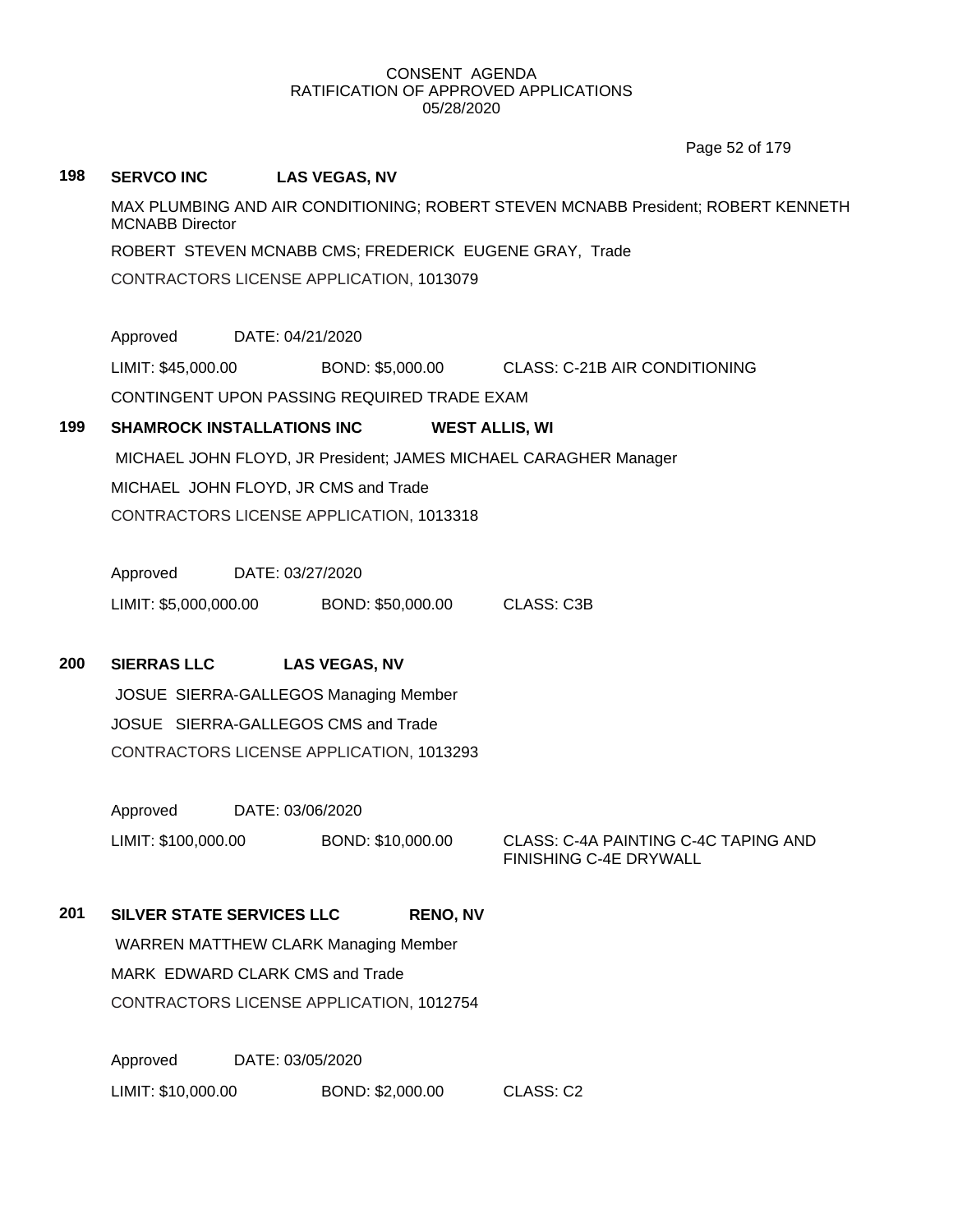Page 52 of 179

# **198 SERVCO INC LAS VEGAS, NV** MAX PLUMBING AND AIR CONDITIONING; ROBERT STEVEN MCNABB President; ROBERT KENNETH MCNABB Director ROBERT STEVEN MCNABB CMS; FREDERICK EUGENE GRAY, Trade CONTRACTORS LICENSE APPLICATION, 1013079 Approved DATE: 04/21/2020 LIMIT: \$45,000.00 BOND: \$5,000.00 CLASS: C-21B AIR CONDITIONING CONTINGENT UPON PASSING REQUIRED TRADE EXAM **199 SHAMROCK INSTALLATIONS INC WEST ALLIS, WI** MICHAEL JOHN FLOYD, JR President; JAMES MICHAEL CARAGHER Manager MICHAEL JOHN FLOYD, JR CMS and Trade CONTRACTORS LICENSE APPLICATION, 1013318 Approved DATE: 03/27/2020 LIMIT: \$5,000,000.00 BOND: \$50,000.00 CLASS: C3B **200 SIERRAS LLC LAS VEGAS, NV** JOSUE SIERRA-GALLEGOS Managing Member JOSUE SIERRA-GALLEGOS CMS and Trade CONTRACTORS LICENSE APPLICATION, 1013293 Approved DATE: 03/06/2020 LIMIT: \$100,000.00 BOND: \$10,000.00 CLASS: C-4A PAINTING C-4C TAPING AND FINISHING C-4E DRYWALL **201 SILVER STATE SERVICES LLC RENO, NV** WARREN MATTHEW CLARK Managing Member MARK EDWARD CLARK CMS and Trade CONTRACTORS LICENSE APPLICATION, 1012754 Approved DATE: 03/05/2020 LIMIT: \$10,000.00 BOND: \$2,000.00 CLASS: C2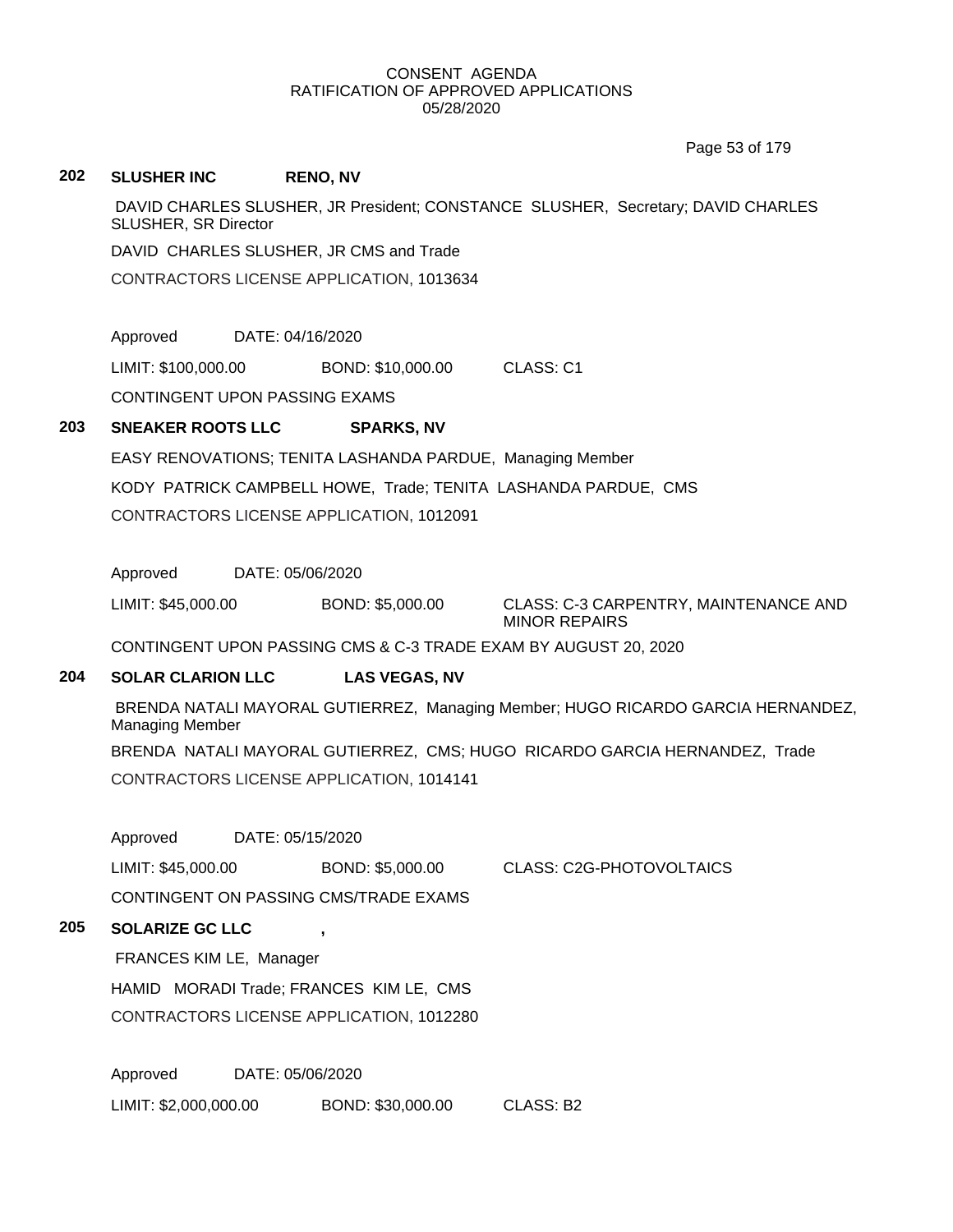Page 53 of 179

#### **202 SLUSHER INC RENO, NV**

DAVID CHARLES SLUSHER, JR President; CONSTANCE SLUSHER, Secretary; DAVID CHARLES SLUSHER, SR Director

DAVID CHARLES SLUSHER, JR CMS and Trade

CONTRACTORS LICENSE APPLICATION, 1013634

Approved DATE: 04/16/2020

LIMIT: \$100,000.00 BOND: \$10,000.00 CLASS: C1

CONTINGENT UPON PASSING EXAMS

# **203 SNEAKER ROOTS LLC SPARKS, NV**

EASY RENOVATIONS; TENITA LASHANDA PARDUE, Managing Member KODY PATRICK CAMPBELL HOWE, Trade; TENITA LASHANDA PARDUE, CMS CONTRACTORS LICENSE APPLICATION, 1012091

Approved DATE: 05/06/2020

LIMIT: \$45,000.00 BOND: \$5,000.00 CLASS: C-3 CARPENTRY, MAINTENANCE AND MINOR REPAIRS

CONTINGENT UPON PASSING CMS & C-3 TRADE EXAM BY AUGUST 20, 2020

# **204 SOLAR CLARION LLC LAS VEGAS, NV**

BRENDA NATALI MAYORAL GUTIERREZ, Managing Member; HUGO RICARDO GARCIA HERNANDEZ, Managing Member

BRENDA NATALI MAYORAL GUTIERREZ, CMS; HUGO RICARDO GARCIA HERNANDEZ, Trade CONTRACTORS LICENSE APPLICATION, 1014141

Approved DATE: 05/15/2020

LIMIT: \$45,000.00 BOND: \$5,000.00 CLASS: C2G-PHOTOVOLTAICS

CONTINGENT ON PASSING CMS/TRADE EXAMS

# **205 SOLARIZE GC LLC ,**

FRANCES KIM LE, Manager

HAMID MORADI Trade; FRANCES KIM LE, CMS

CONTRACTORS LICENSE APPLICATION, 1012280

Approved DATE: 05/06/2020

LIMIT: \$2,000,000.00 BOND: \$30,000.00 CLASS: B2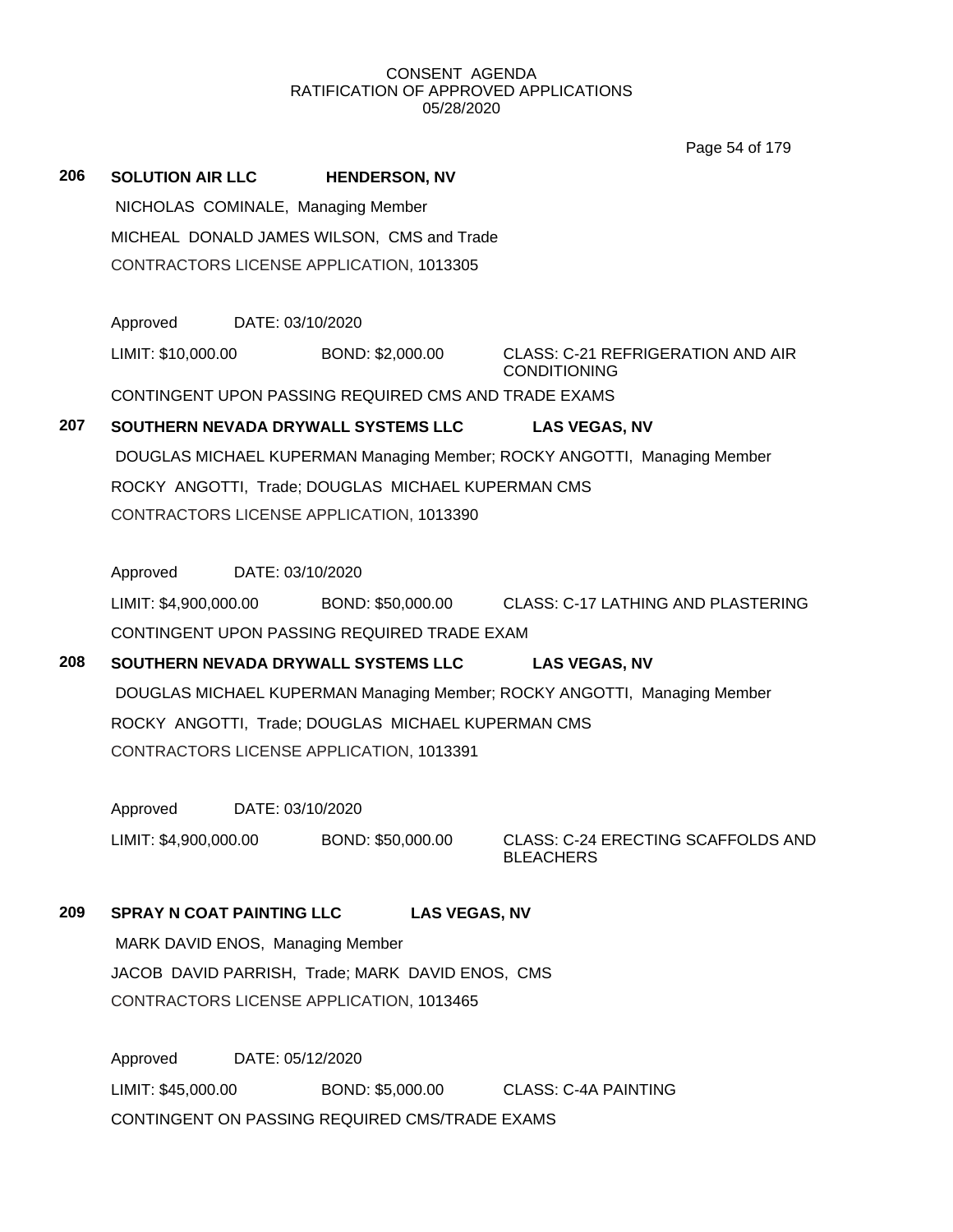Page 54 of 179

| 206 | <b>SOLUTION AIR LLC</b>                    | <b>HENDERSON, NV</b>                                 |                                                                          |  |  |  |
|-----|--------------------------------------------|------------------------------------------------------|--------------------------------------------------------------------------|--|--|--|
|     | NICHOLAS COMINALE, Managing Member         |                                                      |                                                                          |  |  |  |
|     | MICHEAL DONALD JAMES WILSON, CMS and Trade |                                                      |                                                                          |  |  |  |
|     |                                            | CONTRACTORS LICENSE APPLICATION, 1013305             |                                                                          |  |  |  |
|     | Approved                                   | DATE: 03/10/2020                                     |                                                                          |  |  |  |
|     | LIMIT: \$10,000.00                         | BOND: \$2,000.00                                     | <b>CLASS: C-21 REFRIGERATION AND AIR</b><br><b>CONDITIONING</b>          |  |  |  |
|     |                                            | CONTINGENT UPON PASSING REQUIRED CMS AND TRADE EXAMS |                                                                          |  |  |  |
| 207 |                                            | SOUTHERN NEVADA DRYWALL SYSTEMS LLC                  | <b>LAS VEGAS, NV</b>                                                     |  |  |  |
|     |                                            |                                                      | DOUGLAS MICHAEL KUPERMAN Managing Member; ROCKY ANGOTTI, Managing Member |  |  |  |
|     |                                            | ROCKY ANGOTTI, Trade; DOUGLAS MICHAEL KUPERMAN CMS   |                                                                          |  |  |  |
|     |                                            | CONTRACTORS LICENSE APPLICATION, 1013390             |                                                                          |  |  |  |
|     |                                            |                                                      |                                                                          |  |  |  |
|     | Approved                                   | DATE: 03/10/2020                                     |                                                                          |  |  |  |
|     | LIMIT: \$4,900,000.00                      |                                                      | BOND: \$50,000.00 CLASS: C-17 LATHING AND PLASTERING                     |  |  |  |
|     |                                            | CONTINGENT UPON PASSING REQUIRED TRADE EXAM          |                                                                          |  |  |  |
| 208 |                                            | SOUTHERN NEVADA DRYWALL SYSTEMS LLC                  | <b>LAS VEGAS, NV</b>                                                     |  |  |  |
|     |                                            |                                                      | DOUGLAS MICHAEL KUPERMAN Managing Member; ROCKY ANGOTTI, Managing Member |  |  |  |
|     |                                            | ROCKY ANGOTTI, Trade; DOUGLAS MICHAEL KUPERMAN CMS   |                                                                          |  |  |  |
|     |                                            | CONTRACTORS LICENSE APPLICATION, 1013391             |                                                                          |  |  |  |
|     | Approved                                   | DATE: 03/10/2020                                     |                                                                          |  |  |  |
|     | LIMIT: \$4,900,000.00                      | BOND: \$50,000.00                                    | CLASS: C-24 ERECTING SCAFFOLDS AND<br><b>BLEACHERS</b>                   |  |  |  |
| 209 | <b>SPRAY N COAT PAINTING LLC</b>           |                                                      | <b>LAS VEGAS, NV</b>                                                     |  |  |  |
|     |                                            | MARK DAVID ENOS, Managing Member                     |                                                                          |  |  |  |
|     |                                            | JACOB DAVID PARRISH, Trade; MARK DAVID ENOS, CMS     |                                                                          |  |  |  |
|     |                                            | CONTRACTORS LICENSE APPLICATION, 1013465             |                                                                          |  |  |  |
|     | Approved                                   | DATE: 05/12/2020                                     |                                                                          |  |  |  |
|     | LIMIT: \$45,000.00                         | BOND: \$5,000.00                                     | <b>CLASS: C-4A PAINTING</b>                                              |  |  |  |

CONTINGENT ON PASSING REQUIRED CMS/TRADE EXAMS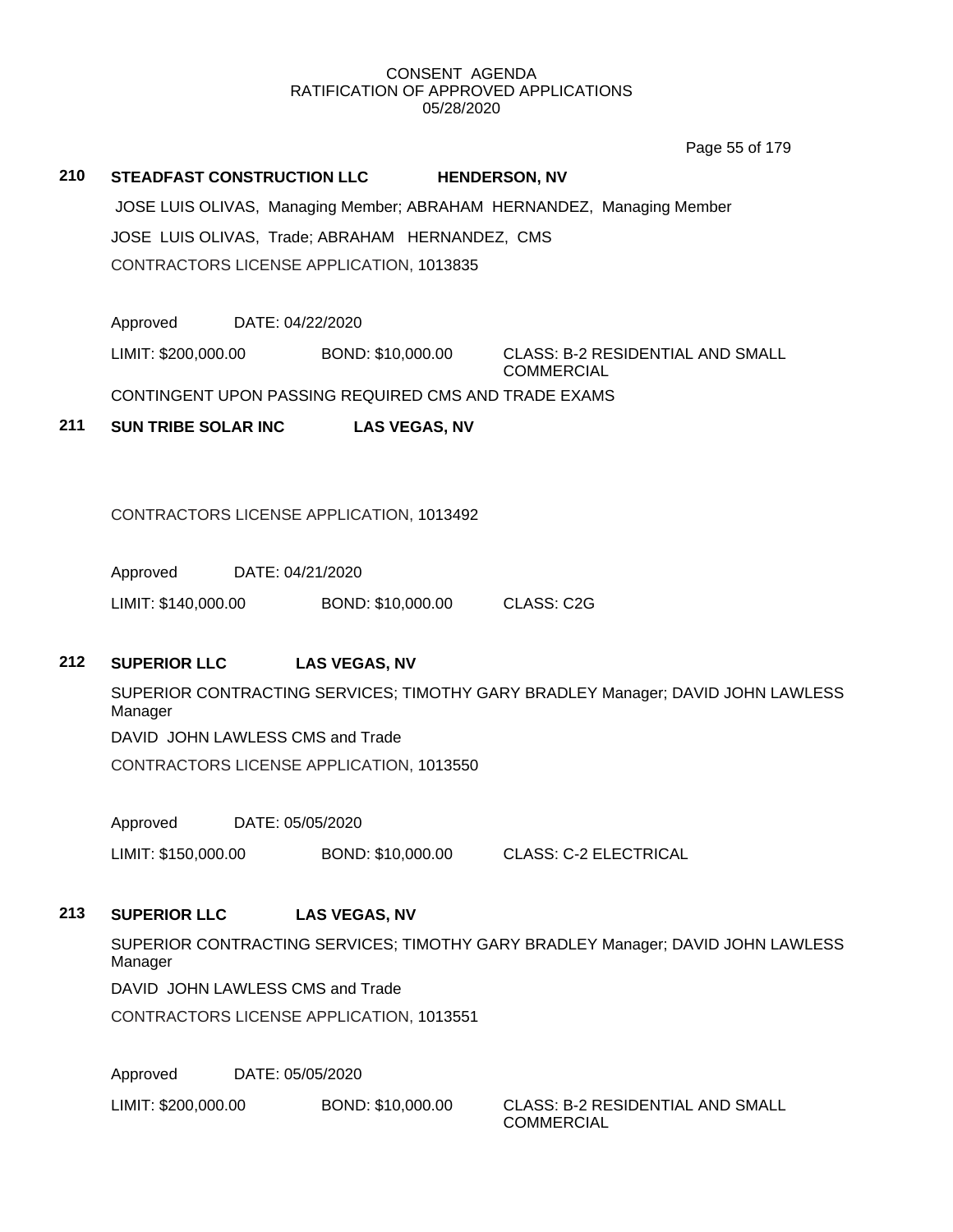Page 55 of 179

# **210 STEADFAST CONSTRUCTION LLC HENDERSON, NV**

JOSE LUIS OLIVAS, Managing Member; ABRAHAM HERNANDEZ, Managing Member JOSE LUIS OLIVAS, Trade; ABRAHAM HERNANDEZ, CMS CONTRACTORS LICENSE APPLICATION, 1013835

Approved DATE: 04/22/2020

LIMIT: \$200,000.00 BOND: \$10,000.00 CLASS: B-2 RESIDENTIAL AND SMALL **COMMERCIAL** 

CONTINGENT UPON PASSING REQUIRED CMS AND TRADE EXAMS

**211 SUN TRIBE SOLAR INC LAS VEGAS, NV**

CONTRACTORS LICENSE APPLICATION, 1013492

Approved DATE: 04/21/2020

LIMIT: \$140,000.00 BOND: \$10,000.00 CLASS: C2G

# **212 SUPERIOR LLC LAS VEGAS, NV**

SUPERIOR CONTRACTING SERVICES; TIMOTHY GARY BRADLEY Manager; DAVID JOHN LAWLESS Manager

DAVID JOHN LAWLESS CMS and Trade

CONTRACTORS LICENSE APPLICATION, 1013550

Approved DATE: 05/05/2020

LIMIT: \$150,000.00 BOND: \$10,000.00 CLASS: C-2 ELECTRICAL

# **213 SUPERIOR LLC LAS VEGAS, NV**

SUPERIOR CONTRACTING SERVICES; TIMOTHY GARY BRADLEY Manager; DAVID JOHN LAWLESS Manager

DAVID JOHN LAWLESS CMS and Trade

CONTRACTORS LICENSE APPLICATION, 1013551

Approved DATE: 05/05/2020

LIMIT: \$200,000.00 BOND: \$10,000.00 CLASS: B-2 RESIDENTIAL AND SMALL

**COMMERCIAL**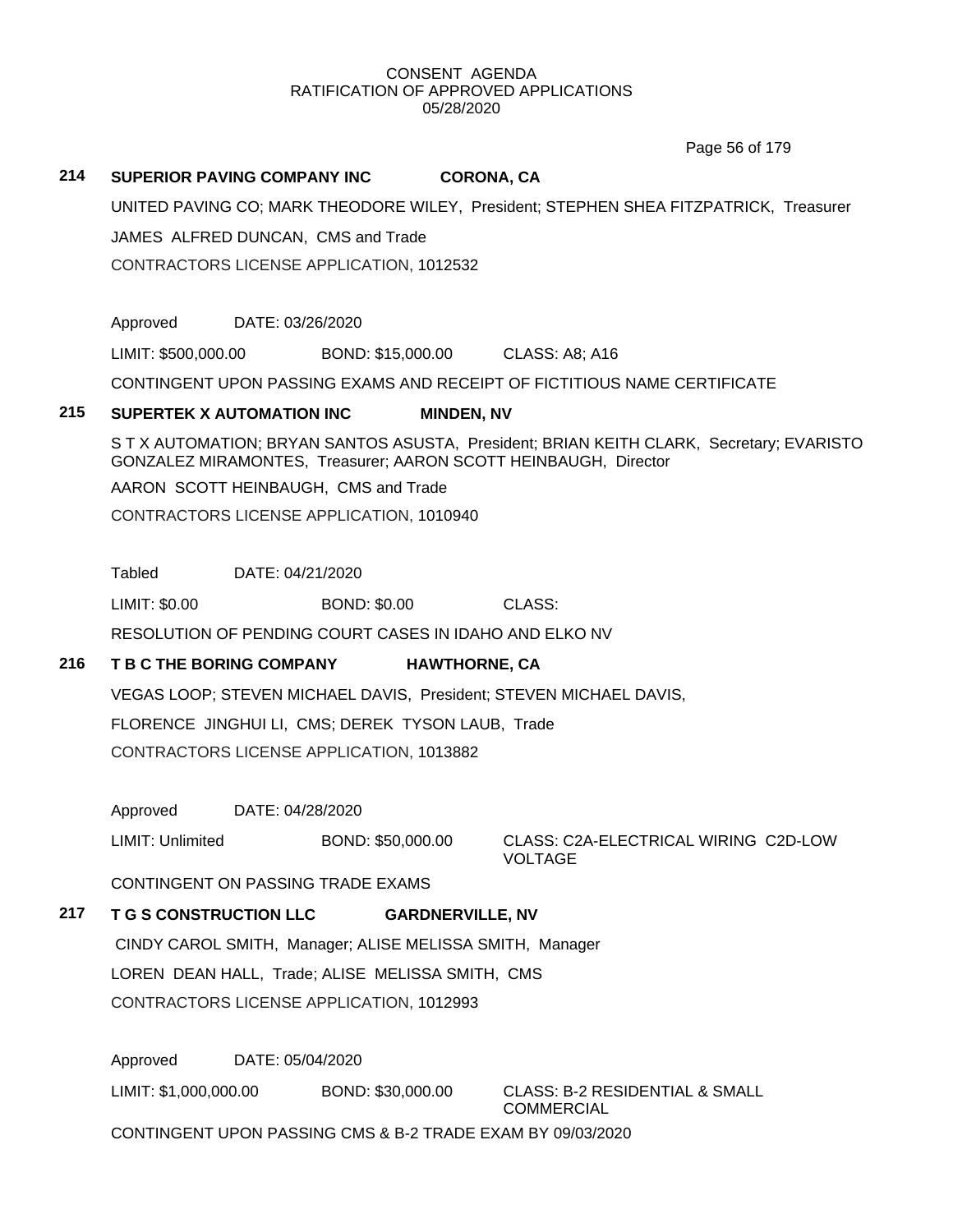Page 56 of 179

## **214 SUPERIOR PAVING COMPANY INC CORONA, CA**

UNITED PAVING CO; MARK THEODORE WILEY, President; STEPHEN SHEA FITZPATRICK, Treasurer

JAMES ALFRED DUNCAN, CMS and Trade

CONTRACTORS LICENSE APPLICATION, 1012532

Approved DATE: 03/26/2020

LIMIT: \$500,000.00 BOND: \$15,000.00 CLASS: A8; A16

CONTINGENT UPON PASSING EXAMS AND RECEIPT OF FICTITIOUS NAME CERTIFICATE

#### **215 SUPERTEK X AUTOMATION INC MINDEN, NV**

S T X AUTOMATION; BRYAN SANTOS ASUSTA, President; BRIAN KEITH CLARK, Secretary; EVARISTO GONZALEZ MIRAMONTES, Treasurer; AARON SCOTT HEINBAUGH, Director

AARON SCOTT HEINBAUGH, CMS and Trade

CONTRACTORS LICENSE APPLICATION, 1010940

Tabled DATE: 04/21/2020

LIMIT: \$0.00 BOND: \$0.00 CLASS:

RESOLUTION OF PENDING COURT CASES IN IDAHO AND ELKO NV

# **216 T B C THE BORING COMPANY HAWTHORNE, CA**

VEGAS LOOP; STEVEN MICHAEL DAVIS, President; STEVEN MICHAEL DAVIS, FLORENCE JINGHUI LI, CMS; DEREK TYSON LAUB, Trade CONTRACTORS LICENSE APPLICATION, 1013882

Approved DATE: 04/28/2020

LIMIT: Unlimited BOND: \$50,000.00 CLASS: C2A-ELECTRICAL WIRING C2D-LOW VOLTAGE

CONTINGENT ON PASSING TRADE EXAMS

# **217 T G S CONSTRUCTION LLC GARDNERVILLE, NV**

CINDY CAROL SMITH, Manager; ALISE MELISSA SMITH, Manager LOREN DEAN HALL, Trade; ALISE MELISSA SMITH, CMS CONTRACTORS LICENSE APPLICATION, 1012993

Approved DATE: 05/04/2020

LIMIT: \$1,000,000.00 BOND: \$30,000.00 CLASS: B-2 RESIDENTIAL & SMALL

COMMERCIAL

CONTINGENT UPON PASSING CMS & B-2 TRADE EXAM BY 09/03/2020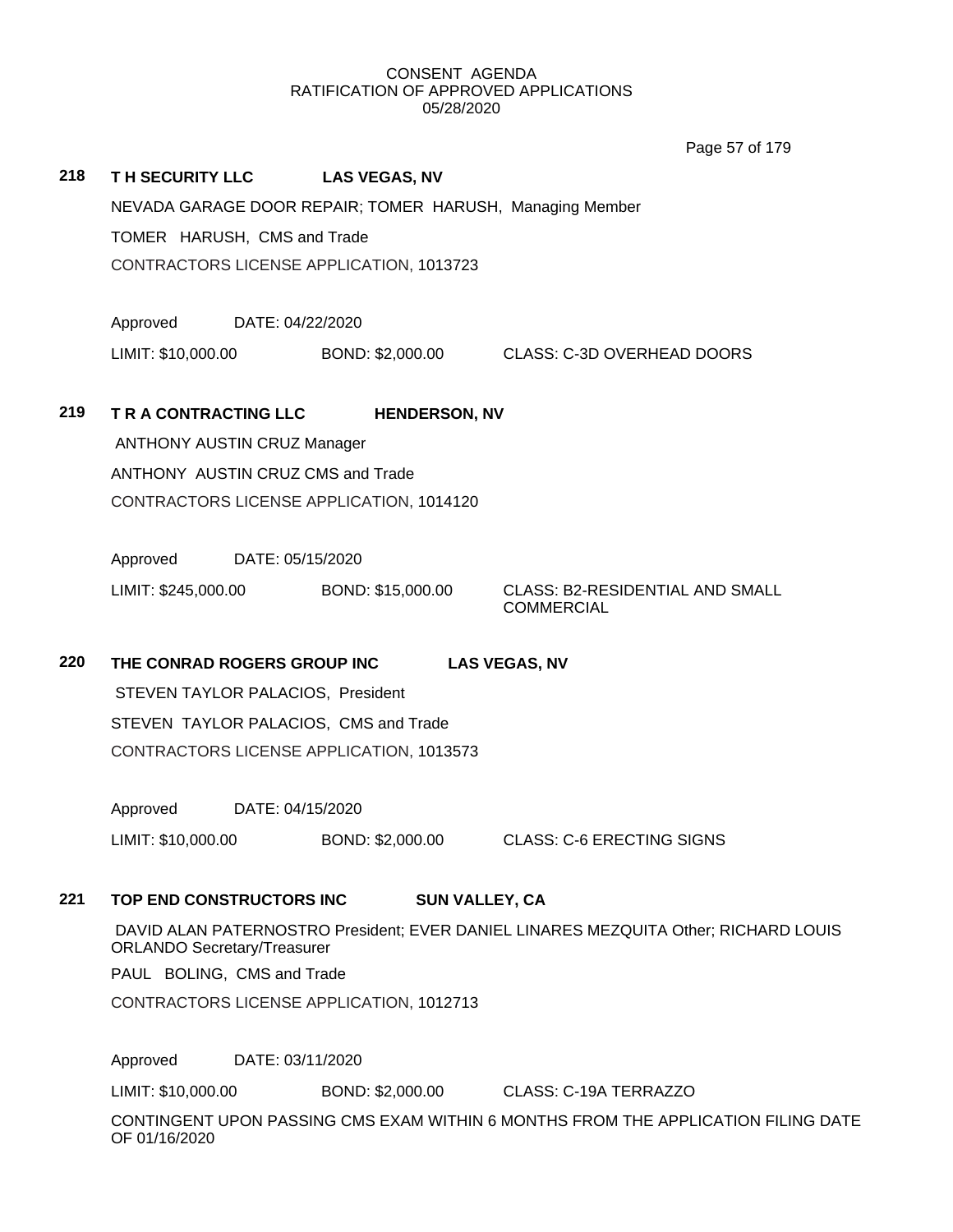|     |                                    |                                                          | Page 57 of 179                                              |
|-----|------------------------------------|----------------------------------------------------------|-------------------------------------------------------------|
| 218 |                                    | TH SECURITY LLC LAS VEGAS, NV                            |                                                             |
|     |                                    | NEVADA GARAGE DOOR REPAIR; TOMER HARUSH, Managing Member |                                                             |
|     | TOMER HARUSH, CMS and Trade        |                                                          |                                                             |
|     |                                    | CONTRACTORS LICENSE APPLICATION, 1013723                 |                                                             |
|     | Approved                           | DATE: 04/22/2020                                         |                                                             |
|     | LIMIT: \$10,000.00                 |                                                          | BOND: \$2,000.00 CLASS: C-3D OVERHEAD DOORS                 |
| 219 | T R A CONTRACTING LLC              | <b>HENDERSON, NV</b>                                     |                                                             |
|     | <b>ANTHONY AUSTIN CRUZ Manager</b> |                                                          |                                                             |
|     | ANTHONY AUSTIN CRUZ CMS and Trade  |                                                          |                                                             |
|     |                                    | CONTRACTORS LICENSE APPLICATION, 1014120                 |                                                             |
|     | Approved                           | DATE: 05/15/2020                                         |                                                             |
|     |                                    | LIMIT: \$245,000.00 BOND: \$15,000.00                    | <b>CLASS: B2-RESIDENTIAL AND SMALL</b><br><b>COMMERCIAL</b> |
| 220 | THE CONRAD ROGERS GROUP INC        |                                                          | <b>LAS VEGAS, NV</b>                                        |
|     | STEVEN TAYLOR PALACIOS, President  |                                                          |                                                             |
|     |                                    | STEVEN TAYLOR PALACIOS, CMS and Trade                    |                                                             |
|     |                                    | CONTRACTORS LICENSE APPLICATION, 1013573                 |                                                             |
|     | Approved                           | DATE: 04/15/2020                                         |                                                             |

# **221 TOP END CONSTRUCTORS INC SUN VALLEY, CA**

DAVID ALAN PATERNOSTRO President; EVER DANIEL LINARES MEZQUITA Other; RICHARD LOUIS ORLANDO Secretary/Treasurer

PAUL BOLING, CMS and Trade

CONTRACTORS LICENSE APPLICATION, 1012713

Approved DATE: 03/11/2020

LIMIT: \$10,000.00 BOND: \$2,000.00 CLASS: C-19A TERRAZZO

LIMIT: \$10,000.00 BOND: \$2,000.00 CLASS: C-6 ERECTING SIGNS

CONTINGENT UPON PASSING CMS EXAM WITHIN 6 MONTHS FROM THE APPLICATION FILING DATE OF 01/16/2020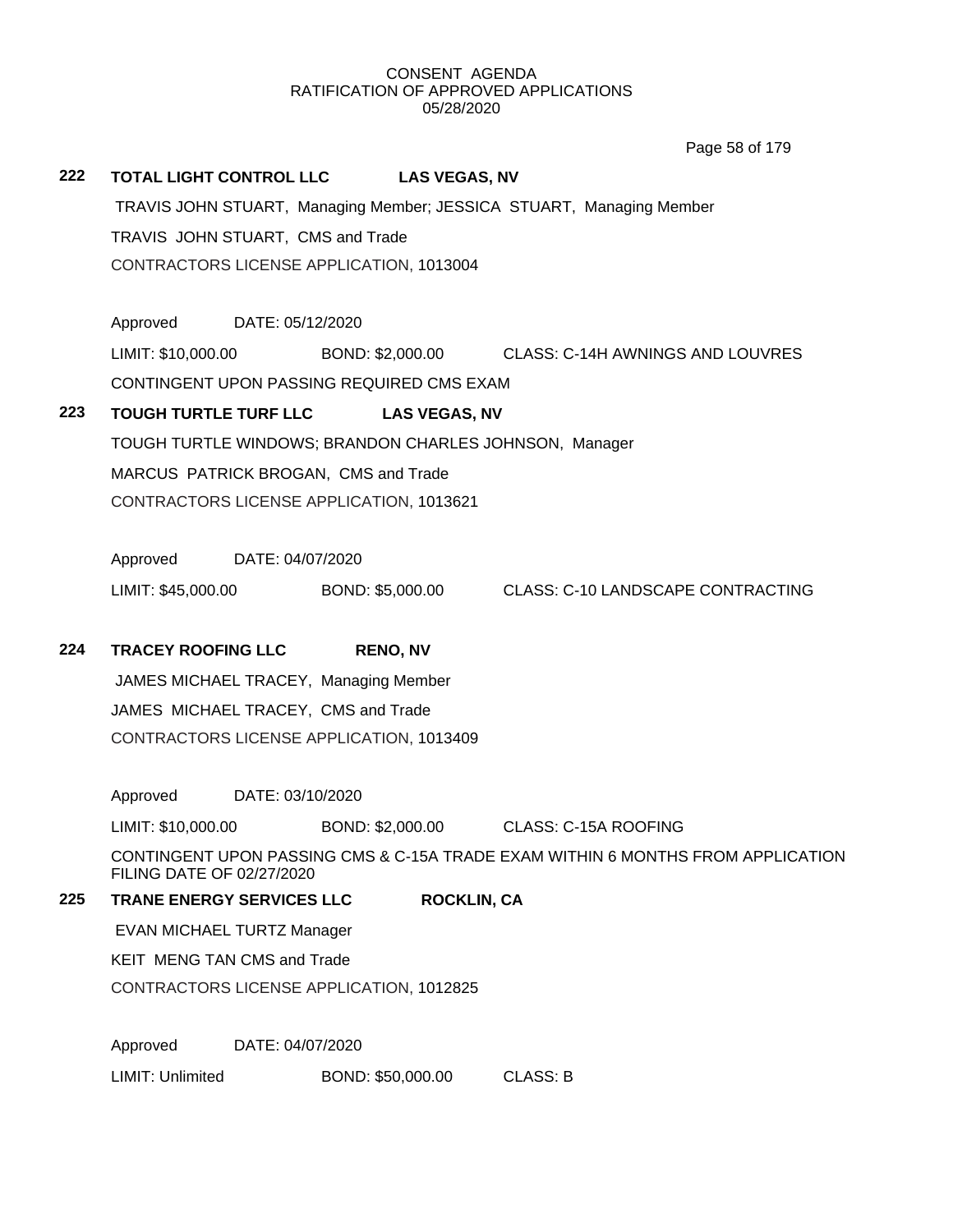**222 TOTAL LIGHT CONTROL LLC LAS VEGAS, NV** TRAVIS JOHN STUART, Managing Member; JESSICA STUART, Managing Member TRAVIS JOHN STUART, CMS and Trade CONTRACTORS LICENSE APPLICATION, 1013004 Approved DATE: 05/12/2020 LIMIT: \$10,000.00 BOND: \$2,000.00 CLASS: C-14H AWNINGS AND LOUVRES CONTINGENT UPON PASSING REQUIRED CMS EXAM **223 TOUGH TURTLE TURF LLC LAS VEGAS, NV** TOUGH TURTLE WINDOWS; BRANDON CHARLES JOHNSON, Manager MARCUS PATRICK BROGAN, CMS and Trade CONTRACTORS LICENSE APPLICATION, 1013621 Approved DATE: 04/07/2020 LIMIT: \$45,000.00 BOND: \$5,000.00 CLASS: C-10 LANDSCAPE CONTRACTING **224 TRACEY ROOFING LLC RENO, NV** JAMES MICHAEL TRACEY, Managing Member JAMES MICHAEL TRACEY, CMS and Trade CONTRACTORS LICENSE APPLICATION, 1013409 Approved DATE: 03/10/2020 LIMIT: \$10,000.00 BOND: \$2,000.00 CLASS: C-15A ROOFING CONTINGENT UPON PASSING CMS & C-15A TRADE EXAM WITHIN 6 MONTHS FROM APPLICATION FILING DATE OF 02/27/2020 **225 TRANE ENERGY SERVICES LLC ROCKLIN, CA** EVAN MICHAEL TURTZ Manager KEIT MENG TAN CMS and Trade CONTRACTORS LICENSE APPLICATION, 1012825 Approved DATE: 04/07/2020 LIMIT: Unlimited BOND: \$50,000.00 CLASS: B Page 58 of 179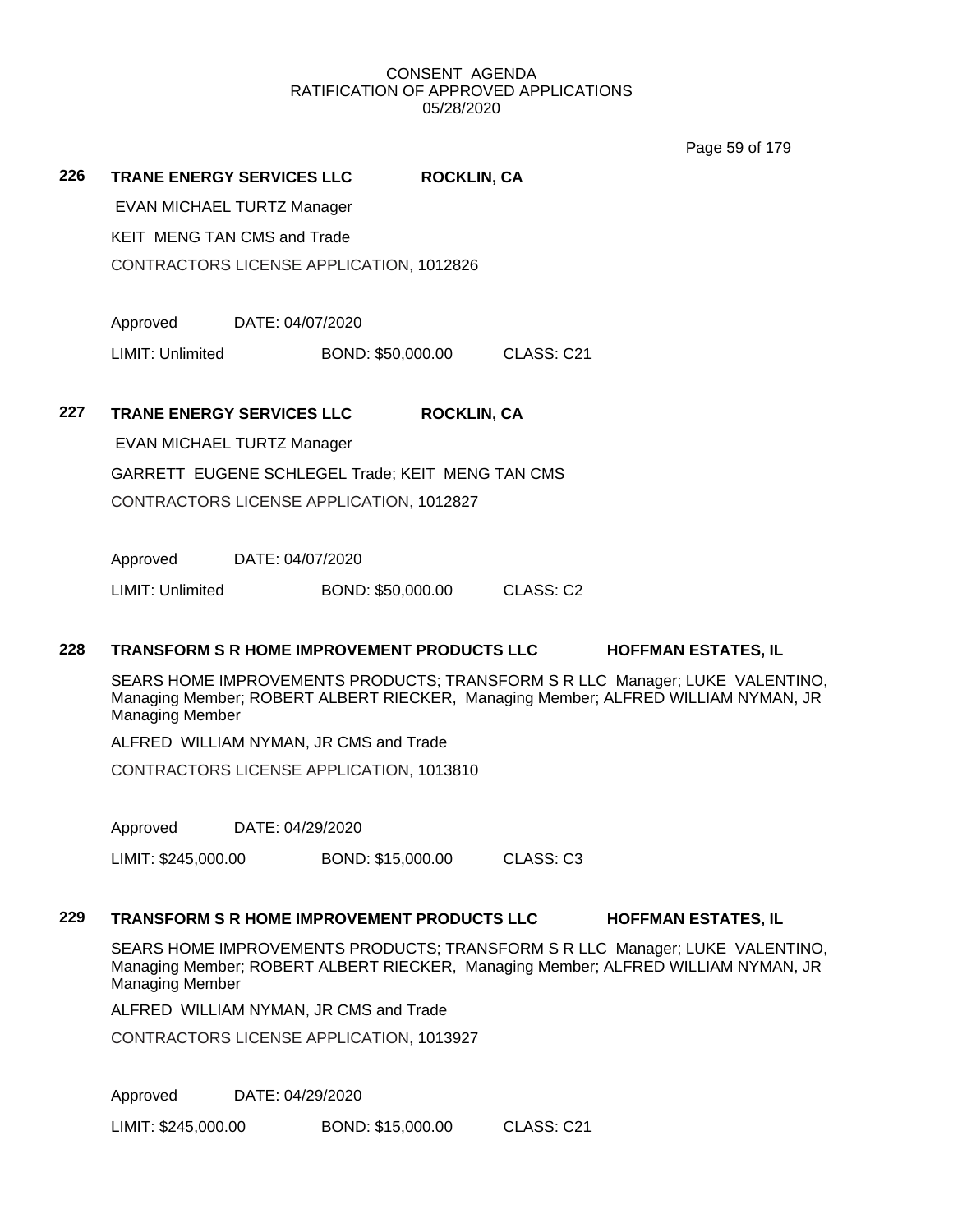Page 59 of 179

**226 TRANE ENERGY SERVICES LLC ROCKLIN, CA**

EVAN MICHAEL TURTZ Manager KEIT MENG TAN CMS and Trade

CONTRACTORS LICENSE APPLICATION, 1012826

Approved DATE: 04/07/2020

LIMIT: Unlimited BOND: \$50,000.00 CLASS: C21

**227 TRANE ENERGY SERVICES LLC ROCKLIN, CA**

EVAN MICHAEL TURTZ Manager

GARRETT EUGENE SCHLEGEL Trade; KEIT MENG TAN CMS

CONTRACTORS LICENSE APPLICATION, 1012827

Approved DATE: 04/07/2020

LIMIT: Unlimited BOND: \$50,000.00 CLASS: C2

# **228 TRANSFORM S R HOME IMPROVEMENT PRODUCTS LLC HOFFMAN ESTATES, IL**

SEARS HOME IMPROVEMENTS PRODUCTS; TRANSFORM S R LLC Manager; LUKE VALENTINO, Managing Member; ROBERT ALBERT RIECKER, Managing Member; ALFRED WILLIAM NYMAN, JR Managing Member

ALFRED WILLIAM NYMAN, JR CMS and Trade

CONTRACTORS LICENSE APPLICATION, 1013810

Approved DATE: 04/29/2020

LIMIT: \$245,000.00 BOND: \$15,000.00 CLASS: C3

#### **229 TRANSFORM S R HOME IMPROVEMENT PRODUCTS LLC HOFFMAN ESTATES, IL**

SEARS HOME IMPROVEMENTS PRODUCTS; TRANSFORM S R LLC Manager; LUKE VALENTINO, Managing Member; ROBERT ALBERT RIECKER, Managing Member; ALFRED WILLIAM NYMAN, JR Managing Member

ALFRED WILLIAM NYMAN, JR CMS and Trade

CONTRACTORS LICENSE APPLICATION, 1013927

Approved DATE: 04/29/2020

LIMIT: \$245,000.00 BOND: \$15,000.00 CLASS: C21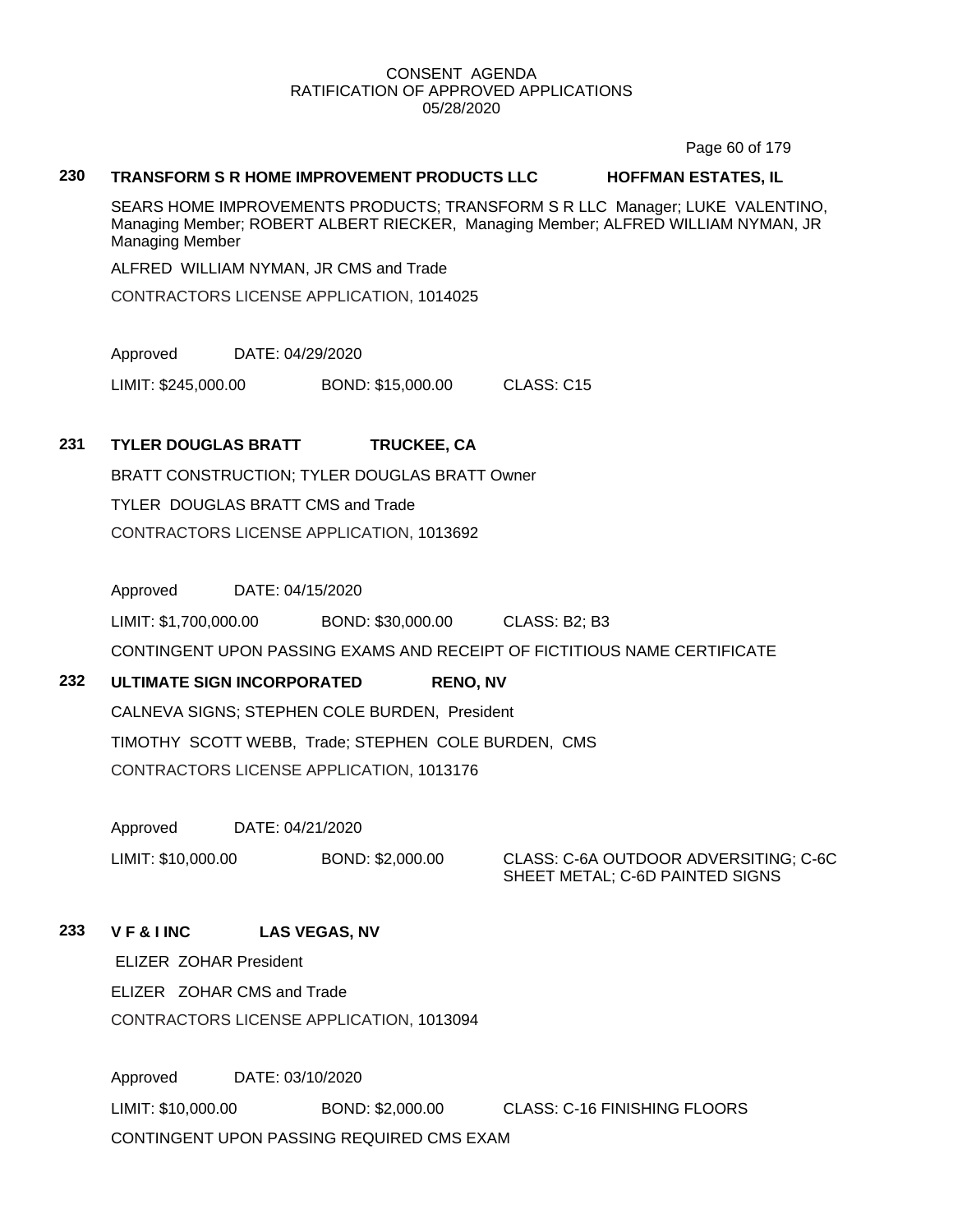Page 60 of 179

#### **230 TRANSFORM S R HOME IMPROVEMENT PRODUCTS LLC HOFFMAN ESTATES, IL**

SEARS HOME IMPROVEMENTS PRODUCTS; TRANSFORM S R LLC Manager; LUKE VALENTINO, Managing Member; ROBERT ALBERT RIECKER, Managing Member; ALFRED WILLIAM NYMAN, JR Managing Member

ALFRED WILLIAM NYMAN, JR CMS and Trade

CONTRACTORS LICENSE APPLICATION, 1014025

Approved DATE: 04/29/2020

LIMIT: \$245,000.00 BOND: \$15,000.00 CLASS: C15

# **231 TYLER DOUGLAS BRATT TRUCKEE, CA**

BRATT CONSTRUCTION; TYLER DOUGLAS BRATT Owner TYLER DOUGLAS BRATT CMS and Trade CONTRACTORS LICENSE APPLICATION, 1013692

Approved DATE: 04/15/2020

LIMIT: \$1,700,000.00 BOND: \$30,000.00 CLASS: B2; B3

CONTINGENT UPON PASSING EXAMS AND RECEIPT OF FICTITIOUS NAME CERTIFICATE

# **232 ULTIMATE SIGN INCORPORATED RENO, NV**

CALNEVA SIGNS; STEPHEN COLE BURDEN, President TIMOTHY SCOTT WEBB, Trade; STEPHEN COLE BURDEN, CMS CONTRACTORS LICENSE APPLICATION, 1013176

Approved DATE: 04/21/2020

LIMIT: \$10,000.00 BOND: \$2,000.00 CLASS: C-6A OUTDOOR ADVERSITING; C-6C SHEET METAL; C-6D PAINTED SIGNS

# **233 V F & I INC LAS VEGAS, NV**

ELIZER ZOHAR President ELIZER ZOHAR CMS and Trade CONTRACTORS LICENSE APPLICATION, 1013094

Approved DATE: 03/10/2020 LIMIT: \$10,000.00 BOND: \$2,000.00 CLASS: C-16 FINISHING FLOORS CONTINGENT UPON PASSING REQUIRED CMS EXAM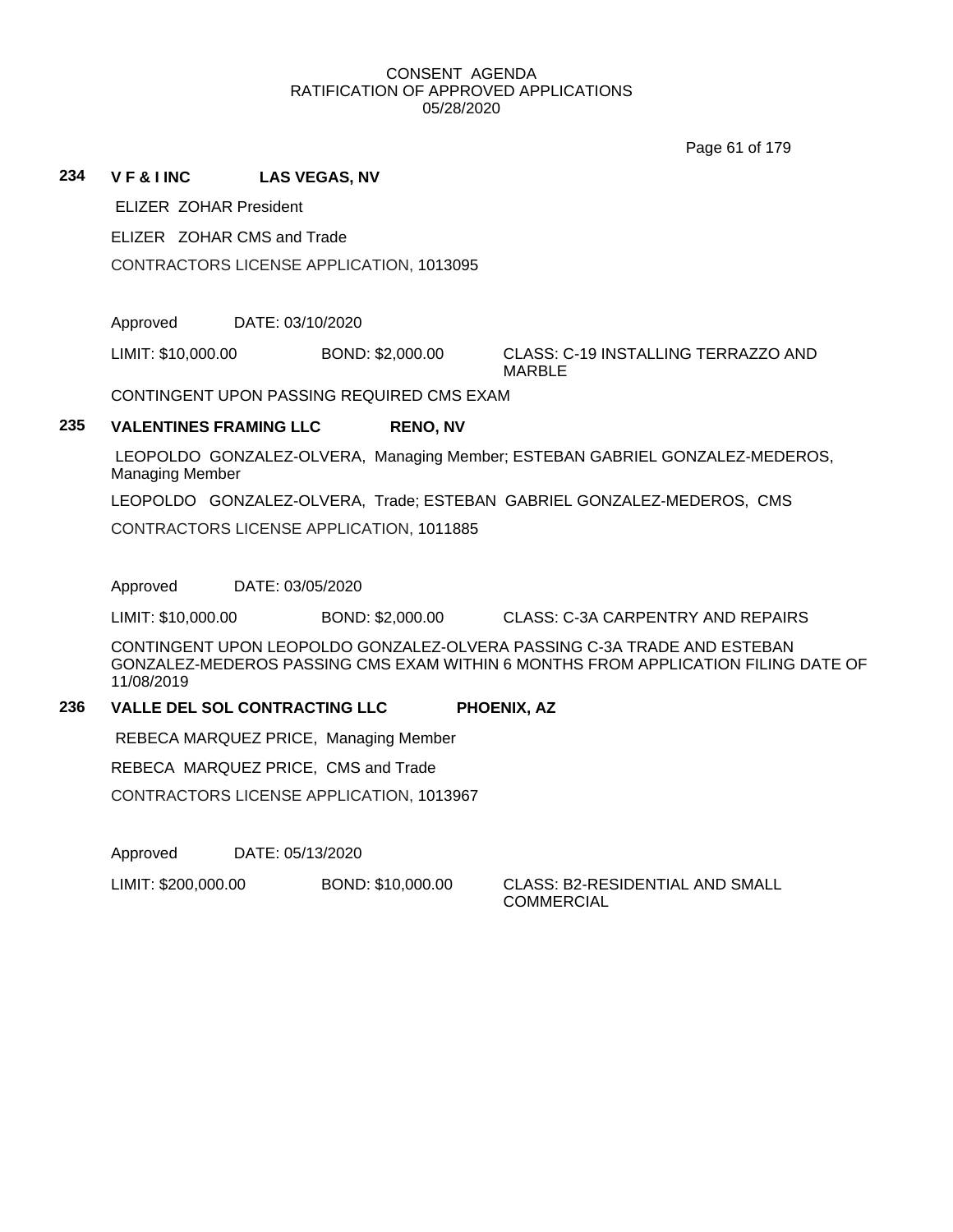Page 61 of 179

## **234 V F & I INC LAS VEGAS, NV**

ELIZER ZOHAR President

ELIZER ZOHAR CMS and Trade

CONTRACTORS LICENSE APPLICATION, 1013095

Approved DATE: 03/10/2020

LIMIT: \$10,000.00 BOND: \$2,000.00 CLASS: C-19 INSTALLING TERRAZZO AND

MARBLE

CONTINGENT UPON PASSING REQUIRED CMS EXAM

# **235 VALENTINES FRAMING LLC RENO, NV**

LEOPOLDO GONZALEZ-OLVERA, Managing Member; ESTEBAN GABRIEL GONZALEZ-MEDEROS, Managing Member

LEOPOLDO GONZALEZ-OLVERA, Trade; ESTEBAN GABRIEL GONZALEZ-MEDEROS, CMS

CONTRACTORS LICENSE APPLICATION, 1011885

Approved DATE: 03/05/2020

LIMIT: \$10,000.00 BOND: \$2,000.00 CLASS: C-3A CARPENTRY AND REPAIRS

CONTINGENT UPON LEOPOLDO GONZALEZ-OLVERA PASSING C-3A TRADE AND ESTEBAN GONZALEZ-MEDEROS PASSING CMS EXAM WITHIN 6 MONTHS FROM APPLICATION FILING DATE OF 11/08/2019

## **236 VALLE DEL SOL CONTRACTING LLC PHOENIX, AZ**

REBECA MARQUEZ PRICE, Managing Member

REBECA MARQUEZ PRICE, CMS and Trade

CONTRACTORS LICENSE APPLICATION, 1013967

Approved DATE: 05/13/2020

LIMIT: \$200,000.00 BOND: \$10,000.00 CLASS: B2-RESIDENTIAL AND SMALL

COMMERCIAL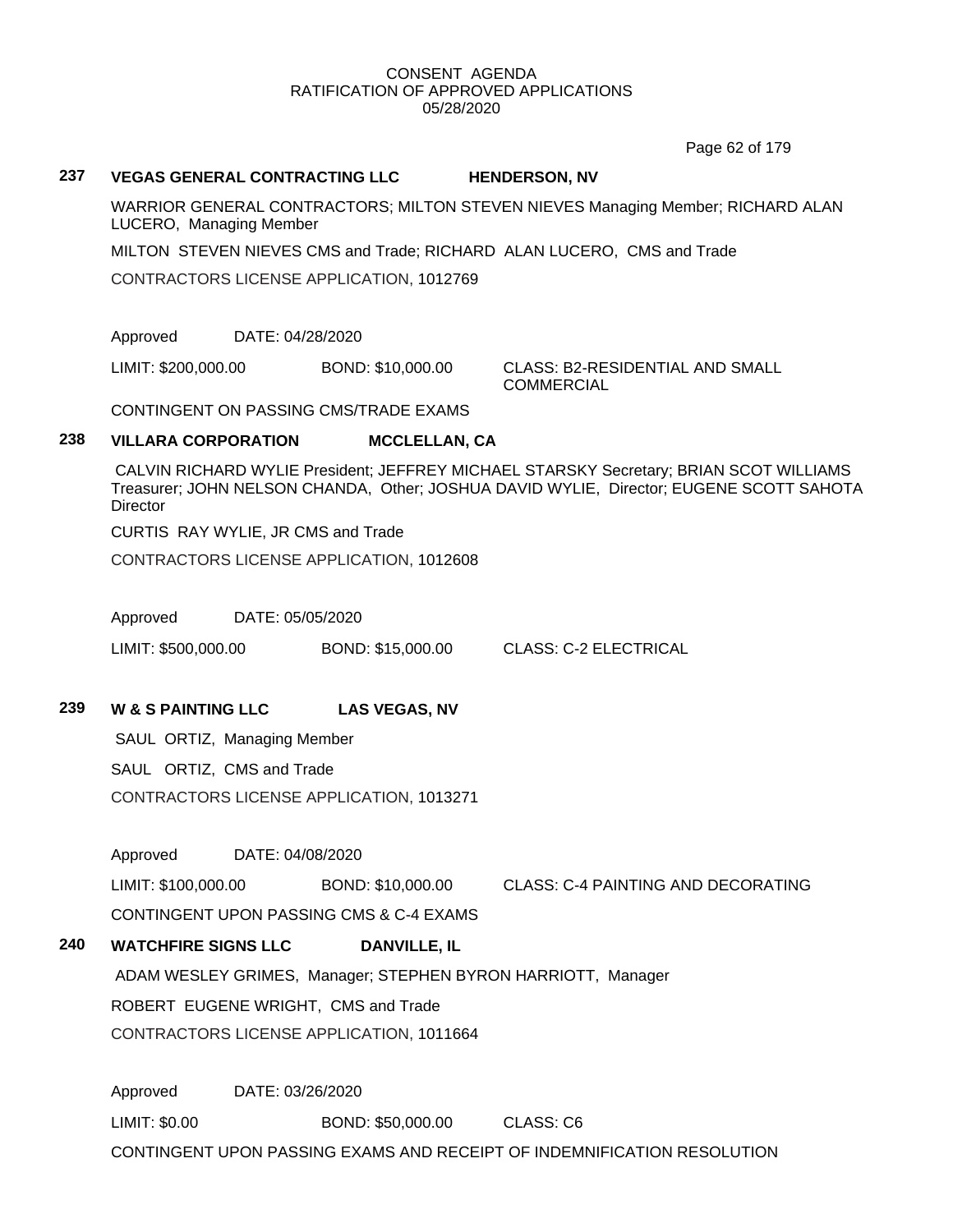Page 62 of 179

#### **237 VEGAS GENERAL CONTRACTING LLC HENDERSON, NV**

WARRIOR GENERAL CONTRACTORS; MILTON STEVEN NIEVES Managing Member; RICHARD ALAN LUCERO, Managing Member

MILTON STEVEN NIEVES CMS and Trade; RICHARD ALAN LUCERO, CMS and Trade

CONTRACTORS LICENSE APPLICATION, 1012769

Approved DATE: 04/28/2020

LIMIT: \$200,000.00 BOND: \$10,000.00 CLASS: B2-RESIDENTIAL AND SMALL

**COMMERCIAL** 

CONTINGENT ON PASSING CMS/TRADE EXAMS

# **238 VILLARA CORPORATION MCCLELLAN, CA**

CALVIN RICHARD WYLIE President; JEFFREY MICHAEL STARSKY Secretary; BRIAN SCOT WILLIAMS Treasurer; JOHN NELSON CHANDA, Other; JOSHUA DAVID WYLIE, Director; EUGENE SCOTT SAHOTA **Director** 

CURTIS RAY WYLIE, JR CMS and Trade

CONTRACTORS LICENSE APPLICATION, 1012608

Approved DATE: 05/05/2020

LIMIT: \$500,000.00 BOND: \$15,000.00 CLASS: C-2 ELECTRICAL

**239 W & S PAINTING LLC LAS VEGAS, NV**

SAUL ORTIZ, Managing Member

SAUL ORTIZ, CMS and Trade

CONTRACTORS LICENSE APPLICATION, 1013271

Approved DATE: 04/08/2020

LIMIT: \$100,000.00 BOND: \$10,000.00 CLASS: C-4 PAINTING AND DECORATING CONTINGENT UPON PASSING CMS & C-4 EXAMS

**240 WATCHFIRE SIGNS LLC DANVILLE, IL**

ADAM WESLEY GRIMES, Manager; STEPHEN BYRON HARRIOTT, Manager

ROBERT EUGENE WRIGHT, CMS and Trade

CONTRACTORS LICENSE APPLICATION, 1011664

Approved DATE: 03/26/2020 LIMIT: \$0.00 BOND: \$50,000.00 CLASS: C6 CONTINGENT UPON PASSING EXAMS AND RECEIPT OF INDEMNIFICATION RESOLUTION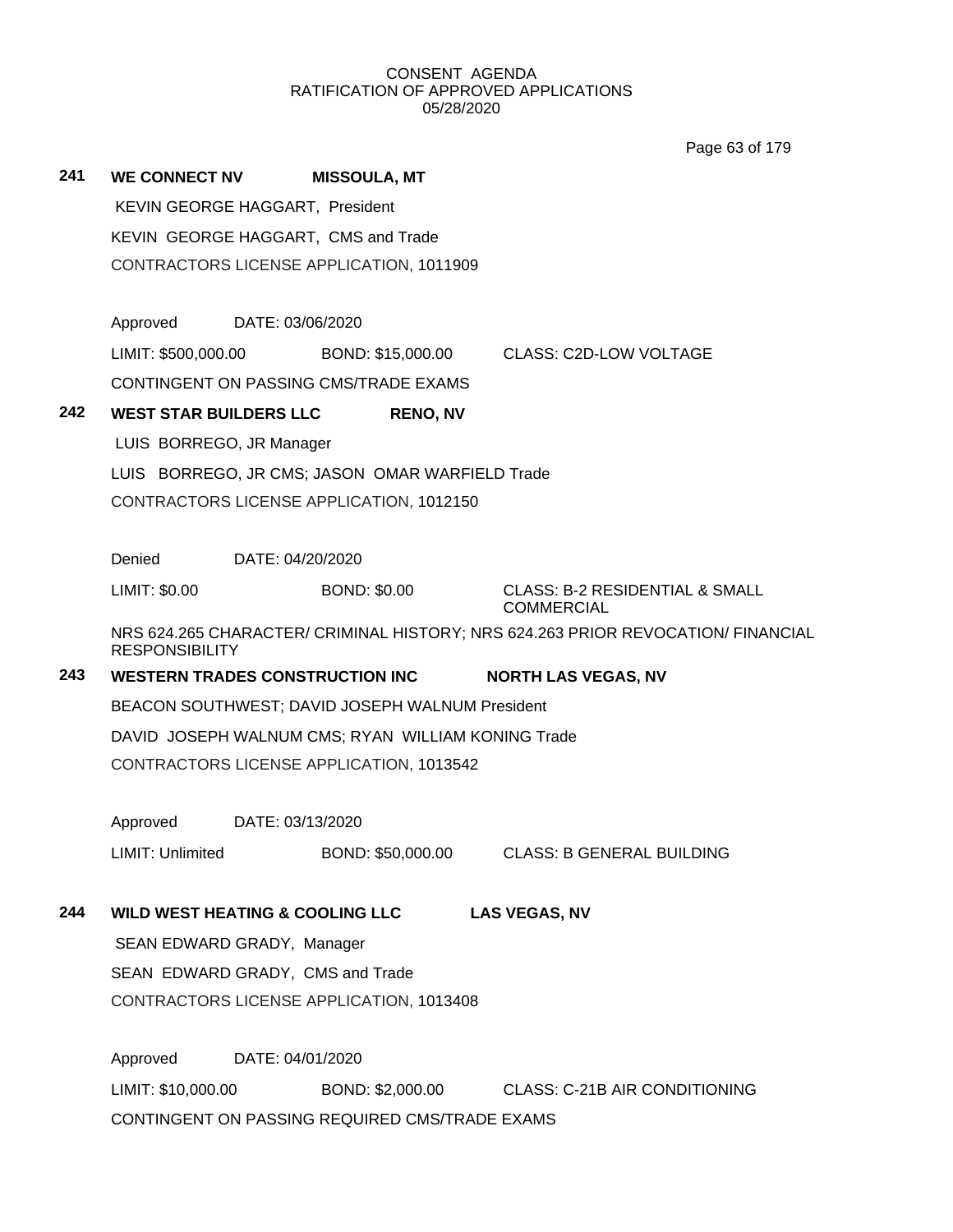Page 63 of 179

| 241 | <b>WE CONNECT NV</b>            |                  | <b>MISSOULA, MT</b>                                |                                                                                  |
|-----|---------------------------------|------------------|----------------------------------------------------|----------------------------------------------------------------------------------|
|     | KEVIN GEORGE HAGGART, President |                  |                                                    |                                                                                  |
|     |                                 |                  | KEVIN GEORGE HAGGART, CMS and Trade                |                                                                                  |
|     |                                 |                  | CONTRACTORS LICENSE APPLICATION, 1011909           |                                                                                  |
|     | Approved                        | DATE: 03/06/2020 |                                                    |                                                                                  |
|     |                                 |                  |                                                    | LIMIT: \$500,000.00 BOND: \$15,000.00 CLASS: C2D-LOW VOLTAGE                     |
|     |                                 |                  | CONTINGENT ON PASSING CMS/TRADE EXAMS              |                                                                                  |
| 242 | <b>WEST STAR BUILDERS LLC</b>   |                  | <b>RENO, NV</b>                                    |                                                                                  |
|     | LUIS BORREGO, JR Manager        |                  |                                                    |                                                                                  |
|     |                                 |                  | LUIS BORREGO, JR CMS; JASON OMAR WARFIELD Trade    |                                                                                  |
|     |                                 |                  | CONTRACTORS LICENSE APPLICATION, 1012150           |                                                                                  |
|     | Denied                          | DATE: 04/20/2020 |                                                    |                                                                                  |
|     | LIMIT: \$0.00                   |                  | <b>BOND: \$0.00</b>                                | <b>CLASS: B-2 RESIDENTIAL &amp; SMALL</b><br><b>COMMERCIAL</b>                   |
|     | <b>RESPONSIBILITY</b>           |                  |                                                    | NRS 624.265 CHARACTER/ CRIMINAL HISTORY; NRS 624.263 PRIOR REVOCATION/ FINANCIAL |
| 243 |                                 |                  | <b>WESTERN TRADES CONSTRUCTION INC</b>             | <b>NORTH LAS VEGAS, NV</b>                                                       |
|     |                                 |                  | BEACON SOUTHWEST; DAVID JOSEPH WALNUM President    |                                                                                  |
|     |                                 |                  | DAVID JOSEPH WALNUM CMS; RYAN WILLIAM KONING Trade |                                                                                  |
|     |                                 |                  | CONTRACTORS LICENSE APPLICATION, 1013542           |                                                                                  |
|     | Approved                        | DATE: 03/13/2020 |                                                    |                                                                                  |
|     | LIMIT: Unlimited                |                  |                                                    | BOND: \$50,000.00 CLASS: B GENERAL BUILDING                                      |
| 244 |                                 |                  | <b>WILD WEST HEATING &amp; COOLING LLC</b>         | <b>LAS VEGAS, NV</b>                                                             |
|     | SEAN EDWARD GRADY, Manager      |                  |                                                    |                                                                                  |
|     |                                 |                  | SEAN EDWARD GRADY, CMS and Trade                   |                                                                                  |
|     |                                 |                  | CONTRACTORS LICENSE APPLICATION, 1013408           |                                                                                  |
|     | Approved                        | DATE: 04/01/2020 |                                                    |                                                                                  |
|     | LIMIT: \$10,000.00              |                  |                                                    | BOND: \$2,000.00 CLASS: C-21B AIR CONDITIONING                                   |
|     |                                 |                  | CONTINGENT ON PASSING REQUIRED CMS/TRADE EXAMS     |                                                                                  |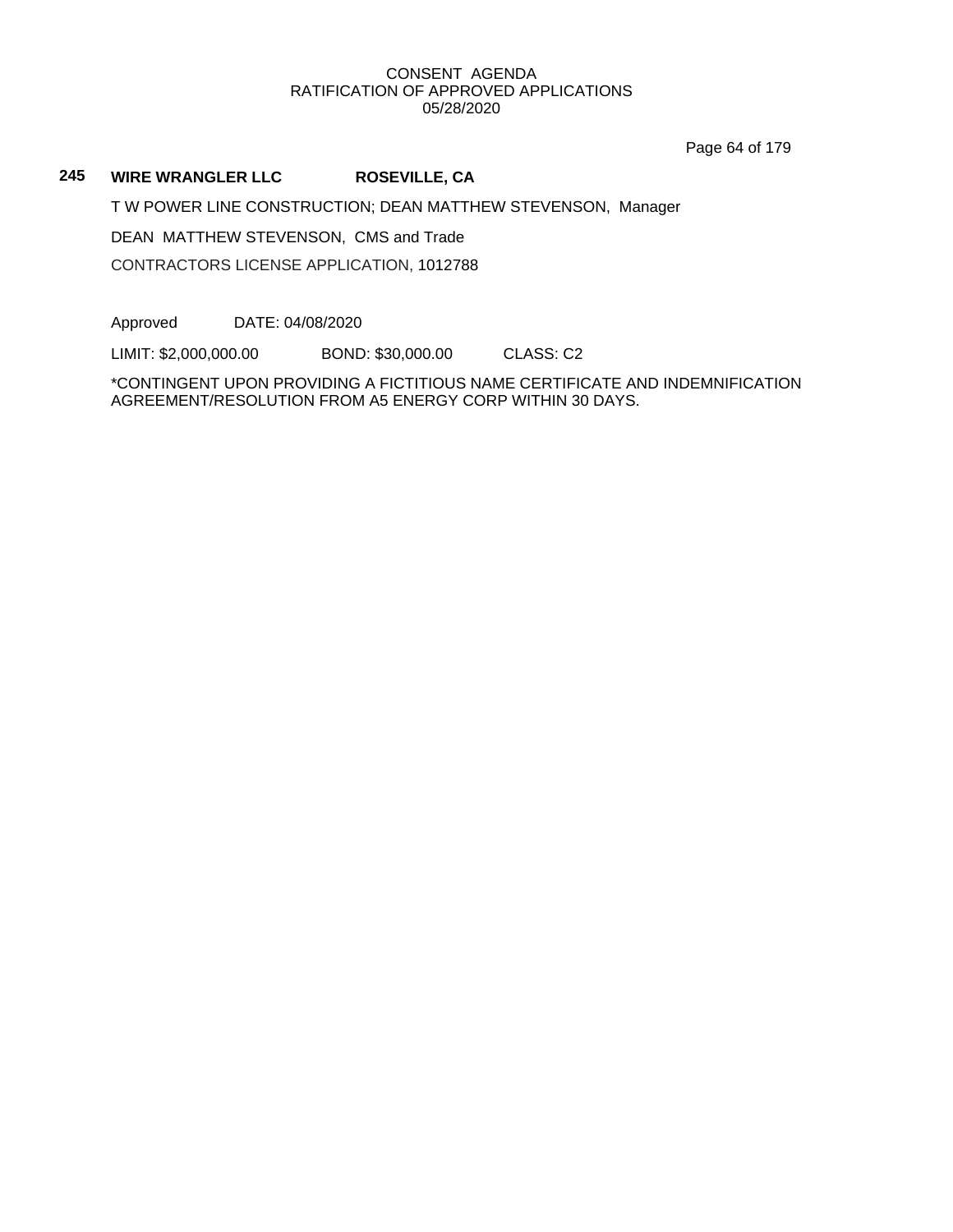Page 64 of 179

# **245 WIRE WRANGLER LLC ROSEVILLE, CA**

T W POWER LINE CONSTRUCTION; DEAN MATTHEW STEVENSON, Manager

DEAN MATTHEW STEVENSON, CMS and Trade

CONTRACTORS LICENSE APPLICATION, 1012788

Approved DATE: 04/08/2020

LIMIT: \$2,000,000.00 BOND: \$30,000.00 CLASS: C2

\*CONTINGENT UPON PROVIDING A FICTITIOUS NAME CERTIFICATE AND INDEMNIFICATION AGREEMENT/RESOLUTION FROM A5 ENERGY CORP WITHIN 30 DAYS.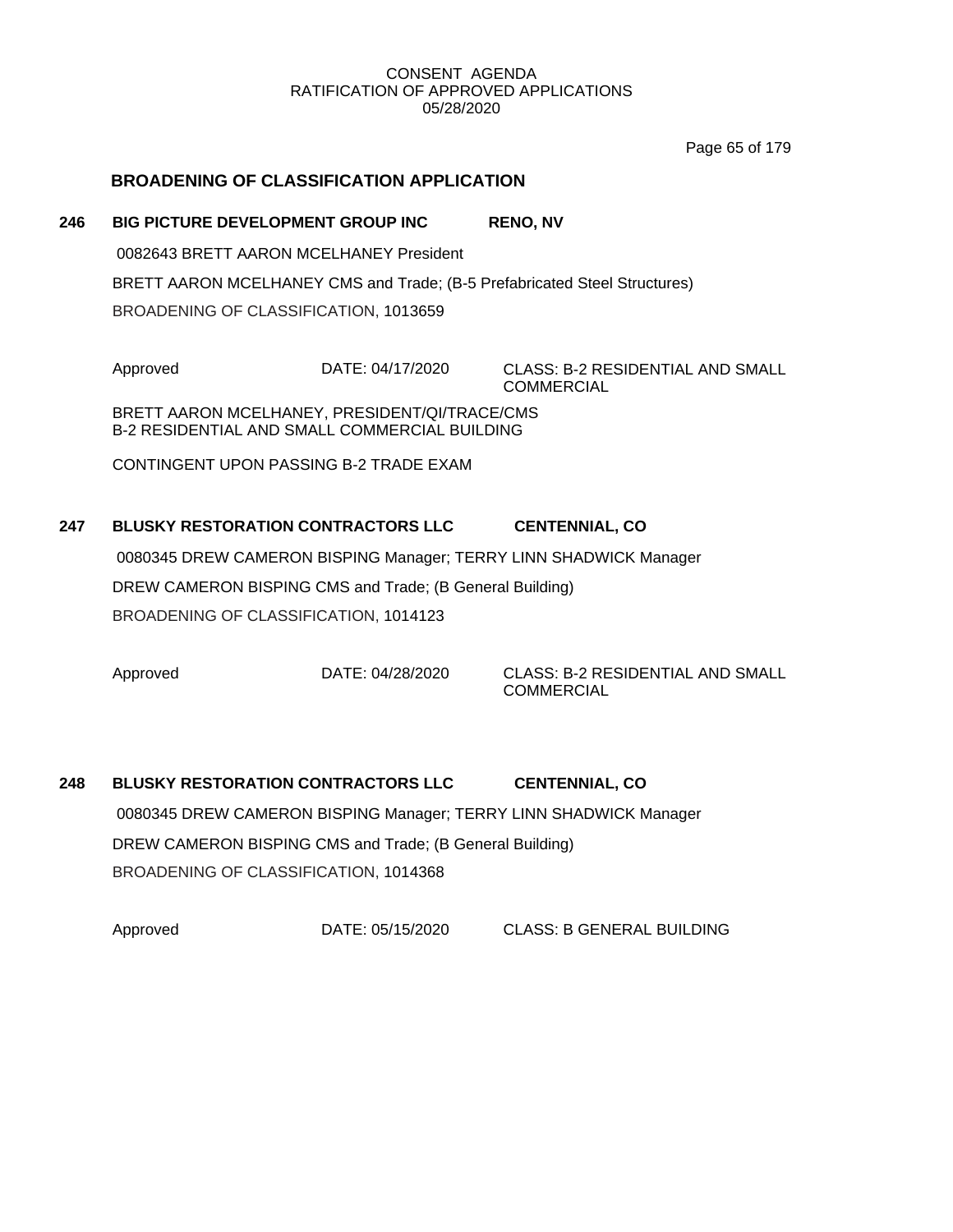Page 65 of 179

# **BROADENING OF CLASSIFICATION APPLICATION**

## **246 BIG PICTURE DEVELOPMENT GROUP INC RENO, NV**

0082643 BRETT AARON MCELHANEY President

BRETT AARON MCELHANEY CMS and Trade; (B-5 Prefabricated Steel Structures)

BROADENING OF CLASSIFICATION, 1013659

Approved DATE: 04/17/2020 CLASS: B-2 RESIDENTIAL AND SMALL COMMERCIAL

BRETT AARON MCELHANEY, PRESIDENT/QI/TRACE/CMS B-2 RESIDENTIAL AND SMALL COMMERCIAL BUILDING

CONTINGENT UPON PASSING B-2 TRADE EXAM

# **247 BLUSKY RESTORATION CONTRACTORS LLC CENTENNIAL, CO** 0080345 DREW CAMERON BISPING Manager; TERRY LINN SHADWICK Manager

DREW CAMERON BISPING CMS and Trade; (B General Building)

BROADENING OF CLASSIFICATION, 1014123

Approved DATE: 04/28/2020 CLASS: B-2 RESIDENTIAL AND SMALL **COMMERCIAL** 

# **248 BLUSKY RESTORATION CONTRACTORS LLC CENTENNIAL, CO** 0080345 DREW CAMERON BISPING Manager; TERRY LINN SHADWICK Manager DREW CAMERON BISPING CMS and Trade; (B General Building) BROADENING OF CLASSIFICATION, 1014368

Approved DATE: 05/15/2020 CLASS: B GENERAL BUILDING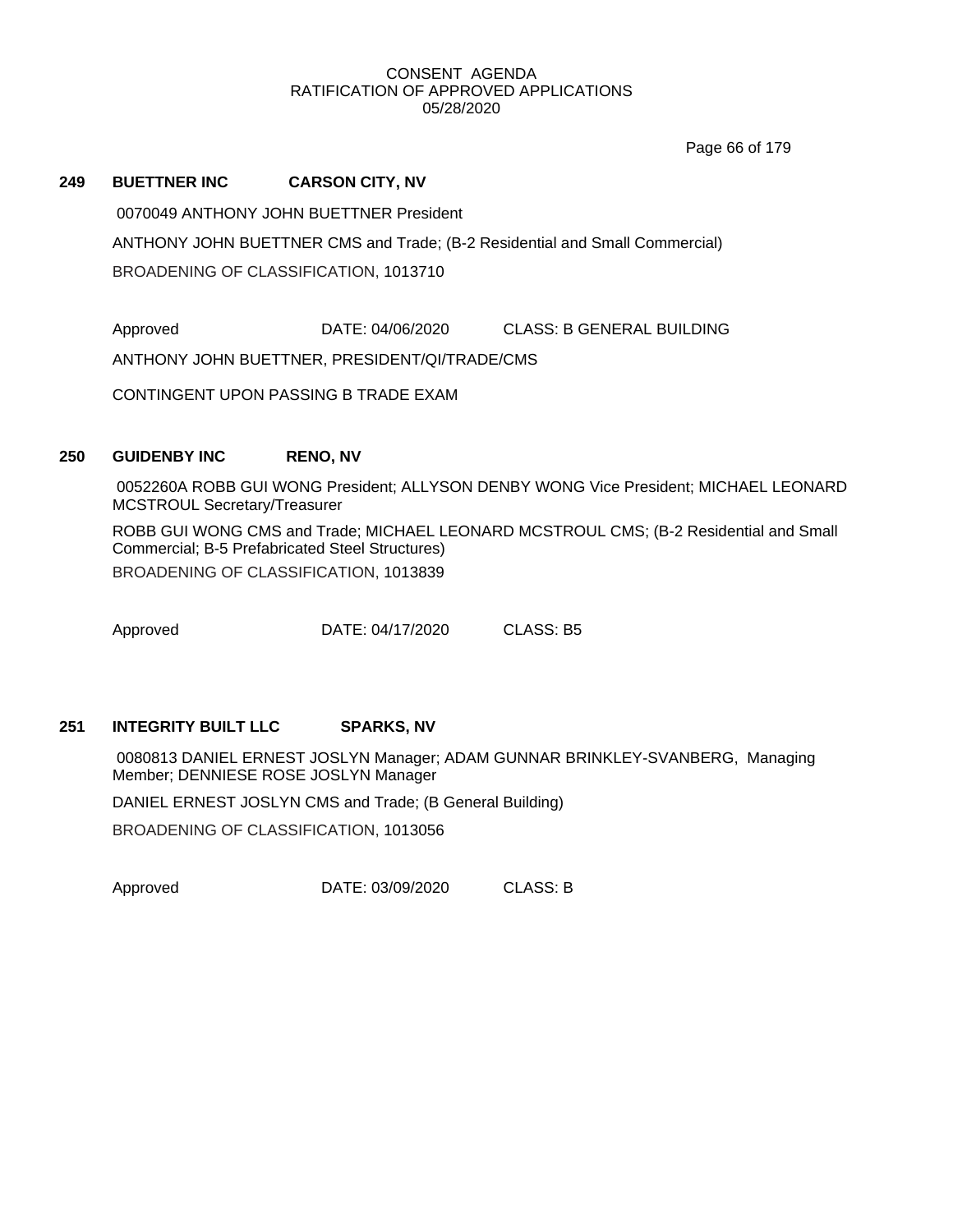Page 66 of 179

#### **249 BUETTNER INC CARSON CITY, NV**

0070049 ANTHONY JOHN BUETTNER President

ANTHONY JOHN BUETTNER CMS and Trade; (B-2 Residential and Small Commercial)

BROADENING OF CLASSIFICATION, 1013710

Approved DATE: 04/06/2020 CLASS: B GENERAL BUILDING

ANTHONY JOHN BUETTNER, PRESIDENT/QI/TRADE/CMS

CONTINGENT UPON PASSING B TRADE EXAM

## **250 GUIDENBY INC RENO, NV**

0052260A ROBB GUI WONG President; ALLYSON DENBY WONG Vice President; MICHAEL LEONARD MCSTROUL Secretary/Treasurer

ROBB GUI WONG CMS and Trade; MICHAEL LEONARD MCSTROUL CMS; (B-2 Residential and Small Commercial; B-5 Prefabricated Steel Structures) BROADENING OF CLASSIFICATION, 1013839

Approved **DATE: 04/17/2020 CLASS: B5** 

# **251 INTEGRITY BUILT LLC SPARKS, NV**

0080813 DANIEL ERNEST JOSLYN Manager; ADAM GUNNAR BRINKLEY-SVANBERG, Managing Member; DENNIESE ROSE JOSLYN Manager

DANIEL ERNEST JOSLYN CMS and Trade; (B General Building)

BROADENING OF CLASSIFICATION, 1013056

Approved DATE: 03/09/2020 CLASS: B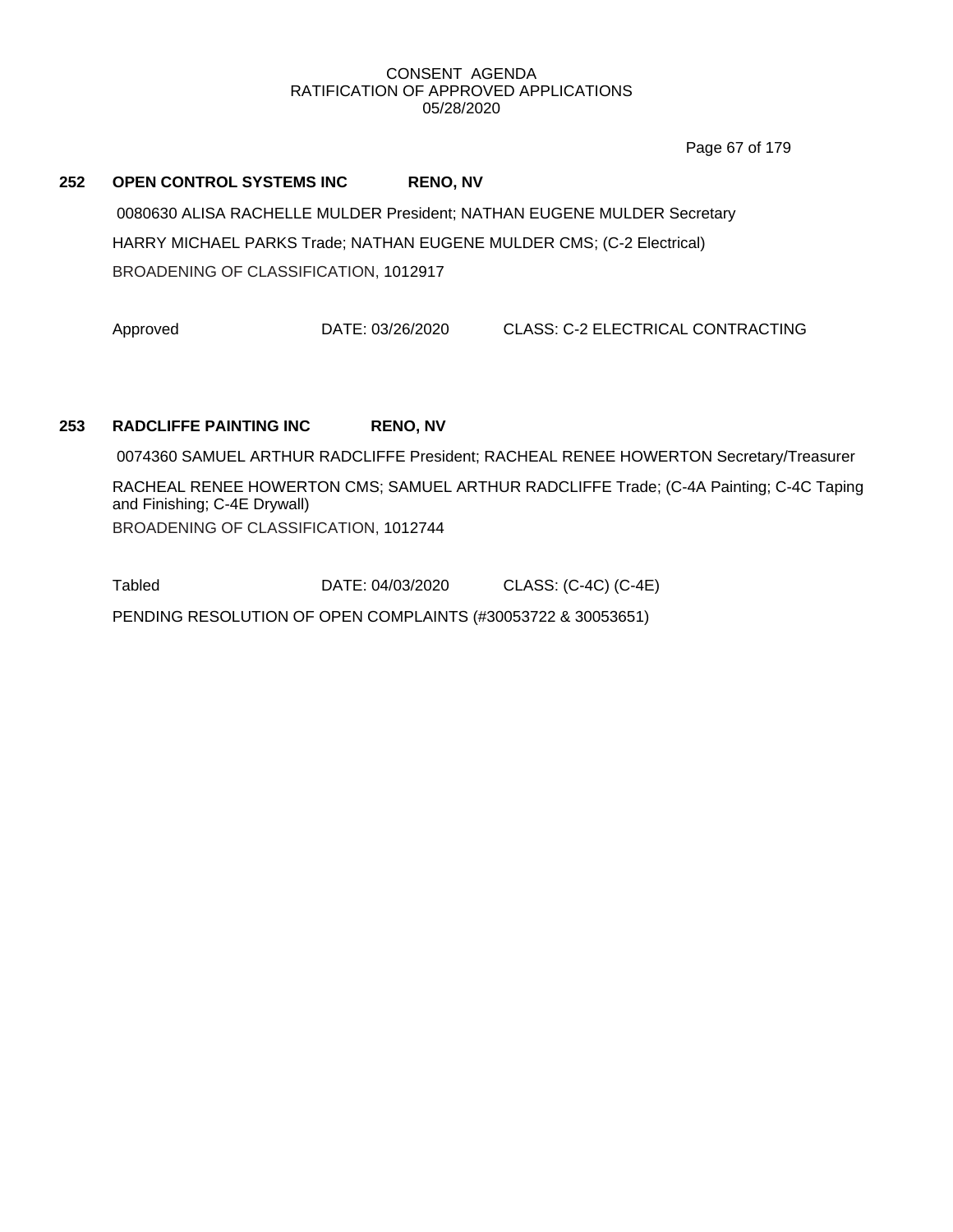Page 67 of 179

#### **252 OPEN CONTROL SYSTEMS INC RENO, NV**

0080630 ALISA RACHELLE MULDER President; NATHAN EUGENE MULDER Secretary HARRY MICHAEL PARKS Trade; NATHAN EUGENE MULDER CMS; (C-2 Electrical) BROADENING OF CLASSIFICATION, 1012917

Approved DATE: 03/26/2020 CLASS: C-2 ELECTRICAL CONTRACTING

## **253 RADCLIFFE PAINTING INC RENO, NV**

0074360 SAMUEL ARTHUR RADCLIFFE President; RACHEAL RENEE HOWERTON Secretary/Treasurer

RACHEAL RENEE HOWERTON CMS; SAMUEL ARTHUR RADCLIFFE Trade; (C-4A Painting; C-4C Taping and Finishing; C-4E Drywall) BROADENING OF CLASSIFICATION, 1012744

Tabled DATE: 04/03/2020 CLASS: (C-4C) (C-4E)

PENDING RESOLUTION OF OPEN COMPLAINTS (#30053722 & 30053651)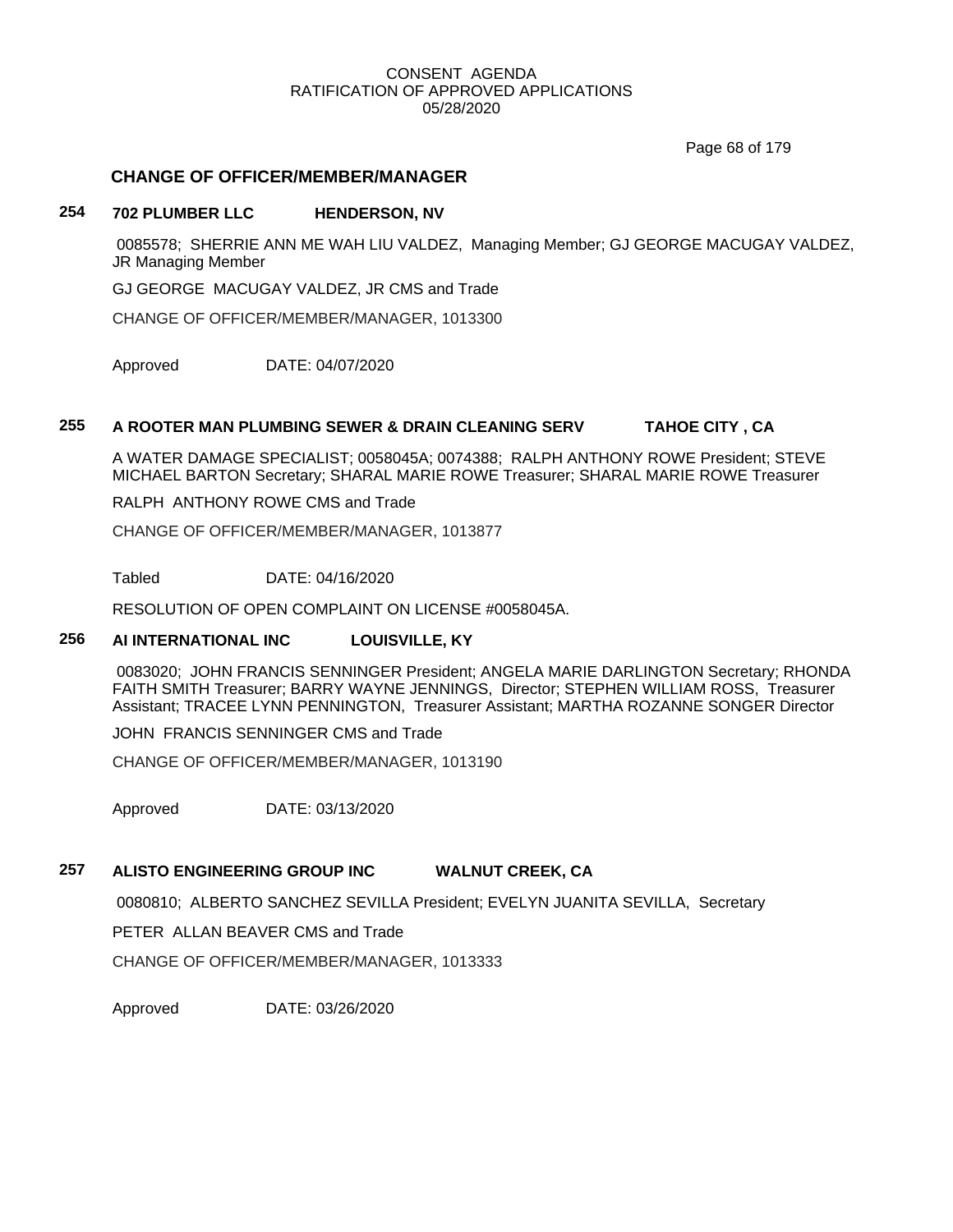Page 68 of 179

## **CHANGE OF OFFICER/MEMBER/MANAGER**

## **254 702 PLUMBER LLC HENDERSON, NV**

0085578; SHERRIE ANN ME WAH LIU VALDEZ, Managing Member; GJ GEORGE MACUGAY VALDEZ, JR Managing Member

GJ GEORGE MACUGAY VALDEZ, JR CMS and Trade

CHANGE OF OFFICER/MEMBER/MANAGER, 1013300

Approved DATE: 04/07/2020

# **255 A ROOTER MAN PLUMBING SEWER & DRAIN CLEANING SERV TAHOE CITY , CA**

A WATER DAMAGE SPECIALIST; 0058045A; 0074388; RALPH ANTHONY ROWE President; STEVE MICHAEL BARTON Secretary; SHARAL MARIE ROWE Treasurer; SHARAL MARIE ROWE Treasurer

RALPH ANTHONY ROWE CMS and Trade

CHANGE OF OFFICER/MEMBER/MANAGER, 1013877

Tabled DATE: 04/16/2020

RESOLUTION OF OPEN COMPLAINT ON LICENSE #0058045A.

# **256 AI INTERNATIONAL INC LOUISVILLE, KY**

0083020; JOHN FRANCIS SENNINGER President; ANGELA MARIE DARLINGTON Secretary; RHONDA FAITH SMITH Treasurer; BARRY WAYNE JENNINGS, Director; STEPHEN WILLIAM ROSS, Treasurer Assistant; TRACEE LYNN PENNINGTON, Treasurer Assistant; MARTHA ROZANNE SONGER Director

JOHN FRANCIS SENNINGER CMS and Trade

CHANGE OF OFFICER/MEMBER/MANAGER, 1013190

Approved DATE: 03/13/2020

# **257 ALISTO ENGINEERING GROUP INC WALNUT CREEK, CA**

0080810; ALBERTO SANCHEZ SEVILLA President; EVELYN JUANITA SEVILLA, Secretary

PETER ALLAN BEAVER CMS and Trade

CHANGE OF OFFICER/MEMBER/MANAGER, 1013333

Approved DATE: 03/26/2020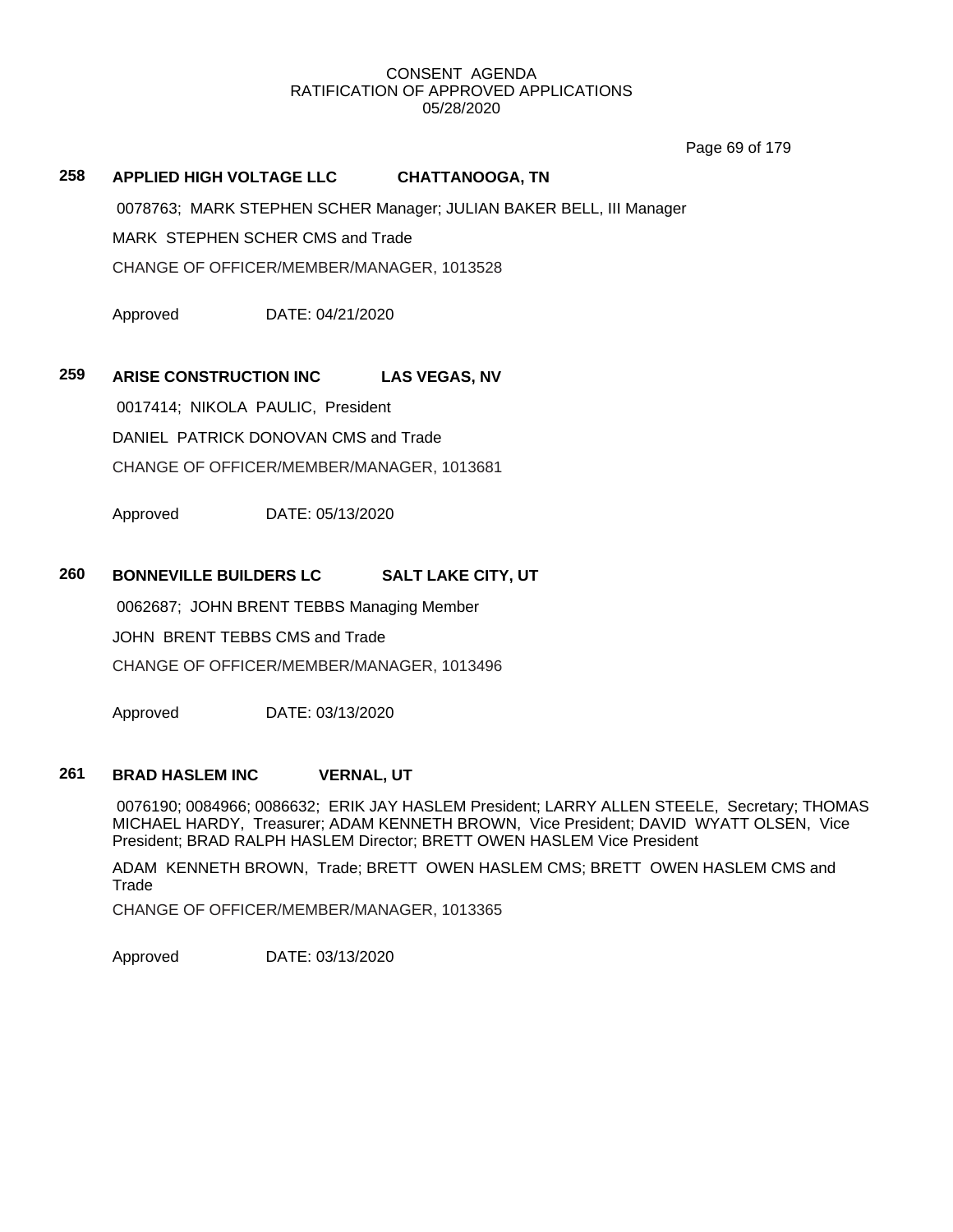Page 69 of 179

# **258 APPLIED HIGH VOLTAGE LLC CHATTANOOGA, TN**

0078763; MARK STEPHEN SCHER Manager; JULIAN BAKER BELL, III Manager

MARK STEPHEN SCHER CMS and Trade

CHANGE OF OFFICER/MEMBER/MANAGER, 1013528

Approved DATE: 04/21/2020

# **259 ARISE CONSTRUCTION INC LAS VEGAS, NV**

0017414; NIKOLA PAULIC, President

DANIEL PATRICK DONOVAN CMS and Trade

CHANGE OF OFFICER/MEMBER/MANAGER, 1013681

Approved DATE: 05/13/2020

# **260 BONNEVILLE BUILDERS LC SALT LAKE CITY, UT**

0062687; JOHN BRENT TEBBS Managing Member

JOHN BRENT TEBBS CMS and Trade

CHANGE OF OFFICER/MEMBER/MANAGER, 1013496

Approved DATE: 03/13/2020

# **261 BRAD HASLEM INC VERNAL, UT**

0076190; 0084966; 0086632; ERIK JAY HASLEM President; LARRY ALLEN STEELE, Secretary; THOMAS MICHAEL HARDY, Treasurer; ADAM KENNETH BROWN, Vice President; DAVID WYATT OLSEN, Vice President; BRAD RALPH HASLEM Director; BRETT OWEN HASLEM Vice President

ADAM KENNETH BROWN, Trade; BRETT OWEN HASLEM CMS; BRETT OWEN HASLEM CMS and Trade

CHANGE OF OFFICER/MEMBER/MANAGER, 1013365

Approved DATE: 03/13/2020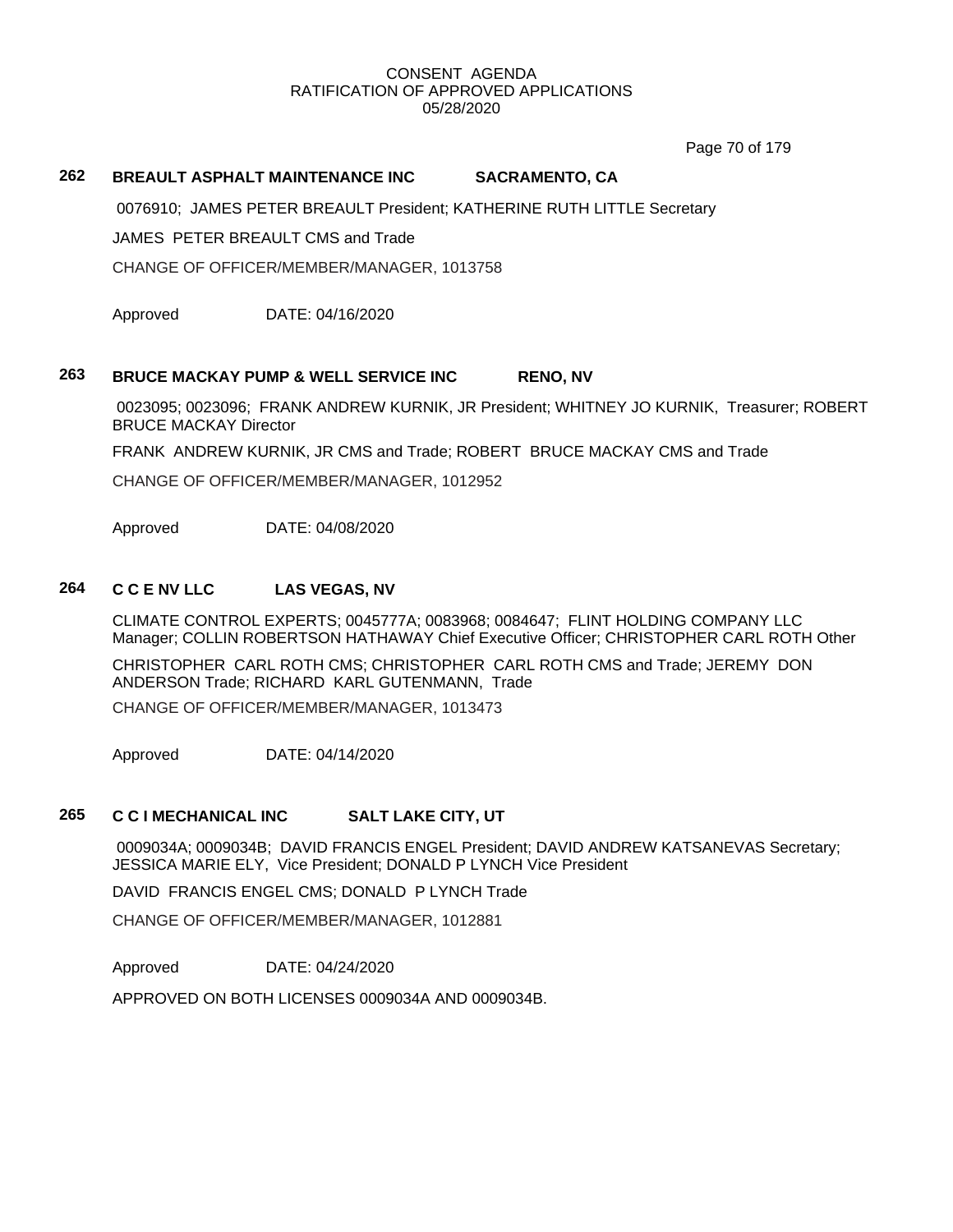Page 70 of 179

## **262 BREAULT ASPHALT MAINTENANCE INC SACRAMENTO, CA**

0076910; JAMES PETER BREAULT President; KATHERINE RUTH LITTLE Secretary

JAMES PETER BREAULT CMS and Trade

CHANGE OF OFFICER/MEMBER/MANAGER, 1013758

Approved DATE: 04/16/2020

## **263 BRUCE MACKAY PUMP & WELL SERVICE INC RENO, NV**

0023095; 0023096; FRANK ANDREW KURNIK, JR President; WHITNEY JO KURNIK, Treasurer; ROBERT BRUCE MACKAY Director

FRANK ANDREW KURNIK, JR CMS and Trade; ROBERT BRUCE MACKAY CMS and Trade

CHANGE OF OFFICER/MEMBER/MANAGER, 1012952

Approved DATE: 04/08/2020

## **264 C C E NV LLC LAS VEGAS, NV**

CLIMATE CONTROL EXPERTS; 0045777A; 0083968; 0084647; FLINT HOLDING COMPANY LLC Manager; COLLIN ROBERTSON HATHAWAY Chief Executive Officer; CHRISTOPHER CARL ROTH Other

CHRISTOPHER CARL ROTH CMS; CHRISTOPHER CARL ROTH CMS and Trade; JEREMY DON ANDERSON Trade; RICHARD KARL GUTENMANN, Trade

CHANGE OF OFFICER/MEMBER/MANAGER, 1013473

Approved DATE: 04/14/2020

## **265 C C I MECHANICAL INC SALT LAKE CITY, UT**

0009034A; 0009034B; DAVID FRANCIS ENGEL President; DAVID ANDREW KATSANEVAS Secretary; JESSICA MARIE ELY, Vice President; DONALD P LYNCH Vice President

DAVID FRANCIS ENGEL CMS; DONALD P LYNCH Trade

CHANGE OF OFFICER/MEMBER/MANAGER, 1012881

Approved DATE: 04/24/2020

APPROVED ON BOTH LICENSES 0009034A AND 0009034B.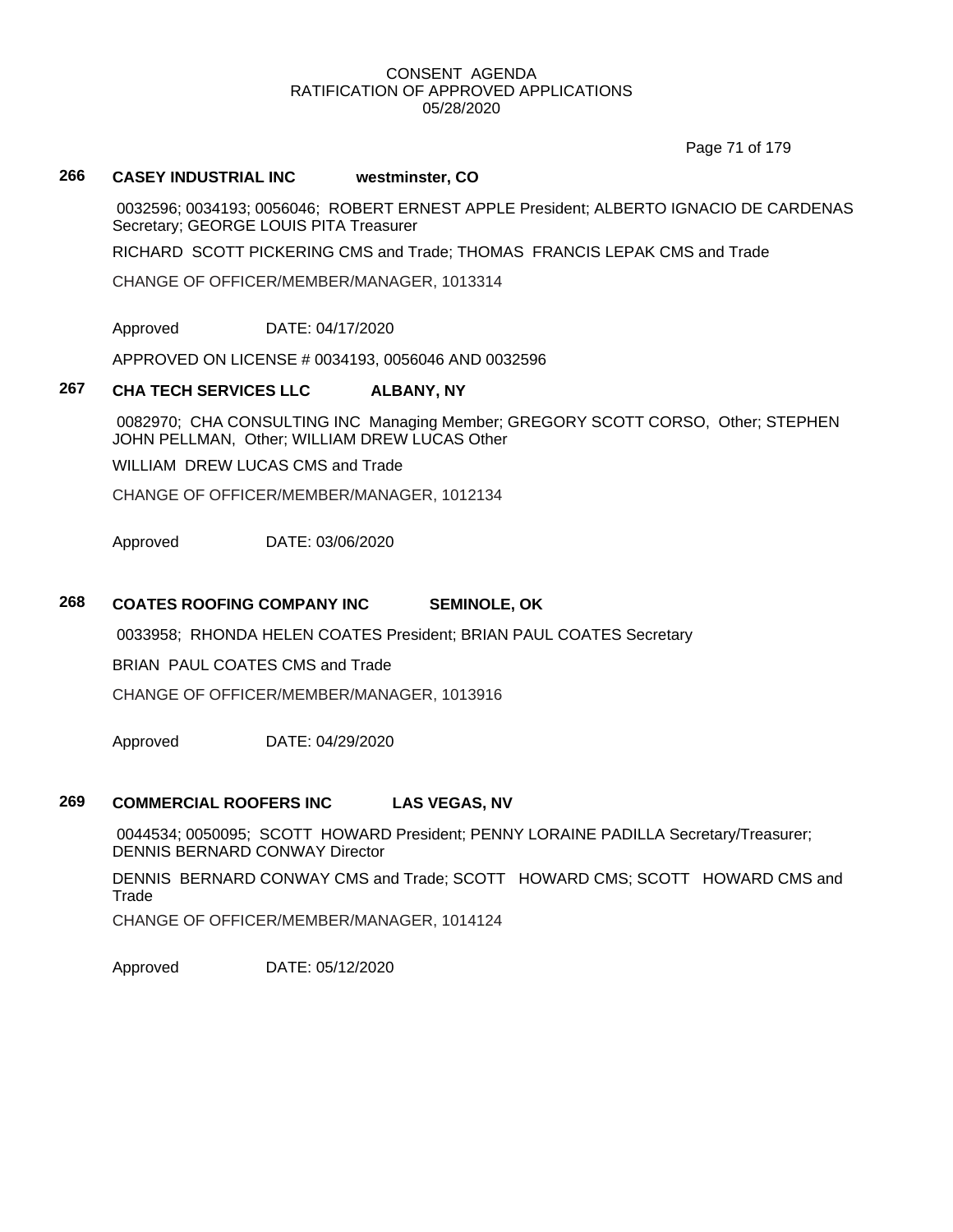Page 71 of 179

## **266 CASEY INDUSTRIAL INC westminster, CO**

0032596; 0034193; 0056046; ROBERT ERNEST APPLE President; ALBERTO IGNACIO DE CARDENAS Secretary; GEORGE LOUIS PITA Treasurer

RICHARD SCOTT PICKERING CMS and Trade; THOMAS FRANCIS LEPAK CMS and Trade

CHANGE OF OFFICER/MEMBER/MANAGER, 1013314

Approved DATE: 04/17/2020

APPROVED ON LICENSE # 0034193, 0056046 AND 0032596

## **267 CHA TECH SERVICES LLC ALBANY, NY**

0082970; CHA CONSULTING INC Managing Member; GREGORY SCOTT CORSO, Other; STEPHEN JOHN PELLMAN, Other; WILLIAM DREW LUCAS Other

WILLIAM DREW LUCAS CMS and Trade

CHANGE OF OFFICER/MEMBER/MANAGER, 1012134

Approved DATE: 03/06/2020

## **268 COATES ROOFING COMPANY INC SEMINOLE, OK**

0033958; RHONDA HELEN COATES President; BRIAN PAUL COATES Secretary

BRIAN PAUL COATES CMS and Trade

CHANGE OF OFFICER/MEMBER/MANAGER, 1013916

Approved DATE: 04/29/2020

## **269 COMMERCIAL ROOFERS INC LAS VEGAS, NV**

0044534; 0050095; SCOTT HOWARD President; PENNY LORAINE PADILLA Secretary/Treasurer; DENNIS BERNARD CONWAY Director

DENNIS BERNARD CONWAY CMS and Trade; SCOTT HOWARD CMS; SCOTT HOWARD CMS and Trade

CHANGE OF OFFICER/MEMBER/MANAGER, 1014124

Approved DATE: 05/12/2020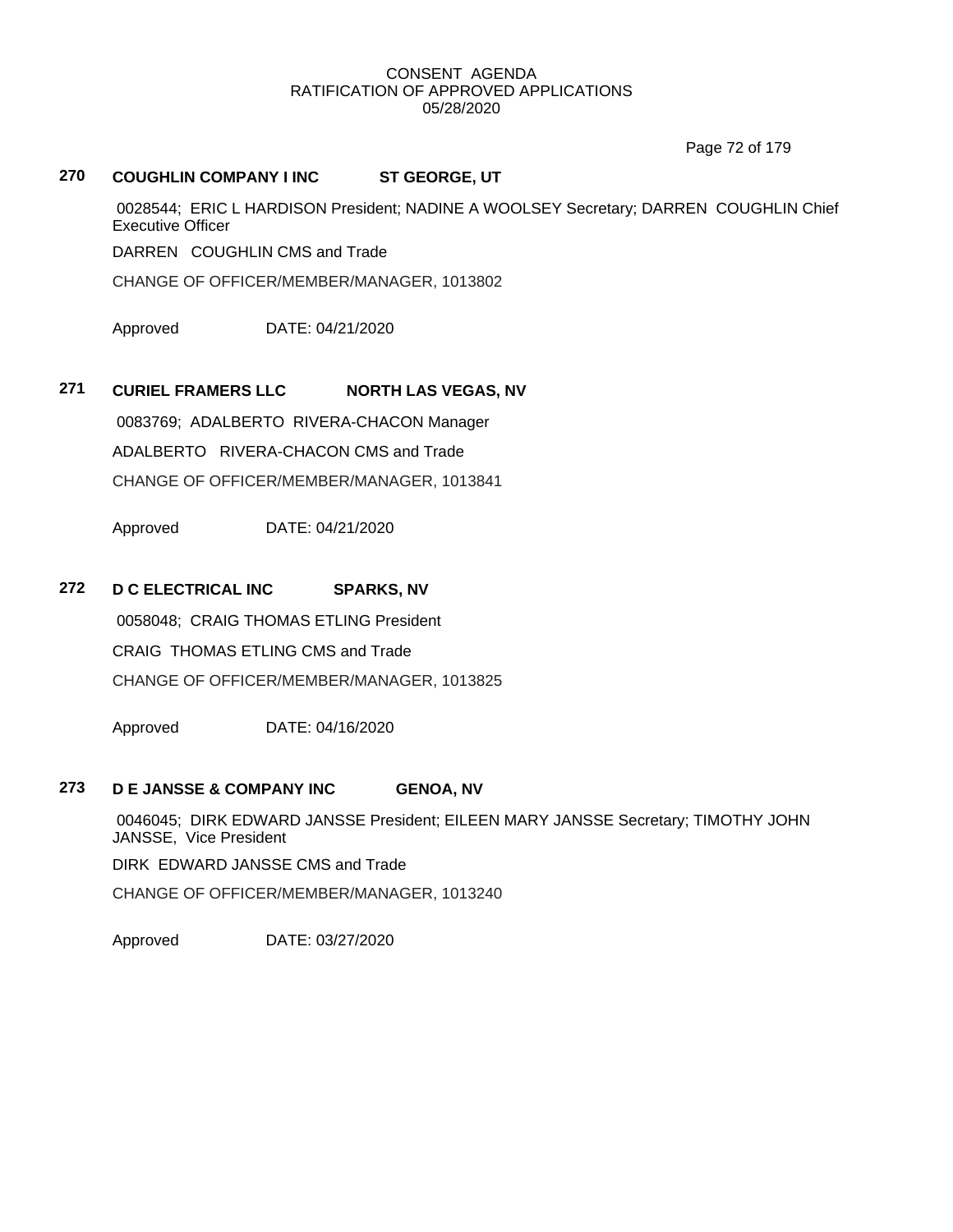Page 72 of 179

# **270 COUGHLIN COMPANY I INC ST GEORGE, UT**

0028544; ERIC L HARDISON President; NADINE A WOOLSEY Secretary; DARREN COUGHLIN Chief Executive Officer

DARREN COUGHLIN CMS and Trade

CHANGE OF OFFICER/MEMBER/MANAGER, 1013802

Approved DATE: 04/21/2020

# **271 CURIEL FRAMERS LLC NORTH LAS VEGAS, NV**

0083769; ADALBERTO RIVERA-CHACON Manager ADALBERTO RIVERA-CHACON CMS and Trade CHANGE OF OFFICER/MEMBER/MANAGER, 1013841

Approved DATE: 04/21/2020

## **272 D C ELECTRICAL INC SPARKS, NV**

0058048; CRAIG THOMAS ETLING President CRAIG THOMAS ETLING CMS and Trade CHANGE OF OFFICER/MEMBER/MANAGER, 1013825

Approved DATE: 04/16/2020

# **273 D E JANSSE & COMPANY INC GENOA, NV**

0046045; DIRK EDWARD JANSSE President; EILEEN MARY JANSSE Secretary; TIMOTHY JOHN JANSSE, Vice President

DIRK EDWARD JANSSE CMS and Trade

CHANGE OF OFFICER/MEMBER/MANAGER, 1013240

Approved DATE: 03/27/2020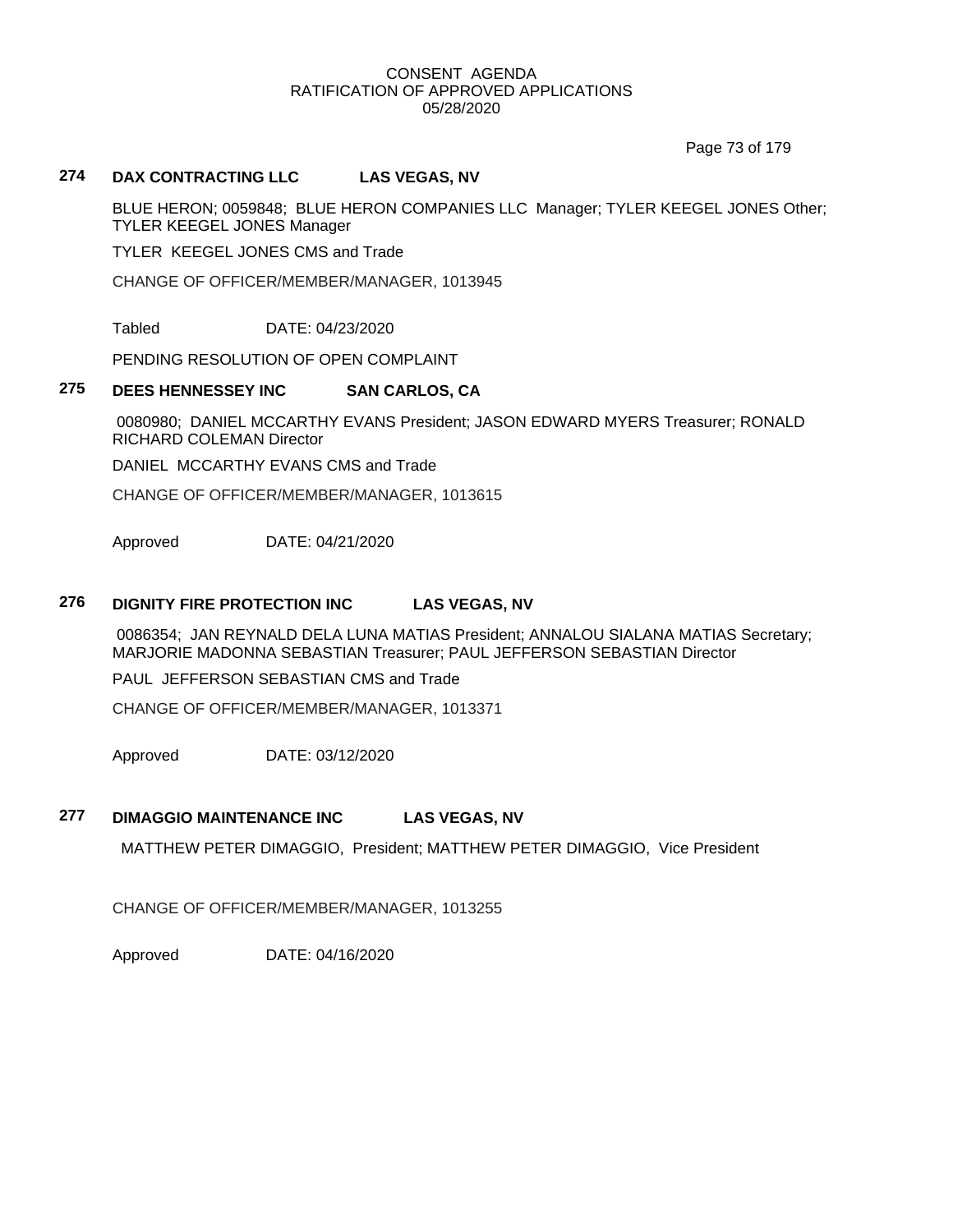Page 73 of 179

# **274 DAX CONTRACTING LLC LAS VEGAS, NV**

BLUE HERON; 0059848; BLUE HERON COMPANIES LLC Manager; TYLER KEEGEL JONES Other; TYLER KEEGEL JONES Manager

TYLER KEEGEL JONES CMS and Trade

CHANGE OF OFFICER/MEMBER/MANAGER, 1013945

Tabled DATE: 04/23/2020

PENDING RESOLUTION OF OPEN COMPLAINT

## **275 DEES HENNESSEY INC SAN CARLOS, CA**

0080980; DANIEL MCCARTHY EVANS President; JASON EDWARD MYERS Treasurer; RONALD RICHARD COLEMAN Director

DANIEL MCCARTHY EVANS CMS and Trade

CHANGE OF OFFICER/MEMBER/MANAGER, 1013615

Approved DATE: 04/21/2020

# **276 DIGNITY FIRE PROTECTION INC LAS VEGAS, NV**

0086354; JAN REYNALD DELA LUNA MATIAS President; ANNALOU SIALANA MATIAS Secretary; MARJORIE MADONNA SEBASTIAN Treasurer; PAUL JEFFERSON SEBASTIAN Director

PAUL JEFFERSON SEBASTIAN CMS and Trade

CHANGE OF OFFICER/MEMBER/MANAGER, 1013371

Approved DATE: 03/12/2020

## **277 DIMAGGIO MAINTENANCE INC LAS VEGAS, NV**

MATTHEW PETER DIMAGGIO, President; MATTHEW PETER DIMAGGIO, Vice President

CHANGE OF OFFICER/MEMBER/MANAGER, 1013255

Approved DATE: 04/16/2020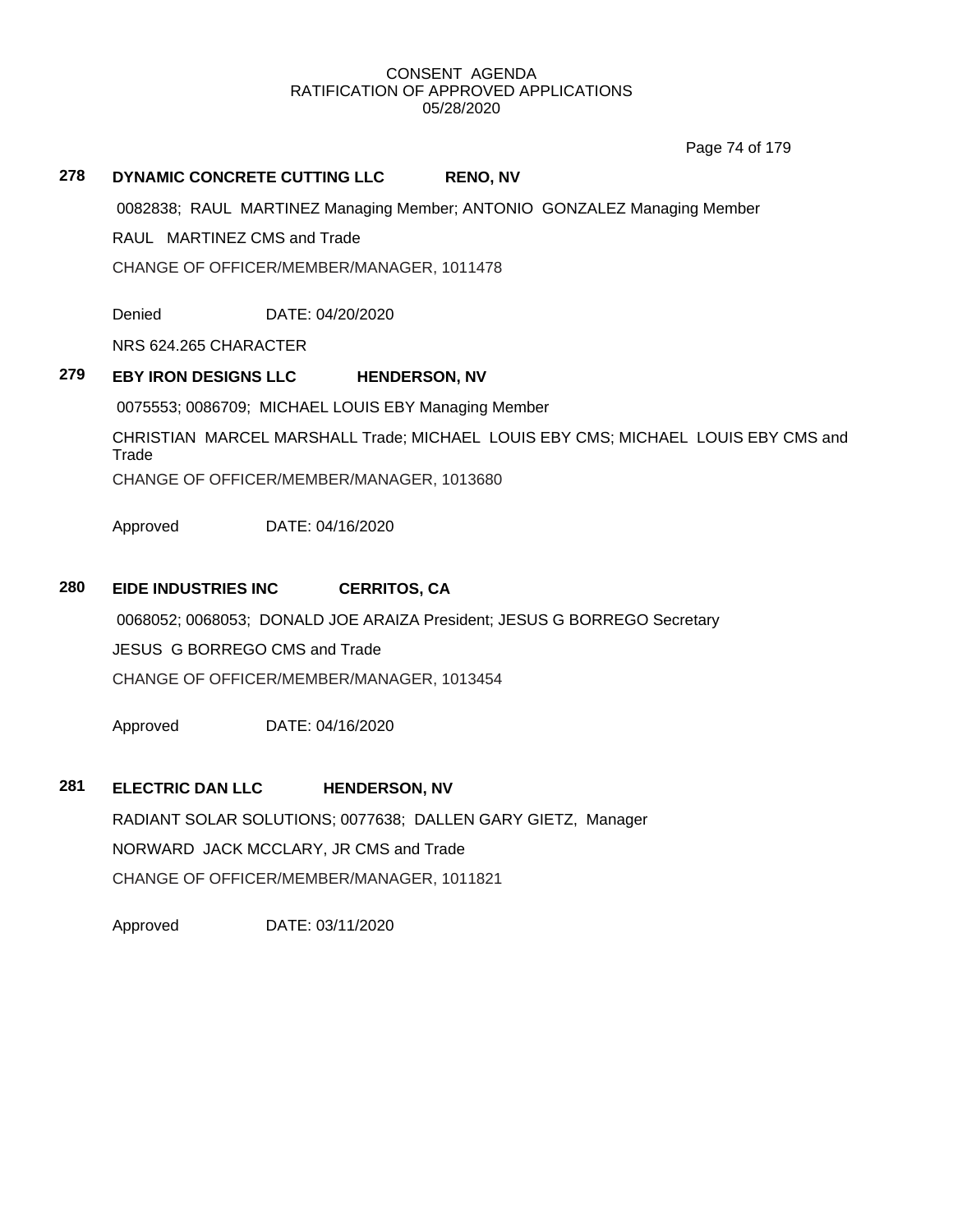Page 74 of 179

# **278 DYNAMIC CONCRETE CUTTING LLC RENO, NV**

0082838; RAUL MARTINEZ Managing Member; ANTONIO GONZALEZ Managing Member

RAUL MARTINEZ CMS and Trade

CHANGE OF OFFICER/MEMBER/MANAGER, 1011478

Denied DATE: 04/20/2020

NRS 624.265 CHARACTER

## **279 EBY IRON DESIGNS LLC HENDERSON, NV**

0075553; 0086709; MICHAEL LOUIS EBY Managing Member

CHRISTIAN MARCEL MARSHALL Trade; MICHAEL LOUIS EBY CMS; MICHAEL LOUIS EBY CMS and Trade

CHANGE OF OFFICER/MEMBER/MANAGER, 1013680

Approved DATE: 04/16/2020

## **280 EIDE INDUSTRIES INC CERRITOS, CA**

0068052; 0068053; DONALD JOE ARAIZA President; JESUS G BORREGO Secretary JESUS G BORREGO CMS and Trade CHANGE OF OFFICER/MEMBER/MANAGER, 1013454

Approved DATE: 04/16/2020

# **281 ELECTRIC DAN LLC HENDERSON, NV**

RADIANT SOLAR SOLUTIONS; 0077638; DALLEN GARY GIETZ, Manager NORWARD JACK MCCLARY, JR CMS and Trade CHANGE OF OFFICER/MEMBER/MANAGER, 1011821

Approved DATE: 03/11/2020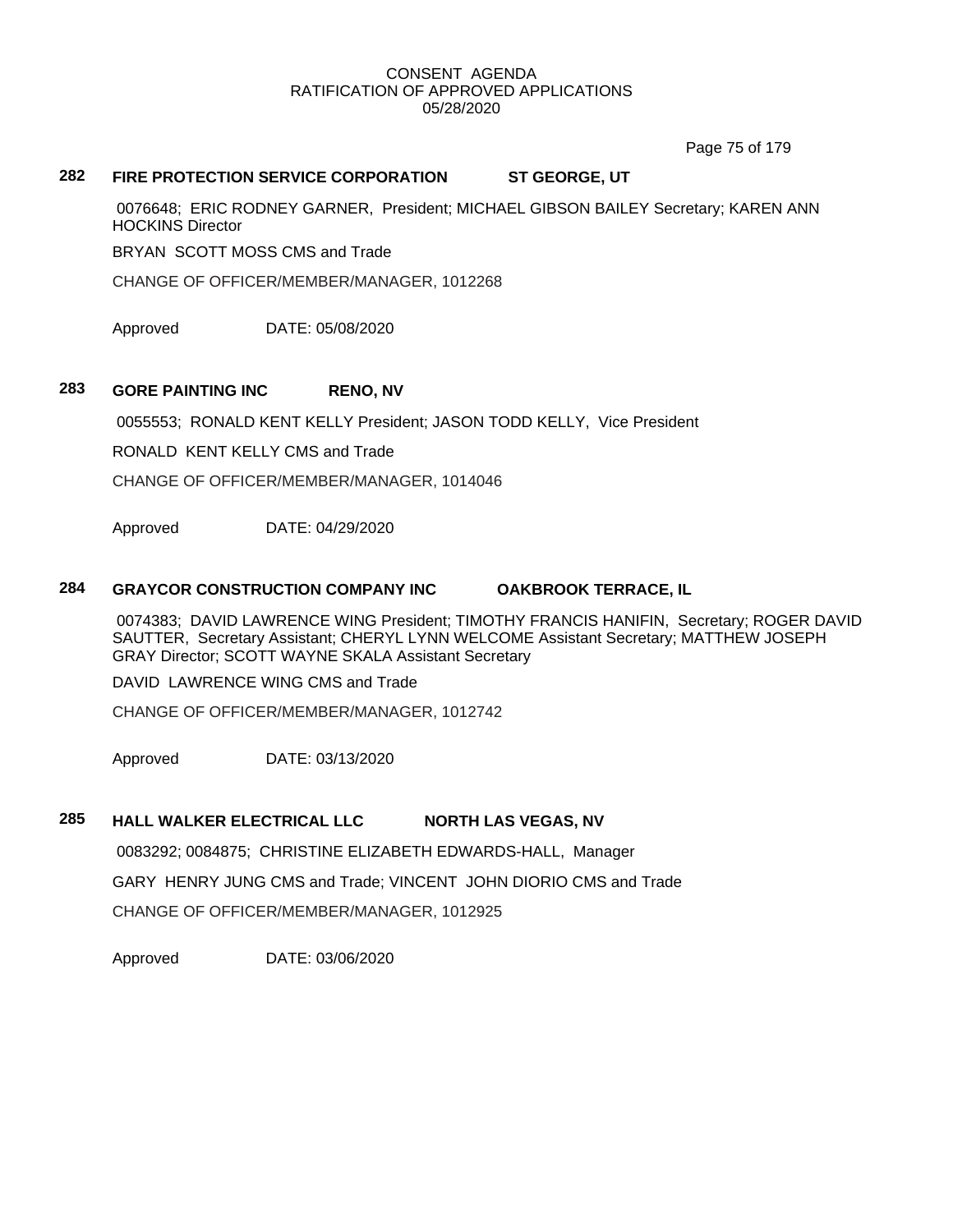Page 75 of 179

# **282 FIRE PROTECTION SERVICE CORPORATION ST GEORGE, UT**

0076648; ERIC RODNEY GARNER, President; MICHAEL GIBSON BAILEY Secretary; KAREN ANN HOCKINS Director

BRYAN SCOTT MOSS CMS and Trade

CHANGE OF OFFICER/MEMBER/MANAGER, 1012268

Approved DATE: 05/08/2020

# **283 GORE PAINTING INC RENO, NV**

0055553; RONALD KENT KELLY President; JASON TODD KELLY, Vice President

RONALD KENT KELLY CMS and Trade

CHANGE OF OFFICER/MEMBER/MANAGER, 1014046

Approved DATE: 04/29/2020

## **284 GRAYCOR CONSTRUCTION COMPANY INC OAKBROOK TERRACE, IL**

0074383; DAVID LAWRENCE WING President; TIMOTHY FRANCIS HANIFIN, Secretary; ROGER DAVID SAUTTER, Secretary Assistant; CHERYL LYNN WELCOME Assistant Secretary; MATTHEW JOSEPH GRAY Director; SCOTT WAYNE SKALA Assistant Secretary

DAVID LAWRENCE WING CMS and Trade

CHANGE OF OFFICER/MEMBER/MANAGER, 1012742

Approved DATE: 03/13/2020

# **285 HALL WALKER ELECTRICAL LLC NORTH LAS VEGAS, NV**

0083292; 0084875; CHRISTINE ELIZABETH EDWARDS-HALL, Manager GARY HENRY JUNG CMS and Trade; VINCENT JOHN DIORIO CMS and Trade CHANGE OF OFFICER/MEMBER/MANAGER, 1012925

Approved DATE: 03/06/2020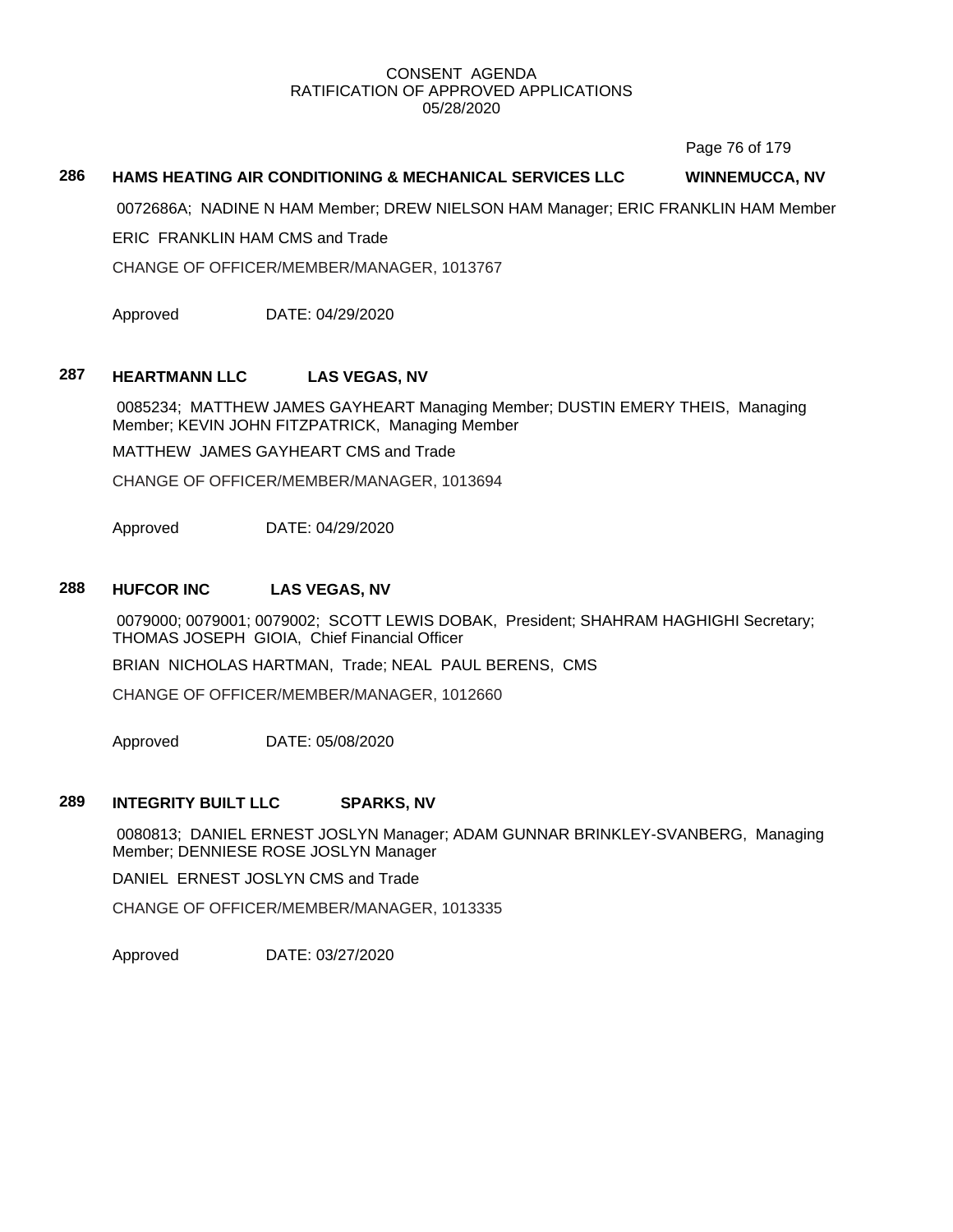Page 76 of 179

## **286 HAMS HEATING AIR CONDITIONING & MECHANICAL SERVICES LLC WINNEMUCCA, NV**

0072686A; NADINE N HAM Member; DREW NIELSON HAM Manager; ERIC FRANKLIN HAM Member

ERIC FRANKLIN HAM CMS and Trade

CHANGE OF OFFICER/MEMBER/MANAGER, 1013767

Approved DATE: 04/29/2020

## **287 HEARTMANN LLC LAS VEGAS, NV**

0085234; MATTHEW JAMES GAYHEART Managing Member; DUSTIN EMERY THEIS, Managing Member; KEVIN JOHN FITZPATRICK, Managing Member

MATTHEW JAMES GAYHEART CMS and Trade

CHANGE OF OFFICER/MEMBER/MANAGER, 1013694

Approved DATE: 04/29/2020

## **288 HUFCOR INC LAS VEGAS, NV**

0079000; 0079001; 0079002; SCOTT LEWIS DOBAK, President; SHAHRAM HAGHIGHI Secretary; THOMAS JOSEPH GIOIA, Chief Financial Officer

BRIAN NICHOLAS HARTMAN, Trade; NEAL PAUL BERENS, CMS

CHANGE OF OFFICER/MEMBER/MANAGER, 1012660

Approved DATE: 05/08/2020

#### **289 INTEGRITY BUILT LLC SPARKS, NV**

0080813; DANIEL ERNEST JOSLYN Manager; ADAM GUNNAR BRINKLEY-SVANBERG, Managing Member; DENNIESE ROSE JOSLYN Manager

DANIEL ERNEST JOSLYN CMS and Trade

CHANGE OF OFFICER/MEMBER/MANAGER, 1013335

Approved DATE: 03/27/2020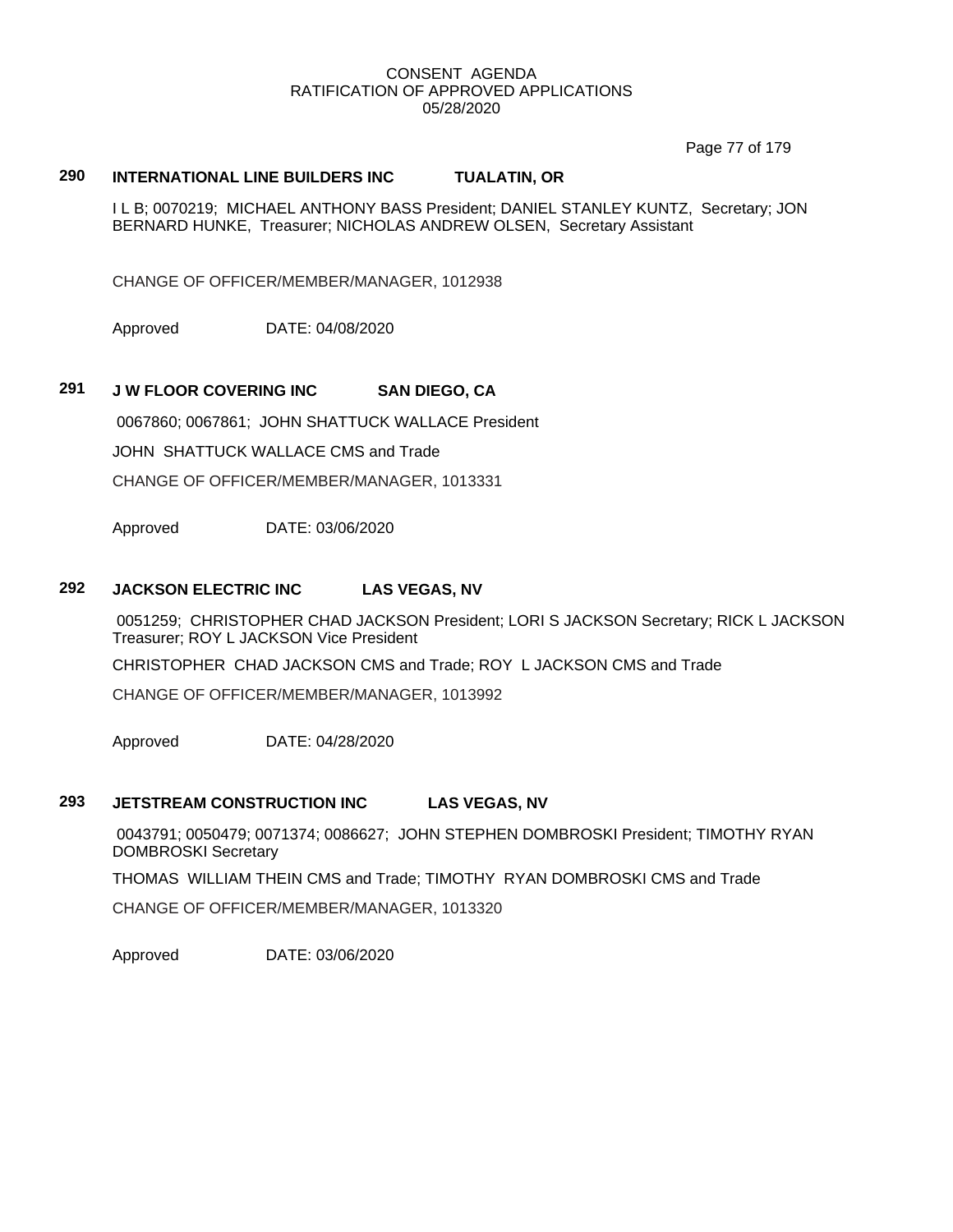Page 77 of 179

# **290 INTERNATIONAL LINE BUILDERS INC TUALATIN, OR**

I L B; 0070219; MICHAEL ANTHONY BASS President; DANIEL STANLEY KUNTZ, Secretary; JON BERNARD HUNKE, Treasurer; NICHOLAS ANDREW OLSEN, Secretary Assistant

CHANGE OF OFFICER/MEMBER/MANAGER, 1012938

Approved DATE: 04/08/2020

# **291 J W FLOOR COVERING INC SAN DIEGO, CA**

0067860; 0067861; JOHN SHATTUCK WALLACE President JOHN SHATTUCK WALLACE CMS and Trade CHANGE OF OFFICER/MEMBER/MANAGER, 1013331

Approved DATE: 03/06/2020

## **292 JACKSON ELECTRIC INC LAS VEGAS, NV**

0051259; CHRISTOPHER CHAD JACKSON President; LORI S JACKSON Secretary; RICK L JACKSON Treasurer; ROY L JACKSON Vice President

CHRISTOPHER CHAD JACKSON CMS and Trade; ROY L JACKSON CMS and Trade

CHANGE OF OFFICER/MEMBER/MANAGER, 1013992

Approved DATE: 04/28/2020

## **293 JETSTREAM CONSTRUCTION INC LAS VEGAS, NV**

0043791; 0050479; 0071374; 0086627; JOHN STEPHEN DOMBROSKI President; TIMOTHY RYAN DOMBROSKI Secretary

THOMAS WILLIAM THEIN CMS and Trade; TIMOTHY RYAN DOMBROSKI CMS and Trade

CHANGE OF OFFICER/MEMBER/MANAGER, 1013320

Approved DATE: 03/06/2020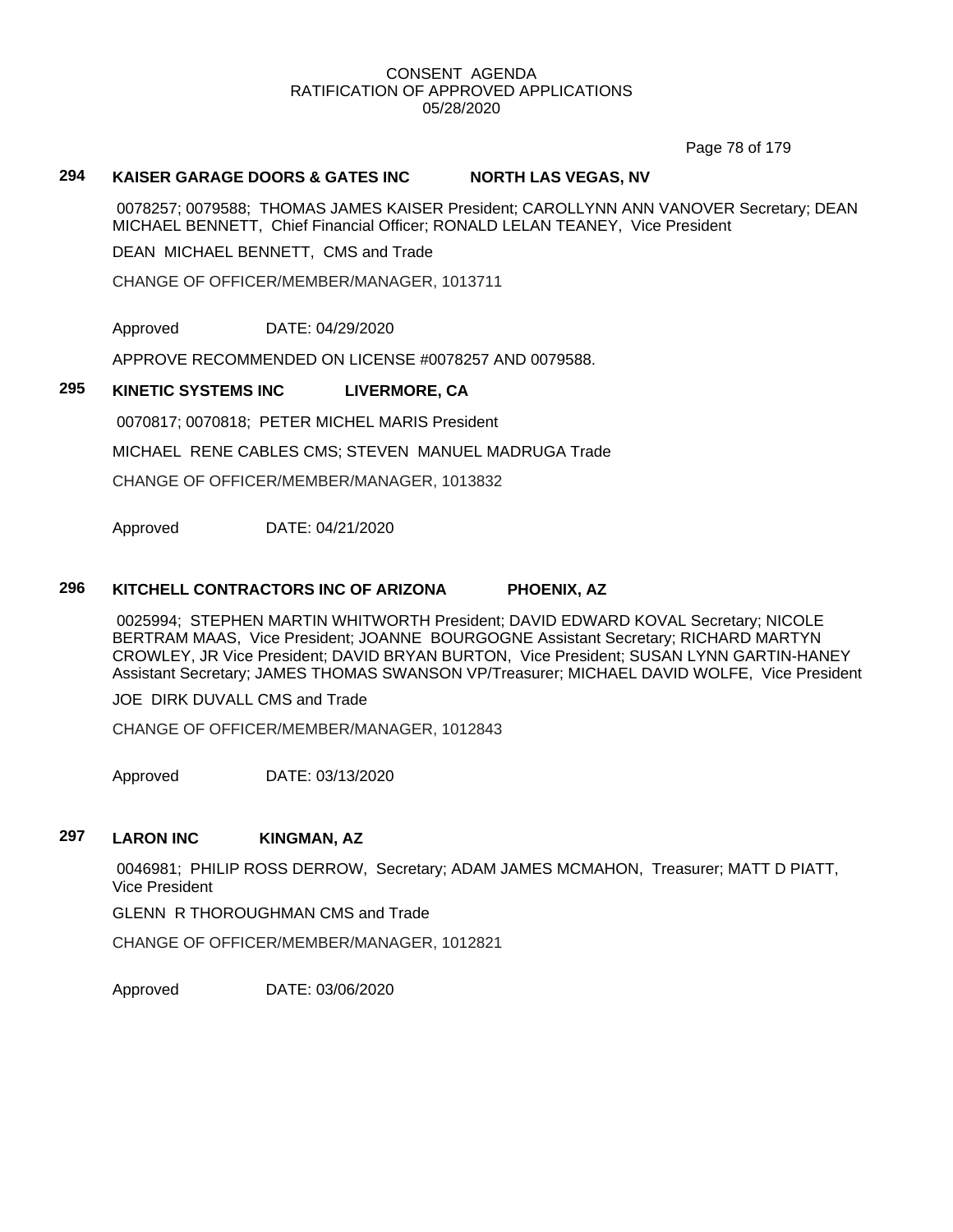Page 78 of 179

## **294 KAISER GARAGE DOORS & GATES INC NORTH LAS VEGAS, NV**

0078257; 0079588; THOMAS JAMES KAISER President; CAROLLYNN ANN VANOVER Secretary; DEAN MICHAEL BENNETT, Chief Financial Officer; RONALD LELAN TEANEY, Vice President

DEAN MICHAEL BENNETT, CMS and Trade

CHANGE OF OFFICER/MEMBER/MANAGER, 1013711

Approved DATE: 04/29/2020

APPROVE RECOMMENDED ON LICENSE #0078257 AND 0079588.

# **295 KINETIC SYSTEMS INC LIVERMORE, CA**

0070817; 0070818; PETER MICHEL MARIS President

MICHAEL RENE CABLES CMS; STEVEN MANUEL MADRUGA Trade

CHANGE OF OFFICER/MEMBER/MANAGER, 1013832

Approved DATE: 04/21/2020

## **296 KITCHELL CONTRACTORS INC OF ARIZONA PHOENIX, AZ**

0025994; STEPHEN MARTIN WHITWORTH President; DAVID EDWARD KOVAL Secretary; NICOLE BERTRAM MAAS, Vice President; JOANNE BOURGOGNE Assistant Secretary; RICHARD MARTYN CROWLEY, JR Vice President; DAVID BRYAN BURTON, Vice President; SUSAN LYNN GARTIN-HANEY Assistant Secretary; JAMES THOMAS SWANSON VP/Treasurer; MICHAEL DAVID WOLFE, Vice President

JOE DIRK DUVALL CMS and Trade

CHANGE OF OFFICER/MEMBER/MANAGER, 1012843

Approved DATE: 03/13/2020

# **297 LARON INC KINGMAN, AZ**

0046981; PHILIP ROSS DERROW, Secretary; ADAM JAMES MCMAHON, Treasurer; MATT D PIATT, Vice President

GLENN R THOROUGHMAN CMS and Trade

CHANGE OF OFFICER/MEMBER/MANAGER, 1012821

Approved DATE: 03/06/2020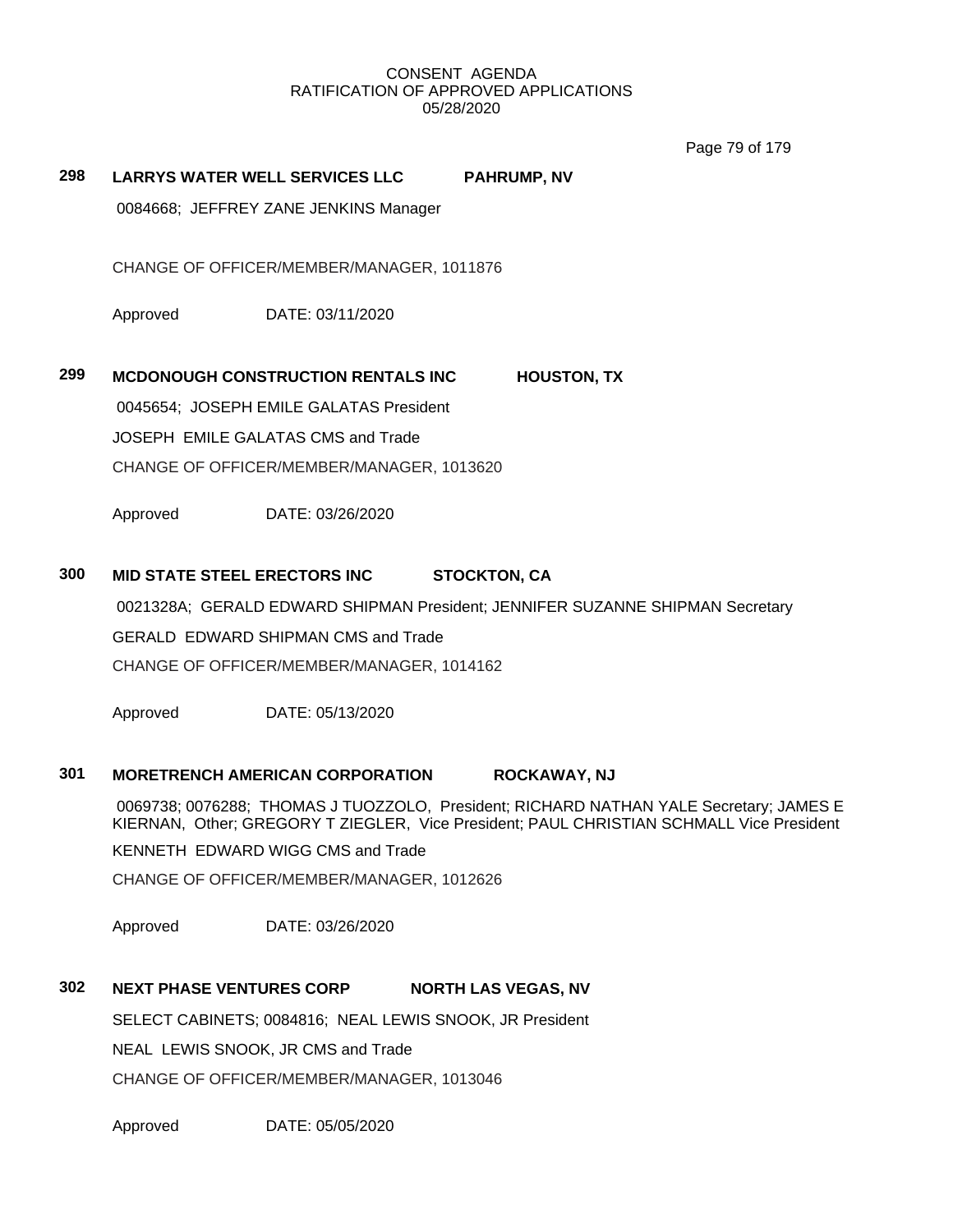Page 79 of 179

# **298 LARRYS WATER WELL SERVICES LLC PAHRUMP, NV**

0084668; JEFFREY ZANE JENKINS Manager

CHANGE OF OFFICER/MEMBER/MANAGER, 1011876

Approved DATE: 03/11/2020

## **299 MCDONOUGH CONSTRUCTION RENTALS INC HOUSTON, TX**

0045654; JOSEPH EMILE GALATAS President

JOSEPH EMILE GALATAS CMS and Trade

CHANGE OF OFFICER/MEMBER/MANAGER, 1013620

Approved DATE: 03/26/2020

## **300 MID STATE STEEL ERECTORS INC STOCKTON, CA**

0021328A; GERALD EDWARD SHIPMAN President; JENNIFER SUZANNE SHIPMAN Secretary

GERALD EDWARD SHIPMAN CMS and Trade

CHANGE OF OFFICER/MEMBER/MANAGER, 1014162

Approved DATE: 05/13/2020

## **301 MORETRENCH AMERICAN CORPORATION ROCKAWAY, NJ**

0069738; 0076288; THOMAS J TUOZZOLO, President; RICHARD NATHAN YALE Secretary; JAMES E KIERNAN, Other; GREGORY T ZIEGLER, Vice President; PAUL CHRISTIAN SCHMALL Vice President KENNETH EDWARD WIGG CMS and Trade

CHANGE OF OFFICER/MEMBER/MANAGER, 1012626

Approved DATE: 03/26/2020

## **302 NEXT PHASE VENTURES CORP NORTH LAS VEGAS, NV**

SELECT CABINETS; 0084816; NEAL LEWIS SNOOK, JR President NEAL LEWIS SNOOK, JR CMS and Trade CHANGE OF OFFICER/MEMBER/MANAGER, 1013046

Approved DATE: 05/05/2020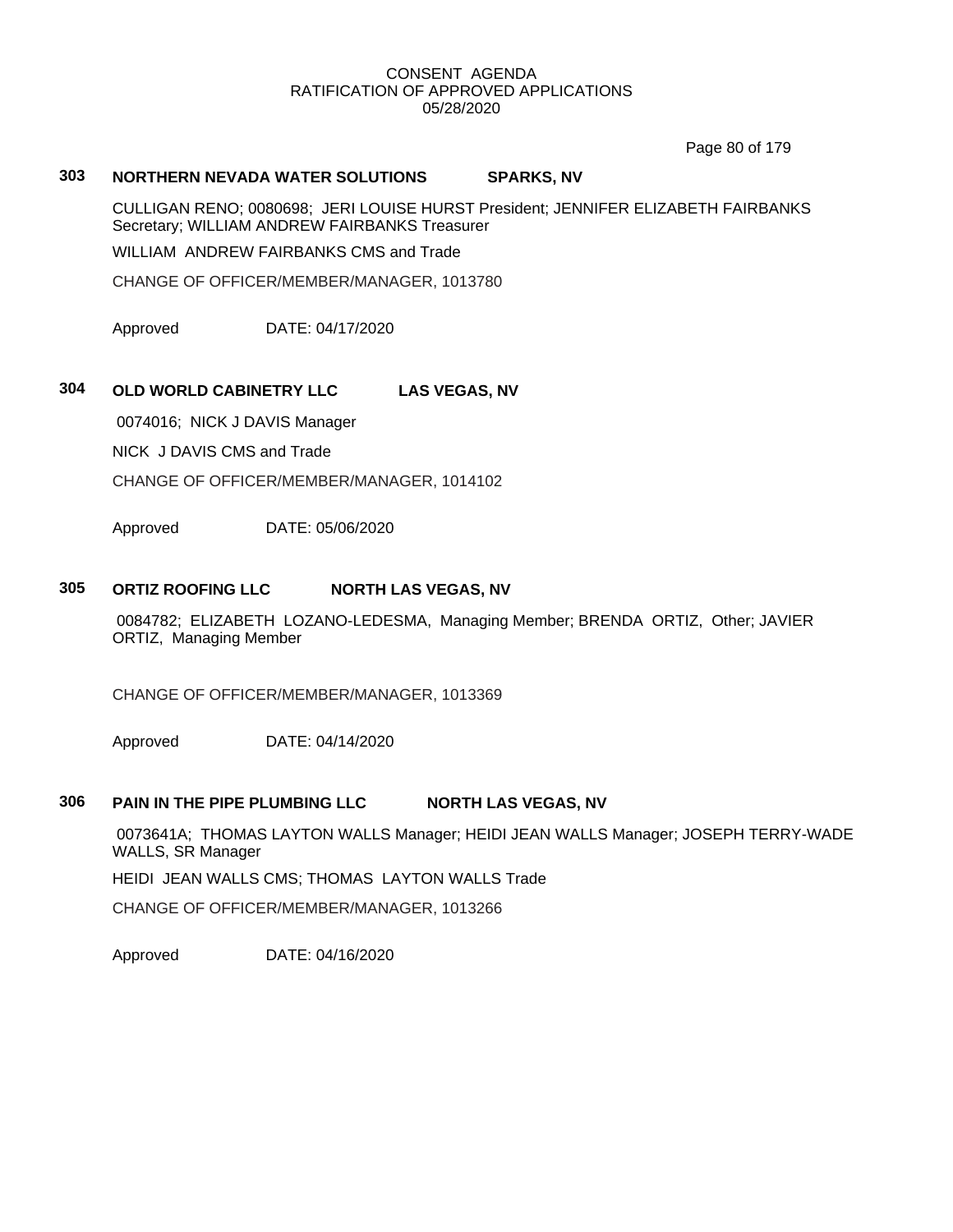Page 80 of 179

# **303 NORTHERN NEVADA WATER SOLUTIONS SPARKS, NV**

CULLIGAN RENO; 0080698; JERI LOUISE HURST President; JENNIFER ELIZABETH FAIRBANKS Secretary; WILLIAM ANDREW FAIRBANKS Treasurer

WILLIAM ANDREW FAIRBANKS CMS and Trade

CHANGE OF OFFICER/MEMBER/MANAGER, 1013780

Approved DATE: 04/17/2020

# **304 OLD WORLD CABINETRY LLC LAS VEGAS, NV**

0074016; NICK J DAVIS Manager

NICK J DAVIS CMS and Trade

CHANGE OF OFFICER/MEMBER/MANAGER, 1014102

Approved DATE: 05/06/2020

## **305 ORTIZ ROOFING LLC NORTH LAS VEGAS, NV**

0084782; ELIZABETH LOZANO-LEDESMA, Managing Member; BRENDA ORTIZ, Other; JAVIER ORTIZ, Managing Member

CHANGE OF OFFICER/MEMBER/MANAGER, 1013369

Approved DATE: 04/14/2020

## **306 PAIN IN THE PIPE PLUMBING LLC NORTH LAS VEGAS, NV**

0073641A; THOMAS LAYTON WALLS Manager; HEIDI JEAN WALLS Manager; JOSEPH TERRY-WADE WALLS, SR Manager

HEIDI JEAN WALLS CMS; THOMAS LAYTON WALLS Trade

CHANGE OF OFFICER/MEMBER/MANAGER, 1013266

Approved DATE: 04/16/2020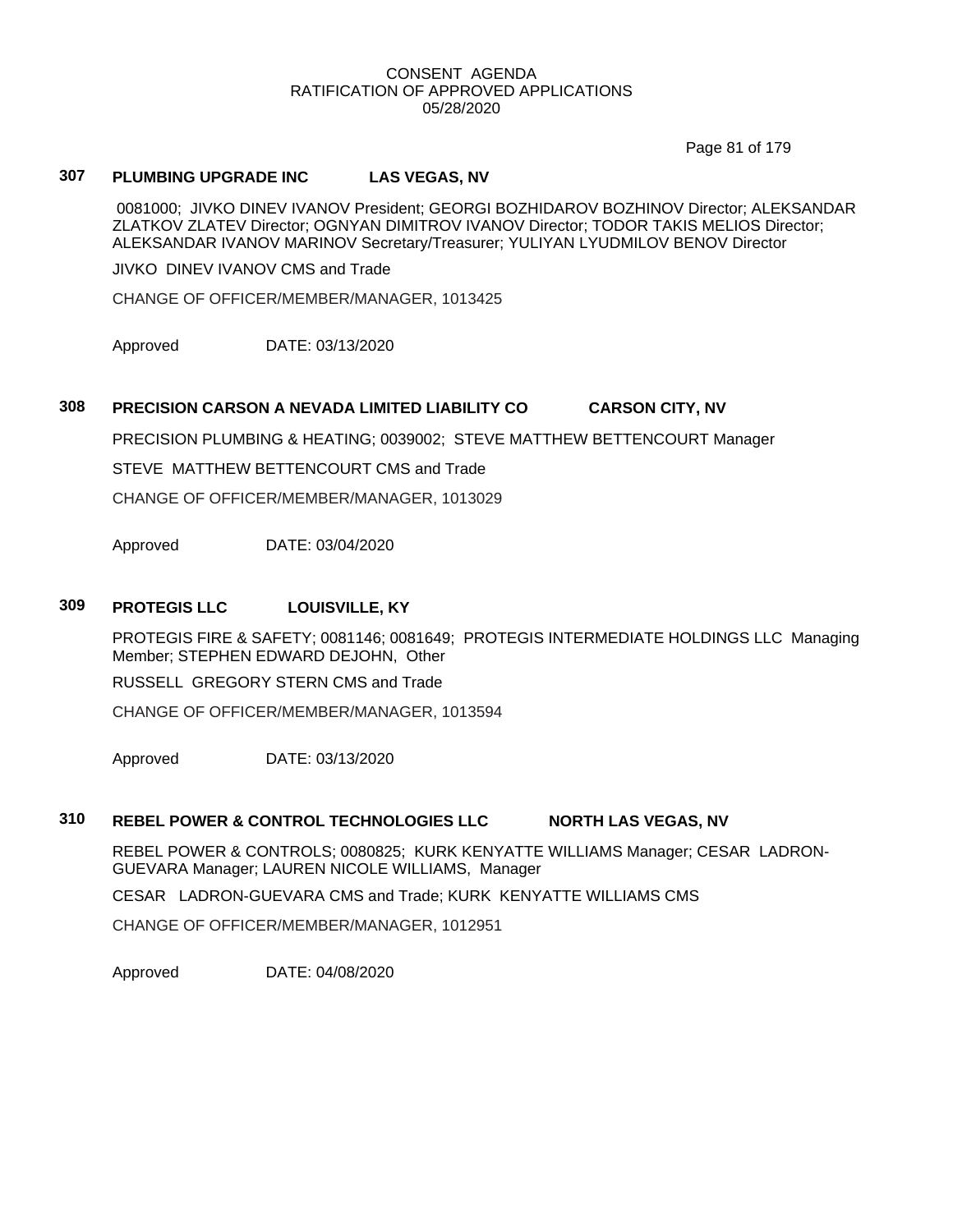Page 81 of 179

# **307 PLUMBING UPGRADE INC LAS VEGAS, NV**

0081000; JIVKO DINEV IVANOV President; GEORGI BOZHIDAROV BOZHINOV Director; ALEKSANDAR ZLATKOV ZLATEV Director; OGNYAN DIMITROV IVANOV Director; TODOR TAKIS MELIOS Director; ALEKSANDAR IVANOV MARINOV Secretary/Treasurer; YULIYAN LYUDMILOV BENOV Director

JIVKO DINEV IVANOV CMS and Trade

CHANGE OF OFFICER/MEMBER/MANAGER, 1013425

Approved DATE: 03/13/2020

## **308 PRECISION CARSON A NEVADA LIMITED LIABILITY CO CARSON CITY, NV**

PRECISION PLUMBING & HEATING; 0039002; STEVE MATTHEW BETTENCOURT Manager

STEVE MATTHEW BETTENCOURT CMS and Trade

CHANGE OF OFFICER/MEMBER/MANAGER, 1013029

Approved DATE: 03/04/2020

### **309 PROTEGIS LLC LOUISVILLE, KY**

PROTEGIS FIRE & SAFETY; 0081146; 0081649; PROTEGIS INTERMEDIATE HOLDINGS LLC Managing Member; STEPHEN EDWARD DEJOHN, Other

RUSSELL GREGORY STERN CMS and Trade

CHANGE OF OFFICER/MEMBER/MANAGER, 1013594

Approved DATE: 03/13/2020

## **310 REBEL POWER & CONTROL TECHNOLOGIES LLC NORTH LAS VEGAS, NV**

REBEL POWER & CONTROLS; 0080825; KURK KENYATTE WILLIAMS Manager; CESAR LADRON-GUEVARA Manager; LAUREN NICOLE WILLIAMS, Manager

CESAR LADRON-GUEVARA CMS and Trade; KURK KENYATTE WILLIAMS CMS

CHANGE OF OFFICER/MEMBER/MANAGER, 1012951

Approved DATE: 04/08/2020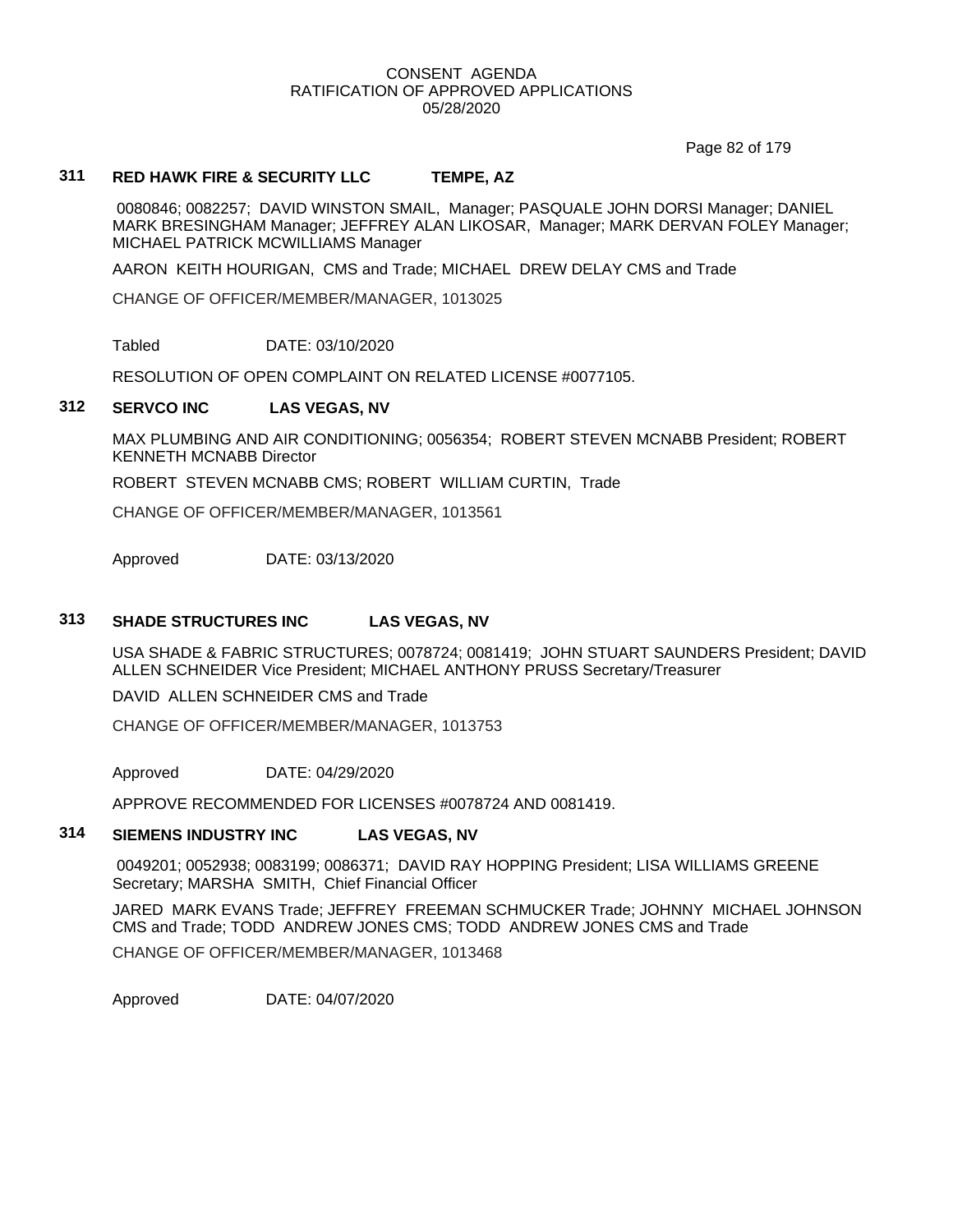Page 82 of 179

# **311 RED HAWK FIRE & SECURITY LLC TEMPE, AZ**

0080846; 0082257; DAVID WINSTON SMAIL, Manager; PASQUALE JOHN DORSI Manager; DANIEL MARK BRESINGHAM Manager; JEFFREY ALAN LIKOSAR, Manager; MARK DERVAN FOLEY Manager; MICHAEL PATRICK MCWILLIAMS Manager

AARON KEITH HOURIGAN, CMS and Trade; MICHAEL DREW DELAY CMS and Trade

CHANGE OF OFFICER/MEMBER/MANAGER, 1013025

Tabled DATE: 03/10/2020

RESOLUTION OF OPEN COMPLAINT ON RELATED LICENSE #0077105.

#### **312 SERVCO INC LAS VEGAS, NV**

MAX PLUMBING AND AIR CONDITIONING; 0056354; ROBERT STEVEN MCNABB President; ROBERT KENNETH MCNABB Director

ROBERT STEVEN MCNABB CMS; ROBERT WILLIAM CURTIN, Trade

CHANGE OF OFFICER/MEMBER/MANAGER, 1013561

Approved DATE: 03/13/2020

### **313 SHADE STRUCTURES INC LAS VEGAS, NV**

USA SHADE & FABRIC STRUCTURES; 0078724; 0081419; JOHN STUART SAUNDERS President; DAVID ALLEN SCHNEIDER Vice President; MICHAEL ANTHONY PRUSS Secretary/Treasurer

DAVID ALLEN SCHNEIDER CMS and Trade

CHANGE OF OFFICER/MEMBER/MANAGER, 1013753

Approved DATE: 04/29/2020

APPROVE RECOMMENDED FOR LICENSES #0078724 AND 0081419.

#### **314 SIEMENS INDUSTRY INC LAS VEGAS, NV**

0049201; 0052938; 0083199; 0086371; DAVID RAY HOPPING President; LISA WILLIAMS GREENE Secretary; MARSHA SMITH, Chief Financial Officer

JARED MARK EVANS Trade; JEFFREY FREEMAN SCHMUCKER Trade; JOHNNY MICHAEL JOHNSON CMS and Trade; TODD ANDREW JONES CMS; TODD ANDREW JONES CMS and Trade CHANGE OF OFFICER/MEMBER/MANAGER, 1013468

Approved DATE: 04/07/2020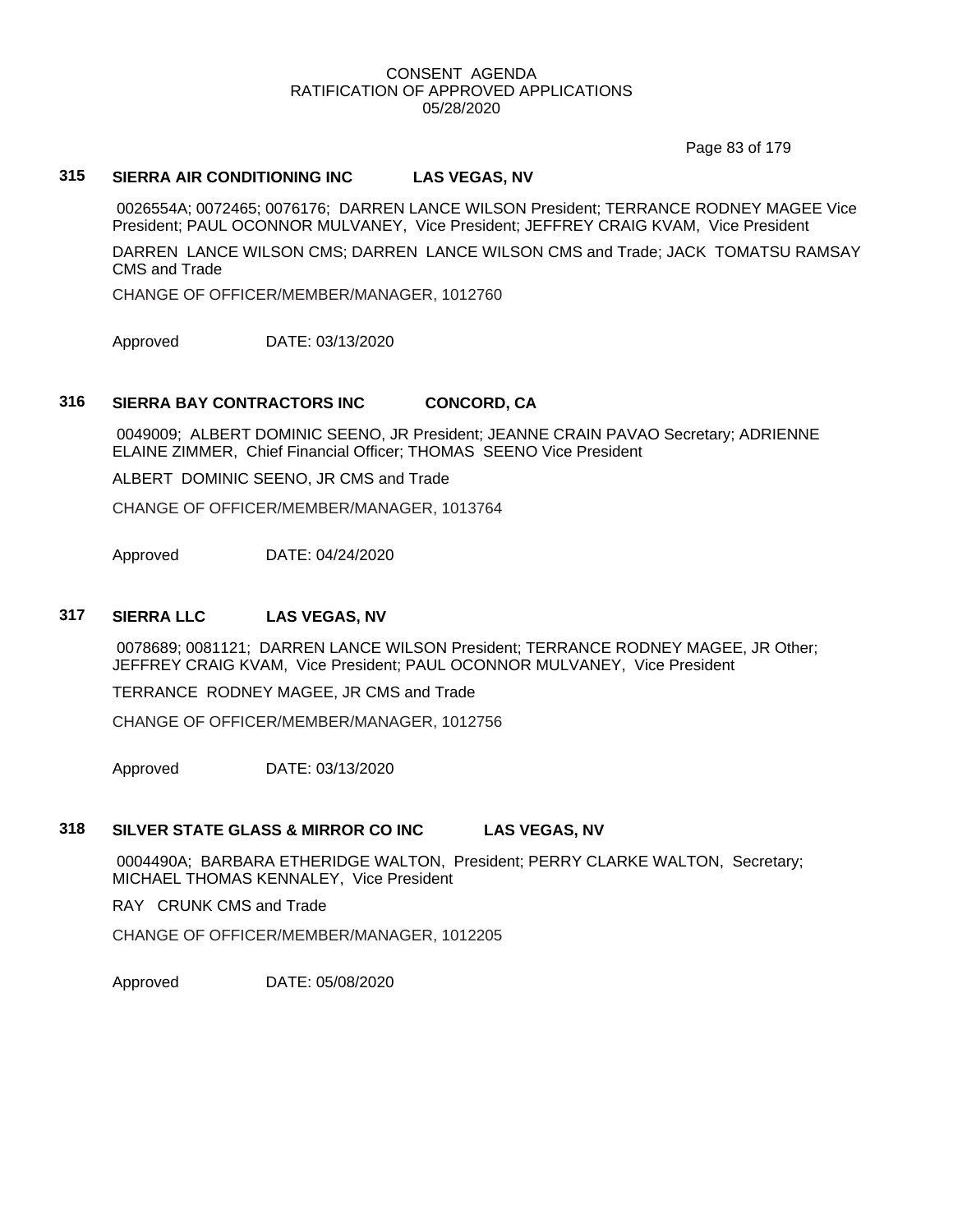Page 83 of 179

## **315 SIERRA AIR CONDITIONING INC LAS VEGAS, NV**

0026554A; 0072465; 0076176; DARREN LANCE WILSON President; TERRANCE RODNEY MAGEE Vice President; PAUL OCONNOR MULVANEY, Vice President; JEFFREY CRAIG KVAM, Vice President

DARREN LANCE WILSON CMS; DARREN LANCE WILSON CMS and Trade; JACK TOMATSU RAMSAY CMS and Trade

CHANGE OF OFFICER/MEMBER/MANAGER, 1012760

Approved DATE: 03/13/2020

# **316 SIERRA BAY CONTRACTORS INC CONCORD, CA**

0049009; ALBERT DOMINIC SEENO, JR President; JEANNE CRAIN PAVAO Secretary; ADRIENNE ELAINE ZIMMER, Chief Financial Officer; THOMAS SEENO Vice President

ALBERT DOMINIC SEENO, JR CMS and Trade

CHANGE OF OFFICER/MEMBER/MANAGER, 1013764

Approved DATE: 04/24/2020

## **317 SIERRA LLC LAS VEGAS, NV**

0078689; 0081121; DARREN LANCE WILSON President; TERRANCE RODNEY MAGEE, JR Other; JEFFREY CRAIG KVAM, Vice President; PAUL OCONNOR MULVANEY, Vice President

TERRANCE RODNEY MAGEE, JR CMS and Trade

CHANGE OF OFFICER/MEMBER/MANAGER, 1012756

Approved DATE: 03/13/2020

# **318 SILVER STATE GLASS & MIRROR CO INC LAS VEGAS, NV**

0004490A; BARBARA ETHERIDGE WALTON, President; PERRY CLARKE WALTON, Secretary; MICHAEL THOMAS KENNALEY, Vice President

RAY CRUNK CMS and Trade

CHANGE OF OFFICER/MEMBER/MANAGER, 1012205

Approved DATE: 05/08/2020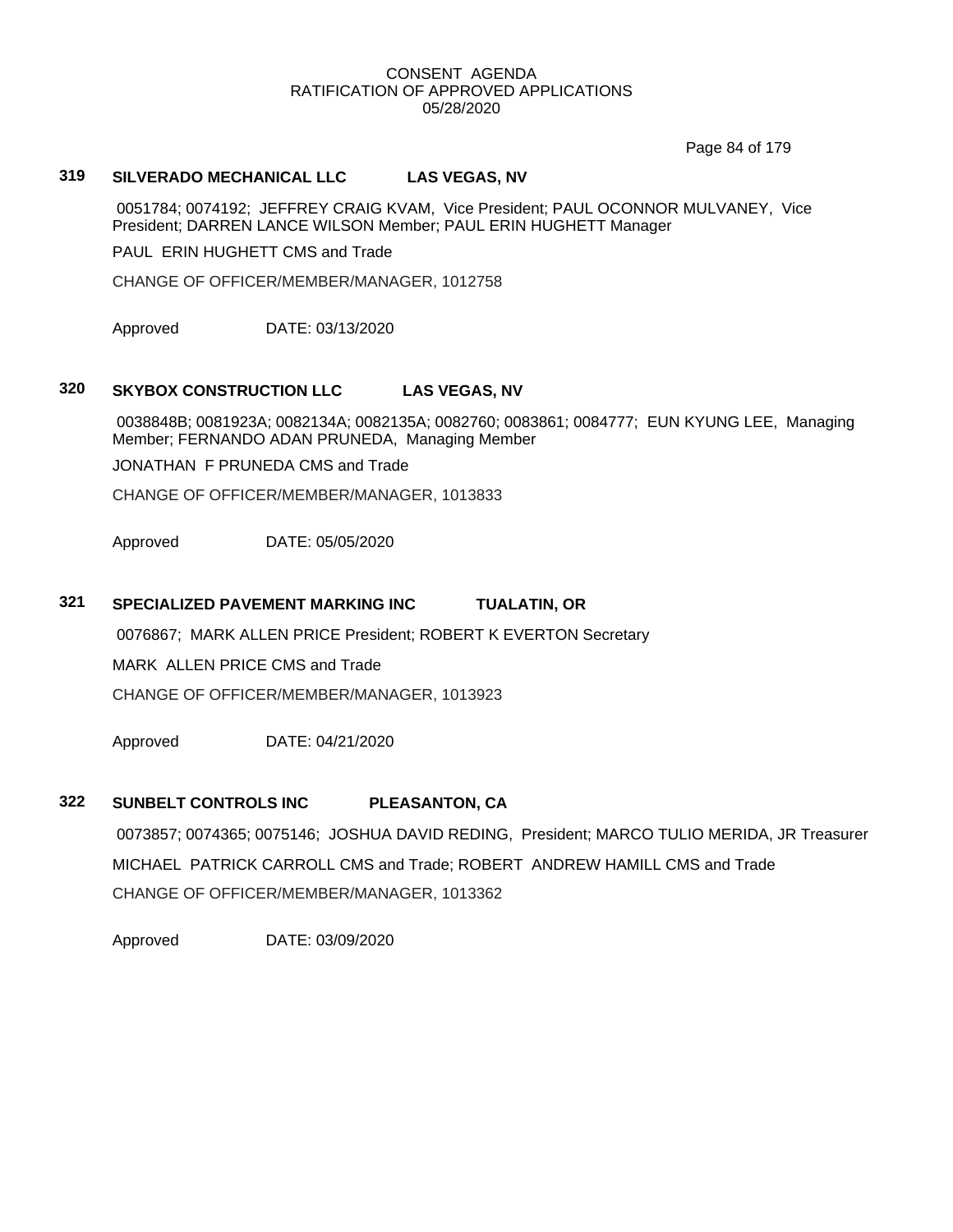Page 84 of 179

# **319 SILVERADO MECHANICAL LLC LAS VEGAS, NV**

0051784; 0074192; JEFFREY CRAIG KVAM, Vice President; PAUL OCONNOR MULVANEY, Vice President; DARREN LANCE WILSON Member; PAUL ERIN HUGHETT Manager

PAUL ERIN HUGHETT CMS and Trade

CHANGE OF OFFICER/MEMBER/MANAGER, 1012758

Approved DATE: 03/13/2020

# **320 SKYBOX CONSTRUCTION LLC LAS VEGAS, NV**

0038848B; 0081923A; 0082134A; 0082135A; 0082760; 0083861; 0084777; EUN KYUNG LEE, Managing Member; FERNANDO ADAN PRUNEDA, Managing Member

JONATHAN F PRUNEDA CMS and Trade

CHANGE OF OFFICER/MEMBER/MANAGER, 1013833

Approved DATE: 05/05/2020

## **321 SPECIALIZED PAVEMENT MARKING INC TUALATIN, OR**

0076867; MARK ALLEN PRICE President; ROBERT K EVERTON Secretary

MARK ALLEN PRICE CMS and Trade

CHANGE OF OFFICER/MEMBER/MANAGER, 1013923

Approved DATE: 04/21/2020

# **322 SUNBELT CONTROLS INC PLEASANTON, CA**

0073857; 0074365; 0075146; JOSHUA DAVID REDING, President; MARCO TULIO MERIDA, JR Treasurer MICHAEL PATRICK CARROLL CMS and Trade; ROBERT ANDREW HAMILL CMS and Trade CHANGE OF OFFICER/MEMBER/MANAGER, 1013362

Approved DATE: 03/09/2020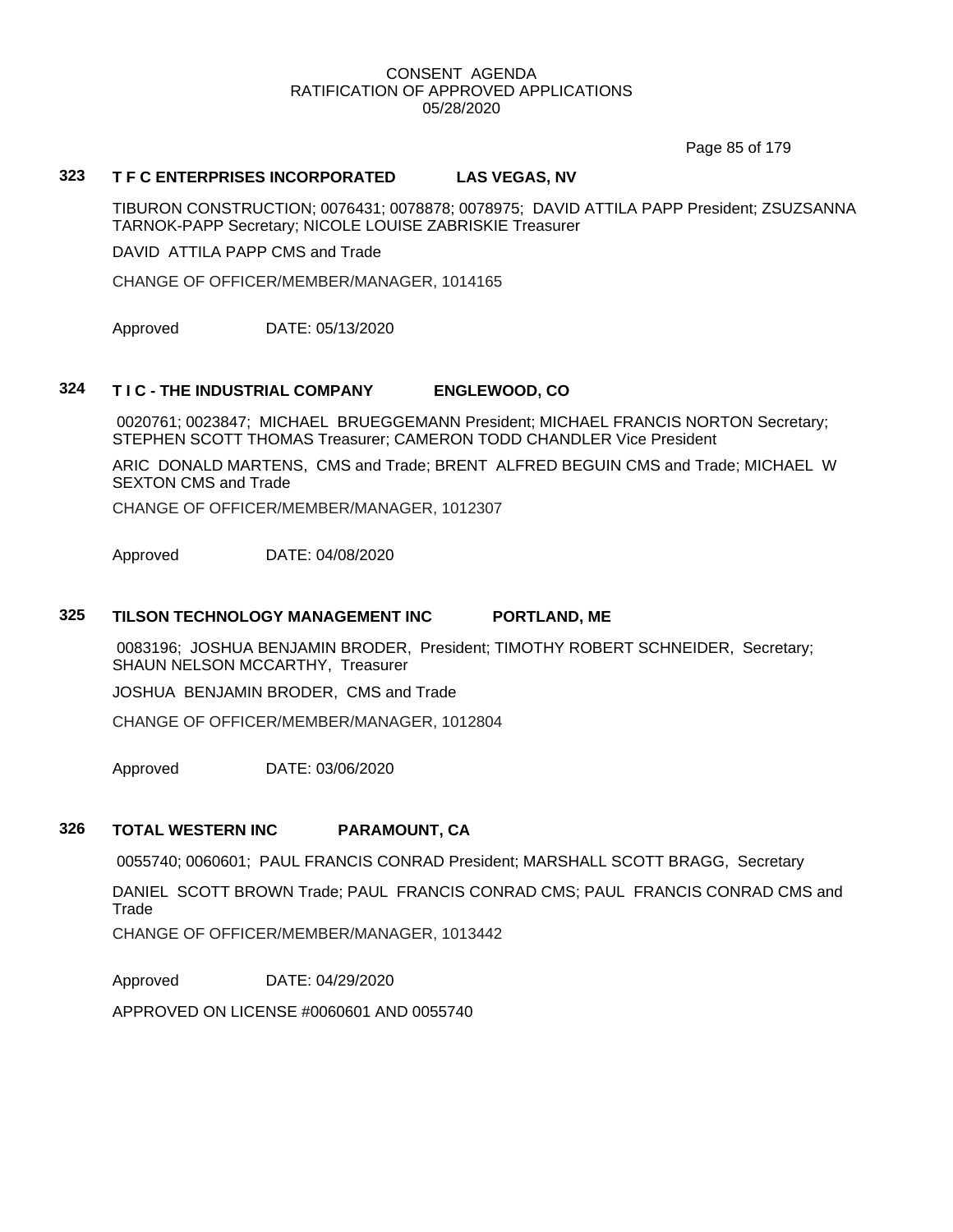Page 85 of 179

## **323 T F C ENTERPRISES INCORPORATED LAS VEGAS, NV**

TIBURON CONSTRUCTION; 0076431; 0078878; 0078975; DAVID ATTILA PAPP President; ZSUZSANNA TARNOK-PAPP Secretary; NICOLE LOUISE ZABRISKIE Treasurer

DAVID ATTILA PAPP CMS and Trade

CHANGE OF OFFICER/MEMBER/MANAGER, 1014165

Approved DATE: 05/13/2020

## **324 T I C - THE INDUSTRIAL COMPANY ENGLEWOOD, CO**

0020761; 0023847; MICHAEL BRUEGGEMANN President; MICHAEL FRANCIS NORTON Secretary; STEPHEN SCOTT THOMAS Treasurer; CAMERON TODD CHANDLER Vice President

ARIC DONALD MARTENS, CMS and Trade; BRENT ALFRED BEGUIN CMS and Trade; MICHAEL W SEXTON CMS and Trade

CHANGE OF OFFICER/MEMBER/MANAGER, 1012307

Approved DATE: 04/08/2020

# **325 TILSON TECHNOLOGY MANAGEMENT INC PORTLAND, ME**

0083196; JOSHUA BENJAMIN BRODER, President; TIMOTHY ROBERT SCHNEIDER, Secretary; SHAUN NELSON MCCARTHY, Treasurer

JOSHUA BENJAMIN BRODER, CMS and Trade

CHANGE OF OFFICER/MEMBER/MANAGER, 1012804

Approved DATE: 03/06/2020

# **326 TOTAL WESTERN INC PARAMOUNT, CA**

0055740; 0060601; PAUL FRANCIS CONRAD President; MARSHALL SCOTT BRAGG, Secretary

DANIEL SCOTT BROWN Trade; PAUL FRANCIS CONRAD CMS; PAUL FRANCIS CONRAD CMS and Trade

CHANGE OF OFFICER/MEMBER/MANAGER, 1013442

Approved DATE: 04/29/2020

APPROVED ON LICENSE #0060601 AND 0055740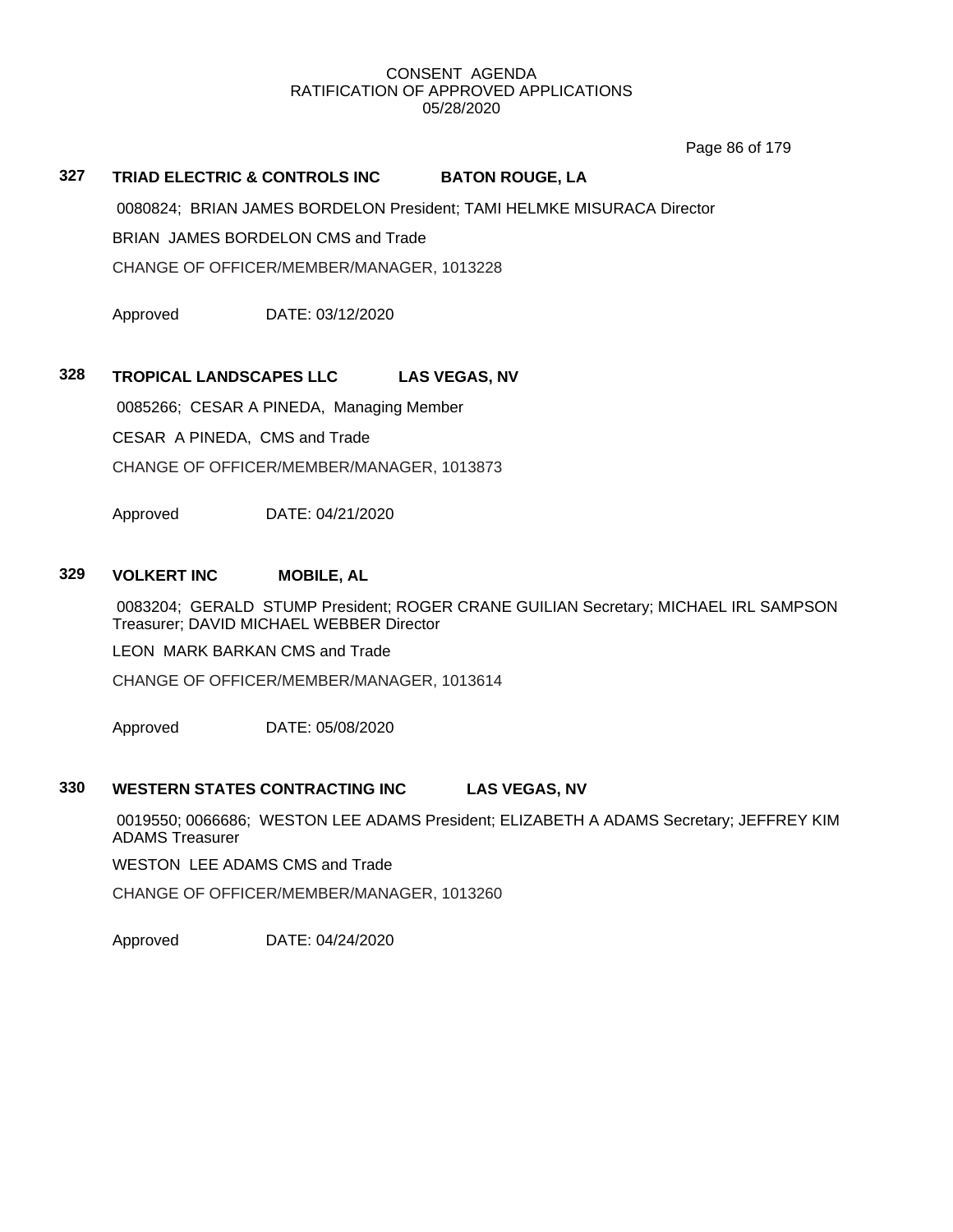Page 86 of 179

## **327 TRIAD ELECTRIC & CONTROLS INC BATON ROUGE, LA**

0080824; BRIAN JAMES BORDELON President; TAMI HELMKE MISURACA Director

BRIAN JAMES BORDELON CMS and Trade

CHANGE OF OFFICER/MEMBER/MANAGER, 1013228

Approved DATE: 03/12/2020

## **328 TROPICAL LANDSCAPES LLC LAS VEGAS, NV**

0085266; CESAR A PINEDA, Managing Member CESAR A PINEDA, CMS and Trade CHANGE OF OFFICER/MEMBER/MANAGER, 1013873

Approved DATE: 04/21/2020

## **329 VOLKERT INC MOBILE, AL**

0083204; GERALD STUMP President; ROGER CRANE GUILIAN Secretary; MICHAEL IRL SAMPSON Treasurer; DAVID MICHAEL WEBBER Director

LEON MARK BARKAN CMS and Trade

CHANGE OF OFFICER/MEMBER/MANAGER, 1013614

Approved DATE: 05/08/2020

## **330 WESTERN STATES CONTRACTING INC LAS VEGAS, NV**

0019550; 0066686; WESTON LEE ADAMS President; ELIZABETH A ADAMS Secretary; JEFFREY KIM ADAMS Treasurer

WESTON LEE ADAMS CMS and Trade

CHANGE OF OFFICER/MEMBER/MANAGER, 1013260

Approved DATE: 04/24/2020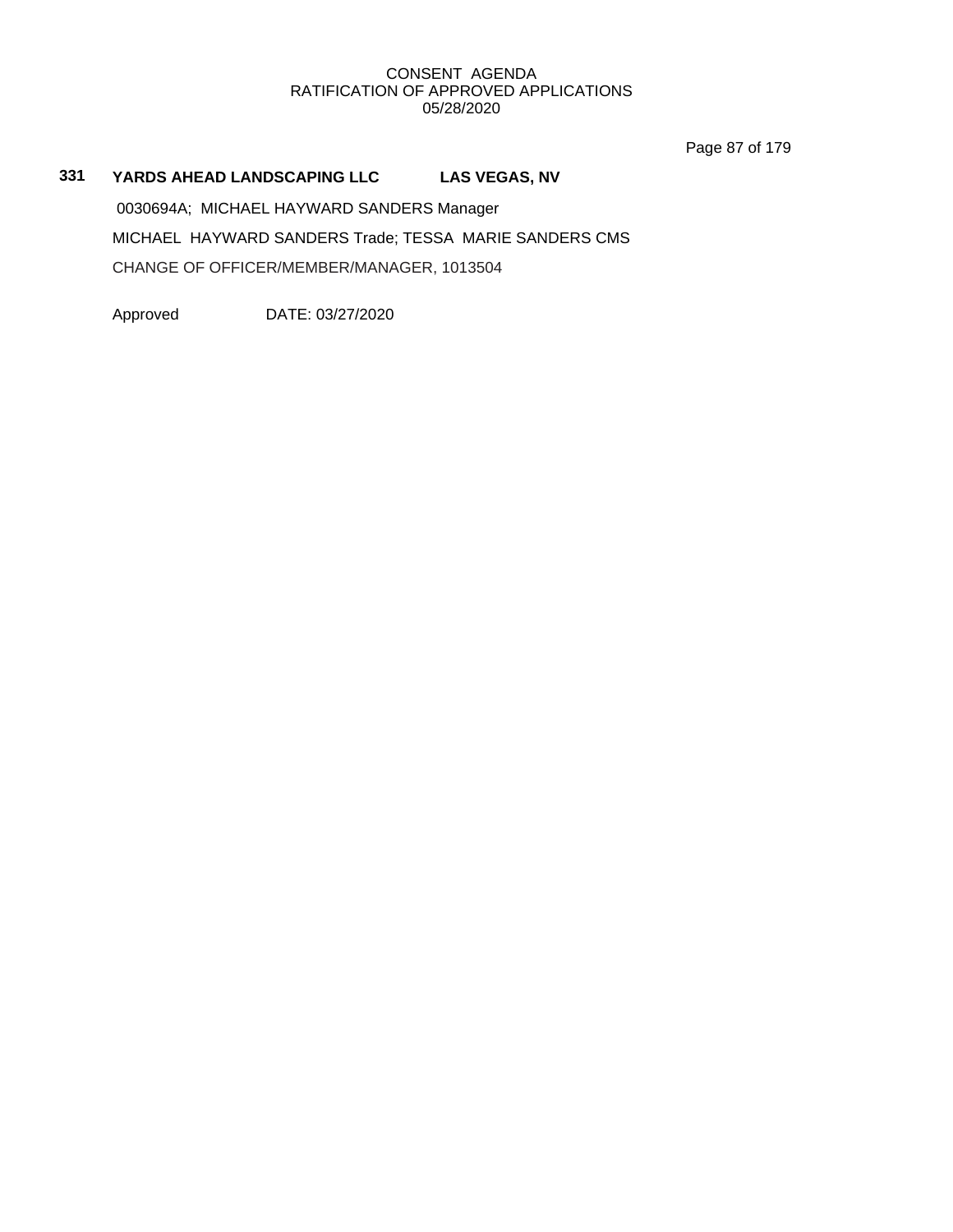Page 87 of 179

# **331 YARDS AHEAD LANDSCAPING LLC LAS VEGAS, NV**

0030694A; MICHAEL HAYWARD SANDERS Manager MICHAEL HAYWARD SANDERS Trade; TESSA MARIE SANDERS CMS CHANGE OF OFFICER/MEMBER/MANAGER, 1013504

Approved DATE: 03/27/2020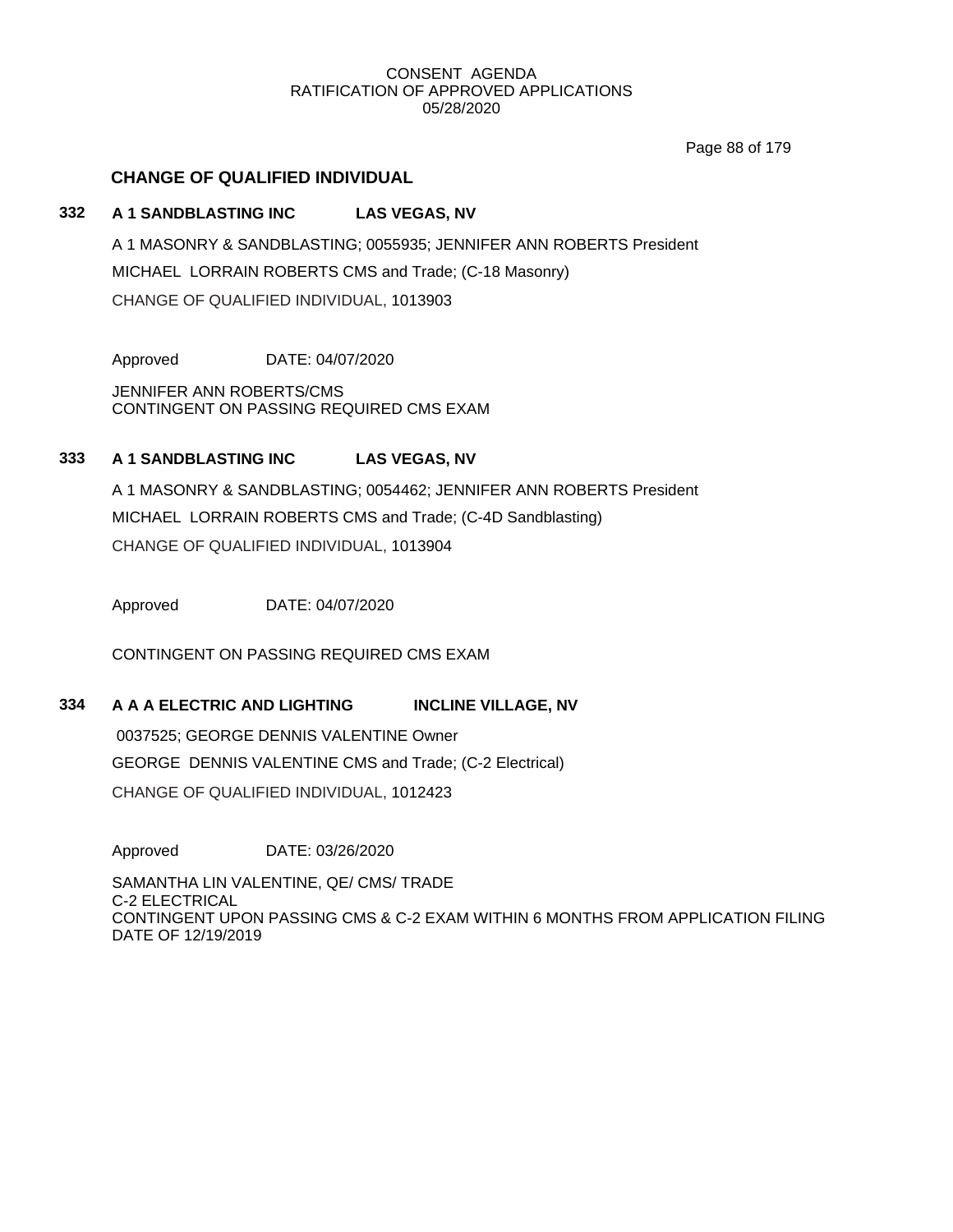Page 88 of 179

# **CHANGE OF QUALIFIED INDIVIDUAL**

## **332 A 1 SANDBLASTING INC LAS VEGAS, NV**

A 1 MASONRY & SANDBLASTING; 0055935; JENNIFER ANN ROBERTS President MICHAEL LORRAIN ROBERTS CMS and Trade; (C-18 Masonry) CHANGE OF QUALIFIED INDIVIDUAL, 1013903

Approved DATE: 04/07/2020

JENNIFER ANN ROBERTS/CMS CONTINGENT ON PASSING REQUIRED CMS EXAM

## **333 A 1 SANDBLASTING INC LAS VEGAS, NV**

A 1 MASONRY & SANDBLASTING; 0054462; JENNIFER ANN ROBERTS President MICHAEL LORRAIN ROBERTS CMS and Trade; (C-4D Sandblasting) CHANGE OF QUALIFIED INDIVIDUAL, 1013904

Approved DATE: 04/07/2020

CONTINGENT ON PASSING REQUIRED CMS EXAM

## **334 A A A ELECTRIC AND LIGHTING INCLINE VILLAGE, NV**

0037525; GEORGE DENNIS VALENTINE Owner GEORGE DENNIS VALENTINE CMS and Trade; (C-2 Electrical) CHANGE OF QUALIFIED INDIVIDUAL, 1012423

Approved DATE: 03/26/2020

SAMANTHA LIN VALENTINE, QE/ CMS/ TRADE C-2 ELECTRICAL CONTINGENT UPON PASSING CMS & C-2 EXAM WITHIN 6 MONTHS FROM APPLICATION FILING DATE OF 12/19/2019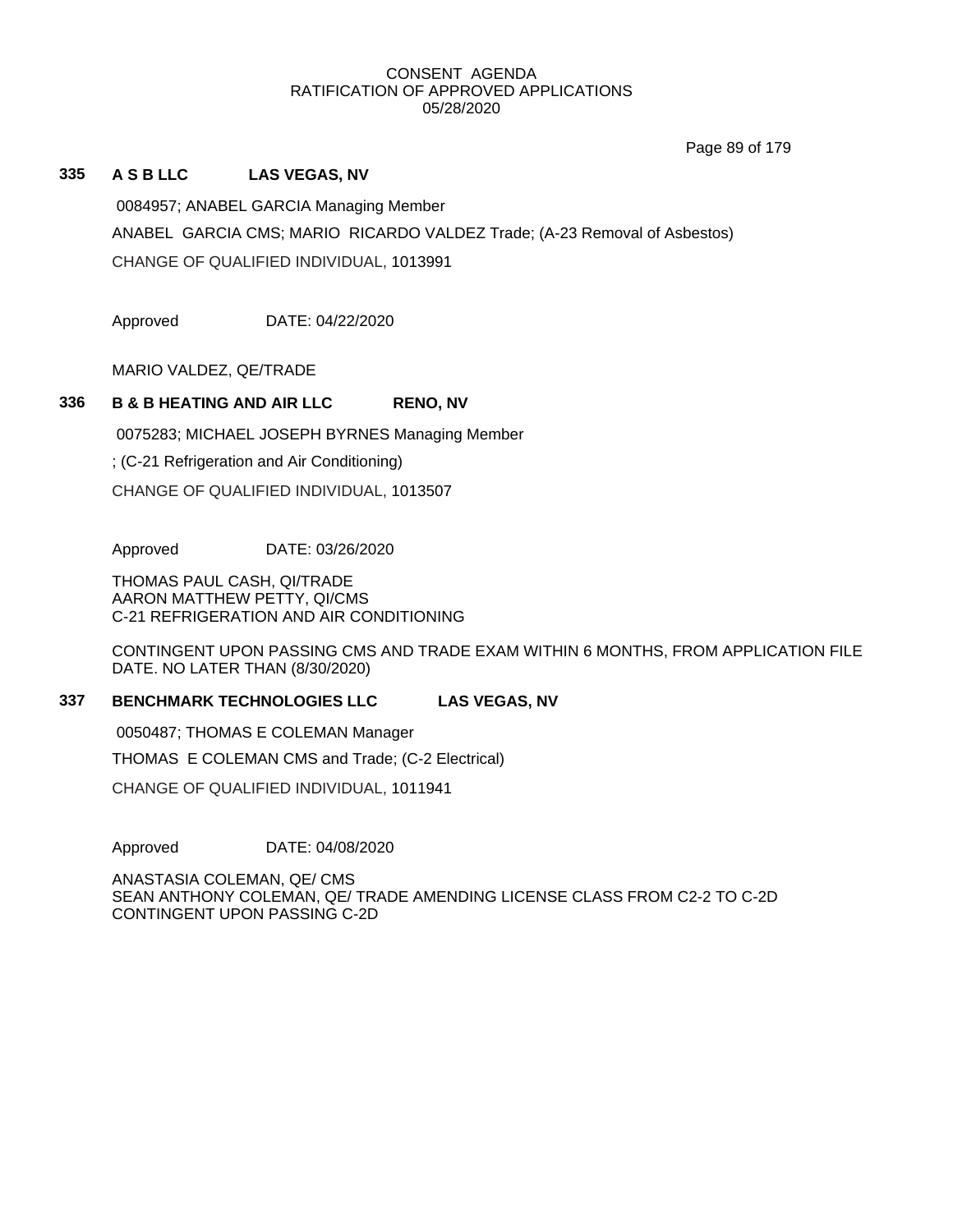Page 89 of 179

## **335 A S B LLC LAS VEGAS, NV**

0084957; ANABEL GARCIA Managing Member ANABEL GARCIA CMS; MARIO RICARDO VALDEZ Trade; (A-23 Removal of Asbestos) CHANGE OF QUALIFIED INDIVIDUAL, 1013991

Approved DATE: 04/22/2020

MARIO VALDEZ, QE/TRADE

# **336 B & B HEATING AND AIR LLC RENO, NV**

0075283; MICHAEL JOSEPH BYRNES Managing Member

; (C-21 Refrigeration and Air Conditioning)

CHANGE OF QUALIFIED INDIVIDUAL, 1013507

Approved DATE: 03/26/2020

THOMAS PAUL CASH, QI/TRADE AARON MATTHEW PETTY, QI/CMS C-21 REFRIGERATION AND AIR CONDITIONING

CONTINGENT UPON PASSING CMS AND TRADE EXAM WITHIN 6 MONTHS, FROM APPLICATION FILE DATE. NO LATER THAN (8/30/2020)

# **337 BENCHMARK TECHNOLOGIES LLC LAS VEGAS, NV**

0050487; THOMAS E COLEMAN Manager

THOMAS E COLEMAN CMS and Trade; (C-2 Electrical)

CHANGE OF QUALIFIED INDIVIDUAL, 1011941

Approved DATE: 04/08/2020

ANASTASIA COLEMAN, QE/ CMS SEAN ANTHONY COLEMAN, QE/ TRADE AMENDING LICENSE CLASS FROM C2-2 TO C-2D CONTINGENT UPON PASSING C-2D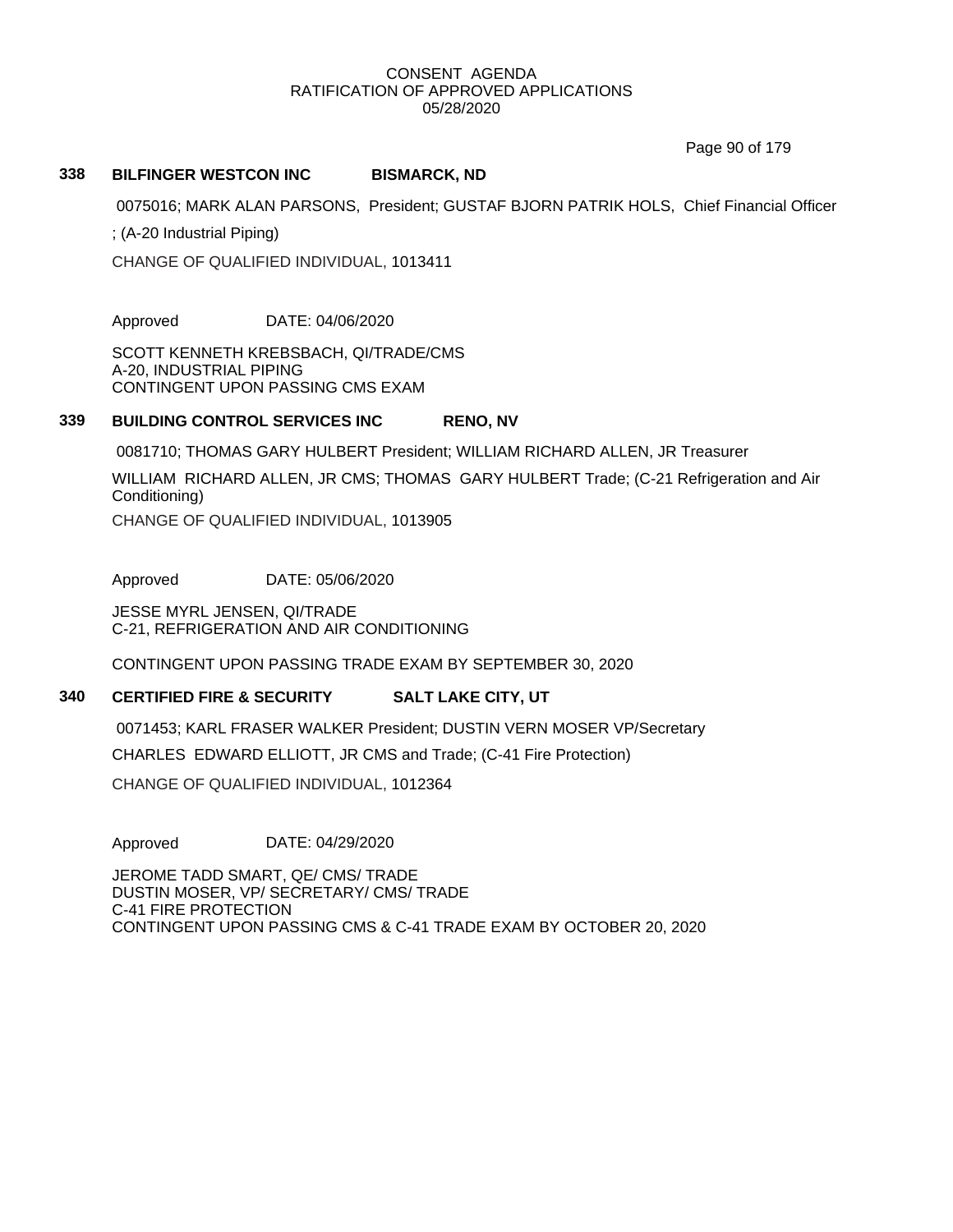Page 90 of 179

## **338 BILFINGER WESTCON INC BISMARCK, ND**

0075016; MARK ALAN PARSONS, President; GUSTAF BJORN PATRIK HOLS, Chief Financial Officer

; (A-20 Industrial Piping)

CHANGE OF QUALIFIED INDIVIDUAL, 1013411

Approved DATE: 04/06/2020

SCOTT KENNETH KREBSBACH, QI/TRADE/CMS A-20, INDUSTRIAL PIPING CONTINGENT UPON PASSING CMS EXAM

## **339 BUILDING CONTROL SERVICES INC RENO, NV**

0081710; THOMAS GARY HULBERT President; WILLIAM RICHARD ALLEN, JR Treasurer

WILLIAM RICHARD ALLEN, JR CMS; THOMAS GARY HULBERT Trade; (C-21 Refrigeration and Air Conditioning)

CHANGE OF QUALIFIED INDIVIDUAL, 1013905

Approved DATE: 05/06/2020

JESSE MYRL JENSEN, QI/TRADE C-21, REFRIGERATION AND AIR CONDITIONING

CONTINGENT UPON PASSING TRADE EXAM BY SEPTEMBER 30, 2020

## **340 CERTIFIED FIRE & SECURITY SALT LAKE CITY, UT**

0071453; KARL FRASER WALKER President; DUSTIN VERN MOSER VP/Secretary

CHARLES EDWARD ELLIOTT, JR CMS and Trade; (C-41 Fire Protection)

CHANGE OF QUALIFIED INDIVIDUAL, 1012364

Approved DATE: 04/29/2020

JEROME TADD SMART, QE/ CMS/ TRADE DUSTIN MOSER, VP/ SECRETARY/ CMS/ TRADE C-41 FIRE PROTECTION CONTINGENT UPON PASSING CMS & C-41 TRADE EXAM BY OCTOBER 20, 2020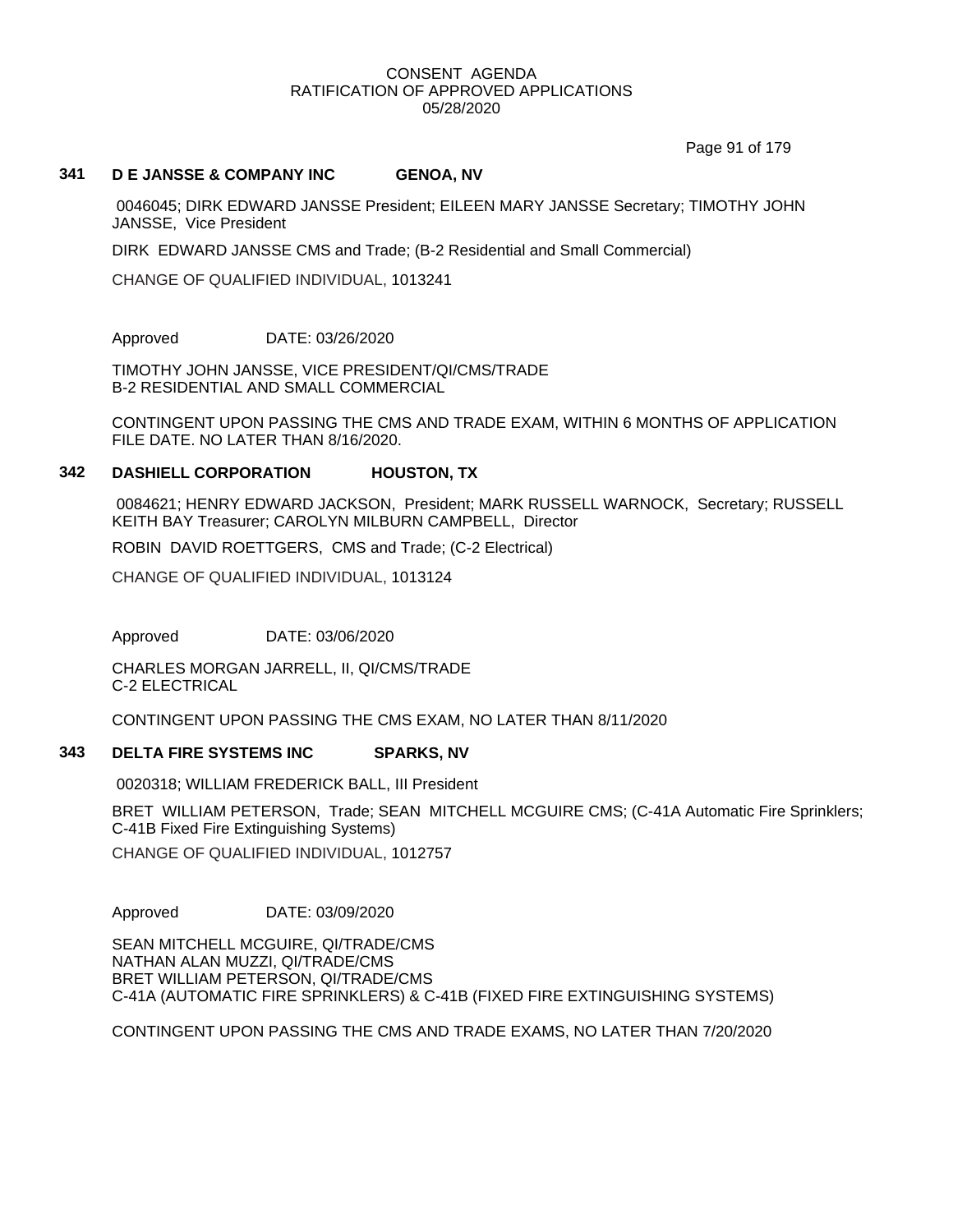Page 91 of 179

## **341 D E JANSSE & COMPANY INC GENOA, NV**

0046045; DIRK EDWARD JANSSE President; EILEEN MARY JANSSE Secretary; TIMOTHY JOHN JANSSE, Vice President

DIRK EDWARD JANSSE CMS and Trade; (B-2 Residential and Small Commercial)

CHANGE OF QUALIFIED INDIVIDUAL, 1013241

Approved DATE: 03/26/2020

TIMOTHY JOHN JANSSE, VICE PRESIDENT/QI/CMS/TRADE B-2 RESIDENTIAL AND SMALL COMMERCIAL

CONTINGENT UPON PASSING THE CMS AND TRADE EXAM, WITHIN 6 MONTHS OF APPLICATION FILE DATE. NO LATER THAN 8/16/2020.

#### **342 DASHIELL CORPORATION HOUSTON, TX**

0084621; HENRY EDWARD JACKSON, President; MARK RUSSELL WARNOCK, Secretary; RUSSELL KEITH BAY Treasurer; CAROLYN MILBURN CAMPBELL, Director

ROBIN DAVID ROETTGERS, CMS and Trade; (C-2 Electrical)

CHANGE OF QUALIFIED INDIVIDUAL, 1013124

Approved DATE: 03/06/2020

CHARLES MORGAN JARRELL, II, QI/CMS/TRADE C-2 ELECTRICAL

CONTINGENT UPON PASSING THE CMS EXAM, NO LATER THAN 8/11/2020

#### **343 DELTA FIRE SYSTEMS INC SPARKS, NV**

0020318; WILLIAM FREDERICK BALL, III President

BRET WILLIAM PETERSON, Trade; SEAN MITCHELL MCGUIRE CMS; (C-41A Automatic Fire Sprinklers; C-41B Fixed Fire Extinguishing Systems)

CHANGE OF QUALIFIED INDIVIDUAL, 1012757

Approved DATE: 03/09/2020

SEAN MITCHELL MCGUIRE, QI/TRADE/CMS NATHAN ALAN MUZZI, QI/TRADE/CMS BRET WILLIAM PETERSON, QI/TRADE/CMS C-41A (AUTOMATIC FIRE SPRINKLERS) & C-41B (FIXED FIRE EXTINGUISHING SYSTEMS)

CONTINGENT UPON PASSING THE CMS AND TRADE EXAMS, NO LATER THAN 7/20/2020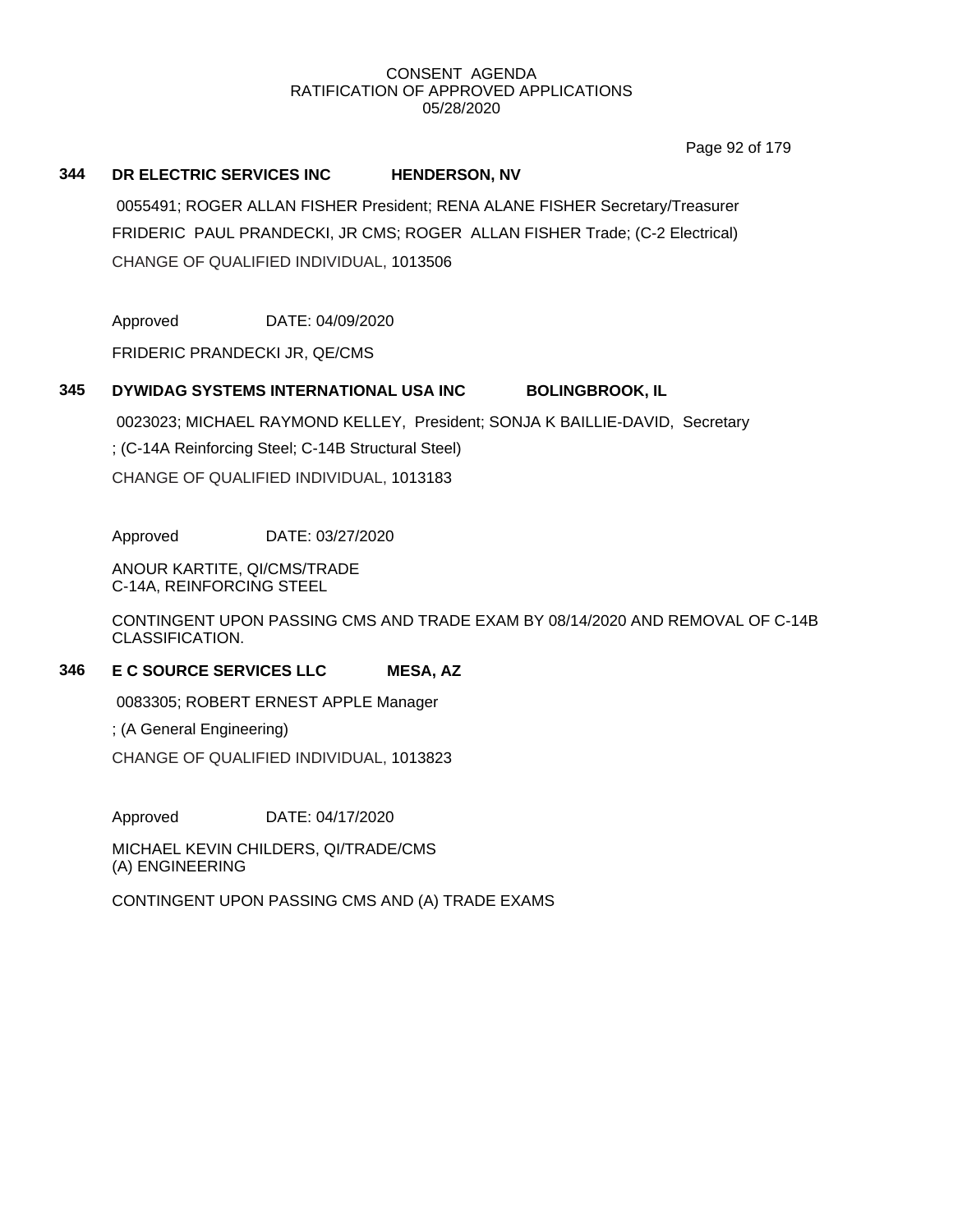Page 92 of 179

## **344 DR ELECTRIC SERVICES INC HENDERSON, NV**

0055491; ROGER ALLAN FISHER President; RENA ALANE FISHER Secretary/Treasurer FRIDERIC PAUL PRANDECKI, JR CMS; ROGER ALLAN FISHER Trade; (C-2 Electrical) CHANGE OF QUALIFIED INDIVIDUAL, 1013506

Approved DATE: 04/09/2020

FRIDERIC PRANDECKI JR, QE/CMS

# **345 DYWIDAG SYSTEMS INTERNATIONAL USA INC BOLINGBROOK, IL**

0023023; MICHAEL RAYMOND KELLEY, President; SONJA K BAILLIE-DAVID, Secretary

; (C-14A Reinforcing Steel; C-14B Structural Steel)

CHANGE OF QUALIFIED INDIVIDUAL, 1013183

Approved DATE: 03/27/2020

ANOUR KARTITE, QI/CMS/TRADE C-14A, REINFORCING STEEL

CONTINGENT UPON PASSING CMS AND TRADE EXAM BY 08/14/2020 AND REMOVAL OF C-14B CLASSIFICATION.

# **346 E C SOURCE SERVICES LLC MESA, AZ**

0083305; ROBERT ERNEST APPLE Manager

; (A General Engineering)

CHANGE OF QUALIFIED INDIVIDUAL, 1013823

Approved DATE: 04/17/2020

MICHAEL KEVIN CHILDERS, QI/TRADE/CMS (A) ENGINEERING

CONTINGENT UPON PASSING CMS AND (A) TRADE EXAMS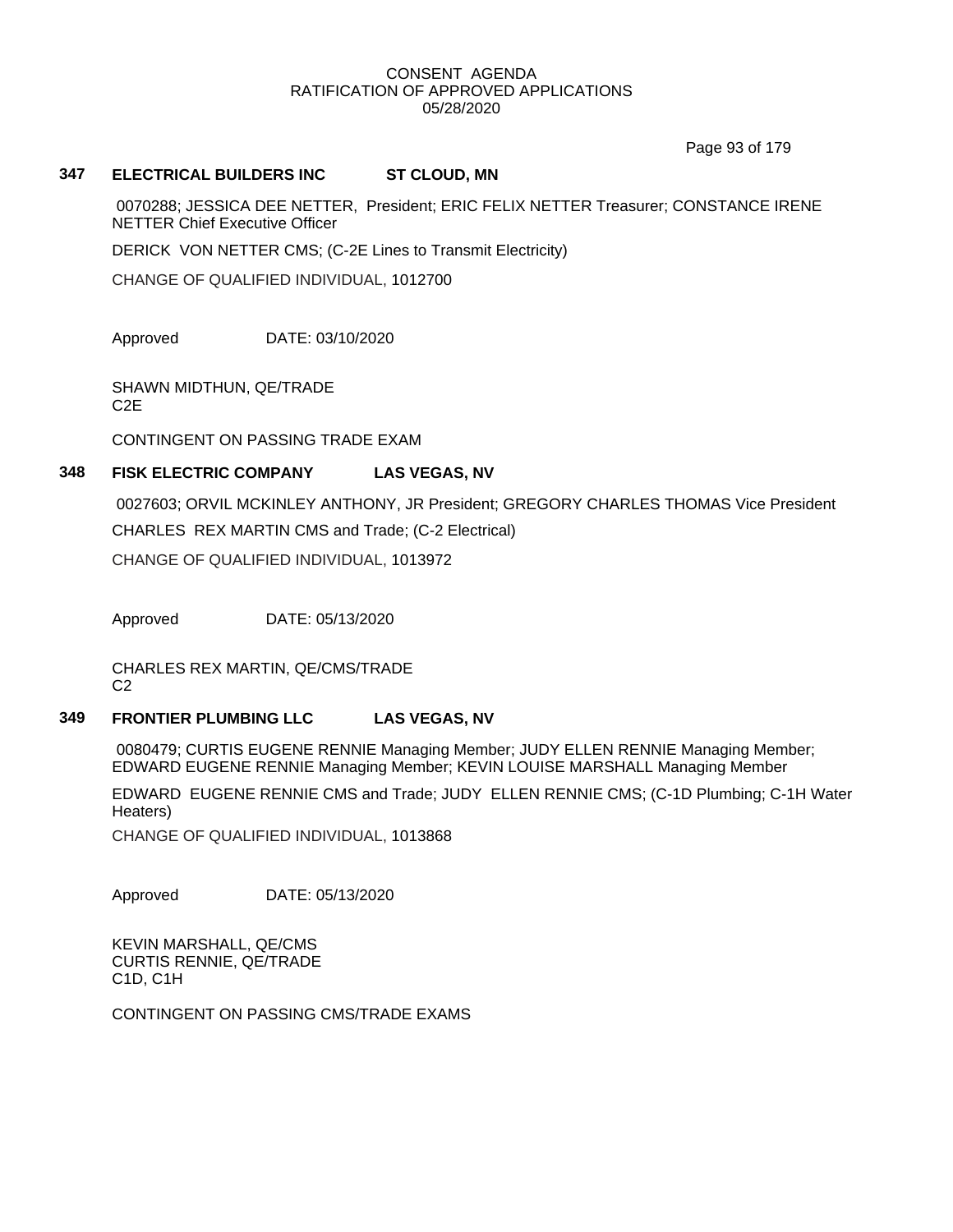Page 93 of 179

## **347 ELECTRICAL BUILDERS INC ST CLOUD, MN**

0070288; JESSICA DEE NETTER, President; ERIC FELIX NETTER Treasurer; CONSTANCE IRENE NETTER Chief Executive Officer

DERICK VON NETTER CMS; (C-2E Lines to Transmit Electricity)

CHANGE OF QUALIFIED INDIVIDUAL, 1012700

Approved DATE: 03/10/2020

SHAWN MIDTHUN, QE/TRADE C2E

CONTINGENT ON PASSING TRADE EXAM

# **348 FISK ELECTRIC COMPANY LAS VEGAS, NV**

0027603; ORVIL MCKINLEY ANTHONY, JR President; GREGORY CHARLES THOMAS Vice President CHARLES REX MARTIN CMS and Trade; (C-2 Electrical)

CHANGE OF QUALIFIED INDIVIDUAL, 1013972

Approved DATE: 05/13/2020

CHARLES REX MARTIN, QE/CMS/TRADE  $C<sub>2</sub>$ 

# **349 FRONTIER PLUMBING LLC LAS VEGAS, NV**

0080479; CURTIS EUGENE RENNIE Managing Member; JUDY ELLEN RENNIE Managing Member; EDWARD EUGENE RENNIE Managing Member; KEVIN LOUISE MARSHALL Managing Member

EDWARD EUGENE RENNIE CMS and Trade; JUDY ELLEN RENNIE CMS; (C-1D Plumbing; C-1H Water Heaters)

CHANGE OF QUALIFIED INDIVIDUAL, 1013868

Approved DATE: 05/13/2020

KEVIN MARSHALL, QE/CMS CURTIS RENNIE, QE/TRADE C1D, C1H

CONTINGENT ON PASSING CMS/TRADE EXAMS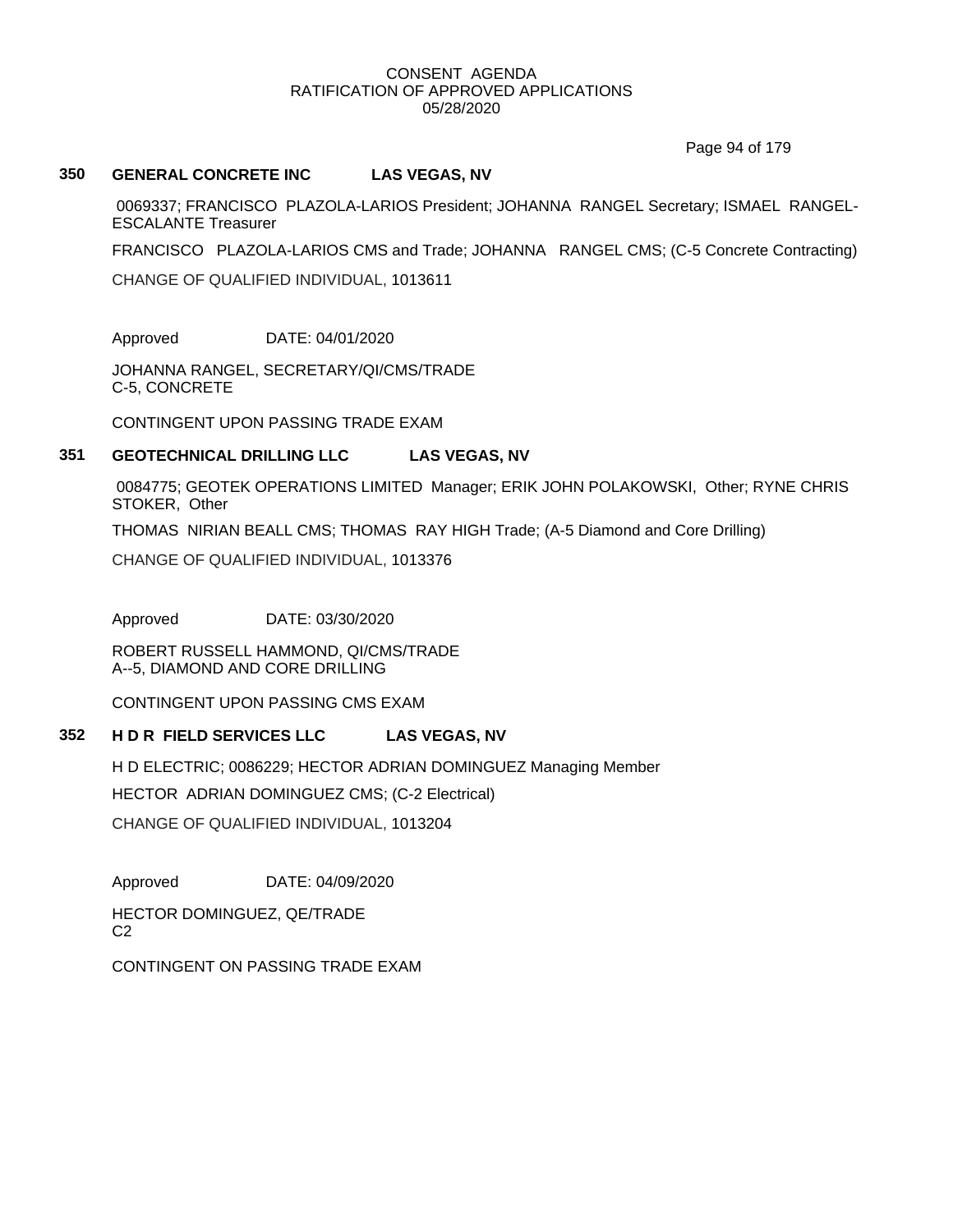Page 94 of 179

## **350 GENERAL CONCRETE INC LAS VEGAS, NV**

0069337; FRANCISCO PLAZOLA-LARIOS President; JOHANNA RANGEL Secretary; ISMAEL RANGEL-ESCALANTE Treasurer

FRANCISCO PLAZOLA-LARIOS CMS and Trade; JOHANNA RANGEL CMS; (C-5 Concrete Contracting)

CHANGE OF QUALIFIED INDIVIDUAL, 1013611

Approved DATE: 04/01/2020

JOHANNA RANGEL, SECRETARY/QI/CMS/TRADE C-5, CONCRETE

CONTINGENT UPON PASSING TRADE EXAM

#### **351 GEOTECHNICAL DRILLING LLC LAS VEGAS, NV**

0084775; GEOTEK OPERATIONS LIMITED Manager; ERIK JOHN POLAKOWSKI, Other; RYNE CHRIS STOKER, Other

THOMAS NIRIAN BEALL CMS; THOMAS RAY HIGH Trade; (A-5 Diamond and Core Drilling)

CHANGE OF QUALIFIED INDIVIDUAL, 1013376

Approved DATE: 03/30/2020

ROBERT RUSSELL HAMMOND, QI/CMS/TRADE A--5, DIAMOND AND CORE DRILLING

CONTINGENT UPON PASSING CMS EXAM

## **352 H D R FIELD SERVICES LLC LAS VEGAS, NV**

H D ELECTRIC; 0086229; HECTOR ADRIAN DOMINGUEZ Managing Member HECTOR ADRIAN DOMINGUEZ CMS; (C-2 Electrical) CHANGE OF QUALIFIED INDIVIDUAL, 1013204

Approved DATE: 04/09/2020

HECTOR DOMINGUEZ, QE/TRADE  $C<sub>2</sub>$ 

CONTINGENT ON PASSING TRADE EXAM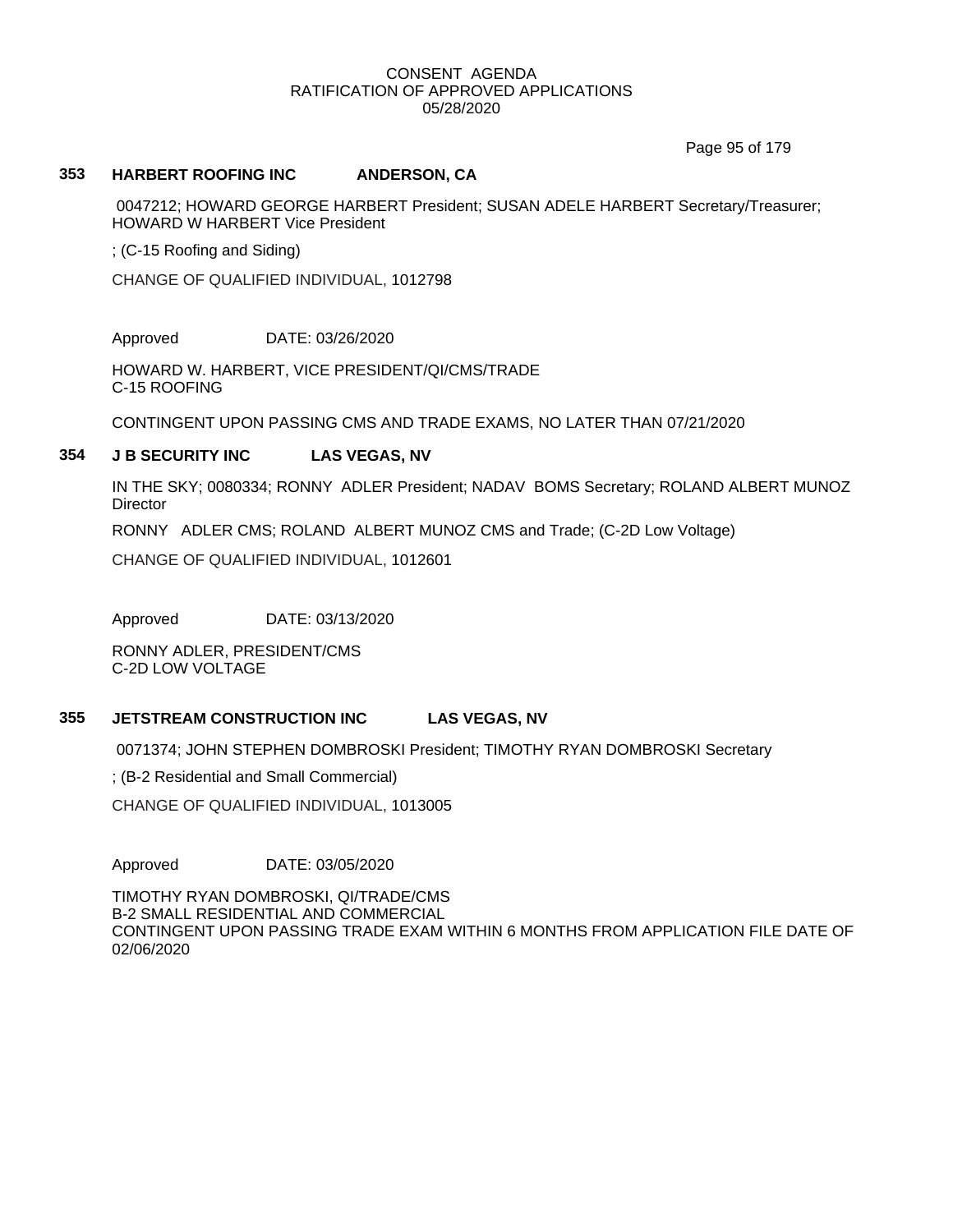Page 95 of 179

## **353 HARBERT ROOFING INC ANDERSON, CA**

0047212; HOWARD GEORGE HARBERT President; SUSAN ADELE HARBERT Secretary/Treasurer; HOWARD W HARBERT Vice President

; (C-15 Roofing and Siding)

CHANGE OF QUALIFIED INDIVIDUAL, 1012798

Approved DATE: 03/26/2020

HOWARD W. HARBERT, VICE PRESIDENT/QI/CMS/TRADE C-15 ROOFING

CONTINGENT UPON PASSING CMS AND TRADE EXAMS, NO LATER THAN 07/21/2020

## **354 J B SECURITY INC LAS VEGAS, NV**

IN THE SKY; 0080334; RONNY ADLER President; NADAV BOMS Secretary; ROLAND ALBERT MUNOZ **Director** 

RONNY ADLER CMS; ROLAND ALBERT MUNOZ CMS and Trade; (C-2D Low Voltage)

CHANGE OF QUALIFIED INDIVIDUAL, 1012601

Approved DATE: 03/13/2020

RONNY ADLER, PRESIDENT/CMS C-2D LOW VOLTAGE

# **355 JETSTREAM CONSTRUCTION INC LAS VEGAS, NV**

0071374; JOHN STEPHEN DOMBROSKI President; TIMOTHY RYAN DOMBROSKI Secretary

; (B-2 Residential and Small Commercial)

CHANGE OF QUALIFIED INDIVIDUAL, 1013005

Approved DATE: 03/05/2020

TIMOTHY RYAN DOMBROSKI, QI/TRADE/CMS B-2 SMALL RESIDENTIAL AND COMMERCIAL CONTINGENT UPON PASSING TRADE EXAM WITHIN 6 MONTHS FROM APPLICATION FILE DATE OF 02/06/2020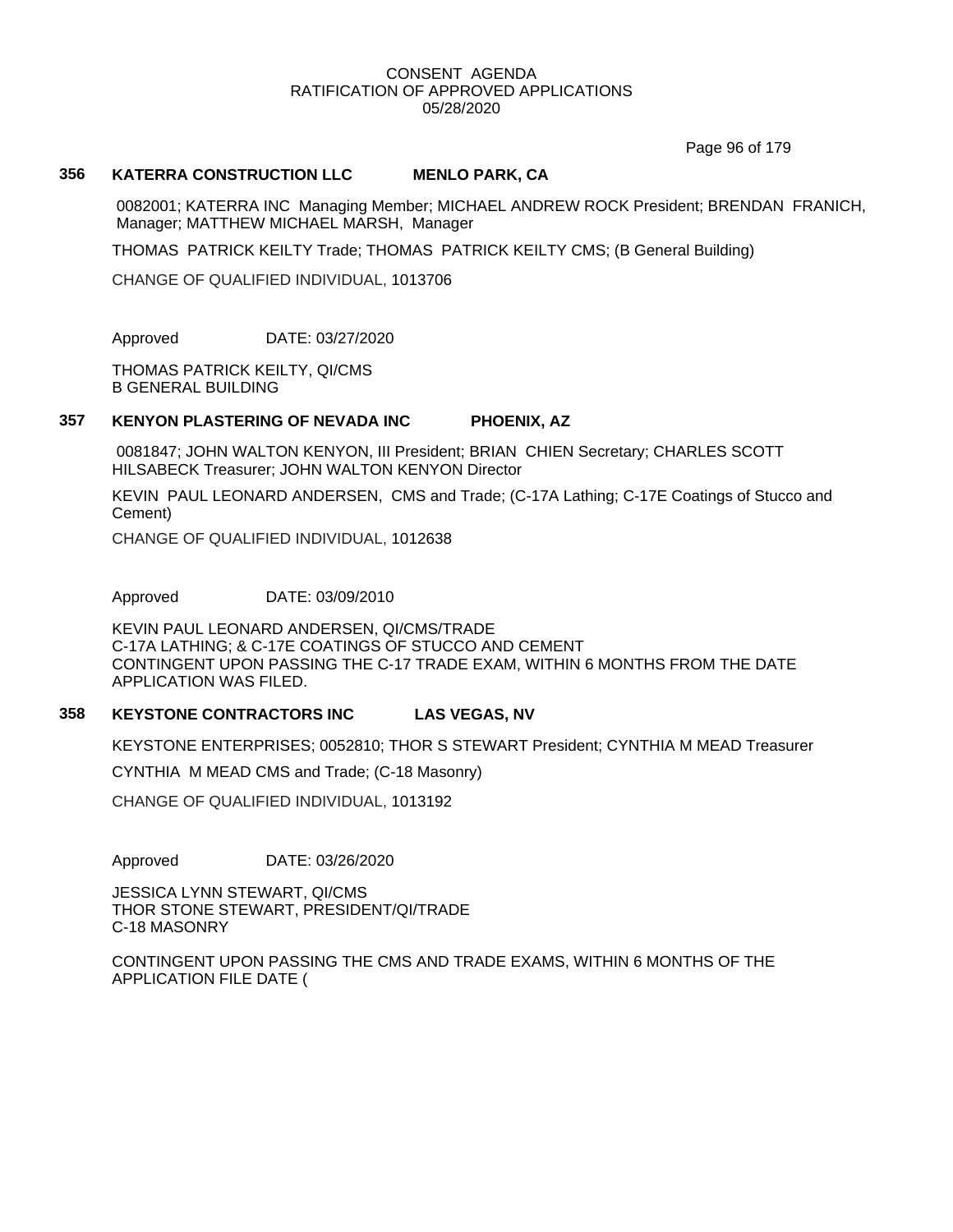Page 96 of 179

## **356 KATERRA CONSTRUCTION LLC MENLO PARK, CA**

0082001; KATERRA INC Managing Member; MICHAEL ANDREW ROCK President; BRENDAN FRANICH, Manager; MATTHEW MICHAEL MARSH, Manager

THOMAS PATRICK KEILTY Trade; THOMAS PATRICK KEILTY CMS; (B General Building)

CHANGE OF QUALIFIED INDIVIDUAL, 1013706

Approved DATE: 03/27/2020

THOMAS PATRICK KEILTY, QI/CMS B GENERAL BUILDING

# **357 KENYON PLASTERING OF NEVADA INC PHOENIX, AZ**

0081847; JOHN WALTON KENYON, III President; BRIAN CHIEN Secretary; CHARLES SCOTT HILSABECK Treasurer; JOHN WALTON KENYON Director

KEVIN PAUL LEONARD ANDERSEN, CMS and Trade; (C-17A Lathing; C-17E Coatings of Stucco and Cement)

CHANGE OF QUALIFIED INDIVIDUAL, 1012638

Approved DATE: 03/09/2010

KEVIN PAUL LEONARD ANDERSEN, QI/CMS/TRADE C-17A LATHING; & C-17E COATINGS OF STUCCO AND CEMENT CONTINGENT UPON PASSING THE C-17 TRADE EXAM, WITHIN 6 MONTHS FROM THE DATE APPLICATION WAS FILED.

## **358 KEYSTONE CONTRACTORS INC LAS VEGAS, NV**

KEYSTONE ENTERPRISES; 0052810; THOR S STEWART President; CYNTHIA M MEAD Treasurer

CYNTHIA M MEAD CMS and Trade; (C-18 Masonry)

CHANGE OF QUALIFIED INDIVIDUAL, 1013192

Approved DATE: 03/26/2020

JESSICA LYNN STEWART, QI/CMS THOR STONE STEWART, PRESIDENT/QI/TRADE C-18 MASONRY

CONTINGENT UPON PASSING THE CMS AND TRADE EXAMS, WITHIN 6 MONTHS OF THE APPLICATION FILE DATE (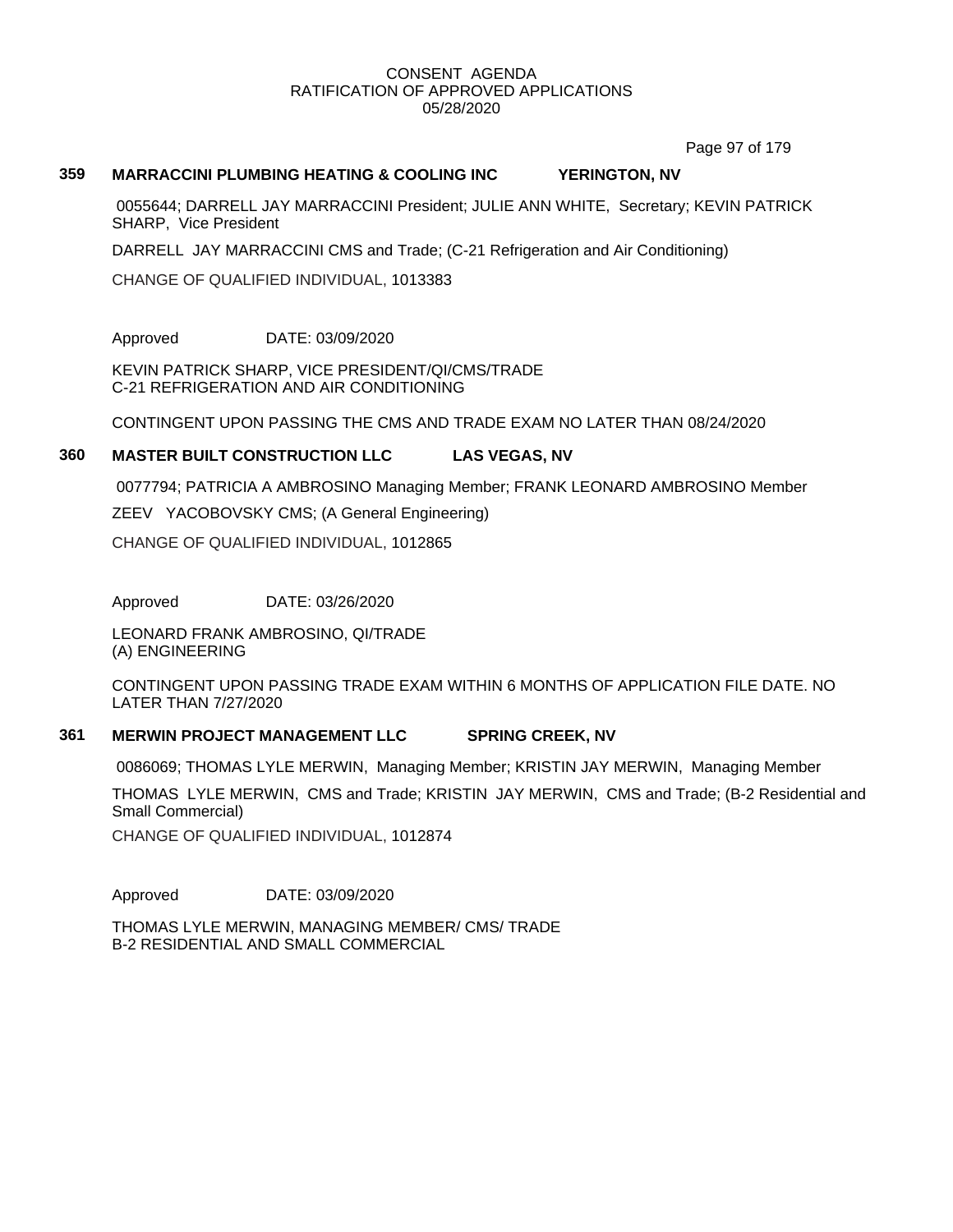Page 97 of 179

## **359 MARRACCINI PLUMBING HEATING & COOLING INC YERINGTON, NV**

0055644; DARRELL JAY MARRACCINI President; JULIE ANN WHITE, Secretary; KEVIN PATRICK SHARP, Vice President

DARRELL JAY MARRACCINI CMS and Trade; (C-21 Refrigeration and Air Conditioning)

CHANGE OF QUALIFIED INDIVIDUAL, 1013383

Approved DATE: 03/09/2020

KEVIN PATRICK SHARP, VICE PRESIDENT/QI/CMS/TRADE C-21 REFRIGERATION AND AIR CONDITIONING

CONTINGENT UPON PASSING THE CMS AND TRADE EXAM NO LATER THAN 08/24/2020

## **360 MASTER BUILT CONSTRUCTION LLC LAS VEGAS, NV**

0077794; PATRICIA A AMBROSINO Managing Member; FRANK LEONARD AMBROSINO Member

ZEEV YACOBOVSKY CMS; (A General Engineering)

CHANGE OF QUALIFIED INDIVIDUAL, 1012865

Approved DATE: 03/26/2020

LEONARD FRANK AMBROSINO, QI/TRADE (A) ENGINEERING

CONTINGENT UPON PASSING TRADE EXAM WITHIN 6 MONTHS OF APPLICATION FILE DATE. NO LATER THAN 7/27/2020

## **361 MERWIN PROJECT MANAGEMENT LLC SPRING CREEK, NV**

0086069; THOMAS LYLE MERWIN, Managing Member; KRISTIN JAY MERWIN, Managing Member

THOMAS LYLE MERWIN, CMS and Trade; KRISTIN JAY MERWIN, CMS and Trade; (B-2 Residential and Small Commercial)

CHANGE OF QUALIFIED INDIVIDUAL, 1012874

Approved DATE: 03/09/2020

THOMAS LYLE MERWIN, MANAGING MEMBER/ CMS/ TRADE B-2 RESIDENTIAL AND SMALL COMMERCIAL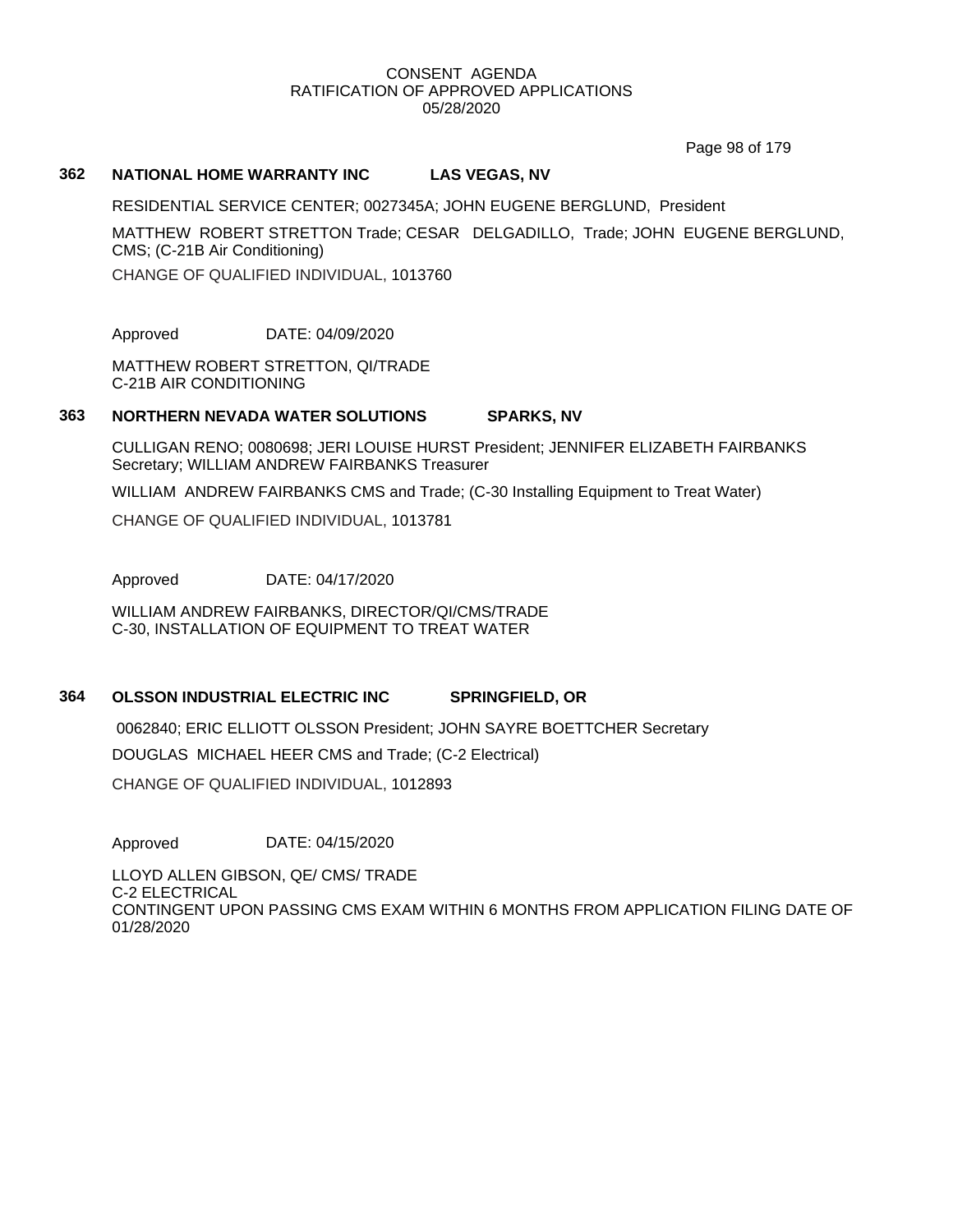Page 98 of 179

## **362 NATIONAL HOME WARRANTY INC LAS VEGAS, NV**

RESIDENTIAL SERVICE CENTER; 0027345A; JOHN EUGENE BERGLUND, President

MATTHEW ROBERT STRETTON Trade; CESAR DELGADILLO, Trade; JOHN EUGENE BERGLUND, CMS; (C-21B Air Conditioning)

CHANGE OF QUALIFIED INDIVIDUAL, 1013760

Approved DATE: 04/09/2020

MATTHEW ROBERT STRETTON, QI/TRADE C-21B AIR CONDITIONING

# **363 NORTHERN NEVADA WATER SOLUTIONS SPARKS, NV**

CULLIGAN RENO; 0080698; JERI LOUISE HURST President; JENNIFER ELIZABETH FAIRBANKS Secretary; WILLIAM ANDREW FAIRBANKS Treasurer

WILLIAM ANDREW FAIRBANKS CMS and Trade; (C-30 Installing Equipment to Treat Water)

CHANGE OF QUALIFIED INDIVIDUAL, 1013781

Approved DATE: 04/17/2020

WILLIAM ANDREW FAIRBANKS, DIRECTOR/QI/CMS/TRADE C-30, INSTALLATION OF EQUIPMENT TO TREAT WATER

# **364 OLSSON INDUSTRIAL ELECTRIC INC SPRINGFIELD, OR**

0062840; ERIC ELLIOTT OLSSON President; JOHN SAYRE BOETTCHER Secretary

DOUGLAS MICHAEL HEER CMS and Trade; (C-2 Electrical)

CHANGE OF QUALIFIED INDIVIDUAL, 1012893

Approved DATE: 04/15/2020

LLOYD ALLEN GIBSON, QE/ CMS/ TRADE C-2 ELECTRICAL CONTINGENT UPON PASSING CMS EXAM WITHIN 6 MONTHS FROM APPLICATION FILING DATE OF 01/28/2020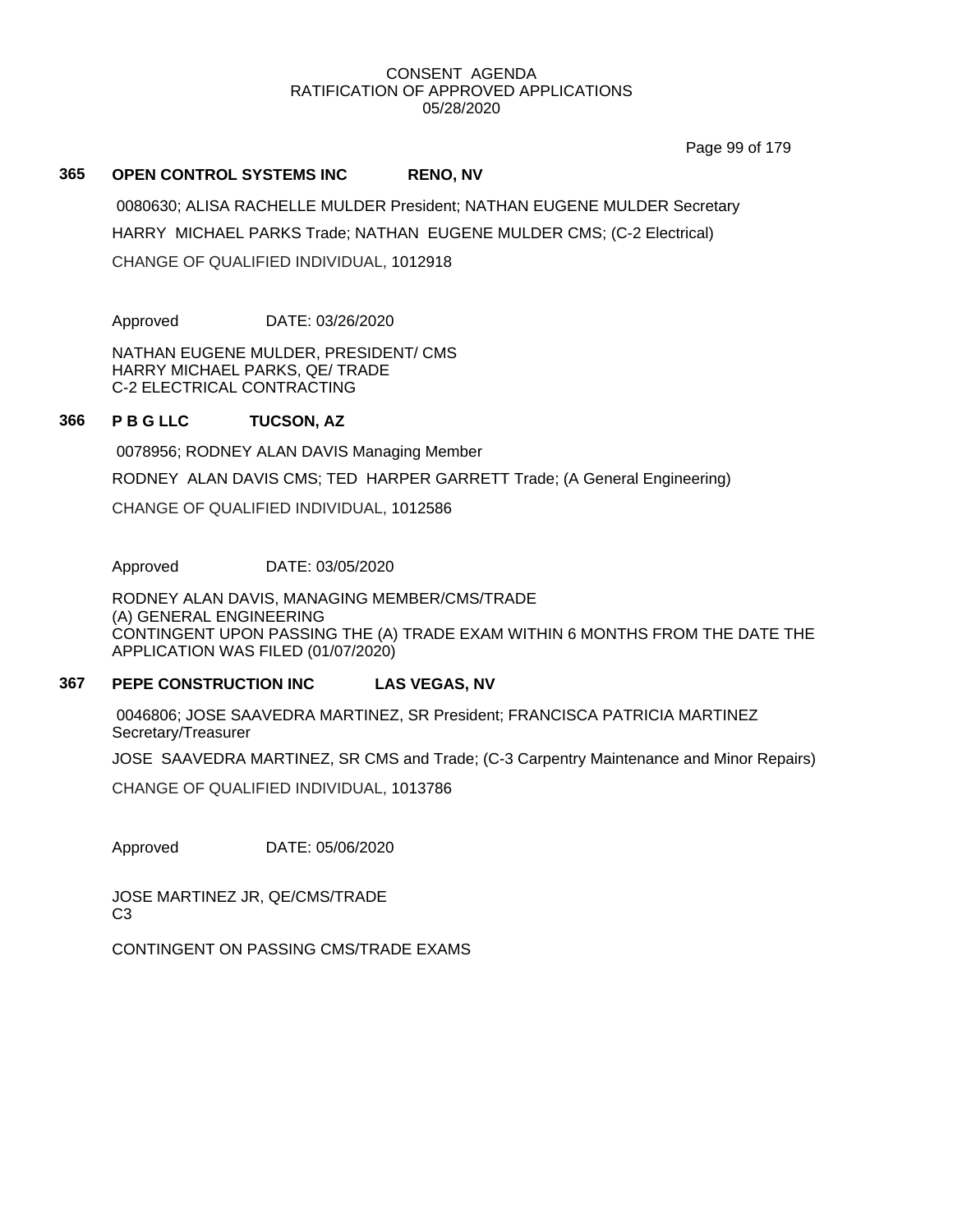Page 99 of 179

## **365 OPEN CONTROL SYSTEMS INC RENO, NV**

0080630; ALISA RACHELLE MULDER President; NATHAN EUGENE MULDER Secretary HARRY MICHAEL PARKS Trade; NATHAN EUGENE MULDER CMS; (C-2 Electrical) CHANGE OF QUALIFIED INDIVIDUAL, 1012918

Approved DATE: 03/26/2020

NATHAN EUGENE MULDER, PRESIDENT/ CMS HARRY MICHAEL PARKS, QE/ TRADE C-2 ELECTRICAL CONTRACTING

## **366 P B G LLC TUCSON, AZ**

0078956; RODNEY ALAN DAVIS Managing Member

RODNEY ALAN DAVIS CMS; TED HARPER GARRETT Trade; (A General Engineering)

CHANGE OF QUALIFIED INDIVIDUAL, 1012586

Approved DATE: 03/05/2020

RODNEY ALAN DAVIS, MANAGING MEMBER/CMS/TRADE (A) GENERAL ENGINEERING CONTINGENT UPON PASSING THE (A) TRADE EXAM WITHIN 6 MONTHS FROM THE DATE THE APPLICATION WAS FILED (01/07/2020)

## **367 PEPE CONSTRUCTION INC LAS VEGAS, NV**

0046806; JOSE SAAVEDRA MARTINEZ, SR President; FRANCISCA PATRICIA MARTINEZ Secretary/Treasurer

JOSE SAAVEDRA MARTINEZ, SR CMS and Trade; (C-3 Carpentry Maintenance and Minor Repairs)

CHANGE OF QUALIFIED INDIVIDUAL, 1013786

Approved DATE: 05/06/2020

JOSE MARTINEZ JR, QE/CMS/TRADE C3

CONTINGENT ON PASSING CMS/TRADE EXAMS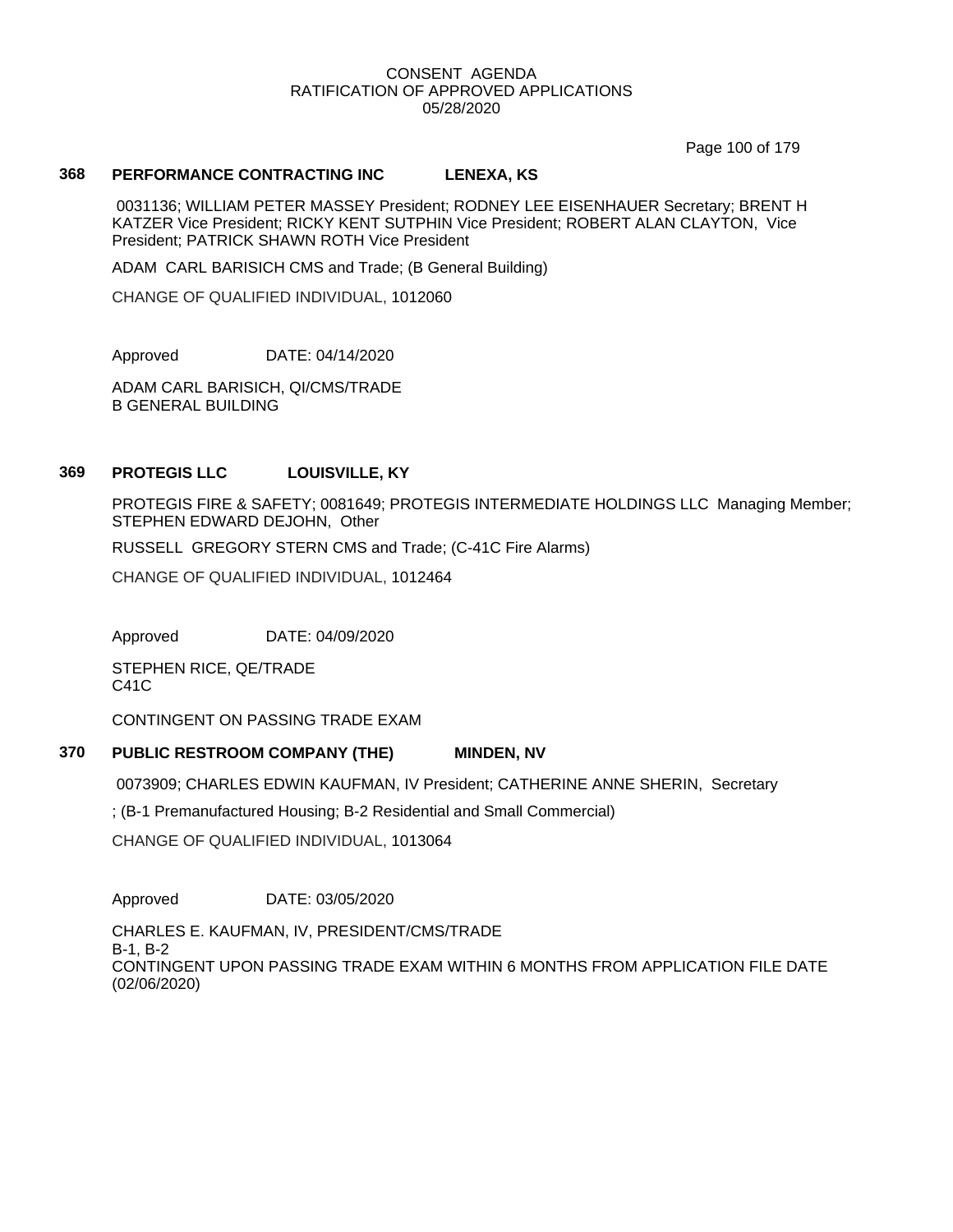Page 100 of 179

## **368 PERFORMANCE CONTRACTING INC LENEXA, KS**

0031136; WILLIAM PETER MASSEY President; RODNEY LEE EISENHAUER Secretary; BRENT H KATZER Vice President; RICKY KENT SUTPHIN Vice President; ROBERT ALAN CLAYTON, Vice President; PATRICK SHAWN ROTH Vice President

ADAM CARL BARISICH CMS and Trade; (B General Building)

CHANGE OF QUALIFIED INDIVIDUAL, 1012060

Approved DATE: 04/14/2020

ADAM CARL BARISICH, QI/CMS/TRADE B GENERAL BUILDING

## **369 PROTEGIS LLC LOUISVILLE, KY**

PROTEGIS FIRE & SAFETY; 0081649; PROTEGIS INTERMEDIATE HOLDINGS LLC Managing Member; STEPHEN EDWARD DEJOHN, Other

RUSSELL GREGORY STERN CMS and Trade; (C-41C Fire Alarms)

CHANGE OF QUALIFIED INDIVIDUAL, 1012464

Approved DATE: 04/09/2020

STEPHEN RICE, QE/TRADE C41C

CONTINGENT ON PASSING TRADE EXAM

## **370 PUBLIC RESTROOM COMPANY (THE) MINDEN, NV**

0073909; CHARLES EDWIN KAUFMAN, IV President; CATHERINE ANNE SHERIN, Secretary

; (B-1 Premanufactured Housing; B-2 Residential and Small Commercial)

CHANGE OF QUALIFIED INDIVIDUAL, 1013064

Approved DATE: 03/05/2020

CHARLES E. KAUFMAN, IV, PRESIDENT/CMS/TRADE B-1, B-2 CONTINGENT UPON PASSING TRADE EXAM WITHIN 6 MONTHS FROM APPLICATION FILE DATE (02/06/2020)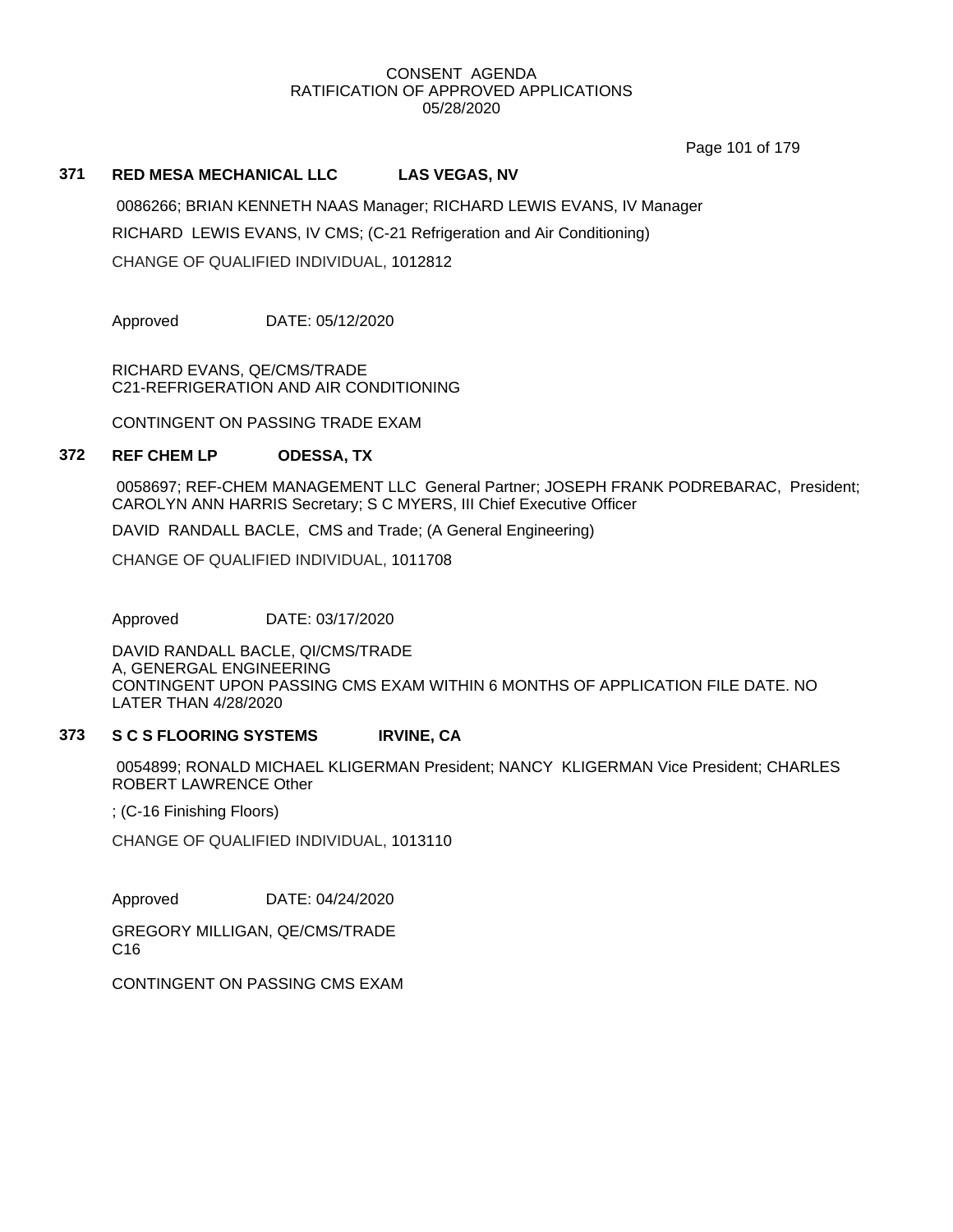Page 101 of 179

## **371 RED MESA MECHANICAL LLC LAS VEGAS, NV**

0086266; BRIAN KENNETH NAAS Manager; RICHARD LEWIS EVANS, IV Manager RICHARD LEWIS EVANS, IV CMS; (C-21 Refrigeration and Air Conditioning) CHANGE OF QUALIFIED INDIVIDUAL, 1012812

Approved DATE: 05/12/2020

RICHARD EVANS, QE/CMS/TRADE C21-REFRIGERATION AND AIR CONDITIONING

CONTINGENT ON PASSING TRADE EXAM

## **372 REF CHEM LP ODESSA, TX**

0058697; REF-CHEM MANAGEMENT LLC General Partner; JOSEPH FRANK PODREBARAC, President; CAROLYN ANN HARRIS Secretary; S C MYERS, III Chief Executive Officer

DAVID RANDALL BACLE, CMS and Trade; (A General Engineering)

CHANGE OF QUALIFIED INDIVIDUAL, 1011708

Approved DATE: 03/17/2020

DAVID RANDALL BACLE, QI/CMS/TRADE A, GENERGAL ENGINEERING CONTINGENT UPON PASSING CMS EXAM WITHIN 6 MONTHS OF APPLICATION FILE DATE. NO LATER THAN 4/28/2020

## **373 S C S FLOORING SYSTEMS IRVINE, CA**

0054899; RONALD MICHAEL KLIGERMAN President; NANCY KLIGERMAN Vice President; CHARLES ROBERT LAWRENCE Other

; (C-16 Finishing Floors)

CHANGE OF QUALIFIED INDIVIDUAL, 1013110

Approved DATE: 04/24/2020

GREGORY MILLIGAN, QE/CMS/TRADE C16

CONTINGENT ON PASSING CMS EXAM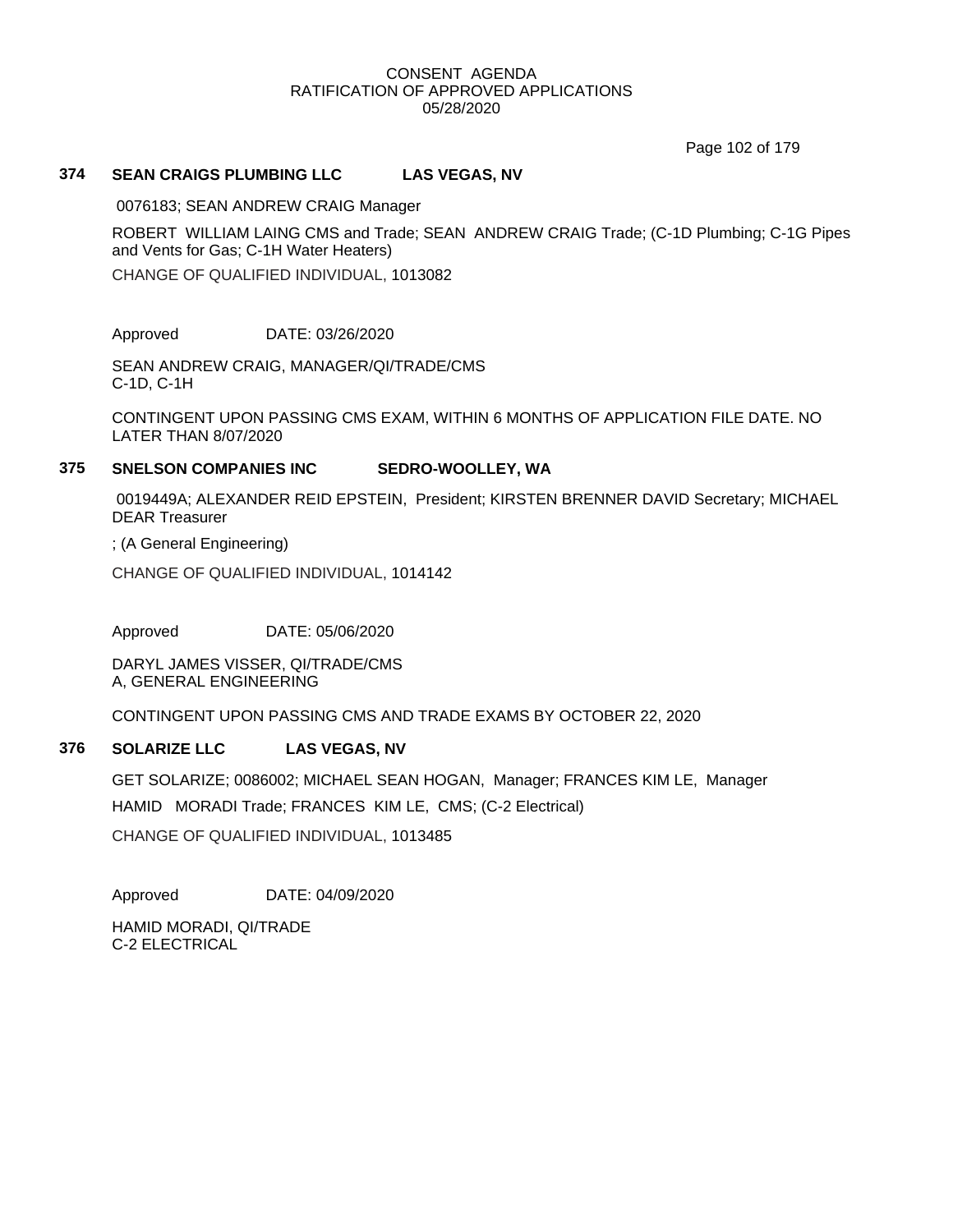Page 102 of 179

## **374 SEAN CRAIGS PLUMBING LLC LAS VEGAS, NV**

0076183; SEAN ANDREW CRAIG Manager

ROBERT WILLIAM LAING CMS and Trade; SEAN ANDREW CRAIG Trade; (C-1D Plumbing; C-1G Pipes and Vents for Gas; C-1H Water Heaters)

CHANGE OF QUALIFIED INDIVIDUAL, 1013082

Approved DATE: 03/26/2020

SEAN ANDREW CRAIG, MANAGER/QI/TRADE/CMS C-1D, C-1H

CONTINGENT UPON PASSING CMS EXAM, WITHIN 6 MONTHS OF APPLICATION FILE DATE. NO LATER THAN 8/07/2020

## **375 SNELSON COMPANIES INC SEDRO-WOOLLEY, WA**

0019449A; ALEXANDER REID EPSTEIN, President; KIRSTEN BRENNER DAVID Secretary; MICHAEL DEAR Treasurer

; (A General Engineering)

CHANGE OF QUALIFIED INDIVIDUAL, 1014142

Approved DATE: 05/06/2020

DARYL JAMES VISSER, QI/TRADE/CMS A, GENERAL ENGINEERING

CONTINGENT UPON PASSING CMS AND TRADE EXAMS BY OCTOBER 22, 2020

# **376 SOLARIZE LLC LAS VEGAS, NV**

GET SOLARIZE; 0086002; MICHAEL SEAN HOGAN, Manager; FRANCES KIM LE, Manager HAMID MORADI Trade; FRANCES KIM LE, CMS; (C-2 Electrical) CHANGE OF QUALIFIED INDIVIDUAL, 1013485

Approved DATE: 04/09/2020

HAMID MORADI, QI/TRADE C-2 ELECTRICAL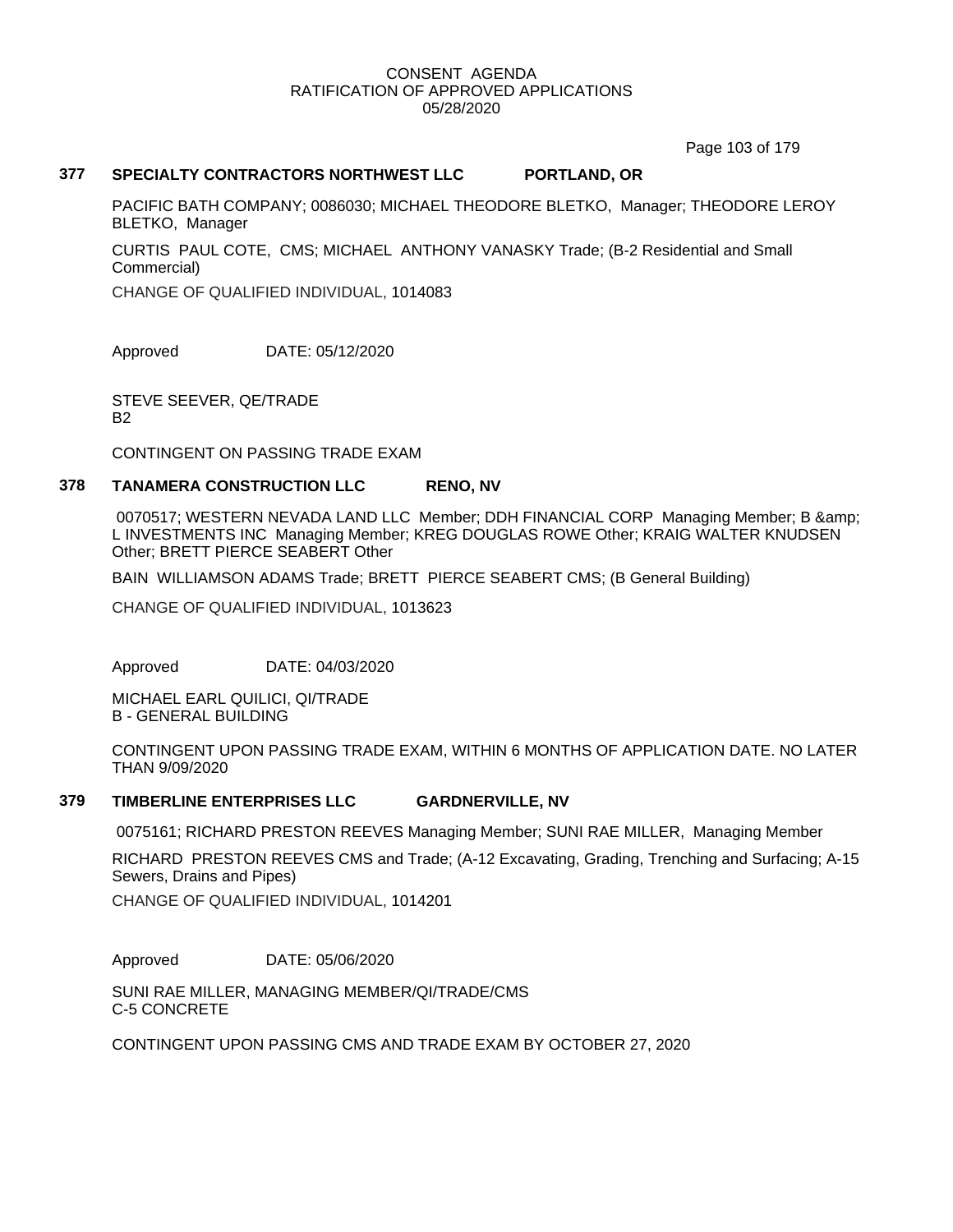Page 103 of 179

# **377 SPECIALTY CONTRACTORS NORTHWEST LLC PORTLAND, OR**

PACIFIC BATH COMPANY; 0086030; MICHAEL THEODORE BLETKO, Manager; THEODORE LEROY BLETKO, Manager

CURTIS PAUL COTE, CMS; MICHAEL ANTHONY VANASKY Trade; (B-2 Residential and Small Commercial)

CHANGE OF QUALIFIED INDIVIDUAL, 1014083

Approved DATE: 05/12/2020

STEVE SEEVER, QE/TRADE B2

CONTINGENT ON PASSING TRADE EXAM

# **378 TANAMERA CONSTRUCTION LLC RENO, NV**

0070517; WESTERN NEVADA LAND LLC Member; DDH FINANCIAL CORP Managing Member; B & L INVESTMENTS INC Managing Member; KREG DOUGLAS ROWE Other; KRAIG WALTER KNUDSEN Other; BRETT PIERCE SEABERT Other

BAIN WILLIAMSON ADAMS Trade; BRETT PIERCE SEABERT CMS; (B General Building)

CHANGE OF QUALIFIED INDIVIDUAL, 1013623

Approved DATE: 04/03/2020

MICHAEL EARL QUILICI, QI/TRADE B - GENERAL BUILDING

CONTINGENT UPON PASSING TRADE EXAM, WITHIN 6 MONTHS OF APPLICATION DATE. NO LATER THAN 9/09/2020

## **379 TIMBERLINE ENTERPRISES LLC GARDNERVILLE, NV**

0075161; RICHARD PRESTON REEVES Managing Member; SUNI RAE MILLER, Managing Member

RICHARD PRESTON REEVES CMS and Trade; (A-12 Excavating, Grading, Trenching and Surfacing; A-15 Sewers, Drains and Pipes)

CHANGE OF QUALIFIED INDIVIDUAL, 1014201

Approved DATE: 05/06/2020

SUNI RAE MILLER, MANAGING MEMBER/QI/TRADE/CMS C-5 CONCRETE

CONTINGENT UPON PASSING CMS AND TRADE EXAM BY OCTOBER 27, 2020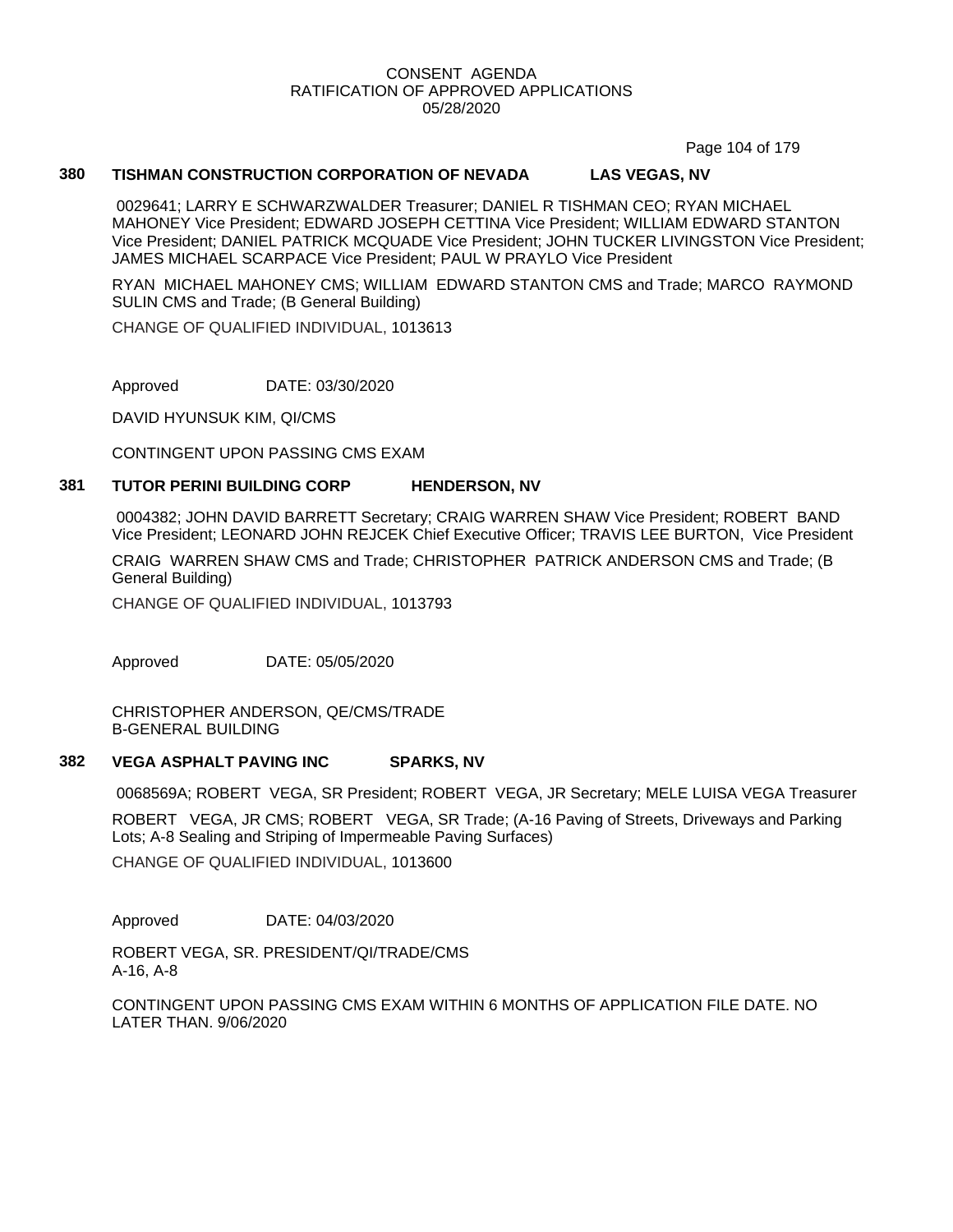Page 104 of 179

## **380 TISHMAN CONSTRUCTION CORPORATION OF NEVADA LAS VEGAS, NV**

0029641; LARRY E SCHWARZWALDER Treasurer; DANIEL R TISHMAN CEO; RYAN MICHAEL MAHONEY Vice President; EDWARD JOSEPH CETTINA Vice President; WILLIAM EDWARD STANTON Vice President; DANIEL PATRICK MCQUADE Vice President; JOHN TUCKER LIVINGSTON Vice President; JAMES MICHAEL SCARPACE Vice President; PAUL W PRAYLO Vice President

RYAN MICHAEL MAHONEY CMS; WILLIAM EDWARD STANTON CMS and Trade; MARCO RAYMOND SULIN CMS and Trade; (B General Building)

CHANGE OF QUALIFIED INDIVIDUAL, 1013613

Approved DATE: 03/30/2020

DAVID HYUNSUK KIM, QI/CMS

CONTINGENT UPON PASSING CMS EXAM

#### **381 TUTOR PERINI BUILDING CORP HENDERSON, NV**

0004382; JOHN DAVID BARRETT Secretary; CRAIG WARREN SHAW Vice President; ROBERT BAND Vice President; LEONARD JOHN REJCEK Chief Executive Officer; TRAVIS LEE BURTON, Vice President

CRAIG WARREN SHAW CMS and Trade; CHRISTOPHER PATRICK ANDERSON CMS and Trade; (B General Building)

CHANGE OF QUALIFIED INDIVIDUAL, 1013793

Approved DATE: 05/05/2020

CHRISTOPHER ANDERSON, QE/CMS/TRADE B-GENERAL BUILDING

#### **382 VEGA ASPHALT PAVING INC SPARKS, NV**

0068569A; ROBERT VEGA, SR President; ROBERT VEGA, JR Secretary; MELE LUISA VEGA Treasurer

ROBERT VEGA, JR CMS; ROBERT VEGA, SR Trade; (A-16 Paving of Streets, Driveways and Parking Lots; A-8 Sealing and Striping of Impermeable Paving Surfaces)

CHANGE OF QUALIFIED INDIVIDUAL, 1013600

Approved DATE: 04/03/2020

ROBERT VEGA, SR. PRESIDENT/QI/TRADE/CMS A-16, A-8

CONTINGENT UPON PASSING CMS EXAM WITHIN 6 MONTHS OF APPLICATION FILE DATE. NO LATER THAN. 9/06/2020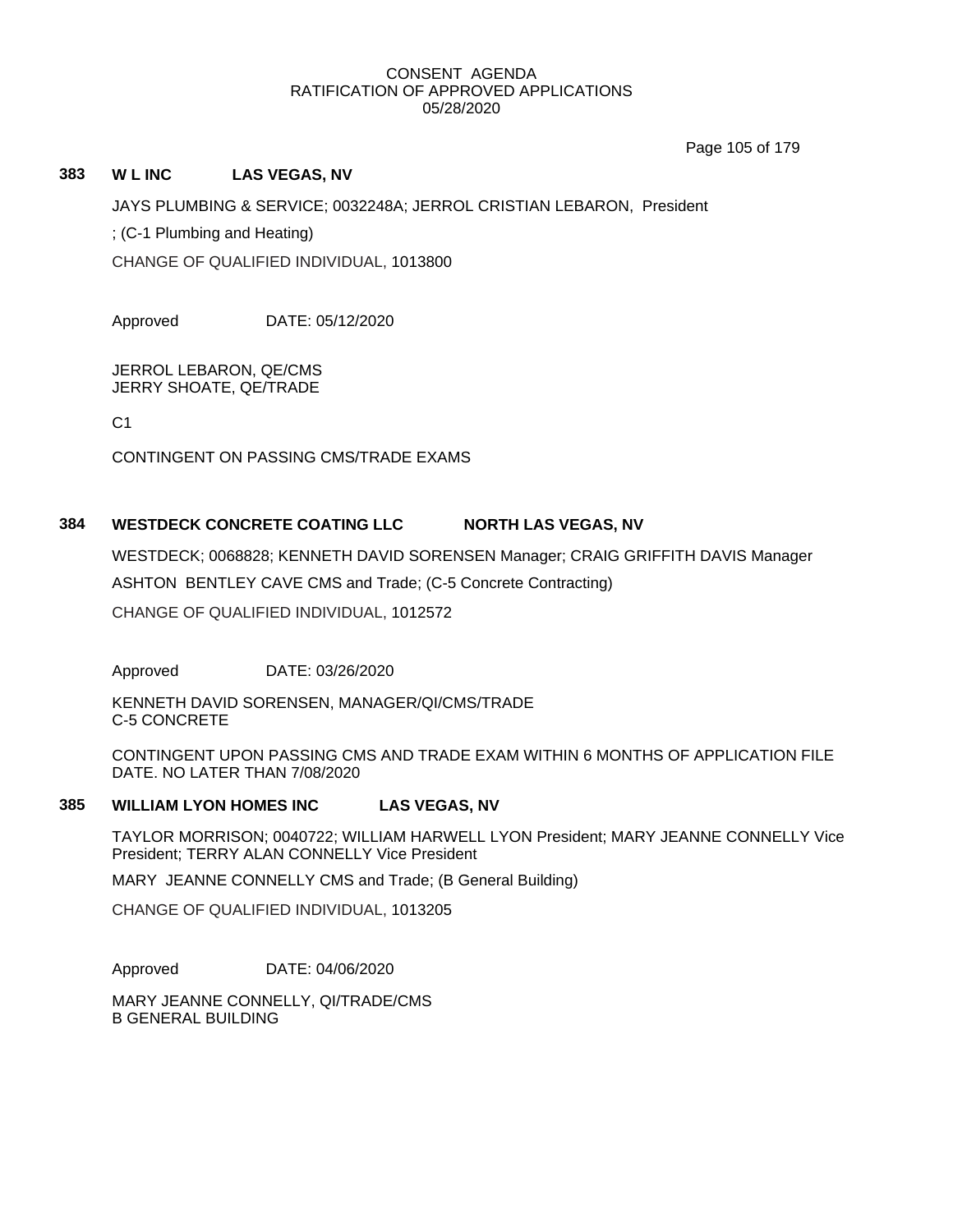Page 105 of 179

## **383 W L INC LAS VEGAS, NV**

JAYS PLUMBING & SERVICE; 0032248A; JERROL CRISTIAN LEBARON, President

; (C-1 Plumbing and Heating)

CHANGE OF QUALIFIED INDIVIDUAL, 1013800

Approved DATE: 05/12/2020

JERROL LEBARON, QE/CMS JERRY SHOATE, QE/TRADE

 $C<sub>1</sub>$ 

CONTINGENT ON PASSING CMS/TRADE EXAMS

# **384 WESTDECK CONCRETE COATING LLC NORTH LAS VEGAS, NV**

WESTDECK; 0068828; KENNETH DAVID SORENSEN Manager; CRAIG GRIFFITH DAVIS Manager ASHTON BENTLEY CAVE CMS and Trade; (C-5 Concrete Contracting) CHANGE OF QUALIFIED INDIVIDUAL, 1012572

Approved DATE: 03/26/2020

KENNETH DAVID SORENSEN, MANAGER/QI/CMS/TRADE C-5 CONCRETE

CONTINGENT UPON PASSING CMS AND TRADE EXAM WITHIN 6 MONTHS OF APPLICATION FILE DATE. NO LATER THAN 7/08/2020

## **385 WILLIAM LYON HOMES INC LAS VEGAS, NV**

TAYLOR MORRISON; 0040722; WILLIAM HARWELL LYON President; MARY JEANNE CONNELLY Vice President; TERRY ALAN CONNELLY Vice President

MARY JEANNE CONNELLY CMS and Trade; (B General Building)

CHANGE OF QUALIFIED INDIVIDUAL, 1013205

Approved DATE: 04/06/2020

MARY JEANNE CONNELLY, QI/TRADE/CMS B GENERAL BUILDING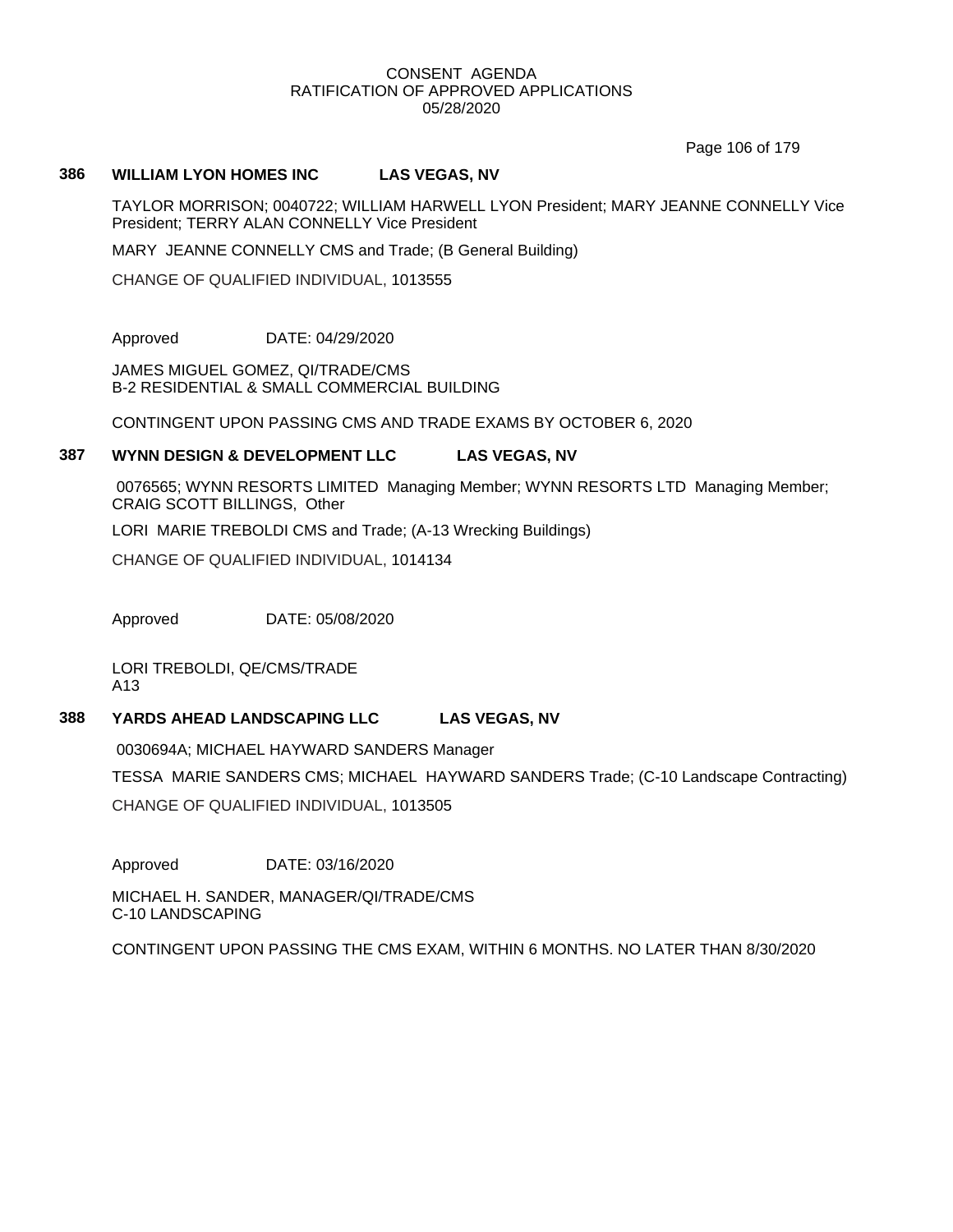Page 106 of 179

## **386 WILLIAM LYON HOMES INC LAS VEGAS, NV**

TAYLOR MORRISON; 0040722; WILLIAM HARWELL LYON President; MARY JEANNE CONNELLY Vice President; TERRY ALAN CONNELLY Vice President

MARY JEANNE CONNELLY CMS and Trade; (B General Building)

CHANGE OF QUALIFIED INDIVIDUAL, 1013555

Approved DATE: 04/29/2020

JAMES MIGUEL GOMEZ, QI/TRADE/CMS B-2 RESIDENTIAL & SMALL COMMERCIAL BUILDING

CONTINGENT UPON PASSING CMS AND TRADE EXAMS BY OCTOBER 6, 2020

## **387 WYNN DESIGN & DEVELOPMENT LLC LAS VEGAS, NV**

0076565; WYNN RESORTS LIMITED Managing Member; WYNN RESORTS LTD Managing Member; CRAIG SCOTT BILLINGS, Other

LORI MARIE TREBOLDI CMS and Trade; (A-13 Wrecking Buildings)

CHANGE OF QUALIFIED INDIVIDUAL, 1014134

Approved DATE: 05/08/2020

LORI TREBOLDI, QE/CMS/TRADE A13

## **388 YARDS AHEAD LANDSCAPING LLC LAS VEGAS, NV**

0030694A; MICHAEL HAYWARD SANDERS Manager

TESSA MARIE SANDERS CMS; MICHAEL HAYWARD SANDERS Trade; (C-10 Landscape Contracting)

CHANGE OF QUALIFIED INDIVIDUAL, 1013505

Approved DATE: 03/16/2020

MICHAEL H. SANDER, MANAGER/QI/TRADE/CMS C-10 LANDSCAPING

CONTINGENT UPON PASSING THE CMS EXAM, WITHIN 6 MONTHS. NO LATER THAN 8/30/2020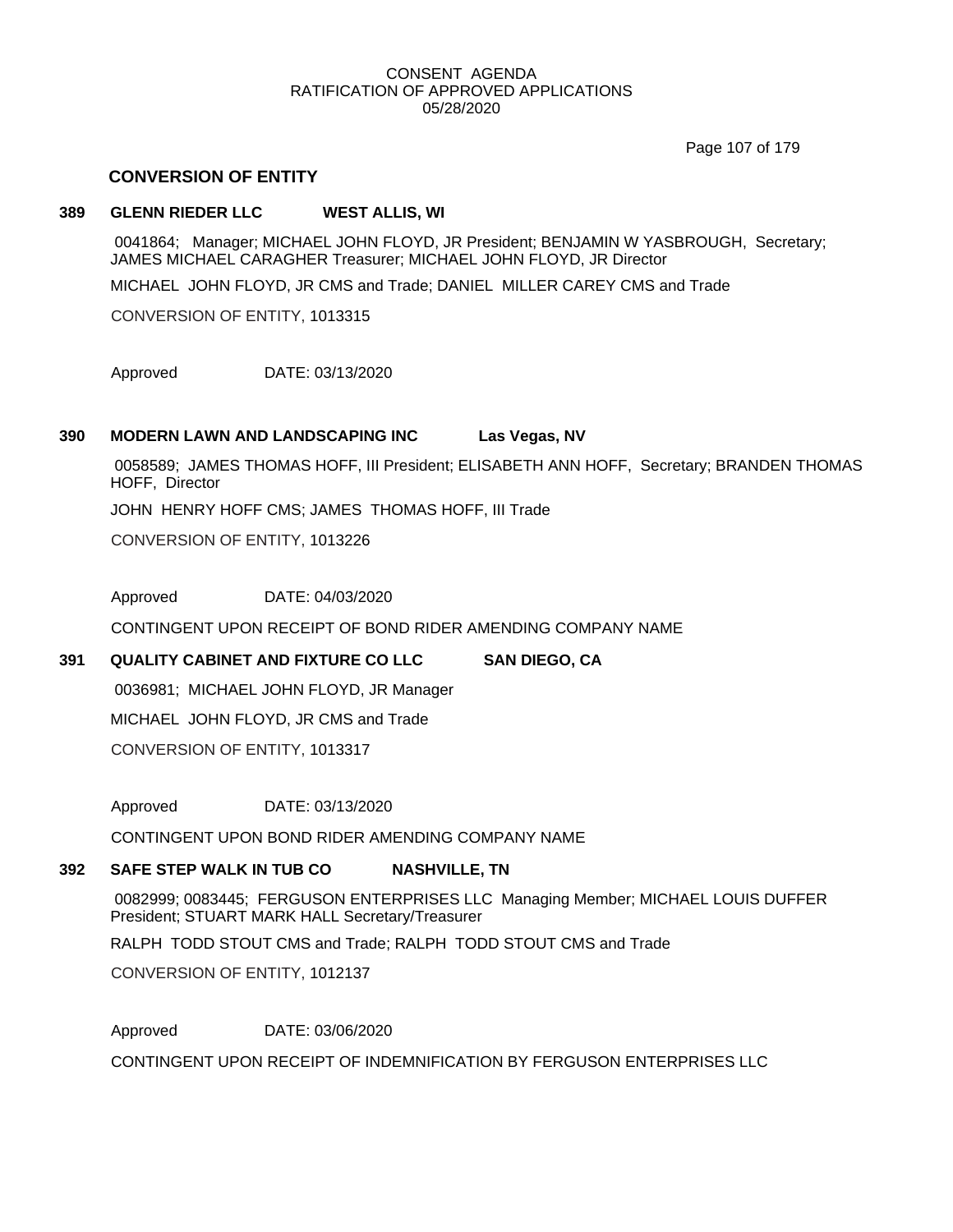Page 107 of 179

## **CONVERSION OF ENTITY**

## **389 GLENN RIEDER LLC WEST ALLIS, WI**

0041864; Manager; MICHAEL JOHN FLOYD, JR President; BENJAMIN W YASBROUGH, Secretary; JAMES MICHAEL CARAGHER Treasurer; MICHAEL JOHN FLOYD, JR Director

MICHAEL JOHN FLOYD, JR CMS and Trade; DANIEL MILLER CAREY CMS and Trade

CONVERSION OF ENTITY, 1013315

Approved DATE: 03/13/2020

## **390 MODERN LAWN AND LANDSCAPING INC Las Vegas, NV**

0058589; JAMES THOMAS HOFF, III President; ELISABETH ANN HOFF, Secretary; BRANDEN THOMAS HOFF, Director

JOHN HENRY HOFF CMS; JAMES THOMAS HOFF, III Trade

CONVERSION OF ENTITY, 1013226

Approved DATE: 04/03/2020

CONTINGENT UPON RECEIPT OF BOND RIDER AMENDING COMPANY NAME

## **391 QUALITY CABINET AND FIXTURE CO LLC SAN DIEGO, CA**

0036981; MICHAEL JOHN FLOYD, JR Manager

MICHAEL JOHN FLOYD, JR CMS and Trade

CONVERSION OF ENTITY, 1013317

Approved DATE: 03/13/2020

CONTINGENT UPON BOND RIDER AMENDING COMPANY NAME

## **392 SAFE STEP WALK IN TUB CO NASHVILLE, TN**

0082999; 0083445; FERGUSON ENTERPRISES LLC Managing Member; MICHAEL LOUIS DUFFER President; STUART MARK HALL Secretary/Treasurer

RALPH TODD STOUT CMS and Trade; RALPH TODD STOUT CMS and Trade

CONVERSION OF ENTITY, 1012137

Approved DATE: 03/06/2020

CONTINGENT UPON RECEIPT OF INDEMNIFICATION BY FERGUSON ENTERPRISES LLC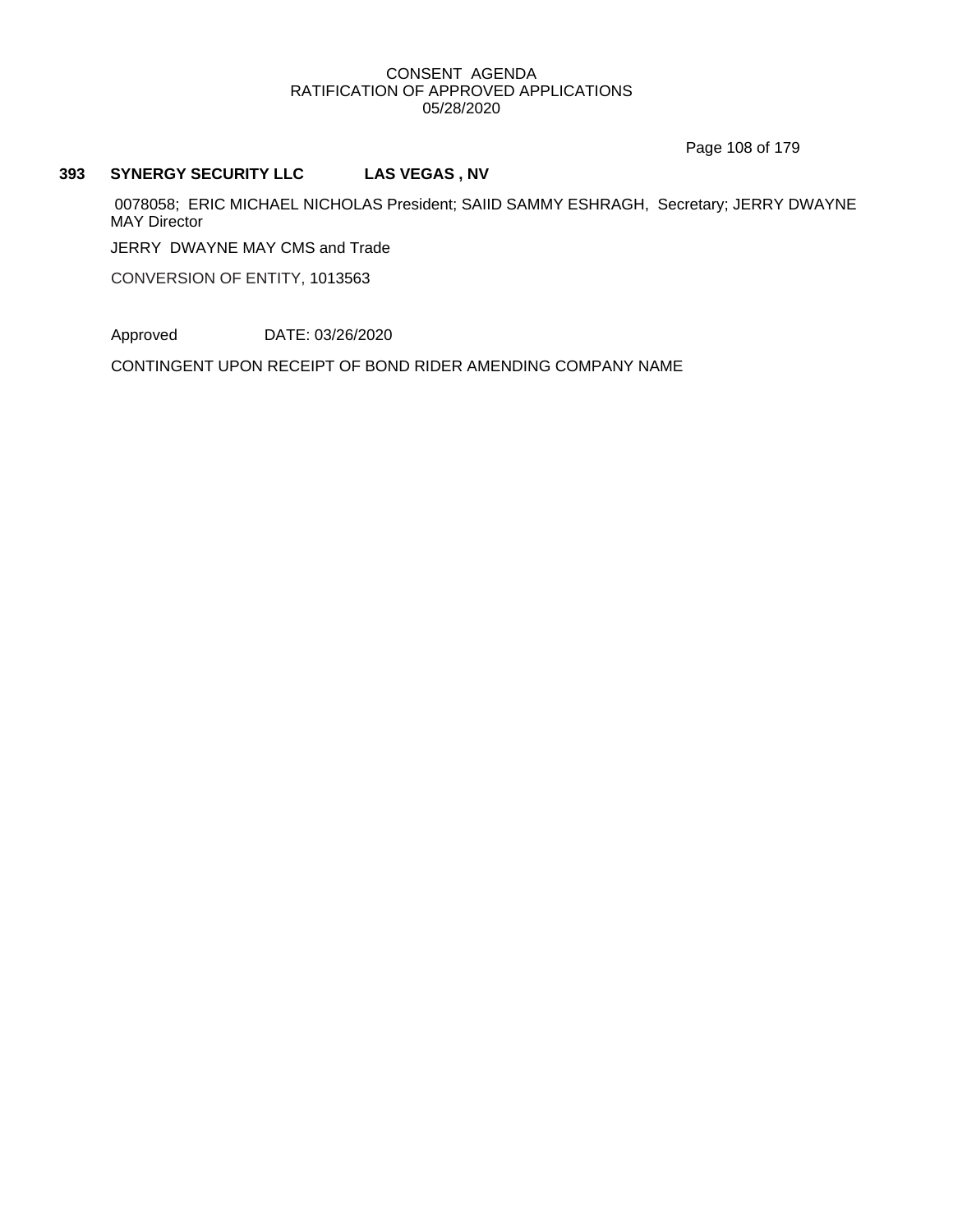Page 108 of 179

## **393 SYNERGY SECURITY LLC LAS VEGAS , NV**

0078058; ERIC MICHAEL NICHOLAS President; SAIID SAMMY ESHRAGH, Secretary; JERRY DWAYNE MAY Director

JERRY DWAYNE MAY CMS and Trade

CONVERSION OF ENTITY, 1013563

Approved DATE: 03/26/2020

CONTINGENT UPON RECEIPT OF BOND RIDER AMENDING COMPANY NAME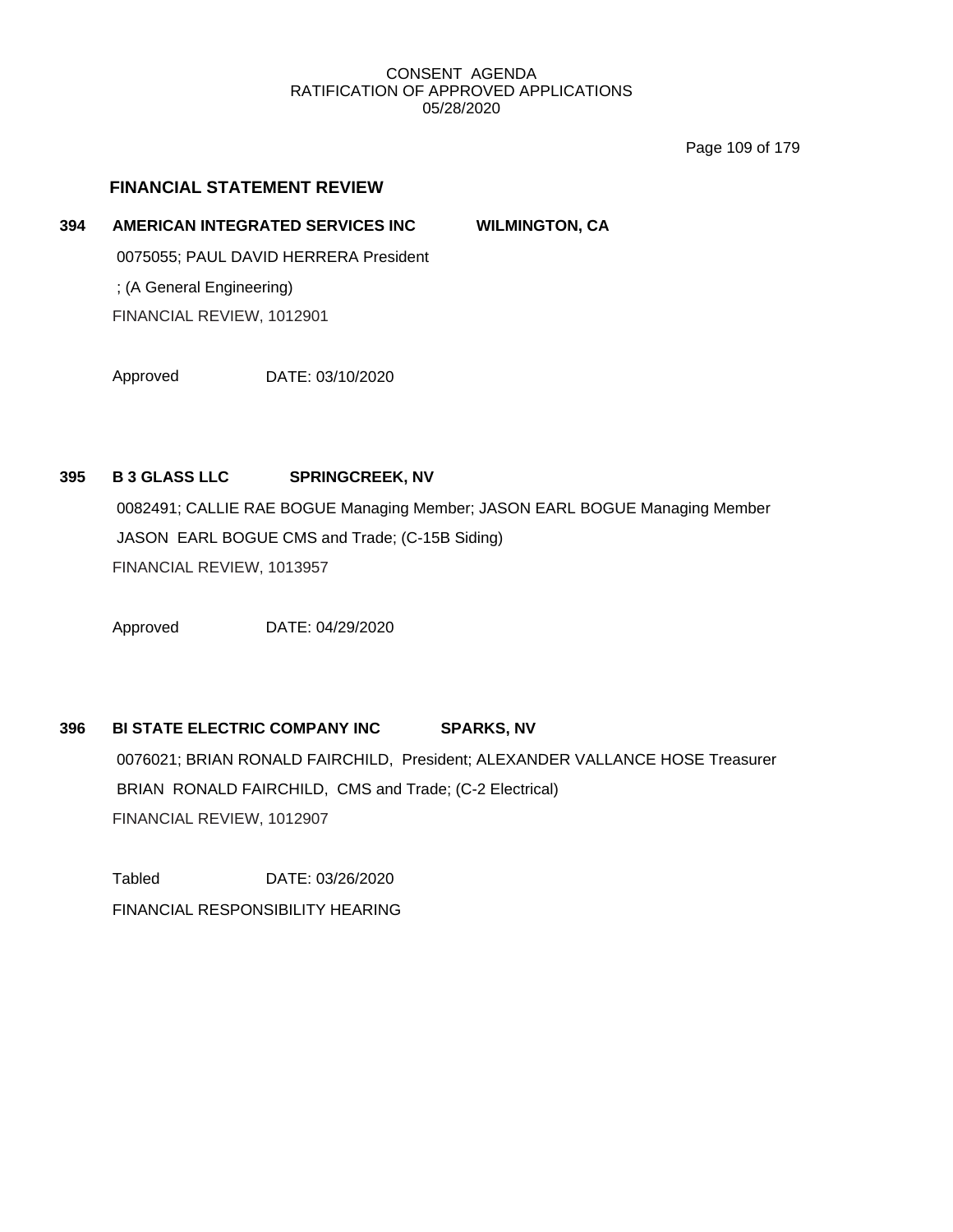Page 109 of 179

## **FINANCIAL STATEMENT REVIEW**

## **394 AMERICAN INTEGRATED SERVICES INC WILMINGTON, CA**

0075055; PAUL DAVID HERRERA President ; (A General Engineering) FINANCIAL REVIEW, 1012901

Approved DATE: 03/10/2020

## **395 B 3 GLASS LLC SPRINGCREEK, NV**

0082491; CALLIE RAE BOGUE Managing Member; JASON EARL BOGUE Managing Member JASON EARL BOGUE CMS and Trade; (C-15B Siding) FINANCIAL REVIEW, 1013957

Approved DATE: 04/29/2020

# **396 BI STATE ELECTRIC COMPANY INC SPARKS, NV** 0076021; BRIAN RONALD FAIRCHILD, President; ALEXANDER VALLANCE HOSE Treasurer BRIAN RONALD FAIRCHILD, CMS and Trade; (C-2 Electrical) FINANCIAL REVIEW, 1012907

Tabled DATE: 03/26/2020 FINANCIAL RESPONSIBILITY HEARING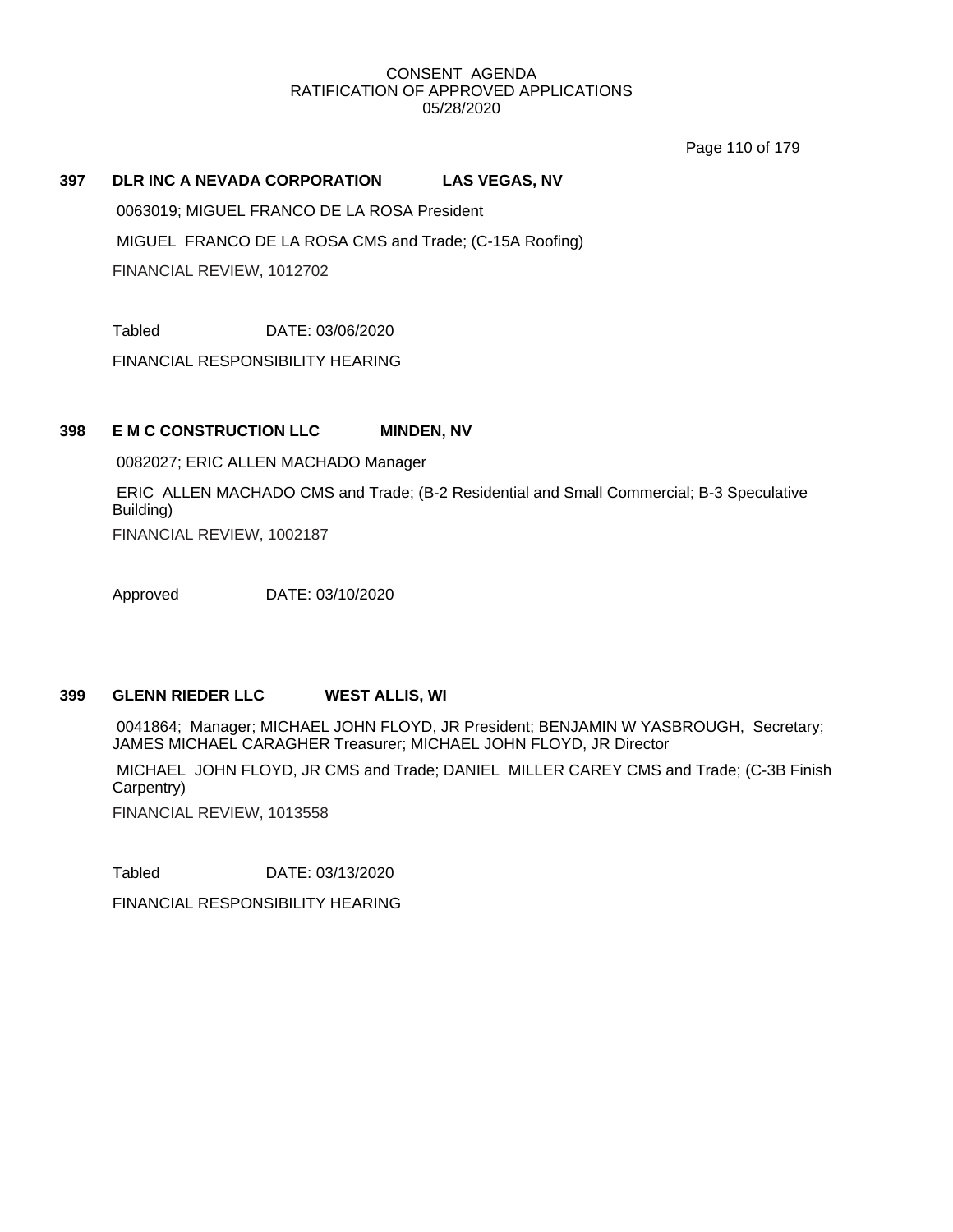Page 110 of 179

## **397 DLR INC A NEVADA CORPORATION LAS VEGAS, NV**

0063019; MIGUEL FRANCO DE LA ROSA President

MIGUEL FRANCO DE LA ROSA CMS and Trade; (C-15A Roofing)

FINANCIAL REVIEW, 1012702

Tabled DATE: 03/06/2020

FINANCIAL RESPONSIBILITY HEARING

## **398 E M C CONSTRUCTION LLC MINDEN, NV**

0082027; ERIC ALLEN MACHADO Manager

ERIC ALLEN MACHADO CMS and Trade; (B-2 Residential and Small Commercial; B-3 Speculative Building) FINANCIAL REVIEW, 1002187

Approved DATE: 03/10/2020

## **399 GLENN RIEDER LLC WEST ALLIS, WI**

0041864; Manager; MICHAEL JOHN FLOYD, JR President; BENJAMIN W YASBROUGH, Secretary; JAMES MICHAEL CARAGHER Treasurer; MICHAEL JOHN FLOYD, JR Director

MICHAEL JOHN FLOYD, JR CMS and Trade; DANIEL MILLER CAREY CMS and Trade; (C-3B Finish Carpentry)

FINANCIAL REVIEW, 1013558

Tabled DATE: 03/13/2020

FINANCIAL RESPONSIBILITY HEARING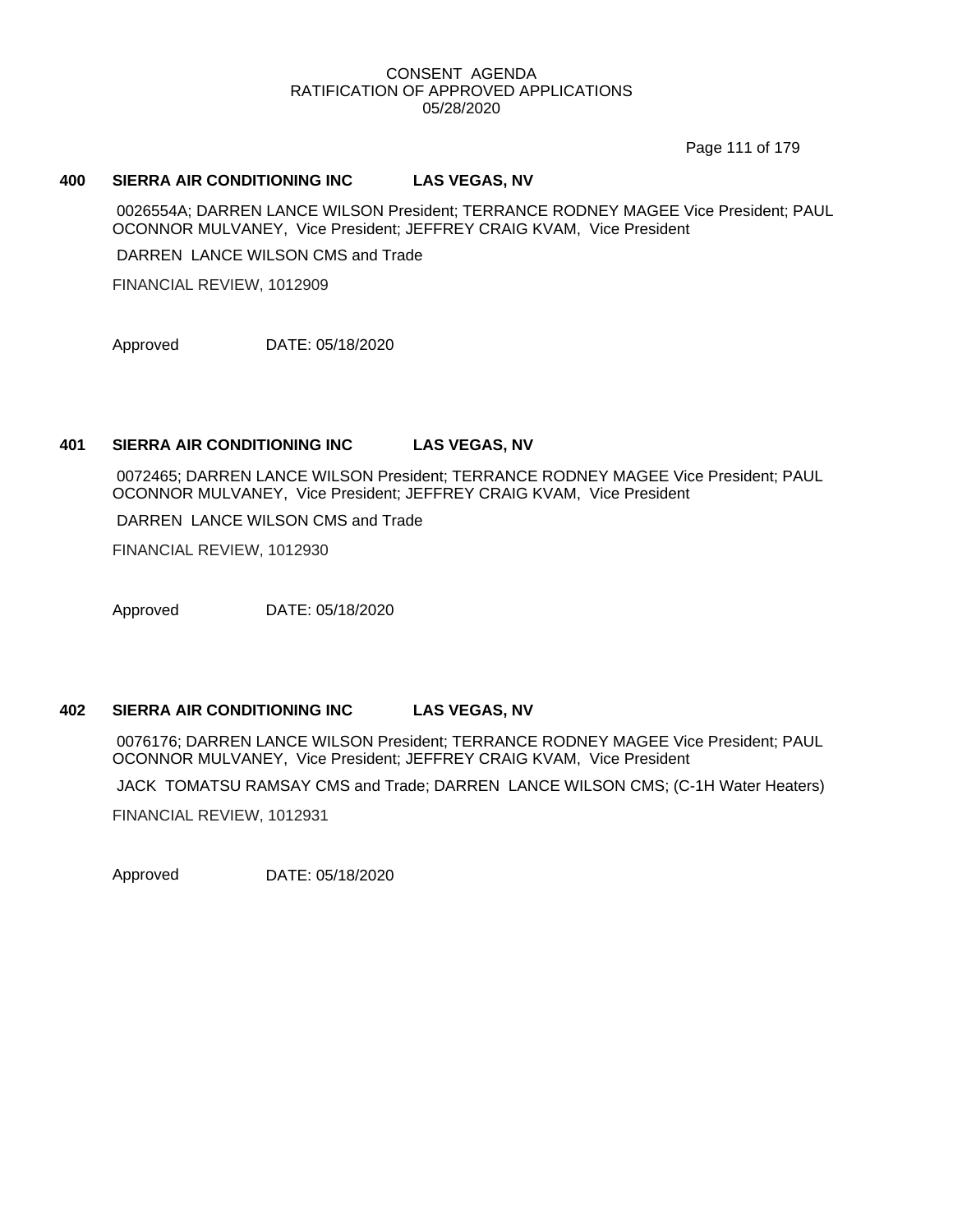Page 111 of 179

## **400 SIERRA AIR CONDITIONING INC LAS VEGAS, NV**

0026554A; DARREN LANCE WILSON President; TERRANCE RODNEY MAGEE Vice President; PAUL OCONNOR MULVANEY, Vice President; JEFFREY CRAIG KVAM, Vice President

DARREN LANCE WILSON CMS and Trade

FINANCIAL REVIEW, 1012909

Approved DATE: 05/18/2020

## **401 SIERRA AIR CONDITIONING INC LAS VEGAS, NV**

0072465; DARREN LANCE WILSON President; TERRANCE RODNEY MAGEE Vice President; PAUL OCONNOR MULVANEY, Vice President; JEFFREY CRAIG KVAM, Vice President

DARREN LANCE WILSON CMS and Trade

FINANCIAL REVIEW, 1012930

Approved DATE: 05/18/2020

## **402 SIERRA AIR CONDITIONING INC LAS VEGAS, NV**

0076176; DARREN LANCE WILSON President; TERRANCE RODNEY MAGEE Vice President; PAUL OCONNOR MULVANEY, Vice President; JEFFREY CRAIG KVAM, Vice President

JACK TOMATSU RAMSAY CMS and Trade; DARREN LANCE WILSON CMS; (C-1H Water Heaters)

FINANCIAL REVIEW, 1012931

Approved DATE: 05/18/2020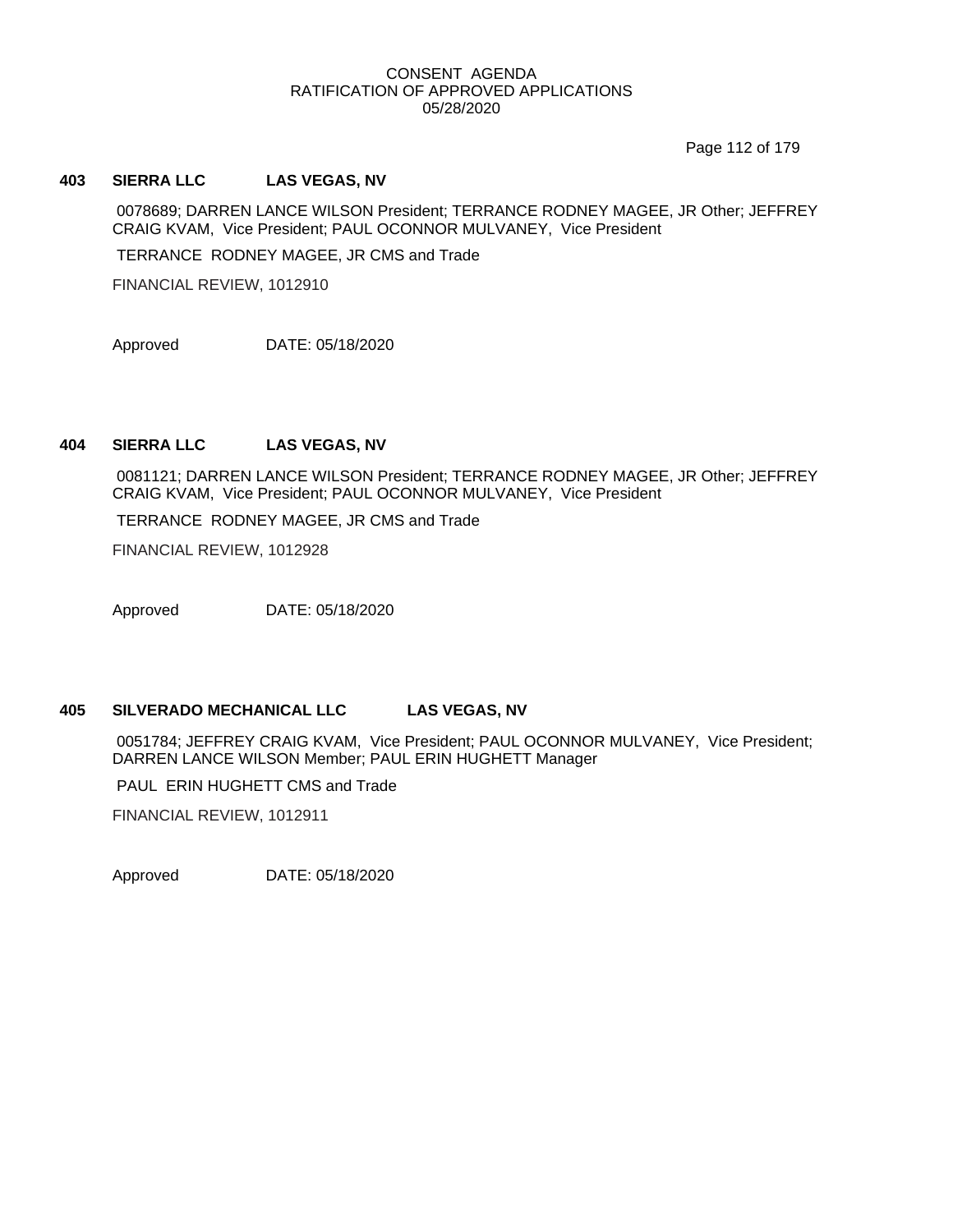Page 112 of 179

## **403 SIERRA LLC LAS VEGAS, NV**

0078689; DARREN LANCE WILSON President; TERRANCE RODNEY MAGEE, JR Other; JEFFREY CRAIG KVAM, Vice President; PAUL OCONNOR MULVANEY, Vice President

TERRANCE RODNEY MAGEE, JR CMS and Trade

FINANCIAL REVIEW, 1012910

Approved DATE: 05/18/2020

## **404 SIERRA LLC LAS VEGAS, NV**

0081121; DARREN LANCE WILSON President; TERRANCE RODNEY MAGEE, JR Other; JEFFREY CRAIG KVAM, Vice President; PAUL OCONNOR MULVANEY, Vice President

TERRANCE RODNEY MAGEE, JR CMS and Trade

FINANCIAL REVIEW, 1012928

Approved DATE: 05/18/2020

## **405 SILVERADO MECHANICAL LLC LAS VEGAS, NV**

0051784; JEFFREY CRAIG KVAM, Vice President; PAUL OCONNOR MULVANEY, Vice President; DARREN LANCE WILSON Member; PAUL ERIN HUGHETT Manager

PAUL ERIN HUGHETT CMS and Trade

FINANCIAL REVIEW, 1012911

Approved DATE: 05/18/2020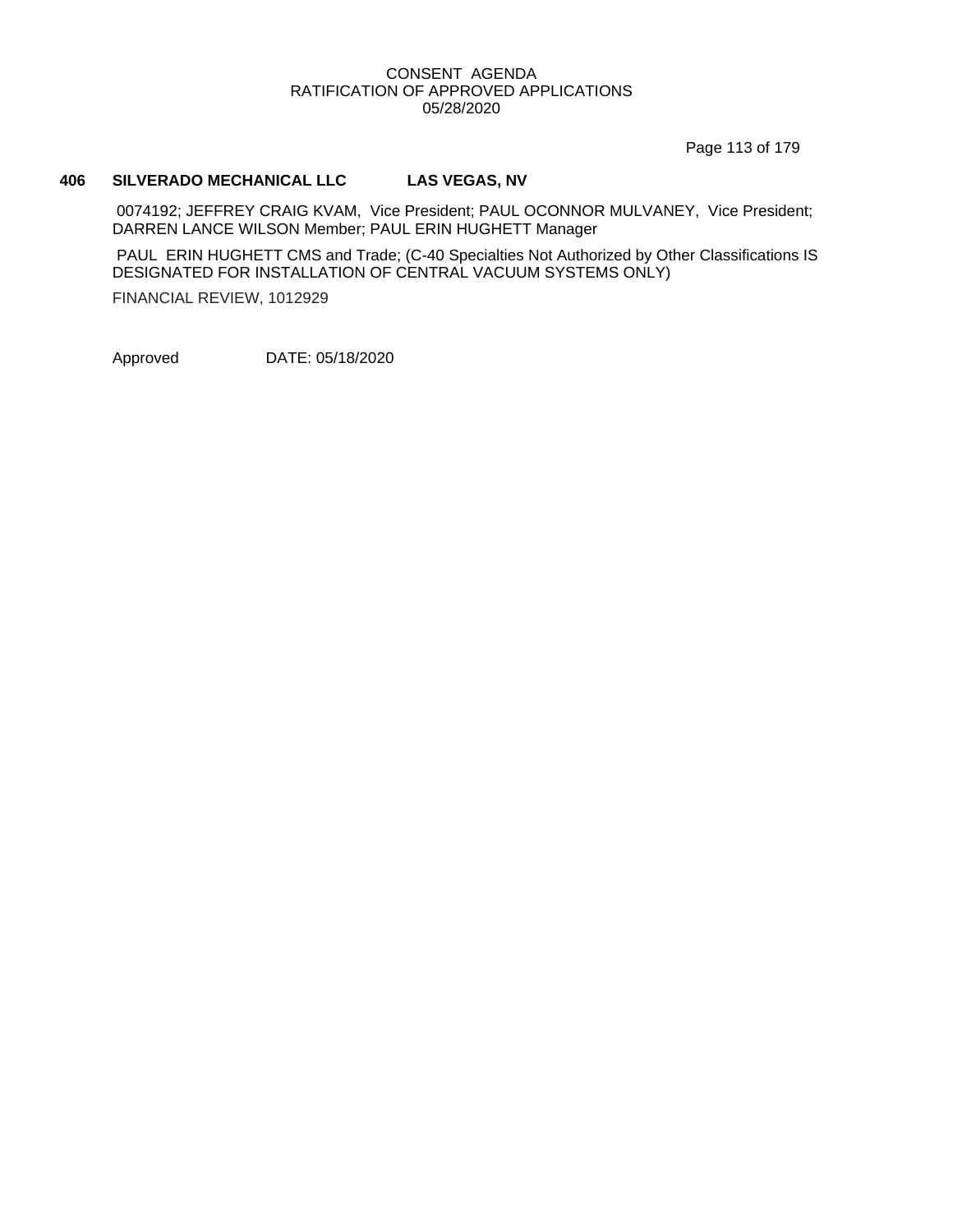Page 113 of 179

## **406 SILVERADO MECHANICAL LLC LAS VEGAS, NV**

0074192; JEFFREY CRAIG KVAM, Vice President; PAUL OCONNOR MULVANEY, Vice President; DARREN LANCE WILSON Member; PAUL ERIN HUGHETT Manager

PAUL ERIN HUGHETT CMS and Trade; (C-40 Specialties Not Authorized by Other Classifications IS DESIGNATED FOR INSTALLATION OF CENTRAL VACUUM SYSTEMS ONLY)

FINANCIAL REVIEW, 1012929

Approved DATE: 05/18/2020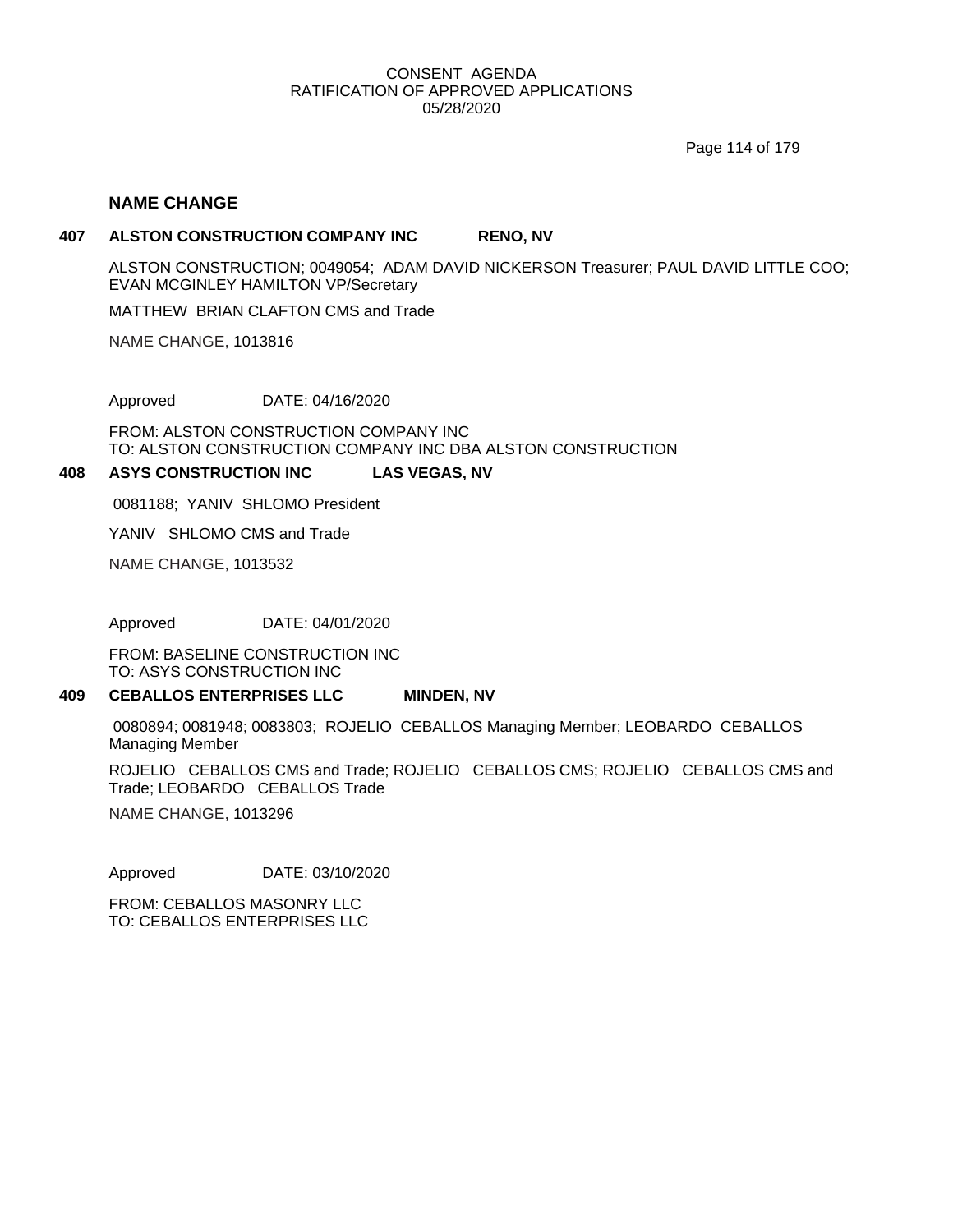Page 114 of 179

## **NAME CHANGE**

#### **407 ALSTON CONSTRUCTION COMPANY INC RENO, NV**

ALSTON CONSTRUCTION; 0049054; ADAM DAVID NICKERSON Treasurer; PAUL DAVID LITTLE COO; EVAN MCGINLEY HAMILTON VP/Secretary

MATTHEW BRIAN CLAFTON CMS and Trade

NAME CHANGE, 1013816

Approved DATE: 04/16/2020

FROM: ALSTON CONSTRUCTION COMPANY INC TO: ALSTON CONSTRUCTION COMPANY INC DBA ALSTON CONSTRUCTION

#### **408 ASYS CONSTRUCTION INC LAS VEGAS, NV**

0081188; YANIV SHLOMO President

YANIV SHLOMO CMS and Trade

NAME CHANGE, 1013532

Approved DATE: 04/01/2020

FROM: BASELINE CONSTRUCTION INC TO: ASYS CONSTRUCTION INC

#### **409 CEBALLOS ENTERPRISES LLC MINDEN, NV**

0080894; 0081948; 0083803; ROJELIO CEBALLOS Managing Member; LEOBARDO CEBALLOS Managing Member

ROJELIO CEBALLOS CMS and Trade; ROJELIO CEBALLOS CMS; ROJELIO CEBALLOS CMS and Trade; LEOBARDO CEBALLOS Trade

NAME CHANGE, 1013296

Approved DATE: 03/10/2020

FROM: CEBALLOS MASONRY LLC TO: CEBALLOS ENTERPRISES LLC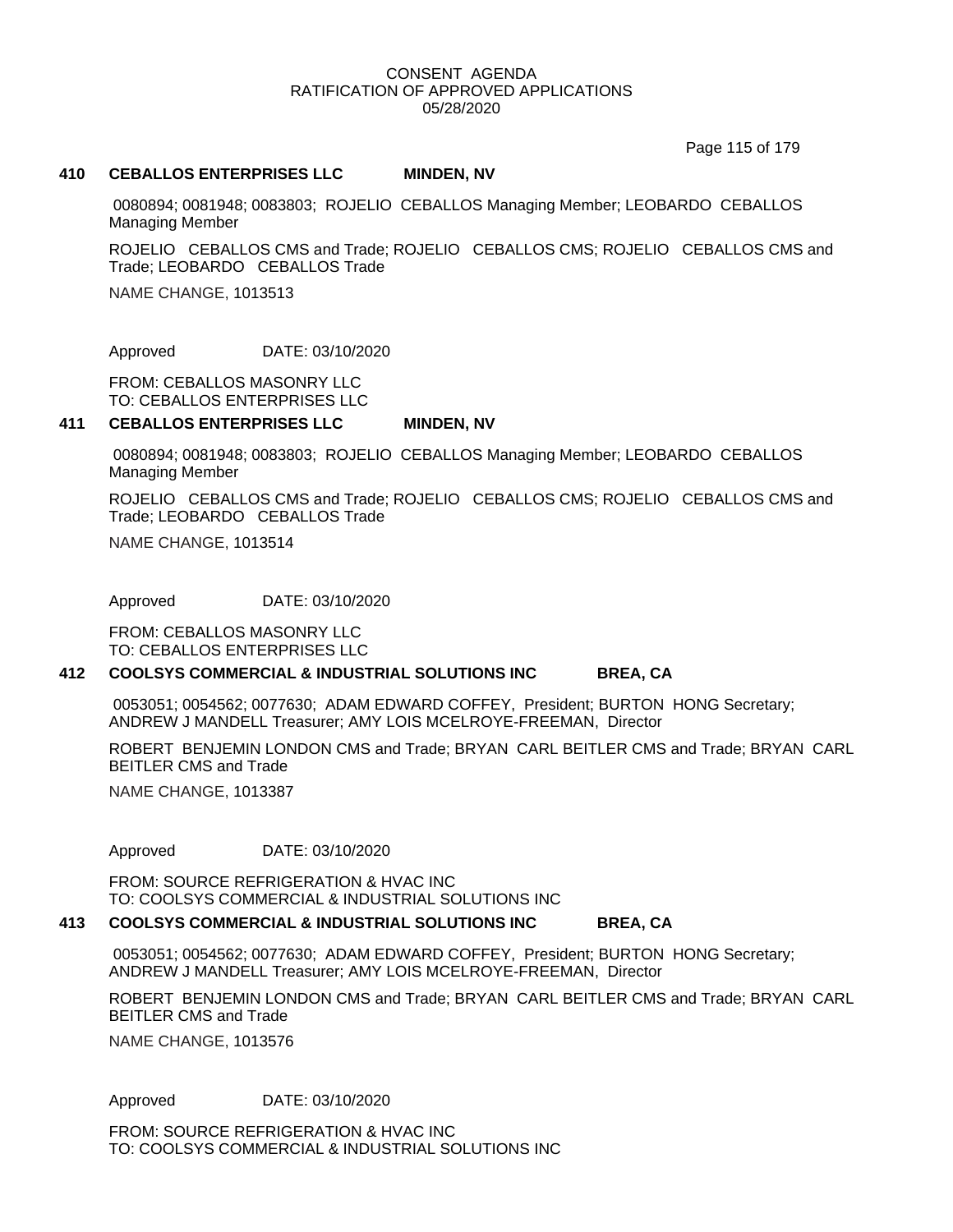Page 115 of 179

#### **410 CEBALLOS ENTERPRISES LLC MINDEN, NV**

0080894; 0081948; 0083803; ROJELIO CEBALLOS Managing Member; LEOBARDO CEBALLOS Managing Member

ROJELIO CEBALLOS CMS and Trade; ROJELIO CEBALLOS CMS; ROJELIO CEBALLOS CMS and Trade; LEOBARDO CEBALLOS Trade

NAME CHANGE, 1013513

Approved DATE: 03/10/2020

FROM: CEBALLOS MASONRY LLC TO: CEBALLOS ENTERPRISES LLC

#### **411 CEBALLOS ENTERPRISES LLC MINDEN, NV**

0080894; 0081948; 0083803; ROJELIO CEBALLOS Managing Member; LEOBARDO CEBALLOS Managing Member

ROJELIO CEBALLOS CMS and Trade; ROJELIO CEBALLOS CMS; ROJELIO CEBALLOS CMS and Trade; LEOBARDO CEBALLOS Trade

NAME CHANGE, 1013514

Approved DATE: 03/10/2020

FROM: CEBALLOS MASONRY LLC TO: CEBALLOS ENTERPRISES LLC

#### **412 COOLSYS COMMERCIAL & INDUSTRIAL SOLUTIONS INC BREA, CA**

0053051; 0054562; 0077630; ADAM EDWARD COFFEY, President; BURTON HONG Secretary; ANDREW J MANDELL Treasurer; AMY LOIS MCELROYE-FREEMAN, Director

ROBERT BENJEMIN LONDON CMS and Trade; BRYAN CARL BEITLER CMS and Trade; BRYAN CARL BEITLER CMS and Trade

NAME CHANGE, 1013387

Approved DATE: 03/10/2020

FROM: SOURCE REFRIGERATION & HVAC INC TO: COOLSYS COMMERCIAL & INDUSTRIAL SOLUTIONS INC

#### **413 COOLSYS COMMERCIAL & INDUSTRIAL SOLUTIONS INC BREA, CA**

0053051; 0054562; 0077630; ADAM EDWARD COFFEY, President; BURTON HONG Secretary; ANDREW J MANDELL Treasurer; AMY LOIS MCELROYE-FREEMAN, Director

ROBERT BENJEMIN LONDON CMS and Trade; BRYAN CARL BEITLER CMS and Trade; BRYAN CARL BEITLER CMS and Trade

NAME CHANGE, 1013576

Approved DATE: 03/10/2020

FROM: SOURCE REFRIGERATION & HVAC INC TO: COOLSYS COMMERCIAL & INDUSTRIAL SOLUTIONS INC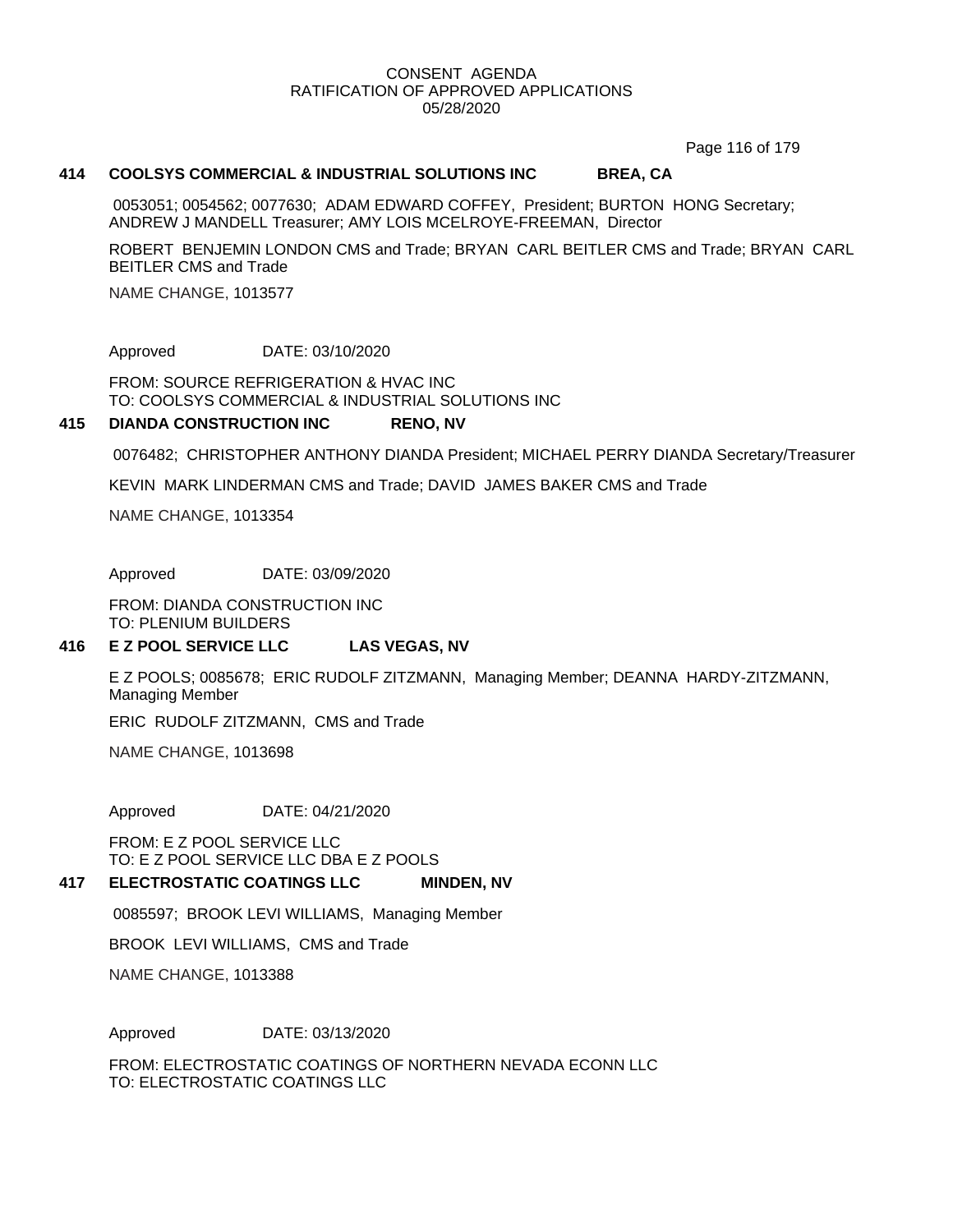Page 116 of 179

#### **414 COOLSYS COMMERCIAL & INDUSTRIAL SOLUTIONS INC BREA, CA**

0053051; 0054562; 0077630; ADAM EDWARD COFFEY, President; BURTON HONG Secretary; ANDREW J MANDELL Treasurer; AMY LOIS MCELROYE-FREEMAN, Director

ROBERT BENJEMIN LONDON CMS and Trade; BRYAN CARL BEITLER CMS and Trade; BRYAN CARL BEITLER CMS and Trade

NAME CHANGE, 1013577

Approved DATE: 03/10/2020

FROM: SOURCE REFRIGERATION & HVAC INC TO: COOLSYS COMMERCIAL & INDUSTRIAL SOLUTIONS INC

#### **415 DIANDA CONSTRUCTION INC RENO, NV**

0076482; CHRISTOPHER ANTHONY DIANDA President; MICHAEL PERRY DIANDA Secretary/Treasurer

KEVIN MARK LINDERMAN CMS and Trade; DAVID JAMES BAKER CMS and Trade

NAME CHANGE, 1013354

Approved DATE: 03/09/2020

FROM: DIANDA CONSTRUCTION INC TO: PLENIUM BUILDERS

#### **416 E Z POOL SERVICE LLC LAS VEGAS, NV**

E Z POOLS; 0085678; ERIC RUDOLF ZITZMANN, Managing Member; DEANNA HARDY-ZITZMANN, Managing Member

ERIC RUDOLF ZITZMANN, CMS and Trade

NAME CHANGE, 1013698

Approved DATE: 04/21/2020

FROM: E Z POOL SERVICE LLC TO: E Z POOL SERVICE LLC DBA E Z POOLS

#### **417 ELECTROSTATIC COATINGS LLC MINDEN, NV**

0085597; BROOK LEVI WILLIAMS, Managing Member

BROOK LEVI WILLIAMS, CMS and Trade

NAME CHANGE, 1013388

Approved DATE: 03/13/2020

FROM: ELECTROSTATIC COATINGS OF NORTHERN NEVADA ECONN LLC TO: ELECTROSTATIC COATINGS LLC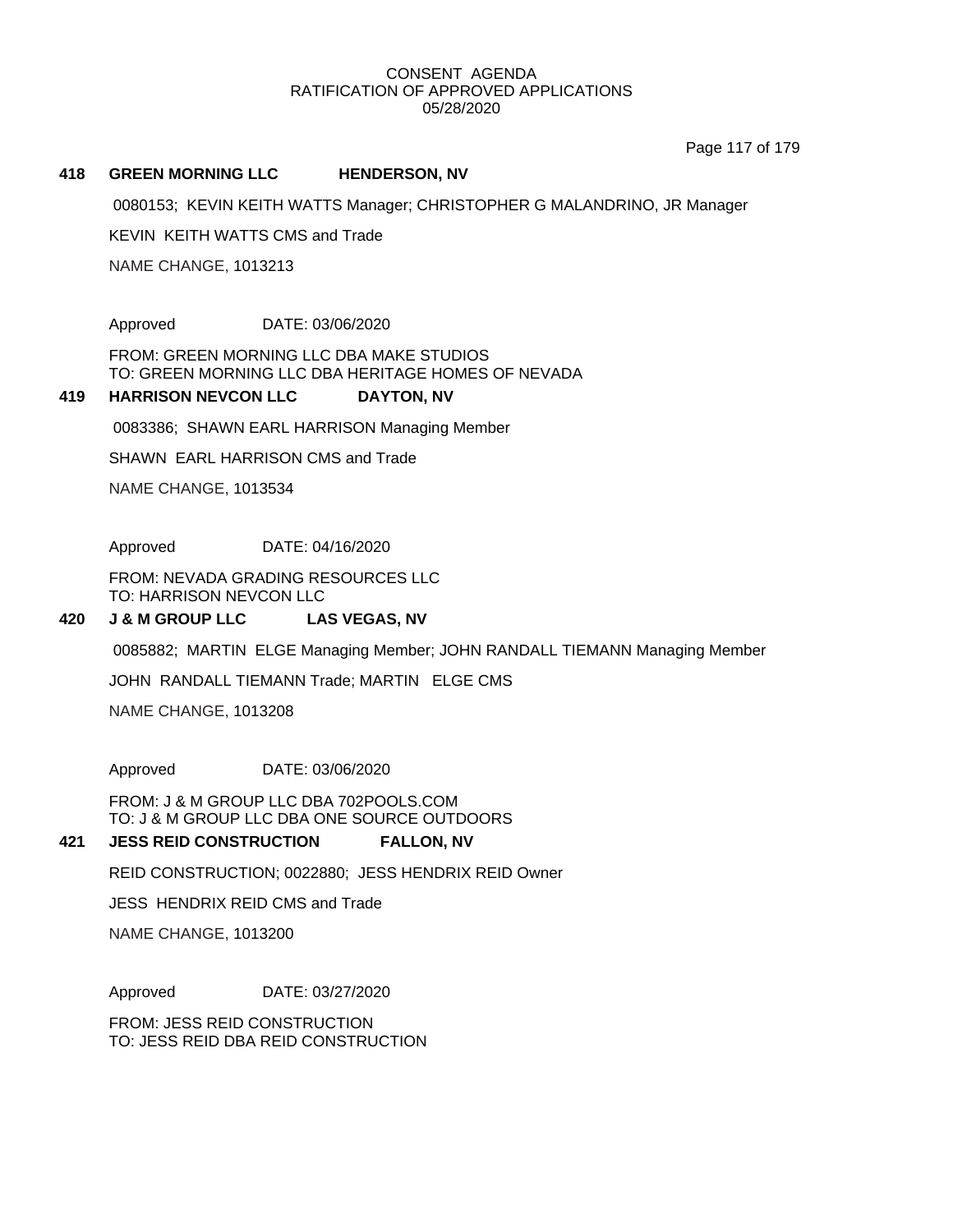Page 117 of 179

#### **418 GREEN MORNING LLC HENDERSON, NV**

0080153; KEVIN KEITH WATTS Manager; CHRISTOPHER G MALANDRINO, JR Manager

KEVIN KEITH WATTS CMS and Trade

NAME CHANGE, 1013213

Approved DATE: 03/06/2020

FROM: GREEN MORNING LLC DBA MAKE STUDIOS TO: GREEN MORNING LLC DBA HERITAGE HOMES OF NEVADA

#### **419 HARRISON NEVCON LLC DAYTON, NV**

0083386; SHAWN EARL HARRISON Managing Member

SHAWN EARL HARRISON CMS and Trade

NAME CHANGE, 1013534

Approved DATE: 04/16/2020

FROM: NEVADA GRADING RESOURCES LLC TO: HARRISON NEVCON LLC

#### **420 J & M GROUP LLC LAS VEGAS, NV**

0085882; MARTIN ELGE Managing Member; JOHN RANDALL TIEMANN Managing Member

JOHN RANDALL TIEMANN Trade; MARTIN ELGE CMS

NAME CHANGE, 1013208

Approved DATE: 03/06/2020

FROM: J & M GROUP LLC DBA 702POOLS.COM TO: J & M GROUP LLC DBA ONE SOURCE OUTDOORS

#### **421 JESS REID CONSTRUCTION FALLON, NV**

REID CONSTRUCTION; 0022880; JESS HENDRIX REID Owner

JESS HENDRIX REID CMS and Trade

NAME CHANGE, 1013200

Approved DATE: 03/27/2020

FROM: JESS REID CONSTRUCTION TO: JESS REID DBA REID CONSTRUCTION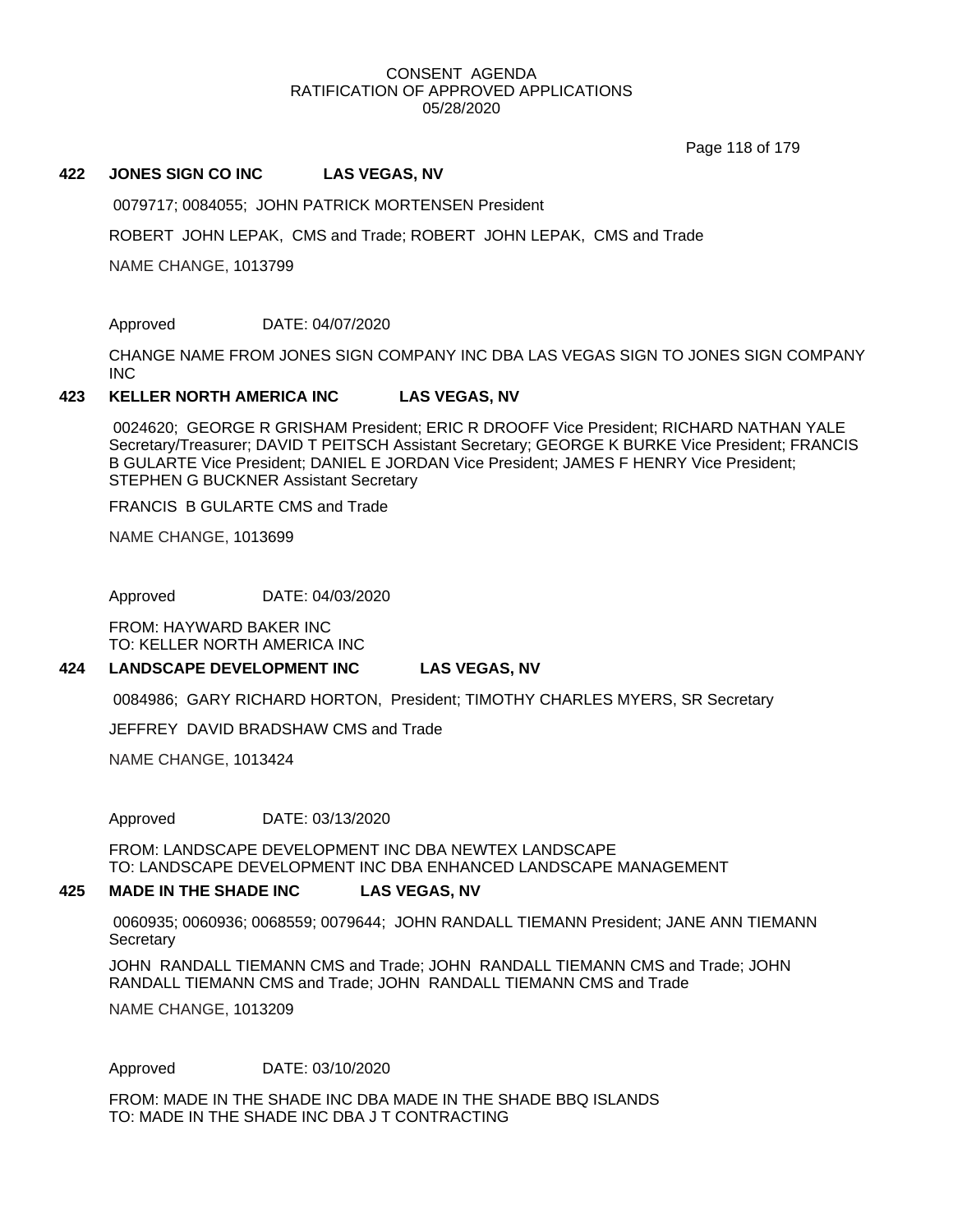Page 118 of 179

#### **422 JONES SIGN CO INC LAS VEGAS, NV**

0079717; 0084055; JOHN PATRICK MORTENSEN President

ROBERT JOHN LEPAK, CMS and Trade; ROBERT JOHN LEPAK, CMS and Trade

NAME CHANGE, 1013799

### Approved DATE: 04/07/2020

CHANGE NAME FROM JONES SIGN COMPANY INC DBA LAS VEGAS SIGN TO JONES SIGN COMPANY INC

#### **423 KELLER NORTH AMERICA INC LAS VEGAS, NV**

0024620; GEORGE R GRISHAM President; ERIC R DROOFF Vice President; RICHARD NATHAN YALE Secretary/Treasurer; DAVID T PEITSCH Assistant Secretary; GEORGE K BURKE Vice President; FRANCIS B GULARTE Vice President; DANIEL E JORDAN Vice President; JAMES F HENRY Vice President; STEPHEN G BUCKNER Assistant Secretary

FRANCIS B GULARTE CMS and Trade

NAME CHANGE, 1013699

Approved DATE: 04/03/2020

FROM: HAYWARD BAKER INC TO: KELLER NORTH AMERICA INC

#### **424 LANDSCAPE DEVELOPMENT INC LAS VEGAS, NV**

0084986; GARY RICHARD HORTON, President; TIMOTHY CHARLES MYERS, SR Secretary

JEFFREY DAVID BRADSHAW CMS and Trade

NAME CHANGE, 1013424

Approved DATE: 03/13/2020

FROM: LANDSCAPE DEVELOPMENT INC DBA NEWTEX LANDSCAPE TO: LANDSCAPE DEVELOPMENT INC DBA ENHANCED LANDSCAPE MANAGEMENT

#### **425 MADE IN THE SHADE INC LAS VEGAS, NV**

0060935; 0060936; 0068559; 0079644; JOHN RANDALL TIEMANN President; JANE ANN TIEMANN **Secretary** 

JOHN RANDALL TIEMANN CMS and Trade; JOHN RANDALL TIEMANN CMS and Trade; JOHN RANDALL TIEMANN CMS and Trade; JOHN RANDALL TIEMANN CMS and Trade

NAME CHANGE, 1013209

Approved DATE: 03/10/2020

FROM: MADE IN THE SHADE INC DBA MADE IN THE SHADE BBQ ISLANDS TO: MADE IN THE SHADE INC DBA J T CONTRACTING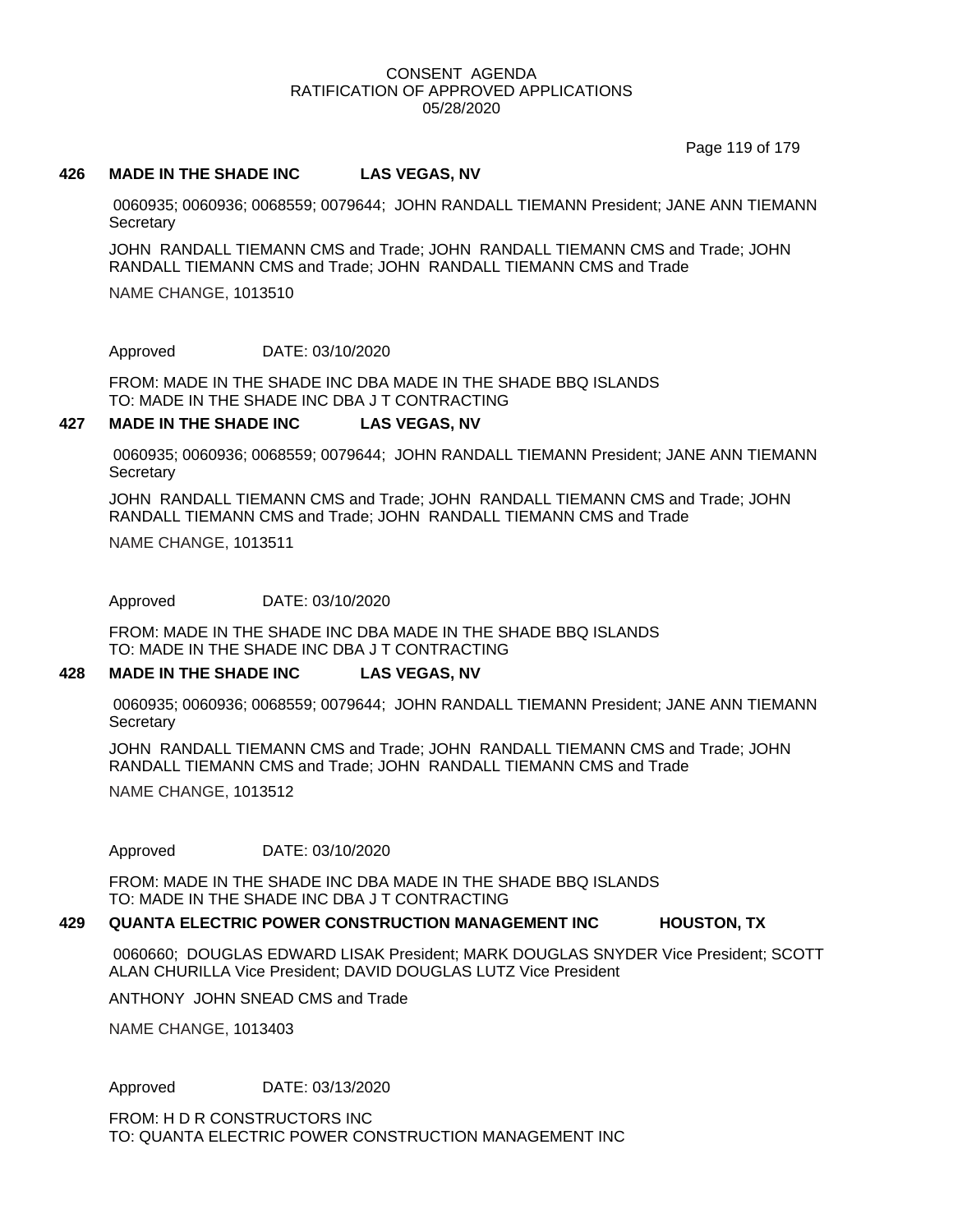Page 119 of 179

#### **426 MADE IN THE SHADE INC LAS VEGAS, NV**

0060935; 0060936; 0068559; 0079644; JOHN RANDALL TIEMANN President; JANE ANN TIEMANN **Secretary** 

JOHN RANDALL TIEMANN CMS and Trade; JOHN RANDALL TIEMANN CMS and Trade; JOHN RANDALL TIEMANN CMS and Trade; JOHN RANDALL TIEMANN CMS and Trade

NAME CHANGE, 1013510

Approved DATE: 03/10/2020

FROM: MADE IN THE SHADE INC DBA MADE IN THE SHADE BBQ ISLANDS TO: MADE IN THE SHADE INC DBA J T CONTRACTING

#### **427 MADE IN THE SHADE INC LAS VEGAS, NV**

0060935; 0060936; 0068559; 0079644; JOHN RANDALL TIEMANN President; JANE ANN TIEMANN **Secretary** 

JOHN RANDALL TIEMANN CMS and Trade; JOHN RANDALL TIEMANN CMS and Trade; JOHN RANDALL TIEMANN CMS and Trade; JOHN RANDALL TIEMANN CMS and Trade

NAME CHANGE, 1013511

Approved DATE: 03/10/2020

FROM: MADE IN THE SHADE INC DBA MADE IN THE SHADE BBQ ISLANDS TO: MADE IN THE SHADE INC DBA J T CONTRACTING

#### **428 MADE IN THE SHADE INC LAS VEGAS, NV**

0060935; 0060936; 0068559; 0079644; JOHN RANDALL TIEMANN President; JANE ANN TIEMANN **Secretary** 

JOHN RANDALL TIEMANN CMS and Trade; JOHN RANDALL TIEMANN CMS and Trade; JOHN RANDALL TIEMANN CMS and Trade; JOHN RANDALL TIEMANN CMS and Trade

NAME CHANGE, 1013512

Approved DATE: 03/10/2020

FROM: MADE IN THE SHADE INC DBA MADE IN THE SHADE BBQ ISLANDS TO: MADE IN THE SHADE INC DBA J T CONTRACTING

#### **429 QUANTA ELECTRIC POWER CONSTRUCTION MANAGEMENT INC HOUSTON, TX**

0060660; DOUGLAS EDWARD LISAK President; MARK DOUGLAS SNYDER Vice President; SCOTT ALAN CHURILLA Vice President; DAVID DOUGLAS LUTZ Vice President

ANTHONY JOHN SNEAD CMS and Trade

NAME CHANGE, 1013403

### Approved DATE: 03/13/2020

FROM: H D R CONSTRUCTORS INC TO: QUANTA ELECTRIC POWER CONSTRUCTION MANAGEMENT INC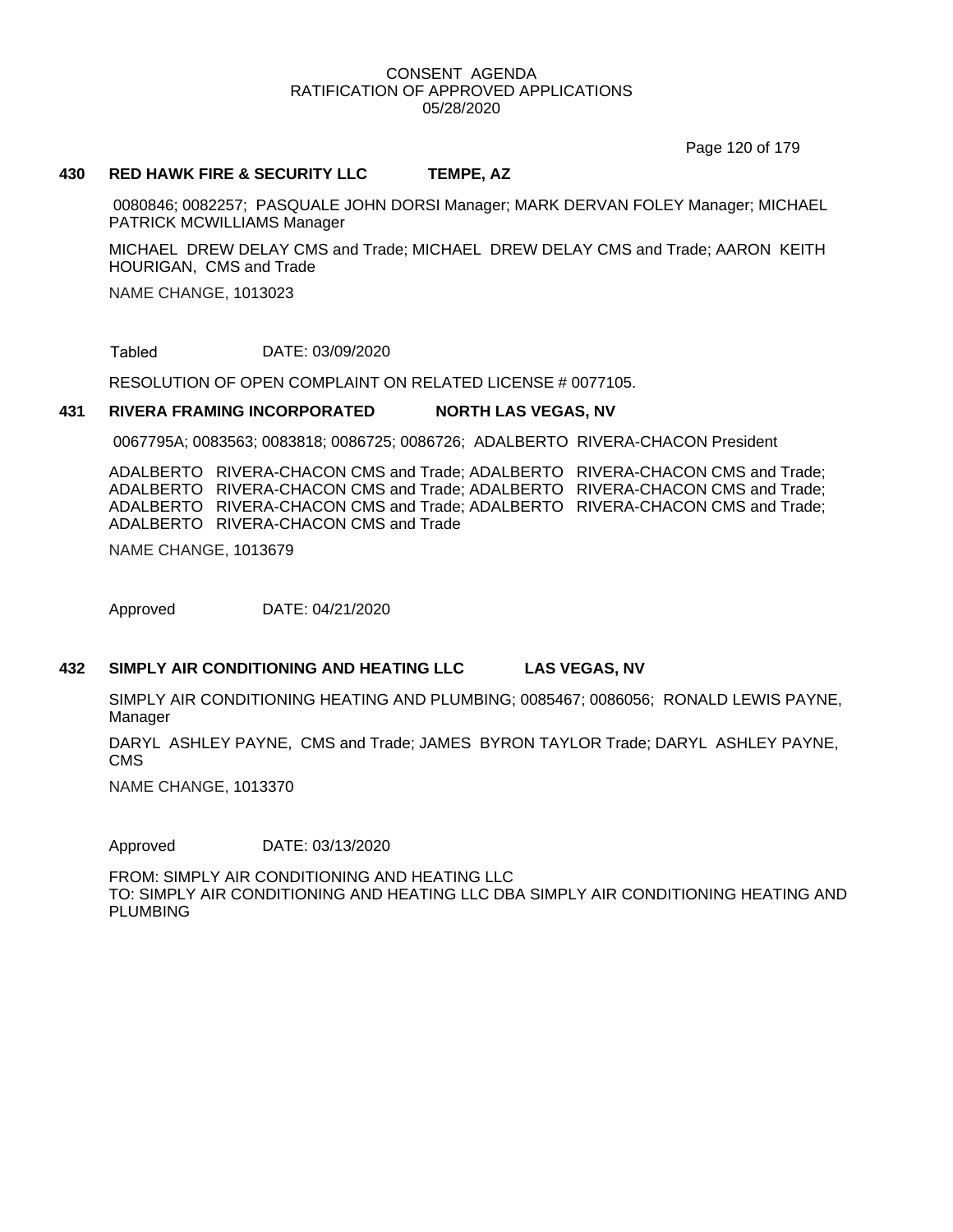Page 120 of 179

#### **430 RED HAWK FIRE & SECURITY LLC TEMPE, AZ**

 0080846; 0082257; PASQUALE JOHN DORSI Manager; MARK DERVAN FOLEY Manager; MICHAEL PATRICK MCWILLIAMS Manager

MICHAEL DREW DELAY CMS and Trade; MICHAEL DREW DELAY CMS and Trade; AARON KEITH HOURIGAN, CMS and Trade

NAME CHANGE, 1013023

DATE: 03/09/2020 Tabled

RESOLUTION OF OPEN COMPLAINT ON RELATED LICENSE # 0077105.

#### **431 RIVERA FRAMING INCORPORATED NORTH LAS VEGAS, NV**

0067795A; 0083563; 0083818; 0086725; 0086726; ADALBERTO RIVERA-CHACON President

ADALBERTO RIVERA-CHACON CMS and Trade; ADALBERTO RIVERA-CHACON CMS and Trade; ADALBERTO RIVERA-CHACON CMS and Trade; ADALBERTO RIVERA-CHACON CMS and Trade; ADALBERTO RIVERA-CHACON CMS and Trade; ADALBERTO RIVERA-CHACON CMS and Trade; ADALBERTO RIVERA-CHACON CMS and Trade

NAME CHANGE, 1013679

Approved DATE: 04/21/2020

#### **432 SIMPLY AIR CONDITIONING AND HEATING LLC LAS VEGAS, NV**

SIMPLY AIR CONDITIONING HEATING AND PLUMBING; 0085467; 0086056; RONALD LEWIS PAYNE, Manager

DARYL ASHLEY PAYNE, CMS and Trade; JAMES BYRON TAYLOR Trade; DARYL ASHLEY PAYNE, CMS

NAME CHANGE, 1013370

Approved DATE: 03/13/2020

FROM: SIMPLY AIR CONDITIONING AND HEATING LLC TO: SIMPLY AIR CONDITIONING AND HEATING LLC DBA SIMPLY AIR CONDITIONING HEATING AND PLUMBING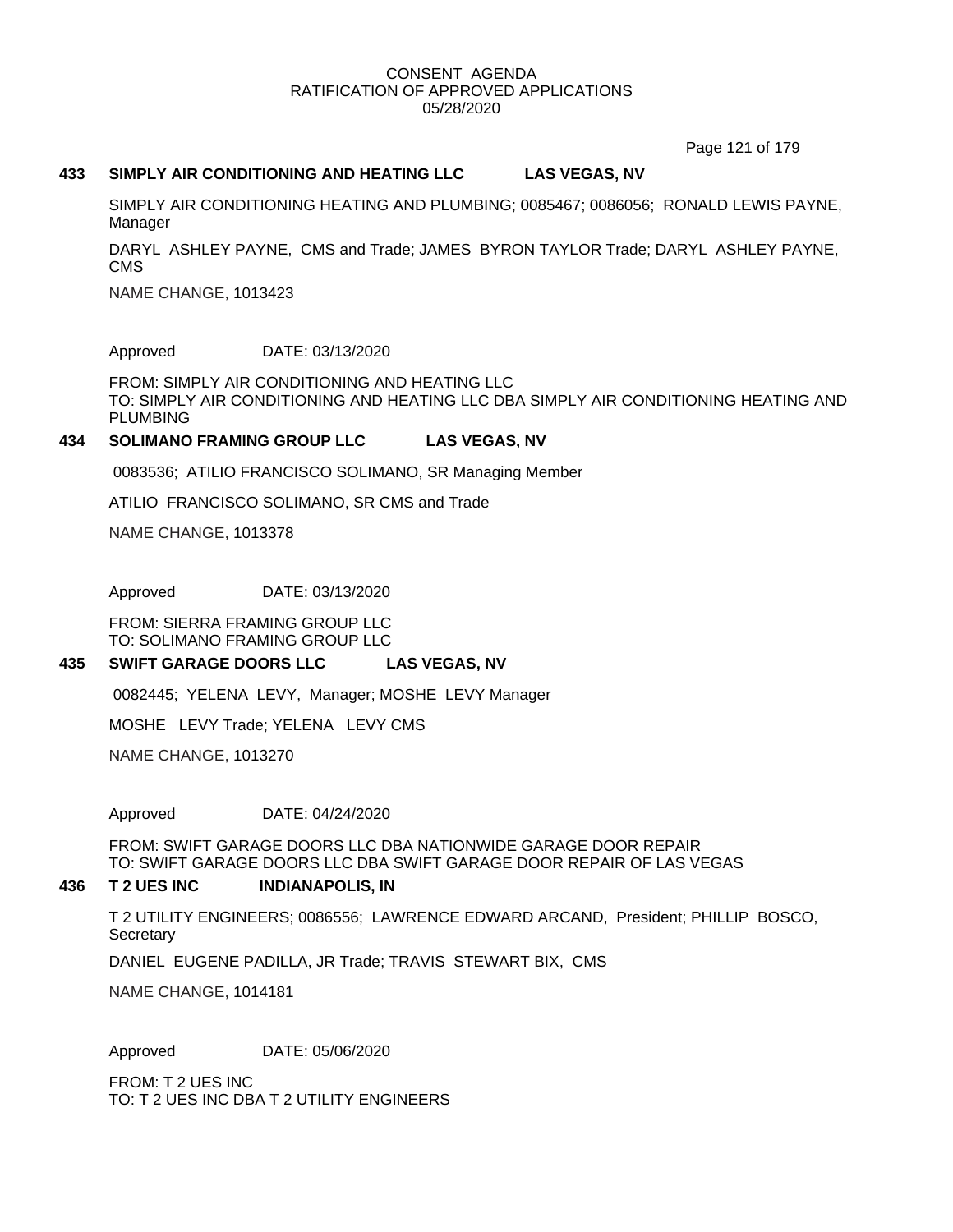Page 121 of 179

#### **433 SIMPLY AIR CONDITIONING AND HEATING LLC LAS VEGAS, NV**

SIMPLY AIR CONDITIONING HEATING AND PLUMBING; 0085467; 0086056; RONALD LEWIS PAYNE, Manager

DARYL ASHLEY PAYNE, CMS and Trade; JAMES BYRON TAYLOR Trade; DARYL ASHLEY PAYNE, CMS

NAME CHANGE, 1013423

Approved DATE: 03/13/2020

FROM: SIMPLY AIR CONDITIONING AND HEATING LLC TO: SIMPLY AIR CONDITIONING AND HEATING LLC DBA SIMPLY AIR CONDITIONING HEATING AND PLUMBING

#### **434 SOLIMANO FRAMING GROUP LLC LAS VEGAS, NV**

0083536; ATILIO FRANCISCO SOLIMANO, SR Managing Member

ATILIO FRANCISCO SOLIMANO, SR CMS and Trade

NAME CHANGE, 1013378

Approved DATE: 03/13/2020

FROM: SIERRA FRAMING GROUP LLC TO: SOLIMANO FRAMING GROUP LLC

#### **435 SWIFT GARAGE DOORS LLC LAS VEGAS, NV**

0082445; YELENA LEVY, Manager; MOSHE LEVY Manager

MOSHE LEVY Trade; YELENA LEVY CMS

NAME CHANGE, 1013270

Approved DATE: 04/24/2020

FROM: SWIFT GARAGE DOORS LLC DBA NATIONWIDE GARAGE DOOR REPAIR TO: SWIFT GARAGE DOORS LLC DBA SWIFT GARAGE DOOR REPAIR OF LAS VEGAS

#### **436 T 2 UES INC INDIANAPOLIS, IN**

T 2 UTILITY ENGINEERS; 0086556; LAWRENCE EDWARD ARCAND, President; PHILLIP BOSCO, **Secretary** 

DANIEL EUGENE PADILLA, JR Trade; TRAVIS STEWART BIX, CMS

NAME CHANGE, 1014181

Approved DATE: 05/06/2020

FROM: T 2 UES INC TO: T 2 UES INC DBA T 2 UTILITY ENGINEERS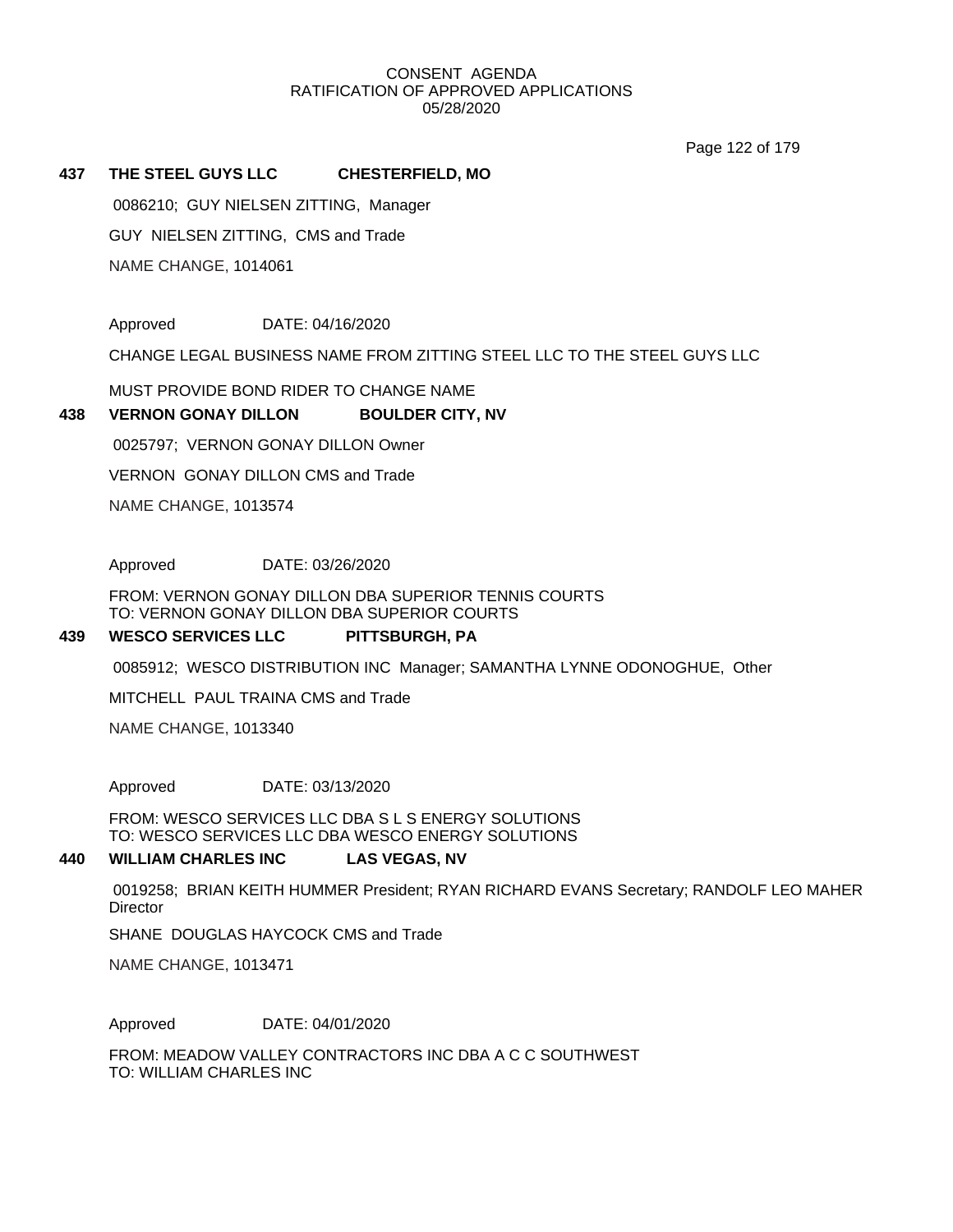Page 122 of 179

#### **437 THE STEEL GUYS LLC CHESTERFIELD, MO**

NAME CHANGE, 1014061 GUY NIELSEN ZITTING, CMS and Trade 0086210; GUY NIELSEN ZITTING, Manager

Approved DATE: 04/16/2020

CHANGE LEGAL BUSINESS NAME FROM ZITTING STEEL LLC TO THE STEEL GUYS LLC

MUST PROVIDE BOND RIDER TO CHANGE NAME

#### **438 VERNON GONAY DILLON BOULDER CITY, NV**

0025797; VERNON GONAY DILLON Owner

VERNON GONAY DILLON CMS and Trade

NAME CHANGE, 1013574

Approved DATE: 03/26/2020

FROM: VERNON GONAY DILLON DBA SUPERIOR TENNIS COURTS TO: VERNON GONAY DILLON DBA SUPERIOR COURTS

#### **439 WESCO SERVICES LLC PITTSBURGH, PA**

0085912; WESCO DISTRIBUTION INC Manager; SAMANTHA LYNNE ODONOGHUE, Other

MITCHELL PAUL TRAINA CMS and Trade

NAME CHANGE, 1013340

Approved DATE: 03/13/2020

FROM: WESCO SERVICES LLC DBA S L S ENERGY SOLUTIONS TO: WESCO SERVICES LLC DBA WESCO ENERGY SOLUTIONS

#### **440 WILLIAM CHARLES INC LAS VEGAS, NV**

0019258; BRIAN KEITH HUMMER President; RYAN RICHARD EVANS Secretary; RANDOLF LEO MAHER **Director** 

SHANE DOUGLAS HAYCOCK CMS and Trade

NAME CHANGE, 1013471

Approved DATE: 04/01/2020

FROM: MEADOW VALLEY CONTRACTORS INC DBA A C C SOUTHWEST TO: WILLIAM CHARLES INC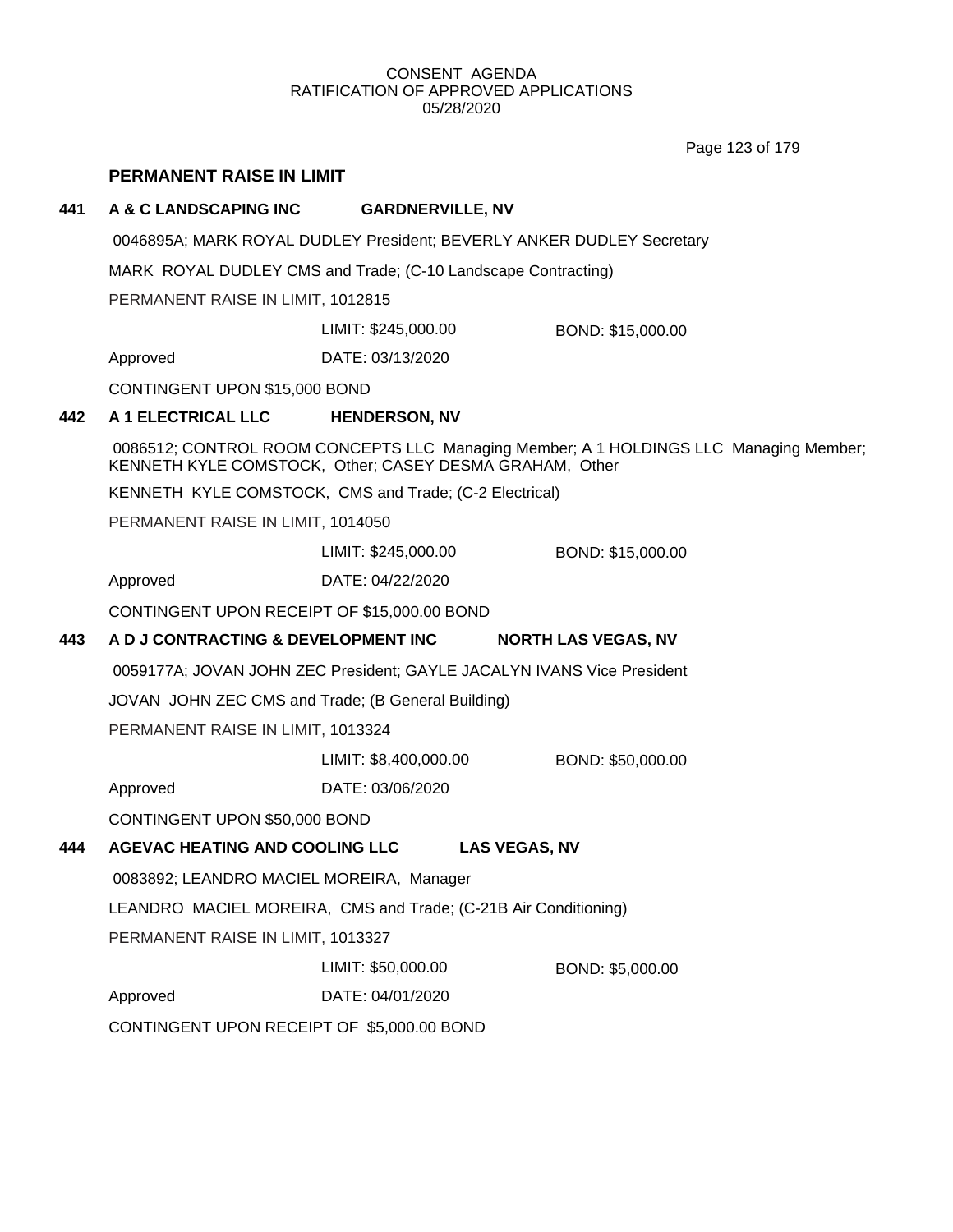Page 123 of 179

## **PERMANENT RAISE IN LIMIT**

## **441 A & C LANDSCAPING INC GARDNERVILLE, NV**

0046895A; MARK ROYAL DUDLEY President; BEVERLY ANKER DUDLEY Secretary

MARK ROYAL DUDLEY CMS and Trade; (C-10 Landscape Contracting)

PERMANENT RAISE IN LIMIT, 1012815

LIMIT: \$245,000.00 BOND: \$15,000.00

Approved DATE: 03/13/2020

CONTINGENT UPON \$15,000 BOND

## **442 A 1 ELECTRICAL LLC HENDERSON, NV**

0086512; CONTROL ROOM CONCEPTS LLC Managing Member; A 1 HOLDINGS LLC Managing Member; KENNETH KYLE COMSTOCK, Other; CASEY DESMA GRAHAM, Other

KENNETH KYLE COMSTOCK, CMS and Trade; (C-2 Electrical)

PERMANENT RAISE IN LIMIT, 1014050

LIMIT: \$245,000.00 BOND: \$15,000.00

Approved DATE: 04/22/2020

CONTINGENT UPON RECEIPT OF \$15,000.00 BOND

## **443 A D J CONTRACTING & DEVELOPMENT INC NORTH LAS VEGAS, NV**

0059177A; JOVAN JOHN ZEC President; GAYLE JACALYN IVANS Vice President

JOVAN JOHN ZEC CMS and Trade; (B General Building)

PERMANENT RAISE IN LIMIT, 1013324

LIMIT: \$8,400,000.00 BOND: \$50,000.00

Approved DATE: 03/06/2020

CONTINGENT UPON \$50,000 BOND

## **444 AGEVAC HEATING AND COOLING LLC LAS VEGAS, NV**

0083892; LEANDRO MACIEL MOREIRA, Manager

LEANDRO MACIEL MOREIRA, CMS and Trade; (C-21B Air Conditioning)

PERMANENT RAISE IN LIMIT, 1013327

LIMIT: \$50,000.00 BOND: \$5,000.00

Approved DATE: 04/01/2020

CONTINGENT UPON RECEIPT OF \$5,000.00 BOND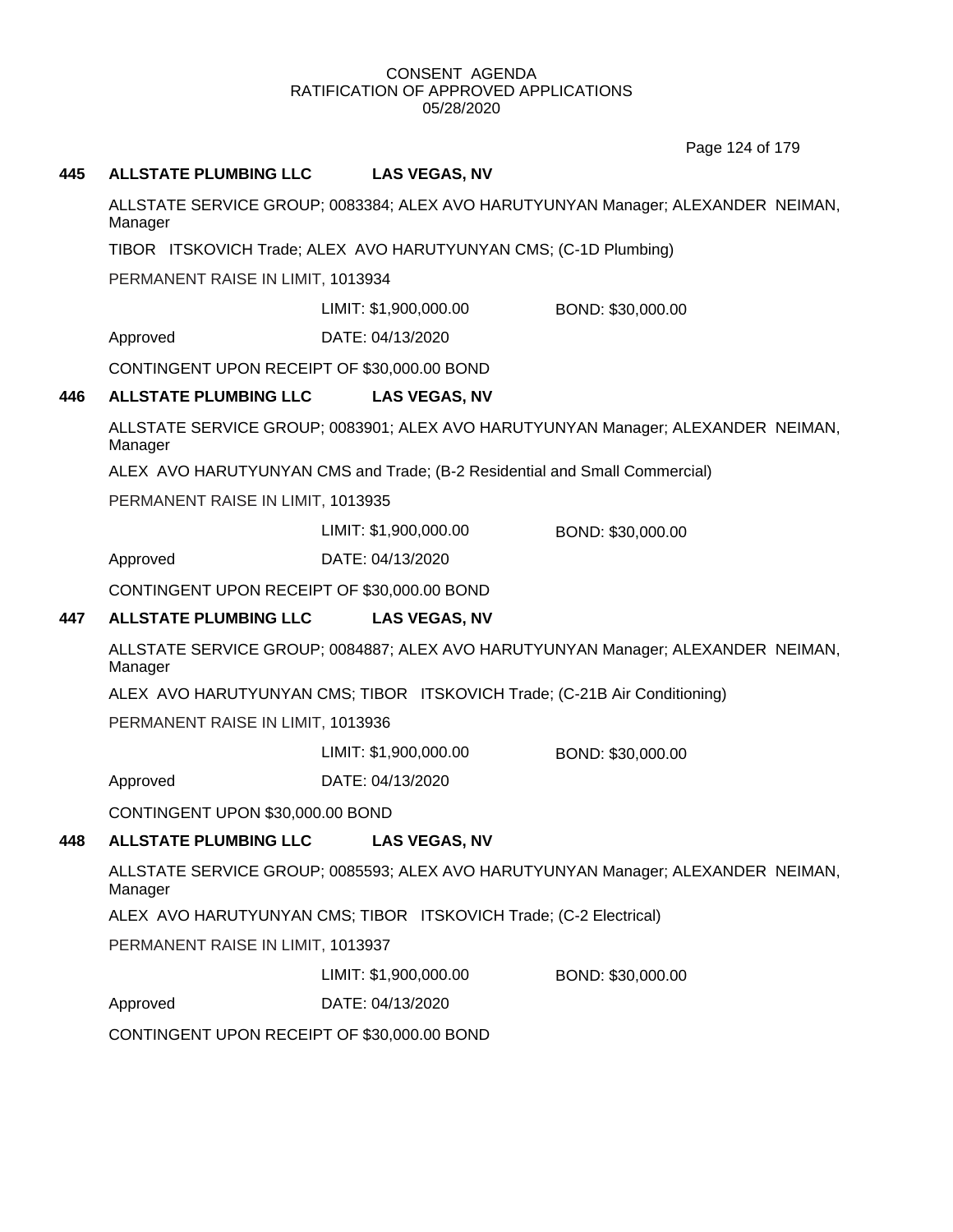Page 124 of 179

## **445 ALLSTATE PLUMBING LLC LAS VEGAS, NV**

ALLSTATE SERVICE GROUP; 0083384; ALEX AVO HARUTYUNYAN Manager; ALEXANDER NEIMAN, Manager

TIBOR ITSKOVICH Trade; ALEX AVO HARUTYUNYAN CMS; (C-1D Plumbing)

PERMANENT RAISE IN LIMIT, 1013934

LIMIT: \$1,900,000.00 BOND: \$30,000.00

Approved DATE: 04/13/2020

CONTINGENT UPON RECEIPT OF \$30,000.00 BOND

## **446 ALLSTATE PLUMBING LLC LAS VEGAS, NV**

ALLSTATE SERVICE GROUP; 0083901; ALEX AVO HARUTYUNYAN Manager; ALEXANDER NEIMAN, Manager

ALEX AVO HARUTYUNYAN CMS and Trade; (B-2 Residential and Small Commercial)

PERMANENT RAISE IN LIMIT, 1013935

LIMIT: \$1,900,000.00 BOND: \$30,000.00

Approved DATE: 04/13/2020

CONTINGENT UPON RECEIPT OF \$30,000.00 BOND

## **447 ALLSTATE PLUMBING LLC LAS VEGAS, NV**

ALLSTATE SERVICE GROUP; 0084887; ALEX AVO HARUTYUNYAN Manager; ALEXANDER NEIMAN, Manager

ALEX AVO HARUTYUNYAN CMS; TIBOR ITSKOVICH Trade; (C-21B Air Conditioning)

PERMANENT RAISE IN LIMIT, 1013936

LIMIT: \$1,900,000.00 BOND: \$30,000.00

Approved DATE: 04/13/2020

CONTINGENT UPON \$30,000.00 BOND

## **448 ALLSTATE PLUMBING LLC LAS VEGAS, NV**

ALLSTATE SERVICE GROUP; 0085593; ALEX AVO HARUTYUNYAN Manager; ALEXANDER NEIMAN, Manager

ALEX AVO HARUTYUNYAN CMS; TIBOR ITSKOVICH Trade; (C-2 Electrical)

PERMANENT RAISE IN LIMIT, 1013937

LIMIT: \$1,900,000.00 BOND: \$30,000.00

Approved DATE: 04/13/2020

CONTINGENT UPON RECEIPT OF \$30,000.00 BOND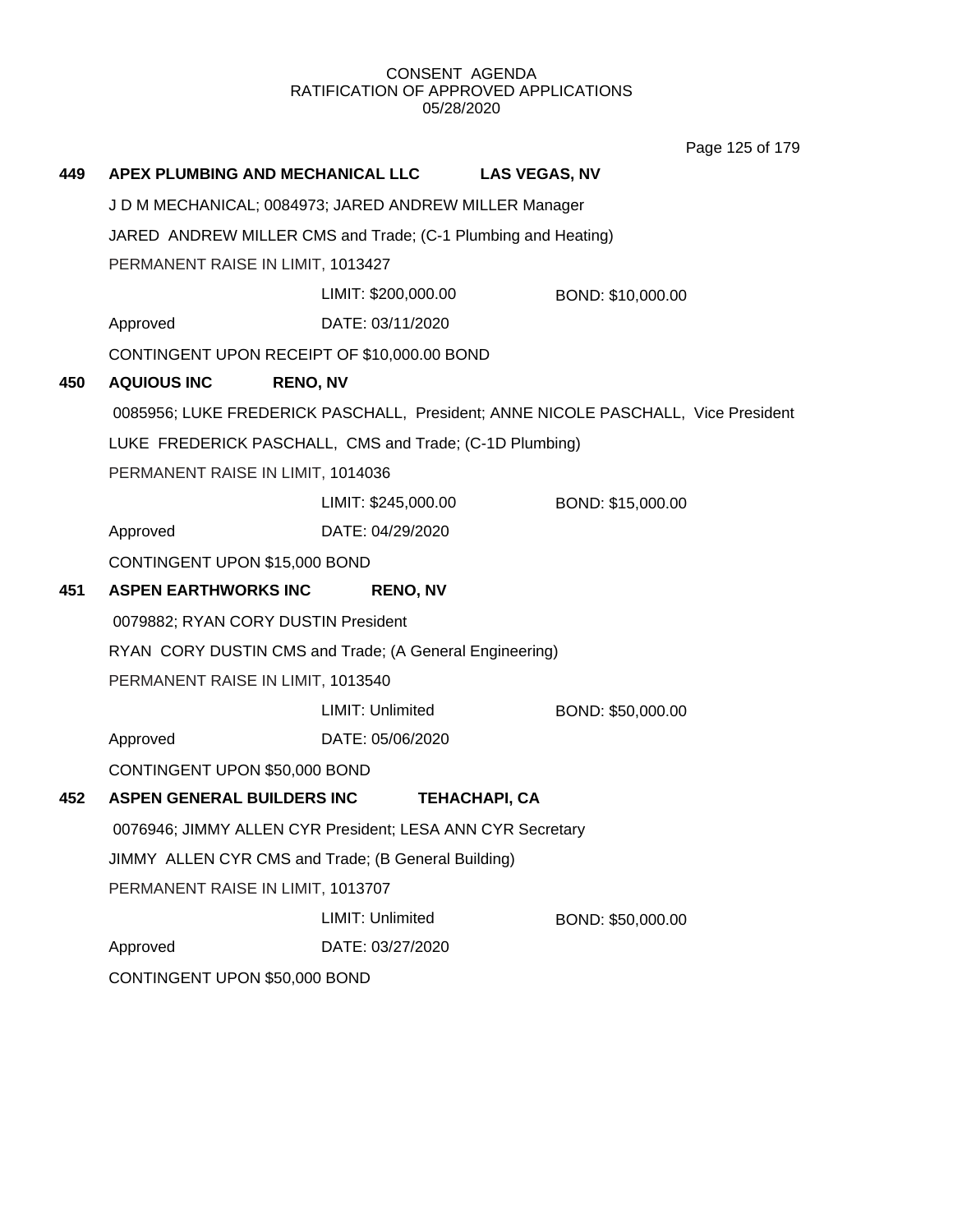Page 125 of 179

| 449 | APEX PLUMBING AND MECHANICAL LLC                              |                     | <b>LAS VEGAS, NV</b>                                                              |  |
|-----|---------------------------------------------------------------|---------------------|-----------------------------------------------------------------------------------|--|
|     | J D M MECHANICAL; 0084973; JARED ANDREW MILLER Manager        |                     |                                                                                   |  |
|     | JARED ANDREW MILLER CMS and Trade; (C-1 Plumbing and Heating) |                     |                                                                                   |  |
|     | PERMANENT RAISE IN LIMIT, 1013427                             |                     |                                                                                   |  |
|     |                                                               | LIMIT: \$200,000.00 | BOND: \$10,000.00                                                                 |  |
|     | Approved                                                      | DATE: 03/11/2020    |                                                                                   |  |
|     | CONTINGENT UPON RECEIPT OF \$10,000.00 BOND                   |                     |                                                                                   |  |
| 450 | <b>AQUIOUS INC</b>                                            | <b>RENO, NV</b>     |                                                                                   |  |
|     |                                                               |                     | 0085956; LUKE FREDERICK PASCHALL, President; ANNE NICOLE PASCHALL, Vice President |  |
|     | LUKE FREDERICK PASCHALL, CMS and Trade; (C-1D Plumbing)       |                     |                                                                                   |  |
|     | PERMANENT RAISE IN LIMIT, 1014036                             |                     |                                                                                   |  |
|     |                                                               | LIMIT: \$245,000.00 | BOND: \$15,000.00                                                                 |  |
|     | Approved                                                      | DATE: 04/29/2020    |                                                                                   |  |
|     | CONTINGENT UPON \$15,000 BOND                                 |                     |                                                                                   |  |
|     |                                                               |                     |                                                                                   |  |
| 451 | <b>ASPEN EARTHWORKS INC</b>                                   | <b>RENO, NV</b>     |                                                                                   |  |
|     | 0079882; RYAN CORY DUSTIN President                           |                     |                                                                                   |  |
|     | RYAN CORY DUSTIN CMS and Trade; (A General Engineering)       |                     |                                                                                   |  |
|     | PERMANENT RAISE IN LIMIT, 1013540                             |                     |                                                                                   |  |
|     |                                                               | LIMIT: Unlimited    | BOND: \$50,000.00                                                                 |  |
|     | Approved                                                      | DATE: 05/06/2020    |                                                                                   |  |
|     | CONTINGENT UPON \$50,000 BOND                                 |                     |                                                                                   |  |
| 452 | ASPEN GENERAL BUILDERS INC                                    |                     | <b>TEHACHAPI, CA</b>                                                              |  |
|     | 0076946; JIMMY ALLEN CYR President; LESA ANN CYR Secretary    |                     |                                                                                   |  |
|     | JIMMY ALLEN CYR CMS and Trade; (B General Building)           |                     |                                                                                   |  |
|     | PERMANENT RAISE IN LIMIT, 1013707                             |                     |                                                                                   |  |
|     |                                                               | LIMIT: Unlimited    | BOND: \$50,000.00                                                                 |  |
|     | Approved                                                      | DATE: 03/27/2020    |                                                                                   |  |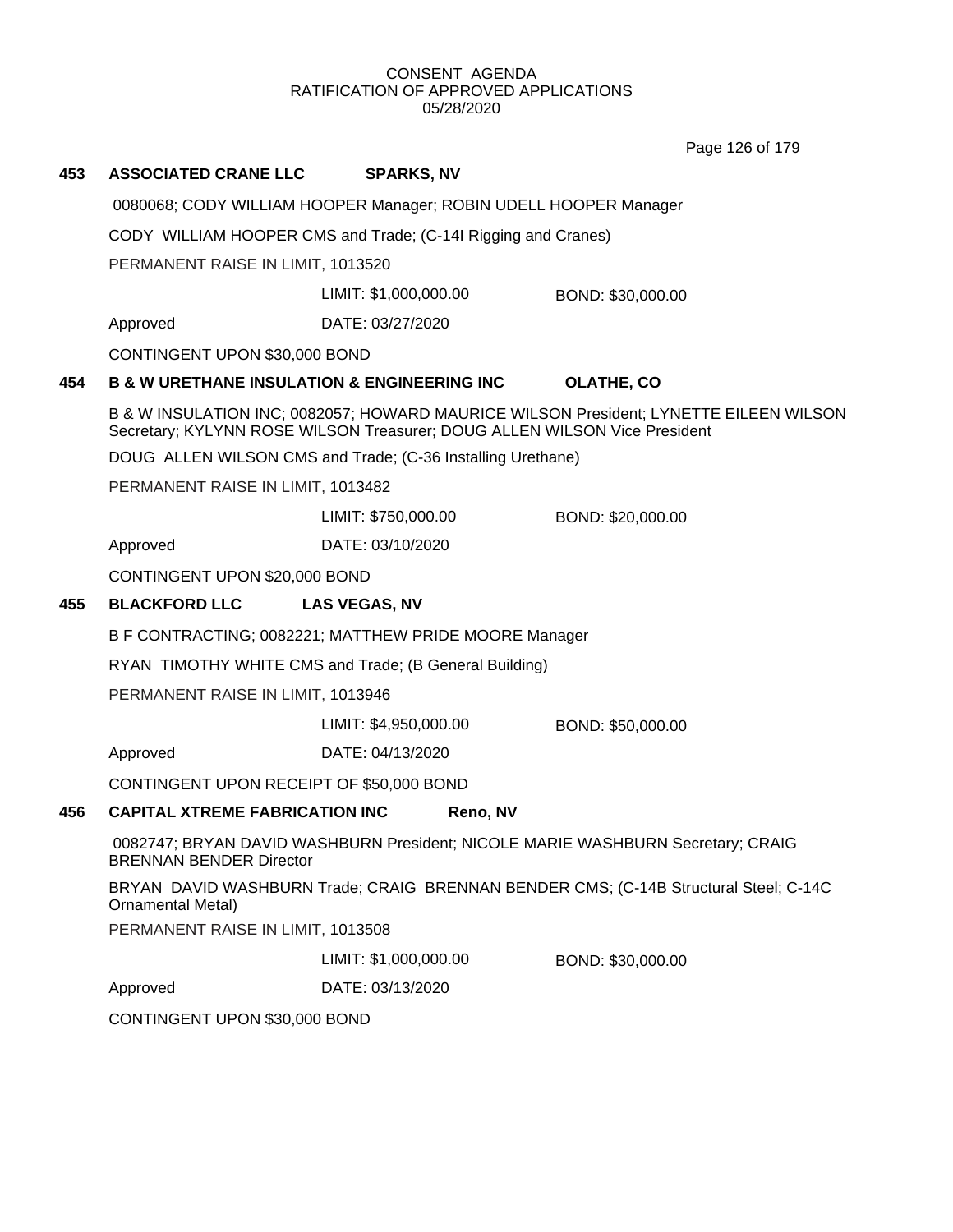Page 126 of 179

## **453 ASSOCIATED CRANE LLC SPARKS, NV**

0080068; CODY WILLIAM HOOPER Manager; ROBIN UDELL HOOPER Manager

CODY WILLIAM HOOPER CMS and Trade; (C-14I Rigging and Cranes)

PERMANENT RAISE IN LIMIT, 1013520

LIMIT: \$1,000,000.00 BOND: \$30,000.00

Approved DATE: 03/27/2020

CONTINGENT UPON \$30,000 BOND

## **454 B & W URETHANE INSULATION & ENGINEERING INC OLATHE, CO**

B & W INSULATION INC; 0082057; HOWARD MAURICE WILSON President; LYNETTE EILEEN WILSON Secretary; KYLYNN ROSE WILSON Treasurer; DOUG ALLEN WILSON Vice President

DOUG ALLEN WILSON CMS and Trade; (C-36 Installing Urethane)

PERMANENT RAISE IN LIMIT, 1013482

LIMIT: \$750,000.00 BOND: \$20,000.00

Approved DATE: 03/10/2020

CONTINGENT UPON \$20,000 BOND

## **455 BLACKFORD LLC LAS VEGAS, NV**

B F CONTRACTING; 0082221; MATTHEW PRIDE MOORE Manager

RYAN TIMOTHY WHITE CMS and Trade; (B General Building)

PERMANENT RAISE IN LIMIT, 1013946

LIMIT: \$4,950,000.00 BOND: \$50,000.00

Approved DATE: 04/13/2020

CONTINGENT UPON RECEIPT OF \$50,000 BOND

## **456 CAPITAL XTREME FABRICATION INC Reno, NV**

0082747; BRYAN DAVID WASHBURN President; NICOLE MARIE WASHBURN Secretary; CRAIG BRENNAN BENDER Director

BRYAN DAVID WASHBURN Trade; CRAIG BRENNAN BENDER CMS; (C-14B Structural Steel; C-14C Ornamental Metal)

PERMANENT RAISE IN LIMIT, 1013508

LIMIT: \$1,000,000.00 BOND: \$30,000.00

Approved DATE: 03/13/2020

CONTINGENT UPON \$30,000 BOND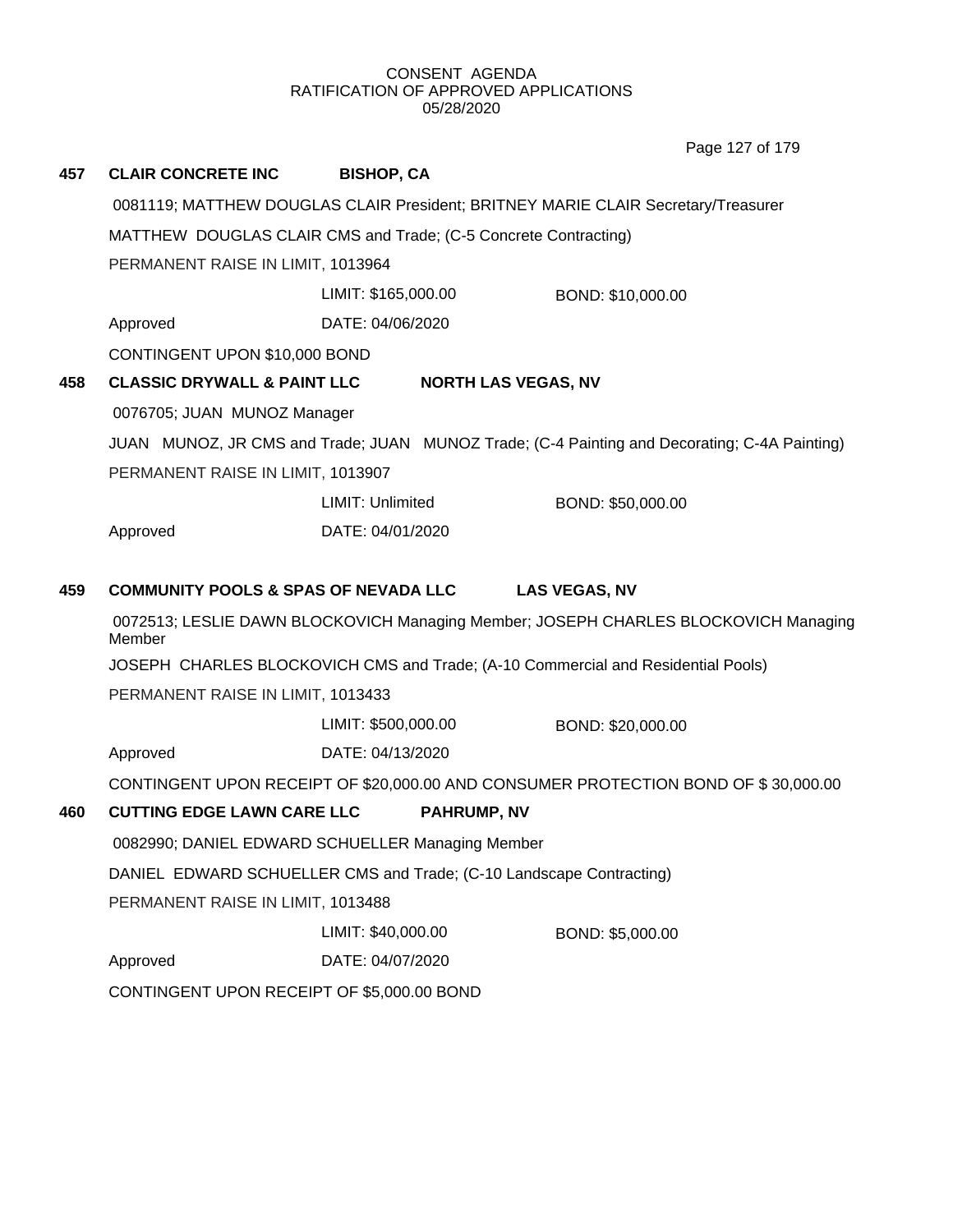Page 127 of 179

| 457 | <b>CLAIR CONCRETE INC</b>                       | <b>BISHOP, CA</b>                                                                |                                                                                              |  |
|-----|-------------------------------------------------|----------------------------------------------------------------------------------|----------------------------------------------------------------------------------------------|--|
|     |                                                 |                                                                                  | 0081119; MATTHEW DOUGLAS CLAIR President; BRITNEY MARIE CLAIR Secretary/Treasurer            |  |
|     |                                                 | MATTHEW DOUGLAS CLAIR CMS and Trade; (C-5 Concrete Contracting)                  |                                                                                              |  |
|     | PERMANENT RAISE IN LIMIT, 1013964               |                                                                                  |                                                                                              |  |
|     |                                                 | LIMIT: \$165,000.00                                                              | BOND: \$10,000.00                                                                            |  |
|     | Approved                                        | DATE: 04/06/2020                                                                 |                                                                                              |  |
|     | CONTINGENT UPON \$10,000 BOND                   |                                                                                  |                                                                                              |  |
| 458 | <b>CLASSIC DRYWALL &amp; PAINT LLC</b>          | <b>NORTH LAS VEGAS, NV</b>                                                       |                                                                                              |  |
|     | 0076705; JUAN MUNOZ Manager                     |                                                                                  |                                                                                              |  |
|     |                                                 |                                                                                  | JUAN MUNOZ, JR CMS and Trade; JUAN MUNOZ Trade; (C-4 Painting and Decorating; C-4A Painting) |  |
|     | PERMANENT RAISE IN LIMIT, 1013907               |                                                                                  |                                                                                              |  |
|     |                                                 | <b>LIMIT: Unlimited</b>                                                          | BOND: \$50,000.00                                                                            |  |
|     | Approved                                        | DATE: 04/01/2020                                                                 |                                                                                              |  |
| 459 | <b>COMMUNITY POOLS &amp; SPAS OF NEVADA LLC</b> |                                                                                  | <b>LAS VEGAS, NV</b>                                                                         |  |
|     | Member                                          |                                                                                  | 0072513; LESLIE DAWN BLOCKOVICH Managing Member; JOSEPH CHARLES BLOCKOVICH Managing          |  |
|     |                                                 | JOSEPH CHARLES BLOCKOVICH CMS and Trade; (A-10 Commercial and Residential Pools) |                                                                                              |  |
|     | PERMANENT RAISE IN LIMIT, 1013433               |                                                                                  |                                                                                              |  |
|     |                                                 | LIMIT: \$500,000.00                                                              | BOND: \$20,000.00                                                                            |  |
|     | Approved                                        | DATE: 04/13/2020                                                                 |                                                                                              |  |
|     |                                                 |                                                                                  | CONTINGENT UPON RECEIPT OF \$20,000.00 AND CONSUMER PROTECTION BOND OF \$30,000.00           |  |
| 460 | <b>CUTTING EDGE LAWN CARE LLC</b>               | <b>PAHRUMP, NV</b>                                                               |                                                                                              |  |
|     |                                                 | 0082990; DANIEL EDWARD SCHUELLER Managing Member                                 |                                                                                              |  |
|     |                                                 | DANIEL EDWARD SCHUELLER CMS and Trade; (C-10 Landscape Contracting)              |                                                                                              |  |
|     | PERMANENT RAISE IN LIMIT, 1013488               |                                                                                  |                                                                                              |  |
|     |                                                 | LIMIT: \$40,000.00                                                               | BOND: \$5,000.00                                                                             |  |
|     | Approved                                        | DATE: 04/07/2020                                                                 |                                                                                              |  |
|     | CONTINGENT UPON RECEIPT OF \$5,000.00 BOND      |                                                                                  |                                                                                              |  |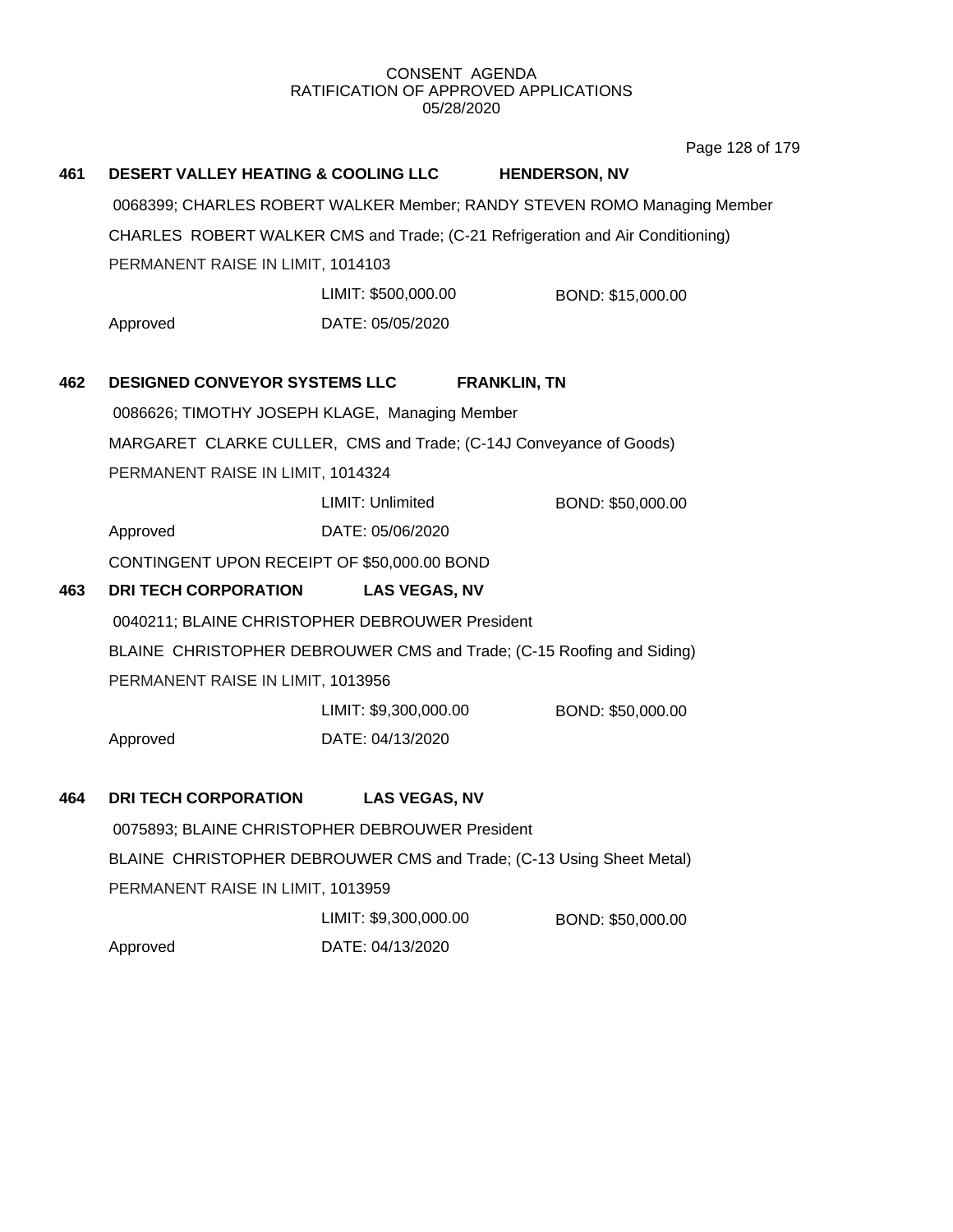Page 128 of 179

| 461 | <b>DESERT VALLEY HEATING &amp; COOLING LLC</b>                           |                       | <b>HENDERSON, NV</b>                                                           |  |  |
|-----|--------------------------------------------------------------------------|-----------------------|--------------------------------------------------------------------------------|--|--|
|     | 0068399; CHARLES ROBERT WALKER Member; RANDY STEVEN ROMO Managing Member |                       |                                                                                |  |  |
|     |                                                                          |                       | CHARLES ROBERT WALKER CMS and Trade; (C-21 Refrigeration and Air Conditioning) |  |  |
|     | PERMANENT RAISE IN LIMIT, 1014103                                        |                       |                                                                                |  |  |
|     |                                                                          | LIMIT: \$500,000.00   | BOND: \$15,000.00                                                              |  |  |
|     | Approved                                                                 | DATE: 05/05/2020      |                                                                                |  |  |
| 462 | DESIGNED CONVEYOR SYSTEMS LLC                                            |                       | <b>FRANKLIN, TN</b>                                                            |  |  |
|     | 0086626; TIMOTHY JOSEPH KLAGE, Managing Member                           |                       |                                                                                |  |  |
|     |                                                                          |                       | MARGARET CLARKE CULLER, CMS and Trade; (C-14J Conveyance of Goods)             |  |  |
|     | PERMANENT RAISE IN LIMIT, 1014324                                        |                       |                                                                                |  |  |
|     |                                                                          | LIMIT: Unlimited      | BOND: \$50,000.00                                                              |  |  |
|     | Approved                                                                 | DATE: 05/06/2020      |                                                                                |  |  |
|     | CONTINGENT UPON RECEIPT OF \$50,000.00 BOND                              |                       |                                                                                |  |  |
| 463 | <b>DRI TECH CORPORATION</b>                                              | <b>LAS VEGAS, NV</b>  |                                                                                |  |  |
|     | 0040211; BLAINE CHRISTOPHER DEBROUWER President                          |                       |                                                                                |  |  |
|     |                                                                          |                       | BLAINE CHRISTOPHER DEBROUWER CMS and Trade; (C-15 Roofing and Siding)          |  |  |
|     | PERMANENT RAISE IN LIMIT, 1013956                                        |                       |                                                                                |  |  |
|     |                                                                          | LIMIT: \$9,300,000.00 | BOND: \$50,000.00                                                              |  |  |
|     | Approved                                                                 | DATE: 04/13/2020      |                                                                                |  |  |
| 464 | <b>DRI TECH CORPORATION</b>                                              | <b>LAS VEGAS, NV</b>  |                                                                                |  |  |
|     | 0075893; BLAINE CHRISTOPHER DEBROUWER President                          |                       |                                                                                |  |  |
|     |                                                                          |                       | BLAINE CHRISTOPHER DEBROUWER CMS and Trade; (C-13 Using Sheet Metal)           |  |  |
|     | PERMANENT RAISE IN LIMIT, 1013959                                        |                       |                                                                                |  |  |
|     |                                                                          | LIMIT: \$9,300,000.00 | BOND: \$50,000.00                                                              |  |  |
|     | Approved                                                                 | DATE: 04/13/2020      |                                                                                |  |  |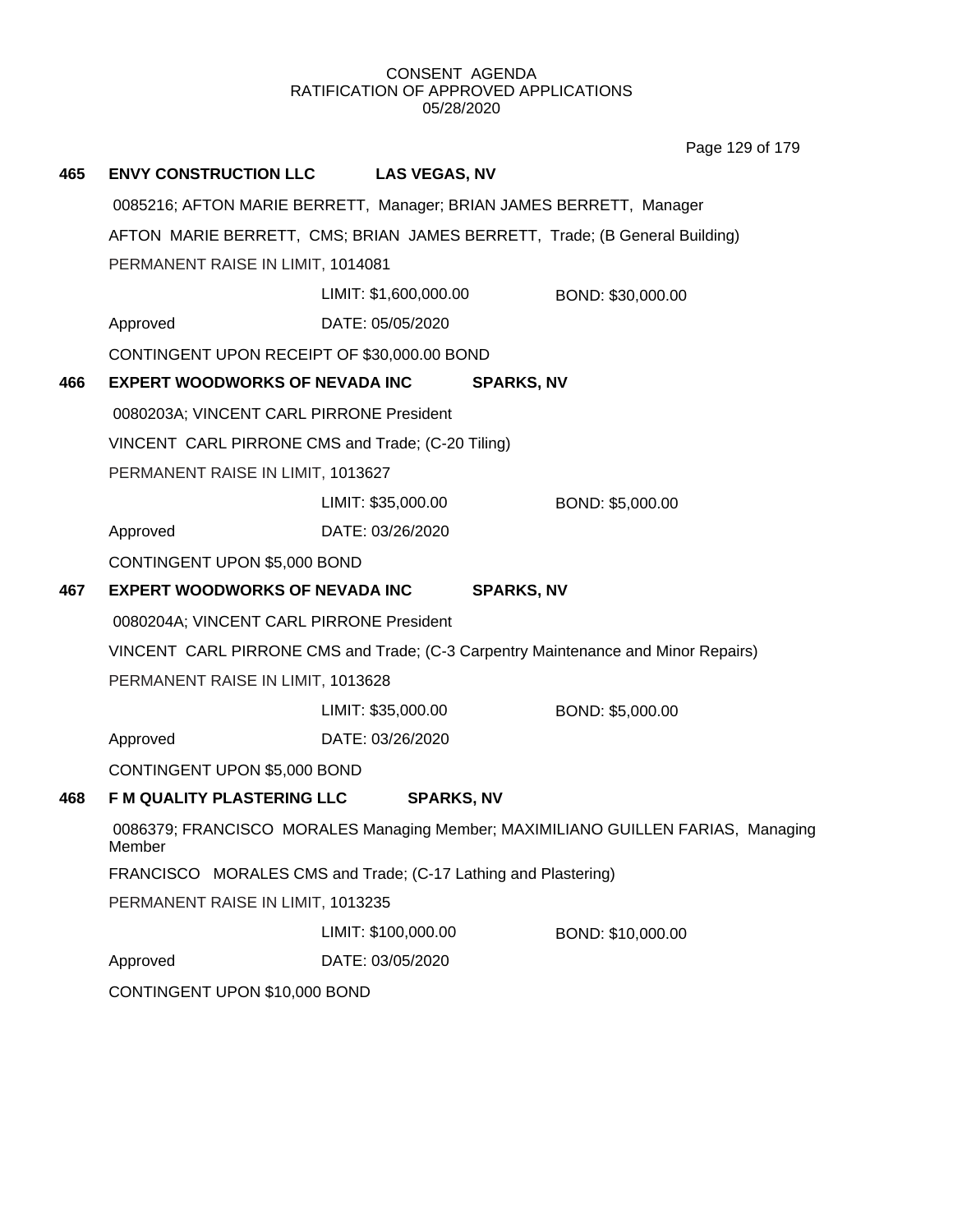Page 129 of 179

| 465 | <b>ENVY CONSTRUCTION LLC</b>                                                               | <b>LAS VEGAS, NV</b>  |                                                                                   |  |  |  |
|-----|--------------------------------------------------------------------------------------------|-----------------------|-----------------------------------------------------------------------------------|--|--|--|
|     |                                                                                            |                       | 0085216; AFTON MARIE BERRETT, Manager; BRIAN JAMES BERRETT, Manager               |  |  |  |
|     | AFTON MARIE BERRETT, CMS; BRIAN JAMES BERRETT, Trade; (B General Building)                 |                       |                                                                                   |  |  |  |
|     | PERMANENT RAISE IN LIMIT, 1014081                                                          |                       |                                                                                   |  |  |  |
|     |                                                                                            | LIMIT: \$1,600,000.00 | BOND: \$30,000.00                                                                 |  |  |  |
|     | Approved                                                                                   | DATE: 05/05/2020      |                                                                                   |  |  |  |
|     | CONTINGENT UPON RECEIPT OF \$30,000.00 BOND                                                |                       |                                                                                   |  |  |  |
| 466 | <b>EXPERT WOODWORKS OF NEVADA INC.</b>                                                     |                       | <b>SPARKS, NV</b>                                                                 |  |  |  |
|     | 0080203A; VINCENT CARL PIRRONE President                                                   |                       |                                                                                   |  |  |  |
|     | VINCENT CARL PIRRONE CMS and Trade; (C-20 Tiling)                                          |                       |                                                                                   |  |  |  |
|     | PERMANENT RAISE IN LIMIT, 1013627                                                          |                       |                                                                                   |  |  |  |
|     |                                                                                            | LIMIT: \$35,000.00    | BOND: \$5,000.00                                                                  |  |  |  |
|     | Approved                                                                                   | DATE: 03/26/2020      |                                                                                   |  |  |  |
|     | CONTINGENT UPON \$5,000 BOND                                                               |                       |                                                                                   |  |  |  |
| 467 | <b>EXPERT WOODWORKS OF NEVADA INC</b>                                                      |                       | <b>SPARKS, NV</b>                                                                 |  |  |  |
|     | 0080204A; VINCENT CARL PIRRONE President                                                   |                       |                                                                                   |  |  |  |
|     |                                                                                            |                       | VINCENT CARL PIRRONE CMS and Trade; (C-3 Carpentry Maintenance and Minor Repairs) |  |  |  |
|     | PERMANENT RAISE IN LIMIT, 1013628                                                          |                       |                                                                                   |  |  |  |
|     |                                                                                            | LIMIT: \$35,000.00    | BOND: \$5,000.00                                                                  |  |  |  |
|     | Approved                                                                                   | DATE: 03/26/2020      |                                                                                   |  |  |  |
|     | CONTINGENT UPON \$5,000 BOND                                                               |                       |                                                                                   |  |  |  |
| 468 | <b>F M QUALITY PLASTERING LLC</b>                                                          | <b>SPARKS, NV</b>     |                                                                                   |  |  |  |
|     | 0086379; FRANCISCO MORALES Managing Member; MAXIMILIANO GUILLEN FARIAS, Managing<br>Member |                       |                                                                                   |  |  |  |
|     | FRANCISCO MORALES CMS and Trade; (C-17 Lathing and Plastering)                             |                       |                                                                                   |  |  |  |
|     | PERMANENT RAISE IN LIMIT, 1013235                                                          |                       |                                                                                   |  |  |  |
|     |                                                                                            | LIMIT: \$100,000.00   | BOND: \$10,000.00                                                                 |  |  |  |
|     | Approved                                                                                   | DATE: 03/05/2020      |                                                                                   |  |  |  |
|     | CONTINGENT UPON \$10,000 BOND                                                              |                       |                                                                                   |  |  |  |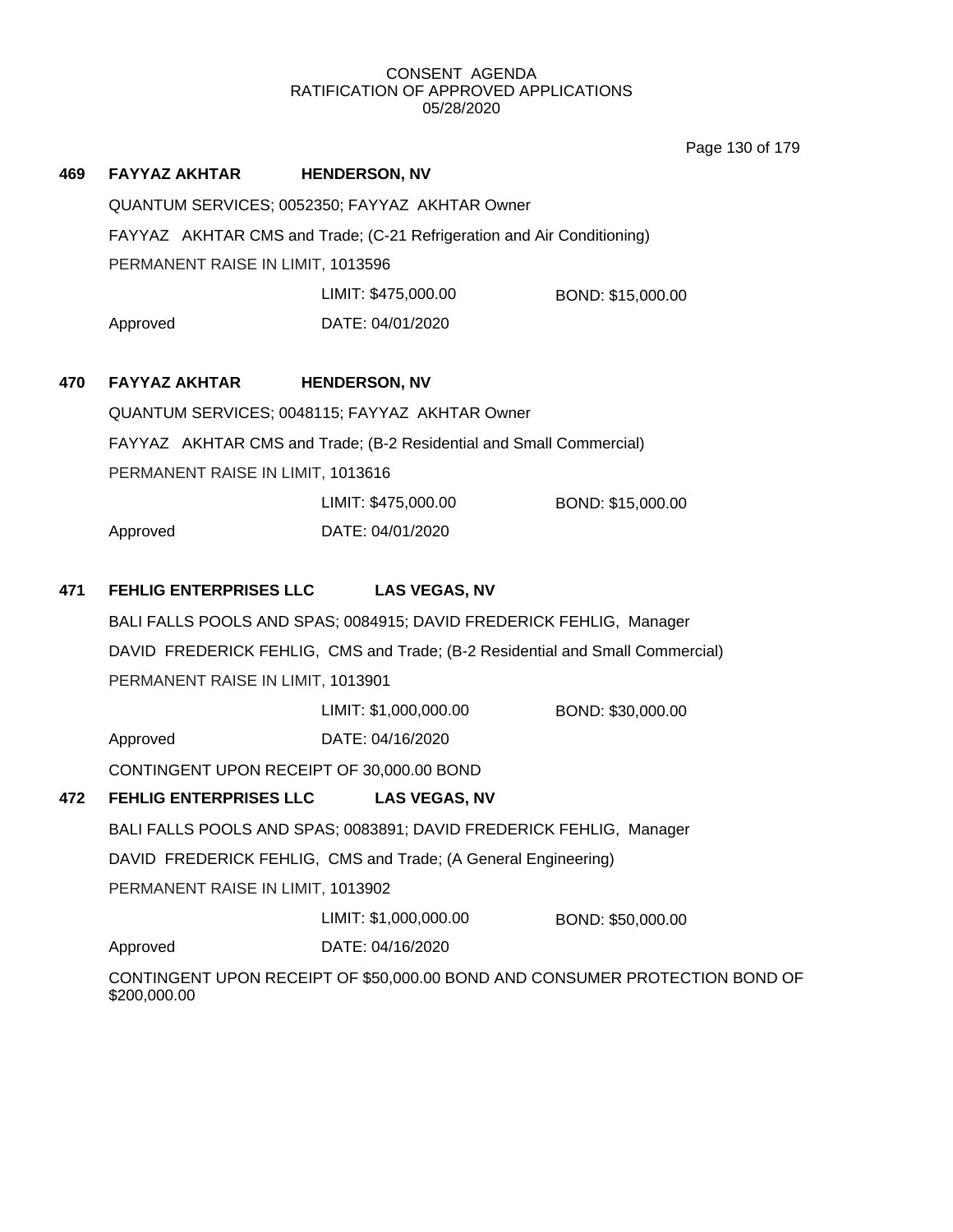Page 130 of 179

| 469 | <b>FAYYAZ AKHTAR</b>              | <b>HENDERSON, NV</b>                                                          |                                                                             |  |  |  |  |
|-----|-----------------------------------|-------------------------------------------------------------------------------|-----------------------------------------------------------------------------|--|--|--|--|
|     |                                   | QUANTUM SERVICES; 0052350; FAYYAZ AKHTAR Owner                                |                                                                             |  |  |  |  |
|     |                                   | FAYYAZ AKHTAR CMS and Trade; (C-21 Refrigeration and Air Conditioning)        |                                                                             |  |  |  |  |
|     | PERMANENT RAISE IN LIMIT, 1013596 |                                                                               |                                                                             |  |  |  |  |
|     |                                   | LIMIT: \$475,000.00                                                           | BOND: \$15,000.00                                                           |  |  |  |  |
|     | Approved                          | DATE: 04/01/2020                                                              |                                                                             |  |  |  |  |
| 470 | <b>FAYYAZ AKHTAR</b>              | <b>HENDERSON, NV</b>                                                          |                                                                             |  |  |  |  |
|     |                                   | QUANTUM SERVICES; 0048115; FAYYAZ AKHTAR Owner                                |                                                                             |  |  |  |  |
|     |                                   | FAYYAZ AKHTAR CMS and Trade; (B-2 Residential and Small Commercial)           |                                                                             |  |  |  |  |
|     | PERMANENT RAISE IN LIMIT, 1013616 |                                                                               |                                                                             |  |  |  |  |
|     |                                   | LIMIT: \$475,000.00                                                           | BOND: \$15,000.00                                                           |  |  |  |  |
|     | Approved                          | DATE: 04/01/2020                                                              |                                                                             |  |  |  |  |
| 471 | <b>FEHLIG ENTERPRISES LLC</b>     | <b>LAS VEGAS, NV</b>                                                          |                                                                             |  |  |  |  |
|     |                                   | BALI FALLS POOLS AND SPAS; 0084915; DAVID FREDERICK FEHLIG, Manager           |                                                                             |  |  |  |  |
|     |                                   | DAVID FREDERICK FEHLIG, CMS and Trade; (B-2 Residential and Small Commercial) |                                                                             |  |  |  |  |
|     | PERMANENT RAISE IN LIMIT, 1013901 |                                                                               |                                                                             |  |  |  |  |
|     |                                   | LIMIT: \$1,000,000.00                                                         | BOND: \$30,000.00                                                           |  |  |  |  |
|     | Approved                          | DATE: 04/16/2020                                                              |                                                                             |  |  |  |  |
|     |                                   | CONTINGENT UPON RECEIPT OF 30,000.00 BOND                                     |                                                                             |  |  |  |  |
| 472 | <b>FEHLIG ENTERPRISES LLC</b>     | <b>LAS VEGAS, NV</b>                                                          |                                                                             |  |  |  |  |
|     |                                   | BALI FALLS POOLS AND SPAS; 0083891; DAVID FREDERICK FEHLIG, Manager           |                                                                             |  |  |  |  |
|     |                                   | DAVID FREDERICK FEHLIG, CMS and Trade; (A General Engineering)                |                                                                             |  |  |  |  |
|     | PERMANENT RAISE IN LIMIT, 1013902 |                                                                               |                                                                             |  |  |  |  |
|     |                                   | LIMIT: \$1,000,000.00                                                         | BOND: \$50,000.00                                                           |  |  |  |  |
|     | Approved                          | DATE: 04/16/2020                                                              |                                                                             |  |  |  |  |
|     | \$200,000.00                      |                                                                               | CONTINGENT UPON RECEIPT OF \$50,000.00 BOND AND CONSUMER PROTECTION BOND OF |  |  |  |  |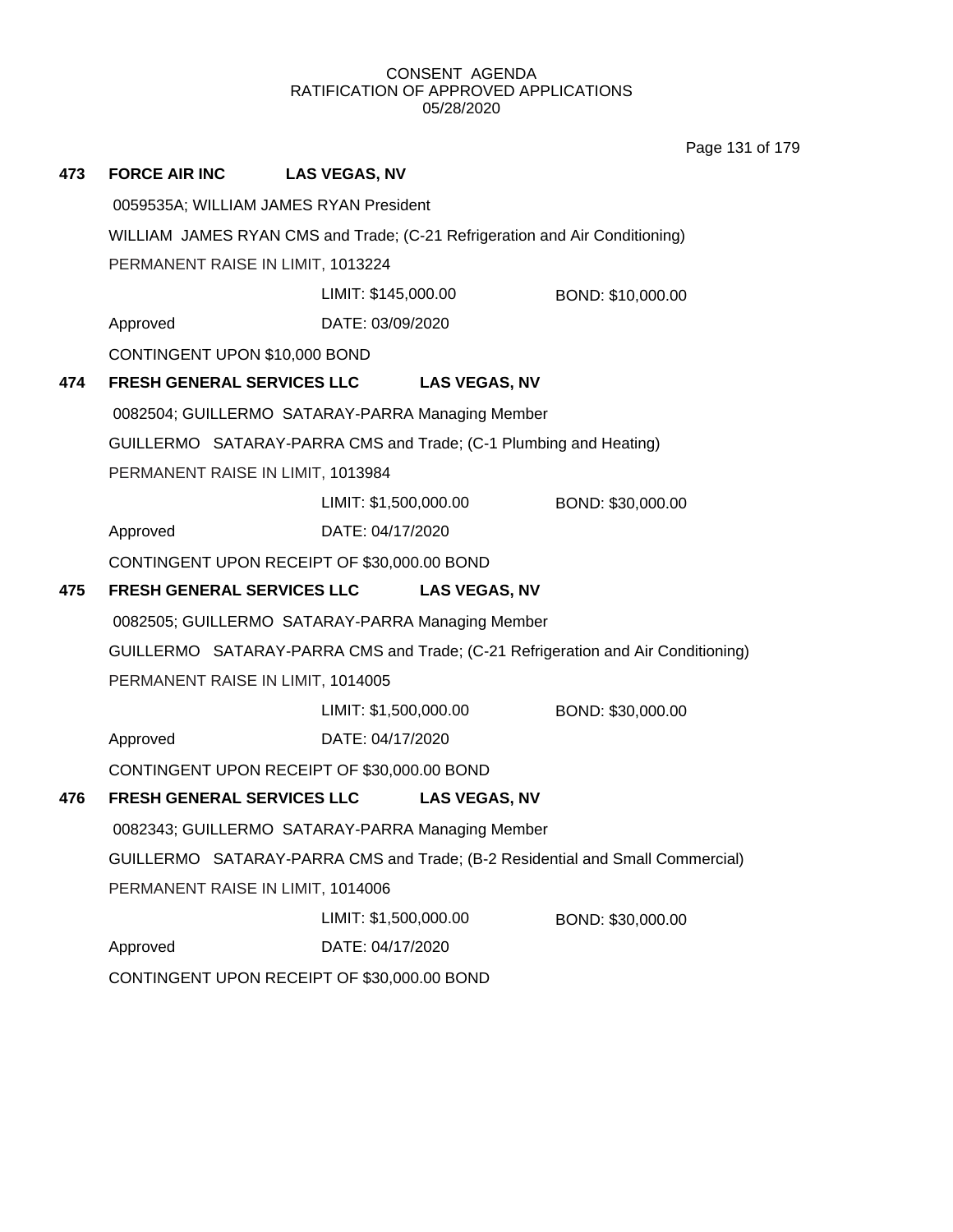Page 131 of 179

| 473 | <b>FORCE AIR INC</b>                                              | <b>LAS VEGAS, NV</b>                                                        |                      |                                                                                  |  |
|-----|-------------------------------------------------------------------|-----------------------------------------------------------------------------|----------------------|----------------------------------------------------------------------------------|--|
|     |                                                                   | 0059535A; WILLIAM JAMES RYAN President                                      |                      |                                                                                  |  |
|     |                                                                   | WILLIAM JAMES RYAN CMS and Trade; (C-21 Refrigeration and Air Conditioning) |                      |                                                                                  |  |
|     | PERMANENT RAISE IN LIMIT, 1013224                                 |                                                                             |                      |                                                                                  |  |
|     |                                                                   | LIMIT: \$145,000.00                                                         |                      | BOND: \$10,000.00                                                                |  |
|     | Approved                                                          | DATE: 03/09/2020                                                            |                      |                                                                                  |  |
|     | CONTINGENT UPON \$10,000 BOND                                     |                                                                             |                      |                                                                                  |  |
| 474 | FRESH GENERAL SERVICES LLC LAS VEGAS, NV                          |                                                                             |                      |                                                                                  |  |
|     | 0082504; GUILLERMO SATARAY-PARRA Managing Member                  |                                                                             |                      |                                                                                  |  |
|     | GUILLERMO SATARAY-PARRA CMS and Trade; (C-1 Plumbing and Heating) |                                                                             |                      |                                                                                  |  |
|     | PERMANENT RAISE IN LIMIT, 1013984                                 |                                                                             |                      |                                                                                  |  |
|     |                                                                   | LIMIT: \$1,500,000.00                                                       |                      | BOND: \$30,000.00                                                                |  |
|     | Approved                                                          | DATE: 04/17/2020                                                            |                      |                                                                                  |  |
|     | CONTINGENT UPON RECEIPT OF \$30,000.00 BOND                       |                                                                             |                      |                                                                                  |  |
| 475 | <b>FRESH GENERAL SERVICES LLC</b>                                 |                                                                             | <b>LAS VEGAS, NV</b> |                                                                                  |  |
|     | 0082505; GUILLERMO SATARAY-PARRA Managing Member                  |                                                                             |                      |                                                                                  |  |
|     |                                                                   |                                                                             |                      | GUILLERMO SATARAY-PARRA CMS and Trade; (C-21 Refrigeration and Air Conditioning) |  |
|     | PERMANENT RAISE IN LIMIT, 1014005                                 |                                                                             |                      |                                                                                  |  |
|     |                                                                   | LIMIT: \$1,500,000.00                                                       |                      | BOND: \$30,000.00                                                                |  |
|     | Approved                                                          | DATE: 04/17/2020                                                            |                      |                                                                                  |  |
|     | CONTINGENT UPON RECEIPT OF \$30,000.00 BOND                       |                                                                             |                      |                                                                                  |  |
| 476 | <b>FRESH GENERAL SERVICES LLC</b>                                 |                                                                             | <b>LAS VEGAS, NV</b> |                                                                                  |  |
|     | 0082343; GUILLERMO SATARAY-PARRA Managing Member                  |                                                                             |                      |                                                                                  |  |
|     |                                                                   |                                                                             |                      | GUILLERMO SATARAY-PARRA CMS and Trade; (B-2 Residential and Small Commercial)    |  |
|     | PERMANENT RAISE IN LIMIT, 1014006                                 |                                                                             |                      |                                                                                  |  |
|     |                                                                   | LIMIT: \$1,500,000.00                                                       |                      | BOND: \$30,000.00                                                                |  |
|     |                                                                   |                                                                             |                      |                                                                                  |  |
|     | Approved<br>CONTINGENT UPON RECEIPT OF \$30,000.00 BOND           | DATE: 04/17/2020                                                            |                      |                                                                                  |  |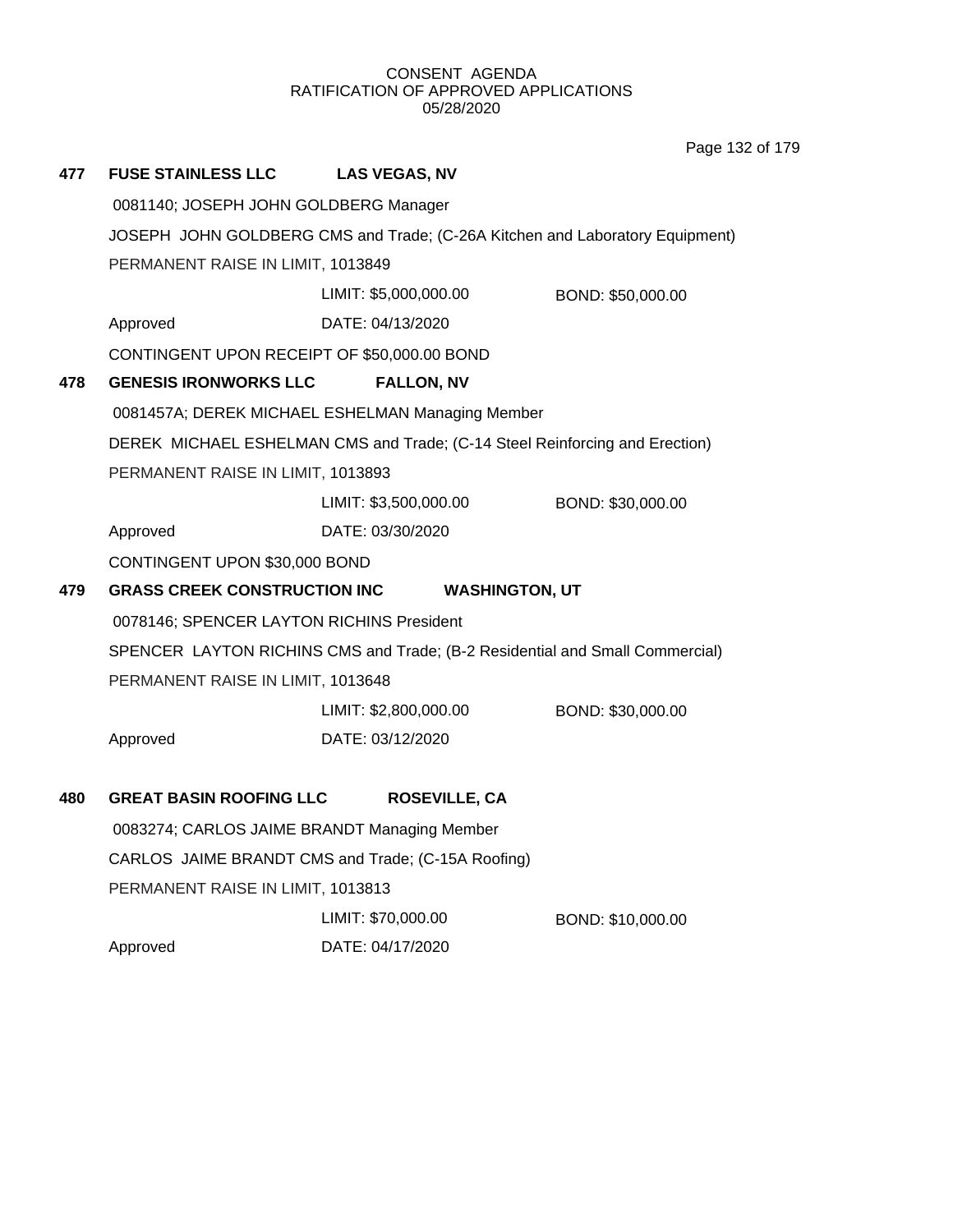Page 132 of 179

| 477 | <b>FUSE STAINLESS LLC</b>                    | <b>LAS VEGAS, NV</b>                                                         |                   |
|-----|----------------------------------------------|------------------------------------------------------------------------------|-------------------|
|     | 0081140; JOSEPH JOHN GOLDBERG Manager        |                                                                              |                   |
|     |                                              | JOSEPH JOHN GOLDBERG CMS and Trade; (C-26A Kitchen and Laboratory Equipment) |                   |
|     | PERMANENT RAISE IN LIMIT, 1013849            |                                                                              |                   |
|     |                                              | LIMIT: \$5,000,000.00                                                        | BOND: \$50,000.00 |
|     | Approved                                     | DATE: 04/13/2020                                                             |                   |
|     | CONTINGENT UPON RECEIPT OF \$50,000.00 BOND  |                                                                              |                   |
| 478 | <b>GENESIS IRONWORKS LLC</b>                 | <b>FALLON, NV</b>                                                            |                   |
|     |                                              | 0081457A; DEREK MICHAEL ESHELMAN Managing Member                             |                   |
|     |                                              | DEREK MICHAEL ESHELMAN CMS and Trade; (C-14 Steel Reinforcing and Erection)  |                   |
|     | PERMANENT RAISE IN LIMIT, 1013893            |                                                                              |                   |
|     |                                              | LIMIT: \$3,500,000.00                                                        | BOND: \$30,000.00 |
|     | Approved                                     | DATE: 03/30/2020                                                             |                   |
|     | CONTINGENT UPON \$30,000 BOND                |                                                                              |                   |
| 479 | <b>GRASS CREEK CONSTRUCTION INC</b>          | <b>WASHINGTON, UT</b>                                                        |                   |
|     | 0078146; SPENCER LAYTON RICHINS President    |                                                                              |                   |
|     |                                              | SPENCER LAYTON RICHINS CMS and Trade; (B-2 Residential and Small Commercial) |                   |
|     | PERMANENT RAISE IN LIMIT, 1013648            |                                                                              |                   |
|     |                                              | LIMIT: \$2,800,000.00                                                        | BOND: \$30,000.00 |
|     | Approved                                     | DATE: 03/12/2020                                                             |                   |
|     |                                              |                                                                              |                   |
| 480 | <b>GREAT BASIN ROOFING LLC</b>               | <b>ROSEVILLE, CA</b>                                                         |                   |
|     | 0083274; CARLOS JAIME BRANDT Managing Member |                                                                              |                   |
|     |                                              | CARLOS JAIME BRANDT CMS and Trade; (C-15A Roofing)                           |                   |
|     | PERMANENT RAISE IN LIMIT, 1013813            |                                                                              |                   |
|     |                                              | LIMIT: \$70,000.00                                                           | BOND: \$10,000.00 |
|     | Approved                                     | DATE: 04/17/2020                                                             |                   |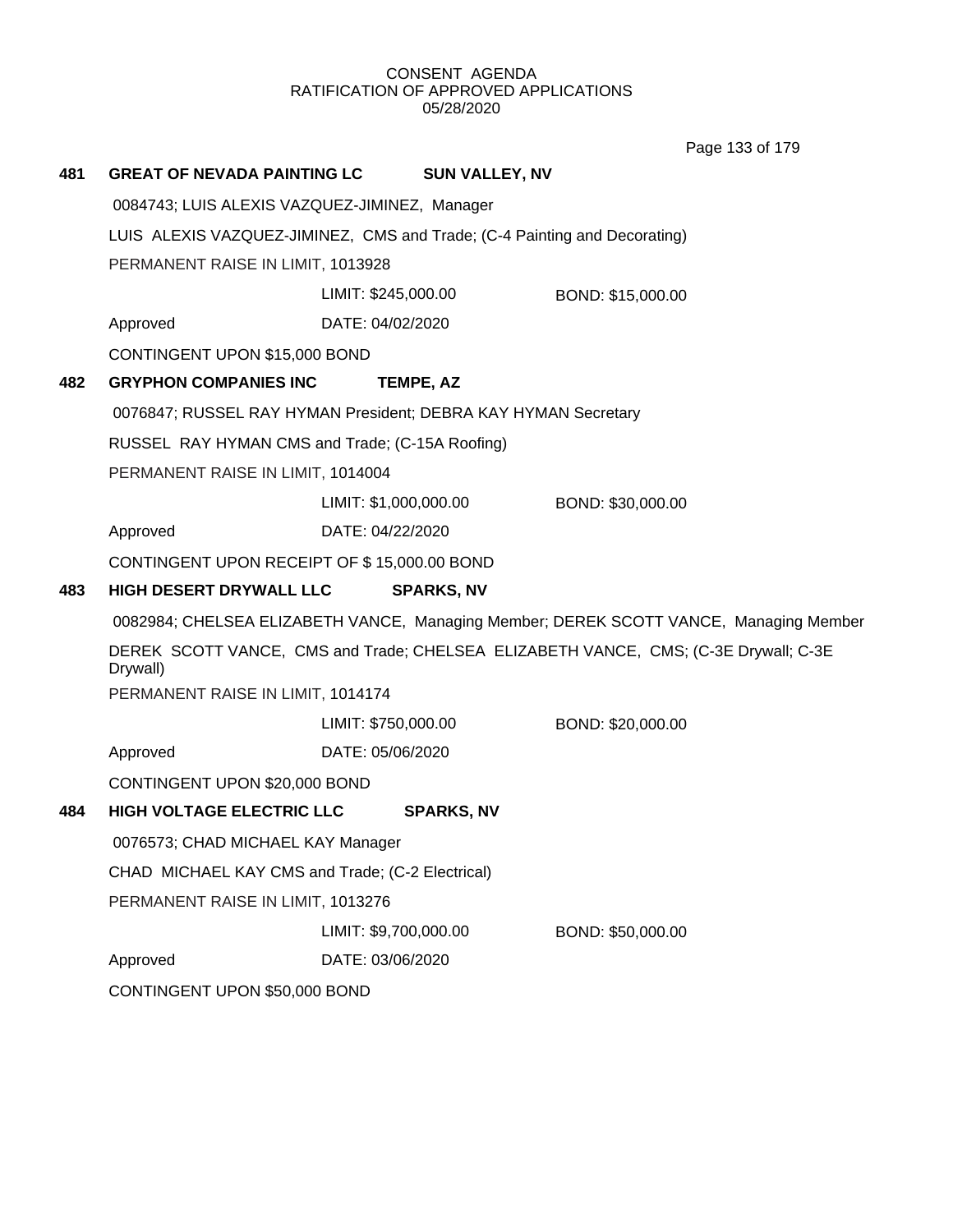Page 133 of 179

| 481 | <b>GREAT OF NEVADA PAINTING LC</b>                                        |                       | <b>SUN VALLEY, NV</b> |                                                                                       |
|-----|---------------------------------------------------------------------------|-----------------------|-----------------------|---------------------------------------------------------------------------------------|
|     | 0084743; LUIS ALEXIS VAZQUEZ-JIMINEZ, Manager                             |                       |                       |                                                                                       |
|     | LUIS ALEXIS VAZQUEZ-JIMINEZ, CMS and Trade; (C-4 Painting and Decorating) |                       |                       |                                                                                       |
|     | PERMANENT RAISE IN LIMIT, 1013928                                         |                       |                       |                                                                                       |
|     |                                                                           | LIMIT: \$245,000.00   |                       | BOND: \$15,000.00                                                                     |
|     | Approved                                                                  | DATE: 04/02/2020      |                       |                                                                                       |
|     | CONTINGENT UPON \$15,000 BOND                                             |                       |                       |                                                                                       |
| 482 | <b>GRYPHON COMPANIES INC</b>                                              | TEMPE, AZ             |                       |                                                                                       |
|     | 0076847; RUSSEL RAY HYMAN President; DEBRA KAY HYMAN Secretary            |                       |                       |                                                                                       |
|     | RUSSEL RAY HYMAN CMS and Trade; (C-15A Roofing)                           |                       |                       |                                                                                       |
|     | PERMANENT RAISE IN LIMIT, 1014004                                         |                       |                       |                                                                                       |
|     |                                                                           | LIMIT: \$1,000,000.00 |                       | BOND: \$30,000.00                                                                     |
|     | Approved                                                                  | DATE: 04/22/2020      |                       |                                                                                       |
|     | CONTINGENT UPON RECEIPT OF \$15,000.00 BOND                               |                       |                       |                                                                                       |
| 483 | HIGH DESERT DRYWALL LLC                                                   |                       | <b>SPARKS, NV</b>     |                                                                                       |
|     |                                                                           |                       |                       | 0082984; CHELSEA ELIZABETH VANCE, Managing Member; DEREK SCOTT VANCE, Managing Member |
|     | Drywall)                                                                  |                       |                       | DEREK SCOTT VANCE, CMS and Trade; CHELSEA ELIZABETH VANCE, CMS; (C-3E Drywall; C-3E   |
|     | PERMANENT RAISE IN LIMIT, 1014174                                         |                       |                       |                                                                                       |
|     |                                                                           | LIMIT: \$750,000.00   |                       | BOND: \$20,000.00                                                                     |
|     | Approved                                                                  | DATE: 05/06/2020      |                       |                                                                                       |
|     | CONTINGENT UPON \$20,000 BOND                                             |                       |                       |                                                                                       |
| 484 | <b>HIGH VOLTAGE ELECTRIC LLC</b>                                          |                       | <b>SPARKS, NV</b>     |                                                                                       |
|     | 0076573; CHAD MICHAEL KAY Manager                                         |                       |                       |                                                                                       |
|     | CHAD MICHAEL KAY CMS and Trade; (C-2 Electrical)                          |                       |                       |                                                                                       |
|     | PERMANENT RAISE IN LIMIT, 1013276                                         |                       |                       |                                                                                       |
|     |                                                                           | LIMIT: \$9,700,000.00 |                       | BOND: \$50,000.00                                                                     |
|     | Approved                                                                  | DATE: 03/06/2020      |                       |                                                                                       |
|     | CONTINGENT UPON \$50,000 BOND                                             |                       |                       |                                                                                       |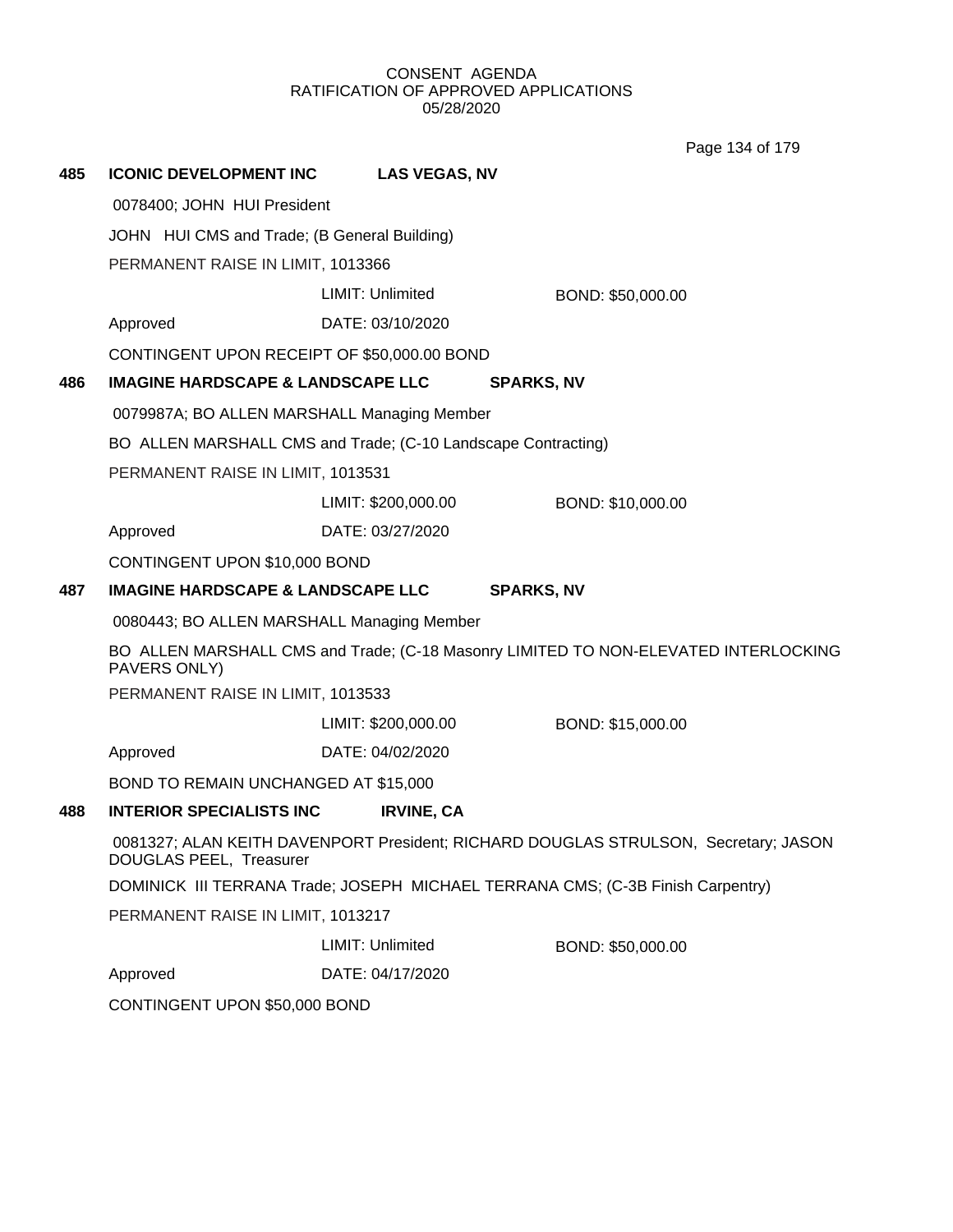Page 134 of 179

| 485 | <b>ICONIC DEVELOPMENT INC</b>                                 | <b>LAS VEGAS, NV</b> |                                                                                     |  |  |  |
|-----|---------------------------------------------------------------|----------------------|-------------------------------------------------------------------------------------|--|--|--|
|     | 0078400; JOHN HUI President                                   |                      |                                                                                     |  |  |  |
|     | JOHN HUI CMS and Trade; (B General Building)                  |                      |                                                                                     |  |  |  |
|     | PERMANENT RAISE IN LIMIT, 1013366                             |                      |                                                                                     |  |  |  |
|     |                                                               | LIMIT: Unlimited     | BOND: \$50,000.00                                                                   |  |  |  |
|     | Approved                                                      | DATE: 03/10/2020     |                                                                                     |  |  |  |
|     | CONTINGENT UPON RECEIPT OF \$50,000.00 BOND                   |                      |                                                                                     |  |  |  |
| 486 | <b>IMAGINE HARDSCAPE &amp; LANDSCAPE LLC</b>                  |                      | <b>SPARKS, NV</b>                                                                   |  |  |  |
|     | 0079987A; BO ALLEN MARSHALL Managing Member                   |                      |                                                                                     |  |  |  |
|     | BO ALLEN MARSHALL CMS and Trade; (C-10 Landscape Contracting) |                      |                                                                                     |  |  |  |
|     | PERMANENT RAISE IN LIMIT, 1013531                             |                      |                                                                                     |  |  |  |
|     |                                                               | LIMIT: \$200,000.00  | BOND: \$10,000.00                                                                   |  |  |  |
|     | Approved                                                      | DATE: 03/27/2020     |                                                                                     |  |  |  |
|     | CONTINGENT UPON \$10,000 BOND                                 |                      |                                                                                     |  |  |  |
| 487 | <b>IMAGINE HARDSCAPE &amp; LANDSCAPE LLC</b>                  |                      | <b>SPARKS, NV</b>                                                                   |  |  |  |
|     | 0080443; BO ALLEN MARSHALL Managing Member                    |                      |                                                                                     |  |  |  |
|     | PAVERS ONLY)                                                  |                      | BO ALLEN MARSHALL CMS and Trade; (C-18 Masonry LIMITED TO NON-ELEVATED INTERLOCKING |  |  |  |
|     | PERMANENT RAISE IN LIMIT, 1013533                             |                      |                                                                                     |  |  |  |
|     |                                                               | LIMIT: \$200,000.00  | BOND: \$15,000.00                                                                   |  |  |  |
|     | Approved                                                      | DATE: 04/02/2020     |                                                                                     |  |  |  |
|     | BOND TO REMAIN UNCHANGED AT \$15,000                          |                      |                                                                                     |  |  |  |
| 488 | <b>INTERIOR SPECIALISTS INC</b>                               | <b>IRVINE, CA</b>    |                                                                                     |  |  |  |
|     | DOUGLAS PEEL, Treasurer                                       |                      | 0081327; ALAN KEITH DAVENPORT President; RICHARD DOUGLAS STRULSON, Secretary; JASON |  |  |  |
|     |                                                               |                      | DOMINICK III TERRANA Trade; JOSEPH MICHAEL TERRANA CMS; (C-3B Finish Carpentry)     |  |  |  |
|     | PERMANENT RAISE IN LIMIT, 1013217                             |                      |                                                                                     |  |  |  |
|     |                                                               | LIMIT: Unlimited     | BOND: \$50,000.00                                                                   |  |  |  |
|     | Approved                                                      | DATE: 04/17/2020     |                                                                                     |  |  |  |
|     | CONTINGENT UPON \$50,000 BOND                                 |                      |                                                                                     |  |  |  |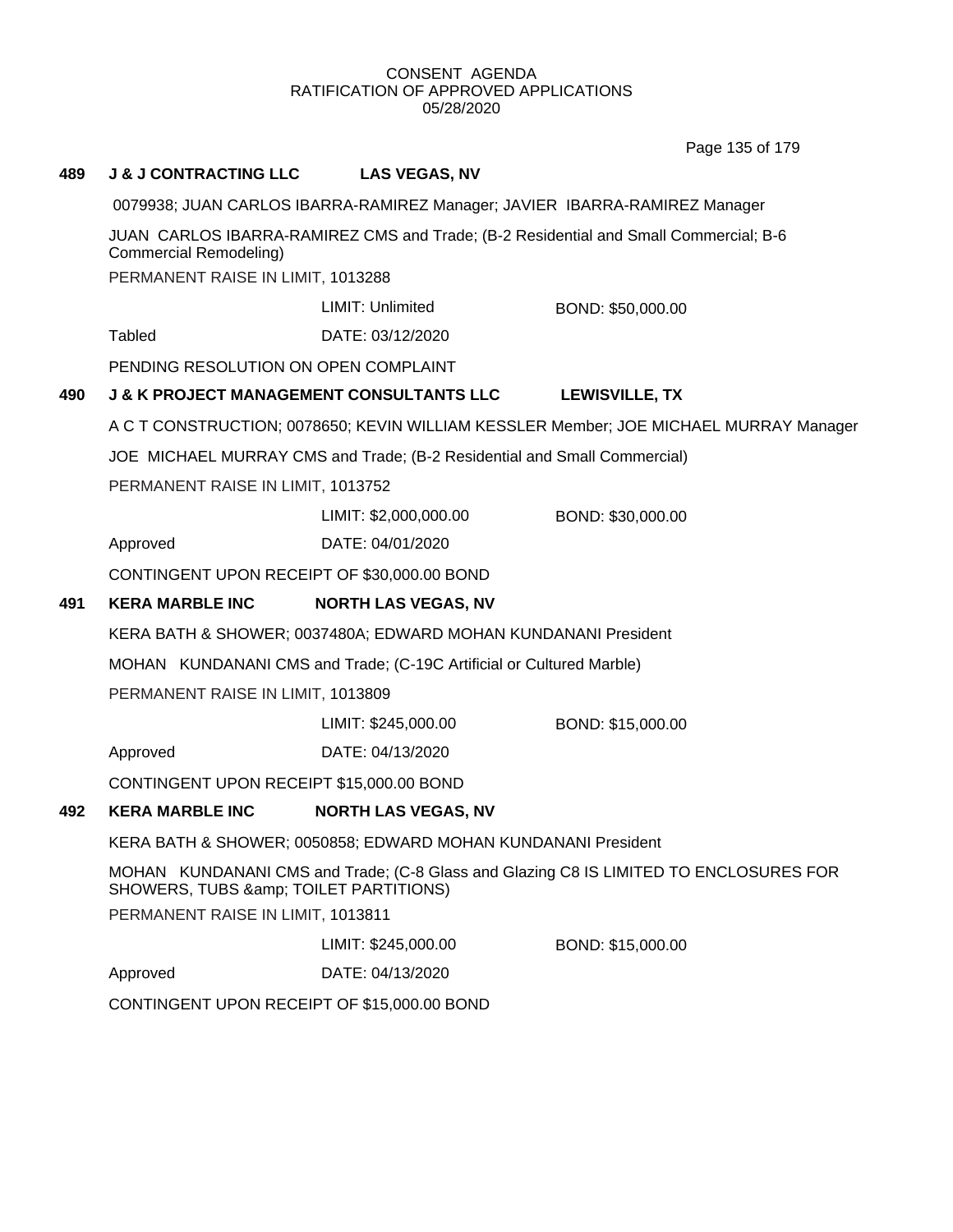Page 135 of 179

## **489 J & J CONTRACTING LLC LAS VEGAS, NV**

0079938; JUAN CARLOS IBARRA-RAMIREZ Manager; JAVIER IBARRA-RAMIREZ Manager

JUAN CARLOS IBARRA-RAMIREZ CMS and Trade; (B-2 Residential and Small Commercial; B-6 Commercial Remodeling)

PERMANENT RAISE IN LIMIT, 1013288

LIMIT: Unlimited BOND: \$50,000.00

Tabled DATE: 03/12/2020

PENDING RESOLUTION ON OPEN COMPLAINT

## **490 J & K PROJECT MANAGEMENT CONSULTANTS LLC LEWISVILLE, TX**

A C T CONSTRUCTION; 0078650; KEVIN WILLIAM KESSLER Member; JOE MICHAEL MURRAY Manager

JOE MICHAEL MURRAY CMS and Trade; (B-2 Residential and Small Commercial)

PERMANENT RAISE IN LIMIT, 1013752

LIMIT: \$2,000,000.00 BOND: \$30,000.00

Approved DATE: 04/01/2020

CONTINGENT UPON RECEIPT OF \$30,000.00 BOND

## **491 KERA MARBLE INC NORTH LAS VEGAS, NV**

KERA BATH & SHOWER; 0037480A; EDWARD MOHAN KUNDANANI President

MOHAN KUNDANANI CMS and Trade; (C-19C Artificial or Cultured Marble)

PERMANENT RAISE IN LIMIT, 1013809

LIMIT: \$245,000.00 BOND: \$15,000.00

Approved DATE: 04/13/2020

CONTINGENT UPON RECEIPT \$15,000.00 BOND

## **492 KERA MARBLE INC NORTH LAS VEGAS, NV**

KERA BATH & SHOWER; 0050858; EDWARD MOHAN KUNDANANI President

MOHAN KUNDANANI CMS and Trade; (C-8 Glass and Glazing C8 IS LIMITED TO ENCLOSURES FOR SHOWERS, TUBS & amp; TOILET PARTITIONS)

PERMANENT RAISE IN LIMIT, 1013811

LIMIT: \$245,000.00 BOND: \$15,000.00

Approved DATE: 04/13/2020

CONTINGENT UPON RECEIPT OF \$15,000.00 BOND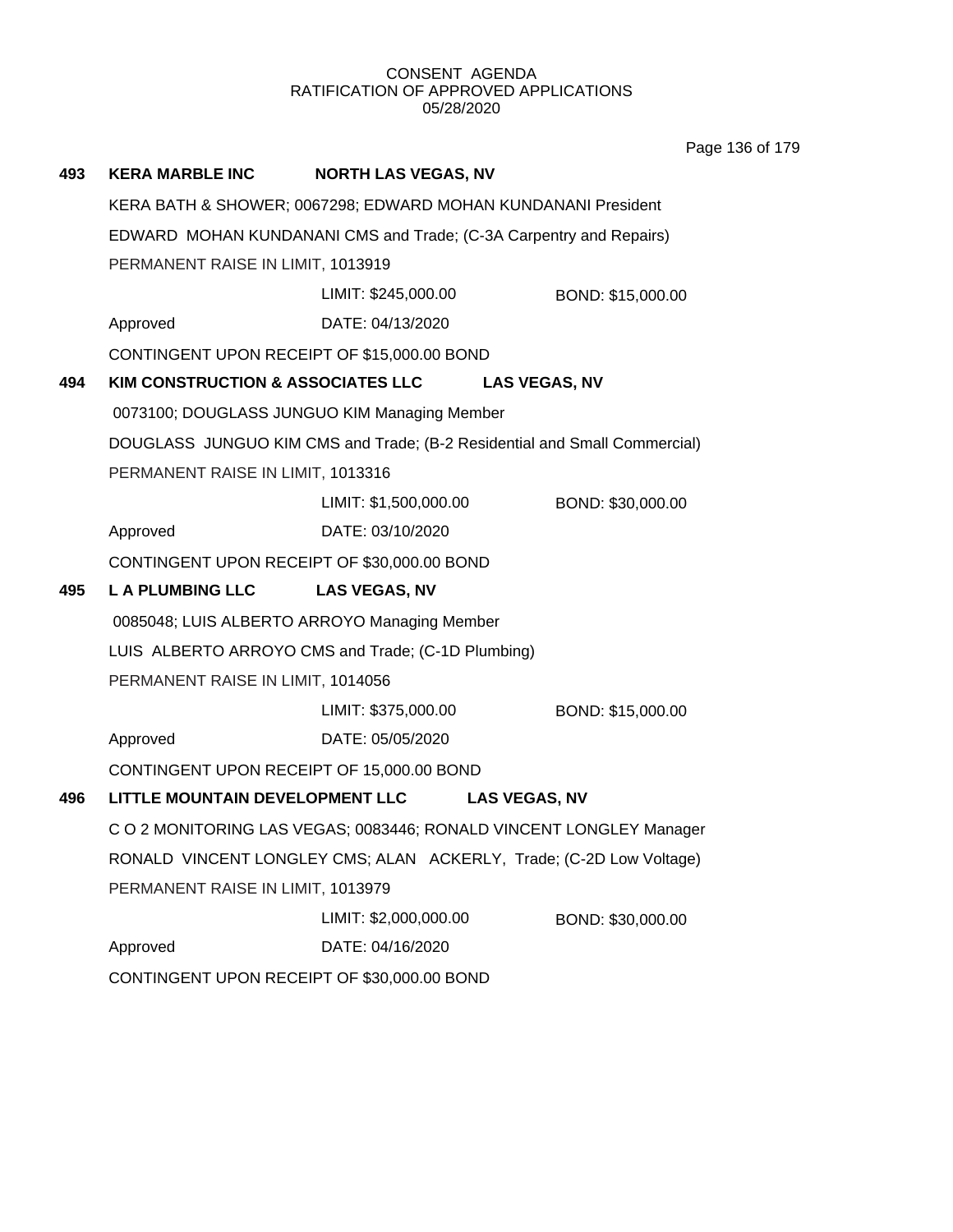Page 136 of 179

| 493 | <b>KERA MARBLE INC</b>                      | <b>NORTH LAS VEGAS, NV</b>                                                |                   |
|-----|---------------------------------------------|---------------------------------------------------------------------------|-------------------|
|     |                                             | KERA BATH & SHOWER; 0067298; EDWARD MOHAN KUNDANANI President             |                   |
|     |                                             | EDWARD MOHAN KUNDANANI CMS and Trade; (C-3A Carpentry and Repairs)        |                   |
|     | PERMANENT RAISE IN LIMIT, 1013919           |                                                                           |                   |
|     |                                             | LIMIT: \$245,000.00                                                       | BOND: \$15,000.00 |
|     | Approved                                    | DATE: 04/13/2020                                                          |                   |
|     | CONTINGENT UPON RECEIPT OF \$15,000.00 BOND |                                                                           |                   |
| 494 |                                             | KIM CONSTRUCTION & ASSOCIATES LLC LAS VEGAS, NV                           |                   |
|     |                                             | 0073100; DOUGLASS JUNGUO KIM Managing Member                              |                   |
|     |                                             | DOUGLASS JUNGUO KIM CMS and Trade; (B-2 Residential and Small Commercial) |                   |
|     | PERMANENT RAISE IN LIMIT, 1013316           |                                                                           |                   |
|     |                                             | LIMIT: \$1,500,000.00                                                     | BOND: \$30,000.00 |
|     | Approved                                    | DATE: 03/10/2020                                                          |                   |
|     | CONTINGENT UPON RECEIPT OF \$30,000.00 BOND |                                                                           |                   |
| 495 | <b>LA PLUMBING LLC</b>                      | <b>LAS VEGAS, NV</b>                                                      |                   |
|     |                                             | 0085048; LUIS ALBERTO ARROYO Managing Member                              |                   |
|     |                                             | LUIS ALBERTO ARROYO CMS and Trade; (C-1D Plumbing)                        |                   |
|     | PERMANENT RAISE IN LIMIT, 1014056           |                                                                           |                   |
|     |                                             | LIMIT: \$375,000.00                                                       | BOND: \$15,000.00 |
|     | Approved                                    | DATE: 05/05/2020                                                          |                   |
|     | CONTINGENT UPON RECEIPT OF 15,000.00 BOND   |                                                                           |                   |
| 496 | LITTLE MOUNTAIN DEVELOPMENT LLC             | <b>LAS VEGAS, NV</b>                                                      |                   |
|     |                                             | C O 2 MONITORING LAS VEGAS; 0083446; RONALD VINCENT LONGLEY Manager       |                   |
|     |                                             | RONALD VINCENT LONGLEY CMS; ALAN ACKERLY, Trade; (C-2D Low Voltage)       |                   |
|     | PERMANENT RAISE IN LIMIT, 1013979           |                                                                           |                   |
|     |                                             | LIMIT: \$2,000,000.00                                                     | BOND: \$30,000.00 |
|     | Approved                                    | DATE: 04/16/2020                                                          |                   |
|     | CONTINGENT UPON RECEIPT OF \$30,000.00 BOND |                                                                           |                   |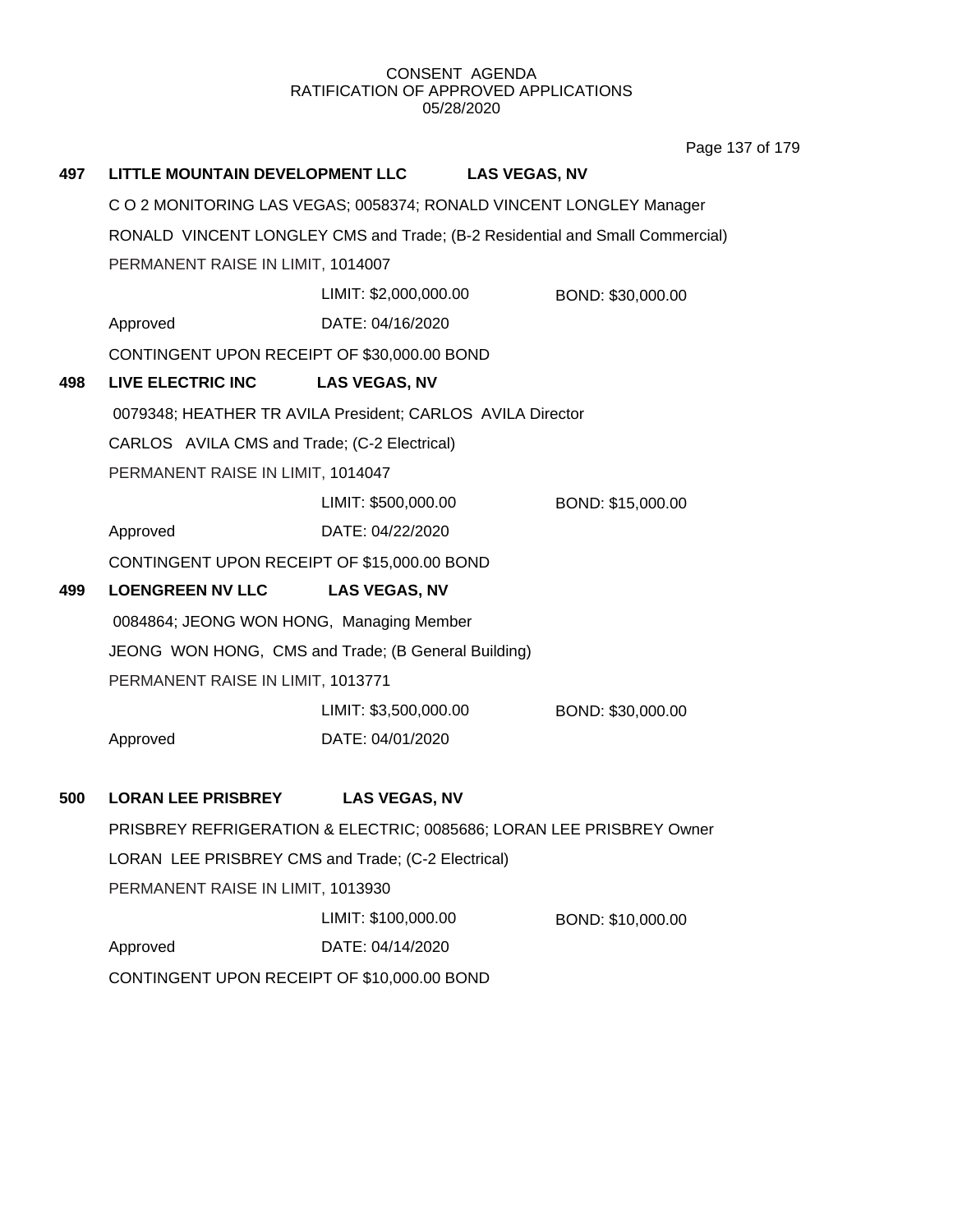Page 137 of 179

| 497 | LITTLE MOUNTAIN DEVELOPMENT LLC                                              |                       | <b>LAS VEGAS, NV</b> |                   |  |  |
|-----|------------------------------------------------------------------------------|-----------------------|----------------------|-------------------|--|--|
|     | C O 2 MONITORING LAS VEGAS; 0058374; RONALD VINCENT LONGLEY Manager          |                       |                      |                   |  |  |
|     | RONALD VINCENT LONGLEY CMS and Trade; (B-2 Residential and Small Commercial) |                       |                      |                   |  |  |
|     | PERMANENT RAISE IN LIMIT, 1014007                                            |                       |                      |                   |  |  |
|     |                                                                              | LIMIT: \$2,000,000.00 |                      | BOND: \$30,000.00 |  |  |
|     | Approved                                                                     | DATE: 04/16/2020      |                      |                   |  |  |
|     | CONTINGENT UPON RECEIPT OF \$30,000.00 BOND                                  |                       |                      |                   |  |  |
| 498 | LIVE ELECTRIC INC                                                            | <b>LAS VEGAS, NV</b>  |                      |                   |  |  |
|     | 0079348; HEATHER TR AVILA President; CARLOS AVILA Director                   |                       |                      |                   |  |  |
|     | CARLOS AVILA CMS and Trade; (C-2 Electrical)                                 |                       |                      |                   |  |  |
|     | PERMANENT RAISE IN LIMIT, 1014047                                            |                       |                      |                   |  |  |
|     |                                                                              | LIMIT: \$500,000.00   |                      | BOND: \$15,000.00 |  |  |
|     | Approved                                                                     | DATE: 04/22/2020      |                      |                   |  |  |
|     | CONTINGENT UPON RECEIPT OF \$15,000.00 BOND                                  |                       |                      |                   |  |  |
| 499 | <b>LOENGREEN NV LLC</b>                                                      | <b>LAS VEGAS, NV</b>  |                      |                   |  |  |
|     | 0084864; JEONG WON HONG, Managing Member                                     |                       |                      |                   |  |  |
|     | JEONG WON HONG, CMS and Trade; (B General Building)                          |                       |                      |                   |  |  |
|     | PERMANENT RAISE IN LIMIT, 1013771                                            |                       |                      |                   |  |  |
|     |                                                                              | LIMIT: \$3,500,000.00 |                      | BOND: \$30,000.00 |  |  |
|     | Approved                                                                     | DATE: 04/01/2020      |                      |                   |  |  |
| 500 | <b>LORAN LEE PRISBREY</b>                                                    | <b>LAS VEGAS, NV</b>  |                      |                   |  |  |
|     | PRISBREY REFRIGERATION & ELECTRIC; 0085686; LORAN LEE PRISBREY Owner         |                       |                      |                   |  |  |
|     | LORAN LEE PRISBREY CMS and Trade; (C-2 Electrical)                           |                       |                      |                   |  |  |
|     | PERMANENT RAISE IN LIMIT, 1013930                                            |                       |                      |                   |  |  |
|     |                                                                              | LIMIT: \$100,000.00   |                      | BOND: \$10,000.00 |  |  |
|     | Approved                                                                     | DATE: 04/14/2020      |                      |                   |  |  |
|     | CONTINGENT UPON RECEIPT OF \$10,000.00 BOND                                  |                       |                      |                   |  |  |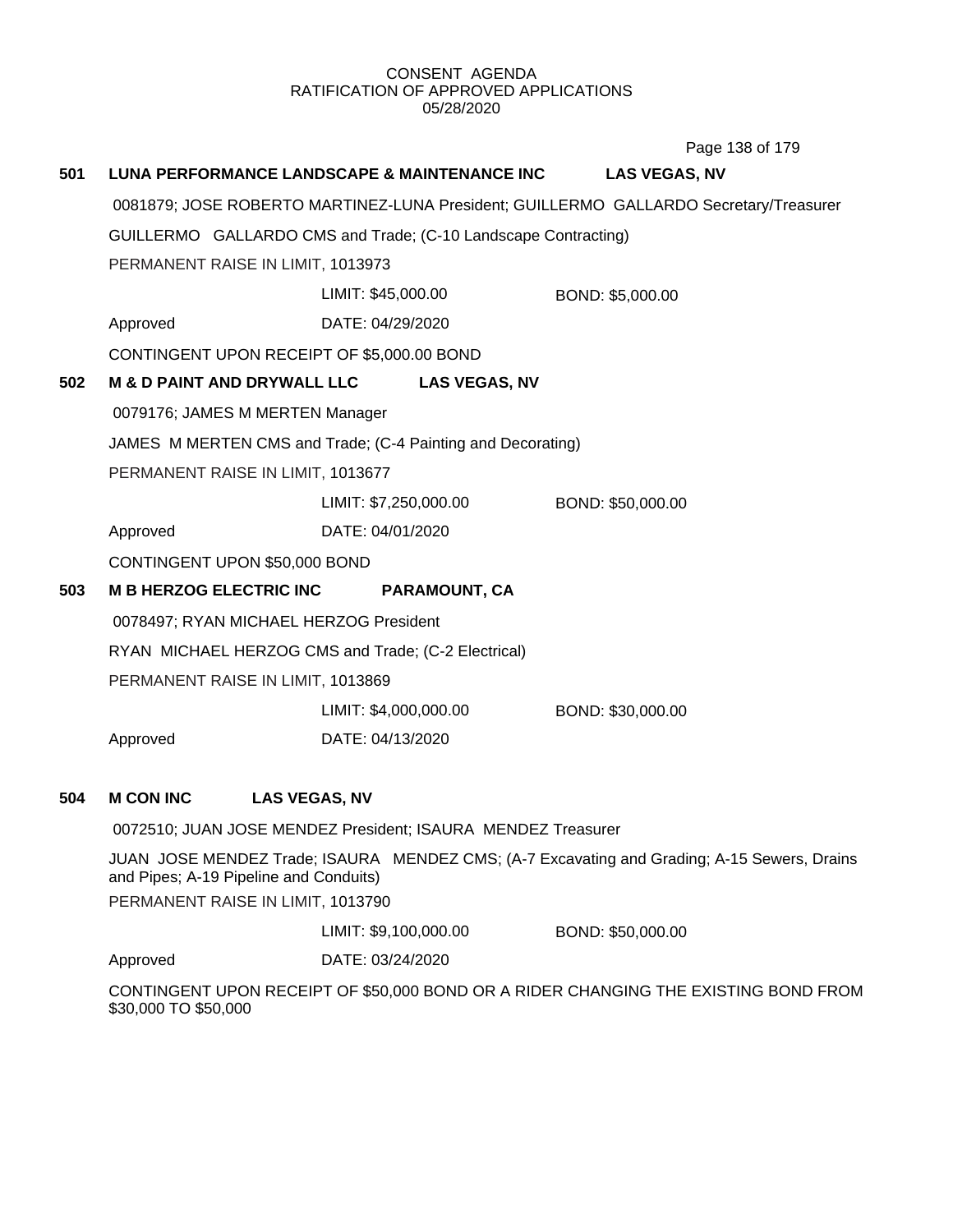**501 LUNA PERFORMANCE LANDSCAPE & MAINTENANCE INC LAS VEGAS, NV** 0081879; JOSE ROBERTO MARTINEZ-LUNA President; GUILLERMO GALLARDO Secretary/Treasurer GUILLERMO GALLARDO CMS and Trade; (C-10 Landscape Contracting) PERMANENT RAISE IN LIMIT, 1013973 Approved DATE: 04/29/2020 LIMIT: \$45,000.00 BOND: \$5,000.00 CONTINGENT UPON RECEIPT OF \$5,000.00 BOND **502 M & D PAINT AND DRYWALL LLC LAS VEGAS, NV** 0079176; JAMES M MERTEN Manager JAMES M MERTEN CMS and Trade; (C-4 Painting and Decorating) PERMANENT RAISE IN LIMIT, 1013677 Approved DATE: 04/01/2020 LIMIT: \$7,250,000.00 BOND: \$50,000.00 CONTINGENT UPON \$50,000 BOND **503 M B HERZOG ELECTRIC INC PARAMOUNT, CA** 0078497; RYAN MICHAEL HERZOG President RYAN MICHAEL HERZOG CMS and Trade; (C-2 Electrical) PERMANENT RAISE IN LIMIT, 1013869 Approved DATE: 04/13/2020 LIMIT: \$4,000,000.00 BOND: \$30,000.00 **504 M CON INC LAS VEGAS, NV** 0072510; JUAN JOSE MENDEZ President; ISAURA MENDEZ Treasurer JUAN JOSE MENDEZ Trade; ISAURA MENDEZ CMS; (A-7 Excavating and Grading; A-15 Sewers, Drains and Pipes; A-19 Pipeline and Conduits) PERMANENT RAISE IN LIMIT, 1013790 Approved DATE: 03/24/2020 LIMIT: \$9,100,000.00 BOND: \$50,000.00 Page 138 of 179

CONTINGENT UPON RECEIPT OF \$50,000 BOND OR A RIDER CHANGING THE EXISTING BOND FROM \$30,000 TO \$50,000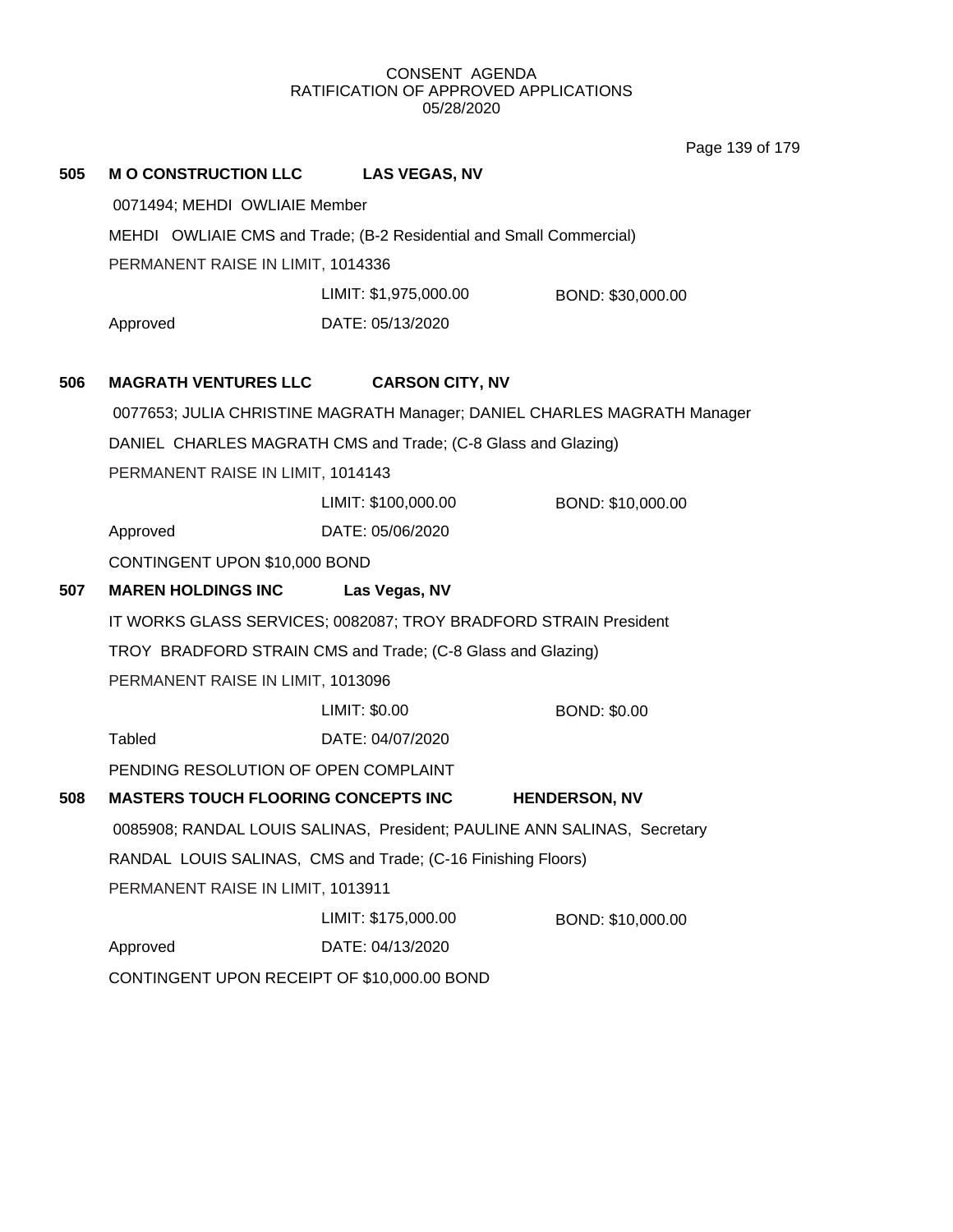Page 139 of 179

| 505 | <b>M O CONSTRUCTION LLC</b>                 | <b>LAS VEGAS, NV</b>                                                     |                      |
|-----|---------------------------------------------|--------------------------------------------------------------------------|----------------------|
|     | 0071494; MEHDI OWLIAIE Member               |                                                                          |                      |
|     |                                             | MEHDI OWLIAIE CMS and Trade; (B-2 Residential and Small Commercial)      |                      |
|     | PERMANENT RAISE IN LIMIT, 1014336           |                                                                          |                      |
|     |                                             | LIMIT: \$1,975,000.00                                                    | BOND: \$30,000.00    |
|     | Approved                                    | DATE: 05/13/2020                                                         |                      |
|     |                                             |                                                                          |                      |
| 506 | <b>MAGRATH VENTURES LLC</b>                 | <b>CARSON CITY, NV</b>                                                   |                      |
|     |                                             | 0077653; JULIA CHRISTINE MAGRATH Manager; DANIEL CHARLES MAGRATH Manager |                      |
|     |                                             | DANIEL CHARLES MAGRATH CMS and Trade; (C-8 Glass and Glazing)            |                      |
|     | PERMANENT RAISE IN LIMIT, 1014143           |                                                                          |                      |
|     |                                             | LIMIT: \$100,000.00                                                      | BOND: \$10,000.00    |
|     | Approved                                    | DATE: 05/06/2020                                                         |                      |
|     | CONTINGENT UPON \$10,000 BOND               |                                                                          |                      |
| 507 | <b>MAREN HOLDINGS INC</b>                   | Las Vegas, NV                                                            |                      |
|     |                                             | IT WORKS GLASS SERVICES; 0082087; TROY BRADFORD STRAIN President         |                      |
|     |                                             | TROY BRADFORD STRAIN CMS and Trade; (C-8 Glass and Glazing)              |                      |
|     | PERMANENT RAISE IN LIMIT, 1013096           |                                                                          |                      |
|     |                                             | LIMIT: \$0.00                                                            | <b>BOND: \$0.00</b>  |
|     | <b>Tabled</b>                               | DATE: 04/07/2020                                                         |                      |
|     | PENDING RESOLUTION OF OPEN COMPLAINT        |                                                                          |                      |
| 508 | <b>MASTERS TOUCH FLOORING CONCEPTS INC</b>  |                                                                          | <b>HENDERSON, NV</b> |
|     |                                             | 0085908; RANDAL LOUIS SALINAS, President; PAULINE ANN SALINAS, Secretary |                      |
|     |                                             | RANDAL LOUIS SALINAS, CMS and Trade; (C-16 Finishing Floors)             |                      |
|     | PERMANENT RAISE IN LIMIT, 1013911           |                                                                          |                      |
|     |                                             | LIMIT: \$175,000.00                                                      | BOND: \$10,000.00    |
|     | Approved                                    | DATE: 04/13/2020                                                         |                      |
|     | CONTINGENT UPON RECEIPT OF \$10,000.00 BOND |                                                                          |                      |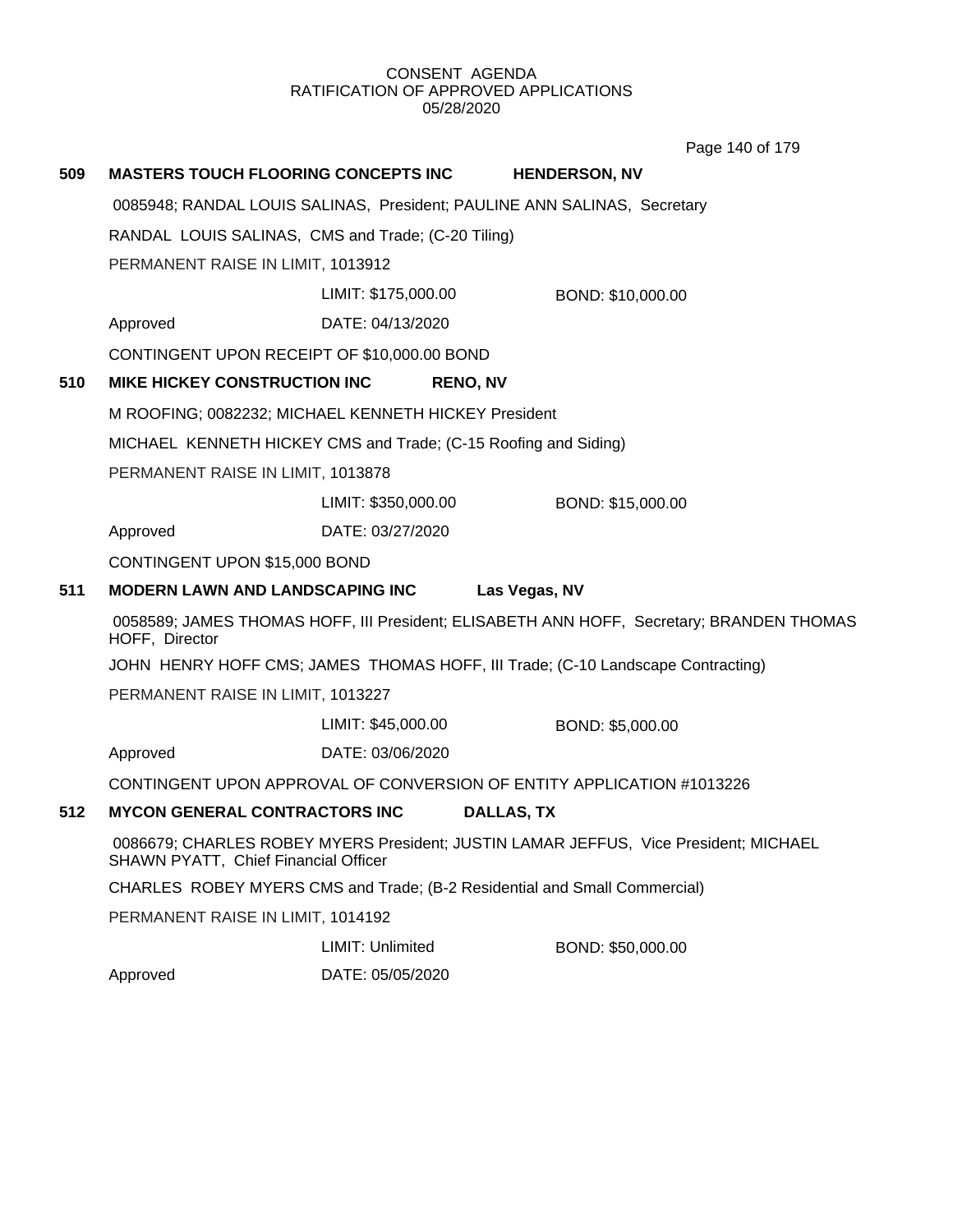Page 140 of 179

| 509                                                  | <b>MASTERS TOUCH FLOORING CONCEPTS INC</b>                                                                                          |                     | <b>HENDERSON, NV</b> |
|------------------------------------------------------|-------------------------------------------------------------------------------------------------------------------------------------|---------------------|----------------------|
|                                                      | 0085948; RANDAL LOUIS SALINAS, President; PAULINE ANN SALINAS, Secretary                                                            |                     |                      |
|                                                      | RANDAL LOUIS SALINAS, CMS and Trade; (C-20 Tiling)<br>PERMANENT RAISE IN LIMIT, 1013912                                             |                     |                      |
|                                                      |                                                                                                                                     |                     |                      |
|                                                      |                                                                                                                                     | LIMIT: \$175,000.00 | BOND: \$10,000.00    |
|                                                      | Approved                                                                                                                            | DATE: 04/13/2020    |                      |
|                                                      | CONTINGENT UPON RECEIPT OF \$10,000.00 BOND                                                                                         |                     |                      |
| 510                                                  | MIKE HICKEY CONSTRUCTION INC                                                                                                        | <b>RENO, NV</b>     |                      |
| M ROOFING; 0082232; MICHAEL KENNETH HICKEY President |                                                                                                                                     |                     |                      |
|                                                      | MICHAEL KENNETH HICKEY CMS and Trade; (C-15 Roofing and Siding)<br>PERMANENT RAISE IN LIMIT, 1013878                                |                     |                      |
|                                                      |                                                                                                                                     |                     |                      |
|                                                      |                                                                                                                                     | LIMIT: \$350,000.00 | BOND: \$15,000.00    |
|                                                      | Approved                                                                                                                            | DATE: 03/27/2020    |                      |
|                                                      | CONTINGENT UPON \$15,000 BOND                                                                                                       |                     |                      |
| 511                                                  | <b>MODERN LAWN AND LANDSCAPING INC</b><br>Las Vegas, NV                                                                             |                     |                      |
|                                                      | 0058589; JAMES THOMAS HOFF, III President; ELISABETH ANN HOFF, Secretary; BRANDEN THOMAS<br>HOFF, Director                          |                     |                      |
|                                                      | JOHN HENRY HOFF CMS; JAMES THOMAS HOFF, III Trade; (C-10 Landscape Contracting)                                                     |                     |                      |
|                                                      | PERMANENT RAISE IN LIMIT, 1013227                                                                                                   |                     |                      |
|                                                      |                                                                                                                                     | LIMIT: \$45,000.00  | BOND: \$5,000.00     |
|                                                      | Approved                                                                                                                            | DATE: 03/06/2020    |                      |
|                                                      | CONTINGENT UPON APPROVAL OF CONVERSION OF ENTITY APPLICATION #1013226                                                               |                     |                      |
| 512                                                  | <b>MYCON GENERAL CONTRACTORS INC.</b><br><b>DALLAS, TX</b>                                                                          |                     |                      |
|                                                      | 0086679; CHARLES ROBEY MYERS President; JUSTIN LAMAR JEFFUS, Vice President; MICHAEL<br><b>SHAWN PYATT. Chief Financial Officer</b> |                     |                      |
|                                                      | CHARLES ROBEY MYERS CMS and Trade; (B-2 Residential and Small Commercial)                                                           |                     |                      |
|                                                      | PERMANENT RAISE IN LIMIT, 1014192                                                                                                   |                     |                      |
|                                                      |                                                                                                                                     | LIMIT: Unlimited    | BOND: \$50,000.00    |
|                                                      | Approved                                                                                                                            | DATE: 05/05/2020    |                      |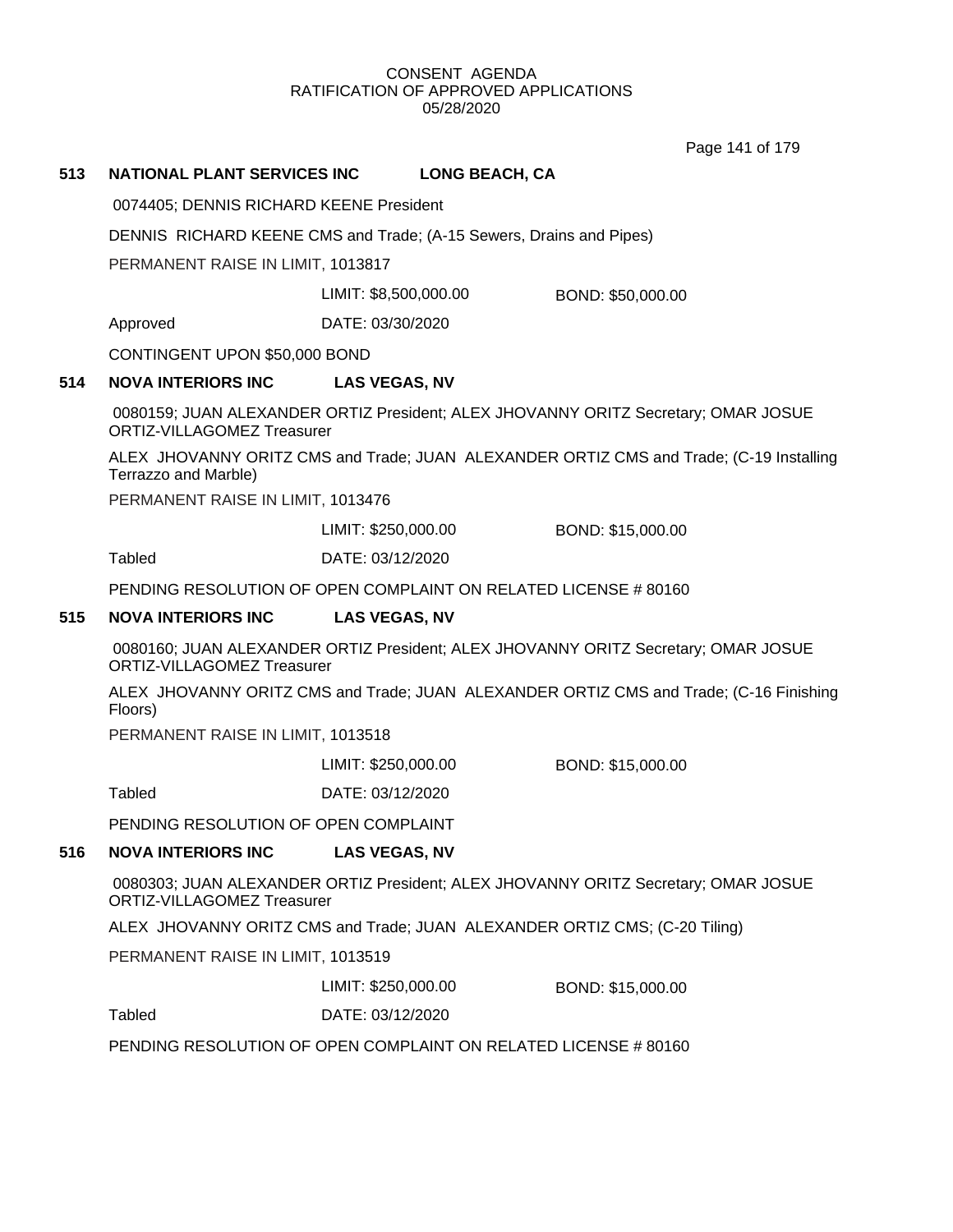Page 141 of 179

## **513 NATIONAL PLANT SERVICES INC LONG BEACH, CA**

0074405; DENNIS RICHARD KEENE President

DENNIS RICHARD KEENE CMS and Trade; (A-15 Sewers, Drains and Pipes)

PERMANENT RAISE IN LIMIT, 1013817

LIMIT: \$8,500,000.00 BOND: \$50,000.00

Approved DATE: 03/30/2020

CONTINGENT UPON \$50,000 BOND

## **514 NOVA INTERIORS INC LAS VEGAS, NV**

0080159; JUAN ALEXANDER ORTIZ President; ALEX JHOVANNY ORITZ Secretary; OMAR JOSUE ORTIZ-VILLAGOMEZ Treasurer

ALEX JHOVANNY ORITZ CMS and Trade; JUAN ALEXANDER ORTIZ CMS and Trade; (C-19 Installing Terrazzo and Marble)

PERMANENT RAISE IN LIMIT, 1013476

LIMIT: \$250,000.00 BOND: \$15,000.00

Tabled DATE: 03/12/2020

PENDING RESOLUTION OF OPEN COMPLAINT ON RELATED LICENSE # 80160

## **515 NOVA INTERIORS INC LAS VEGAS, NV**

0080160; JUAN ALEXANDER ORTIZ President; ALEX JHOVANNY ORITZ Secretary; OMAR JOSUE ORTIZ-VILLAGOMEZ Treasurer

ALEX JHOVANNY ORITZ CMS and Trade; JUAN ALEXANDER ORTIZ CMS and Trade; (C-16 Finishing Floors)

PERMANENT RAISE IN LIMIT, 1013518

LIMIT: \$250,000.00 BOND: \$15,000.00

Tabled DATE: 03/12/2020

PENDING RESOLUTION OF OPEN COMPLAINT

## **516 NOVA INTERIORS INC LAS VEGAS, NV**

0080303; JUAN ALEXANDER ORTIZ President; ALEX JHOVANNY ORITZ Secretary; OMAR JOSUE ORTIZ-VILLAGOMEZ Treasurer

ALEX JHOVANNY ORITZ CMS and Trade; JUAN ALEXANDER ORTIZ CMS; (C-20 Tiling)

PERMANENT RAISE IN LIMIT, 1013519

LIMIT: \$250,000.00 BOND: \$15,000.00

Tabled DATE: 03/12/2020

PENDING RESOLUTION OF OPEN COMPLAINT ON RELATED LICENSE # 80160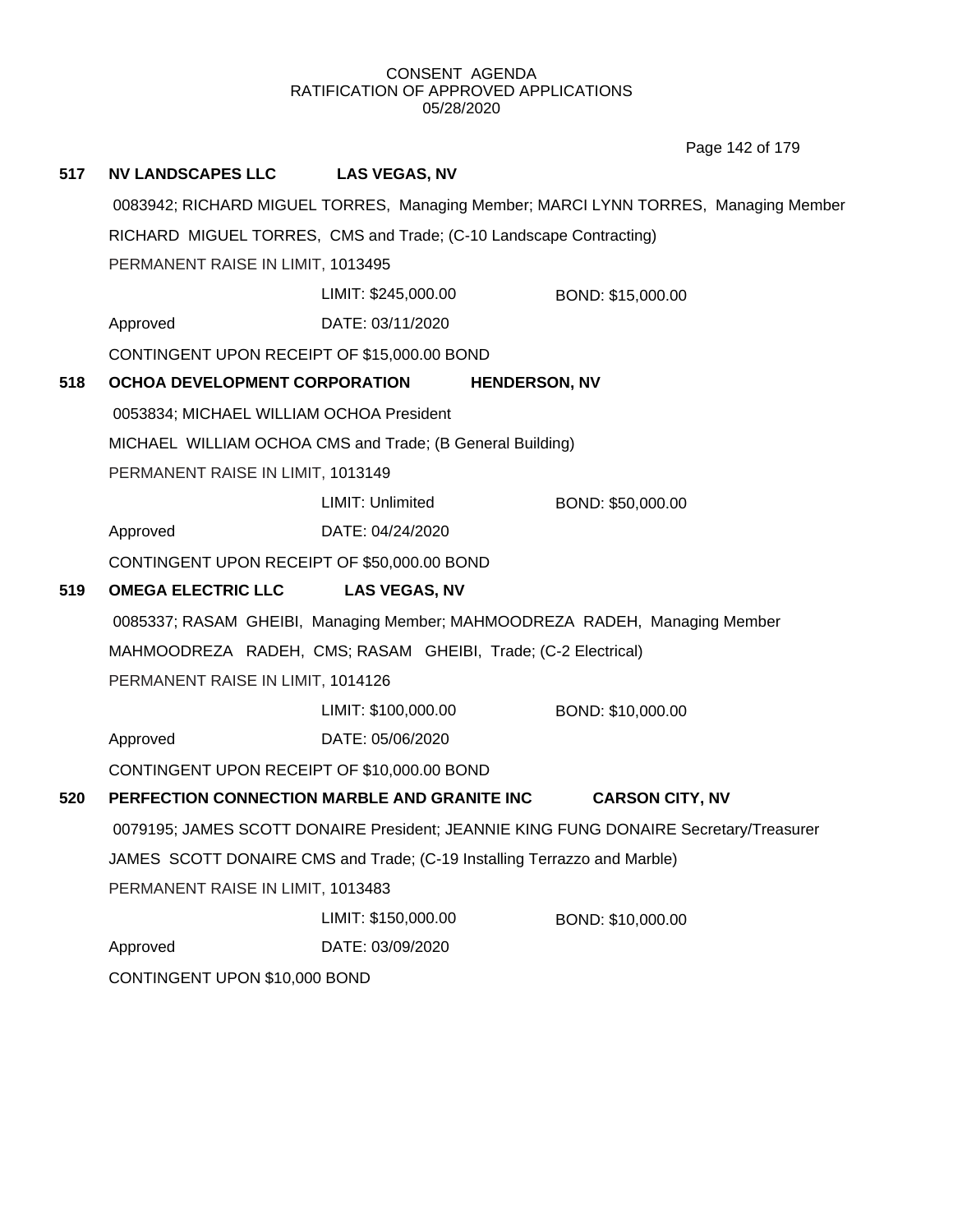Page 142 of 179

| 517 | <b>NV LANDSCAPES LLC</b>                                                              | <b>LAS VEGAS, NV</b>                                      |                                                                                     |  |  |  |
|-----|---------------------------------------------------------------------------------------|-----------------------------------------------------------|-------------------------------------------------------------------------------------|--|--|--|
|     |                                                                                       |                                                           | 0083942; RICHARD MIGUEL TORRES, Managing Member; MARCI LYNN TORRES, Managing Member |  |  |  |
|     | RICHARD MIGUEL TORRES, CMS and Trade; (C-10 Landscape Contracting)                    |                                                           |                                                                                     |  |  |  |
|     | PERMANENT RAISE IN LIMIT, 1013495                                                     |                                                           |                                                                                     |  |  |  |
|     |                                                                                       | LIMIT: \$245,000.00                                       | BOND: \$15,000.00                                                                   |  |  |  |
|     | Approved                                                                              | DATE: 03/11/2020                                          |                                                                                     |  |  |  |
|     | CONTINGENT UPON RECEIPT OF \$15,000.00 BOND                                           |                                                           |                                                                                     |  |  |  |
| 518 | <b>OCHOA DEVELOPMENT CORPORATION</b>                                                  |                                                           | <b>HENDERSON, NV</b>                                                                |  |  |  |
|     | 0053834; MICHAEL WILLIAM OCHOA President                                              |                                                           |                                                                                     |  |  |  |
|     |                                                                                       | MICHAEL WILLIAM OCHOA CMS and Trade; (B General Building) |                                                                                     |  |  |  |
|     | PERMANENT RAISE IN LIMIT, 1013149                                                     |                                                           |                                                                                     |  |  |  |
|     |                                                                                       | LIMIT: Unlimited                                          | BOND: \$50,000.00                                                                   |  |  |  |
|     | Approved                                                                              | DATE: 04/24/2020                                          |                                                                                     |  |  |  |
|     | CONTINGENT UPON RECEIPT OF \$50,000.00 BOND                                           |                                                           |                                                                                     |  |  |  |
| 519 | <b>OMEGA ELECTRIC LLC</b>                                                             | <b>LAS VEGAS, NV</b>                                      |                                                                                     |  |  |  |
|     |                                                                                       |                                                           | 0085337; RASAM GHEIBI, Managing Member; MAHMOODREZA RADEH, Managing Member          |  |  |  |
|     | MAHMOODREZA RADEH, CMS; RASAM GHEIBI, Trade; (C-2 Electrical)                         |                                                           |                                                                                     |  |  |  |
|     | PERMANENT RAISE IN LIMIT, 1014126                                                     |                                                           |                                                                                     |  |  |  |
|     |                                                                                       | LIMIT: \$100,000.00                                       | BOND: \$10,000.00                                                                   |  |  |  |
|     | Approved                                                                              | DATE: 05/06/2020                                          |                                                                                     |  |  |  |
|     | CONTINGENT UPON RECEIPT OF \$10,000.00 BOND                                           |                                                           |                                                                                     |  |  |  |
| 520 | PERFECTION CONNECTION MARBLE AND GRANITE INC                                          |                                                           | <b>CARSON CITY, NV</b>                                                              |  |  |  |
|     | 0079195; JAMES SCOTT DONAIRE President; JEANNIE KING FUNG DONAIRE Secretary/Treasurer |                                                           |                                                                                     |  |  |  |
|     | JAMES SCOTT DONAIRE CMS and Trade; (C-19 Installing Terrazzo and Marble)              |                                                           |                                                                                     |  |  |  |
|     | PERMANENT RAISE IN LIMIT, 1013483                                                     |                                                           |                                                                                     |  |  |  |
|     |                                                                                       | LIMIT: \$150,000.00                                       | BOND: \$10,000.00                                                                   |  |  |  |
|     | Approved                                                                              | DATE: 03/09/2020                                          |                                                                                     |  |  |  |
|     | CONTINGENT UPON \$10,000 BOND                                                         |                                                           |                                                                                     |  |  |  |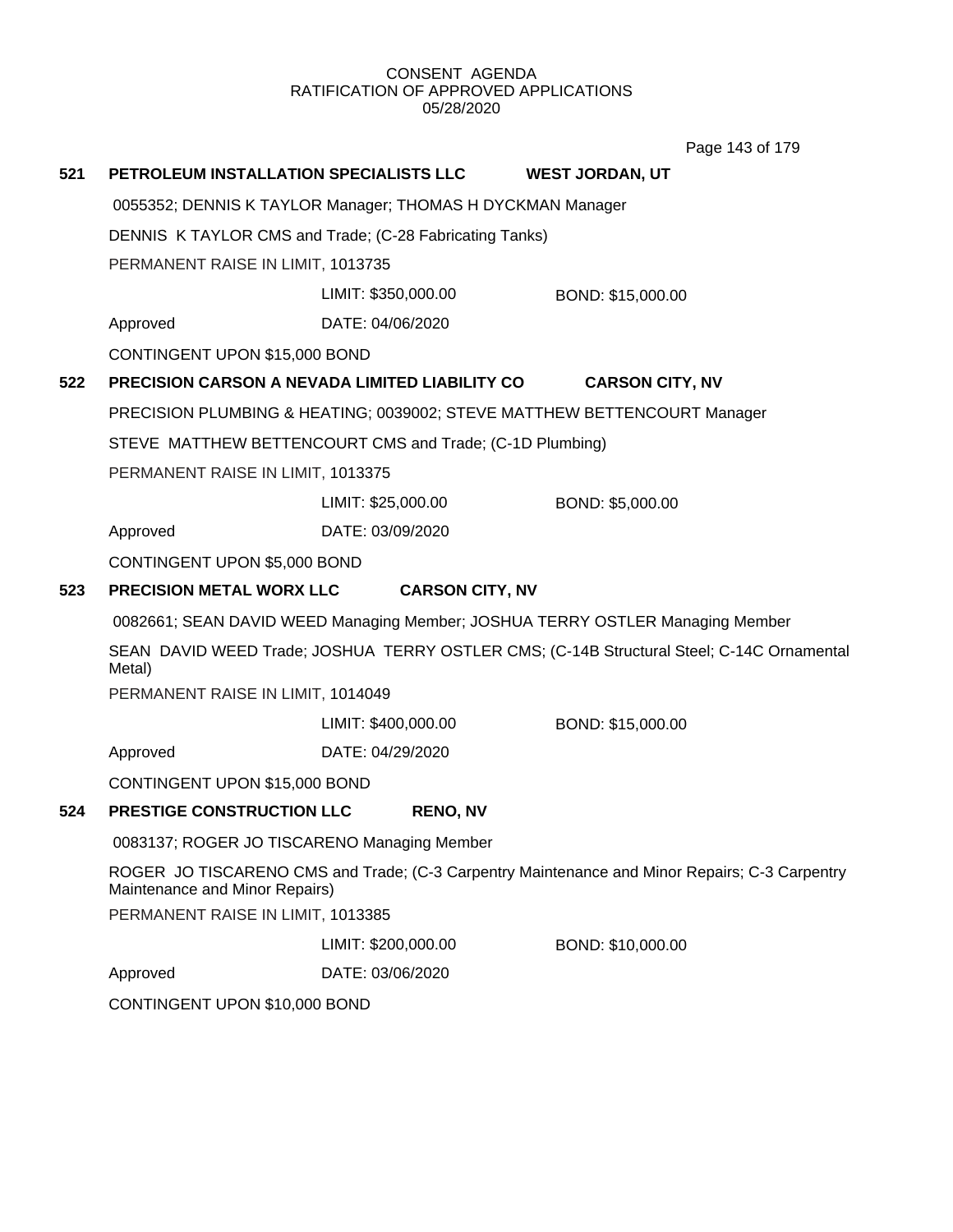Page 143 of 179

| 521 | PETROLEUM INSTALLATION SPECIALISTS LLC                                                                                          |                                                          | <b>WEST JORDAN, UT</b>                                                   |  |  |
|-----|---------------------------------------------------------------------------------------------------------------------------------|----------------------------------------------------------|--------------------------------------------------------------------------|--|--|
|     | 0055352; DENNIS K TAYLOR Manager; THOMAS H DYCKMAN Manager                                                                      |                                                          |                                                                          |  |  |
|     | DENNIS K TAYLOR CMS and Trade; (C-28 Fabricating Tanks)                                                                         |                                                          |                                                                          |  |  |
|     | PERMANENT RAISE IN LIMIT, 1013735                                                                                               |                                                          |                                                                          |  |  |
|     |                                                                                                                                 | LIMIT: \$350,000.00                                      | BOND: \$15,000.00                                                        |  |  |
|     | Approved                                                                                                                        | DATE: 04/06/2020                                         |                                                                          |  |  |
|     | CONTINGENT UPON \$15,000 BOND                                                                                                   |                                                          |                                                                          |  |  |
| 522 |                                                                                                                                 | PRECISION CARSON A NEVADA LIMITED LIABILITY CO           | <b>CARSON CITY, NV</b>                                                   |  |  |
|     |                                                                                                                                 |                                                          | PRECISION PLUMBING & HEATING; 0039002; STEVE MATTHEW BETTENCOURT Manager |  |  |
|     |                                                                                                                                 | STEVE MATTHEW BETTENCOURT CMS and Trade; (C-1D Plumbing) |                                                                          |  |  |
|     | PERMANENT RAISE IN LIMIT, 1013375                                                                                               |                                                          |                                                                          |  |  |
|     |                                                                                                                                 | LIMIT: \$25,000.00                                       | BOND: \$5,000.00                                                         |  |  |
|     | Approved                                                                                                                        | DATE: 03/09/2020                                         |                                                                          |  |  |
|     | CONTINGENT UPON \$5,000 BOND                                                                                                    |                                                          |                                                                          |  |  |
| 523 | <b>PRECISION METAL WORX LLC</b>                                                                                                 | <b>CARSON CITY, NV</b>                                   |                                                                          |  |  |
|     | 0082661; SEAN DAVID WEED Managing Member; JOSHUA TERRY OSTLER Managing Member                                                   |                                                          |                                                                          |  |  |
|     | SEAN DAVID WEED Trade; JOSHUA TERRY OSTLER CMS; (C-14B Structural Steel; C-14C Ornamental<br>Metal)                             |                                                          |                                                                          |  |  |
|     | PERMANENT RAISE IN LIMIT, 1014049                                                                                               |                                                          |                                                                          |  |  |
|     |                                                                                                                                 | LIMIT: \$400,000.00                                      | BOND: \$15,000.00                                                        |  |  |
|     | Approved                                                                                                                        | DATE: 04/29/2020                                         |                                                                          |  |  |
|     | CONTINGENT UPON \$15,000 BOND                                                                                                   |                                                          |                                                                          |  |  |
| 524 | PRESTIGE CONSTRUCTION LLC                                                                                                       | <b>RENO, NV</b>                                          |                                                                          |  |  |
|     | 0083137; ROGER JO TISCARENO Managing Member                                                                                     |                                                          |                                                                          |  |  |
|     | ROGER JO TISCARENO CMS and Trade; (C-3 Carpentry Maintenance and Minor Repairs; C-3 Carpentry<br>Maintenance and Minor Repairs) |                                                          |                                                                          |  |  |
|     | PERMANENT RAISE IN LIMIT, 1013385                                                                                               |                                                          |                                                                          |  |  |
|     |                                                                                                                                 | LIMIT: \$200,000.00                                      | BOND: \$10,000.00                                                        |  |  |
|     | Approved                                                                                                                        | DATE: 03/06/2020                                         |                                                                          |  |  |
|     | CONTINGENT UPON \$10,000 BOND                                                                                                   |                                                          |                                                                          |  |  |
|     |                                                                                                                                 |                                                          |                                                                          |  |  |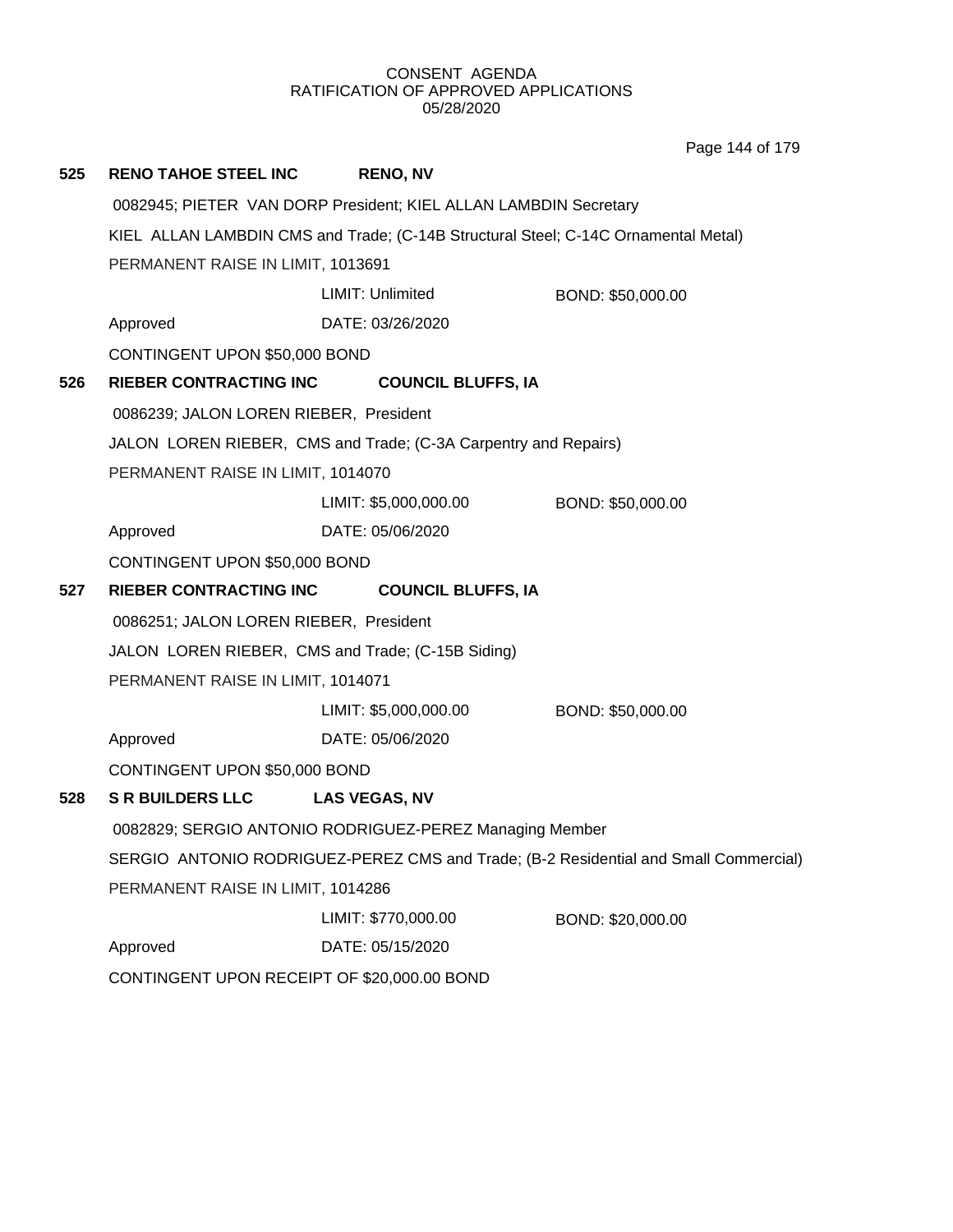Page 144 of 179

| 525 | <b>RENO TAHOE STEEL INC</b>                                                          | <b>RENO, NV</b>       |                                                                 |  |  |
|-----|--------------------------------------------------------------------------------------|-----------------------|-----------------------------------------------------------------|--|--|
|     | 0082945; PIETER VAN DORP President; KIEL ALLAN LAMBDIN Secretary                     |                       |                                                                 |  |  |
|     | KIEL ALLAN LAMBDIN CMS and Trade; (C-14B Structural Steel; C-14C Ornamental Metal)   |                       |                                                                 |  |  |
|     | PERMANENT RAISE IN LIMIT, 1013691                                                    |                       |                                                                 |  |  |
|     |                                                                                      | LIMIT: Unlimited      | BOND: \$50,000.00                                               |  |  |
|     | Approved                                                                             | DATE: 03/26/2020      |                                                                 |  |  |
|     | CONTINGENT UPON \$50,000 BOND                                                        |                       |                                                                 |  |  |
| 526 | <b>RIEBER CONTRACTING INC</b>                                                        |                       | <b>COUNCIL BLUFFS, IA</b>                                       |  |  |
|     | 0086239; JALON LOREN RIEBER, President                                               |                       |                                                                 |  |  |
|     |                                                                                      |                       | JALON LOREN RIEBER, CMS and Trade; (C-3A Carpentry and Repairs) |  |  |
|     | PERMANENT RAISE IN LIMIT, 1014070                                                    |                       |                                                                 |  |  |
|     |                                                                                      | LIMIT: \$5,000,000.00 | BOND: \$50,000.00                                               |  |  |
|     | Approved                                                                             | DATE: 05/06/2020      |                                                                 |  |  |
|     | CONTINGENT UPON \$50,000 BOND                                                        |                       |                                                                 |  |  |
| 527 | RIEBER CONTRACTING INC                                                               |                       | <b>COUNCIL BLUFFS, IA</b>                                       |  |  |
|     | 0086251; JALON LOREN RIEBER, President                                               |                       |                                                                 |  |  |
|     | JALON LOREN RIEBER, CMS and Trade; (C-15B Siding)                                    |                       |                                                                 |  |  |
|     | PERMANENT RAISE IN LIMIT, 1014071                                                    |                       |                                                                 |  |  |
|     |                                                                                      | LIMIT: \$5,000,000.00 | BOND: \$50,000.00                                               |  |  |
|     | Approved                                                                             | DATE: 05/06/2020      |                                                                 |  |  |
|     | CONTINGENT UPON \$50,000 BOND                                                        |                       |                                                                 |  |  |
| 528 | <b>S R BUILDERS LLC</b>                                                              | <b>LAS VEGAS, NV</b>  |                                                                 |  |  |
|     | 0082829; SERGIO ANTONIO RODRIGUEZ-PEREZ Managing Member                              |                       |                                                                 |  |  |
|     | SERGIO ANTONIO RODRIGUEZ-PEREZ CMS and Trade; (B-2 Residential and Small Commercial) |                       |                                                                 |  |  |
|     | PERMANENT RAISE IN LIMIT, 1014286                                                    |                       |                                                                 |  |  |
|     |                                                                                      | LIMIT: \$770,000.00   | BOND: \$20,000.00                                               |  |  |
|     | Approved                                                                             | DATE: 05/15/2020      |                                                                 |  |  |
|     | CONTINGENT UPON RECEIPT OF \$20,000.00 BOND                                          |                       |                                                                 |  |  |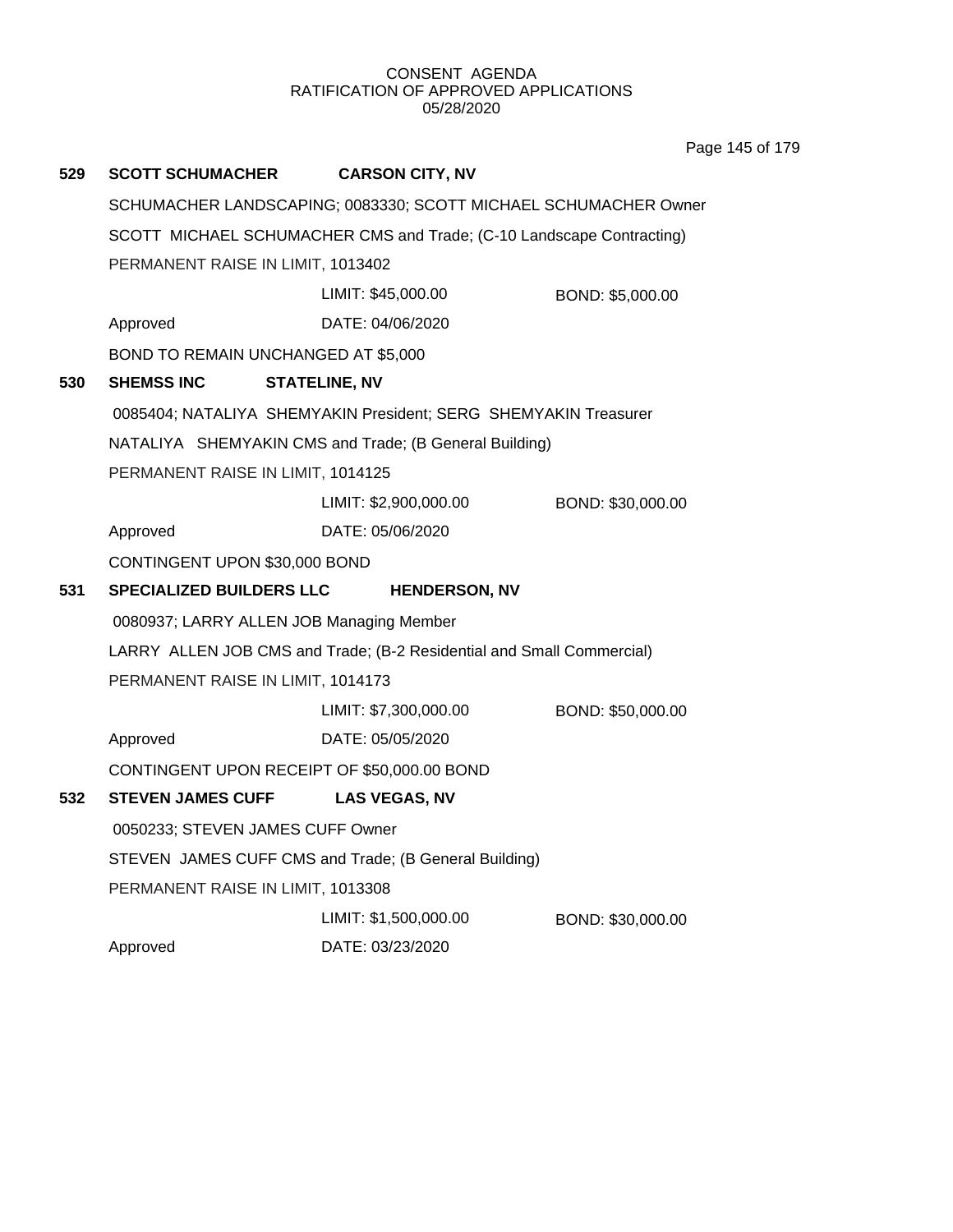Page 145 of 179

| 529 | <b>SCOTT SCHUMACHER</b>                  | <b>CARSON CITY, NV</b>                                                |                   |
|-----|------------------------------------------|-----------------------------------------------------------------------|-------------------|
|     |                                          | SCHUMACHER LANDSCAPING; 0083330; SCOTT MICHAEL SCHUMACHER Owner       |                   |
|     |                                          | SCOTT MICHAEL SCHUMACHER CMS and Trade; (C-10 Landscape Contracting)  |                   |
|     | PERMANENT RAISE IN LIMIT, 1013402        |                                                                       |                   |
|     |                                          | LIMIT: \$45,000.00                                                    | BOND: \$5,000.00  |
|     | Approved                                 | DATE: 04/06/2020                                                      |                   |
|     | BOND TO REMAIN UNCHANGED AT \$5,000      |                                                                       |                   |
| 530 | <b>SHEMSS INC</b>                        | <b>STATELINE, NV</b>                                                  |                   |
|     |                                          | 0085404; NATALIYA SHEMYAKIN President; SERG SHEMYAKIN Treasurer       |                   |
|     |                                          | NATALIYA SHEMYAKIN CMS and Trade; (B General Building)                |                   |
|     | PERMANENT RAISE IN LIMIT, 1014125        |                                                                       |                   |
|     |                                          | LIMIT: \$2,900,000.00                                                 | BOND: \$30,000.00 |
|     | Approved                                 | DATE: 05/06/2020                                                      |                   |
|     | CONTINGENT UPON \$30,000 BOND            |                                                                       |                   |
| 531 | <b>SPECIALIZED BUILDERS LLC</b>          | <b>HENDERSON, NV</b>                                                  |                   |
|     | 0080937; LARRY ALLEN JOB Managing Member |                                                                       |                   |
|     |                                          | LARRY ALLEN JOB CMS and Trade; (B-2 Residential and Small Commercial) |                   |
|     | PERMANENT RAISE IN LIMIT, 1014173        |                                                                       |                   |
|     |                                          | LIMIT: \$7,300,000.00                                                 | BOND: \$50,000.00 |
|     | Approved                                 | DATE: 05/05/2020                                                      |                   |
|     |                                          | CONTINGENT UPON RECEIPT OF \$50,000.00 BOND                           |                   |
| 532 | <b>STEVEN JAMES CUFF</b>                 | <b>LAS VEGAS, NV</b>                                                  |                   |
|     | 0050233; STEVEN JAMES CUFF Owner         |                                                                       |                   |
|     |                                          | STEVEN JAMES CUFF CMS and Trade; (B General Building)                 |                   |
|     | PERMANENT RAISE IN LIMIT, 1013308        |                                                                       |                   |
|     |                                          | LIMIT: \$1,500,000.00                                                 | BOND: \$30,000.00 |
|     | Approved                                 | DATE: 03/23/2020                                                      |                   |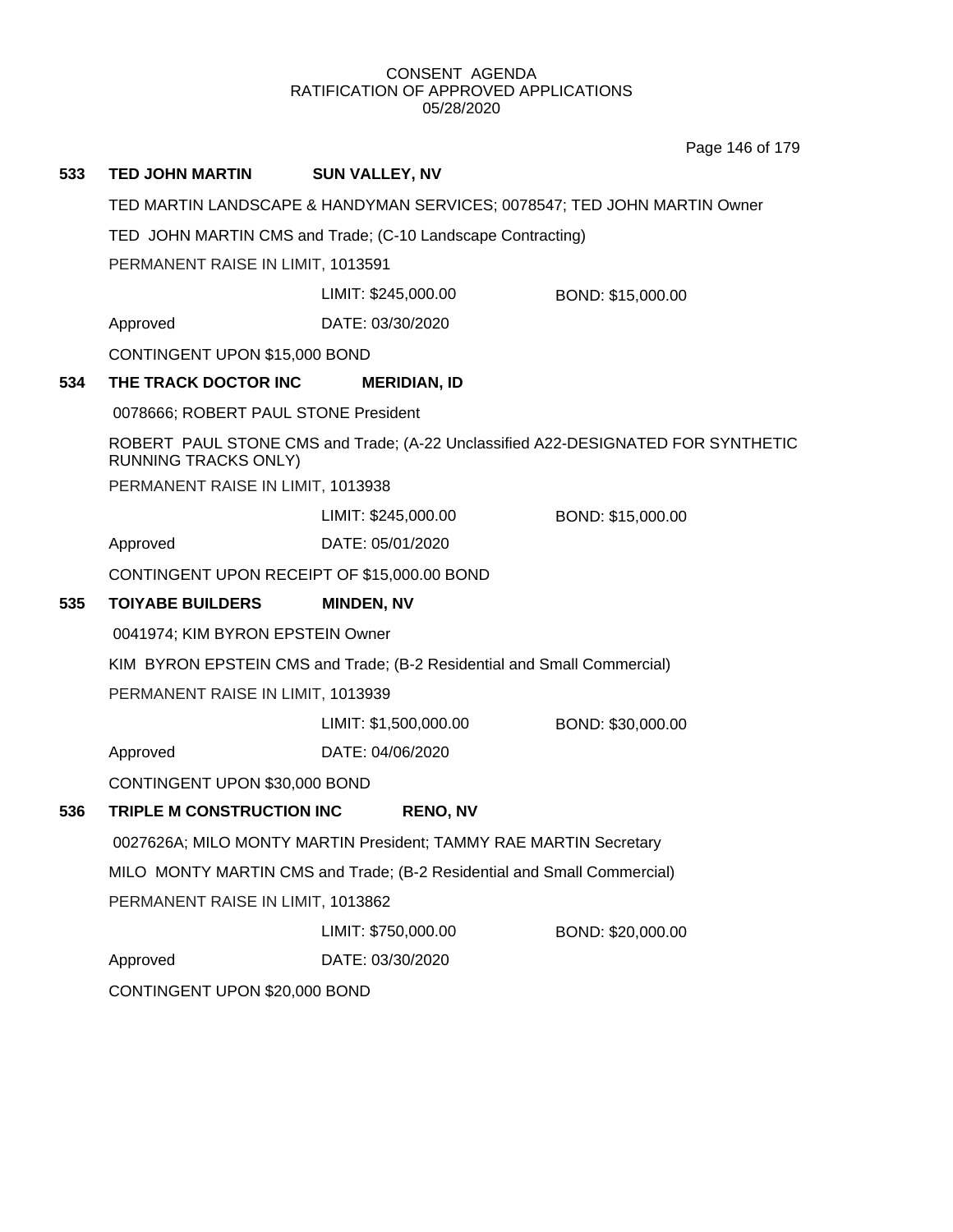Page 146 of 179

| 533 | <b>TED JOHN MARTIN</b>                                                                                          | <b>SUN VALLEY, NV</b> |                   |  |  |
|-----|-----------------------------------------------------------------------------------------------------------------|-----------------------|-------------------|--|--|
|     | TED MARTIN LANDSCAPE & HANDYMAN SERVICES; 0078547; TED JOHN MARTIN Owner                                        |                       |                   |  |  |
|     | TED JOHN MARTIN CMS and Trade; (C-10 Landscape Contracting)                                                     |                       |                   |  |  |
|     | PERMANENT RAISE IN LIMIT, 1013591                                                                               |                       |                   |  |  |
|     |                                                                                                                 | LIMIT: \$245,000.00   | BOND: \$15,000.00 |  |  |
|     | Approved                                                                                                        | DATE: 03/30/2020      |                   |  |  |
|     | CONTINGENT UPON \$15,000 BOND                                                                                   |                       |                   |  |  |
| 534 | THE TRACK DOCTOR INC                                                                                            | <b>MERIDIAN, ID</b>   |                   |  |  |
|     | 0078666; ROBERT PAUL STONE President                                                                            |                       |                   |  |  |
|     | ROBERT PAUL STONE CMS and Trade; (A-22 Unclassified A22-DESIGNATED FOR SYNTHETIC<br><b>RUNNING TRACKS ONLY)</b> |                       |                   |  |  |
|     | PERMANENT RAISE IN LIMIT, 1013938                                                                               |                       |                   |  |  |
|     |                                                                                                                 | LIMIT: \$245,000.00   | BOND: \$15,000.00 |  |  |
|     | Approved                                                                                                        | DATE: 05/01/2020      |                   |  |  |
|     | CONTINGENT UPON RECEIPT OF \$15,000.00 BOND                                                                     |                       |                   |  |  |
| 535 | <b>TOIYABE BUILDERS</b>                                                                                         | <b>MINDEN, NV</b>     |                   |  |  |
|     | 0041974; KIM BYRON EPSTEIN Owner                                                                                |                       |                   |  |  |
|     | KIM BYRON EPSTEIN CMS and Trade; (B-2 Residential and Small Commercial)                                         |                       |                   |  |  |
|     | PERMANENT RAISE IN LIMIT, 1013939                                                                               |                       |                   |  |  |
|     |                                                                                                                 | LIMIT: \$1,500,000.00 | BOND: \$30,000.00 |  |  |
|     | Approved                                                                                                        | DATE: 04/06/2020      |                   |  |  |
|     | CONTINGENT UPON \$30,000 BOND                                                                                   |                       |                   |  |  |
| 536 | TRIPLE M CONSTRUCTION INC<br><b>RENO, NV</b>                                                                    |                       |                   |  |  |
|     | 0027626A; MILO MONTY MARTIN President; TAMMY RAE MARTIN Secretary                                               |                       |                   |  |  |
|     | MILO MONTY MARTIN CMS and Trade; (B-2 Residential and Small Commercial)                                         |                       |                   |  |  |
|     | PERMANENT RAISE IN LIMIT, 1013862                                                                               |                       |                   |  |  |
|     |                                                                                                                 | LIMIT: \$750,000.00   | BOND: \$20,000.00 |  |  |
|     | Approved                                                                                                        | DATE: 03/30/2020      |                   |  |  |
|     | CONTINGENT UPON \$20,000 BOND                                                                                   |                       |                   |  |  |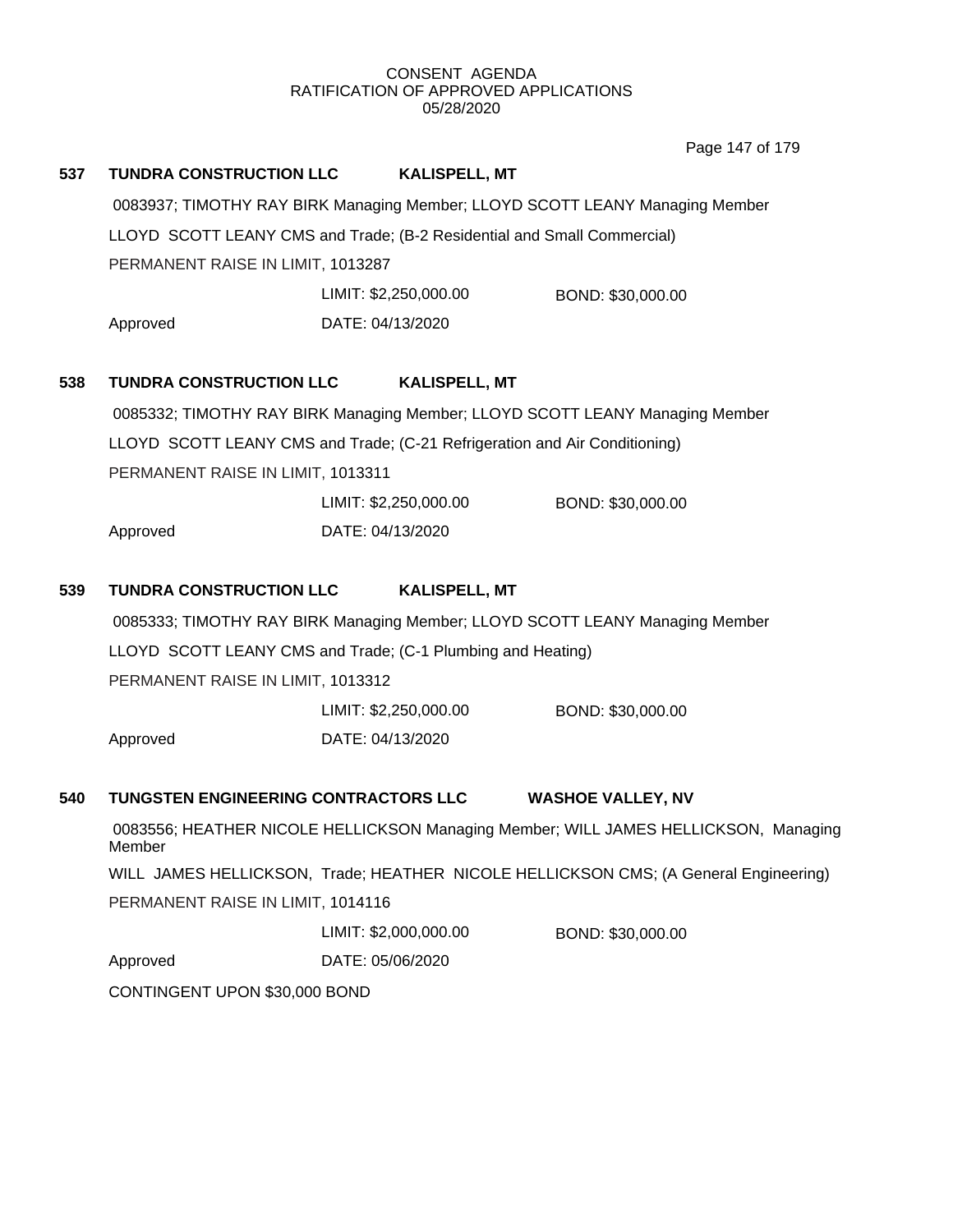Page 147 of 179

| 537 | <b>TUNDRA CONSTRUCTION LLC</b>                                                                |                                                                              | <b>KALISPELL, MT</b>  |                          |  |
|-----|-----------------------------------------------------------------------------------------------|------------------------------------------------------------------------------|-----------------------|--------------------------|--|
|     | 0083937; TIMOTHY RAY BIRK Managing Member; LLOYD SCOTT LEANY Managing Member                  |                                                                              |                       |                          |  |
|     | LLOYD SCOTT LEANY CMS and Trade; (B-2 Residential and Small Commercial)                       |                                                                              |                       |                          |  |
|     | PERMANENT RAISE IN LIMIT, 1013287                                                             |                                                                              |                       |                          |  |
|     |                                                                                               |                                                                              | LIMIT: \$2,250,000.00 | BOND: \$30,000.00        |  |
|     | Approved                                                                                      | DATE: 04/13/2020                                                             |                       |                          |  |
| 538 | <b>TUNDRA CONSTRUCTION LLC</b>                                                                |                                                                              | <b>KALISPELL, MT</b>  |                          |  |
|     |                                                                                               | 0085332; TIMOTHY RAY BIRK Managing Member; LLOYD SCOTT LEANY Managing Member |                       |                          |  |
|     | LLOYD SCOTT LEANY CMS and Trade; (C-21 Refrigeration and Air Conditioning)                    |                                                                              |                       |                          |  |
|     | PERMANENT RAISE IN LIMIT, 1013311                                                             |                                                                              |                       |                          |  |
|     |                                                                                               |                                                                              | LIMIT: \$2,250,000.00 | BOND: \$30,000.00        |  |
|     | Approved                                                                                      | DATE: 04/13/2020                                                             |                       |                          |  |
| 539 | <b>TUNDRA CONSTRUCTION LLC</b>                                                                |                                                                              | <b>KALISPELL, MT</b>  |                          |  |
|     | 0085333; TIMOTHY RAY BIRK Managing Member; LLOYD SCOTT LEANY Managing Member                  |                                                                              |                       |                          |  |
|     | LLOYD SCOTT LEANY CMS and Trade; (C-1 Plumbing and Heating)                                   |                                                                              |                       |                          |  |
|     | PERMANENT RAISE IN LIMIT, 1013312                                                             |                                                                              |                       |                          |  |
|     |                                                                                               |                                                                              | LIMIT: \$2,250,000.00 | BOND: \$30,000.00        |  |
|     | Approved                                                                                      | DATE: 04/13/2020                                                             |                       |                          |  |
| 540 | TUNGSTEN ENGINEERING CONTRACTORS LLC                                                          |                                                                              |                       | <b>WASHOE VALLEY, NV</b> |  |
|     | 0083556; HEATHER NICOLE HELLICKSON Managing Member; WILL JAMES HELLICKSON, Managing<br>Member |                                                                              |                       |                          |  |
|     | WILL JAMES HELLICKSON, Trade; HEATHER NICOLE HELLICKSON CMS; (A General Engineering)          |                                                                              |                       |                          |  |
|     | PERMANENT RAISE IN LIMIT, 1014116                                                             |                                                                              |                       |                          |  |
|     |                                                                                               |                                                                              | LIMIT: \$2,000,000.00 | BOND: \$30,000.00        |  |
|     | Approved                                                                                      | DATE: 05/06/2020                                                             |                       |                          |  |
|     | CONTINGENT UPON \$30,000 BOND                                                                 |                                                                              |                       |                          |  |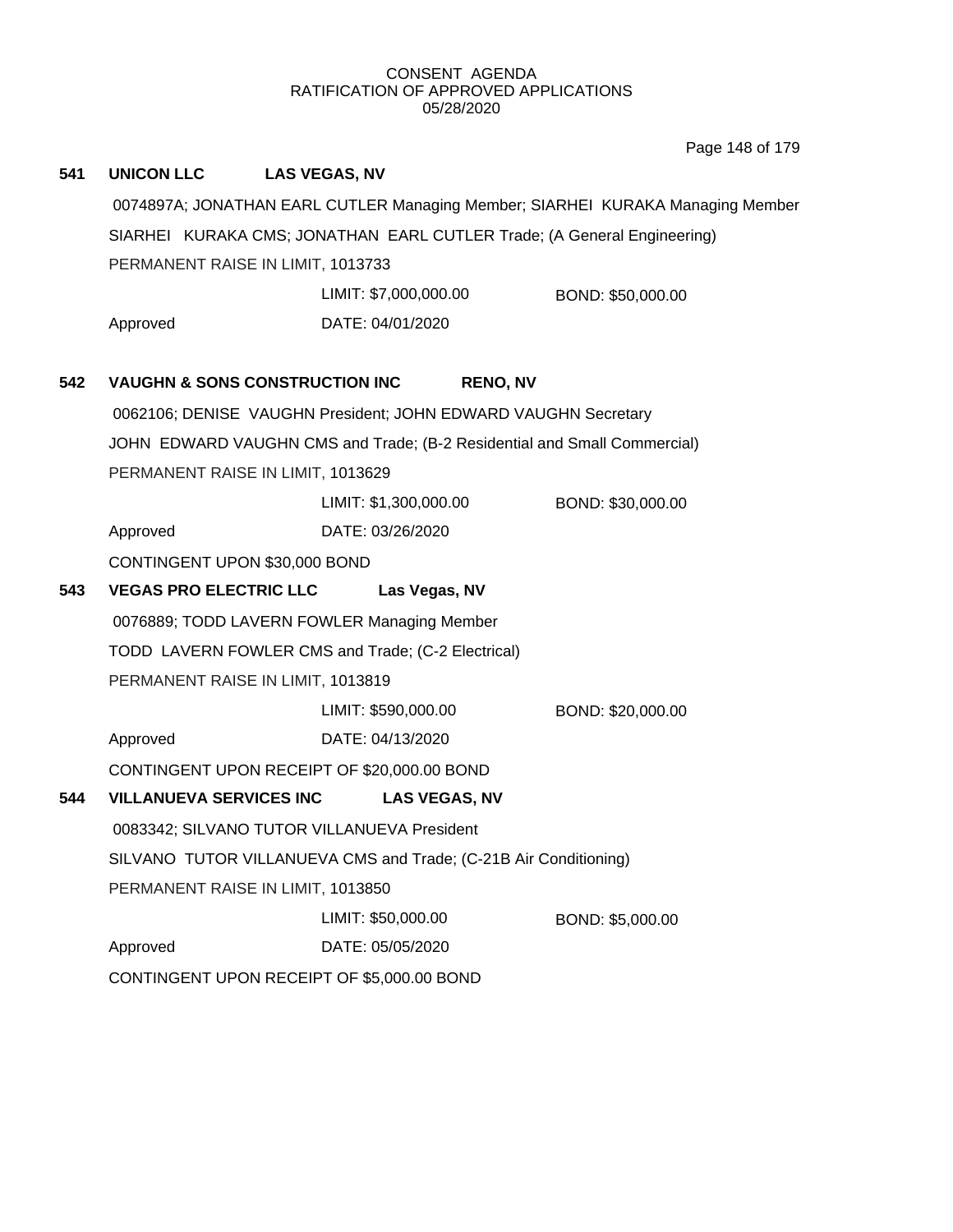Page 148 of 179

| 541                                                                            | <b>UNICON LLC</b>                                                       | <b>LAS VEGAS, NV</b>                                                     |                   |  |
|--------------------------------------------------------------------------------|-------------------------------------------------------------------------|--------------------------------------------------------------------------|-------------------|--|
| 0074897A; JONATHAN EARL CUTLER Managing Member; SIARHEI KURAKA Managing Member |                                                                         |                                                                          |                   |  |
|                                                                                | SIARHEI KURAKA CMS; JONATHAN EARL CUTLER Trade; (A General Engineering) |                                                                          |                   |  |
|                                                                                | PERMANENT RAISE IN LIMIT, 1013733                                       |                                                                          |                   |  |
|                                                                                |                                                                         | LIMIT: \$7,000,000.00                                                    | BOND: \$50,000.00 |  |
|                                                                                | Approved                                                                | DATE: 04/01/2020                                                         |                   |  |
|                                                                                |                                                                         |                                                                          |                   |  |
| 542                                                                            | <b>VAUGHN &amp; SONS CONSTRUCTION INC</b>                               | <b>RENO, NV</b>                                                          |                   |  |
|                                                                                |                                                                         | 0062106; DENISE VAUGHN President; JOHN EDWARD VAUGHN Secretary           |                   |  |
|                                                                                |                                                                         | JOHN EDWARD VAUGHN CMS and Trade; (B-2 Residential and Small Commercial) |                   |  |
|                                                                                | PERMANENT RAISE IN LIMIT, 1013629                                       |                                                                          |                   |  |
|                                                                                |                                                                         | LIMIT: \$1,300,000.00                                                    | BOND: \$30,000.00 |  |
|                                                                                | Approved                                                                | DATE: 03/26/2020                                                         |                   |  |
|                                                                                | CONTINGENT UPON \$30,000 BOND                                           |                                                                          |                   |  |
| 543                                                                            | <b>VEGAS PRO ELECTRIC LLC</b>                                           | Las Vegas, NV                                                            |                   |  |
|                                                                                |                                                                         |                                                                          |                   |  |
|                                                                                |                                                                         | 0076889; TODD LAVERN FOWLER Managing Member                              |                   |  |
|                                                                                |                                                                         | TODD LAVERN FOWLER CMS and Trade; (C-2 Electrical)                       |                   |  |
|                                                                                | PERMANENT RAISE IN LIMIT, 1013819                                       |                                                                          |                   |  |
|                                                                                |                                                                         | LIMIT: \$590,000.00                                                      | BOND: \$20,000.00 |  |
|                                                                                | Approved                                                                | DATE: 04/13/2020                                                         |                   |  |
|                                                                                |                                                                         | CONTINGENT UPON RECEIPT OF \$20,000.00 BOND                              |                   |  |
| 544                                                                            | <b>VILLANUEVA SERVICES INC</b>                                          | <b>LAS VEGAS, NV</b>                                                     |                   |  |
|                                                                                |                                                                         | 0083342; SILVANO TUTOR VILLANUEVA President                              |                   |  |
|                                                                                |                                                                         | SILVANO TUTOR VILLANUEVA CMS and Trade; (C-21B Air Conditioning)         |                   |  |
|                                                                                | PERMANENT RAISE IN LIMIT, 1013850                                       |                                                                          |                   |  |
|                                                                                |                                                                         | LIMIT: \$50,000.00                                                       | BOND: \$5,000.00  |  |
|                                                                                | Approved                                                                | DATE: 05/05/2020                                                         |                   |  |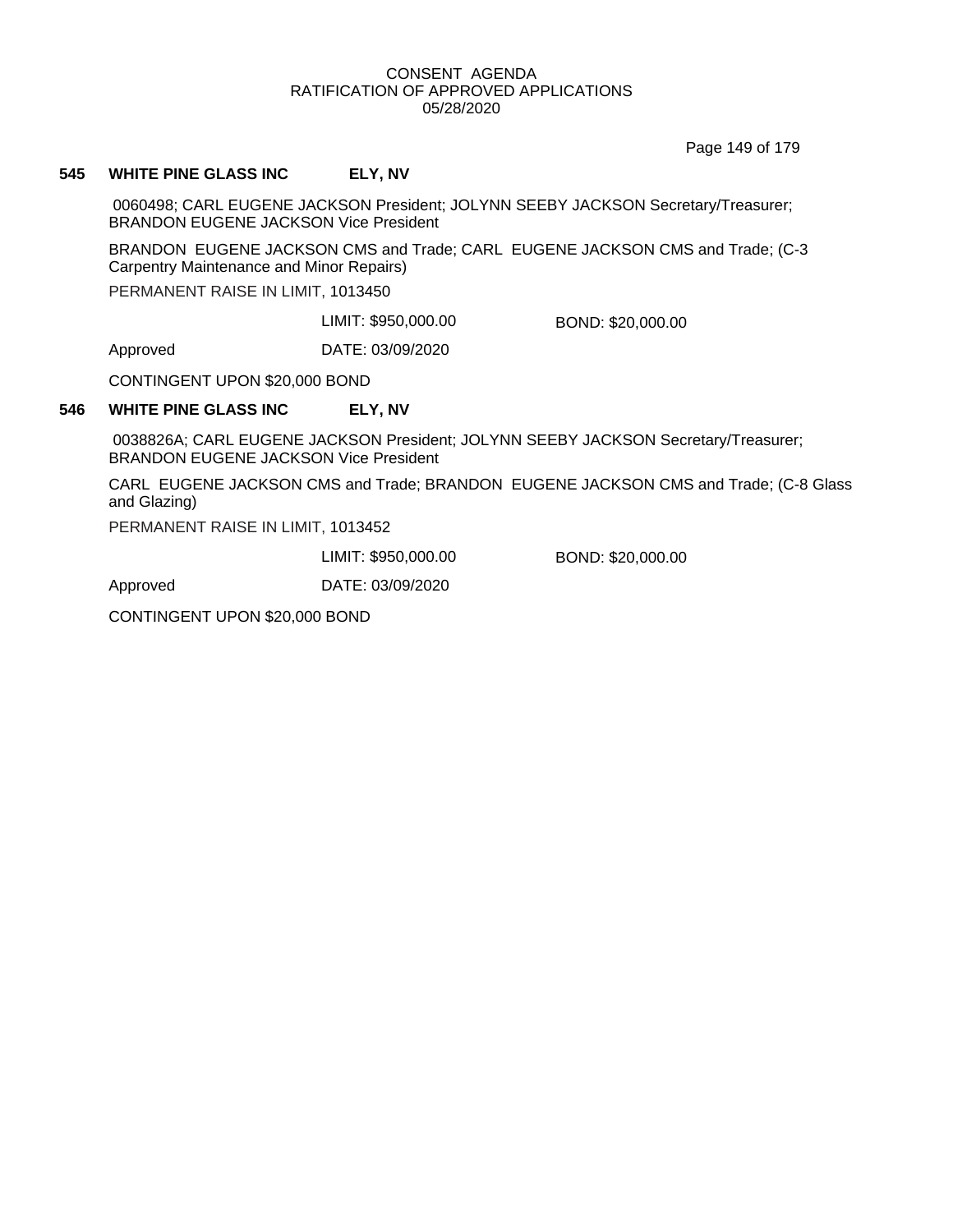Page 149 of 179

#### **545 WHITE PINE GLASS INC ELY, NV**

0060498; CARL EUGENE JACKSON President; JOLYNN SEEBY JACKSON Secretary/Treasurer; BRANDON EUGENE JACKSON Vice President

BRANDON EUGENE JACKSON CMS and Trade; CARL EUGENE JACKSON CMS and Trade; (C-3 Carpentry Maintenance and Minor Repairs)

PERMANENT RAISE IN LIMIT, 1013450

LIMIT: \$950,000.00 BOND: \$20,000.00

Approved DATE: 03/09/2020

CONTINGENT UPON \$20,000 BOND

#### **546 WHITE PINE GLASS INC ELY, NV**

0038826A; CARL EUGENE JACKSON President; JOLYNN SEEBY JACKSON Secretary/Treasurer; BRANDON EUGENE JACKSON Vice President

CARL EUGENE JACKSON CMS and Trade; BRANDON EUGENE JACKSON CMS and Trade; (C-8 Glass and Glazing)

PERMANENT RAISE IN LIMIT, 1013452

LIMIT: \$950,000.00 BOND: \$20,000.00

Approved DATE: 03/09/2020

CONTINGENT UPON \$20,000 BOND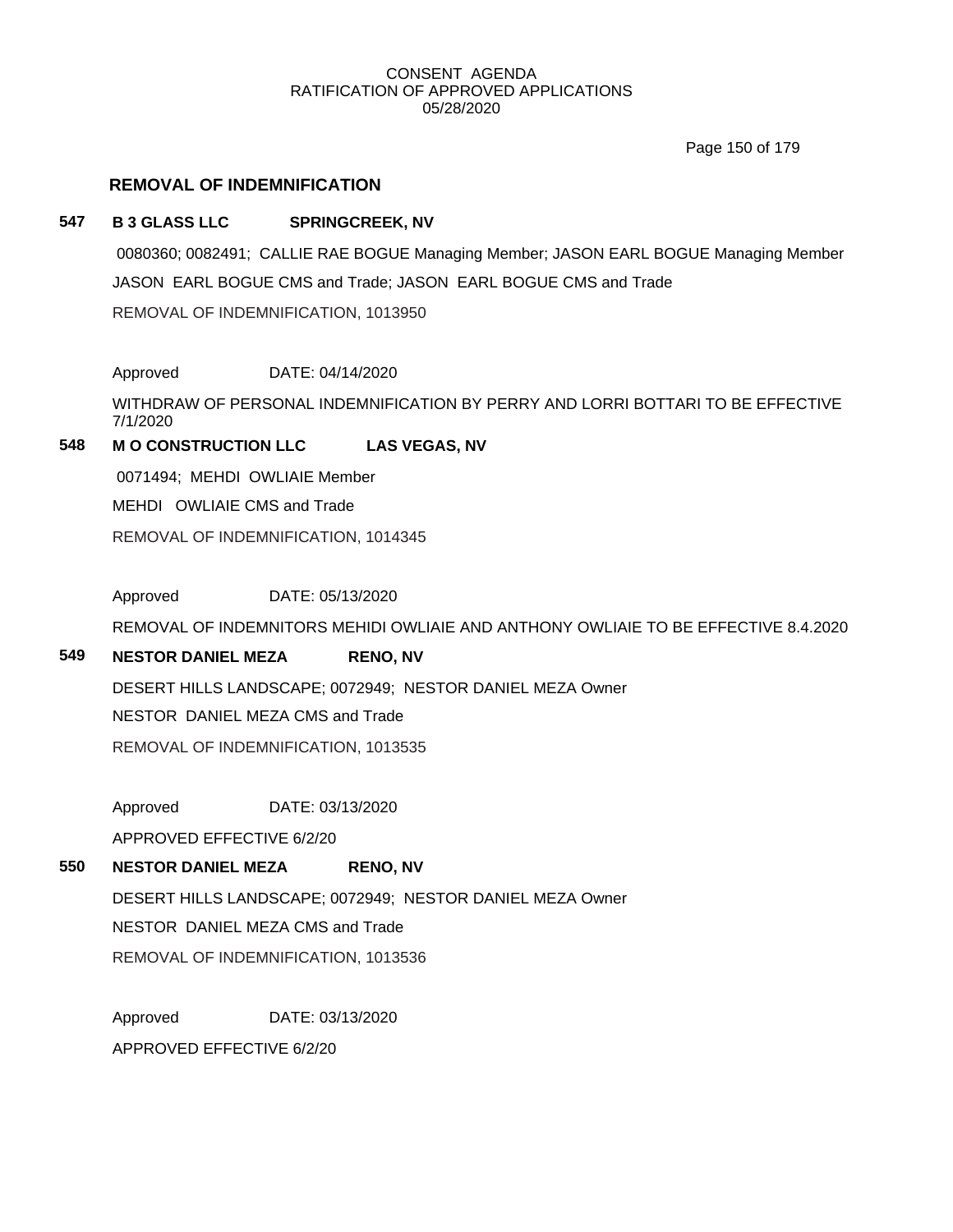Page 150 of 179

# **REMOVAL OF INDEMNIFICATION**

## **547 B 3 GLASS LLC SPRINGCREEK, NV**

0080360; 0082491; CALLIE RAE BOGUE Managing Member; JASON EARL BOGUE Managing Member JASON EARL BOGUE CMS and Trade; JASON EARL BOGUE CMS and Trade REMOVAL OF INDEMNIFICATION, 1013950

Approved DATE: 04/14/2020

WITHDRAW OF PERSONAL INDEMNIFICATION BY PERRY AND LORRI BOTTARI TO BE EFFECTIVE 7/1/2020

# **548 M O CONSTRUCTION LLC LAS VEGAS, NV**

0071494; MEHDI OWLIAIE Member

MEHDI OWLIAIE CMS and Trade

REMOVAL OF INDEMNIFICATION, 1014345

Approved DATE: 05/13/2020

REMOVAL OF INDEMNITORS MEHIDI OWLIAIE AND ANTHONY OWLIAIE TO BE EFFECTIVE 8.4.2020

## **549 NESTOR DANIEL MEZA RENO, NV**

DESERT HILLS LANDSCAPE; 0072949; NESTOR DANIEL MEZA Owner

NESTOR DANIEL MEZA CMS and Trade

REMOVAL OF INDEMNIFICATION, 1013535

Approved DATE: 03/13/2020

APPROVED EFFECTIVE 6/2/20

## **550 NESTOR DANIEL MEZA RENO, NV**

DESERT HILLS LANDSCAPE; 0072949; NESTOR DANIEL MEZA Owner NESTOR DANIEL MEZA CMS and Trade REMOVAL OF INDEMNIFICATION, 1013536

Approved DATE: 03/13/2020 APPROVED EFFECTIVE 6/2/20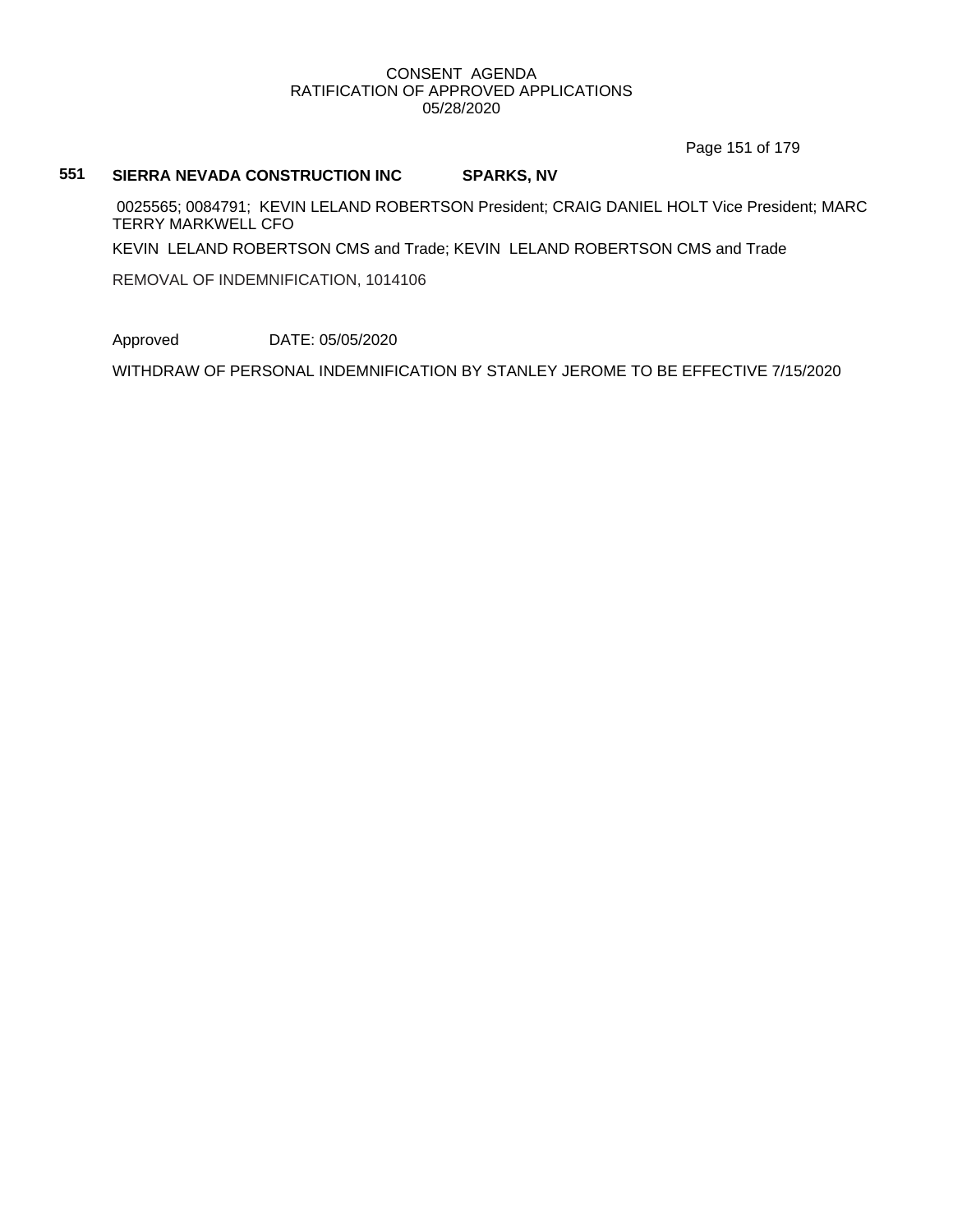Page 151 of 179

#### **551 SIERRA NEVADA CONSTRUCTION INC SPARKS, NV**

0025565; 0084791; KEVIN LELAND ROBERTSON President; CRAIG DANIEL HOLT Vice President; MARC TERRY MARKWELL CFO

KEVIN LELAND ROBERTSON CMS and Trade; KEVIN LELAND ROBERTSON CMS and Trade

REMOVAL OF INDEMNIFICATION, 1014106

Approved DATE: 05/05/2020

WITHDRAW OF PERSONAL INDEMNIFICATION BY STANLEY JEROME TO BE EFFECTIVE 7/15/2020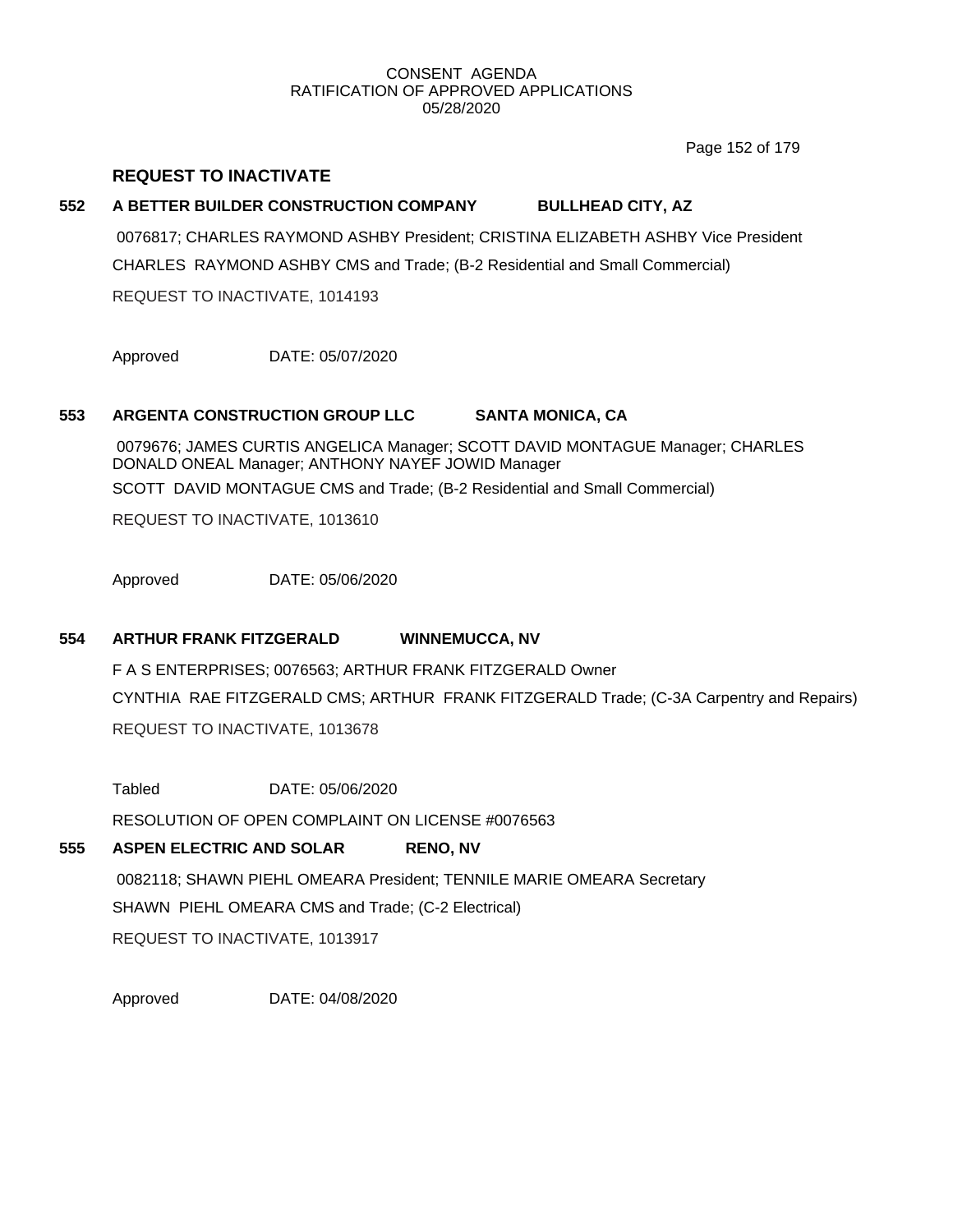Page 152 of 179

## **REQUEST TO INACTIVATE**

# **552 A BETTER BUILDER CONSTRUCTION COMPANY BULLHEAD CITY, AZ**

0076817; CHARLES RAYMOND ASHBY President; CRISTINA ELIZABETH ASHBY Vice President CHARLES RAYMOND ASHBY CMS and Trade; (B-2 Residential and Small Commercial) REQUEST TO INACTIVATE, 1014193

Approved DATE: 05/07/2020

# **553 ARGENTA CONSTRUCTION GROUP LLC SANTA MONICA, CA**

0079676; JAMES CURTIS ANGELICA Manager; SCOTT DAVID MONTAGUE Manager; CHARLES DONALD ONEAL Manager; ANTHONY NAYEF JOWID Manager SCOTT DAVID MONTAGUE CMS and Trade; (B-2 Residential and Small Commercial)

REQUEST TO INACTIVATE, 1013610

Approved DATE: 05/06/2020

## **554 ARTHUR FRANK FITZGERALD WINNEMUCCA, NV**

F A S ENTERPRISES; 0076563; ARTHUR FRANK FITZGERALD Owner CYNTHIA RAE FITZGERALD CMS; ARTHUR FRANK FITZGERALD Trade; (C-3A Carpentry and Repairs) REQUEST TO INACTIVATE, 1013678

Tabled DATE: 05/06/2020

RESOLUTION OF OPEN COMPLAINT ON LICENSE #0076563

## **555 ASPEN ELECTRIC AND SOLAR RENO, NV**

0082118; SHAWN PIEHL OMEARA President; TENNILE MARIE OMEARA Secretary SHAWN PIEHL OMEARA CMS and Trade; (C-2 Electrical) REQUEST TO INACTIVATE, 1013917

Approved DATE: 04/08/2020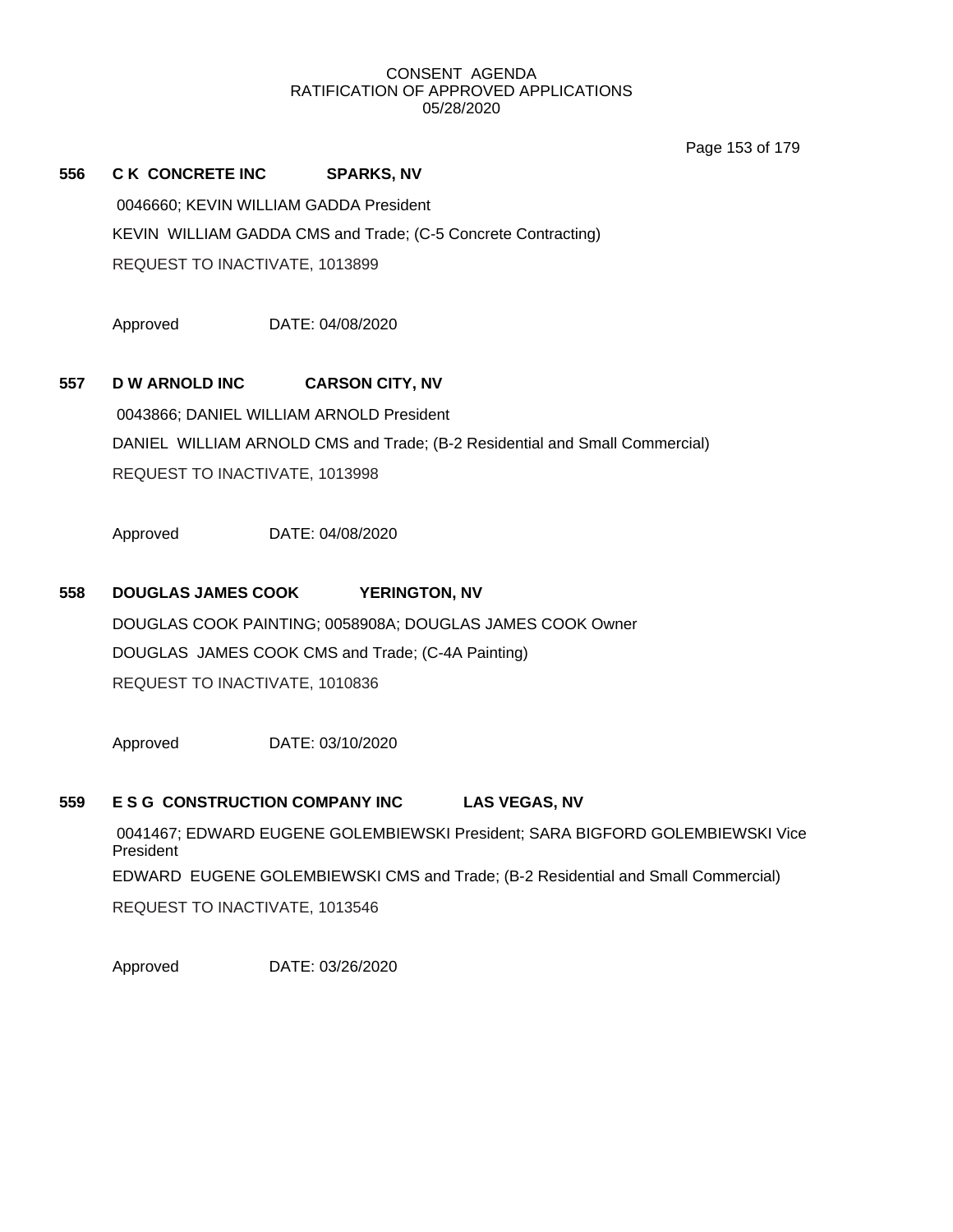Page 153 of 179

| 556 | <b>C K CONCRETE INC</b>                | <b>SPARKS, NV</b>                                             |
|-----|----------------------------------------|---------------------------------------------------------------|
|     | 0046660: KEVIN WILLIAM GADDA President |                                                               |
|     |                                        | KEVIN WILLIAM GADDA CMS and Trade; (C-5 Concrete Contracting) |
|     | REQUEST TO INACTIVATE, 1013899         |                                                               |

Approved DATE: 04/08/2020

# **557 D W ARNOLD INC CARSON CITY, NV**

0043866; DANIEL WILLIAM ARNOLD President DANIEL WILLIAM ARNOLD CMS and Trade; (B-2 Residential and Small Commercial) REQUEST TO INACTIVATE, 1013998

Approved DATE: 04/08/2020

## **558 DOUGLAS JAMES COOK YERINGTON, NV**

DOUGLAS COOK PAINTING; 0058908A; DOUGLAS JAMES COOK Owner DOUGLAS JAMES COOK CMS and Trade; (C-4A Painting) REQUEST TO INACTIVATE, 1010836

Approved DATE: 03/10/2020

## **559 E S G CONSTRUCTION COMPANY INC LAS VEGAS, NV**

0041467; EDWARD EUGENE GOLEMBIEWSKI President; SARA BIGFORD GOLEMBIEWSKI Vice President EDWARD EUGENE GOLEMBIEWSKI CMS and Trade; (B-2 Residential and Small Commercial) REQUEST TO INACTIVATE, 1013546

Approved DATE: 03/26/2020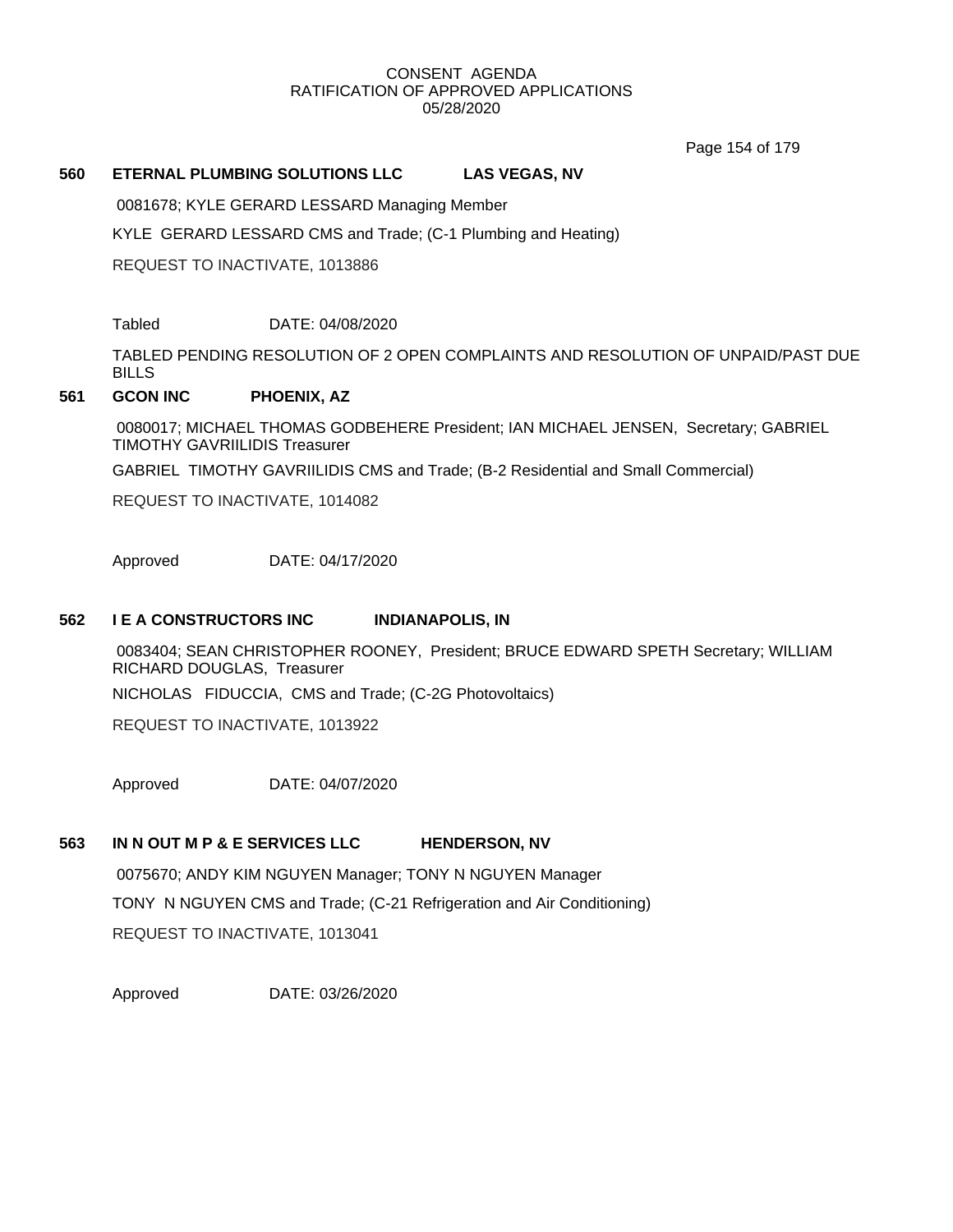Page 154 of 179

### **560 ETERNAL PLUMBING SOLUTIONS LLC LAS VEGAS, NV**

0081678; KYLE GERARD LESSARD Managing Member

KYLE GERARD LESSARD CMS and Trade; (C-1 Plumbing and Heating)

REQUEST TO INACTIVATE, 1013886

Tabled DATE: 04/08/2020

TABLED PENDING RESOLUTION OF 2 OPEN COMPLAINTS AND RESOLUTION OF UNPAID/PAST DUE **BILLS** 

#### **561 GCON INC PHOENIX, AZ**

0080017; MICHAEL THOMAS GODBEHERE President; IAN MICHAEL JENSEN, Secretary; GABRIEL TIMOTHY GAVRIILIDIS Treasurer

GABRIEL TIMOTHY GAVRIILIDIS CMS and Trade; (B-2 Residential and Small Commercial)

REQUEST TO INACTIVATE, 1014082

Approved DATE: 04/17/2020

### **562 I E A CONSTRUCTORS INC INDIANAPOLIS, IN**

0083404; SEAN CHRISTOPHER ROONEY, President; BRUCE EDWARD SPETH Secretary; WILLIAM RICHARD DOUGLAS, Treasurer NICHOLAS FIDUCCIA, CMS and Trade; (C-2G Photovoltaics)

REQUEST TO INACTIVATE, 1013922

Approved DATE: 04/07/2020

## **563 IN N OUT M P & E SERVICES LLC HENDERSON, NV**

0075670; ANDY KIM NGUYEN Manager; TONY N NGUYEN Manager TONY N NGUYEN CMS and Trade; (C-21 Refrigeration and Air Conditioning) REQUEST TO INACTIVATE, 1013041

Approved DATE: 03/26/2020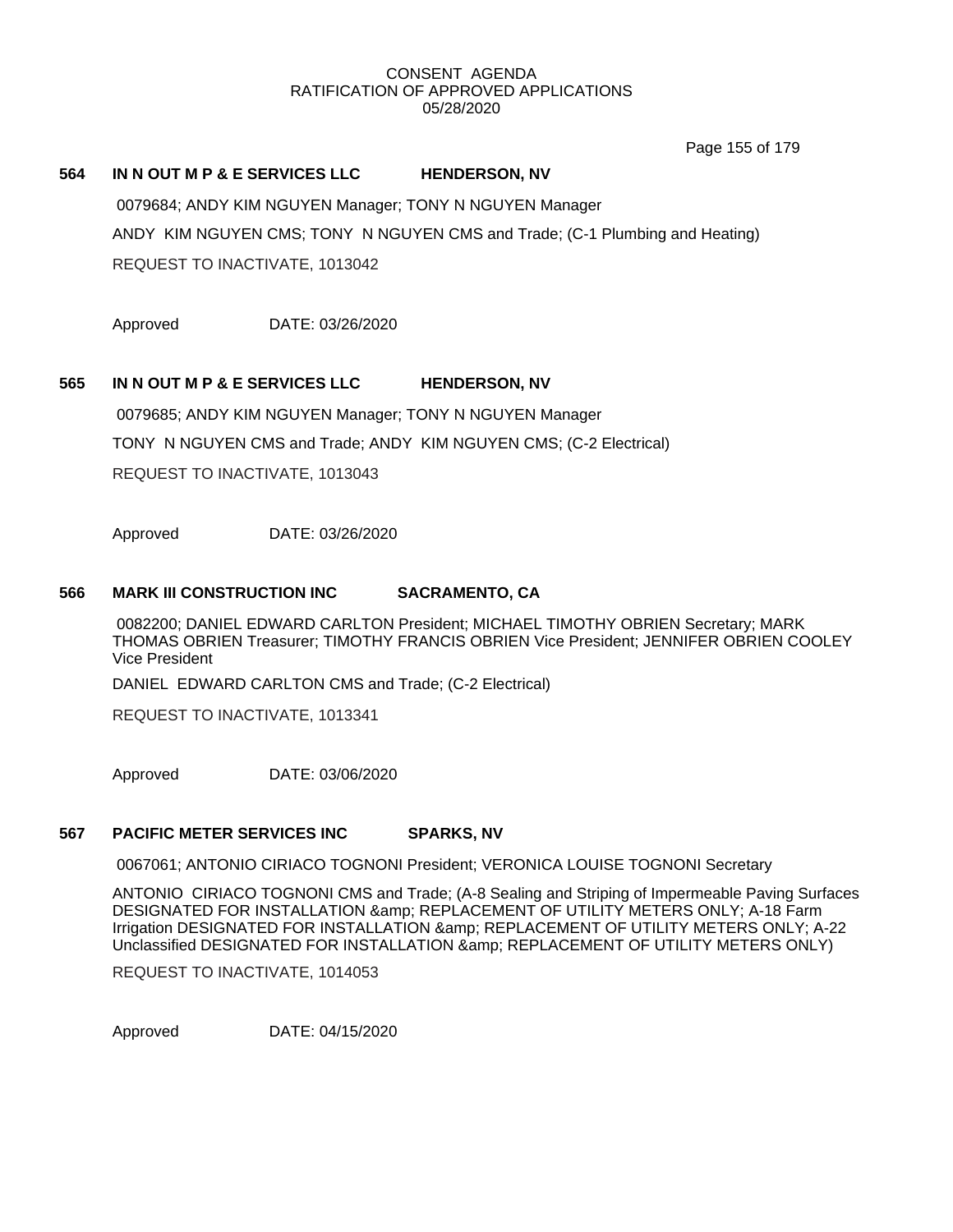Page 155 of 179

#### **564 IN N OUT M P & E SERVICES LLC HENDERSON, NV**

0079684; ANDY KIM NGUYEN Manager; TONY N NGUYEN Manager ANDY KIM NGUYEN CMS; TONY N NGUYEN CMS and Trade; (C-1 Plumbing and Heating) REQUEST TO INACTIVATE, 1013042

Approved DATE: 03/26/2020

#### **565 IN N OUT M P & E SERVICES LLC HENDERSON, NV**

0079685; ANDY KIM NGUYEN Manager; TONY N NGUYEN Manager TONY N NGUYEN CMS and Trade; ANDY KIM NGUYEN CMS; (C-2 Electrical) REQUEST TO INACTIVATE, 1013043

Approved DATE: 03/26/2020

#### **566 MARK III CONSTRUCTION INC SACRAMENTO, CA**

0082200; DANIEL EDWARD CARLTON President; MICHAEL TIMOTHY OBRIEN Secretary; MARK THOMAS OBRIEN Treasurer; TIMOTHY FRANCIS OBRIEN Vice President; JENNIFER OBRIEN COOLEY Vice President

DANIEL EDWARD CARLTON CMS and Trade; (C-2 Electrical)

REQUEST TO INACTIVATE, 1013341

Approved DATE: 03/06/2020

#### **567 PACIFIC METER SERVICES INC SPARKS, NV**

0067061; ANTONIO CIRIACO TOGNONI President; VERONICA LOUISE TOGNONI Secretary

ANTONIO CIRIACO TOGNONI CMS and Trade; (A-8 Sealing and Striping of Impermeable Paving Surfaces DESIGNATED FOR INSTALLATION & amp; REPLACEMENT OF UTILITY METERS ONLY; A-18 Farm Irrigation DESIGNATED FOR INSTALLATION & amp; REPLACEMENT OF UTILITY METERS ONLY; A-22 Unclassified DESIGNATED FOR INSTALLATION & amp; REPLACEMENT OF UTILITY METERS ONLY)

REQUEST TO INACTIVATE, 1014053

Approved DATE: 04/15/2020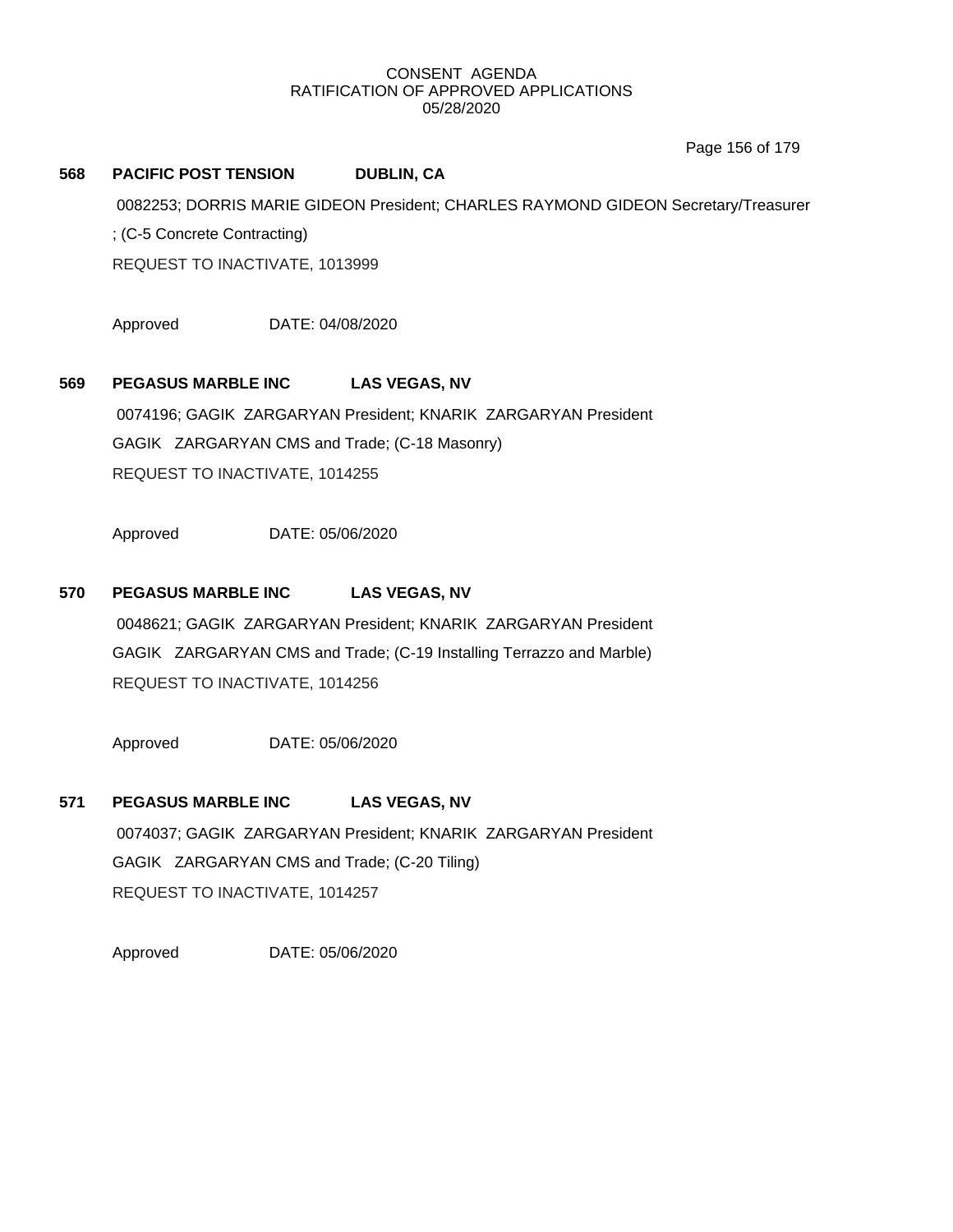Page 156 of 179

# **568 PACIFIC POST TENSION DUBLIN, CA** 0082253; DORRIS MARIE GIDEON President; CHARLES RAYMOND GIDEON Secretary/Treasurer ; (C-5 Concrete Contracting) REQUEST TO INACTIVATE, 1013999

Approved DATE: 04/08/2020

## **569 PEGASUS MARBLE INC LAS VEGAS, NV**

0074196; GAGIK ZARGARYAN President; KNARIK ZARGARYAN President GAGIK ZARGARYAN CMS and Trade; (C-18 Masonry) REQUEST TO INACTIVATE, 1014255

Approved DATE: 05/06/2020

## **570 PEGASUS MARBLE INC LAS VEGAS, NV**

0048621; GAGIK ZARGARYAN President; KNARIK ZARGARYAN President GAGIK ZARGARYAN CMS and Trade; (C-19 Installing Terrazzo and Marble) REQUEST TO INACTIVATE, 1014256

Approved DATE: 05/06/2020

## **571 PEGASUS MARBLE INC LAS VEGAS, NV**

0074037; GAGIK ZARGARYAN President; KNARIK ZARGARYAN President GAGIK ZARGARYAN CMS and Trade; (C-20 Tiling) REQUEST TO INACTIVATE, 1014257

Approved DATE: 05/06/2020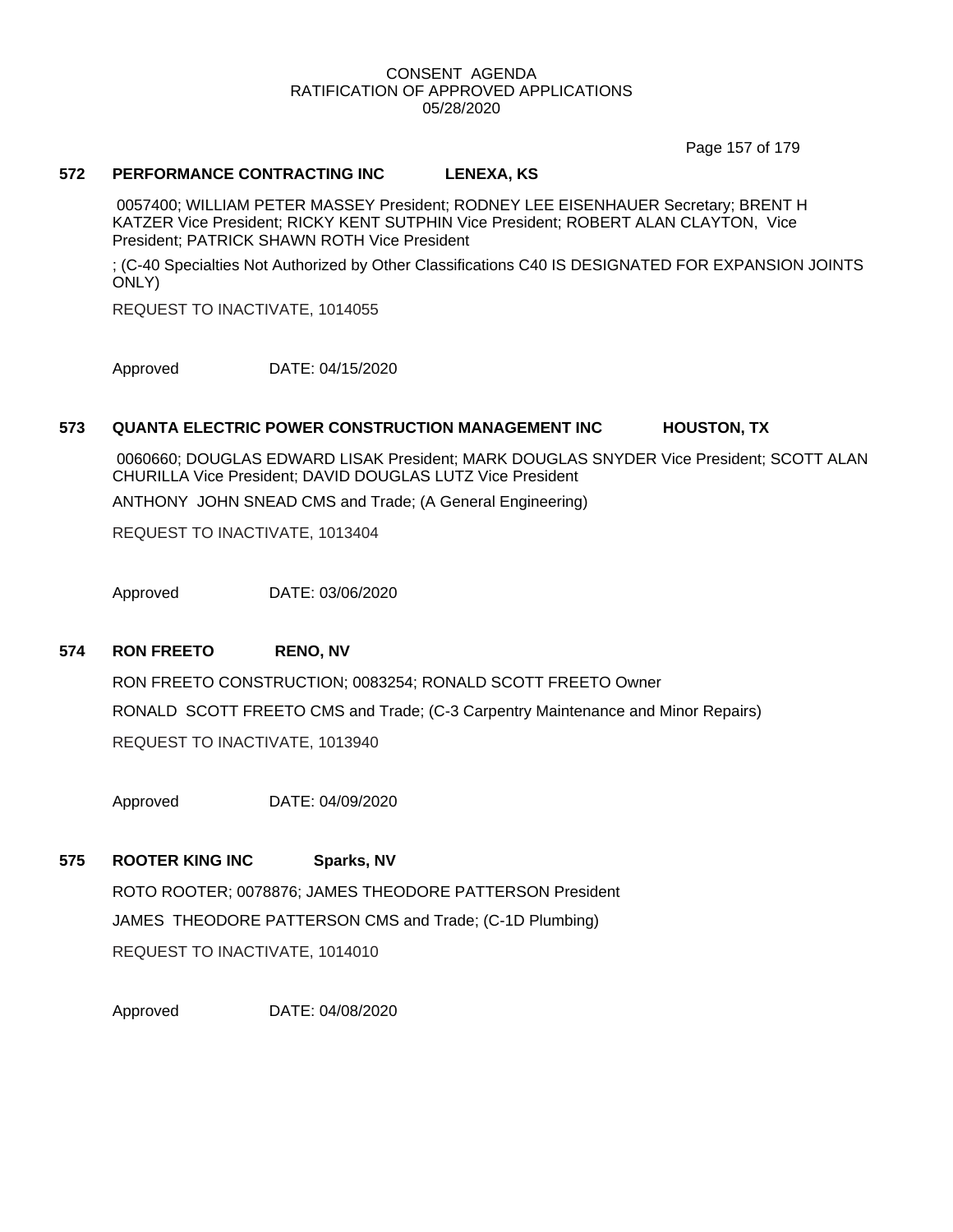Page 157 of 179

#### **572 PERFORMANCE CONTRACTING INC LENEXA, KS**

0057400; WILLIAM PETER MASSEY President; RODNEY LEE EISENHAUER Secretary; BRENT H KATZER Vice President; RICKY KENT SUTPHIN Vice President; ROBERT ALAN CLAYTON, Vice President; PATRICK SHAWN ROTH Vice President

; (C-40 Specialties Not Authorized by Other Classifications C40 IS DESIGNATED FOR EXPANSION JOINTS ONLY)

REQUEST TO INACTIVATE, 1014055

Approved DATE: 04/15/2020

#### **573 QUANTA ELECTRIC POWER CONSTRUCTION MANAGEMENT INC HOUSTON, TX**

0060660; DOUGLAS EDWARD LISAK President; MARK DOUGLAS SNYDER Vice President; SCOTT ALAN CHURILLA Vice President; DAVID DOUGLAS LUTZ Vice President

ANTHONY JOHN SNEAD CMS and Trade; (A General Engineering)

REQUEST TO INACTIVATE, 1013404

Approved DATE: 03/06/2020

### **574 RON FREETO RENO, NV**

RON FREETO CONSTRUCTION; 0083254; RONALD SCOTT FREETO Owner RONALD SCOTT FREETO CMS and Trade; (C-3 Carpentry Maintenance and Minor Repairs) REQUEST TO INACTIVATE, 1013940

Approved DATE: 04/09/2020

# **575 ROOTER KING INC Sparks, NV** ROTO ROOTER; 0078876; JAMES THEODORE PATTERSON President JAMES THEODORE PATTERSON CMS and Trade; (C-1D Plumbing) REQUEST TO INACTIVATE, 1014010

Approved DATE: 04/08/2020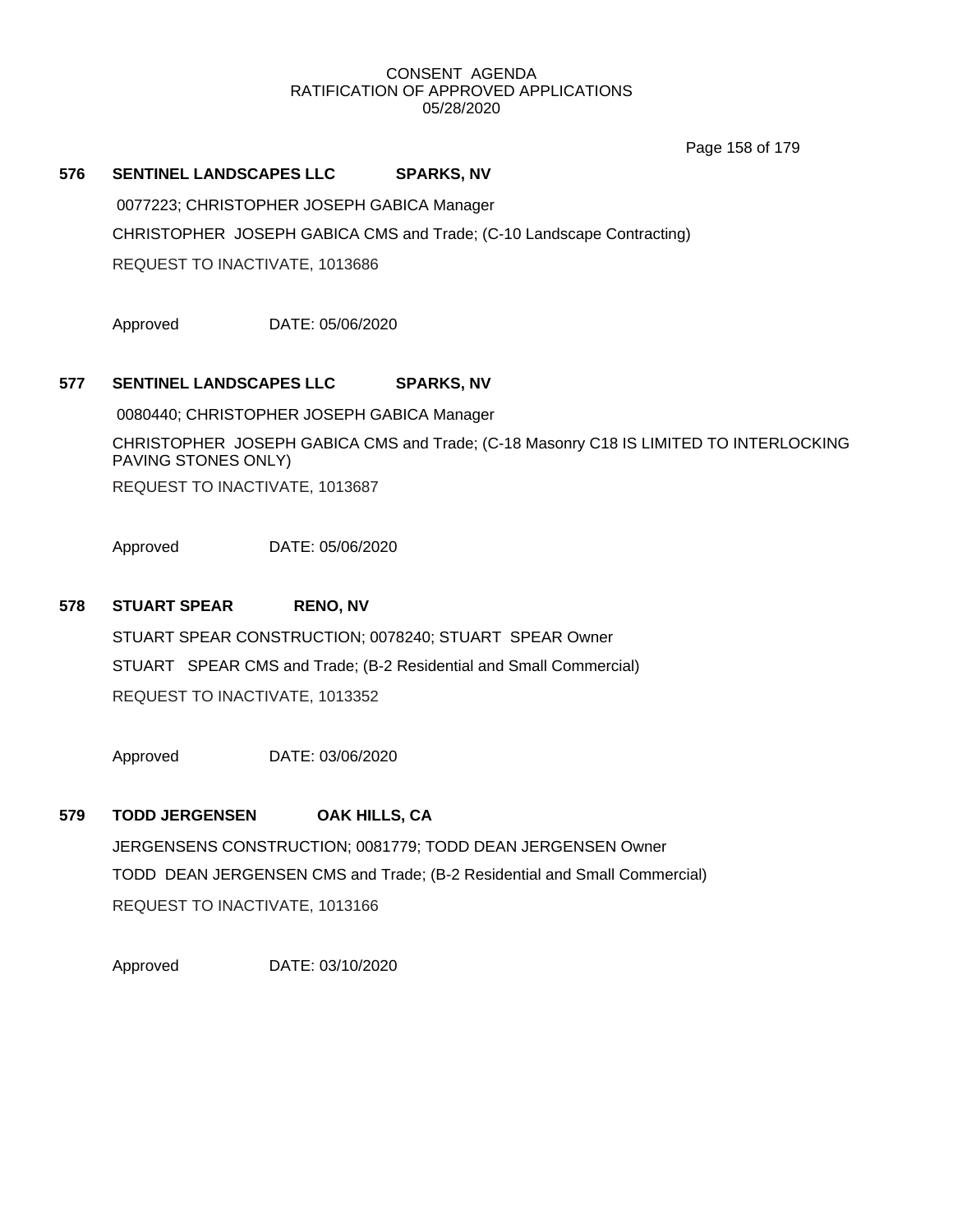Page 158 of 179

#### **576 SENTINEL LANDSCAPES LLC SPARKS, NV**

0077223; CHRISTOPHER JOSEPH GABICA Manager CHRISTOPHER JOSEPH GABICA CMS and Trade; (C-10 Landscape Contracting) REQUEST TO INACTIVATE, 1013686

Approved DATE: 05/06/2020

## **577 SENTINEL LANDSCAPES LLC SPARKS, NV**

0080440; CHRISTOPHER JOSEPH GABICA Manager

CHRISTOPHER JOSEPH GABICA CMS and Trade; (C-18 Masonry C18 IS LIMITED TO INTERLOCKING PAVING STONES ONLY)

REQUEST TO INACTIVATE, 1013687

Approved DATE: 05/06/2020

## **578 STUART SPEAR RENO, NV**

STUART SPEAR CONSTRUCTION; 0078240; STUART SPEAR Owner STUART SPEAR CMS and Trade; (B-2 Residential and Small Commercial) REQUEST TO INACTIVATE, 1013352

Approved DATE: 03/06/2020

## **579 TODD JERGENSEN OAK HILLS, CA**

JERGENSENS CONSTRUCTION; 0081779; TODD DEAN JERGENSEN Owner TODD DEAN JERGENSEN CMS and Trade; (B-2 Residential and Small Commercial) REQUEST TO INACTIVATE, 1013166

Approved DATE: 03/10/2020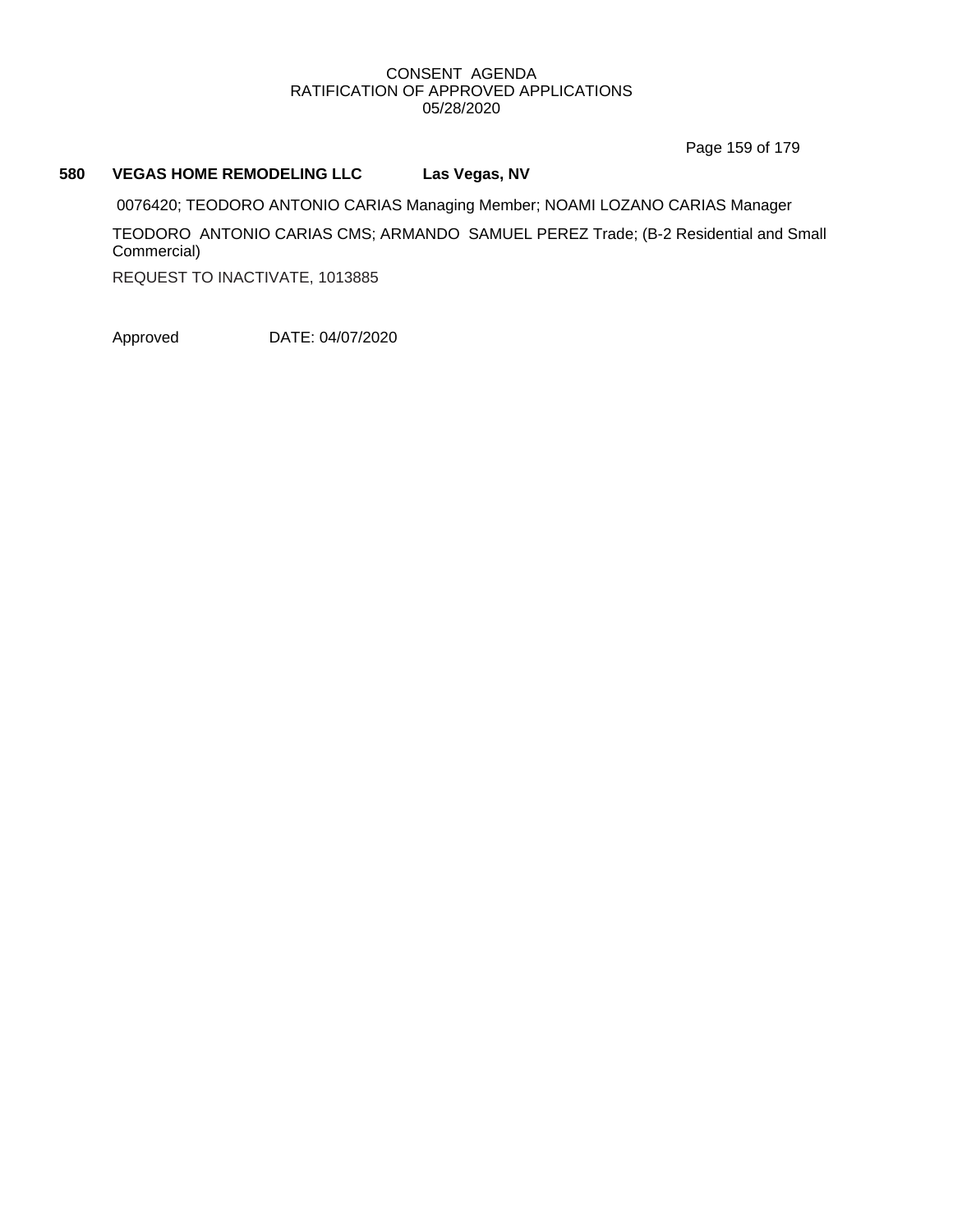Page 159 of 179

#### **580 VEGAS HOME REMODELING LLC Las Vegas, NV**

0076420; TEODORO ANTONIO CARIAS Managing Member; NOAMI LOZANO CARIAS Manager TEODORO ANTONIO CARIAS CMS; ARMANDO SAMUEL PEREZ Trade; (B-2 Residential and Small Commercial)

REQUEST TO INACTIVATE, 1013885

Approved DATE: 04/07/2020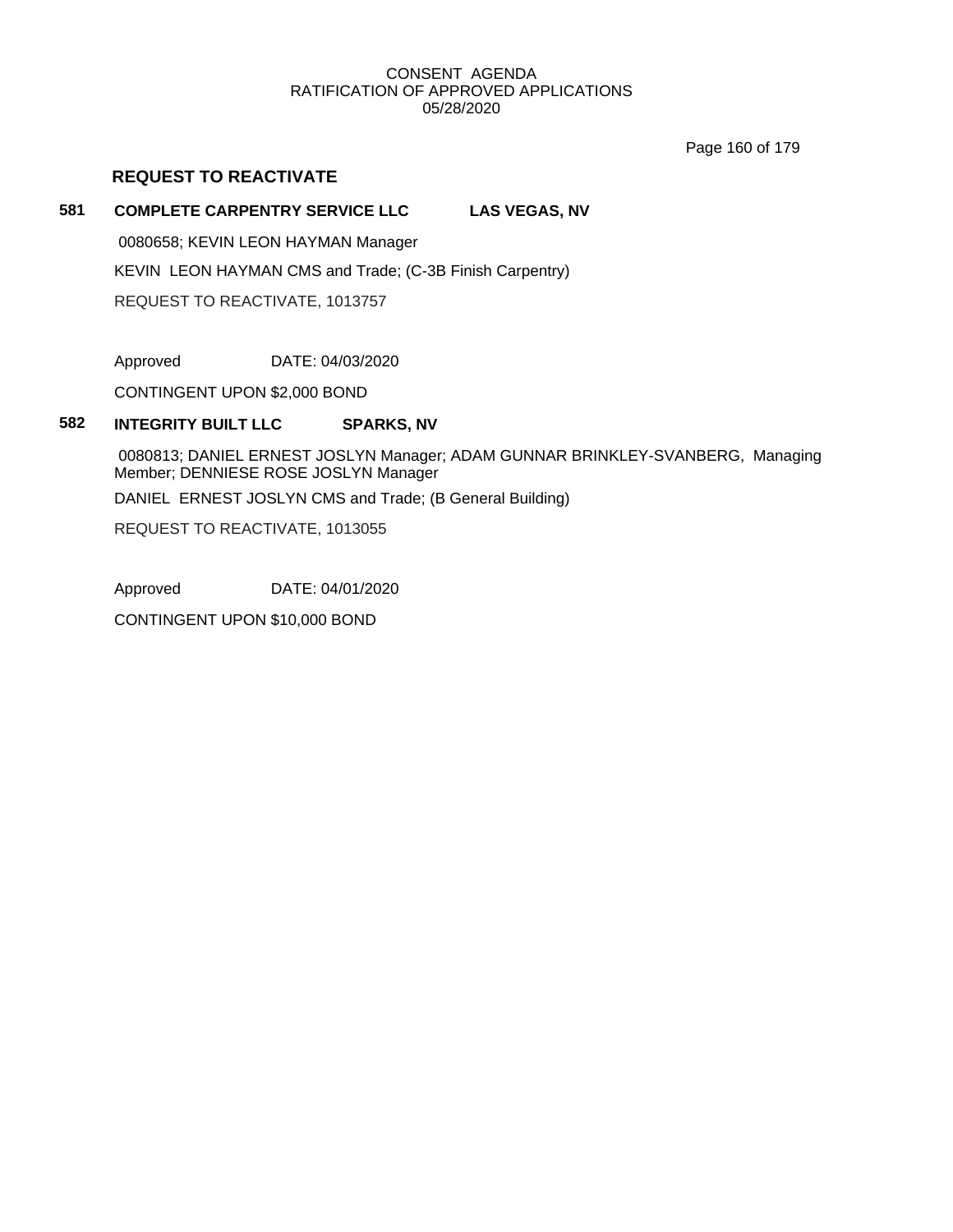Page 160 of 179

## **REQUEST TO REACTIVATE**

### **581 COMPLETE CARPENTRY SERVICE LLC LAS VEGAS, NV**

0080658; KEVIN LEON HAYMAN Manager KEVIN LEON HAYMAN CMS and Trade; (C-3B Finish Carpentry) REQUEST TO REACTIVATE, 1013757

Approved DATE: 04/03/2020

CONTINGENT UPON \$2,000 BOND

## **582 INTEGRITY BUILT LLC SPARKS, NV**

0080813; DANIEL ERNEST JOSLYN Manager; ADAM GUNNAR BRINKLEY-SVANBERG, Managing Member; DENNIESE ROSE JOSLYN Manager

DANIEL ERNEST JOSLYN CMS and Trade; (B General Building)

REQUEST TO REACTIVATE, 1013055

Approved DATE: 04/01/2020

CONTINGENT UPON \$10,000 BOND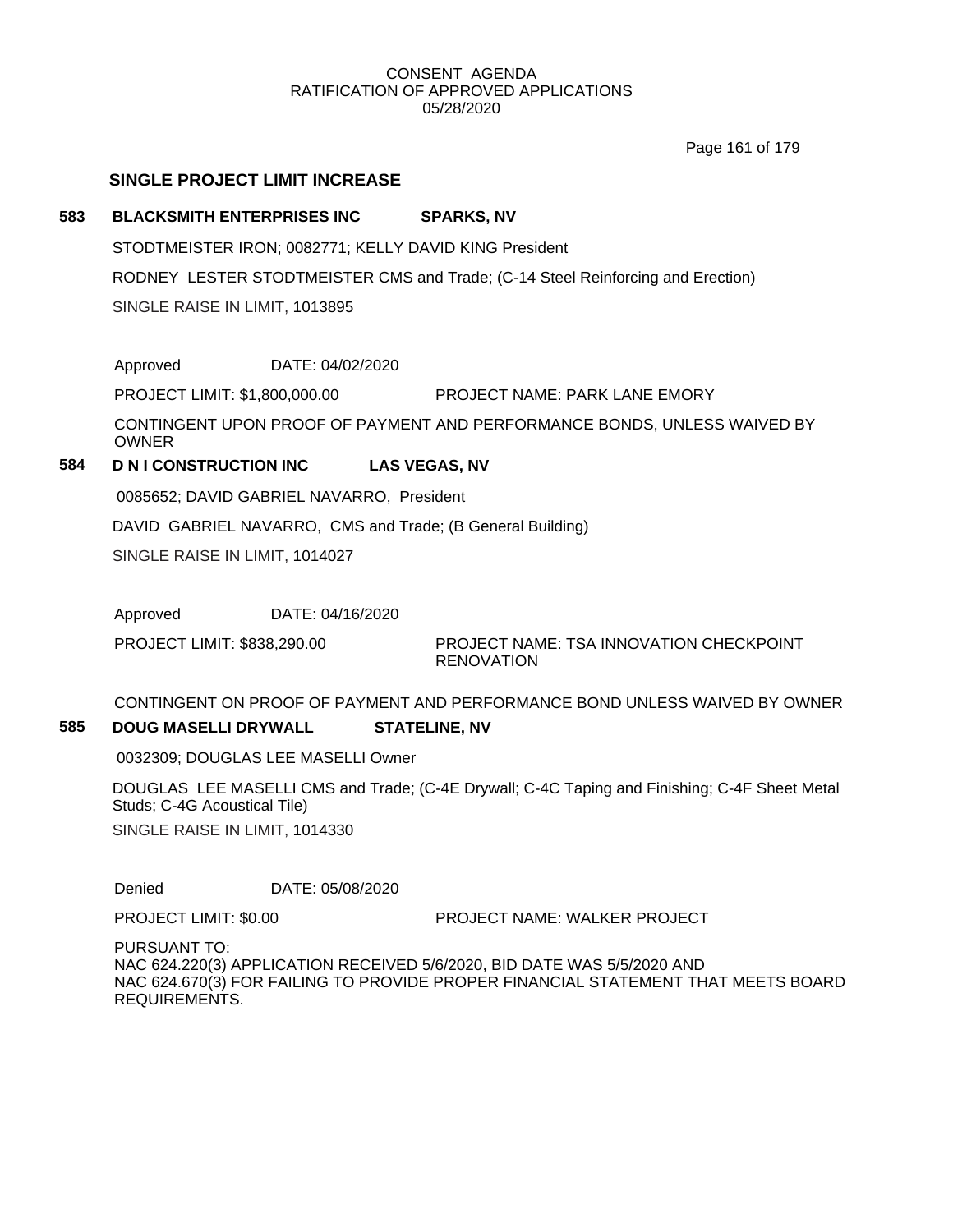Page 161 of 179

## **SINGLE PROJECT LIMIT INCREASE**

### **583 BLACKSMITH ENTERPRISES INC SPARKS, NV**

STODTMEISTER IRON; 0082771; KELLY DAVID KING President RODNEY LESTER STODTMEISTER CMS and Trade; (C-14 Steel Reinforcing and Erection) SINGLE RAISE IN LIMIT, 1013895

Approved DATE: 04/02/2020

PROJECT LIMIT: \$1,800,000.00 PROJECT NAME: PARK LANE EMORY

CONTINGENT UPON PROOF OF PAYMENT AND PERFORMANCE BONDS, UNLESS WAIVED BY OWNER

# **584 D N I CONSTRUCTION INC LAS VEGAS, NV**

0085652; DAVID GABRIEL NAVARRO, President DAVID GABRIEL NAVARRO, CMS and Trade; (B General Building) SINGLE RAISE IN LIMIT, 1014027

Approved DATE: 04/16/2020

PROJECT LIMIT: \$838,290.00

PROJECT NAME: TSA INNOVATION CHECKPOINT RENOVATION

CONTINGENT ON PROOF OF PAYMENT AND PERFORMANCE BOND UNLESS WAIVED BY OWNER **585 DOUG MASELLI DRYWALL STATELINE, NV**

0032309; DOUGLAS LEE MASELLI Owner

DOUGLAS LEE MASELLI CMS and Trade; (C-4E Drywall; C-4C Taping and Finishing; C-4F Sheet Metal Studs; C-4G Acoustical Tile) SINGLE RAISE IN LIMIT, 1014330

Denied DATE: 05/08/2020

PROJECT LIMIT: \$0.00 PROJECT NAME: WALKER PROJECT

PURSUANT TO: NAC 624.220(3) APPLICATION RECEIVED 5/6/2020, BID DATE WAS 5/5/2020 AND NAC 624.670(3) FOR FAILING TO PROVIDE PROPER FINANCIAL STATEMENT THAT MEETS BOARD REQUIREMENTS.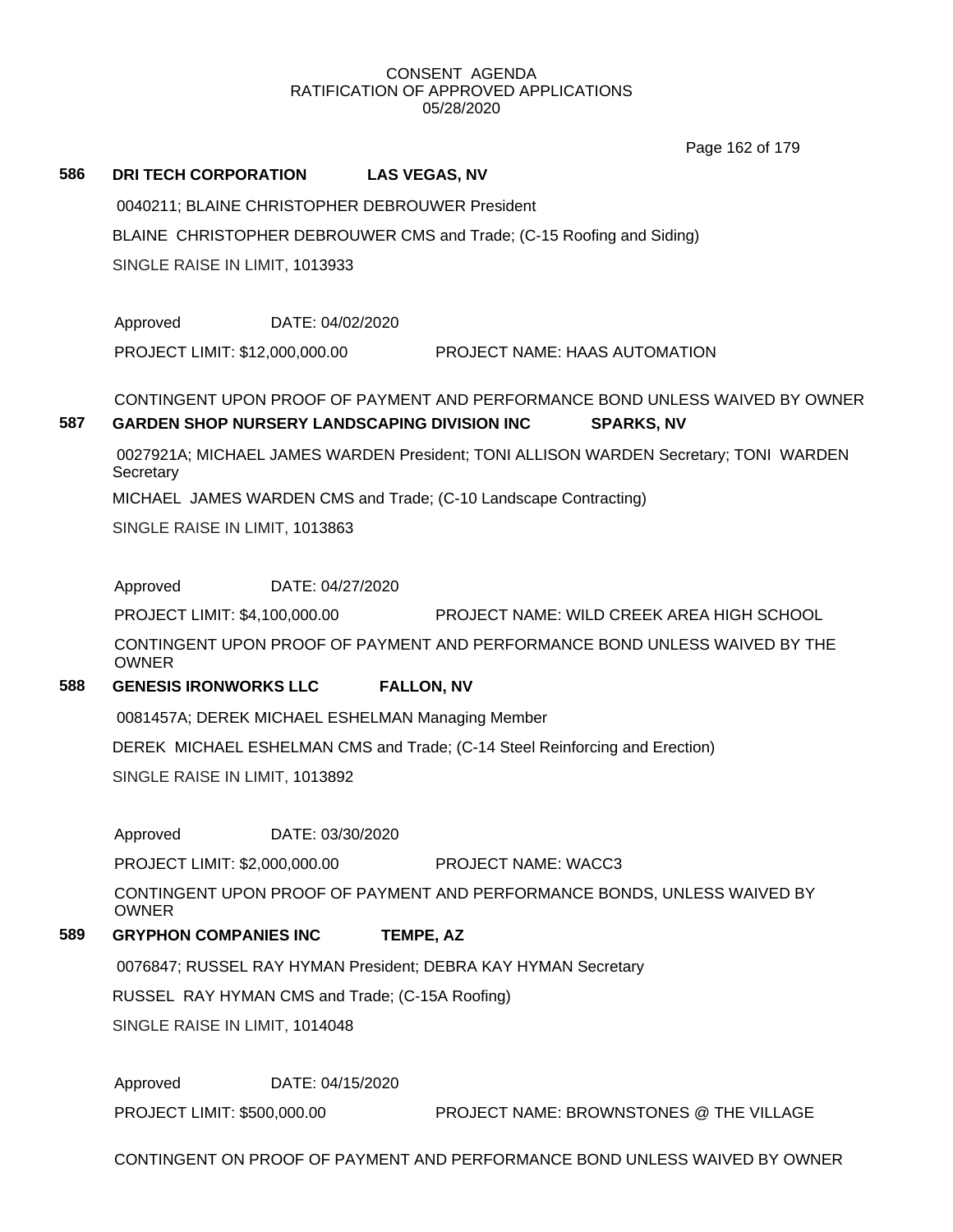Page 162 of 179

### **586 DRI TECH CORPORATION LAS VEGAS, NV**

0040211; BLAINE CHRISTOPHER DEBROUWER President BLAINE CHRISTOPHER DEBROUWER CMS and Trade; (C-15 Roofing and Siding) SINGLE RAISE IN LIMIT, 1013933

Approved DATE: 04/02/2020

PROJECT LIMIT: \$12,000,000.00 PROJECT NAME: HAAS AUTOMATION

# CONTINGENT UPON PROOF OF PAYMENT AND PERFORMANCE BOND UNLESS WAIVED BY OWNER **587 GARDEN SHOP NURSERY LANDSCAPING DIVISION INC SPARKS, NV**

0027921A; MICHAEL JAMES WARDEN President; TONI ALLISON WARDEN Secretary; TONI WARDEN **Secretary** 

MICHAEL JAMES WARDEN CMS and Trade; (C-10 Landscape Contracting)

SINGLE RAISE IN LIMIT, 1013863

Approved DATE: 04/27/2020

PROJECT LIMIT: \$4,100,000.00 PROJECT NAME: WILD CREEK AREA HIGH SCHOOL

CONTINGENT UPON PROOF OF PAYMENT AND PERFORMANCE BOND UNLESS WAIVED BY THE OWNER

## **588 GENESIS IRONWORKS LLC FALLON, NV**

0081457A; DEREK MICHAEL ESHELMAN Managing Member

DEREK MICHAEL ESHELMAN CMS and Trade; (C-14 Steel Reinforcing and Erection)

SINGLE RAISE IN LIMIT, 1013892

Approved DATE: 03/30/2020

PROJECT LIMIT: \$2,000,000.00 PROJECT NAME: WACC3

CONTINGENT UPON PROOF OF PAYMENT AND PERFORMANCE BONDS, UNLESS WAIVED BY OWNER

## **589 GRYPHON COMPANIES INC TEMPE, AZ**

0076847; RUSSEL RAY HYMAN President; DEBRA KAY HYMAN Secretary

RUSSEL RAY HYMAN CMS and Trade; (C-15A Roofing)

SINGLE RAISE IN LIMIT, 1014048

Approved DATE: 04/15/2020

PROJECT LIMIT: \$500,000.00 PROJECT NAME: BROWNSTONES @ THE VILLAGE

CONTINGENT ON PROOF OF PAYMENT AND PERFORMANCE BOND UNLESS WAIVED BY OWNER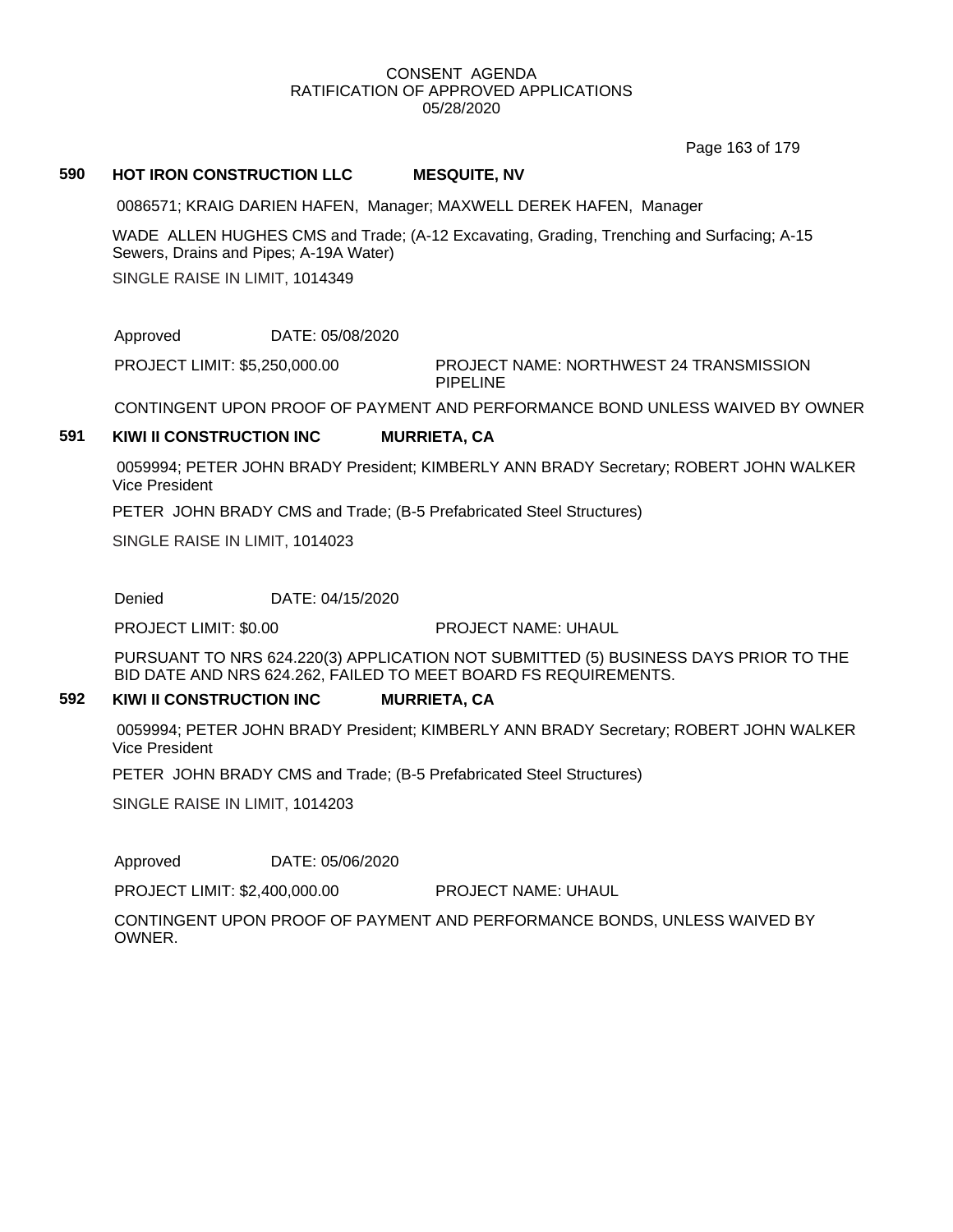Page 163 of 179

#### **590 HOT IRON CONSTRUCTION LLC MESQUITE, NV**

0086571; KRAIG DARIEN HAFEN, Manager; MAXWELL DEREK HAFEN, Manager

WADE ALLEN HUGHES CMS and Trade; (A-12 Excavating, Grading, Trenching and Surfacing; A-15 Sewers, Drains and Pipes; A-19A Water)

SINGLE RAISE IN LIMIT, 1014349

Approved DATE: 05/08/2020

PROJECT NAME: NORTHWEST 24 TRANSMISSION PIPELINE PROJECT LIMIT: \$5,250,000.00

CONTINGENT UPON PROOF OF PAYMENT AND PERFORMANCE BOND UNLESS WAIVED BY OWNER

#### **591 KIWI II CONSTRUCTION INC MURRIETA, CA**

0059994; PETER JOHN BRADY President; KIMBERLY ANN BRADY Secretary; ROBERT JOHN WALKER Vice President

PETER JOHN BRADY CMS and Trade; (B-5 Prefabricated Steel Structures)

SINGLE RAISE IN LIMIT, 1014023

Denied DATE: 04/15/2020

PROJECT LIMIT: \$0.00 PROJECT NAME: UHAUL

PURSUANT TO NRS 624.220(3) APPLICATION NOT SUBMITTED (5) BUSINESS DAYS PRIOR TO THE BID DATE AND NRS 624.262, FAILED TO MEET BOARD FS REQUIREMENTS.

#### **592 KIWI II CONSTRUCTION INC MURRIETA, CA**

0059994; PETER JOHN BRADY President; KIMBERLY ANN BRADY Secretary; ROBERT JOHN WALKER Vice President

PETER JOHN BRADY CMS and Trade; (B-5 Prefabricated Steel Structures)

SINGLE RAISE IN LIMIT, 1014203

Approved DATE: 05/06/2020

PROJECT LIMIT: \$2,400,000.00 PROJECT NAME: UHAUL

CONTINGENT UPON PROOF OF PAYMENT AND PERFORMANCE BONDS, UNLESS WAIVED BY OWNER.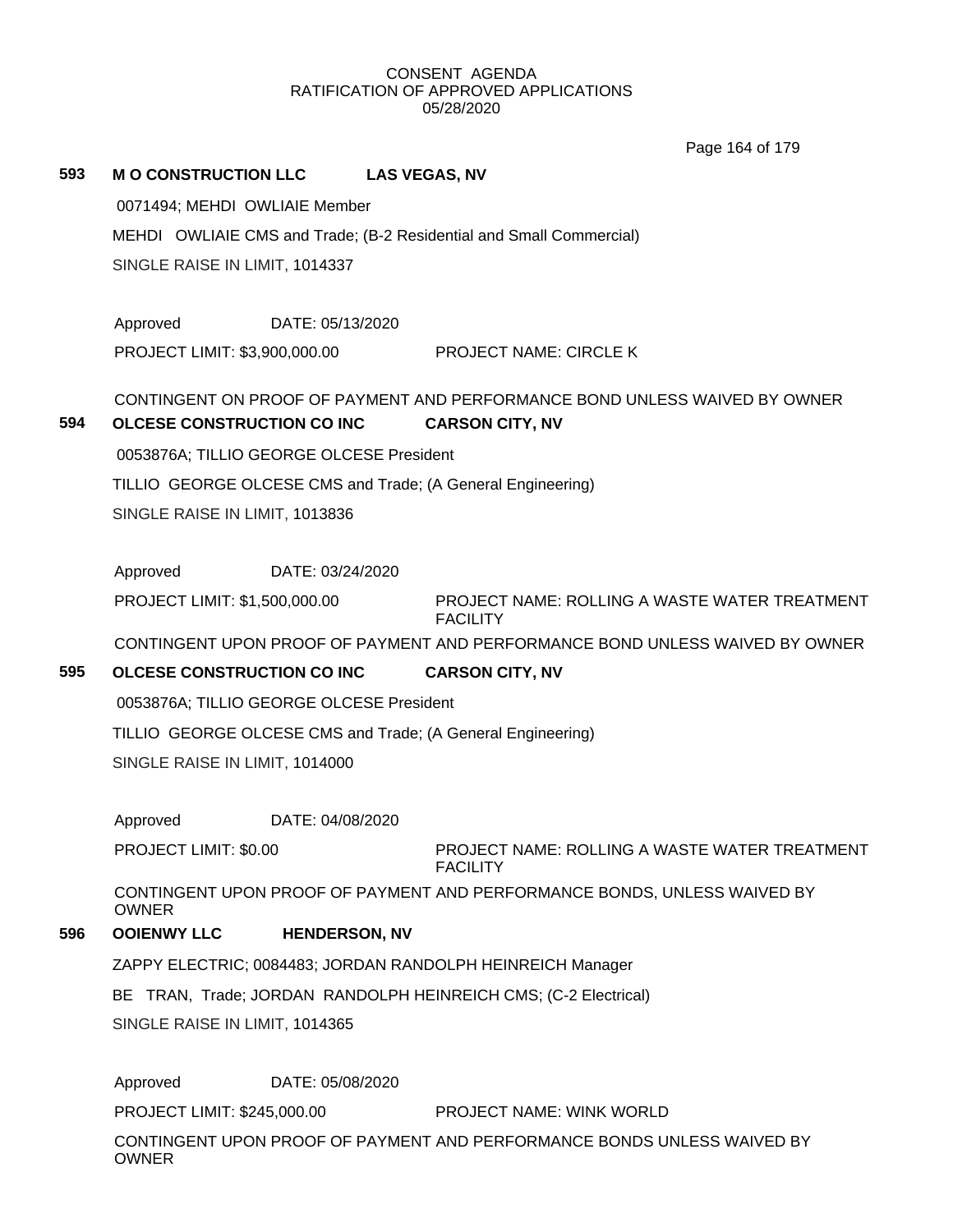Page 164 of 179

#### **593 M O CONSTRUCTION LLC LAS VEGAS, NV**

0071494; MEHDI OWLIAIE Member MEHDI OWLIAIE CMS and Trade; (B-2 Residential and Small Commercial) SINGLE RAISE IN LIMIT, 1014337

Approved DATE: 05/13/2020 PROJECT LIMIT: \$3,900,000.00 PROJECT NAME: CIRCLE K

# CONTINGENT ON PROOF OF PAYMENT AND PERFORMANCE BOND UNLESS WAIVED BY OWNER **594 OLCESE CONSTRUCTION CO INC CARSON CITY, NV**

0053876A; TILLIO GEORGE OLCESE President TILLIO GEORGE OLCESE CMS and Trade; (A General Engineering) SINGLE RAISE IN LIMIT, 1013836

Approved DATE: 03/24/2020

PROJECT NAME: ROLLING A WASTE WATER TREATMENT FACILITY PROJECT LIMIT: \$1,500,000.00

CONTINGENT UPON PROOF OF PAYMENT AND PERFORMANCE BOND UNLESS WAIVED BY OWNER

## **595 OLCESE CONSTRUCTION CO INC CARSON CITY, NV**

0053876A; TILLIO GEORGE OLCESE President

TILLIO GEORGE OLCESE CMS and Trade; (A General Engineering)

SINGLE RAISE IN LIMIT, 1014000

Approved DATE: 04/08/2020

PROJECT LIMIT: \$0.00

PROJECT NAME: ROLLING A WASTE WATER TREATMENT FACILITY

CONTINGENT UPON PROOF OF PAYMENT AND PERFORMANCE BONDS, UNLESS WAIVED BY OWNER

# **596 OOIENWY LLC HENDERSON, NV**

ZAPPY ELECTRIC; 0084483; JORDAN RANDOLPH HEINREICH Manager

BE TRAN, Trade; JORDAN RANDOLPH HEINREICH CMS; (C-2 Electrical)

SINGLE RAISE IN LIMIT, 1014365

Approved DATE: 05/08/2020

PROJECT LIMIT: \$245,000.00 PROJECT NAME: WINK WORLD

CONTINGENT UPON PROOF OF PAYMENT AND PERFORMANCE BONDS UNLESS WAIVED BY OWNER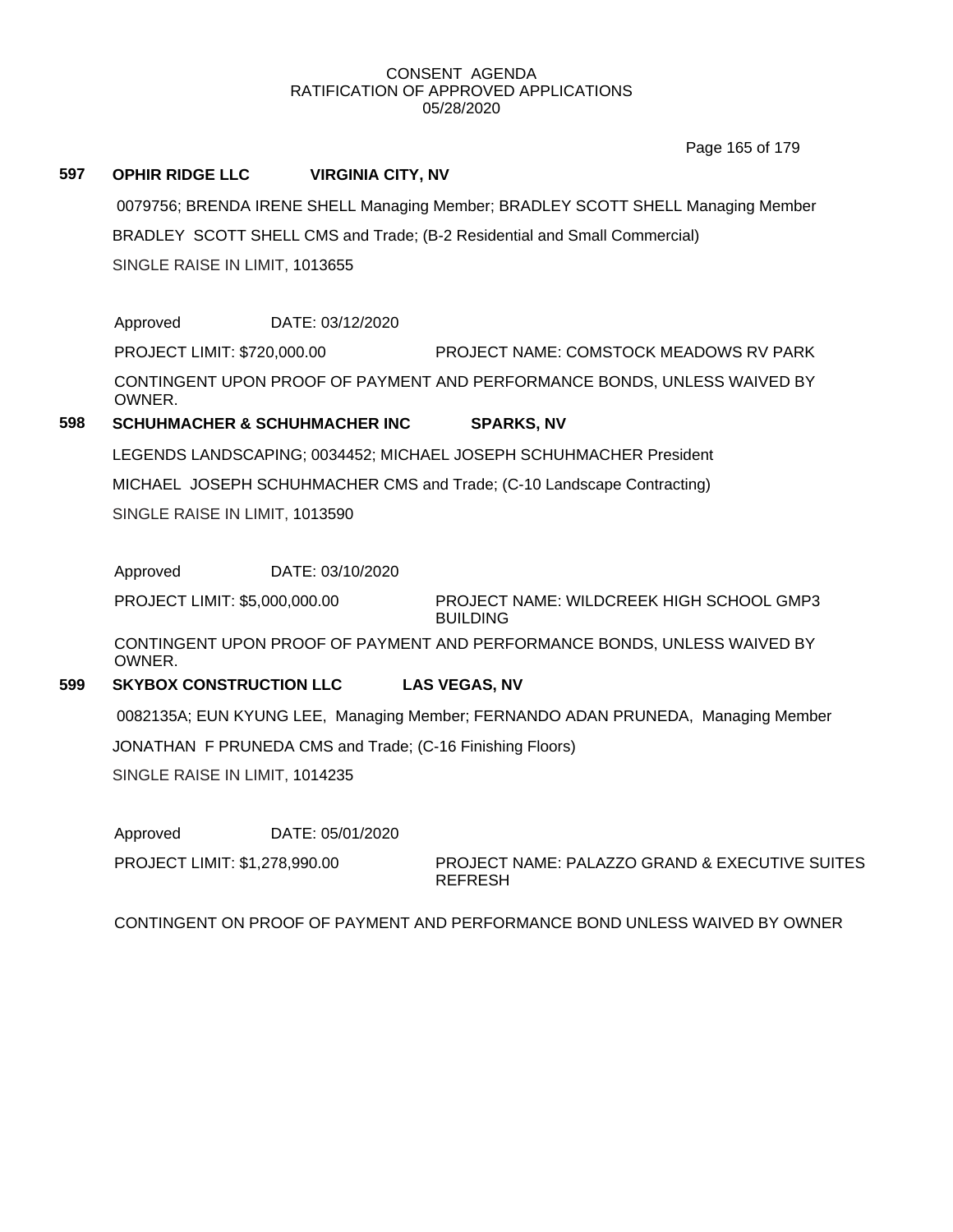Page 165 of 179

#### **597 OPHIR RIDGE LLC VIRGINIA CITY, NV**

0079756; BRENDA IRENE SHELL Managing Member; BRADLEY SCOTT SHELL Managing Member BRADLEY SCOTT SHELL CMS and Trade; (B-2 Residential and Small Commercial) SINGLE RAISE IN LIMIT, 1013655

Approved DATE: 03/12/2020 PROJECT LIMIT: \$720,000.00 PROJECT NAME: COMSTOCK MEADOWS RV PARK CONTINGENT UPON PROOF OF PAYMENT AND PERFORMANCE BONDS, UNLESS WAIVED BY OWNER.

# **598 SCHUHMACHER & SCHUHMACHER INC SPARKS, NV**

LEGENDS LANDSCAPING; 0034452; MICHAEL JOSEPH SCHUHMACHER President

MICHAEL JOSEPH SCHUHMACHER CMS and Trade; (C-10 Landscape Contracting)

SINGLE RAISE IN LIMIT, 1013590

Approved DATE: 03/10/2020

PROJECT NAME: WILDCREEK HIGH SCHOOL GMP3 **BUILDING** PROJECT LIMIT: \$5,000,000.00

CONTINGENT UPON PROOF OF PAYMENT AND PERFORMANCE BONDS, UNLESS WAIVED BY OWNER.

# **599 SKYBOX CONSTRUCTION LLC LAS VEGAS, NV**

0082135A; EUN KYUNG LEE, Managing Member; FERNANDO ADAN PRUNEDA, Managing Member

JONATHAN F PRUNEDA CMS and Trade; (C-16 Finishing Floors)

SINGLE RAISE IN LIMIT, 1014235

Approved DATE: 05/01/2020 PROJECT LIMIT: \$1,278,990.00

PROJECT NAME: PALAZZO GRAND & EXECUTIVE SUITES REFRESH

CONTINGENT ON PROOF OF PAYMENT AND PERFORMANCE BOND UNLESS WAIVED BY OWNER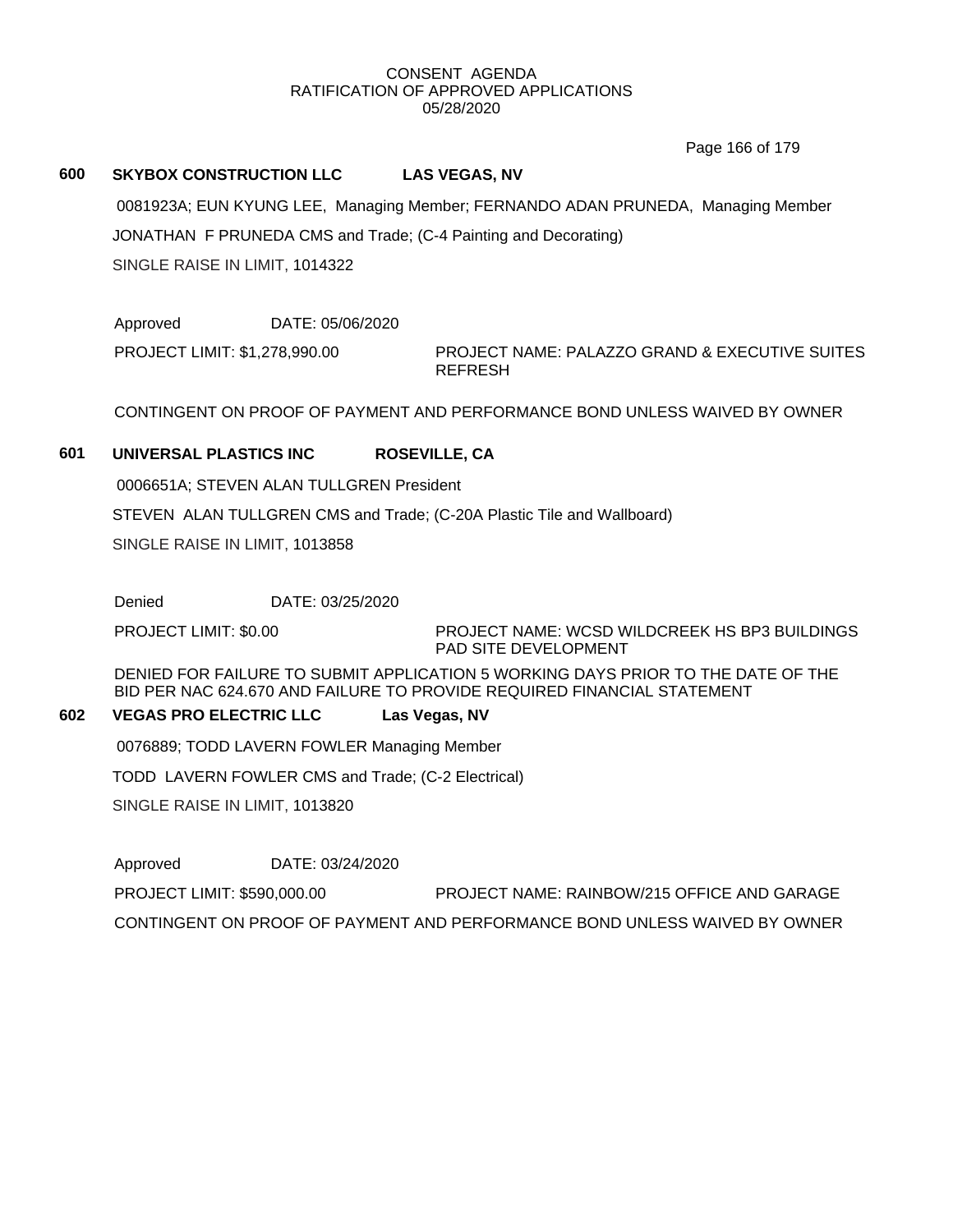Page 166 of 179

#### **600 SKYBOX CONSTRUCTION LLC LAS VEGAS, NV**

0081923A; EUN KYUNG LEE, Managing Member; FERNANDO ADAN PRUNEDA, Managing Member

JONATHAN F PRUNEDA CMS and Trade; (C-4 Painting and Decorating)

SINGLE RAISE IN LIMIT, 1014322

Approved DATE: 05/06/2020 PROJECT LIMIT: \$1,278,990.00

PROJECT NAME: PALAZZO GRAND & EXECUTIVE SUITES REFRESH

CONTINGENT ON PROOF OF PAYMENT AND PERFORMANCE BOND UNLESS WAIVED BY OWNER

## **601 UNIVERSAL PLASTICS INC ROSEVILLE, CA**

0006651A; STEVEN ALAN TULLGREN President

STEVEN ALAN TULLGREN CMS and Trade; (C-20A Plastic Tile and Wallboard)

SINGLE RAISE IN LIMIT, 1013858

Denied DATE: 03/25/2020

PROJECT LIMIT: \$0.00

PROJECT NAME: WCSD WILDCREEK HS BP3 BUILDINGS PAD SITE DEVELOPMENT

DENIED FOR FAILURE TO SUBMIT APPLICATION 5 WORKING DAYS PRIOR TO THE DATE OF THE BID PER NAC 624.670 AND FAILURE TO PROVIDE REQUIRED FINANCIAL STATEMENT

#### **602 VEGAS PRO ELECTRIC LLC Las Vegas, NV**

0076889; TODD LAVERN FOWLER Managing Member

TODD LAVERN FOWLER CMS and Trade; (C-2 Electrical)

SINGLE RAISE IN LIMIT, 1013820

Approved DATE: 03/24/2020 PROJECT LIMIT: \$590,000.00 PROJECT NAME: RAINBOW/215 OFFICE AND GARAGE CONTINGENT ON PROOF OF PAYMENT AND PERFORMANCE BOND UNLESS WAIVED BY OWNER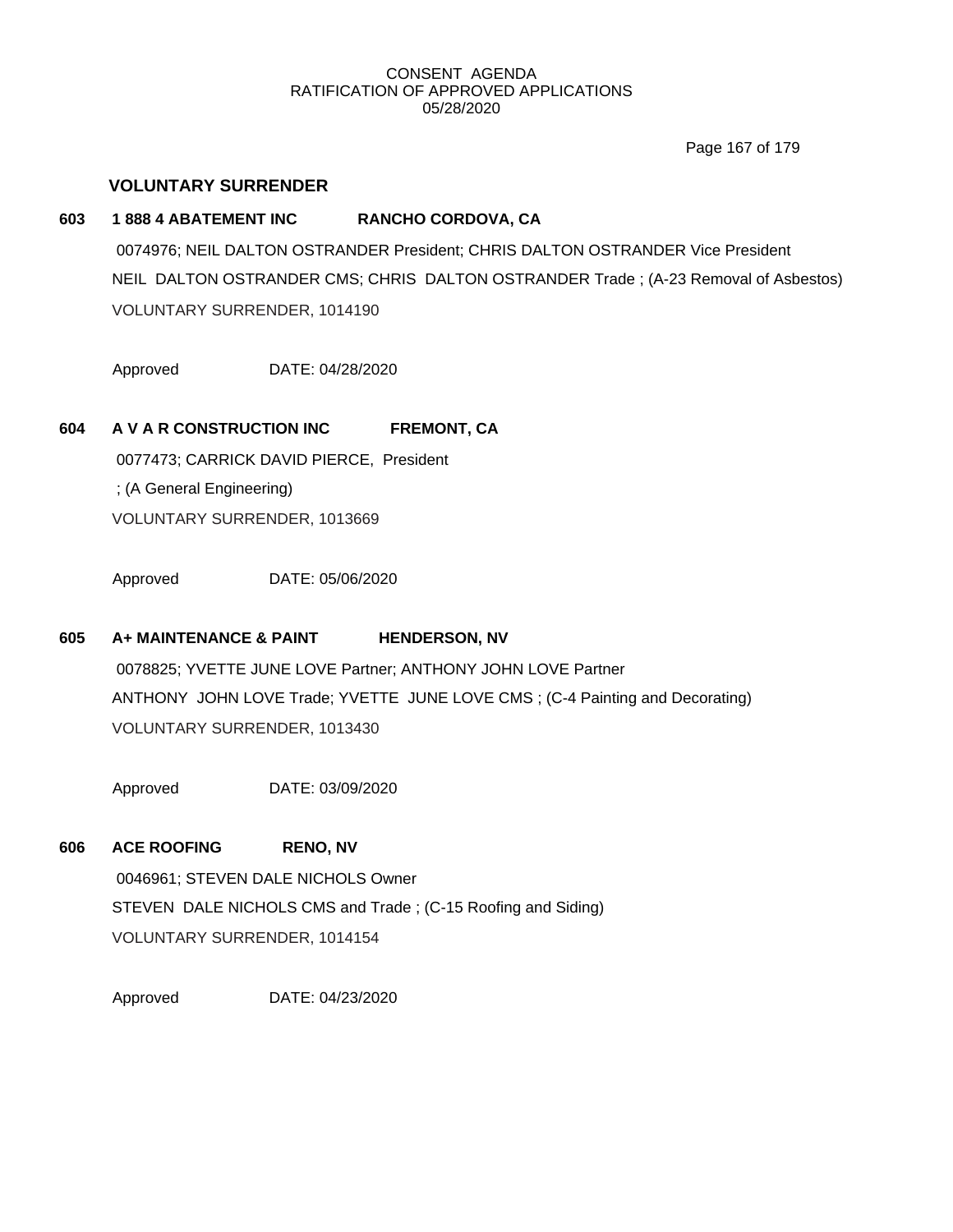Page 167 of 179

## **VOLUNTARY SURRENDER**

## **603 1 888 4 ABATEMENT INC RANCHO CORDOVA, CA**

0074976; NEIL DALTON OSTRANDER President; CHRIS DALTON OSTRANDER Vice President NEIL DALTON OSTRANDER CMS; CHRIS DALTON OSTRANDER Trade ; (A-23 Removal of Asbestos) VOLUNTARY SURRENDER, 1014190

Approved DATE: 04/28/2020

# **604 A V A R CONSTRUCTION INC FREMONT, CA**

0077473; CARRICK DAVID PIERCE, President ; (A General Engineering) VOLUNTARY SURRENDER, 1013669

Approved DATE: 05/06/2020

# **605 A+ MAINTENANCE & PAINT HENDERSON, NV**

0078825; YVETTE JUNE LOVE Partner; ANTHONY JOHN LOVE Partner ANTHONY JOHN LOVE Trade; YVETTE JUNE LOVE CMS ; (C-4 Painting and Decorating) VOLUNTARY SURRENDER, 1013430

Approved DATE: 03/09/2020

## **606 ACE ROOFING RENO, NV**

0046961; STEVEN DALE NICHOLS Owner STEVEN DALE NICHOLS CMS and Trade ; (C-15 Roofing and Siding) VOLUNTARY SURRENDER, 1014154

Approved DATE: 04/23/2020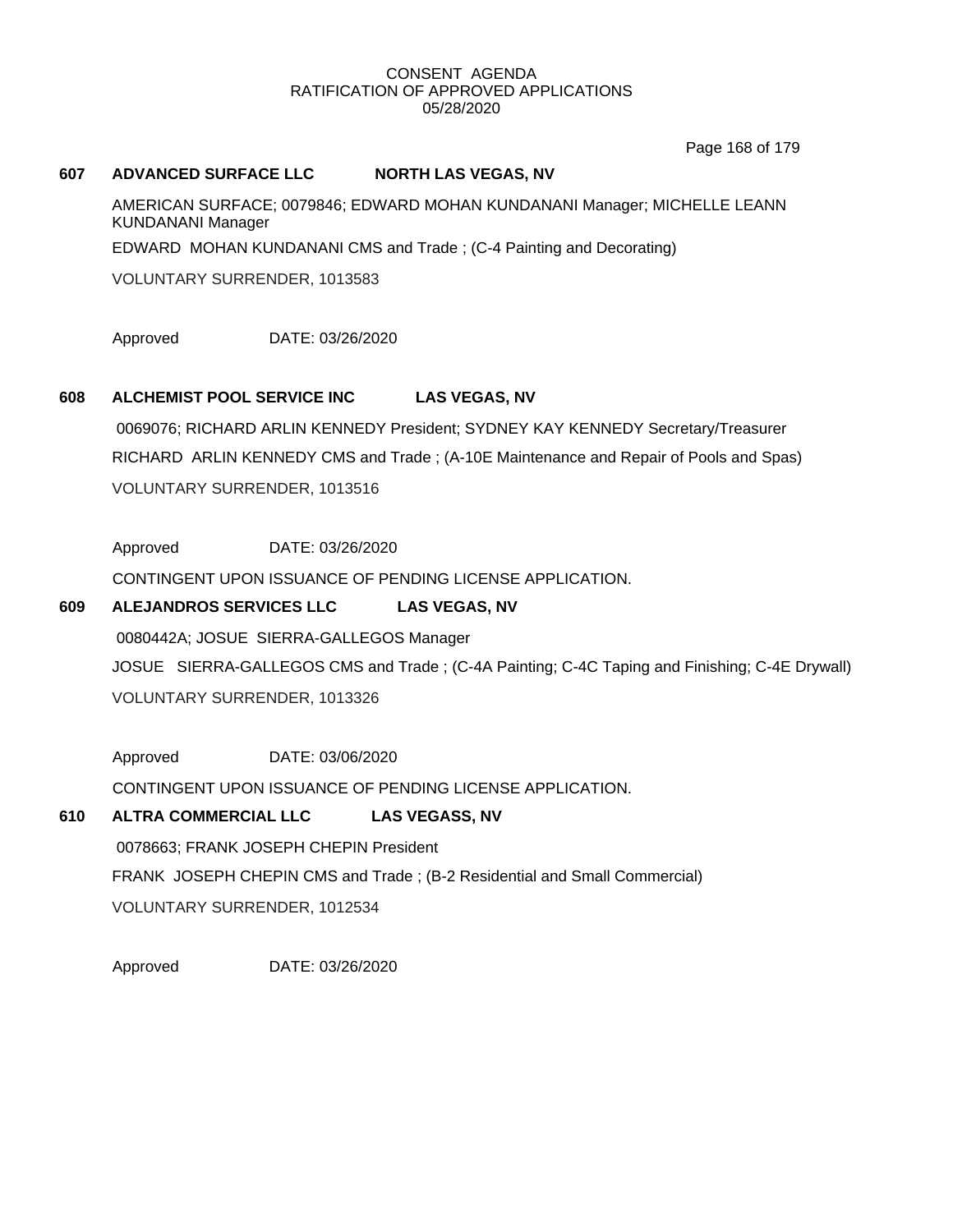Page 168 of 179

## **607 ADVANCED SURFACE LLC NORTH LAS VEGAS, NV**

AMERICAN SURFACE; 0079846; EDWARD MOHAN KUNDANANI Manager; MICHELLE LEANN KUNDANANI Manager EDWARD MOHAN KUNDANANI CMS and Trade ; (C-4 Painting and Decorating)

VOLUNTARY SURRENDER, 1013583

Approved DATE: 03/26/2020

## **608 ALCHEMIST POOL SERVICE INC LAS VEGAS, NV**

0069076; RICHARD ARLIN KENNEDY President; SYDNEY KAY KENNEDY Secretary/Treasurer RICHARD ARLIN KENNEDY CMS and Trade ; (A-10E Maintenance and Repair of Pools and Spas) VOLUNTARY SURRENDER, 1013516

Approved DATE: 03/26/2020

CONTINGENT UPON ISSUANCE OF PENDING LICENSE APPLICATION.

## **609 ALEJANDROS SERVICES LLC LAS VEGAS, NV**

0080442A; JOSUE SIERRA-GALLEGOS Manager JOSUE SIERRA-GALLEGOS CMS and Trade ; (C-4A Painting; C-4C Taping and Finishing; C-4E Drywall) VOLUNTARY SURRENDER, 1013326

Approved DATE: 03/06/2020 CONTINGENT UPON ISSUANCE OF PENDING LICENSE APPLICATION.

# **610 ALTRA COMMERCIAL LLC LAS VEGASS, NV**

0078663; FRANK JOSEPH CHEPIN President FRANK JOSEPH CHEPIN CMS and Trade ; (B-2 Residential and Small Commercial) VOLUNTARY SURRENDER, 1012534

Approved DATE: 03/26/2020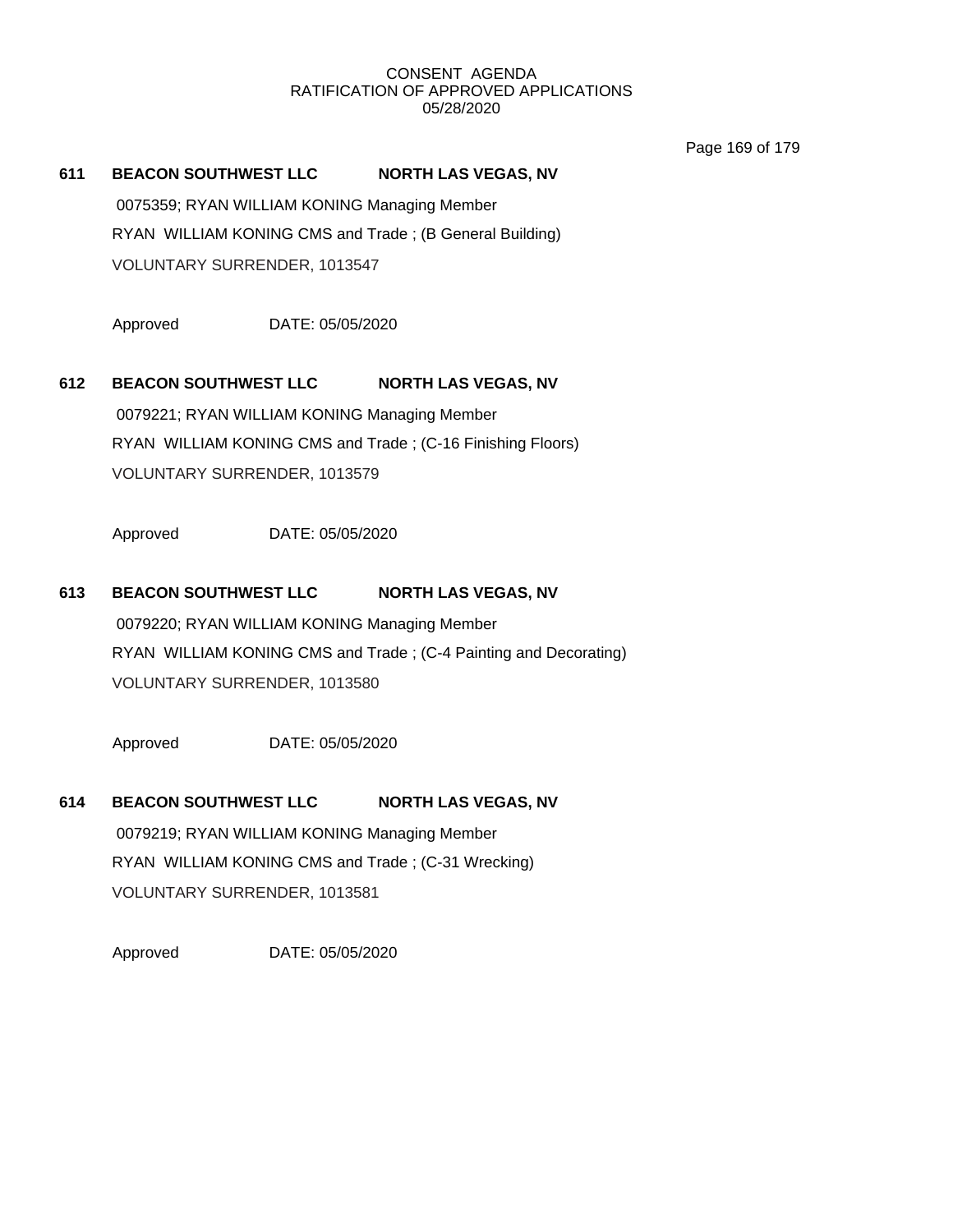Page 169 of 179

#### **611 BEACON SOUTHWEST LLC NORTH LAS VEGAS, NV**

0075359; RYAN WILLIAM KONING Managing Member RYAN WILLIAM KONING CMS and Trade ; (B General Building) VOLUNTARY SURRENDER, 1013547

Approved DATE: 05/05/2020

# **612 BEACON SOUTHWEST LLC NORTH LAS VEGAS, NV**

0079221; RYAN WILLIAM KONING Managing Member RYAN WILLIAM KONING CMS and Trade ; (C-16 Finishing Floors) VOLUNTARY SURRENDER, 1013579

Approved DATE: 05/05/2020

#### **613 BEACON SOUTHWEST LLC NORTH LAS VEGAS, NV**

0079220; RYAN WILLIAM KONING Managing Member RYAN WILLIAM KONING CMS and Trade ; (C-4 Painting and Decorating) VOLUNTARY SURRENDER, 1013580

Approved DATE: 05/05/2020

# **614 BEACON SOUTHWEST LLC NORTH LAS VEGAS, NV** 0079219; RYAN WILLIAM KONING Managing Member RYAN WILLIAM KONING CMS and Trade ; (C-31 Wrecking) VOLUNTARY SURRENDER, 1013581

Approved DATE: 05/05/2020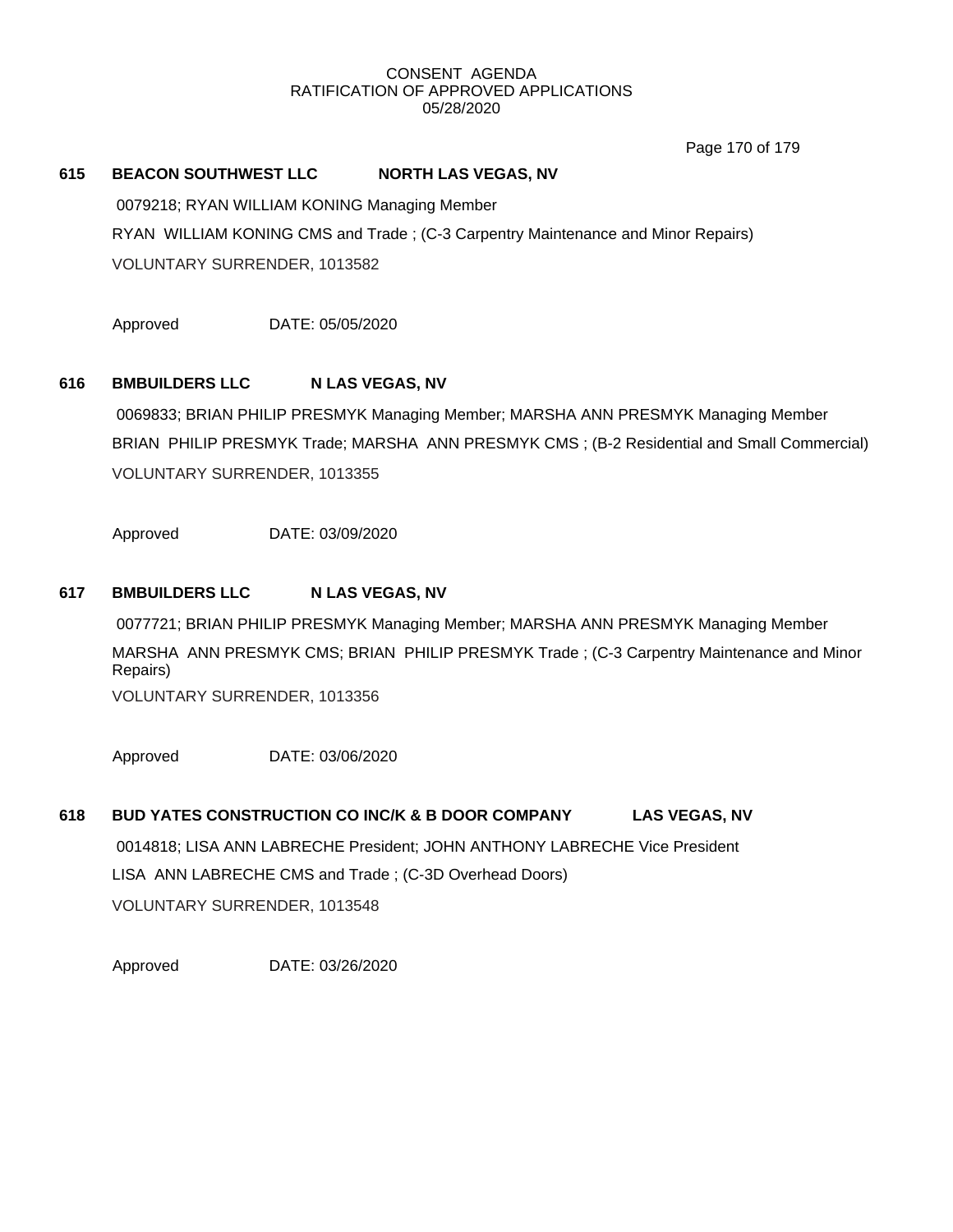Page 170 of 179

### **615 BEACON SOUTHWEST LLC NORTH LAS VEGAS, NV**

0079218; RYAN WILLIAM KONING Managing Member

RYAN WILLIAM KONING CMS and Trade ; (C-3 Carpentry Maintenance and Minor Repairs)

VOLUNTARY SURRENDER, 1013582

Approved DATE: 05/05/2020

## **616 BMBUILDERS LLC N LAS VEGAS, NV**

0069833; BRIAN PHILIP PRESMYK Managing Member; MARSHA ANN PRESMYK Managing Member BRIAN PHILIP PRESMYK Trade; MARSHA ANN PRESMYK CMS ; (B-2 Residential and Small Commercial) VOLUNTARY SURRENDER, 1013355

Approved DATE: 03/09/2020

## **617 BMBUILDERS LLC N LAS VEGAS, NV**

0077721; BRIAN PHILIP PRESMYK Managing Member; MARSHA ANN PRESMYK Managing Member MARSHA ANN PRESMYK CMS; BRIAN PHILIP PRESMYK Trade ; (C-3 Carpentry Maintenance and Minor Repairs)

VOLUNTARY SURRENDER, 1013356

Approved DATE: 03/06/2020

# **618 BUD YATES CONSTRUCTION CO INC/K & B DOOR COMPANY LAS VEGAS, NV**

0014818; LISA ANN LABRECHE President; JOHN ANTHONY LABRECHE Vice President LISA ANN LABRECHE CMS and Trade ; (C-3D Overhead Doors) VOLUNTARY SURRENDER, 1013548

Approved DATE: 03/26/2020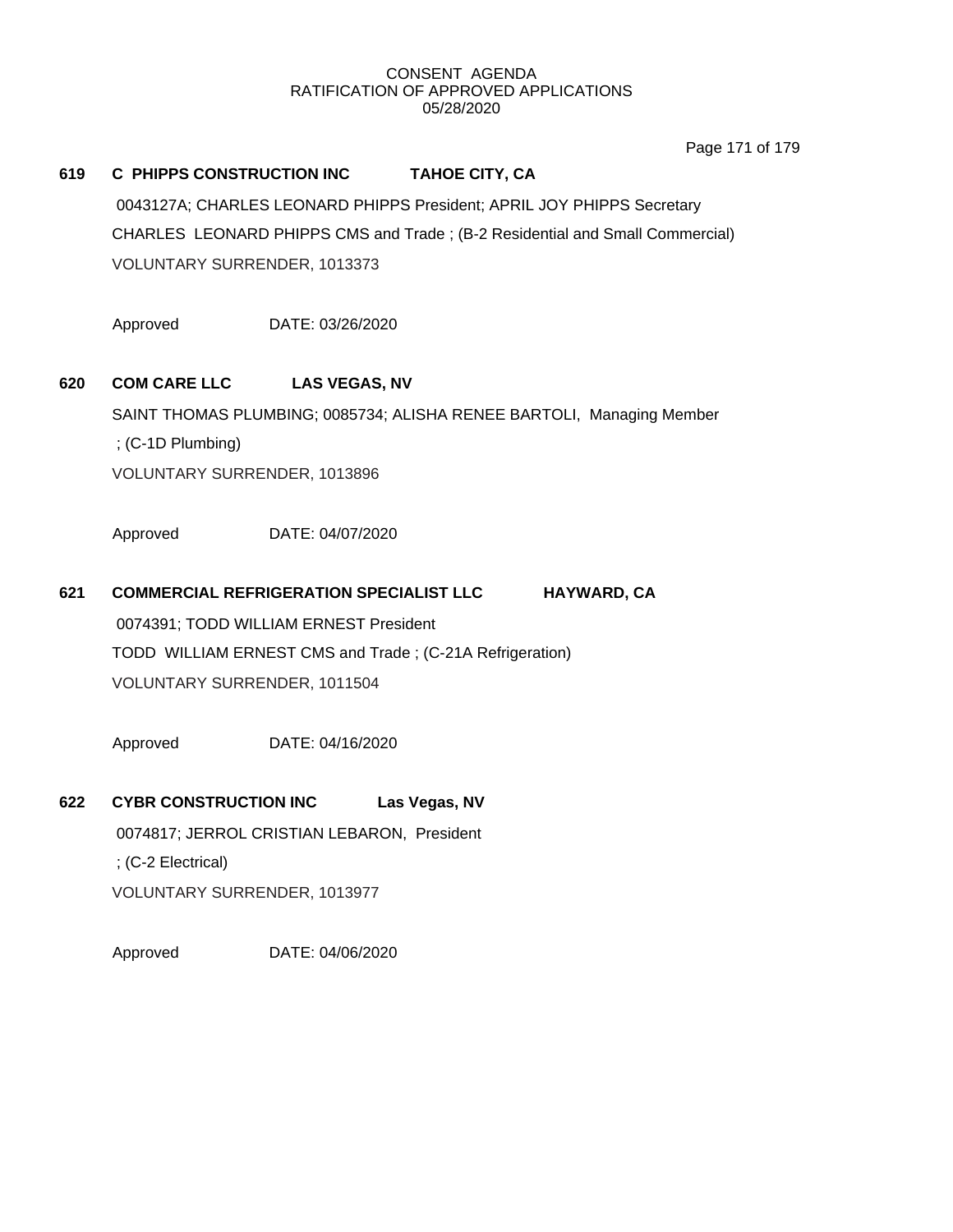Page 171 of 179

## **619 C PHIPPS CONSTRUCTION INC TAHOE CITY, CA**

0043127A; CHARLES LEONARD PHIPPS President; APRIL JOY PHIPPS Secretary CHARLES LEONARD PHIPPS CMS and Trade ; (B-2 Residential and Small Commercial) VOLUNTARY SURRENDER, 1013373

Approved DATE: 03/26/2020

# **620 COM CARE LLC LAS VEGAS, NV**

SAINT THOMAS PLUMBING; 0085734; ALISHA RENEE BARTOLI, Managing Member ; (C-1D Plumbing) VOLUNTARY SURRENDER, 1013896

Approved DATE: 04/07/2020

## **621 COMMERCIAL REFRIGERATION SPECIALIST LLC HAYWARD, CA**

0074391; TODD WILLIAM ERNEST President TODD WILLIAM ERNEST CMS and Trade ; (C-21A Refrigeration) VOLUNTARY SURRENDER, 1011504

Approved DATE: 04/16/2020

# **622 CYBR CONSTRUCTION INC Las Vegas, NV**

0074817; JERROL CRISTIAN LEBARON, President

; (C-2 Electrical)

VOLUNTARY SURRENDER, 1013977

Approved DATE: 04/06/2020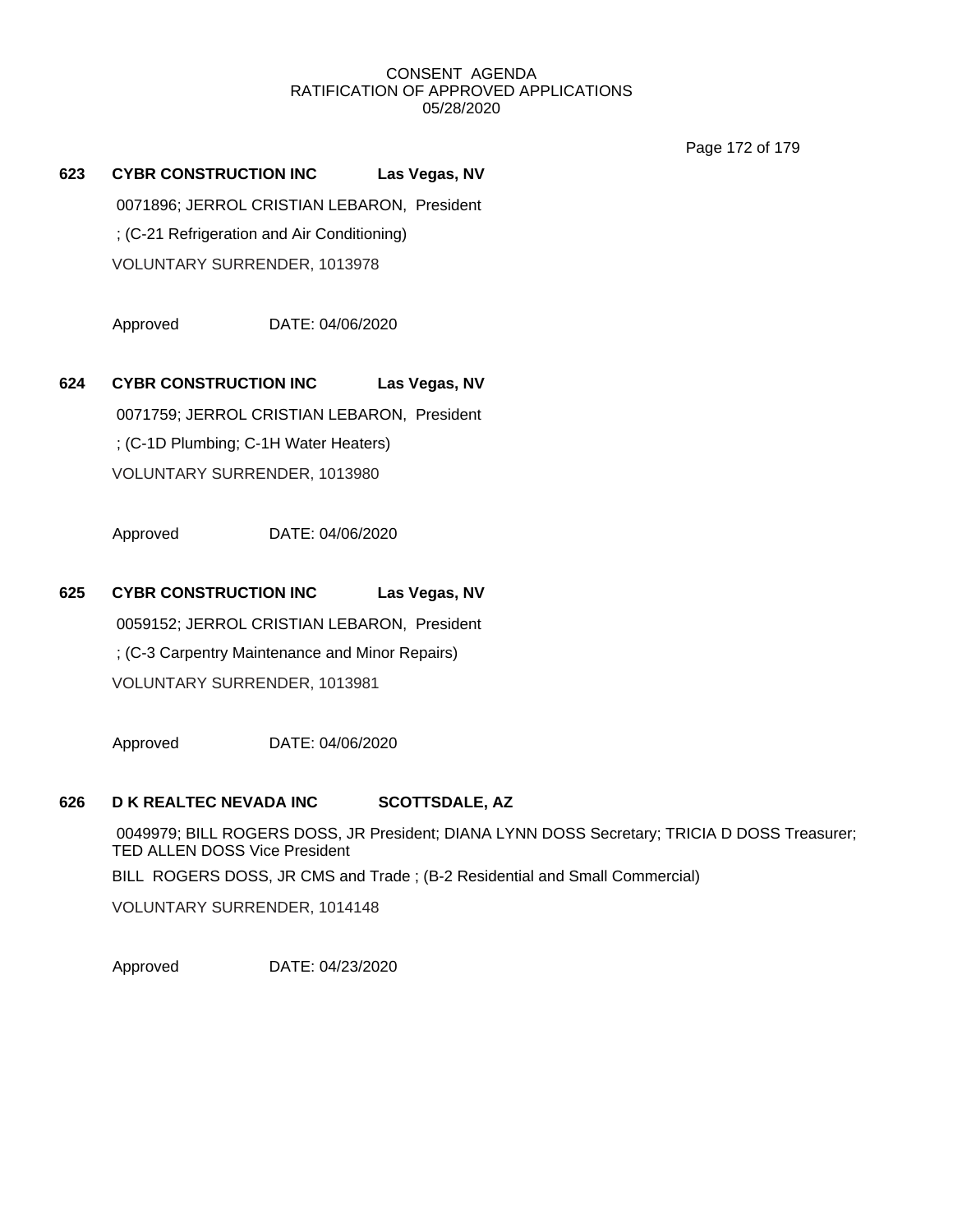Page 172 of 179

**623 CYBR CONSTRUCTION INC Las Vegas, NV** 0071896; JERROL CRISTIAN LEBARON, President ; (C-21 Refrigeration and Air Conditioning) VOLUNTARY SURRENDER, 1013978

Approved DATE: 04/06/2020

**624 CYBR CONSTRUCTION INC Las Vegas, NV** 0071759; JERROL CRISTIAN LEBARON, President ; (C-1D Plumbing; C-1H Water Heaters) VOLUNTARY SURRENDER, 1013980

Approved DATE: 04/06/2020

**625 CYBR CONSTRUCTION INC Las Vegas, NV** 0059152; JERROL CRISTIAN LEBARON, President ; (C-3 Carpentry Maintenance and Minor Repairs) VOLUNTARY SURRENDER, 1013981

Approved DATE: 04/06/2020

## **626 D K REALTEC NEVADA INC SCOTTSDALE, AZ**

0049979; BILL ROGERS DOSS, JR President; DIANA LYNN DOSS Secretary; TRICIA D DOSS Treasurer; TED ALLEN DOSS Vice President BILL ROGERS DOSS, JR CMS and Trade ; (B-2 Residential and Small Commercial) VOLUNTARY SURRENDER, 1014148

Approved DATE: 04/23/2020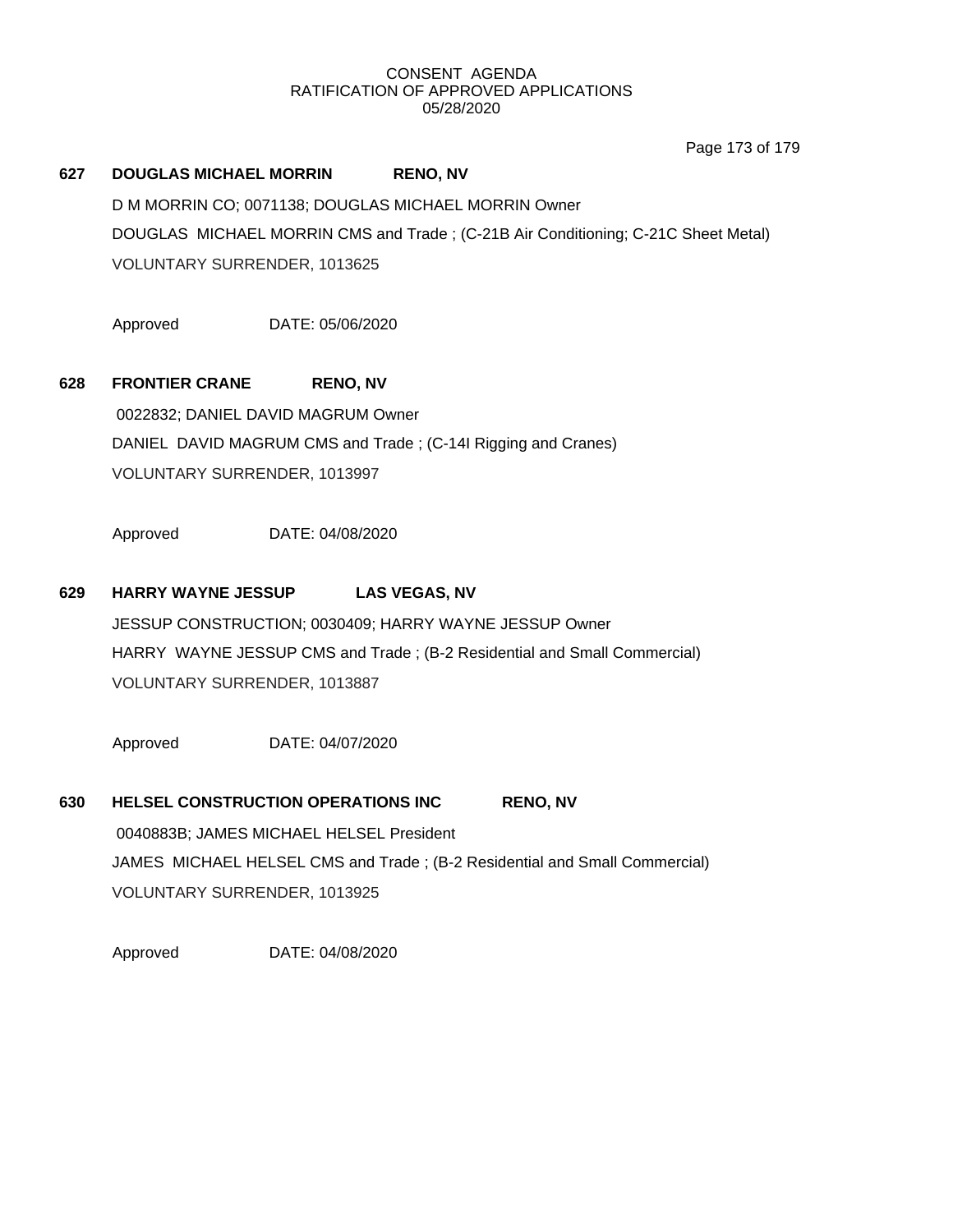Page 173 of 179

# **627 DOUGLAS MICHAEL MORRIN RENO, NV** D M MORRIN CO; 0071138; DOUGLAS MICHAEL MORRIN Owner DOUGLAS MICHAEL MORRIN CMS and Trade ; (C-21B Air Conditioning; C-21C Sheet Metal) VOLUNTARY SURRENDER, 1013625

Approved DATE: 05/06/2020

# **628 FRONTIER CRANE RENO, NV**

0022832; DANIEL DAVID MAGRUM Owner DANIEL DAVID MAGRUM CMS and Trade ; (C-14I Rigging and Cranes) VOLUNTARY SURRENDER, 1013997

Approved DATE: 04/08/2020

### **629 HARRY WAYNE JESSUP LAS VEGAS, NV**

JESSUP CONSTRUCTION; 0030409; HARRY WAYNE JESSUP Owner HARRY WAYNE JESSUP CMS and Trade ; (B-2 Residential and Small Commercial) VOLUNTARY SURRENDER, 1013887

Approved DATE: 04/07/2020

# **630 HELSEL CONSTRUCTION OPERATIONS INC RENO, NV** 0040883B; JAMES MICHAEL HELSEL President JAMES MICHAEL HELSEL CMS and Trade ; (B-2 Residential and Small Commercial) VOLUNTARY SURRENDER, 1013925

Approved DATE: 04/08/2020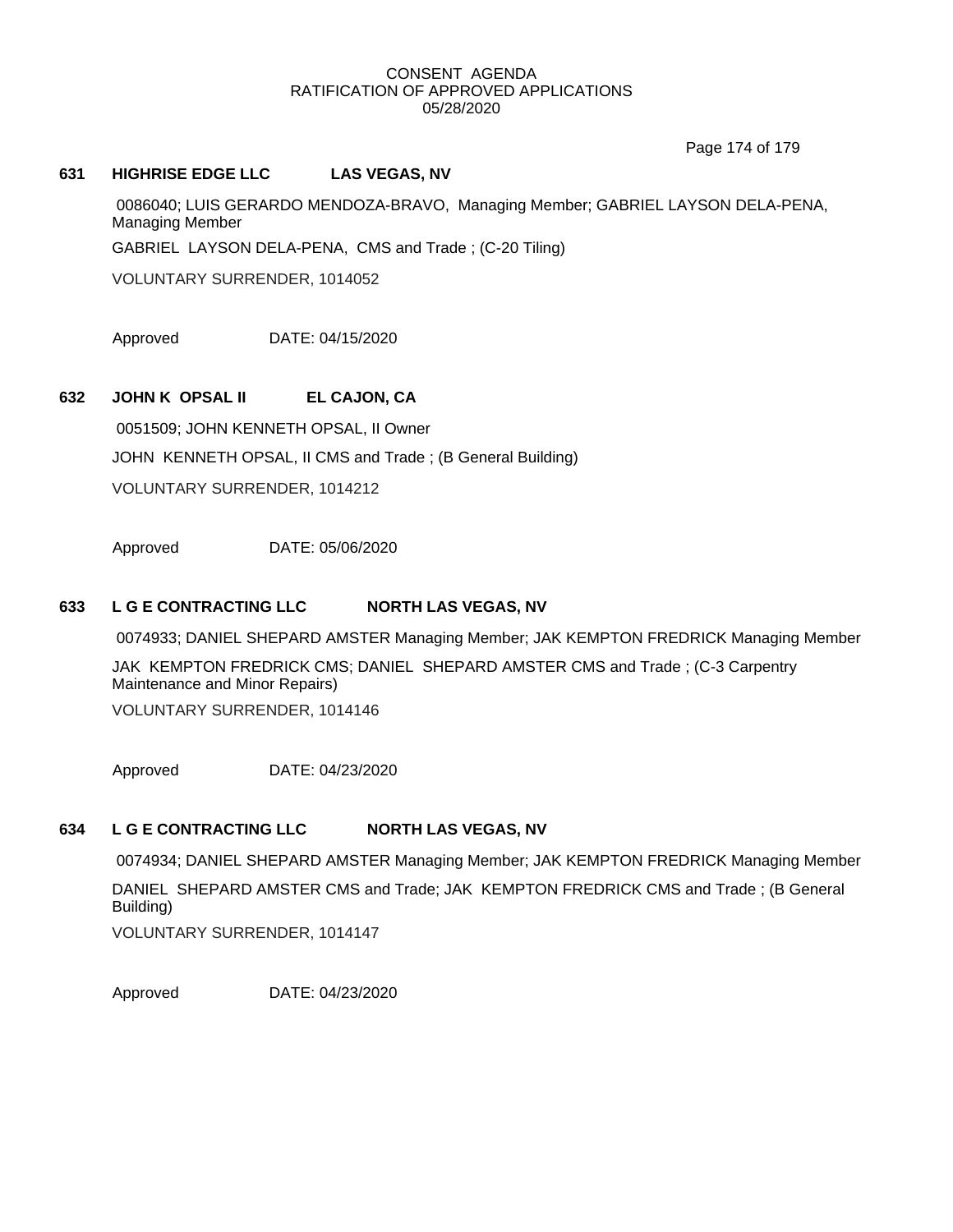Page 174 of 179

#### **631 HIGHRISE EDGE LLC LAS VEGAS, NV**

0086040; LUIS GERARDO MENDOZA-BRAVO, Managing Member; GABRIEL LAYSON DELA-PENA, Managing Member

GABRIEL LAYSON DELA-PENA, CMS and Trade ; (C-20 Tiling)

VOLUNTARY SURRENDER, 1014052

Approved DATE: 04/15/2020

## **632 JOHN K OPSAL II EL CAJON, CA**

0051509; JOHN KENNETH OPSAL, II Owner JOHN KENNETH OPSAL, II CMS and Trade ; (B General Building) VOLUNTARY SURRENDER, 1014212

Approved DATE: 05/06/2020

#### **633 L G E CONTRACTING LLC NORTH LAS VEGAS, NV**

0074933; DANIEL SHEPARD AMSTER Managing Member; JAK KEMPTON FREDRICK Managing Member

JAK KEMPTON FREDRICK CMS; DANIEL SHEPARD AMSTER CMS and Trade ; (C-3 Carpentry Maintenance and Minor Repairs)

VOLUNTARY SURRENDER, 1014146

Approved DATE: 04/23/2020

#### **634 L G E CONTRACTING LLC NORTH LAS VEGAS, NV**

0074934; DANIEL SHEPARD AMSTER Managing Member; JAK KEMPTON FREDRICK Managing Member

DANIEL SHEPARD AMSTER CMS and Trade; JAK KEMPTON FREDRICK CMS and Trade ; (B General Building)

VOLUNTARY SURRENDER, 1014147

Approved DATE: 04/23/2020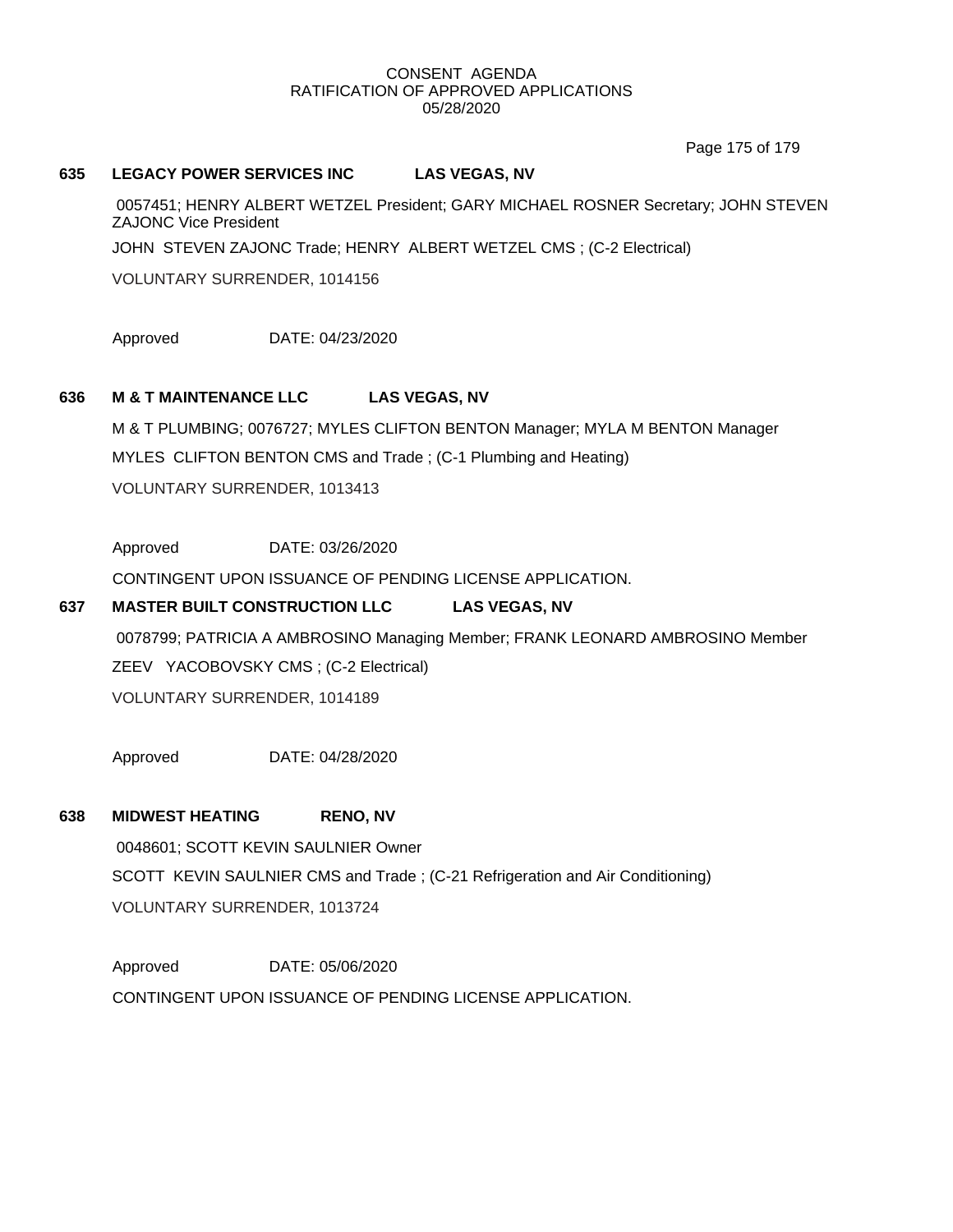Page 175 of 179

#### **635 LEGACY POWER SERVICES INC LAS VEGAS, NV**

0057451; HENRY ALBERT WETZEL President; GARY MICHAEL ROSNER Secretary; JOHN STEVEN ZAJONC Vice President

JOHN STEVEN ZAJONC Trade; HENRY ALBERT WETZEL CMS ; (C-2 Electrical)

VOLUNTARY SURRENDER, 1014156

Approved DATE: 04/23/2020

#### **636 M & T MAINTENANCE LLC LAS VEGAS, NV**

M & T PLUMBING; 0076727; MYLES CLIFTON BENTON Manager; MYLA M BENTON Manager MYLES CLIFTON BENTON CMS and Trade ; (C-1 Plumbing and Heating) VOLUNTARY SURRENDER, 1013413

Approved DATE: 03/26/2020

CONTINGENT UPON ISSUANCE OF PENDING LICENSE APPLICATION.

## **637 MASTER BUILT CONSTRUCTION LLC LAS VEGAS, NV**

0078799; PATRICIA A AMBROSINO Managing Member; FRANK LEONARD AMBROSINO Member ZEEV YACOBOVSKY CMS ; (C-2 Electrical) VOLUNTARY SURRENDER, 1014189

Approved DATE: 04/28/2020

## **638 MIDWEST HEATING RENO, NV**

0048601; SCOTT KEVIN SAULNIER Owner SCOTT KEVIN SAULNIER CMS and Trade ; (C-21 Refrigeration and Air Conditioning) VOLUNTARY SURRENDER, 1013724

Approved DATE: 05/06/2020 CONTINGENT UPON ISSUANCE OF PENDING LICENSE APPLICATION.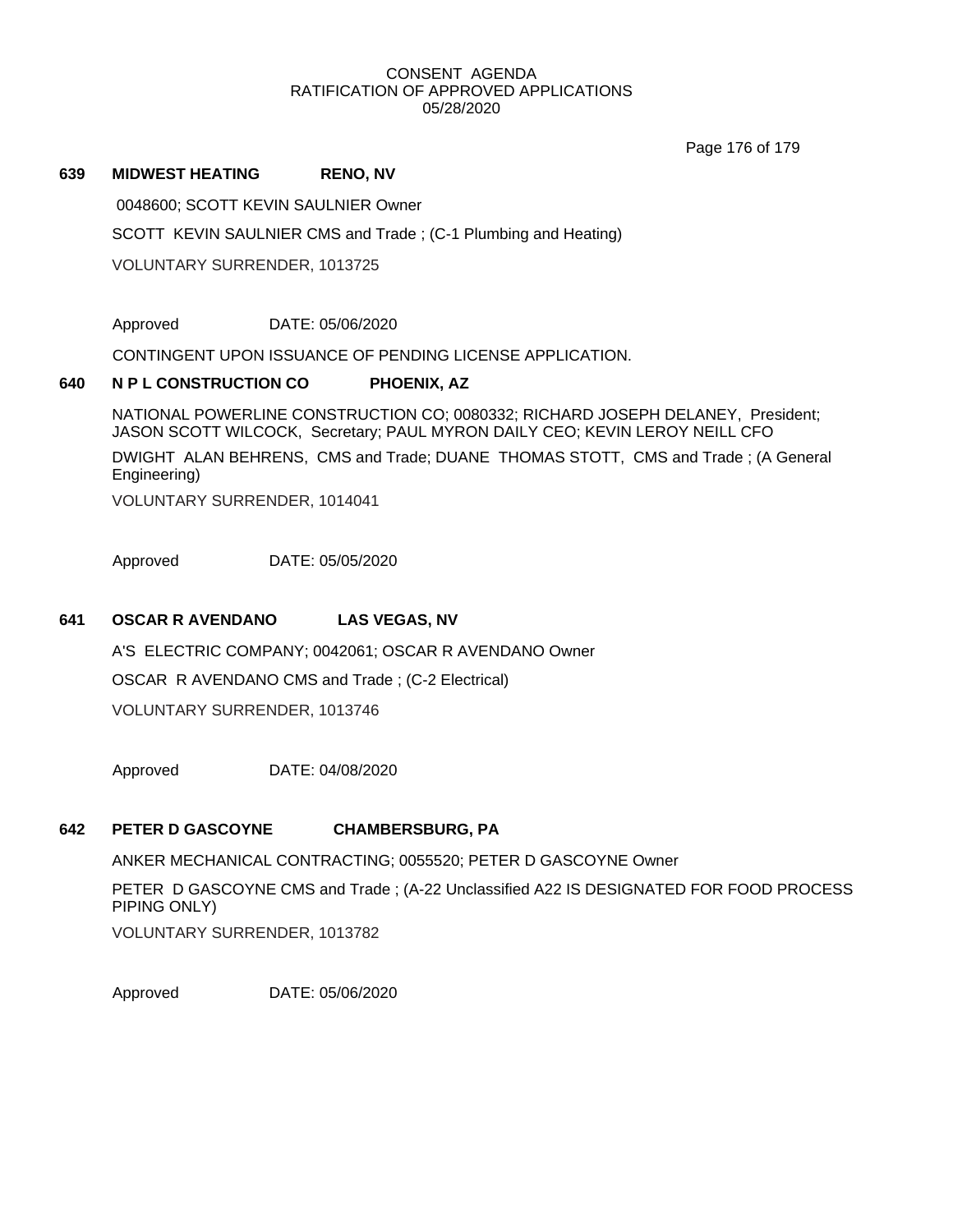Page 176 of 179

#### **639 MIDWEST HEATING RENO, NV**

0048600; SCOTT KEVIN SAULNIER Owner

SCOTT KEVIN SAULNIER CMS and Trade ; (C-1 Plumbing and Heating)

VOLUNTARY SURRENDER, 1013725

Approved DATE: 05/06/2020

CONTINGENT UPON ISSUANCE OF PENDING LICENSE APPLICATION.

## **640 N P L CONSTRUCTION CO PHOENIX, AZ**

NATIONAL POWERLINE CONSTRUCTION CO; 0080332; RICHARD JOSEPH DELANEY, President; JASON SCOTT WILCOCK, Secretary; PAUL MYRON DAILY CEO; KEVIN LEROY NEILL CFO DWIGHT ALAN BEHRENS, CMS and Trade; DUANE THOMAS STOTT, CMS and Trade ; (A General Engineering)

VOLUNTARY SURRENDER, 1014041

Approved DATE: 05/05/2020

## **641 OSCAR R AVENDANO LAS VEGAS, NV**

A'S ELECTRIC COMPANY; 0042061; OSCAR R AVENDANO Owner OSCAR R AVENDANO CMS and Trade ; (C-2 Electrical) VOLUNTARY SURRENDER, 1013746

Approved DATE: 04/08/2020

# **642 PETER D GASCOYNE CHAMBERSBURG, PA**

ANKER MECHANICAL CONTRACTING; 0055520; PETER D GASCOYNE Owner

PETER D GASCOYNE CMS and Trade ; (A-22 Unclassified A22 IS DESIGNATED FOR FOOD PROCESS PIPING ONLY) VOLUNTARY SURRENDER, 1013782

Approved DATE: 05/06/2020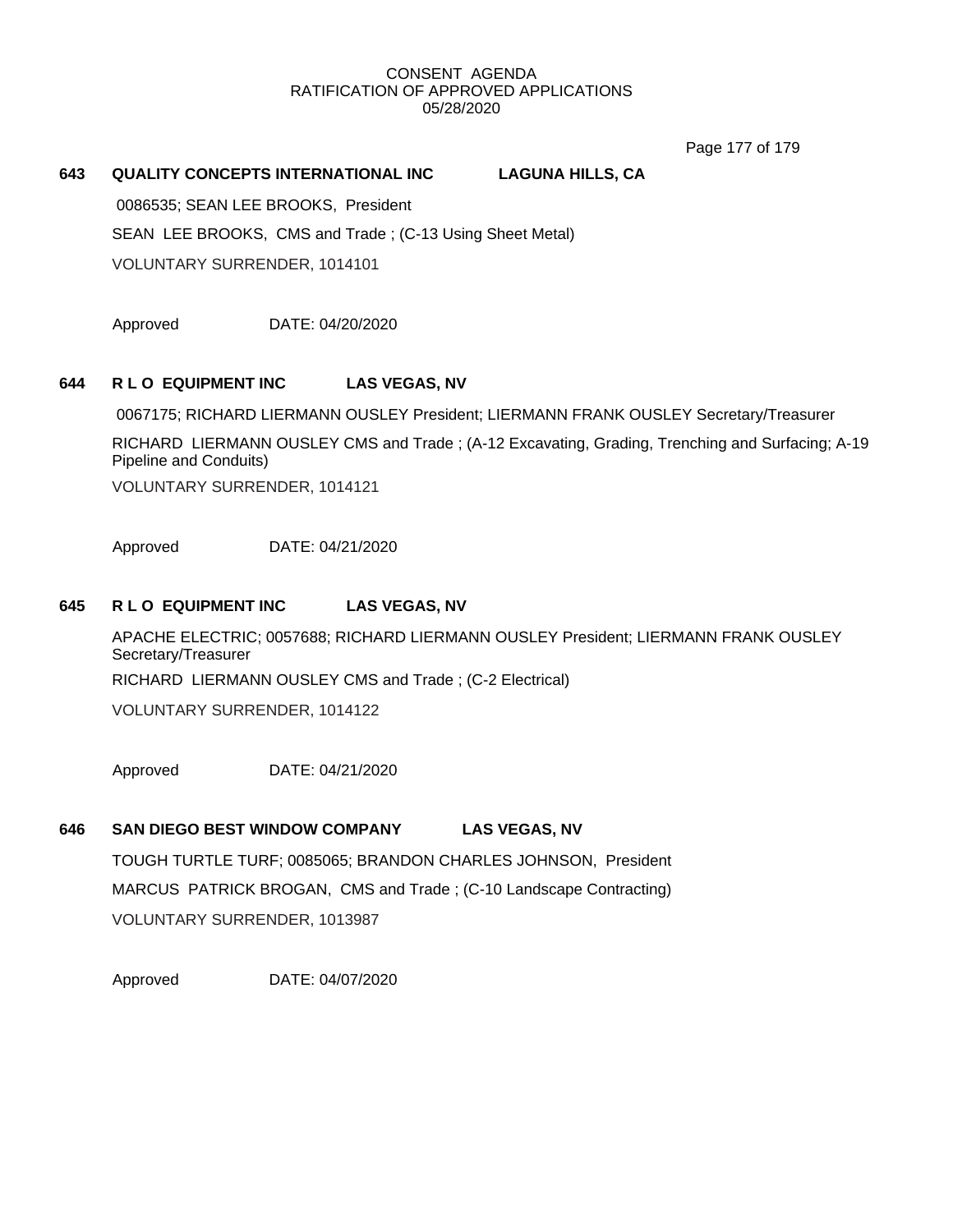Page 177 of 179

#### **643 QUALITY CONCEPTS INTERNATIONAL INC LAGUNA HILLS, CA**

0086535; SEAN LEE BROOKS, President SEAN LEE BROOKS, CMS and Trade ; (C-13 Using Sheet Metal) VOLUNTARY SURRENDER, 1014101

Approved DATE: 04/20/2020

## **644 R L O EQUIPMENT INC LAS VEGAS, NV**

0067175; RICHARD LIERMANN OUSLEY President; LIERMANN FRANK OUSLEY Secretary/Treasurer

RICHARD LIERMANN OUSLEY CMS and Trade ; (A-12 Excavating, Grading, Trenching and Surfacing; A-19 Pipeline and Conduits)

VOLUNTARY SURRENDER, 1014121

Approved DATE: 04/21/2020

#### **645 R L O EQUIPMENT INC LAS VEGAS, NV**

APACHE ELECTRIC; 0057688; RICHARD LIERMANN OUSLEY President; LIERMANN FRANK OUSLEY Secretary/Treasurer RICHARD LIERMANN OUSLEY CMS and Trade ; (C-2 Electrical)

VOLUNTARY SURRENDER, 1014122

Approved DATE: 04/21/2020

# **646 SAN DIEGO BEST WINDOW COMPANY LAS VEGAS, NV**

TOUGH TURTLE TURF; 0085065; BRANDON CHARLES JOHNSON, President MARCUS PATRICK BROGAN, CMS and Trade ; (C-10 Landscape Contracting) VOLUNTARY SURRENDER, 1013987

Approved DATE: 04/07/2020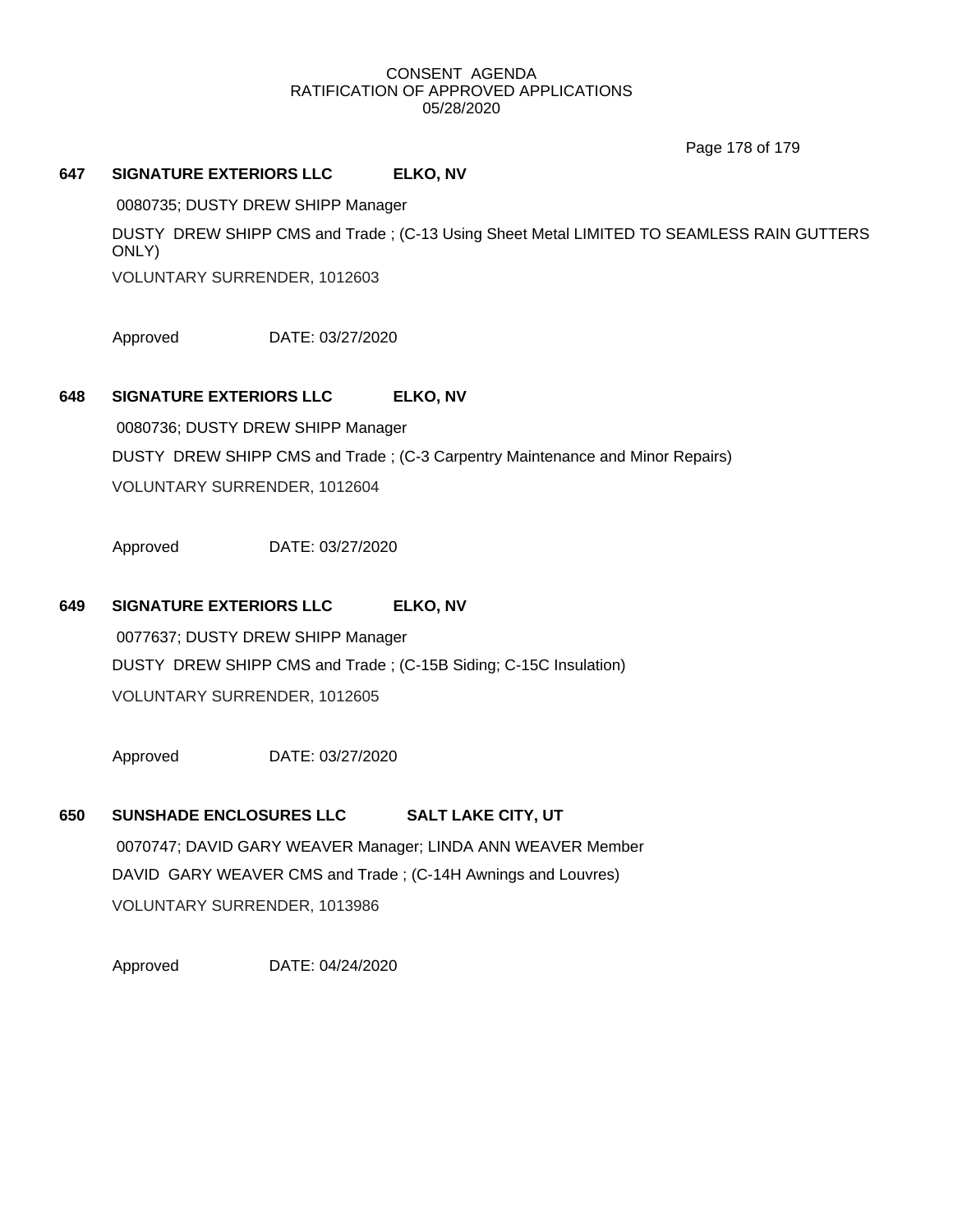#### CONSENT AGENDA RATIFICATION OF APPROVED APPLICATIONS 05/28/2020

Page 178 of 179

#### **647 SIGNATURE EXTERIORS LLC ELKO, NV**

0080735; DUSTY DREW SHIPP Manager DUSTY DREW SHIPP CMS and Trade ; (C-13 Using Sheet Metal LIMITED TO SEAMLESS RAIN GUTTERS ONLY) VOLUNTARY SURRENDER, 1012603

Approved DATE: 03/27/2020

## **648 SIGNATURE EXTERIORS LLC ELKO, NV**

0080736; DUSTY DREW SHIPP Manager DUSTY DREW SHIPP CMS and Trade ; (C-3 Carpentry Maintenance and Minor Repairs) VOLUNTARY SURRENDER, 1012604

Approved DATE: 03/27/2020

## **649 SIGNATURE EXTERIORS LLC ELKO, NV**

0077637; DUSTY DREW SHIPP Manager DUSTY DREW SHIPP CMS and Trade ; (C-15B Siding; C-15C Insulation) VOLUNTARY SURRENDER, 1012605

Approved DATE: 03/27/2020

## **650 SUNSHADE ENCLOSURES LLC SALT LAKE CITY, UT**

0070747; DAVID GARY WEAVER Manager; LINDA ANN WEAVER Member DAVID GARY WEAVER CMS and Trade ; (C-14H Awnings and Louvres) VOLUNTARY SURRENDER, 1013986

Approved DATE: 04/24/2020